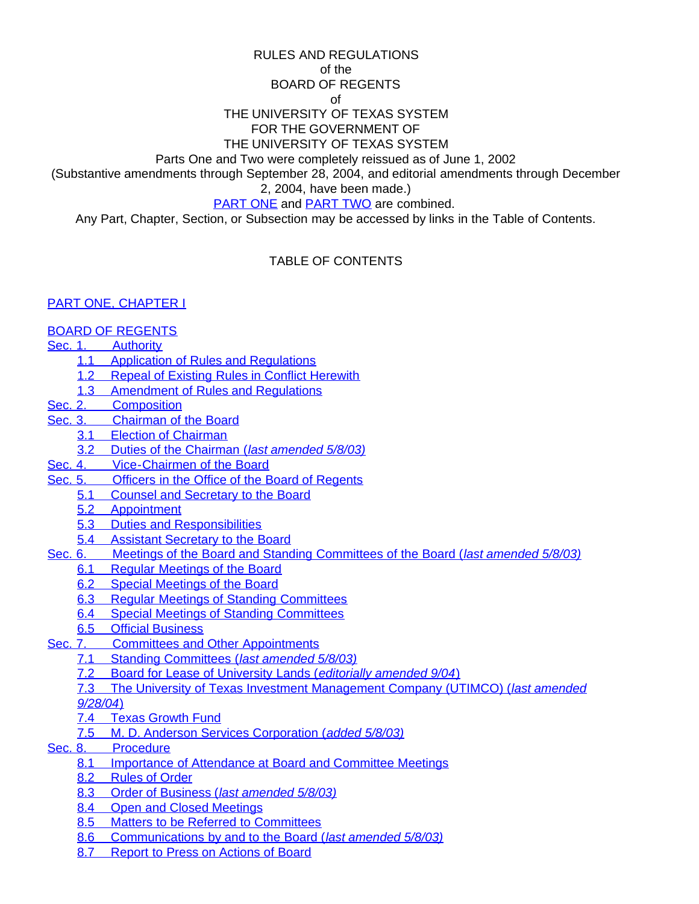RULES AND REGULATIONS

of the

### BOARD OF REGENTS

of

### THE UNIVERSITY OF TEXAS SYSTEM FOR THE GOVERNMENT OF

### THE UNIVERSITY OF TEXAS SYSTEM

Parts One and Two were completely reissued as of June 1, 2002

(Substantive amendments through September 28, 2004, and editorial amendments through December

2, 2004, have been made.)

### [PART ONE](#page-15-0) and [PART TWO](#page-129-0) are combined.

Any Part, Chapter, Section, or Subsection may be accessed by links in the Table of Contents.

# TABLE OF CONTENTS

### [PART ONE, CHAPTER](#page-15-0) I

## [BOARD OF REGENTS](#page-15-1)

## [Sec. 1.](#page-15-2)[Authority](#page-15-2)

- [1.1](#page-15-3)[Application of Rules and Regulations](#page-15-3)
- [1.2](#page-15-4)[Repeal of Existing Rules in Conflict Herewith](#page-15-4)
- [1.3](#page-15-5)[Amendment of Rules and Regulations](#page-15-5)
- [Sec. 2.](#page-15-6)[Composition](#page-15-6)
- [Sec. 3.](#page-15-7)[Chairman](#page-15-7) of the Board
	- [3.1](#page-15-8)[Election of Chairman](#page-15-8)
	- [3.2](#page-16-0)[Duties of the Chairman \(](#page-16-0)*[last amended 5/8/03\)](#page-16-0)*
- [Sec. 4.](#page-16-1)[Vice-Chairmen](#page-16-1) of the Board
- [Sec. 5.](#page-16-2)[Officers in the Office of the Board of Regents](#page-16-2)
	- [5.1](#page-16-3)[Counsel and Secretary to the Board](#page-16-3)
	- [5.2](#page-16-4)[Appointment](#page-16-4)
	- [5.3](#page-17-0)[Duties and Responsibilities](#page-17-0)
	- [5.4](#page-18-0)[Assistant Secretary to the Board](#page-18-0)
- [Sec. 6.](#page-18-1)Meetings of the Board and Standing [Committees](#page-18-1) of the Board (*[last amended 5/8/03\)](#page-18-1)*
	- [6.1](#page-18-2)[Regular Meetings of the Board](#page-18-2)
	- [6.2](#page-18-3)[Special Meetings of the Board](#page-18-3)
	- [6.3](#page-18-4)[Regular Meetings of Standing Committees](#page-18-4)
	- [6.4](#page-18-5)[Special Meetings of Standing Committees](#page-18-5)
	- [6.5](#page-18-6)[Official Business](#page-18-6)
- [Sec. 7.](#page-18-7)[Committees and Other Appointments](#page-18-7)
	- [7.1](#page-19-0)[Standing Committees \(](#page-19-0)*[last amended 5/8/03\)](#page-19-0)*
	- [7.2](#page-21-0)[Board for Lease of University Lands \(](#page-21-0)*[editorially amended 9/04](#page-21-0)*[\)](#page-21-0)
	- [7.3](#page-22-0)[The University of Texas Investment Management Company](#page-22-0) (UTIMCO) (*[last amended](#page-22-0) [9/28/04](#page-22-0)*[\)](#page-22-0)
	- [7.4](#page-23-0)[Texas Growth Fund](#page-23-0)
	- [7.5](#page-23-1)[M. D. Anderson Services Corporation \(](#page-23-1)*[added 5/8/03\)](#page-23-1)*
- [Sec. 8.](#page-23-2)[Procedure](#page-23-2)
	- [8.1](#page-23-3)[Importance of Attendance at Board and Committee Meetings](#page-23-3)
	- [8.2](#page-24-0)[Rules of Order](#page-24-0)
	- [8.3](#page-24-1)[Order of Business \(](#page-24-1)*[last amended 5/8/03\)](#page-24-1)*
	- [8.4](#page-24-2)[Open and Closed Meetings](#page-24-2)
	- [8.5](#page-24-3)[Matters to be Referred to Committees](#page-24-3)
	- [8.6](#page-24-4)[Communications by and to the Board \(](#page-24-4)*[last amended 5/8/03\)](#page-24-4)*
	- [8.7](#page-26-0)[Report to Press on Actions of Board](#page-26-0)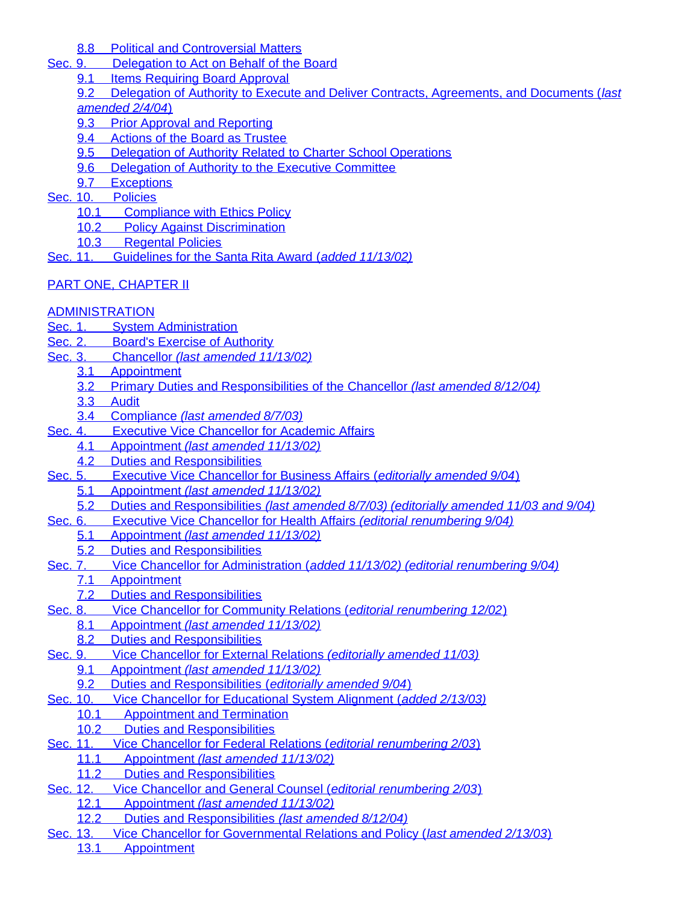[8.8](#page-26-1)[Political and Controversial Matters](#page-26-1)

- [Sec. 9.](#page-27-0)[Delegation to Act on Behalf of the Board](#page-27-0)
	- [9.1](#page-27-1)[Items Requiring Board Approval](#page-27-1)
	- [9.2](#page-27-2)[Delegation of Authority to Execute and Deliver Contracts, Agreements, and Documents \(](#page-27-2)*[last](#page-27-2) [amended 2/4/04](#page-27-2)*[\)](#page-27-2)
	- [9.3](#page-29-0)[Prior Approval and Reporting](#page-29-0)
	- [9.4](#page-29-1)[Actions of the Board as Trustee](#page-29-1)
	- [9.5](#page-29-2)[Delegation of Authority Related to Charter School Operations](#page-29-2)
	- [9.6](#page-29-3)[Delegation of Authority to the Executive Committee](#page-29-3)
	- [9.7](#page-30-0)[Exceptions](#page-30-0)
- [Sec. 10.](#page-30-1)[Policies](#page-30-1)
	- [10.1](#page-30-2)[Compliance with Ethics Policy](#page-30-2)
	- [10.2](#page-30-3)[Policy Against Discrimination](#page-30-3)<br>10.3 Regental Policies
	- **RegentalPolicies**

[Sec. 11.](#page-30-5)[Guidelines for the Santa Rita Award \(](#page-30-5)*[added 11/13/02\)](#page-30-5)*

# [PART ONE, CHAPTER](#page-31-0) II

# **[ADMINISTRATION](#page-31-1)**

- [Sec. 1.](#page-31-2)[System Administration](#page-31-2)
- [Sec. 2.](#page-31-3)Board's Exercise of [Authority](#page-31-3)
- [Sec. 3.](#page-32-0)[Chancellor](#page-32-0) *[\(last amended 11/13/02\)](#page-32-0)*
	- [3.1](#page-32-1)[Appointment](#page-32-1)
	- [3.2](#page-32-2)Primary Duties [and Responsibilities of](#page-32-2) the Chancellor *[\(last amended 8/12/04\)](#page-32-2)*
	- [3.3](#page-33-0)[Audit](#page-33-0)
	- [3.4](#page-34-0)[Compliance](#page-34-0) *[\(last amended 8/7/03\)](#page-34-0)*
- [Sec. 4.](#page-34-1)[Executive Vice Chancellor for Academic Affairs](#page-34-1)
	- [4.1](#page-34-2)[Appointment](#page-34-2) *[\(last amended 11/13/02\)](#page-34-2)*
		- [4.2](#page-34-3)[Duties and Responsibilities](#page-34-3)
- [Sec. 5.](#page-35-0)[Executive Vice](#page-35-0) Chancellor for Business Affairs (*[editorially amended 9/04](#page-35-0)*[\)](#page-35-0)
	- [5.1](#page-35-1)[Appointment](#page-35-1) *[\(last amended 11/13/02\)](#page-35-1)*
- [5.2](#page-35-2)[Duties and Responsibilities](#page-35-2) *[\(last amended 8/7/03\) \(editorially amended 11/03 and 9/04\)](#page-35-2)*
- [Sec. 6.](#page-37-0)Executive Vice [Chancellor](#page-37-0) for Health Affairs *[\(editorial renumbering 9/04\)](#page-37-0)*
	- [5.1](#page-37-1)[Appointment](#page-37-1) *[\(last amended 11/13/02\)](#page-37-1)*
	- [5.2](#page-37-2)Duties and [Responsibilities](#page-37-2)
- [Sec. 7.](#page-38-0)Vice Chancellor [for Administration \(](#page-38-0)*[added 11/13/02\) \(editorial renumbering 9/04\)](#page-38-0)*
	- [7.1](#page-38-1)[Appointment](#page-38-1)
	- [7.2](#page-38-2)Duties and [Responsibilities](#page-38-2)
- [Sec. 8.](#page-38-3)[Vice Chancellor for Community Relations \(](#page-38-3)*[editorial renumbering 12/02](#page-38-3)*[\)](#page-38-3)
	- [8.1](#page-38-4)[Appointment](#page-38-4) *[\(last amended 11/13/02\)](#page-38-4)*
	- [8.2](#page-39-0)[Duties and Responsibilities](#page-39-0)
- [Sec. 9.](#page-39-1)[Vice Chancellor for External Relations](#page-39-1) *[\(editorially amended 11/03\)](#page-39-1)*
	- [9.1](#page-39-2)[Appointment](#page-39-2) *[\(last amended 11/13/02\)](#page-39-2)*
		- [9.2](#page-39-3)[Duties and Responsibilities \(](#page-39-3)*[editorially amended 9/04](#page-39-3)*[\)](#page-39-3)
- [Sec. 10.](#page-40-0)[Vice Chancellor for Educational System Alignment \(](#page-40-0)*[added 2/13/03\)](#page-40-0)*
	- [10.1](#page-40-1)[Appointment and Termination](#page-40-1)
	- [10.2](#page-40-2)[Duties and Responsibilities](#page-40-2)
- [Sec. 11.](#page-41-0)[Vice Chancellor for Federal Relations \(](#page-41-0)*[editorial renumbering 2/03](#page-41-0)*[\)](#page-41-0)
	- [11.1](#page-41-1)[Appointment](#page-41-1) *[\(last amended 11/13/02\)](#page-41-1)*
	- [11.2](#page-41-2)[Duties and Responsibilities](#page-41-2)
- [Sec. 12.](#page-41-3)Vice [Chancellor](#page-41-3) and General Counsel (*[editorial renumbering 2/03](#page-41-3)*[\)](#page-41-3)
	- [12.1](#page-42-0)[Appointment](#page-42-0) *[\(last amended 11/13/02\)](#page-42-0)*
		- [12.2](#page-42-1)Duties and [Responsibilities](#page-42-1) *[\(last amended 8/12/04\)](#page-42-1)*
- [Sec. 13.](#page-43-0)Vice Chancellor for Governmental [Relations and Policy \(](#page-43-0)*[last amended 2/13/03](#page-43-0)*[\)](#page-43-0) [13.1](#page-43-1)[Appointment](#page-43-1)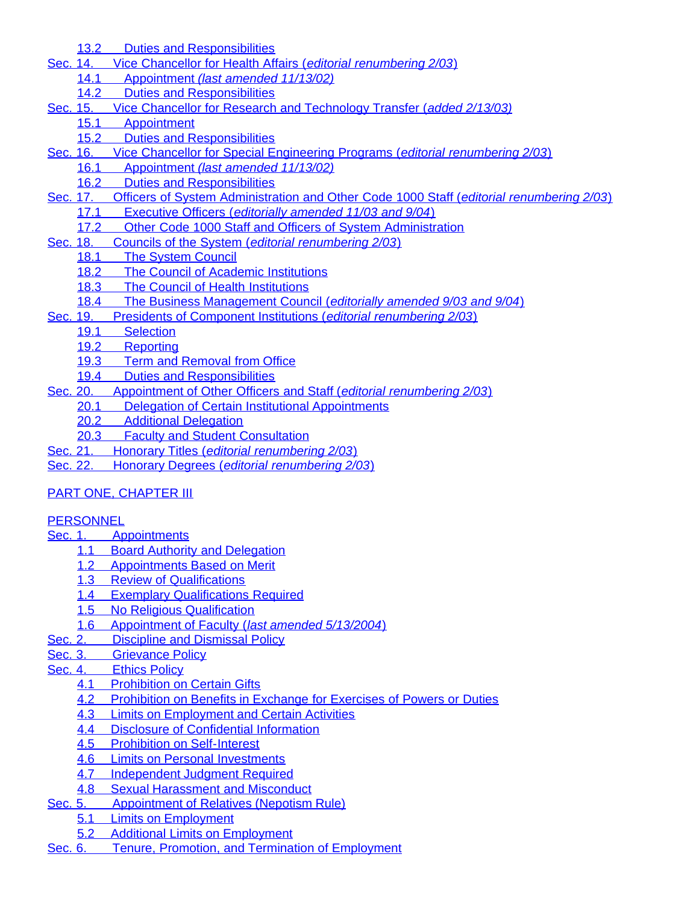[13.2](#page-43-2)Duties and [Responsibilities](#page-43-2)

- [Sec. 14.](#page-43-3)[Vice Chancellor for Health Affairs \(](#page-43-3)*[editorial renumbering 2/03](#page-43-3)*[\)](#page-43-3)
	- [14.1](#page-43-4)[Appointment](#page-43-4) *[\(last amended 11/13/02\)](#page-43-4)*
	- [14.2](#page-44-0)[Duties and Responsibilities](#page-44-0)
- [Sec. 15.](#page-44-1)[Vice Chancellor for Research and Technology Transfer \(](#page-44-1)*[added 2/13/03\)](#page-44-1)*
	- [15.1](#page-44-2)[Appointment](#page-44-2)
		- [15.2](#page-44-3)[Duties and Responsibilities](#page-44-3)
- [Sec. 16.](#page-44-4)[Vice Chancellor for Special Engineering Programs \(](#page-44-4)*[editorial renumbering 2/03](#page-44-4)*[\)](#page-44-4)
	- [16.1](#page-45-0)[Appointment](#page-45-0) *[\(last amended 11/13/02\)](#page-45-0)*
	- [16.2](#page-45-1)[Duties and Responsibilities](#page-45-1)
- [Sec. 17.](#page-45-2)[Officers of System Administration and Other Code 1000 Staff \(](#page-45-2)*[editorial renumbering 2/03](#page-45-2)*[\)](#page-45-2)
	- [17.1](#page-45-3)[Executive Officers \(](#page-45-3)*[editorially amended 11/03 and 9/04](#page-45-3)*[\)](#page-45-3)
	- [17.2](#page-45-4)[Other Code 1000 Staff and Officers of System Administration](#page-45-4)
- [Sec. 18.](#page-45-5)Councils of the [System \(](#page-45-5)*[editorial renumbering 2/03](#page-45-5)*[\)](#page-45-5)
	- [18.1](#page-45-6)The [System](#page-45-6) Council
		- [18.2](#page-45-7)The Council of Academic [Institutions](#page-45-7)
		- [18.3](#page-46-0)The Council of Health [Institutions](#page-46-0)
- [18.4](#page-46-1)The Business [Management](#page-46-1) Council (*[editorially amended 9/03 and 9/04](#page-46-1)*[\)](#page-46-1)
- [Sec. 19.](#page-46-2)Presidents of Component [Institutions \(](#page-46-2)*[editorial renumbering 2/03](#page-46-2)*[\)](#page-46-2)
	- [19.1](#page-46-3)[Selection](#page-46-3)
		- [19.2](#page-48-0)[Reporting](#page-48-0)
		- [19.3](#page-48-1)[Term and Removal from Office](#page-48-1)
		- [19.4](#page-48-2)[Duties and Responsibilities](#page-48-2)
- [Sec. 20.](#page-49-0)[Appointment](#page-49-0) of Other Officers and Staff (*[editorial renumbering 2/03](#page-49-0)*[\)](#page-49-0)
	- [20.1](#page-49-1)[Delegation of Certain Institutional Appointments](#page-49-1)
		- [20.2](#page-49-2)[Additional Delegation](#page-49-2)
		- [20.3](#page-50-0)[Faculty and Student Consultation](#page-50-0)
- [Sec. 21.](#page-50-1)[Honorary](#page-50-1) Titles (*[editorial renumbering 2/03](#page-50-1)*[\)](#page-50-1)
- [Sec. 22.](#page-50-2)[Honorary Degrees \(](#page-50-2)*[editorial renumbering 2/03](#page-50-2)*[\)](#page-50-2)

# [PART ONE, CHAPTER](#page-50-3) III

# **[PERSONNEL](#page-50-4)**

- [Sec. 1.](#page-50-5)[Appointments](#page-50-5)
	- [1.1](#page-50-6)[Board Authority and Delegation](#page-50-6)
	- [1.2](#page-50-7)[Appointments Based on Merit](#page-50-7)
	- [1.3](#page-51-0)[Review of Qualifications](#page-51-0)
	- [1.4](#page-51-1)[Exemplary Qualifications Required](#page-51-1)
	- [1.5](#page-51-2)[No Religious Qualification](#page-51-2)
	- [1.6](#page-51-3)[Appointment of Faculty \(](#page-51-3)*[last amended 5/13/2004](#page-51-3)*[\)](#page-51-3)
- [Sec. 2.](#page-56-0)[Discipline and Dismissal Policy](#page-56-0)
- [Sec. 3.](#page-56-1)[Grievance Policy](#page-56-1)
- [Sec. 4.](#page-56-2)[Ethics Policy](#page-56-2)
	- **[4.1](#page-56-3)[Prohibition on Certain Gifts](#page-56-3)**
	- [4.2](#page-56-4)[Prohibition on Benefits in Exchange for Exercises of Powers or Duties](#page-56-4)
	- [4.3](#page-56-5)[Limits on Employment and Certain Activities](#page-56-5)
	- [4.4](#page-57-0)[Disclosure of Confidential Information](#page-57-0)
	- [4.5](#page-57-1)[Prohibition on Self-Interest](#page-57-1)
	- [4.6](#page-57-2)[Limits on Personal Investments](#page-57-2)
	- [4.7](#page-57-3)[Independent Judgment Required](#page-57-3)
	- [4.8](#page-57-4)[Sexual Harassment and Misconduct](#page-57-4)
- [Sec. 5.](#page-57-5)[Appointment](#page-57-5) of Relatives (Nepotism Rule)
	- [5.1](#page-57-6)[Limits on Employment](#page-57-6)
	- [5.2](#page-58-0)[Additional Limits on Employment](#page-58-0)
- [Sec. 6.](#page-59-0)Tenure, Promotion, and Termination of [Employment](#page-59-0)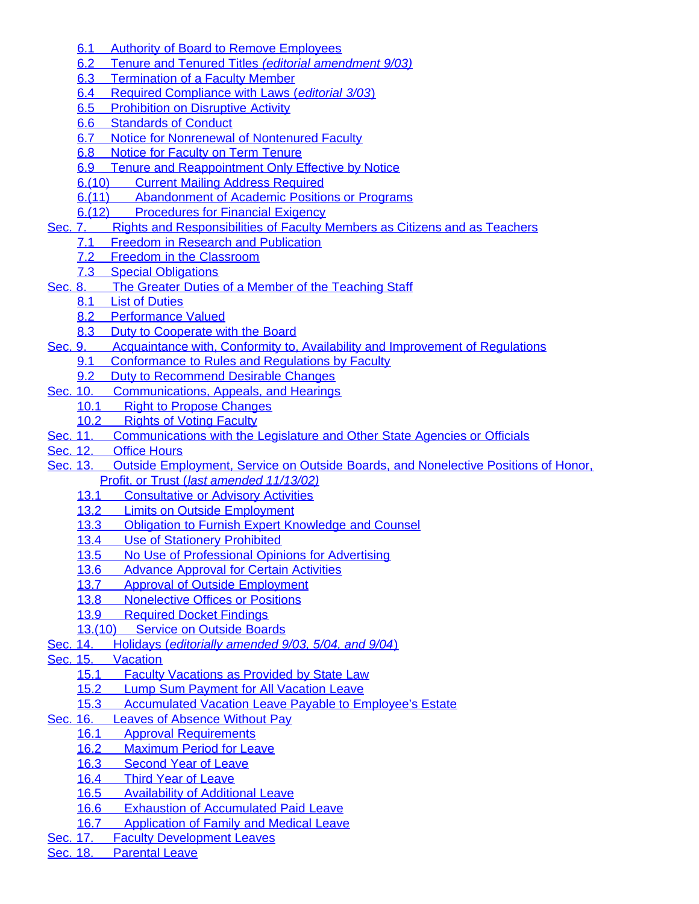- [6.1](#page-59-1)[Authority of Board to Remove Employees](#page-59-1)
- [6.2](#page-59-2)[Tenure and Tenured Titles](#page-59-2) *[\(editorial amendment 9/03\)](#page-59-2)*
- [6.3](#page-62-0)[Termination of a Faculty Member](#page-62-0)
- [6.4](#page-65-0)[Required Compliance with Laws \(](#page-65-0)*[editorial 3/03](#page-65-0)*[\)](#page-65-0)
- [6.5](#page-65-1)[Prohibition on Disruptive Activity](#page-65-1)
- [6.6](#page-65-2)[Standards of Conduct](#page-65-2)
- [6.7](#page-66-0)[Notice for Nonrenewal of Nontenured Faculty](#page-66-0)
- [6.8](#page-66-1)[Notice for Faculty on Term Tenure](#page-66-1)
- [6.9](#page-66-2)[Tenure and Reappointment Only Effective by Notice](#page-66-2)<br>6.(10) Current Mailing Address Required
- **CurrentMailing Address Required**
- [6.\(11\)](#page-67-0)[Abandonment of Academic Positions or Programs](#page-67-0)
- [6.\(12\)](#page-67-1)[Procedures for Financial Exigency](#page-67-1)
- [Sec. 7.](#page-69-0)Rights and Responsibilities [of Faculty Members as Citizens and](#page-69-0) as Teachers
	- [7.1](#page-69-1)[Freedom in Research and Publication](#page-69-1)
		- [7.2](#page-69-2)[Freedom in the Classroom](#page-69-2)
		- [7.3](#page-69-3)[Special Obligations](#page-69-3)
- [Sec. 8.](#page-70-0)The Greater Duties of a Member of the [Teaching](#page-70-0) Staff
	- [8.1](#page-70-1)[List of Duties](#page-70-1)
	- [8.2](#page-70-2)[Performance Valued](#page-70-2)
	- [8.3](#page-70-3)[Duty to Cooperate with the Board](#page-70-3)
- [Sec. 9.](#page-70-4)[Acquaintance with, Conformity to, Availability and Improvement of Regulations](#page-70-4)
	- [9.1](#page-70-5)[Conformance to Rules and Regulations by Faculty](#page-70-5)
	- [9.2](#page-71-0)[Duty to Recommend Desirable Changes](#page-71-0)
- [Sec. 10.](#page-71-1)[Communications,](#page-71-1) Appeals, and Hearings
	- [10.1](#page-71-2)[Right to Propose Changes](#page-71-2)
		- [10.2](#page-71-3)[Rights of Voting Faculty](#page-71-3)
- [Sec. 11.](#page-71-4)[Communications](#page-71-4) with the Legislature and Other State Agencies or Officials
- [Sec. 12.](#page-71-5)Office [Hours](#page-71-5)
- [Sec. 13.](#page-71-6)Outside [Employment, Service on Outside Boards, and Nonelective Positions of Honor,](#page-71-6) [Profit, or Trust \(](#page-71-6)*[last amended 11/13/02\)](#page-71-6)*
	- [13.1](#page-72-0)[Consultative or Advisory Activities](#page-72-0)
	- [13.2](#page-72-1)[Limits on Outside Employment](#page-72-1)
	- [13.3](#page-72-2)[Obligation to Furnish Expert Knowledge and Counsel](#page-72-2)
	- [13.4](#page-72-3)[Use of Stationery Prohibited](#page-72-3)
	- [13.5](#page-72-4)[No Use of Professional Opinions for Advertising](#page-72-4)
	- [13.6](#page-72-5)[Advance Approval for Certain Activities](#page-72-5)<br>13.7 Approval of Outside Employment
	- Approvalof Outside Employment
	- [13.8](#page-73-0)[Nonelective Offices or Positions](#page-73-0)
	- [13.9](#page-73-1)[Required Docket Findings](#page-73-1)
	- [13.\(10\)](#page-73-2)[Service on Outside Boards](#page-73-2)
- [Sec. 14.](#page-73-3)[Holidays \(](#page-73-3)*[editorially amended 9/03, 5/04, and 9/04](#page-73-3)*[\)](#page-73-3)
- [Sec. 15.](#page-73-4)[Vacation](#page-73-4)
	- [15.1](#page-74-0)[Faculty Vacations as Provided by State Law](#page-74-0)
	- [15.2](#page-74-1)[Lump Sum Payment for All Vacation Leave](#page-74-1)
	- [15.3](#page-74-2)[Accumulated Vacation Leave Payable to Employee's Estate](#page-74-2)
- [Sec. 16.](#page-74-3)Leaves of [Absence](#page-74-3) Without Pay
	- [16.1](#page-74-4)[Approval Requirements](#page-74-4)
	- [16.2](#page-74-5)[Maximum Period for Leave](#page-74-5)
	- [16.3](#page-74-6)[Second Year of Leave](#page-74-6)
	- [16.4](#page-74-7)[Third Year of Leave](#page-74-7)
	- [16.5](#page-74-8)[Availability of Additional Leave](#page-74-8)
	- [16.6](#page-74-9)[Exhaustion of Accumulated Paid Leave](#page-74-9)
- [16.7](#page-75-0)[Application of Family and Medical Leave](#page-75-0)<br>Sec. 17. Faculty Development Leaves
- **Faculty[Development](#page-75-1) Leaves**
- [Sec. 18.](#page-75-2)[Parental Leave](#page-75-2)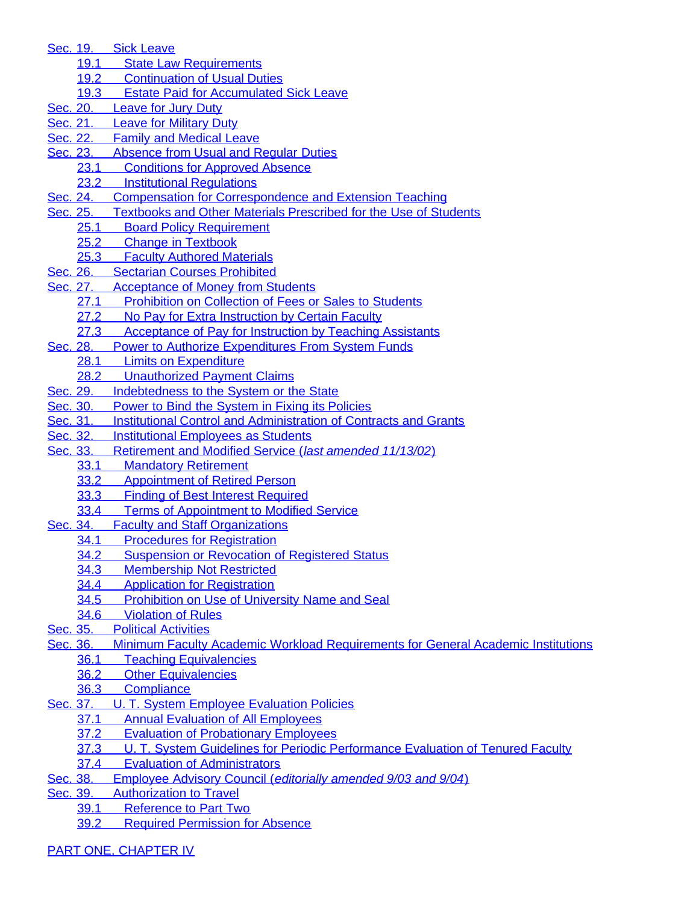[Sec. 19.](#page-75-3)Sick [Leave](#page-75-3)

- [19.1](#page-75-4)[State Law Requirements](#page-75-4)<br>19.2 Continuation of Usual Du
- **Continuationof Usual Duties**
- [19.3](#page-75-6)[Estate Paid for Accumulated Sick Leave](#page-75-6)
- [Sec. 20.](#page-75-7)[Leave](#page-75-7) for Jury Duty
- [Sec. 21.](#page-75-8)[Leave for Military Duty](#page-75-8)
- [Sec. 22.](#page-76-0)[Family and Medical Leave](#page-76-0)
- [Sec. 23.](#page-76-1)[Absence](#page-76-1) from Usual and Regular Duties
	- [23.1](#page-76-2)[Conditions for Approved Absence](#page-76-2)<br>23.2 Institutional Regulations
	- **InstitutionalRegulations**
- [Sec. 24.](#page-76-4)[Compensation for Correspondence and Extension Teaching](#page-76-4)
- [Sec. 25.](#page-76-5)Textbooks and Other Materials Prescribed for the Use [of Students](#page-76-5)
	- [25.1](#page-76-6)[Board Policy Requirement](#page-76-6)
	- [25.2](#page-77-0)[Change in Textbook](#page-77-0)
	- [25.3](#page-77-1)[Faculty Authored Materials](#page-77-1)
- [Sec. 26.](#page-77-2)Sectarian Courses [Prohibited](#page-77-2)
- [Sec. 27.](#page-77-3)[Acceptance of Money from Students](#page-77-3)
	- [27.1](#page-77-4)[Prohibition on Collection of Fees or Sales to Students](#page-77-4)
	- [27.2](#page-77-5)[No Pay for Extra Instruction by Certain Faculty](#page-77-5)
	- [27.3](#page-77-6)[Acceptance of Pay for Instruction by Teaching Assistants](#page-77-6)
- [Sec. 28.](#page-77-7)[Power to Authorize Expenditures From System](#page-77-7) Funds
	- [28.1](#page-77-8)[Limits on Expenditure](#page-77-8)
- [28.2](#page-78-0)[Unauthorized Payment Claims](#page-78-0)<br>Sec. 29. Indebtedness to the System or the
- Indebtednessto the System or the State
- [Sec. 30.](#page-78-2)Power to Bind the System in Fixing its [Policies](#page-78-2)<br>Sec. 31. Institutional Control and Administration of Conti
- **InstitutionalControl and Administration of Contracts and Grants**
- [Sec. 32.](#page-78-4)[Institutional](#page-78-4) Employees as Students
- [Sec. 33.](#page-78-5)[Retirement](#page-78-5) and Modified Service (*[last amended 11/13/02](#page-78-5)*[\)](#page-78-5)
	- [33.1](#page-78-6)[Mandatory Retirement](#page-78-6)
	- [33.2](#page-79-0)[Appointment of Retired Person](#page-79-0)
	- [33.3](#page-79-1)[Finding of Best Interest Required](#page-79-1)
	- [33.4](#page-79-2)[Terms of Appointment to Modified Service](#page-79-2)
- [Sec. 34.](#page-79-3)Faculty and Staff [Organizations](#page-79-3)
	- [34.1](#page-79-4)[Procedures for Registration](#page-79-4)
	- [34.2](#page-79-5)[Suspension or Revocation of Registered Status](#page-79-5)<br>34.3 Membership Not Restricted
	- **MembershipNot Restricted**
	- [34.4](#page-80-0)[Application for Registration](#page-80-0)
	- [34.5](#page-80-1)[Prohibition on Use of University Name and Seal](#page-80-1)
	- [34.6](#page-80-2)[Violation of Rules](#page-80-2)
- [Sec. 35.](#page-80-3)[Political Activities](#page-80-3)
- [Sec. 36.](#page-81-0)[Minimum Faculty Academic Workload Requirements for General Academic Institutions](#page-81-0)
	- [36.1](#page-81-1)[Teaching Equivalencies](#page-81-1)
	- [36.2](#page-83-0)[Other Equivalencies](#page-83-0)
	- [36.3](#page-83-1)[Compliance](#page-83-1)
- [Sec. 37.](#page-84-0)U. [T. System Employee Evaluation Policies](#page-84-0)
	- [37.1](#page-84-1)[Annual Evaluation of All Employees](#page-84-1)
	- [37.2](#page-84-2)[Evaluation of Probationary Employees](#page-84-2)
	- [37.3](#page-84-3)U. [T. System Guidelines for Periodic Performance Evaluation of Tenured Faculty](#page-84-3)
	- [37.4](#page-86-0)[Evaluation of Administrators](#page-86-0)
- [Sec. 38.](#page-87-0)[Employee Advisory Council \(](#page-87-0)*[editorially amended 9/03 and 9/04](#page-87-0)*[\)](#page-87-0)
- [Sec. 39.](#page-87-1)[Authorization](#page-87-1) to Travel<br>39.1 Reference to Part Tw
	- **Referenceto Part Two** 
		- [39.2](#page-87-3)[Required Permission for Absence](#page-87-3)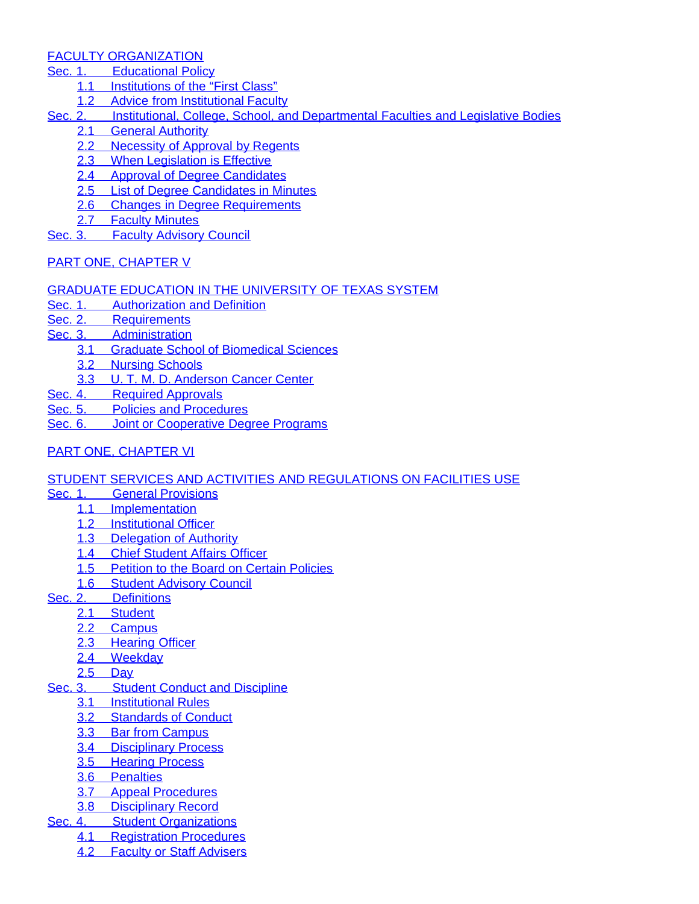## [FACULTY ORGANIZATION](#page-88-1)

- [Sec. 1.](#page-88-2)[Educational](#page-88-2) Policy
	- [1.1](#page-88-3)[Institutions of the "First Class"](#page-88-3)
	- [1.2](#page-88-4)[Advice from Institutional Faculty](#page-88-4)
- [Sec. 2.](#page-88-5)[Institutional, College, School, and Departmental Faculties and](#page-88-5) Legislative Bodies
	- [2.1](#page-88-6)[General Authority](#page-88-6)
	- [2.2](#page-88-7)[Necessity of Approval by Regents](#page-88-7)
	- [2.3](#page-88-8)[When Legislation is Effective](#page-88-8)
	- [2.4](#page-89-0)[Approval of Degree Candidates](#page-89-0)
	- [2.5](#page-89-1)[List of Degree Candidates in Minutes](#page-89-1)
	- [2.6](#page-89-2)[Changes in Degree Requirements](#page-89-2)
	- [2.7](#page-89-3)[Faculty Minutes](#page-89-3)
- [Sec. 3.](#page-89-4)[Faculty Advisory Council](#page-89-4)
- [PART ONE, CHAPTER](#page-89-5) V

## [GRADUATE EDUCATION IN THE UNIVERSITY OF TEXAS SYSTEM](#page-89-6)

- [Sec. 1.](#page-89-7)[Authorization and Definition](#page-89-7)<br>Sec. 2. Requirements
- **[Requirements](#page-90-0)**
- [Sec. 3.](#page-90-1)[Administration](#page-90-1)
	- [3.1](#page-90-2)[Graduate School of Biomedical Sciences](#page-90-2)
	- [3.2](#page-90-3)[Nursing Schools](#page-90-3)
	- [3.3](#page-90-4)U. [T. M. D. Anderson Cancer Center](#page-90-4)
- [Sec. 4.](#page-90-5)[Required Approvals](#page-90-5)
- [Sec. 5.](#page-90-6)[Policies and Procedures](#page-90-6)
- [Sec. 6.](#page-90-7)[Joint or Cooperative Degree Programs](#page-90-7)
- [PART ONE, CHAPTER](#page-91-0) VI

## [STUDENT SERVICES AND ACTIVITIES AND REGULATIONS ON FACILITIES USE](#page-91-1)

- [Sec. 1.](#page-91-2)General [Provisions](#page-91-2)
	- [1.1](#page-91-3)[Implementation](#page-91-3)
	- [1.2](#page-91-4)[Institutional Officer](#page-91-4)
	- [1.3](#page-91-5)[Delegation of Authority](#page-91-5)
	- [1.4](#page-91-6)[Chief Student Affairs Officer](#page-91-6)
	- [1.5](#page-91-7)[Petition to the Board on Certain Policies](#page-91-7)
	- [1.6](#page-91-8)[Student Advisory Council](#page-91-8)
- [Sec. 2.](#page-91-9)[Definitions](#page-91-9)
	- [2.1](#page-91-10)[Student](#page-91-10)
	- [2.2](#page-92-0)[Campus](#page-92-0)
	- [2.3](#page-92-1)[Hearing Officer](#page-92-1)
	- [2.4](#page-92-2)[Weekday](#page-92-2)
	- [2.5](#page-92-3)[Day](#page-92-3)
- [Sec. 3.](#page-92-4)Student Conduct and [Discipline](#page-92-4)
	- [3.1](#page-92-5)[Institutional Rules](#page-92-5)
	- [3.2](#page-92-6)[Standards of Conduct](#page-92-6)
	- [3.3](#page-94-0)[Bar from Campus](#page-94-0)
	- [3.4](#page-94-1)[Disciplinary Process](#page-94-1)
	- [3.5](#page-95-0)[Hearing Process](#page-95-0)
	- [3.6](#page-96-0)[Penalties](#page-96-0)
	- [3.7](#page-96-1)[Appeal Procedures](#page-96-1)
	- [3.8](#page-97-0)[Disciplinary Record](#page-97-0)
- [Sec. 4.](#page-97-1)Student [Organizations](#page-97-1)
	- [4.1](#page-97-2)[Registration Procedures](#page-97-2) [4.2](#page-97-3)[Faculty or Staff Advisers](#page-97-3)
		-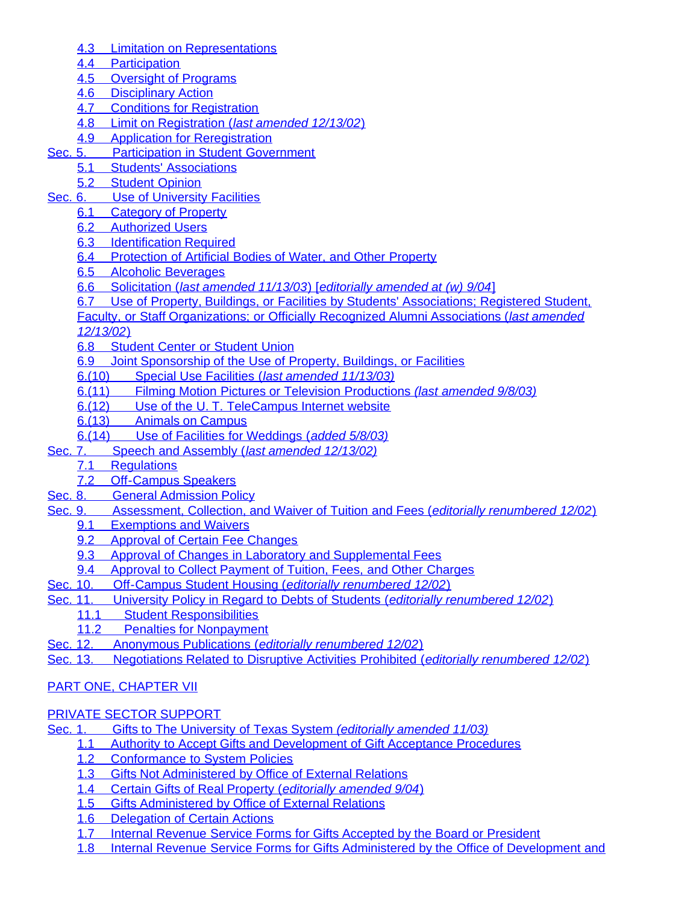- [4.3](#page-97-4)[Limitation on Representations](#page-97-4)
- [4.4](#page-97-5)[Participation](#page-97-5)
- [4.5](#page-98-0)[Oversight of Programs](#page-98-0)
- [4.6](#page-98-1)[Disciplinary Action](#page-98-1)
- [4.7](#page-98-2)[Conditions for Registration](#page-98-2)
- [4.8](#page-98-3)[Limit on Registration \(](#page-98-3)*[last amended 12/13/02](#page-98-3)*[\)](#page-98-3)
- [4.9](#page-99-0)[Application for Reregistration](#page-99-0)
- [Sec. 5.](#page-99-1)Participation in Student [Government](#page-99-1)
	- [5.1](#page-99-2)[Students' Associations](#page-99-2)
		- [5.2](#page-99-3)[Student Opinion](#page-99-3)
- [Sec. 6.](#page-100-0)Use of [University](#page-100-0) Facilities
	- **[6.1](#page-100-1)[Category of Property](#page-100-1)**
	- [6.2](#page-100-2)[Authorized Users](#page-100-2)
	- [6.3](#page-100-3)[Identification Required](#page-100-3)
	- [6.4](#page-101-0)[Protection of Artificial Bodies of Water, and Other Property](#page-101-0)
	- [6.5](#page-101-1)[Alcoholic Beverages](#page-101-1)
	- [6.6](#page-101-2)[Solicitation \(](#page-101-2)*[last amended 11/13/03](#page-101-2)*[\) \[](#page-101-2)*[editorially amended at \(w\) 9/04](#page-101-2)*[\]](#page-101-2)
	- [6.7](#page-108-0)[Use of Property, Buildings, or Facilities by Students' Associations; Registered Student,](#page-108-0)
	- [Faculty, or Staff Organizations; or Officially Recognized Alumni Associations \(](#page-108-0)*[last amended](#page-108-0)*

*[12/13/02](#page-108-0)*[\)](#page-108-0)

- [6.8](#page-109-0)[Student Center or Student Union](#page-109-0)
- [6.9](#page-109-1)[Joint Sponsorship of the Use of Property, Buildings, or Facilities](#page-109-1)
- [6.\(10\)](#page-110-0)[Special Use Facilities \(](#page-110-0)*[last amended 11/13/03\)](#page-110-0)*
- [6.\(11\)](#page-111-0)[Filming Motion Pictures or Television Productions](#page-111-0) *[\(last amended 9/8/03\)](#page-111-0)*
- [6.\(12\)](#page-112-0)[Use of the U. T. TeleCampus Internet website](#page-112-0)
- [6.\(13\)](#page-112-1)[Animals on Campus](#page-112-1)
- [6.\(14\)](#page-112-2)[Use of Facilities for Weddings \(](#page-112-2)*[added 5/8/03\)](#page-112-2)*
- [Sec. 7.](#page-113-0)Speech and [Assembly \(](#page-113-0)*[last amended 12/13/02\)](#page-113-0)*
	- **[Regulations](#page-113-1)** 
		- [7.2](#page-113-2)[Off-Campus Speakers](#page-113-2)
- [Sec. 8.](#page-114-0)General [Admission](#page-114-0) Policy
- [Sec. 9.](#page-114-1)[Assessment, Collection, and Waiver of Tuition and Fees \(](#page-114-1)*[editorially renumbered 12/02](#page-114-1)*[\)](#page-114-1)
	- [9.1](#page-114-2)[Exemptions and Waivers](#page-114-2)
	- [9.2](#page-114-3)[Approval of Certain Fee Changes](#page-114-3)
	- [9.3](#page-114-4)[Approval of Changes in Laboratory and Supplemental Fees](#page-114-4)
- [9.4](#page-114-5)[Approval to Collect Payment of Tuition, Fees, and Other Charges](#page-114-5)<br>Sec. 10. Off-Campus Student Housing (editorially renumbered 12/02)
- **Off-CampusStudent Housing (***[editorially renumbered 12/02](#page-115-0)***[\)](#page-115-0)**
- [Sec. 11.](#page-115-1)[University Policy in Regard to Debts of Students \(](#page-115-1)*[editorially renumbered 12/02](#page-115-1)*[\)](#page-115-1)
	- [11.1](#page-115-2)[Student Responsibilities](#page-115-2)
	- [11.2](#page-115-3)[Penalties for Nonpayment](#page-115-3)
- [Sec. 12.](#page-115-4)Anonymous [Publications \(](#page-115-4)*[editorially renumbered 12/02](#page-115-4)*[\)](#page-115-4)
- [Sec. 13.](#page-115-5)Negotiations [Related to Disruptive Activities Prohibited \(](#page-115-5)*[editorially renumbered 12/02](#page-115-5)*[\)](#page-115-5)

# [PART ONE, CHAPTER](#page-115-6) VII

## [PRIVATE SECTOR SUPPORT](#page-115-7)

- [Sec. 1.](#page-115-8)[Gifts to The University of Texas System](#page-115-8) *[\(editorially amended 11/03\)](#page-115-8)*
	- [1.1](#page-116-0)[Authority to Accept Gifts and Development of Gift Acceptance Procedures](#page-116-0)
		- [1.2](#page-116-1)[Conformance to System Policies](#page-116-1)
		- [1.3](#page-117-0)[Gifts Not Administered by Office of External Relations](#page-117-0)
		- [1.4](#page-117-1)[Certain Gifts of Real Property \(](#page-117-1)*[editorially amended 9/04](#page-117-1)*[\)](#page-117-1)
		- [1.5](#page-117-2)[Gifts Administered by Office of External Relations](#page-117-2)
		- [1.6](#page-117-3)[Delegation of Certain Actions](#page-117-3)
		- [1.7](#page-117-4)[Internal Revenue Service Forms for Gifts Accepted by the Board or President](#page-117-4)
		- [1.8](#page-117-5)[Internal Revenue Service Forms for Gifts Administered by the Office of Development and](#page-117-5)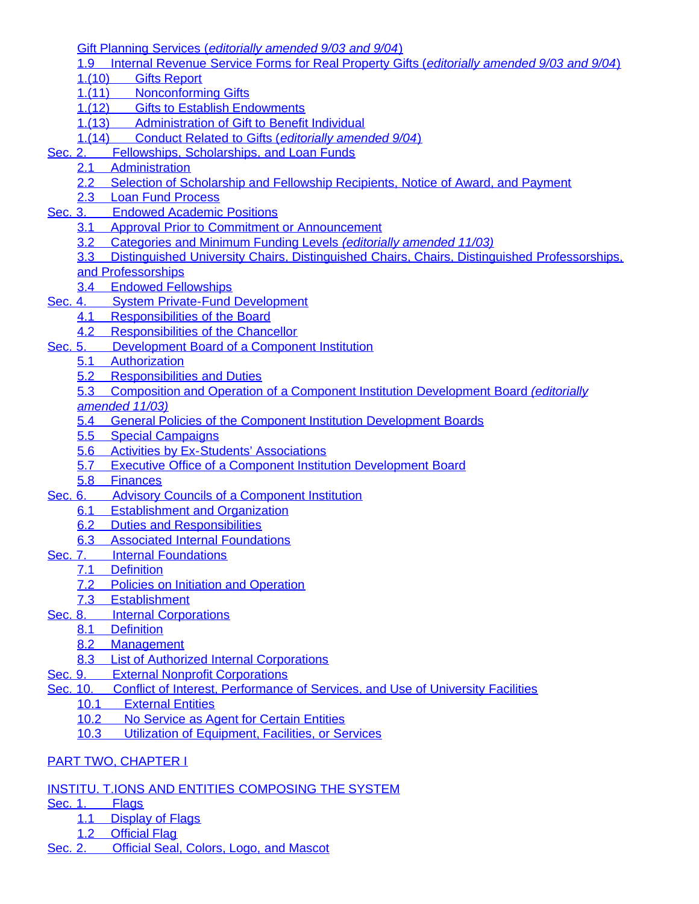[Gift Planning Services \(](#page-117-5)*[editorially amended 9/03 and 9/04](#page-117-5)*[\)](#page-117-5)

- [1.9](#page-117-6)[Internal Revenue Service Forms for Real Property Gifts \(](#page-117-6)*[editorially amended 9/03 and 9/04](#page-117-6)*[\)](#page-117-6)
- [1.\(10\)](#page-118-0)[Gifts Report](#page-118-0)
- [1.\(11\)](#page-118-1)[Nonconforming Gifts](#page-118-1)
- [1.\(12\)](#page-118-2)[Gifts to Establish Endowments](#page-118-2)
- [1.\(13\)](#page-118-3)[Administration of Gift to Benefit Individual](#page-118-3)
- [1.\(14\)](#page-118-4)[Conduct Related to Gifts \(](#page-118-4)*[editorially amended 9/04](#page-118-4)*[\)](#page-118-4)
- [Sec. 2.](#page-119-0)[Fellowships, Scholarships, and Loan Funds](#page-119-0)
	- [2.1](#page-119-1)[Administration](#page-119-1)
	- [2.2](#page-119-2)[Selection of Scholarship and Fellowship Recipients, Notice of Award, and Payment](#page-119-2)
	- [2.3](#page-119-3)[Loan Fund Process](#page-119-3)
- [Sec. 3.](#page-119-4)[Endowed Academic Positions](#page-119-4)
	- [3.1](#page-119-5)[Approval Prior to Commitment or Announcement](#page-119-5)
	- [3.2](#page-119-6)[Categories and Minimum Funding Levels](#page-119-6) *[\(editorially amended 11/03\)](#page-119-6)*
	- [3.3](#page-120-0)[Distinguished University Chairs, Distinguished Chairs, Chairs, Distinguished Professorships,](#page-120-0)
	- [and Professorships](#page-120-0)
	- [3.4](#page-120-1)[Endowed Fellowships](#page-120-1)
- [Sec. 4.](#page-121-0)System Private-Fund [Development](#page-121-0)
	- [4.1](#page-121-1)[Responsibilities of the Board](#page-121-1)
	- [4.2](#page-121-2)[Responsibilities of the Chancellor](#page-121-2)
- [Sec. 5.](#page-121-3)[Development](#page-121-3) Board of a Component Institution
	- [5.1](#page-121-4)[Authorization](#page-121-4)
	- [5.2](#page-121-5)[Responsibilities and Duties](#page-121-5)
	- [5.3](#page-122-0)[Composition and Operation of a Component Institution Development Board](#page-122-0) *[\(editorially](#page-122-0)*
	- *[amended 11/03\)](#page-122-0)*
	- [5.4](#page-122-1)[General Policies of the Component Institution Development Boards](#page-122-1)
	- [5.5](#page-123-0)[Special Campaigns](#page-123-0)
	- [5.6](#page-123-1)[Activities by Ex-Students' Associations](#page-123-1)
	- [5.7](#page-123-2)[Executive Office of a Component Institution Development Board](#page-123-2)
	- [5.8](#page-123-3)[Finances](#page-123-3)
- [Sec. 6.](#page-123-4)Advisory Councils of a [Component](#page-123-4) Institution
	- [6.1](#page-123-5)[Establishment and Organization](#page-123-5)
	- [6.2](#page-124-0)[Duties and Responsibilities](#page-124-0)
	- [6.3](#page-125-0)[Associated Internal Foundations](#page-125-0)
- [Sec. 7.](#page-125-1)Internal [Foundations](#page-125-1)
	- [7.1](#page-125-2)[Definition](#page-125-2)
	- [7.2](#page-125-3)[Policies on Initiation and Operation](#page-125-3)
	- [7.3](#page-126-0)[Establishment](#page-126-0)
- [Sec. 8.](#page-128-0)Internal [Corporations](#page-128-0)
	- [8.1](#page-128-1)[Definition](#page-128-1)
	- [8.2](#page-128-2)[Management](#page-128-2)
	- [8.3](#page-128-3)[List of Authorized Internal Corporations](#page-128-3)
- [Sec. 9.](#page-129-1)External Nonprofit [Corporations](#page-129-1)
- [Sec. 10.](#page-129-2)[Conflict of Interest, Performance of Services, and Use of University Facilities](#page-129-2)
	- [10.1](#page-129-3)[External Entities](#page-129-3)
	- [10.2](#page-129-4)[No Service as Agent for Certain Entities](#page-129-4)
	- [10.3](#page-129-5)[Utilization of Equipment, Facilities, or Services](#page-129-5)

# [PART TWO, CHAPTER](#page-129-0) I

- [INSTITU. T.IONS AND ENTITIES COMPOSING THE SYSTEM](#page-129-6)
- [Sec. 1.](#page-129-7)[Flags](#page-129-7)
	- [1.1](#page-130-0)[Display of Flags](#page-130-0)
	- [1.2](#page-130-1)[Official Flag](#page-130-1)
- [Sec. 2.](#page-130-2)[Official Seal, Colors, Logo, and Mascot](#page-130-2)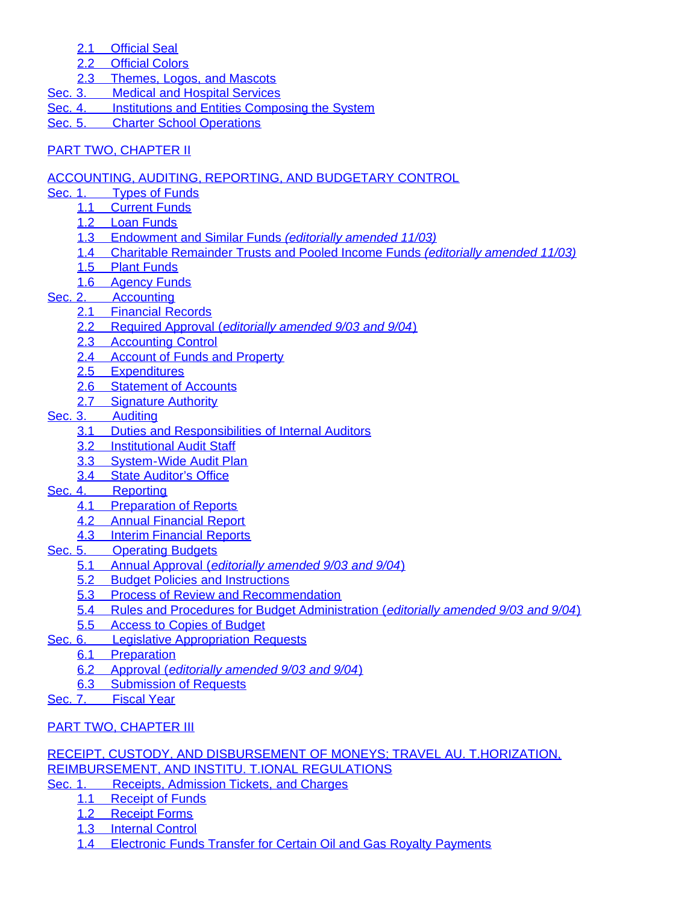- [2.1](#page-130-3)[Official Seal](#page-130-3)
- [2.2](#page-130-4)[Official Colors](#page-130-4)
- [2.3](#page-130-5)[Themes, Logos, and Mascots](#page-130-5)
- [Sec. 3.](#page-130-6)Medical and Hospital [Services](#page-130-6)
- [Sec. 4.](#page-131-0)Institutions and Entities [Composing](#page-131-0) the System
- [Sec. 5.](#page-135-0)[Charter School Operations](#page-135-0)

# [PART TWO, CHAPTER](#page-136-0) II

## [ACCOUNTING, AUDITING, REPORTING, AND BUDGETARY CONTROL](#page-136-1)

- [Sec. 1.](#page-136-2)Types of [Funds](#page-136-2)
	- [1.1](#page-136-3)[Current Funds](#page-136-3)
	- [1.2](#page-136-4)[Loan Funds](#page-136-4)
	- [1.3](#page-137-0)[Endowment and Similar Funds](#page-137-0) *[\(editorially amended 11/03\)](#page-137-0)*
	- [1.4](#page-137-1)[Charitable Remainder Trusts and Pooled Income Funds](#page-137-1) *[\(editorially amended 11/03\)](#page-137-1)*
	- [1.5](#page-137-2)[Plant Funds](#page-137-2)
	- [1.6](#page-137-3)[Agency Funds](#page-137-3)

# [Sec. 2.](#page-137-4)[Accounting](#page-137-4)

- [2.1](#page-137-5)[Financial Records](#page-137-5)
- [2.2](#page-137-6)[Required Approval \(](#page-137-6)*[editorially amended 9/03 and 9/04](#page-137-6)*[\)](#page-137-6)
- [2.3](#page-138-0)[Accounting Control](#page-138-0)
- [2.4](#page-138-1)[Account of Funds and Property](#page-138-1)
- [2.5](#page-138-2)[Expenditures](#page-138-2)
- [2.6](#page-138-3)[Statement of Accounts](#page-138-3)
- [2.7](#page-138-4)[Signature Authority](#page-138-4)
- [Sec. 3.](#page-138-5)[Auditing](#page-138-5)
	- [3.1](#page-138-6)[Duties and Responsibilities of Internal Auditors](#page-138-6)
	- [3.2](#page-139-0)[Institutional Audit Staff](#page-139-0)
	- [3.3](#page-139-1)[System-Wide Audit Plan](#page-139-1)
	- [3.4](#page-139-2)[State Auditor's Office](#page-139-2)
- [Sec. 4.](#page-139-3)[Reporting](#page-139-3)
	- [4.1](#page-139-4)[Preparation of Reports](#page-139-4)
	- [4.2](#page-139-5)[Annual Financial Report](#page-139-5)
	- [4.3](#page-139-6)[Interim Financial Reports](#page-139-6)
- [Sec. 5.](#page-139-7)[Operating](#page-139-7) Budgets
	- [5.1](#page-139-8)[Annual Approval \(](#page-139-8)*[editorially amended 9/03 and 9/04](#page-139-8)*[\)](#page-139-8)
	- [5.2](#page-139-9)[Budget Policies and Instructions](#page-139-9)
	- [5.3](#page-140-0)[Process of Review and Recommendation](#page-140-0)
	- [5.4](#page-140-1)[Rules and Procedures for Budget Administration \(](#page-140-1)*[editorially amended 9/03 and 9/04](#page-140-1)*[\)](#page-140-1)
	- [5.5](#page-140-2)[Access to Copies of Budget](#page-140-2)
- [Sec. 6.](#page-140-3)Legislative [Appropriation](#page-140-3) Requests
	- [6.1](#page-140-4)[Preparation](#page-140-4)
	- [6.2](#page-140-5)[Approval \(](#page-140-5)*[editorially amended 9/03 and 9/04](#page-140-5)*[\)](#page-140-5)
	- [6.3](#page-140-6)[Submission of Requests](#page-140-6)
- [Sec. 7.](#page-140-7)[Fiscal Year](#page-140-7)

# [PART TWO, CHAPTER III](#page-140-8)

# [RECEIPT, CUSTODY, AND DISBURSEMENT OF MONEYS; TRAVEL AU. T.HORIZATION,](#page-140-9) [REIMBURSEMENT, AND INSTITU. T.IONAL REGULATIONS](#page-140-9)

- [Sec. 1.](#page-141-0)Receipts, [Admission](#page-141-0) Tickets, and Charges
	- [1.1](#page-141-1)[Receipt of Funds](#page-141-1)
	- [1.2](#page-141-2)[Receipt Forms](#page-141-2)
	- [1.3](#page-141-3)[Internal Control](#page-141-3)
	- [1.4](#page-141-4)[Electronic Funds Transfer for Certain Oil and Gas Royalty Payments](#page-141-4)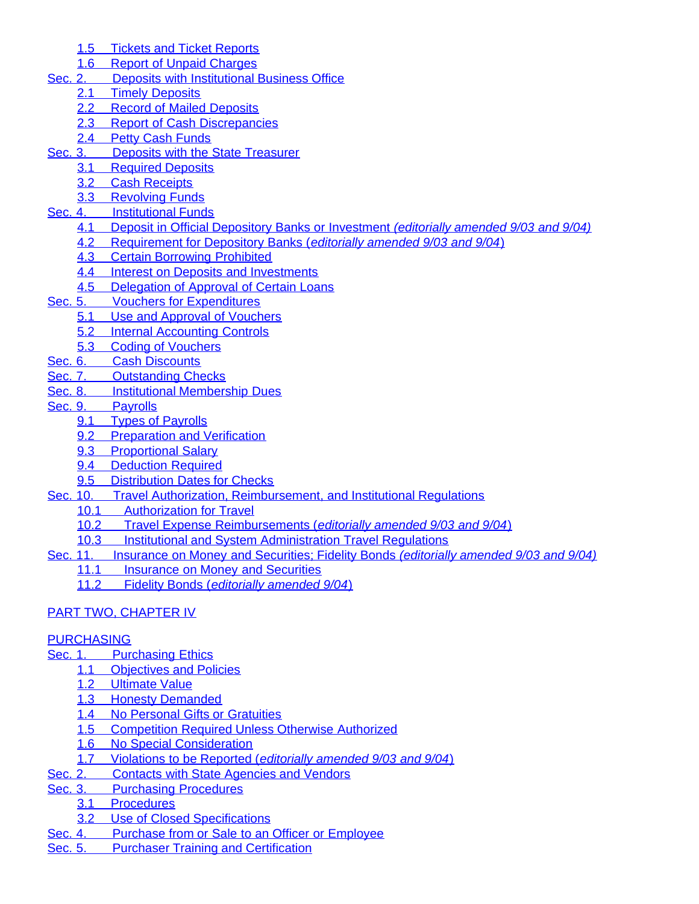- [1.5](#page-142-0)[Tickets and Ticket Reports](#page-142-0)
- [1.6](#page-142-1)[Report of Unpaid Charges](#page-142-1)
- [Sec. 2.](#page-142-2)Deposits with [Institutional](#page-142-2) Business Office
	- [2.1](#page-142-3)[Timely Deposits](#page-142-3)
	- [2.2](#page-142-4)[Record of Mailed Deposits](#page-142-4)
	- [2.3](#page-142-5)[Report of Cash Discrepancies](#page-142-5)
	- [2.4](#page-143-0)[Petty Cash Funds](#page-143-0)
- [Sec. 3.](#page-143-1)Deposits with the State [Treasurer](#page-143-1)
	- [3.1](#page-143-2)[Required Deposits](#page-143-2)
	- [3.2](#page-143-3)[Cash Receipts](#page-143-3)
	- [3.3](#page-143-4)[Revolving Funds](#page-143-4)
- [Sec. 4.](#page-143-5)**[Institutional](#page-143-5) Funds** 
	- [4.1](#page-143-6)[Deposit in Official Depository Banks or Investment](#page-143-6) *[\(editorially amended 9/03 and 9/04\)](#page-143-6)*
	- [4.2](#page-144-0)[Requirement for Depository Banks \(](#page-144-0)*[editorially amended 9/03 and 9/04](#page-144-0)*[\)](#page-144-0)
	- [4.3](#page-144-1)[Certain Borrowing Prohibited](#page-144-1)
	- [4.4](#page-144-2)[Interest on Deposits and Investments](#page-144-2)
	- [4.5](#page-144-3)[Delegation of Approval of Certain Loans](#page-144-3)
- [Sec. 5.](#page-144-4)Vouchers for [Expenditures](#page-144-4)
	- [5.1](#page-144-5)[Use and Approval of Vouchers](#page-144-5)
	- [5.2](#page-145-0)[Internal Accounting Controls](#page-145-0)
	- [5.3](#page-145-1)[Coding of Vouchers](#page-145-1)
- [Sec. 6.](#page-145-2)Cash [Discounts](#page-145-2)
- [Sec. 7.](#page-145-3)[Outstanding](#page-145-3) Checks
- [Sec. 8.](#page-145-4)[Institutional Membership Dues](#page-145-4)
- [Sec. 9.](#page-145-5)[Payrolls](#page-145-5)
	- [9.1](#page-145-6)[Types of Payrolls](#page-145-6)
	- [9.2](#page-145-7)[Preparation and Verification](#page-145-7)
	- [9.3](#page-145-8)[Proportional Salary](#page-145-8)
	- [9.4](#page-146-0)[Deduction Required](#page-146-0)
	- [9.5](#page-146-1)[Distribution Dates for Checks](#page-146-1)
- [Sec. 10.](#page-146-2)[Travel Authorization, Reimbursement, and Institutional Regulations](#page-146-2)
	- [10.1](#page-146-3)[Authorization for Travel](#page-146-3)
	- [10.2](#page-146-4)[Travel Expense Reimbursements \(](#page-146-4)*[editorially amended 9/03 and 9/04](#page-146-4)*[\)](#page-146-4)
	- [10.3](#page-146-5)[Institutional and System Administration Travel Regulations](#page-146-5)
- [Sec. 11.](#page-147-0)Insurance on Money and [Securities;](#page-147-0) Fidelity Bonds *[\(editorially amended 9/03 and 9/04\)](#page-147-0)*
	- [11.1](#page-147-1)[Insurance on Money and Securities](#page-147-1)<br>11.2 Fidelity Bonds (editorially amended
	- [11.2](#page-147-2)[Fidelity Bonds \(](#page-147-2)*[editorially amended 9/04](#page-147-2)*[\)](#page-147-2)

# [PART TWO, CHAPTER IV](#page-148-0)

# [PURCHASING](#page-148-1)

- [Sec. 1.](#page-148-2)[Purchasing](#page-148-2) Ethics
	- [1.1](#page-148-3)[Objectives and Policies](#page-148-3)
		- [1.2](#page-148-4)[Ultimate Value](#page-148-4)
		- [1.3](#page-148-5)[Honesty Demanded](#page-148-5)
		- [1.4](#page-148-6)[No Personal Gifts or Gratuities](#page-148-6)
		- [1.5](#page-148-7)[Competition Required Unless Otherwise Authorized](#page-148-7)
		- [1.6](#page-148-8)[No Special Consideration](#page-148-8)
	- [1.7](#page-148-9)[Violations to be Reported \(](#page-148-9)*[editorially amended 9/03 and 9/04](#page-148-9)*[\)](#page-148-9)
- [Sec. 2.](#page-148-10)[Contacts with State Agencies and Vendors](#page-148-10)
- [Sec. 3.](#page-148-11)[Purchasing Procedures](#page-148-11)
	- [3.1](#page-148-12)[Procedures](#page-148-12)
	- [3.2](#page-149-0)[Use of Closed Specifications](#page-149-0)
- [Sec. 4.](#page-149-1)[Purchase from or Sale to an Officer or Employee](#page-149-1)
- [Sec. 5.](#page-149-2)[Purchaser Training and Certification](#page-149-2)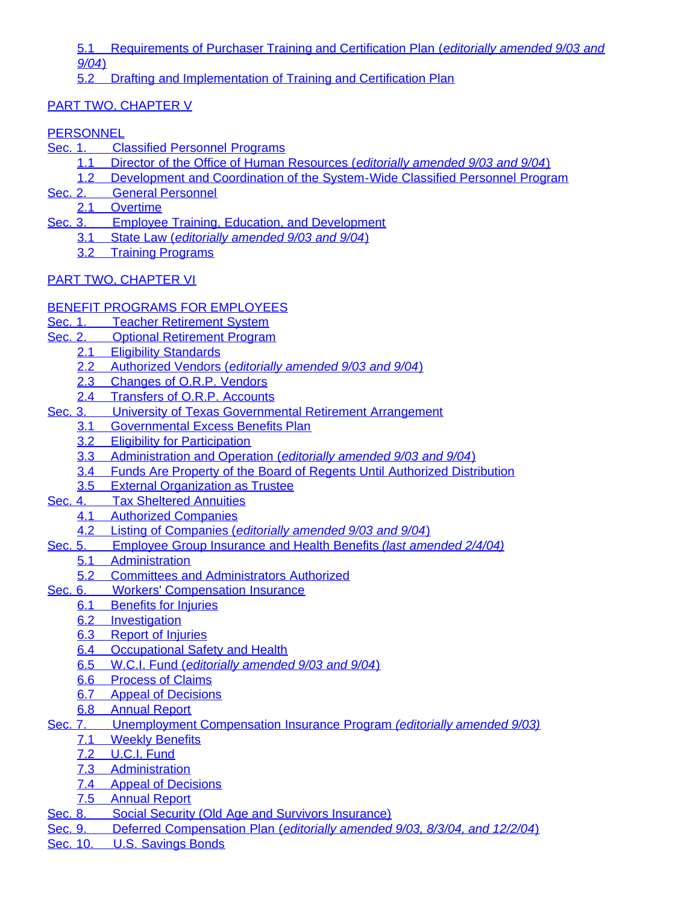[5.1](#page-149-3)[Requirements of Purchaser Training and Certification Plan \(](#page-149-3)*[editorially amended 9/03 and](#page-149-3) [9/04](#page-149-3)*[\)](#page-149-3)

[5.2](#page-149-4)[Drafting and Implementation of Training and Certification Plan](#page-149-4)

# [PART TWO, CHAPTER V](#page-149-5)

# **[PERSONNEL](#page-149-6)**

- [Sec. 1.](#page-149-7)Classified [Personnel Programs](#page-149-7)
	- [1.1](#page-149-8)[Director of the Office of Human Resources \(](#page-149-8)*[editorially amended 9/03 and 9/04](#page-149-8)*[\)](#page-149-8)
	- [1.2](#page-149-9)[Development and Coordination of the System-Wide Classified Personnel Program](#page-149-9)
- [Sec. 2.](#page-151-0)General [Personnel](#page-151-0)
	- [2.1](#page-151-1)[Overtime](#page-151-1)
- [Sec. 3.](#page-152-0)[Employee Training, Education, and Development](#page-152-0)
	- [3.1](#page-152-1)[State Law \(](#page-152-1)*[editorially amended 9/03 and 9/04](#page-152-1)*[\)](#page-152-1)
		- [3.2](#page-152-2)[Training Programs](#page-152-2)

# [PART TWO, CHAPTER VI](#page-153-0)

# [BENEFIT PROGRAMS FOR EMPLOYEES](#page-153-1)

- [Sec. 1.](#page-153-2)[Teacher Retirement System](#page-153-2)
- [Sec. 2.](#page-153-3)[Optional Retirement Program](#page-153-3)
	- [2.1](#page-153-4)[Eligibility Standards](#page-153-4)
	- [2.2](#page-153-5)[Authorized Vendors \(](#page-153-5)*[editorially amended 9/03 and 9/04](#page-153-5)*[\)](#page-153-5)
	- [2.3](#page-153-6)[Changes of O.R.P. Vendors](#page-153-6)
	- [2.4](#page-153-7)[Transfers of O.R.P. Accounts](#page-153-7)
- [Sec. 3.](#page-153-8)[University of Texas Governmental Retirement Arrangement](#page-153-8)
	- [3.1](#page-153-9)[Governmental Excess Benefits Plan](#page-153-9)
		- [3.2](#page-154-0)[Eligibility for Participation](#page-154-0)
		- [3.3](#page-154-1)[Administration and Operation \(](#page-154-1)*[editorially amended 9/03 and 9/04](#page-154-1)*[\)](#page-154-1)
		- [3.4](#page-154-2)[Funds Are Property of the Board of Regents Until Authorized Distribution](#page-154-2)
	- [3.5](#page-154-3)[External Organization as Trustee](#page-154-3)
- [Sec. 4.](#page-154-4)[Tax Sheltered Annuities](#page-154-4)
	- [4.1](#page-154-5)[Authorized Companies](#page-154-5)
	- [4.2](#page-154-6)[Listing of Companies \(](#page-154-6)*[editorially amended 9/03 and 9/04](#page-154-6)*[\)](#page-154-6)
- [Sec. 5.](#page-154-7)[Employee Group Insurance and Health Benefits](#page-154-7) *[\(last amended 2/4/04\)](#page-154-7)*
	- [5.1](#page-154-8)[Administration](#page-154-8)
		- [5.2](#page-154-9)[Committees and Administrators Authorized](#page-154-9)
- [Sec. 6.](#page-155-0)[Workers' Compensation Insurance](#page-155-0)
	- [6.1](#page-155-1)[Benefits for Injuries](#page-155-1)
	- **[6.2](#page-155-2)**[Investigation](#page-155-2)
	- [6.3](#page-155-3)[Report of Injuries](#page-155-3)
	- [6.4](#page-155-4)[Occupational Safety and Health](#page-155-4)
	- [6.5](#page-155-5)[W.C.I. Fund \(](#page-155-5)*[editorially amended 9/03 and 9/04](#page-155-5)*[\)](#page-155-5)
	- [6.6](#page-155-6)[Process of Claims](#page-155-6)
	- [6.7](#page-155-7)[Appeal of Decisions](#page-155-7)
	- [6.8](#page-155-8)[Annual Report](#page-155-8)
- [Sec. 7.](#page-155-9)[Unemployment Compensation Insurance Program](#page-155-9) *[\(editorially amended 9/03\)](#page-155-9)*
	- [7.1](#page-155-10)[Weekly Benefits](#page-155-10)
	- [7.2](#page-155-11)[U.C.I. Fund](#page-155-11)
	- [7.3](#page-156-0)[Administration](#page-156-0)
	- [7.4](#page-156-1)[Appeal of Decisions](#page-156-1)
	- [7.5](#page-156-2)[Annual Report](#page-156-2)
- [Sec. 8.](#page-156-3)[Social Security \(Old Age and Survivors Insurance\)](#page-156-3)
- [Sec. 9.](#page-156-4)[Deferred Compensation Plan \(](#page-156-4)*[editorially amended 9/03, 8/3/04, and 12/2/04](#page-156-4)*[\)](#page-156-4)
- [Sec. 10.](#page-157-0)[U.S. Savings Bonds](#page-157-0)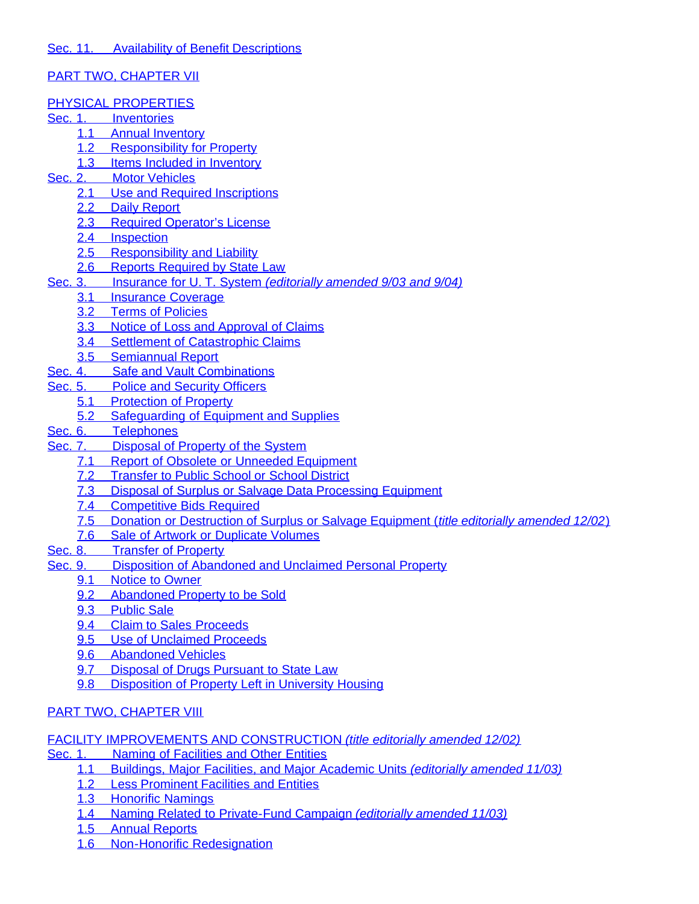# [PART TWO, CHAPTER VII](#page-157-2)

### [PHYSICAL PROPERTIES](#page-157-3)

- [Sec. 1.](#page-157-4)[Inventories](#page-157-4)
	- [1.1](#page-157-5)[Annual Inventory](#page-157-5)
	- [1.2](#page-157-6)[Responsibility for Property](#page-157-6)
	- [1.3](#page-157-7)[Items Included in Inventory](#page-157-7)
- [Sec. 2.](#page-157-8)[Motor Vehicles](#page-157-8)
	- [2.1](#page-157-9)[Use and Required Inscriptions](#page-157-9)
	- [2.2](#page-158-0)[Daily Report](#page-158-0)
	- [2.3](#page-158-1)[Required Operator's License](#page-158-1)
	- [2.4](#page-158-2)[Inspection](#page-158-2)
	- [2.5](#page-158-3)[Responsibility and Liability](#page-158-3)
	- [2.6](#page-158-4)[Reports Required by State Law](#page-158-4)
- [Sec. 3.](#page-158-5)[Insurance for U.](#page-158-5) T. System *[\(editorially amended 9/03 and 9/04\)](#page-158-5)*
	- [3.1](#page-158-6)[Insurance Coverage](#page-158-6)
	- [3.2](#page-158-7)[Terms of Policies](#page-158-7)
	- [3.3](#page-158-8)[Notice of Loss and Approval of Claims](#page-158-8)
	- [3.4](#page-158-9)[Settlement of Catastrophic Claims](#page-158-9)
	- [3.5](#page-159-0)[Semiannual Report](#page-159-0)
- [Sec. 4.](#page-159-1)[Safe and Vault Combinations](#page-159-1)
- [Sec. 5.](#page-159-2)[Police and Security Officers](#page-159-2)
	- [5.1](#page-159-3)[Protection of Property](#page-159-3)
	- [5.2](#page-159-4)[Safeguarding of Equipment and Supplies](#page-159-4)
- [Sec. 6.](#page-159-5)[Telephones](#page-159-5)
- [Sec. 7.](#page-159-6)[Disposal of Property of the System](#page-159-6)
	- [7.1](#page-159-7)[Report of Obsolete or Unneeded Equipment](#page-159-7)
	- [7.2](#page-159-8)[Transfer to Public School or School District](#page-159-8)
	- [7.3](#page-159-9)[Disposal of Surplus or Salvage Data Processing Equipment](#page-159-9)
	- [7.4](#page-160-0)[Competitive Bids Required](#page-160-0)
	- [7.5](#page-160-1)[Donation or Destruction of Surplus or Salvage Equipment \(](#page-160-1)*[title editorially amended 12/02](#page-160-1)*[\)](#page-160-1)
	- [7.6](#page-160-2)[Sale of Artwork or Duplicate Volumes](#page-160-2)
- [Sec. 8.](#page-160-3)[Transfer of Property](#page-160-3)
- [Sec. 9.](#page-161-0)[Disposition of Abandoned and Unclaimed Personal Property](#page-161-0)<br>9.1 Notice to Owner
	- Noticeto Owner
	- [9.2](#page-161-2)[Abandoned Property to be Sold](#page-161-2)
	- [9.3](#page-161-3)[Public Sale](#page-161-3)
	- [9.4](#page-161-4)[Claim to Sales Proceeds](#page-161-4)
	- [9.5](#page-161-5)[Use of Unclaimed Proceeds](#page-161-5)
	- [9.6](#page-162-0)[Abandoned Vehicles](#page-162-0)
	- [9.7](#page-162-1)[Disposal of Drugs Pursuant to State Law](#page-162-1)
	- [9.8](#page-162-2)[Disposition of Property Left in University Housing](#page-162-2)

# [PART TWO, CHAPTER VIII](#page-162-3)

## [FACILITY IMPROVEMENTS AND CONSTRUCTION](#page-162-4) *[\(title editorially amended 12/02\)](#page-162-4)*

- [Sec. 1.](#page-162-5)[Naming of Facilities and Other Entities](#page-162-5)
	- [1.1](#page-162-6)[Buildings, Major Facilities, and Major Academic Units](#page-162-6) *[\(editorially amended 11/03\)](#page-162-6)*
	- [1.2](#page-162-7)[Less Prominent Facilities and Entities](#page-162-7)
	- [1.3](#page-162-8)[Honorific Namings](#page-162-8)
	- [1.4](#page-163-0)[Naming Related to Private-Fund Campaign](#page-163-0) *[\(editorially amended 11/03\)](#page-163-0)*
	- [1.5](#page-163-1)[Annual Reports](#page-163-1)
	- [1.6](#page-163-2)[Non-Honorific Redesignation](#page-163-2)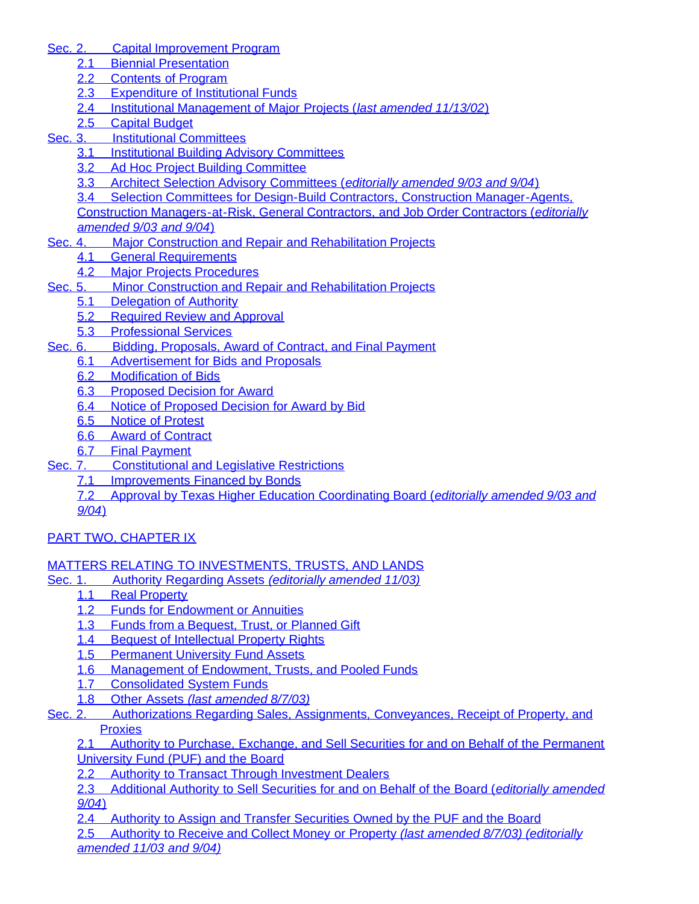- [Sec. 2.](#page-163-3)[Capital Improvement Program](#page-163-3)
	- [2.1](#page-163-4)[Biennial Presentation](#page-163-4)
	- [2.2](#page-163-5)[Contents of Program](#page-163-5)
	- [2.3](#page-164-0)[Expenditure of Institutional Funds](#page-164-0)
	- [2.4](#page-164-1)[Institutional Management of Major Projects \(](#page-164-1)*[last amended 11/13/02](#page-164-1)*[\)](#page-164-1)
	- [2.5](#page-164-2)[Capital Budget](#page-164-2)
- [Sec. 3.](#page-165-0)[Institutional Committees](#page-165-0)
	- [3.1](#page-165-1)[Institutional Building Advisory Committees](#page-165-1)
	- [3.2](#page-165-2)[Ad Hoc Project Building Committee](#page-165-2)
	- [3.3](#page-165-3)[Architect Selection Advisory Committees \(](#page-165-3)*[editorially amended 9/03 and 9/04](#page-165-3)*[\)](#page-165-3)

[3.4](#page-166-0)[Selection Committees for Design-Build Contractors, Construction Manager-Agents,](#page-166-0) [Construction Managers-at-Risk, General Contractors, and Job Order Contractors \(](#page-166-0)*[editorially](#page-166-0) [amended 9/03 and 9/04](#page-166-0)*[\)](#page-166-0)

- [Sec. 4.](#page-166-1)[Major Construction and Repair and Rehabilitation Projects](#page-166-1)
	- [4.1](#page-166-2)[General Requirements](#page-166-2)
	- [4.2](#page-167-0)[Major Projects Procedures](#page-167-0)
- [Sec. 5.](#page-167-1)[Minor Construction and Repair and Rehabilitation Projects](#page-167-1)
	- [5.1](#page-167-2)[Delegation of Authority](#page-167-2)
	- [5.2](#page-168-0)[Required Review and Approval](#page-168-0)
	- [5.3](#page-168-1)[Professional Services](#page-168-1)
- [Sec. 6.](#page-168-2)[Bidding, Proposals,](#page-168-2) [Award of Contract, and Final Payment](#page-168-2)
	- [6.1](#page-168-3)[Advertisement for Bids and Proposals](#page-168-3)
	- [6.2](#page-168-4)[Modification of Bids](#page-168-4)
	- [6.3](#page-168-5)[Proposed Decision for Award](#page-168-5)
	- [6.4](#page-168-6)[Notice of Proposed Decision for Award by Bid](#page-168-6)
	- [6.5](#page-169-0)[Notice of Protest](#page-169-0)
	- [6.6](#page-169-1)[Award of Contract](#page-169-1)
	- [6.7](#page-169-2)[Final Payment](#page-169-2)
- [Sec. 7.](#page-169-3)[Constitutional and Legislative Restrictions](#page-169-3)
	- [7.1](#page-169-4)[Improvements Financed by Bonds](#page-169-4)
		- [7.2](#page-169-5)[Approval by Texas Higher Education Coordinating Board \(](#page-169-5)*[editorially amended 9/03 and](#page-169-5) [9/04](#page-169-5)*[\)](#page-169-5)

# [PART TWO, CHAPTER IX](#page-170-0)

## [MATTERS RELATING TO INVESTMENTS, TRUSTS, AND LANDS](#page-170-1)

- [Sec. 1.](#page-170-2)[Authority Regarding Assets](#page-170-2) *[\(editorially amended 11/03\)](#page-170-2)*
	- [1.1](#page-170-3)[Real Property](#page-170-3)
	- [1.2](#page-170-4)[Funds for Endowment or Annuities](#page-170-4)
	- [1.3](#page-170-5)[Funds from a Bequest, Trust, or Planned Gift](#page-170-5)
	- [1.4](#page-170-6)[Bequest of Intellectual Property Rights](#page-170-6)
	- [1.5](#page-170-7)[Permanent University Fund Assets](#page-170-7)
	- [1.6](#page-170-8)[Management of Endowment, Trusts, and Pooled Funds](#page-170-8)
	- [1.7](#page-170-9)[Consolidated System Funds](#page-170-9)
	- [1.8](#page-171-0)[Other Assets](#page-171-0) *[\(last amended 8/7/03\)](#page-171-0)*
- [Sec. 2.](#page-171-1)[Authorizations Regarding Sales, Assignments, Conveyances, Receipt of Property, and](#page-171-1) **[Proxies](#page-171-1)**

[2.1](#page-171-2)[Authority to Purchase, Exchange, and Sell Securities for and on Behalf of the Permanent](#page-171-2) [University Fund \(PUF\) and the Board](#page-171-2)

[2.2](#page-171-3)[Authority to Transact Through Investment Dealers](#page-171-3)

[2.3](#page-172-0)[Additional Authority to Sell Securities for and on Behalf of the Board \(](#page-172-0)*[editorially amended](#page-172-0) [9/04](#page-172-0)*[\)](#page-172-0)

[2.4](#page-172-1)[Authority to Assign and Transfer Securities Owned by](#page-172-1) the PUF and the Board

[2.5](#page-172-2)[Authority to Receive and Collect Money or Property](#page-172-2) *[\(last amended 8/7/03\) \(editorially](#page-172-2) [amended 11/03 and 9/04\)](#page-172-2)*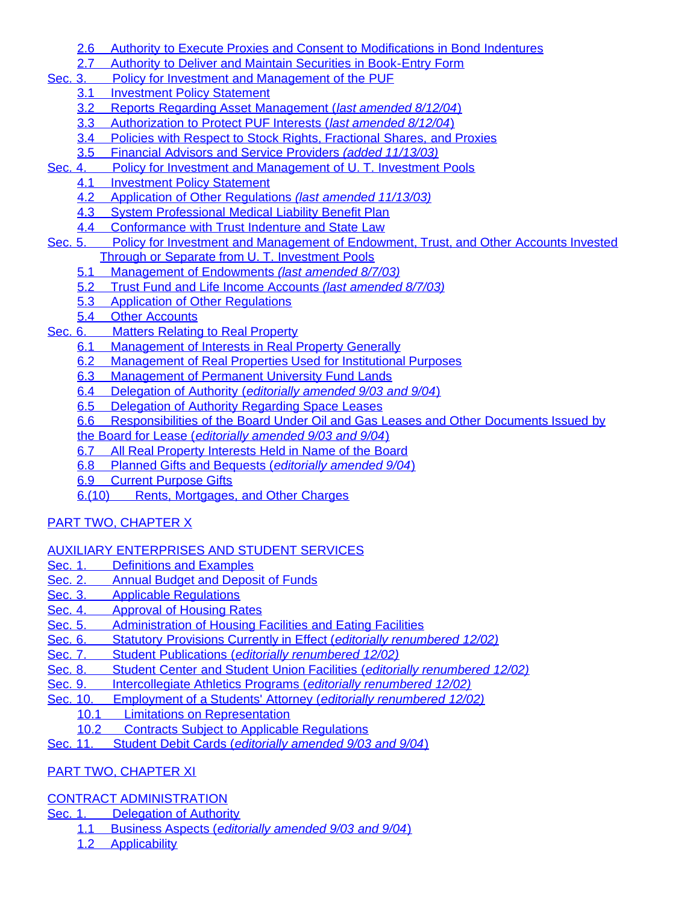- [2.6](#page-172-3)[Authority to Execute Proxies and Consent to Modifications in Bond Indentures](#page-172-3)
- [2.7](#page-173-0)[Authority to Deliver and Maintain Securities in Book-Entry Form](#page-173-0)
- [Sec. 3.](#page-173-1)[Policy for Investment and Management of the PUF](#page-173-1)
	- [3.1](#page-173-2)[Investment Policy Statement](#page-173-2)
	- [3.2](#page-173-3)[Reports Regarding Asset Management \(](#page-173-3)*[last amended 8/12/04](#page-173-3)*[\)](#page-173-3)
	- [3.3](#page-173-4)[Authorization to Protect PUF Interests \(](#page-173-4)*[last amended 8/12/04](#page-173-4)*[\)](#page-173-4)
	- [3.4](#page-173-5)[Policies with Respect to Stock Rights, Fractional Shares, and Proxies](#page-173-5)
	- [3.5](#page-173-6)[Financial Advisors and Service Providers](#page-173-6) *[\(added 11/13/03\)](#page-173-6)*
- [Sec. 4.](#page-173-7)[Policy for Investment and Management of U.](#page-173-7) T. Investment Pools
	- [4.1](#page-173-8)[Investment Policy Statement](#page-173-8)
	- [4.2](#page-173-9)[Application of Other Regulations](#page-173-9) *[\(last amended 11/13/03\)](#page-173-9)*
	- [4.3](#page-173-10)[System Professional Medical Liability Benefit Plan](#page-173-10)
	- [4.4](#page-174-0)[Conformance with Trust Indenture and State Law](#page-174-0)
- [Sec. 5.](#page-174-1)[Policy for Investment and Management of Endowment, Trust, and Other Accounts Invested](#page-174-1) [Through or Separate from U.](#page-174-1) T. Investment Pools
	- [5.1](#page-174-2)[Management of Endowments](#page-174-2) *[\(last amended 8/7/03\)](#page-174-2)*
	- [5.2](#page-174-3)[Trust Fund and Life Income Accounts](#page-174-3) *[\(last amended 8/7/03\)](#page-174-3)*
	- [5.3](#page-174-4)[Application of Other Regulations](#page-174-4)
	- [5.4](#page-174-5)[Other Accounts](#page-174-5)
- [Sec. 6.](#page-174-6)[Matters Relating to Real Property](#page-174-6)
	- [6.1](#page-174-7)[Management of Interests in Real Property Generally](#page-174-7)
	- [6.2](#page-174-8)[Management of Real Properties Used for Institutional Purposes](#page-174-8)
	- [6.3](#page-174-9)[Management of Permanent University Fund Lands](#page-174-9)
	- [6.4](#page-175-0)[Delegation of Authority \(](#page-175-0)*[editorially amended 9/03 and 9/04](#page-175-0)*[\)](#page-175-0)
	- [6.5](#page-175-1)[Delegation of Authority Regarding Space Leases](#page-175-1)
	- [6.6](#page-175-2)[Responsibilities of the Board Under Oil and Gas Leases and Other Documents Issued by](#page-175-2)
	- [the Board for Lease \(](#page-175-2)*[editorially amended 9/03 and 9/04](#page-175-2)*[\)](#page-175-2)
	- [6.7](#page-175-3)[All Real Property Interests Held in Name of the Board](#page-175-3)
	- [6.8](#page-175-4)[Planned Gifts and Bequests \(](#page-175-4)*[editorially amended 9/04](#page-175-4)*[\)](#page-175-4)
	- [6.9](#page-176-0)[Current Purpose Gifts](#page-176-0)
	- [6.\(10\)](#page-176-1)[Rents, Mortgages, and Other Charges](#page-176-1)

# [PART TWO, CHAPTER X](#page-176-2)

- [AUXILIARY ENTERPRISES AND STUDENT SERVICES](#page-176-3)
- [Sec. 1.](#page-176-4)[Definitions and Examples](#page-176-4)
- [Sec. 2.](#page-176-5)[Annual Budget and Deposit of Funds](#page-176-5)
- [Sec. 3.](#page-176-6)[Applicable Regulations](#page-176-6)
- [Sec. 4.](#page-176-7)[Approval of Housing Rates](#page-176-7)
- [Sec. 5.](#page-177-0)[Administration of Housing Facilities and Eating Facilities](#page-177-0)
- [Sec. 6.](#page-177-1)[Statutory Provisions Currently in Effect \(](#page-177-1)*[editorially renumbered 12/02\)](#page-177-1)*
- [Sec. 7.](#page-177-2)[Student Publications \(](#page-177-2)*[editorially renumbered 12/02\)](#page-177-2)*
- [Sec. 8.](#page-177-3)[Student Center and Student Union Facilities \(](#page-177-3)*[editorially renumbered 12/02\)](#page-177-3)*
- [Sec. 9.](#page-177-4)[Intercollegiate Athletics Programs \(](#page-177-4)*[editorially renumbered 12/02\)](#page-177-4)*
- [Sec. 10.](#page-177-5)[Employment of a Students' Attorney \(](#page-177-5)*[editorially renumbered 12/02\)](#page-177-5)*
	- [10.1](#page-177-6)[Limitations on Representation](#page-177-6)<br>10.2 Contracts Subiect to Applicabl
	- **ContractsSubject to Applicable Regulations**
- [Sec. 11.](#page-178-1)[Student Debit Cards \(](#page-178-1)*[editorially amended 9/03 and 9/04](#page-178-1)*[\)](#page-178-1)

# [PART TWO, CHAPTER XI](#page-178-2)

# [CONTRACT ADMINISTRATION](#page-178-3)

- [Sec. 1.](#page-178-4)[Delegation of Authority](#page-178-4)
	- [1.1](#page-178-5)[Business Aspects \(](#page-178-5)*[editorially amended 9/03 and 9/04](#page-178-5)*[\)](#page-178-5)
	- [1.2](#page-178-6)[Applicability](#page-178-6)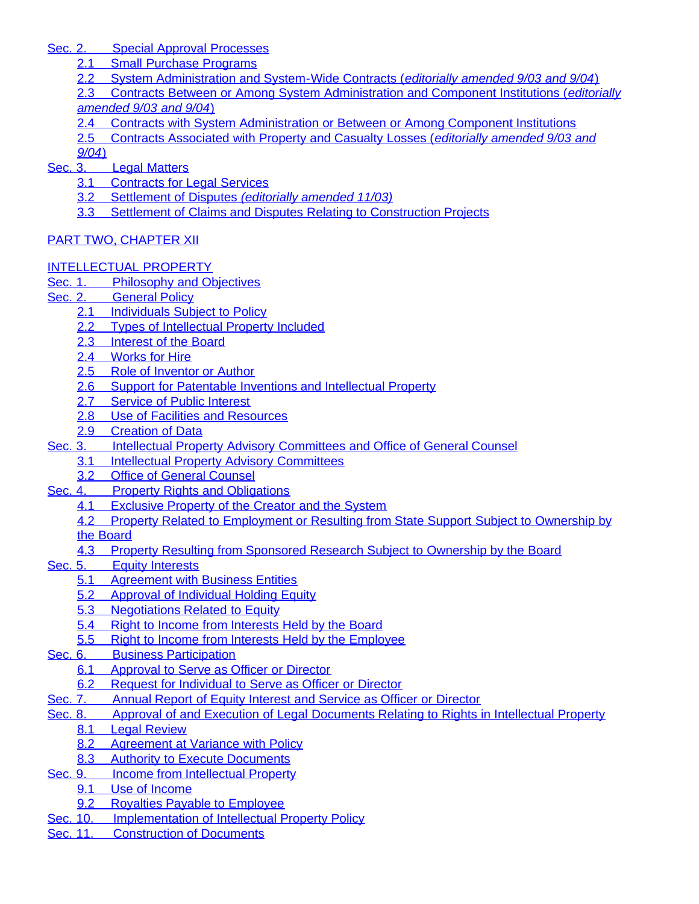[Sec. 2.](#page-178-7)[Special Approval Processes](#page-178-7)

- [2.1](#page-178-8)[Small Purchase Programs](#page-178-8)
- [2.2](#page-179-0)[System Administration and System-Wide Contracts \(](#page-179-0)*[editorially amended 9/03 and 9/04](#page-179-0)*[\)](#page-179-0)

[2.3](#page-179-1)[Contracts Between or Among System Administration and Component Institutions \(](#page-179-1)*[editorially](#page-179-1) [amended 9/03 and 9/04](#page-179-1)*[\)](#page-179-1)

[2.4](#page-179-2)[Contracts with System Administration or Between or Among Component Institutions](#page-179-2)

[2.5](#page-179-3)[Contracts Associated with Property and Casualty Losses \(](#page-179-3)*[editorially amended 9/03 and](#page-179-3)*

*[9/04](#page-179-3)*[\)](#page-179-3)

- [Sec. 3.](#page-179-4)[Legal Matters](#page-179-4)
	- [3.1](#page-179-5)[Contracts for Legal Services](#page-179-5)
	- [3.2](#page-180-0)[Settlement of Disputes](#page-180-0) *[\(editorially amended 11/03\)](#page-180-0)*
	- [3.3](#page-180-1)[Settlement of Claims and Disputes Relating to Construction Projects](#page-180-1)

# [PART TWO, CHAPTER XII](#page-180-2)

# [INTELLECTUAL PROPERTY](#page-180-3)

- [Sec. 1.](#page-180-4)[Philosophy and Objectives](#page-180-4)
- [Sec. 2. General Policy](#page-181-0)
	- [2.1](#page-181-1)[Individuals Subject to Policy](#page-181-1)
	- [2.2](#page-181-2)[Types of Intellectual Property Included](#page-181-2)
	- [2.3](#page-181-3)[Interest of the Board](#page-181-3)
	- [2.4](#page-181-4)[Works for Hire](#page-181-4)
	- [2.5](#page-181-5)[Role of Inventor or Author](#page-181-5)
	- [2.6](#page-182-0)[Support for Patentable Inventions and Intellectual Property](#page-182-0)
	- [2.7](#page-182-1)[Service of Public Interest](#page-182-1)
	- [2.8](#page-182-2)[Use of Facilities and Resources](#page-182-2)
	- [2.9](#page-182-3)[Creation of Data](#page-182-3)
- [Sec. 3.](#page-182-4)[Intellectual Property Advisory Committees and Office of General Counsel](#page-182-4)
	- [3.1](#page-182-5)[Intellectual Property Advisory Committees](#page-182-5)
	- [3.2](#page-182-6)[Office of General Counsel](#page-182-6)
- [Sec. 4.](#page-182-7)[Property Rights and Obligations](#page-182-7)
	- [4.1](#page-182-8)[Exclusive Property of the Creator and the System](#page-182-8)
	- [4.2](#page-183-0)[Property Related to Employment or Resulting from State Support Subject to Ownership by](#page-183-0)
	- [the Board](#page-183-0)
	- [4.3](#page-184-0)[Property Resulting from Sponsored Research Subject to Ownership by the Board](#page-184-0)
- [Sec. 5.](#page-185-0)[Equity Interests](#page-185-0)
	- **[5.1](#page-185-1)**[Agreement with Business Entities](#page-185-1)
	- [5.2](#page-185-2)[Approval of Individual Holding Equity](#page-185-2)
	- [5.3](#page-186-0)[Negotiations Related to Equity](#page-186-0)
	- [5.4](#page-186-1)[Right to Income from Interests Held by the Board](#page-186-1)
	- [5.5](#page-186-2)[Right to Income from Interests Held by the Employee](#page-186-2)
- [Sec. 6.](#page-186-3)[Business Participation](#page-186-3)
	- [6.1](#page-186-4)[Approval to Serve as Officer or Director](#page-186-4)
	- [6.2](#page-186-5)[Request for Individual to Serve as Officer or Director](#page-186-5)
- [Sec. 7.](#page-186-6)[Annual Report of Equity Interest and Service as Officer or Director](#page-186-6)
- [Sec. 8.](#page-187-0)[Approval of and Execution of Legal Documents Relating to Rights in Intellectual Property](#page-187-0)
	- [8.1](#page-187-1)[Legal Review](#page-187-1)
	- [8.2](#page-187-2)[Agreement at Variance with Policy](#page-187-2)
	- [8.3](#page-187-3)[Authority to Execute Documents](#page-187-3)
- [Sec. 9.](#page-187-4)[Income from Intellectual Property](#page-187-4)
	- [9.1](#page-187-5)[Use of Income](#page-187-5)
	- [9.2](#page-187-6)[Royalties Payable to Employee](#page-187-6)
- [Sec. 10.](#page-187-7)[Implementation of Intellectual Property Policy](#page-187-7)
- [Sec. 11.](#page-188-0)[Construction of Documents](#page-188-0)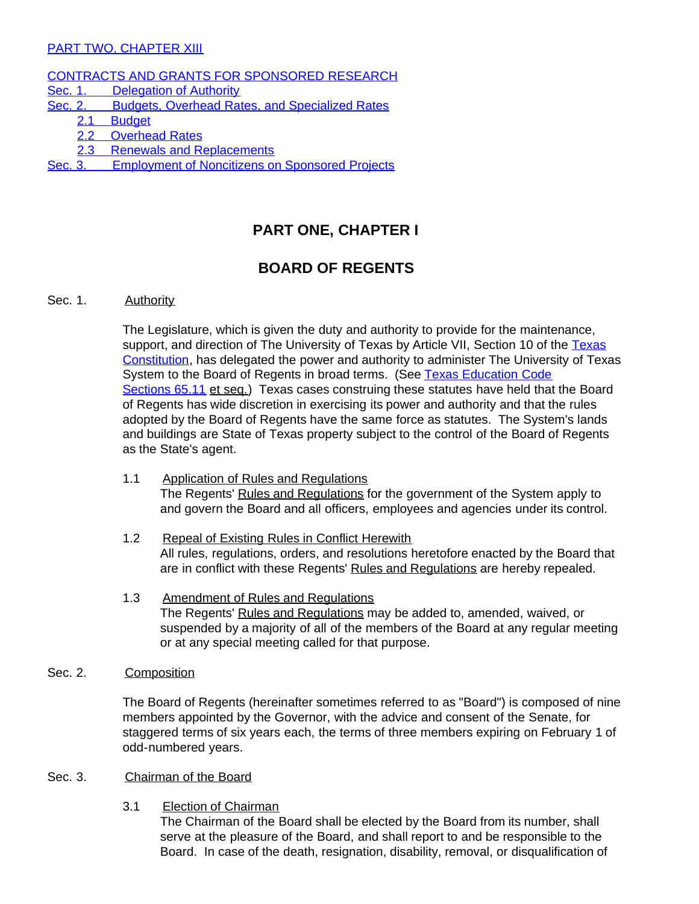### [PART TWO, CHAPTER XIII](#page-188-1)

### [CONTRACTS AND GRANTS FOR SPONSORED RESEARCH](#page-188-2)

- [Sec. 1.](#page-188-3)[Delegation of Authority](#page-188-3)
- [Sec. 2.](#page-188-4)[Budgets, Overhead Rates, and Specialized Rates](#page-188-4)
	- [2.1](#page-188-5)[Budget](#page-188-5)
	- [2.2](#page-188-6)[Overhead Rates](#page-188-6)
	- [2.3](#page-188-7)[Renewals and Replacements](#page-188-7)
- <span id="page-15-0"></span>[Sec. 3.](#page-188-8)[Employment](#page-188-8) of Noncitizens on Sponsored Projects

# **PART ONE, CHAPTER I**

# **BOARD OF REGENTS**

### <span id="page-15-2"></span><span id="page-15-1"></span>Sec. 1. Authority

The Legislature, which is given the duty and authority to provide for the maintenance, support, and direction of The University of [Texas](http://www.capitol.state.tx.us/txconst/sections/cn000700-001000.html) by Article VII, Section 10 of the Texas [Constitution](http://www.capitol.state.tx.us/txconst/sections/cn000700-001000.html), has delegated the power and authority to administer The University of Texas System to the Board of Regents in broad terms. (See Texas [Education](http://www.capitol.state.tx.us/statutes/ed/ed0006500.html) Code [Sections](http://www.capitol.state.tx.us/statutes/ed/ed0006500.html) 65.11 et seq.) Texas cases construing these statutes have held that the Board of Regents has wide discretion in exercising its power and authority and that the rules adopted by the Board of Regents have the same force as statutes. The System's lands and buildings are State of Texas property subject to the control of the Board of Regents as the State's agent.

- <span id="page-15-3"></span>1.1 Application of Rules and Regulations The Regents' Rules and Regulations for the government of the System apply to and govern the Board and all officers, employees and agencies under its control.
- <span id="page-15-4"></span>1.2 Repeal of Existing Rules in Conflict Herewith All rules, regulations, orders, and resolutions heretofore enacted by the Board that are in conflict with these Regents' Rules and Regulations are hereby repealed.
- 1.3 Amendment of Rules and Regulations The Regents' Rules and Regulations may be added to, amended, waived, or suspended by a majority of all of the members of the Board at any regular meeting or at any special meeting called for that purpose.

### <span id="page-15-6"></span><span id="page-15-5"></span>Sec. 2. Composition

The Board of Regents (hereinafter sometimes referred to as "Board") is composed of nine members appointed by the Governor, with the advice and consent of the Senate, for staggered terms of six years each, the terms of three members expiring on February 1 of odd-numbered years.

### <span id="page-15-8"></span><span id="page-15-7"></span>Sec. 3. Chairman of the Board

3.1 Election of Chairman

The Chairman of the Board shall be elected by the Board from its number, shall serve at the pleasure of the Board, and shall report to and be responsible to the Board. In case of the death, resignation, disability, removal, or disqualification of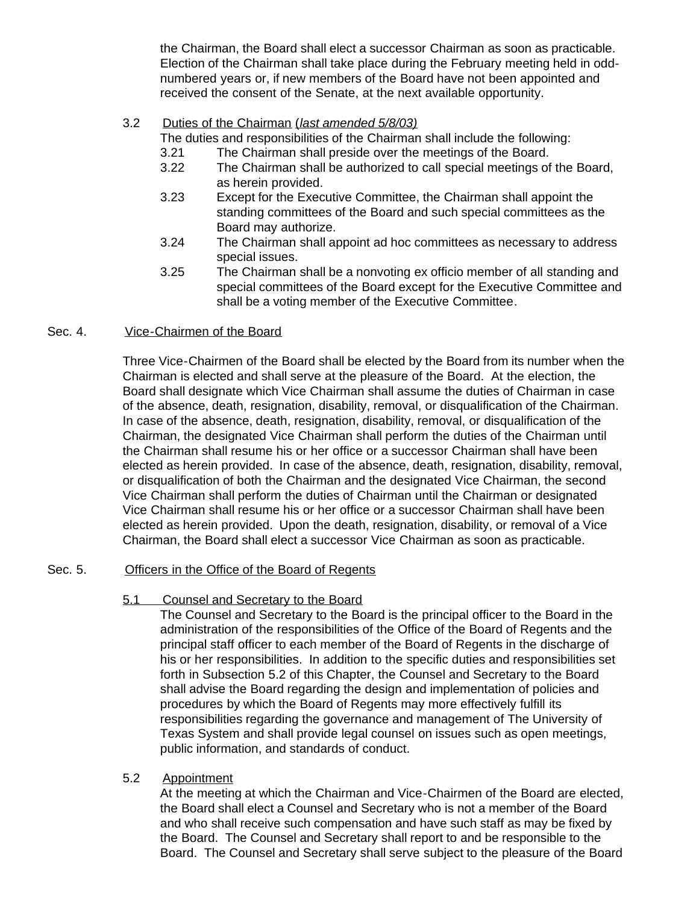the Chairman, the Board shall elect a successor Chairman as soon as practicable. Election of the Chairman shall take place during the February meeting held in oddnumbered years or, if new members of the Board have not been appointed and received the consent of the Senate, at the next available opportunity.

### <span id="page-16-0"></span>3.2 Duties of the Chairman (*last amended 5/8/03)*

The duties and responsibilities of the Chairman shall include the following:

- 3.21 The Chairman shall preside over the meetings of the Board.
- 3.22 The Chairman shall be authorized to call special meetings of the Board, as herein provided.
- 3.23 Except for the Executive Committee, the Chairman shall appoint the standing committees of the Board and such special committees as the Board may authorize.
- 3.24 The Chairman shall appoint ad hoc committees as necessary to address special issues.
- 3.25 The Chairman shall be a nonvoting ex officio member of all standing and special committees of the Board except for the Executive Committee and shall be a voting member of the Executive Committee.

### <span id="page-16-1"></span>Sec. 4. Vice-Chairmen of the Board

Three Vice-Chairmen of the Board shall be elected by the Board from its number when the Chairman is elected and shall serve at the pleasure of the Board. At the election, the Board shall designate which Vice Chairman shall assume the duties of Chairman in case of the absence, death, resignation, disability, removal, or disqualification of the Chairman. In case of the absence, death, resignation, disability, removal, or disqualification of the Chairman, the designated Vice Chairman shall perform the duties of the Chairman until the Chairman shall resume his or her office or a successor Chairman shall have been elected as herein provided. In case of the absence, death, resignation, disability, removal, or disqualification of both the Chairman and the designated Vice Chairman, the second Vice Chairman shall perform the duties of Chairman until the Chairman or designated Vice Chairman shall resume his or her office or a successor Chairman shall have been elected as herein provided. Upon the death, resignation, disability, or removal of a Vice Chairman, the Board shall elect a successor Vice Chairman as soon as practicable.

### <span id="page-16-3"></span><span id="page-16-2"></span>Sec. 5. Officers in the Office of the Board of Regents

### 5.1 Counsel and Secretary to the Board

The Counsel and Secretary to the Board is the principal officer to the Board in the administration of the responsibilities of the Office of the Board of Regents and the principal staff officer to each member of the Board of Regents in the discharge of his or her responsibilities. In addition to the specific duties and responsibilities set forth in Subsection 5.2 of this Chapter, the Counsel and Secretary to the Board shall advise the Board regarding the design and implementation of policies and procedures by which the Board of Regents may more effectively fulfill its responsibilities regarding the governance and management of The University of Texas System and shall provide legal counsel on issues such as open meetings, public information, and standards of conduct.

### <span id="page-16-4"></span>5.2 Appointment

At the meeting at which the Chairman and Vice-Chairmen of the Board are elected, the Board shall elect a Counsel and Secretary who is not a member of the Board and who shall receive such compensation and have such staff as may be fixed by the Board. The Counsel and Secretary shall report to and be responsible to the Board. The Counsel and Secretary shall serve subject to the pleasure of the Board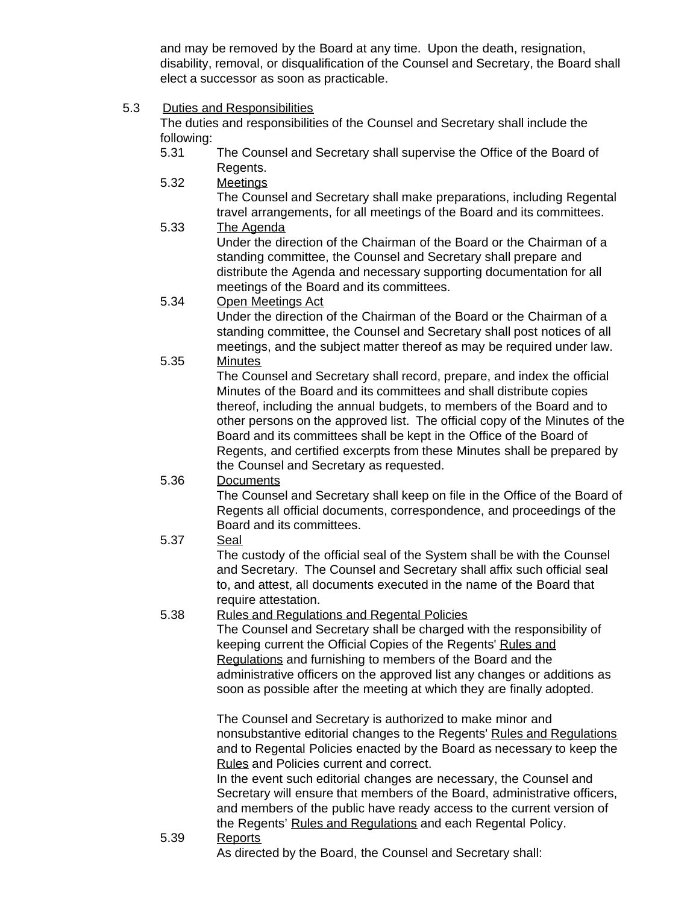and may be removed by the Board at any time. Upon the death, resignation, disability, removal, or disqualification of the Counsel and Secretary, the Board shall elect a successor as soon as practicable.

<span id="page-17-0"></span>5.3 Duties and Responsibilities

The duties and responsibilities of the Counsel and Secretary shall include the following:

- 5.31 The Counsel and Secretary shall supervise the Office of the Board of Regents.
- 5.32 Meetings The Counsel and Secretary shall make preparations, including Regental travel arrangements, for all meetings of the Board and its committees.
- 5.33 The Agenda Under the direction of the Chairman of the Board or the Chairman of a standing committee, the Counsel and Secretary shall prepare and distribute the Agenda and necessary supporting documentation for all meetings of the Board and its committees.
- 5.34 Open Meetings Act

Under the direction of the Chairman of the Board or the Chairman of a standing committee, the Counsel and Secretary shall post notices of all meetings, and the subject matter thereof as may be required under law. 5.35 Minutes

- The Counsel and Secretary shall record, prepare, and index the official Minutes of the Board and its committees and shall distribute copies thereof, including the annual budgets, to members of the Board and to other persons on the approved list. The official copy of the Minutes of the Board and its committees shall be kept in the Office of the Board of Regents, and certified excerpts from these Minutes shall be prepared by the Counsel and Secretary as requested.
- 5.36 Documents

The Counsel and Secretary shall keep on file in the Office of the Board of Regents all official documents, correspondence, and proceedings of the Board and its committees.

5.37 Seal

The custody of the official seal of the System shall be with the Counsel and Secretary. The Counsel and Secretary shall affix such official seal to, and attest, all documents executed in the name of the Board that require attestation.

## 5.38 Rules and Regulations and Regental Policies

The Counsel and Secretary shall be charged with the responsibility of keeping current the Official Copies of the Regents' Rules and Regulations and furnishing to members of the Board and the administrative officers on the approved list any changes or additions as soon as possible after the meeting at which they are finally adopted.

The Counsel and Secretary is authorized to make minor and nonsubstantive editorial changes to the Regents' Rules and Regulations and to Regental Policies enacted by the Board as necessary to keep the Rules and Policies current and correct.

In the event such editorial changes are necessary, the Counsel and Secretary will ensure that members of the Board, administrative officers, and members of the public have ready access to the current version of the Regents' Rules and Regulations and each Regental Policy.

5.39 Reports As directed by the Board, the Counsel and Secretary shall: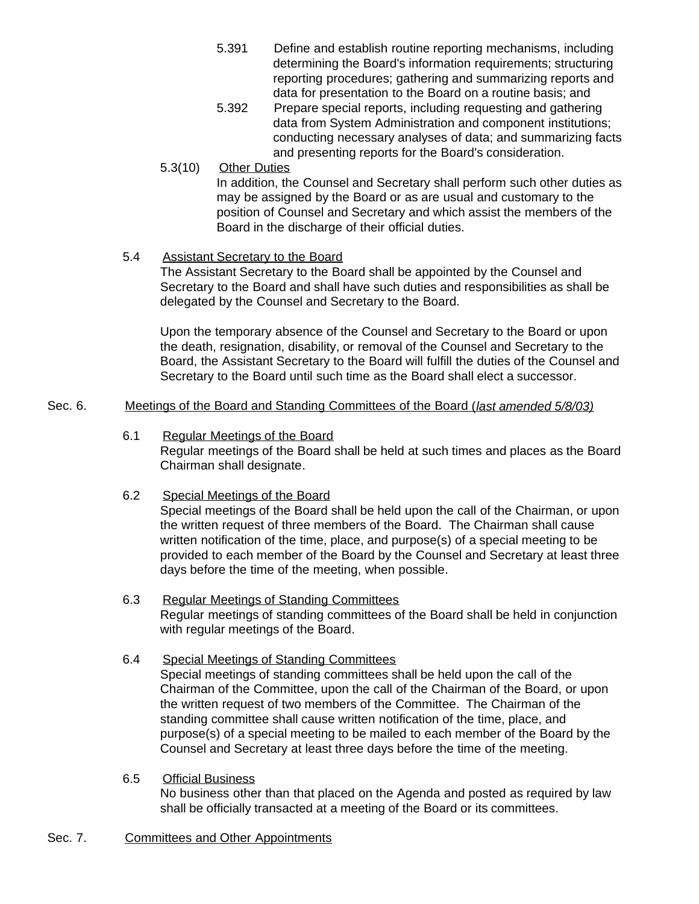- 5.391 Define and establish routine reporting mechanisms, including determining the Board's information requirements; structuring reporting procedures; gathering and summarizing reports and data for presentation to the Board on a routine basis; and
- 5.392 Prepare special reports, including requesting and gathering data from System Administration and component institutions; conducting necessary analyses of data; and summarizing facts and presenting reports for the Board's consideration.
- 5.3(10) Other Duties In addition, the Counsel and Secretary shall perform such other duties as may be assigned by the Board or as are usual and customary to the position of Counsel and Secretary and which assist the members of the Board in the discharge of their official duties.
- <span id="page-18-0"></span>5.4 Assistant Secretary to the Board

The Assistant Secretary to the Board shall be appointed by the Counsel and Secretary to the Board and shall have such duties and responsibilities as shall be delegated by the Counsel and Secretary to the Board.

Upon the temporary absence of the Counsel and Secretary to the Board or upon the death, resignation, disability, or removal of the Counsel and Secretary to the Board, the Assistant Secretary to the Board will fulfill the duties of the Counsel and Secretary to the Board until such time as the Board shall elect a successor.

### <span id="page-18-3"></span><span id="page-18-2"></span><span id="page-18-1"></span>Sec. 6. Meetings of the Board and Standing Committees of the Board (*last amended 5/8/03)*

- 6.1 Regular Meetings of the Board Regular meetings of the Board shall be held at such times and places as the Board Chairman shall designate.
- 6.2 Special Meetings of the Board

Special meetings of the Board shall be held upon the call of the Chairman, or upon the written request of three members of the Board. The Chairman shall cause written notification of the time, place, and purpose(s) of a special meeting to be provided to each member of the Board by the Counsel and Secretary at least three days before the time of the meeting, when possible.

- <span id="page-18-4"></span>6.3 Regular Meetings of Standing Committees Regular meetings of standing committees of the Board shall be held in conjunction with regular meetings of the Board.
- <span id="page-18-5"></span>6.4 Special Meetings of Standing Committees Special meetings of standing committees shall be held upon the call of the Chairman of the Committee, upon the call of the Chairman of the Board, or upon the written request of two members of the Committee. The Chairman of the standing committee shall cause written notification of the time, place, and purpose(s) of a special meeting to be mailed to each member of the Board by the Counsel and Secretary at least three days before the time of the meeting.
- 6.5 Official Business No business other than that placed on the Agenda and posted as required by law shall be officially transacted at a meeting of the Board or its committees.
- <span id="page-18-7"></span><span id="page-18-6"></span>Sec. 7. Committees and Other Appointments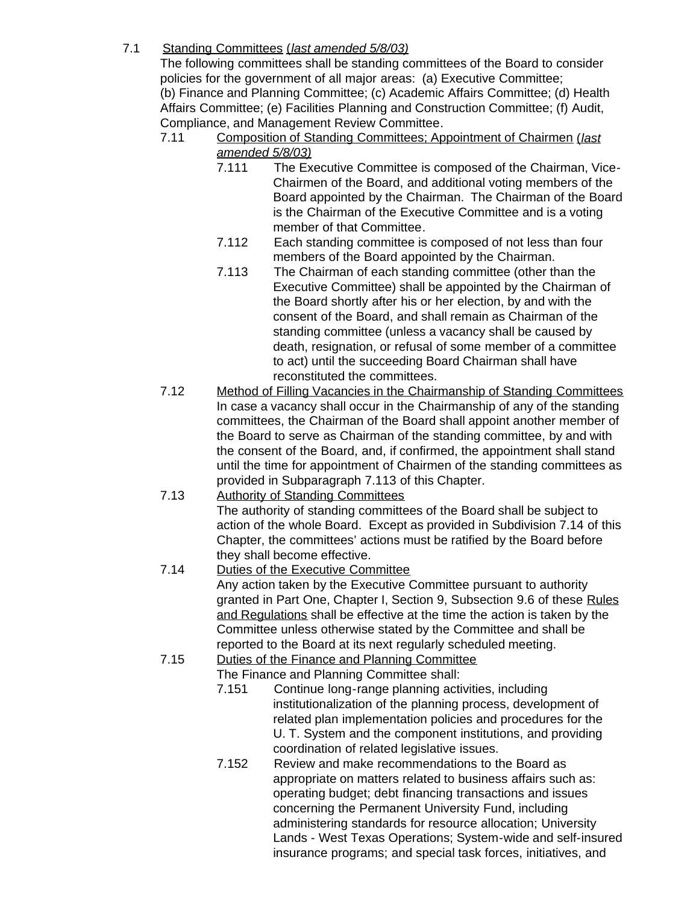# <span id="page-19-0"></span>7.1 Standing Committees (*last amended 5/8/03)*

The following committees shall be standing committees of the Board to consider policies for the government of all major areas: (a) Executive Committee; (b) Finance and Planning Committee; (c) Academic Affairs Committee; (d) Health Affairs Committee; (e) Facilities Planning and Construction Committee; (f) Audit, Compliance, and Management Review Committee.

- 7.11 Composition of Standing Committees; Appointment of Chairmen (*last amended 5/8/03)*
	- 7.111 The Executive Committee is composed of the Chairman, Vice-Chairmen of the Board, and additional voting members of the Board appointed by the Chairman. The Chairman of the Board is the Chairman of the Executive Committee and is a voting member of that Committee.
	- 7.112 Each standing committee is composed of not less than four members of the Board appointed by the Chairman.
	- 7.113 The Chairman of each standing committee (other than the Executive Committee) shall be appointed by the Chairman of the Board shortly after his or her election, by and with the consent of the Board, and shall remain as Chairman of the standing committee (unless a vacancy shall be caused by death, resignation, or refusal of some member of a committee to act) until the succeeding Board Chairman shall have reconstituted the committees.
- 7.12 Method of Filling Vacancies in the Chairmanship of Standing Committees In case a vacancy shall occur in the Chairmanship of any of the standing committees, the Chairman of the Board shall appoint another member of the Board to serve as Chairman of the standing committee, by and with the consent of the Board, and, if confirmed, the appointment shall stand until the time for appointment of Chairmen of the standing committees as provided in Subparagraph 7.113 of this Chapter.
- 7.13 Authority of Standing Committees The authority of standing committees of the Board shall be subject to action of the whole Board. Except as provided in Subdivision 7.14 of this Chapter, the committees' actions must be ratified by the Board before they shall become effective.
- 7.14 Duties of the Executive Committee Any action taken by the Executive Committee pursuant to authority granted in Part One, Chapter I, Section 9, Subsection 9.6 of these Rules and Regulations shall be effective at the time the action is taken by the Committee unless otherwise stated by the Committee and shall be reported to the Board at its next regularly scheduled meeting.
- 7.15 Duties of the Finance and Planning Committee

The Finance and Planning Committee shall:

- 7.151 Continue long-range planning activities, including institutionalization of the planning process, development of related plan implementation policies and procedures for the U. T. System and the component institutions, and providing coordination of related legislative issues.
- 7.152 Review and make recommendations to the Board as appropriate on matters related to business affairs such as: operating budget; debt financing transactions and issues concerning the Permanent University Fund, including administering standards for resource allocation; University Lands - West Texas Operations; System-wide and self-insured insurance programs; and special task forces, initiatives, and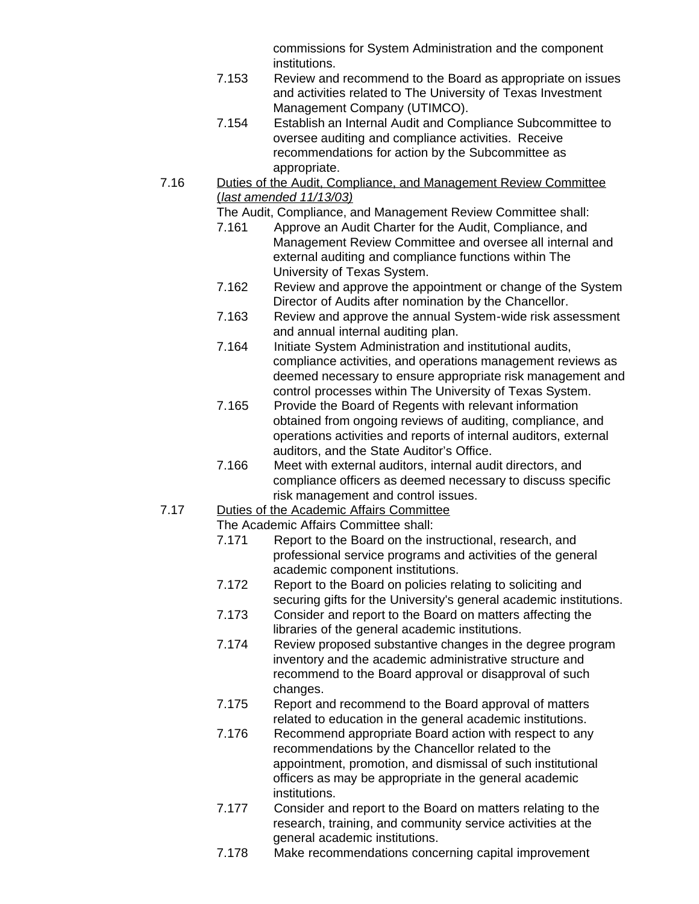commissions for System Administration and the component institutions.

- 7.153 Review and recommend to the Board as appropriate on issues and activities related to The University of Texas Investment Management Company (UTIMCO).
- 7.154 Establish an Internal Audit and Compliance Subcommittee to oversee auditing and compliance activities. Receive recommendations for action by the Subcommittee as appropriate.
- 7.16 Duties of the Audit, Compliance, and Management Review Committee (*last amended 11/13/03)*

The Audit, Compliance, and Management Review Committee shall:

- 7.161 Approve an Audit Charter for the Audit, Compliance, and Management Review Committee and oversee all internal and external auditing and compliance functions within The University of Texas System.
- 7.162 Review and approve the appointment or change of the System Director of Audits after nomination by the Chancellor.
- 7.163 Review and approve the annual System-wide risk assessment and annual internal auditing plan.
- 7.164 Initiate System Administration and institutional audits, compliance activities, and operations management reviews as deemed necessary to ensure appropriate risk management and control processes within The University of Texas System.
- 7.165 Provide the Board of Regents with relevant information obtained from ongoing reviews of auditing, compliance, and operations activities and reports of internal auditors, external auditors, and the State Auditor's Office.
- 7.166 Meet with external auditors, internal audit directors, and compliance officers as deemed necessary to discuss specific risk management and control issues.
- 7.17 Duties of the Academic Affairs Committee

The Academic Affairs Committee shall:

- 7.171 Report to the Board on the instructional, research, and professional service programs and activities of the general academic component institutions.
- 7.172 Report to the Board on policies relating to soliciting and securing gifts for the University's general academic institutions.
- 7.173 Consider and report to the Board on matters affecting the libraries of the general academic institutions.
- 7.174 Review proposed substantive changes in the degree program inventory and the academic administrative structure and recommend to the Board approval or disapproval of such changes.
- 7.175 Report and recommend to the Board approval of matters related to education in the general academic institutions.
- 7.176 Recommend appropriate Board action with respect to any recommendations by the Chancellor related to the appointment, promotion, and dismissal of such institutional officers as may be appropriate in the general academic institutions.
- 7.177 Consider and report to the Board on matters relating to the research, training, and community service activities at the general academic institutions.
- 7.178 Make recommendations concerning capital improvement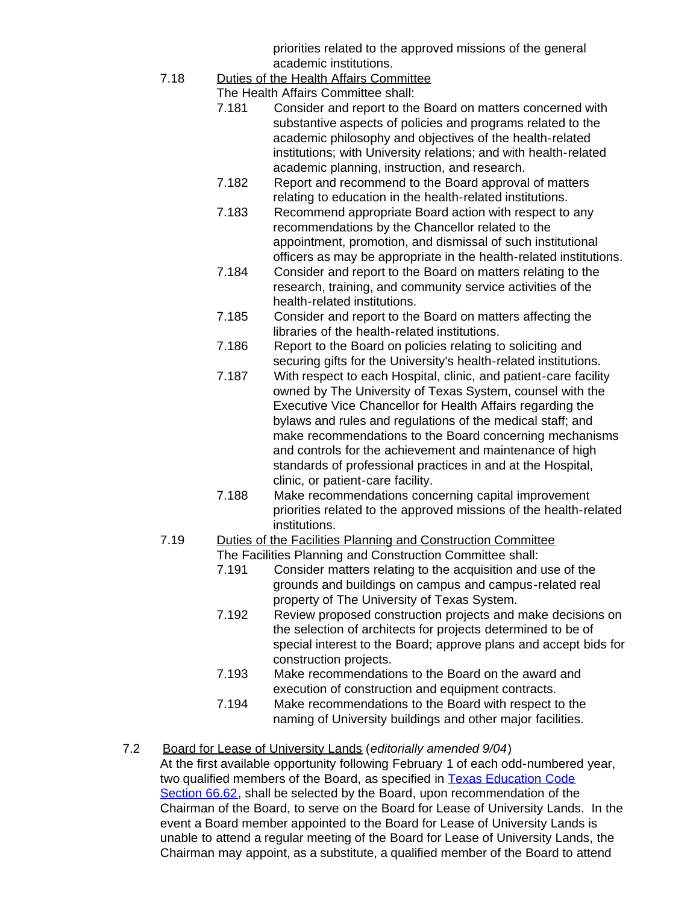priorities related to the approved missions of the general academic institutions.

7.18 Duties of the Health Affairs Committee

The Health Affairs Committee shall:

- 7.181 Consider and report to the Board on matters concerned with substantive aspects of policies and programs related to the academic philosophy and objectives of the health-related institutions; with University relations; and with health-related academic planning, instruction, and research.
- 7.182 Report and recommend to the Board approval of matters relating to education in the health-related institutions.
- 7.183 Recommend appropriate Board action with respect to any recommendations by the Chancellor related to the appointment, promotion, and dismissal of such institutional officers as may be appropriate in the health-related institutions.
- 7.184 Consider and report to the Board on matters relating to the research, training, and community service activities of the health-related institutions.
- 7.185 Consider and report to the Board on matters affecting the libraries of the health-related institutions.
- 7.186 Report to the Board on policies relating to soliciting and securing gifts for the University's health-related institutions.
- 7.187 With respect to each Hospital, clinic, and patient-care facility owned by The University of Texas System, counsel with the Executive Vice Chancellor for Health Affairs regarding the bylaws and rules and regulations of the medical staff; and make recommendations to the Board concerning mechanisms and controls for the achievement and maintenance of high standards of professional practices in and at the Hospital, clinic, or patient-care facility.
- 7.188 Make recommendations concerning capital improvement priorities related to the approved missions of the health-related institutions.
- 7.19 Duties of the Facilities Planning and Construction Committee The Facilities Planning and Construction Committee shall:
	- 7.191 Consider matters relating to the acquisition and use of the grounds and buildings on campus and campus-related real property of The University of Texas System.
	- 7.192 Review proposed construction projects and make decisions on the selection of architects for projects determined to be of special interest to the Board; approve plans and accept bids for construction projects.
	- 7.193 Make recommendations to the Board on the award and execution of construction and equipment contracts.
	- 7.194 Make recommendations to the Board with respect to the naming of University buildings and other major facilities.
- <span id="page-21-0"></span>7.2 Board for Lease of University Lands (*editorially amended 9/04*) At the first available opportunity following February 1 of each odd-numbered year, two qualified members of the Board, as specified in [Texas Education Code](http://www.capitol.state.tx.us/statutes/ed/ed0006600.html#ed020.66.62) [Section](http://www.capitol.state.tx.us/statutes/ed/ed0006600.html#ed020.66.62) 66.62, shall be selected by the Board, upon recommendation of the Chairman of the Board, to serve on the Board for Lease of University Lands. In the event a Board member appointed to the Board for Lease of University Lands is unable to attend a regular meeting of the Board for Lease of University Lands, the Chairman may appoint, as a substitute, a qualified member of the Board to attend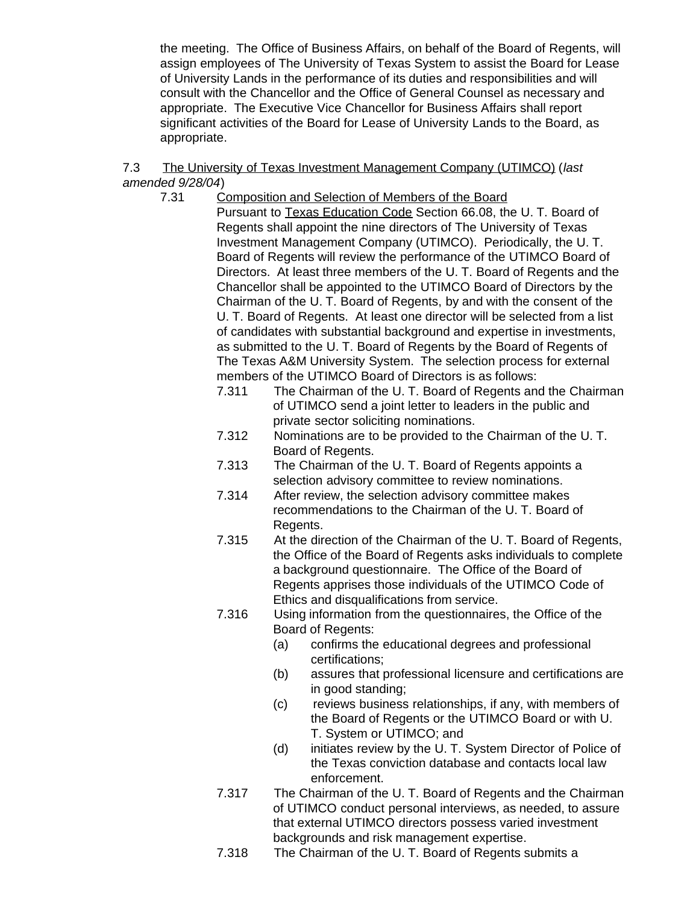the meeting. The Office of Business Affairs, on behalf of the Board of Regents, will assign employees of The University of Texas System to assist the Board for Lease of University Lands in the performance of its duties and responsibilities and will consult with the Chancellor and the Office of General Counsel as necessary and appropriate. The Executive Vice Chancellor for Business Affairs shall report significant activities of the Board for Lease of University Lands to the Board, as appropriate.

### <span id="page-22-0"></span>7.3 The University of Texas Investment Management Company (UTIMCO) (*last amended 9/28/04*)

- 7.31 Composition and Selection of Members of the Board Pursuant to Texas Education Code Section 66.08, the U. T. Board of Regents shall appoint the nine directors of The University of Texas Investment Management Company (UTIMCO). Periodically, the U. T. Board of Regents will review the performance of the UTIMCO Board of Directors. At least three members of the U. T. Board of Regents and the Chancellor shall be appointed to the UTIMCO Board of Directors by the Chairman of the U. T. Board of Regents, by and with the consent of the U. T. Board of Regents. At least one director will be selected from a list of candidates with substantial background and expertise in investments, as submitted to the U. T. Board of Regents by the Board of Regents of The Texas A&M University System. The selection process for external members of the UTIMCO Board of Directors is as follows:
	- 7.311 The Chairman of the U. T. Board of Regents and the Chairman of UTIMCO send a joint letter to leaders in the public and private sector soliciting nominations.
	- 7.312 Nominations are to be provided to the Chairman of the U. T. Board of Regents.
	- 7.313 The Chairman of the U. T. Board of Regents appoints a selection advisory committee to review nominations.
	- 7.314 After review, the selection advisory committee makes recommendations to the Chairman of the U. T. Board of Regents.
	- 7.315 At the direction of the Chairman of the U. T. Board of Regents, the Office of the Board of Regents asks individuals to complete a background questionnaire. The Office of the Board of Regents apprises those individuals of the UTIMCO Code of Ethics and disqualifications from service.
	- 7.316 Using information from the questionnaires, the Office of the Board of Regents:
		- (a) confirms the educational degrees and professional certifications;
		- (b) assures that professional licensure and certifications are in good standing;
		- (c) reviews business relationships, if any, with members of the Board of Regents or the UTIMCO Board or with U. T. System or UTIMCO; and
		- (d) initiates review by the U. T. System Director of Police of the Texas conviction database and contacts local law enforcement.
	- 7.317 The Chairman of the U. T. Board of Regents and the Chairman of UTIMCO conduct personal interviews, as needed, to assure that external UTIMCO directors possess varied investment backgrounds and risk management expertise.
	- 7.318 The Chairman of the U. T. Board of Regents submits a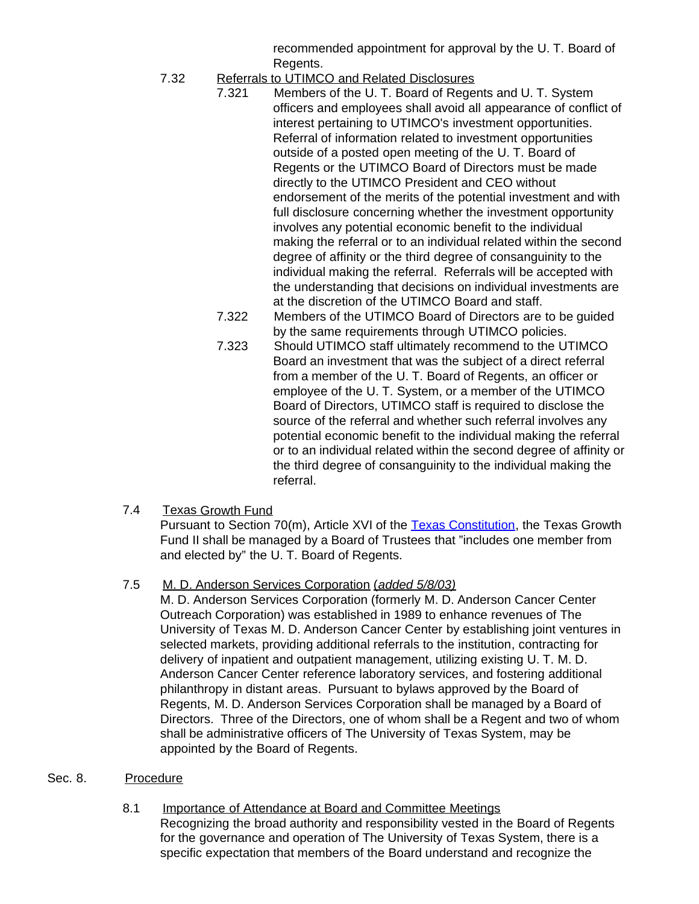recommended appointment for approval by the U. T. Board of Regents.

- 7.32 Referrals to UTIMCO and Related Disclosures
	- 7.321 Members of the U. T. Board of Regents and U. T. System officers and employees shall avoid all appearance of conflict of interest pertaining to UTIMCO's investment opportunities. Referral of information related to investment opportunities outside of a posted open meeting of the U. T. Board of Regents or the UTIMCO Board of Directors must be made directly to the UTIMCO President and CEO without endorsement of the merits of the potential investment and with full disclosure concerning whether the investment opportunity involves any potential economic benefit to the individual making the referral or to an individual related within the second degree of affinity or the third degree of consanguinity to the individual making the referral. Referrals will be accepted with the understanding that decisions on individual investments are at the discretion of the UTIMCO Board and staff.
	- 7.322 Members of the UTIMCO Board of Directors are to be guided by the same requirements through UTIMCO policies.
	- 7.323 Should UTIMCO staff ultimately recommend to the UTIMCO Board an investment that was the subject of a direct referral from a member of the U. T. Board of Regents, an officer or employee of the U. T. System, or a member of the UTIMCO Board of Directors, UTIMCO staff is required to disclose the source of the referral and whether such referral involves any potential economic benefit to the individual making the referral or to an individual related within the second degree of affinity or the third degree of consanguinity to the individual making the referral.

## <span id="page-23-0"></span>7.4 Texas Growth Fund

Pursuant to Section 70(m), Article XVI of the [Texas Constitution](http://www.capitol.state.tx.us/txconst/sections/cn001600-007000.html), the Texas Growth Fund II shall be managed by a Board of Trustees that "includes one member from and elected by" the U. T. Board of Regents.

## <span id="page-23-1"></span>7.5 M. D. Anderson Services Corporation (*added 5/8/03)*

M. D. Anderson Services Corporation (formerly M. D. Anderson Cancer Center Outreach Corporation) was established in 1989 to enhance revenues of The University of Texas M. D. Anderson Cancer Center by establishing joint ventures in selected markets, providing additional referrals to the institution, contracting for delivery of inpatient and outpatient management, utilizing existing U. T. M. D. Anderson Cancer Center reference laboratory services, and fostering additional philanthropy in distant areas. Pursuant to bylaws approved by the Board of Regents, M. D. Anderson Services Corporation shall be managed by a Board of Directors. Three of the Directors, one of whom shall be a Regent and two of whom shall be administrative officers of The University of Texas System, may be appointed by the Board of Regents.

### <span id="page-23-3"></span><span id="page-23-2"></span>Sec. 8. Procedure

8.1 Importance of Attendance at Board and Committee Meetings Recognizing the broad authority and responsibility vested in the Board of Regents for the governance and operation of The University of Texas System, there is a specific expectation that members of the Board understand and recognize the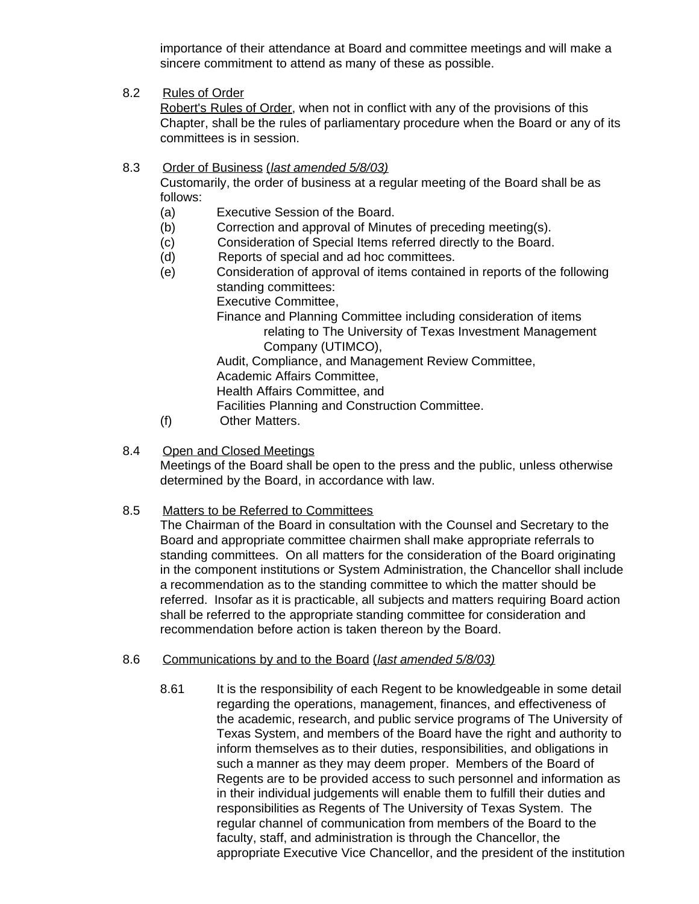importance of their attendance at Board and committee meetings and will make a sincere commitment to attend as many of these as possible.

<span id="page-24-0"></span>8.2 Rules of Order

Robert's Rules of Order, when not in conflict with any of the provisions of this Chapter, shall be the rules of parliamentary procedure when the Board or any of its committees is in session.

### <span id="page-24-1"></span>8.3 Order of Business (*last amended 5/8/03)*

Customarily, the order of business at a regular meeting of the Board shall be as follows:

- (a) Executive Session of the Board.
- (b) Correction and approval of Minutes of preceding meeting(s).
- (c) Consideration of Special Items referred directly to the Board.
- (d) Reports of special and ad hoc committees.
- (e) Consideration of approval of items contained in reports of the following standing committees:

Executive Committee,

Finance and Planning Committee including consideration of items relating to The University of Texas Investment Management Company (UTIMCO),

Audit, Compliance, and Management Review Committee,

Academic Affairs Committee,

Health Affairs Committee, and

Facilities Planning and Construction Committee.

- (f) Other Matters.
- <span id="page-24-2"></span>8.4 Open and Closed Meetings

Meetings of the Board shall be open to the press and the public, unless otherwise determined by the Board, in accordance with law.

<span id="page-24-3"></span>8.5 Matters to be Referred to Committees

The Chairman of the Board in consultation with the Counsel and Secretary to the Board and appropriate committee chairmen shall make appropriate referrals to standing committees. On all matters for the consideration of the Board originating in the component institutions or System Administration, the Chancellor shall include a recommendation as to the standing committee to which the matter should be referred. Insofar as it is practicable, all subjects and matters requiring Board action shall be referred to the appropriate standing committee for consideration and recommendation before action is taken thereon by the Board.

- <span id="page-24-4"></span>8.6 Communications by and to the Board (*last amended 5/8/03)*
	- 8.61 It is the responsibility of each Regent to be knowledgeable in some detail regarding the operations, management, finances, and effectiveness of the academic, research, and public service programs of The University of Texas System, and members of the Board have the right and authority to inform themselves as to their duties, responsibilities, and obligations in such a manner as they may deem proper. Members of the Board of Regents are to be provided access to such personnel and information as in their individual judgements will enable them to fulfill their duties and responsibilities as Regents of The University of Texas System. The regular channel of communication from members of the Board to the faculty, staff, and administration is through the Chancellor, the appropriate Executive Vice Chancellor, and the president of the institution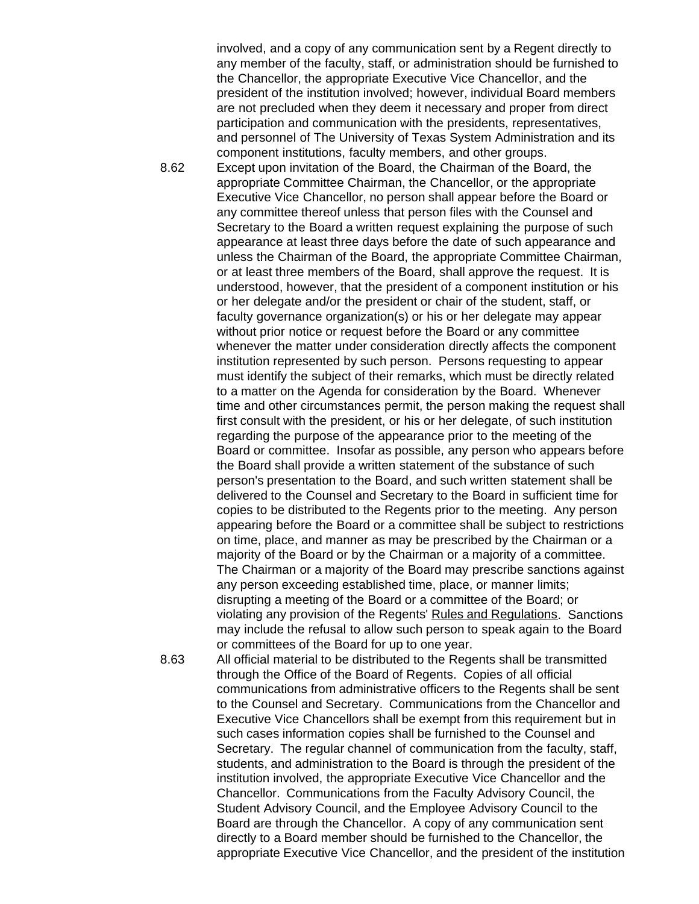involved, and a copy of any communication sent by a Regent directly to any member of the faculty, staff, or administration should be furnished to the Chancellor, the appropriate Executive Vice Chancellor, and the president of the institution involved; however, individual Board members are not precluded when they deem it necessary and proper from direct participation and communication with the presidents, representatives, and personnel of The University of Texas System Administration and its component institutions, faculty members, and other groups.

8.62 Except upon invitation of the Board, the Chairman of the Board, the appropriate Committee Chairman, the Chancellor, or the appropriate Executive Vice Chancellor, no person shall appear before the Board or any committee thereof unless that person files with the Counsel and Secretary to the Board a written request explaining the purpose of such appearance at least three days before the date of such appearance and unless the Chairman of the Board, the appropriate Committee Chairman, or at least three members of the Board, shall approve the request. It is understood, however, that the president of a component institution or his or her delegate and/or the president or chair of the student, staff, or faculty governance organization(s) or his or her delegate may appear without prior notice or request before the Board or any committee whenever the matter under consideration directly affects the component institution represented by such person. Persons requesting to appear must identify the subject of their remarks, which must be directly related to a matter on the Agenda for consideration by the Board. Whenever time and other circumstances permit, the person making the request shall first consult with the president, or his or her delegate, of such institution regarding the purpose of the appearance prior to the meeting of the Board or committee. Insofar as possible, any person who appears before the Board shall provide a written statement of the substance of such person's presentation to the Board, and such written statement shall be delivered to the Counsel and Secretary to the Board in sufficient time for copies to be distributed to the Regents prior to the meeting. Any person appearing before the Board or a committee shall be subject to restrictions on time, place, and manner as may be prescribed by the Chairman or a majority of the Board or by the Chairman or a majority of a committee. The Chairman or a majority of the Board may prescribe sanctions against any person exceeding established time, place, or manner limits; disrupting a meeting of the Board or a committee of the Board; or violating any provision of the Regents' Rules and Regulations. Sanctions may include the refusal to allow such person to speak again to the Board or committees of the Board for up to one year.

8.63 All official material to be distributed to the Regents shall be transmitted through the Office of the Board of Regents. Copies of all official communications from administrative officers to the Regents shall be sent to the Counsel and Secretary. Communications from the Chancellor and Executive Vice Chancellors shall be exempt from this requirement but in such cases information copies shall be furnished to the Counsel and Secretary. The regular channel of communication from the faculty, staff, students, and administration to the Board is through the president of the institution involved, the appropriate Executive Vice Chancellor and the Chancellor. Communications from the Faculty Advisory Council, the Student Advisory Council, and the Employee Advisory Council to the Board are through the Chancellor. A copy of any communication sent directly to a Board member should be furnished to the Chancellor, the appropriate Executive Vice Chancellor, and the president of the institution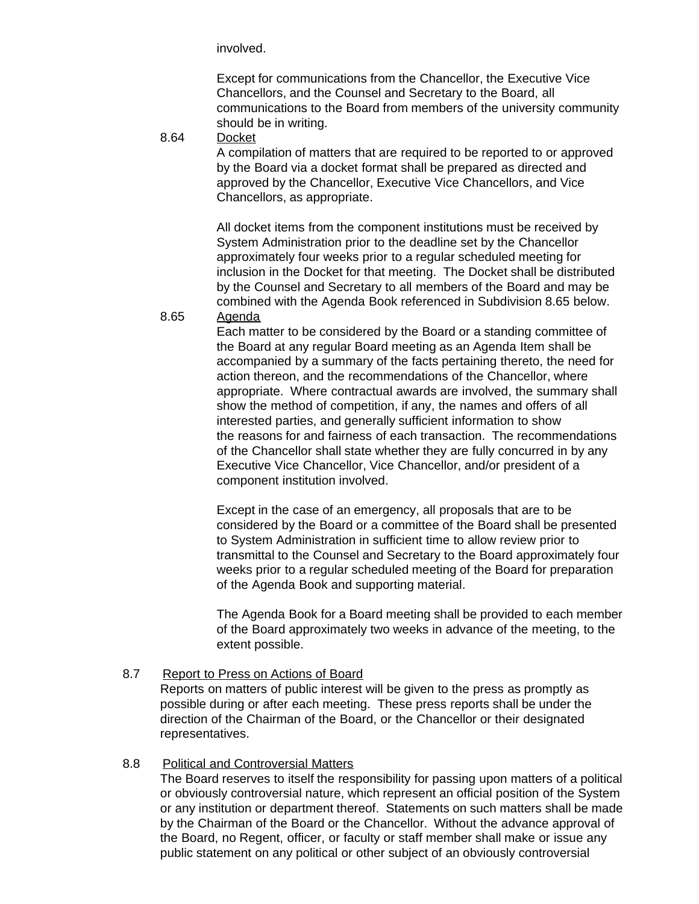involved.

Except for communications from the Chancellor, the Executive Vice Chancellors, and the Counsel and Secretary to the Board, all communications to the Board from members of the university community should be in writing.

8.64 Docket

A compilation of matters that are required to be reported to or approved by the Board via a docket format shall be prepared as directed and approved by the Chancellor, Executive Vice Chancellors, and Vice Chancellors, as appropriate.

All docket items from the component institutions must be received by System Administration prior to the deadline set by the Chancellor approximately four weeks prior to a regular scheduled meeting for inclusion in the Docket for that meeting. The Docket shall be distributed by the Counsel and Secretary to all members of the Board and may be combined with the Agenda Book referenced in Subdivision 8.65 below. 8.65 Agenda

> Each matter to be considered by the Board or a standing committee of the Board at any regular Board meeting as an Agenda Item shall be accompanied by a summary of the facts pertaining thereto, the need for action thereon, and the recommendations of the Chancellor, where appropriate. Where contractual awards are involved, the summary shall show the method of competition, if any, the names and offers of all interested parties, and generally sufficient information to show the reasons for and fairness of each transaction. The recommendations of the Chancellor shall state whether they are fully concurred in by any Executive Vice Chancellor, Vice Chancellor, and/or president of a component institution involved.

> Except in the case of an emergency, all proposals that are to be considered by the Board or a committee of the Board shall be presented to System Administration in sufficient time to allow review prior to transmittal to the Counsel and Secretary to the Board approximately four weeks prior to a regular scheduled meeting of the Board for preparation of the Agenda Book and supporting material.

> The Agenda Book for a Board meeting shall be provided to each member of the Board approximately two weeks in advance of the meeting, to the extent possible.

<span id="page-26-0"></span>8.7 Report to Press on Actions of Board

Reports on matters of public interest will be given to the press as promptly as possible during or after each meeting. These press reports shall be under the direction of the Chairman of the Board, or the Chancellor or their designated representatives.

### <span id="page-26-1"></span>8.8 Political and Controversial Matters

The Board reserves to itself the responsibility for passing upon matters of a political or obviously controversial nature, which represent an official position of the System or any institution or department thereof. Statements on such matters shall be made by the Chairman of the Board or the Chancellor. Without the advance approval of the Board, no Regent, officer, or faculty or staff member shall make or issue any public statement on any political or other subject of an obviously controversial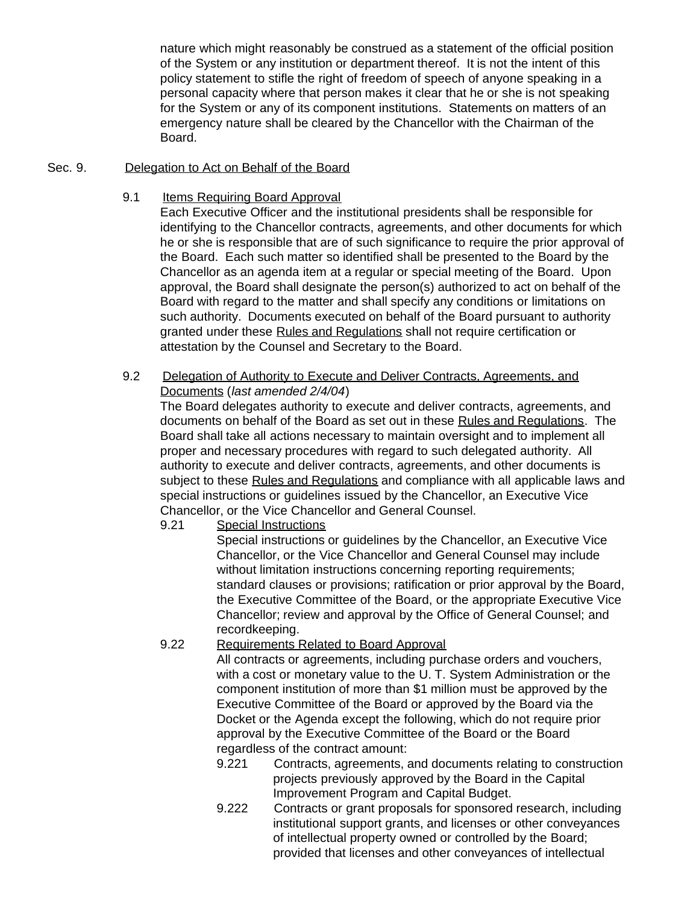nature which might reasonably be construed as a statement of the official position of the System or any institution or department thereof. It is not the intent of this policy statement to stifle the right of freedom of speech of anyone speaking in a personal capacity where that person makes it clear that he or she is not speaking for the System or any of its component institutions. Statements on matters of an emergency nature shall be cleared by the Chancellor with the Chairman of the Board.

### <span id="page-27-1"></span><span id="page-27-0"></span>Sec. 9. Delegation to Act on Behalf of the Board

9.1 Items Requiring Board Approval

Each Executive Officer and the institutional presidents shall be responsible for identifying to the Chancellor contracts, agreements, and other documents for which he or she is responsible that are of such significance to require the prior approval of the Board. Each such matter so identified shall be presented to the Board by the Chancellor as an agenda item at a regular or special meeting of the Board. Upon approval, the Board shall designate the person(s) authorized to act on behalf of the Board with regard to the matter and shall specify any conditions or limitations on such authority. Documents executed on behalf of the Board pursuant to authority granted under these Rules and Regulations shall not require certification or attestation by the Counsel and Secretary to the Board.

<span id="page-27-2"></span>9.2 Delegation of Authority to Execute and Deliver Contracts, Agreements, and Documents (*last amended 2/4/04*)

The Board delegates authority to execute and deliver contracts, agreements, and documents on behalf of the Board as set out in these Rules and Regulations. The Board shall take all actions necessary to maintain oversight and to implement all proper and necessary procedures with regard to such delegated authority. All authority to execute and deliver contracts, agreements, and other documents is subject to these Rules and Regulations and compliance with all applicable laws and special instructions or guidelines issued by the Chancellor, an Executive Vice Chancellor, or the Vice Chancellor and General Counsel.

9.21 Special Instructions

Special instructions or guidelines by the Chancellor, an Executive Vice Chancellor, or the Vice Chancellor and General Counsel may include without limitation instructions concerning reporting requirements; standard clauses or provisions; ratification or prior approval by the Board, the Executive Committee of the Board, or the appropriate Executive Vice Chancellor; review and approval by the Office of General Counsel; and recordkeeping.

### 9.22 Requirements Related to Board Approval

All contracts or agreements, including purchase orders and vouchers, with a cost or monetary value to the U. T. System Administration or the component institution of more than \$1 million must be approved by the Executive Committee of the Board or approved by the Board via the Docket or the Agenda except the following, which do not require prior approval by the Executive Committee of the Board or the Board regardless of the contract amount:

- 9.221 Contracts, agreements, and documents relating to construction projects previously approved by the Board in the Capital Improvement Program and Capital Budget.
- 9.222 Contracts or grant proposals for sponsored research, including institutional support grants, and licenses or other conveyances of intellectual property owned or controlled by the Board; provided that licenses and other conveyances of intellectual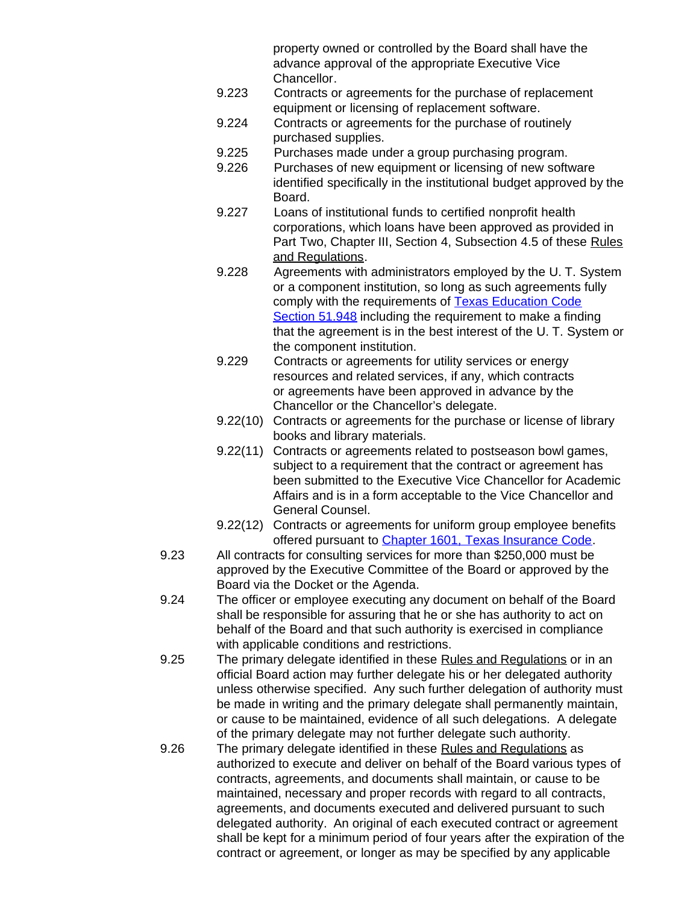property owned or controlled by the Board shall have the advance approval of the appropriate Executive Vice Chancellor.

- 9.223 Contracts or agreements for the purchase of replacement equipment or licensing of replacement software.
- 9.224 Contracts or agreements for the purchase of routinely purchased supplies.
- 9.225 Purchases made under a group purchasing program.
- 9.226 Purchases of new equipment or licensing of new software identified specifically in the institutional budget approved by the Board.
- 9.227 Loans of institutional funds to certified nonprofit health corporations, which loans have been approved as provided in Part Two, Chapter III, Section 4, Subsection 4.5 of these Rules and Regulations.
- 9.228 Agreements with administrators employed by the U. T. System or a component institution, so long as such agreements fully comply with the requirements of **Texas Education Code** [Section](http://www.capitol.state.tx.us/statutes/ed/ed0005100.html#ed246.51.948) 51.948 including the requirement to make a finding that the agreement is in the best interest of the U. T. System or the component institution.
- 9.229 Contracts or agreements for utility services or energy resources and related services, if any, which contracts or agreements have been approved in advance by the Chancellor or the Chancellor's delegate.
- 9.22(10) Contracts or agreements for the purchase or license of library books and library materials.
- 9.22(11) Contracts or agreements related to postseason bowl games, subject to a requirement that the contract or agreement has been submitted to the Executive Vice Chancellor for Academic Affairs and is in a form acceptable to the Vice Chancellor and General Counsel.
- 9.22(12) Contracts or agreements for uniform group employee benefits offered pursuant to Chapter [1601, Texas Insurance Code.](http://www.capitol.state.tx.us/statutes/in/in0160100toc.html)
- 9.23 All contracts for consulting services for more than \$250,000 must be approved by the Executive Committee of the Board or approved by the Board via the Docket or the Agenda.
- 9.24 The officer or employee executing any document on behalf of the Board shall be responsible for assuring that he or she has authority to act on behalf of the Board and that such authority is exercised in compliance with applicable conditions and restrictions.
- 9.25 The primary delegate identified in these Rules and Regulations or in an official Board action may further delegate his or her delegated authority unless otherwise specified. Any such further delegation of authority must be made in writing and the primary delegate shall permanently maintain, or cause to be maintained, evidence of all such delegations. A delegate of the primary delegate may not further delegate such authority.
- 9.26 The primary delegate identified in these Rules and Regulations as authorized to execute and deliver on behalf of the Board various types of contracts, agreements, and documents shall maintain, or cause to be maintained, necessary and proper records with regard to all contracts, agreements, and documents executed and delivered pursuant to such delegated authority. An original of each executed contract or agreement shall be kept for a minimum period of four years after the expiration of the contract or agreement, or longer as may be specified by any applicable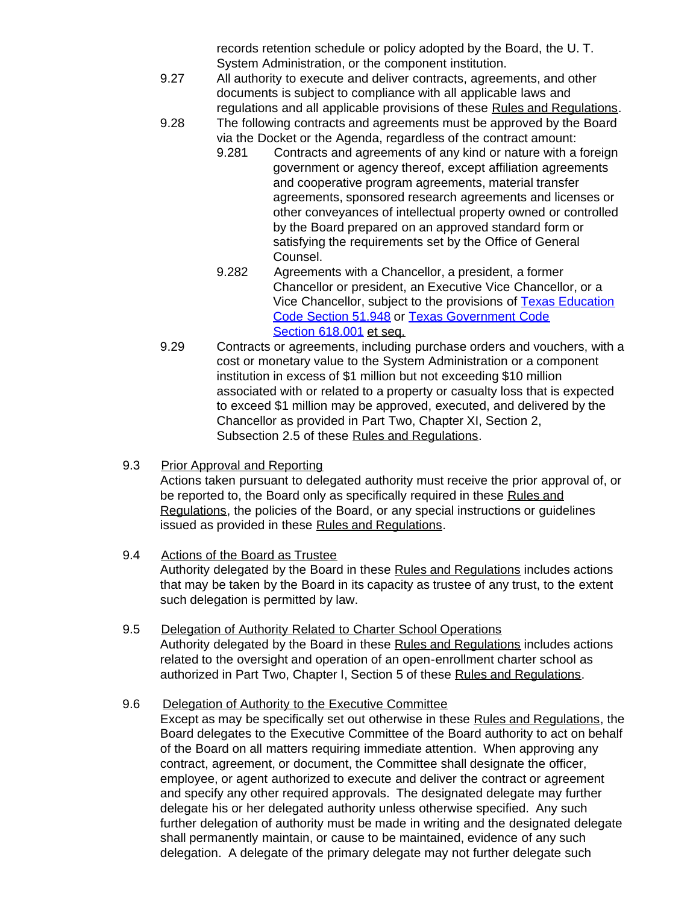records retention schedule or policy adopted by the Board, the U. T. System Administration, or the component institution.

- 9.27 All authority to execute and deliver contracts, agreements, and other documents is subject to compliance with all applicable laws and regulations and all applicable provisions of these Rules and Regulations.
- 9.28 The following contracts and agreements must be approved by the Board via the Docket or the Agenda, regardless of the contract amount:
	- 9.281 Contracts and agreements of any kind or nature with a foreign government or agency thereof, except affiliation agreements and cooperative program agreements, material transfer agreements, sponsored research agreements and licenses or other conveyances of intellectual property owned or controlled by the Board prepared on an approved standard form or satisfying the requirements set by the Office of General Counsel.
	- 9.282 Agreements with a Chancellor, a president, a former Chancellor or president, an Executive Vice Chancellor, or a Vice Chancellor, subject to the provisions of [Texas Education](http://www.capitol.state.tx.us/statutes/ed/ed0005100.html#ed246.51.948) [Code Section](http://www.capitol.state.tx.us/statutes/ed/ed0005100.html#ed246.51.948) 51.948 or [Texas Government Code](http://www.capitol.state.tx.us/statutes/go/go0061800.html#go001.618.001) Section [618.001](http://www.capitol.state.tx.us/statutes/go/go0061800.html#go001.618.001) et seq.
- 9.29 Contracts or agreements, including purchase orders and vouchers, with a cost or monetary value to the System Administration or a component institution in excess of \$1 million but not exceeding \$10 million associated with or related to a property or casualty loss that is expected to exceed \$1 million may be approved, executed, and delivered by the Chancellor as provided in Part Two, Chapter XI, Section 2, Subsection 2.5 of these Rules and Regulations.
- <span id="page-29-0"></span>9.3 Prior Approval and Reporting Actions taken pursuant to delegated authority must receive the prior approval of, or be reported to, the Board only as specifically required in these Rules and Regulations, the policies of the Board, or any special instructions or guidelines issued as provided in these Rules and Regulations.

# <span id="page-29-1"></span>9.4 Actions of the Board as Trustee

Authority delegated by the Board in these Rules and Regulations includes actions that may be taken by the Board in its capacity as trustee of any trust, to the extent such delegation is permitted by law.

<span id="page-29-2"></span>9.5 Delegation of Authority Related to Charter School Operations Authority delegated by the Board in these Rules and Regulations includes actions related to the oversight and operation of an open-enrollment charter school as authorized in Part Two, Chapter I, Section 5 of these Rules and Regulations.

## <span id="page-29-3"></span>9.6 Delegation of Authority to the Executive Committee

Except as may be specifically set out otherwise in these Rules and Regulations, the Board delegates to the Executive Committee of the Board authority to act on behalf of the Board on all matters requiring immediate attention. When approving any contract, agreement, or document, the Committee shall designate the officer, employee, or agent authorized to execute and deliver the contract or agreement and specify any other required approvals. The designated delegate may further delegate his or her delegated authority unless otherwise specified. Any such further delegation of authority must be made in writing and the designated delegate shall permanently maintain, or cause to be maintained, evidence of any such delegation. A delegate of the primary delegate may not further delegate such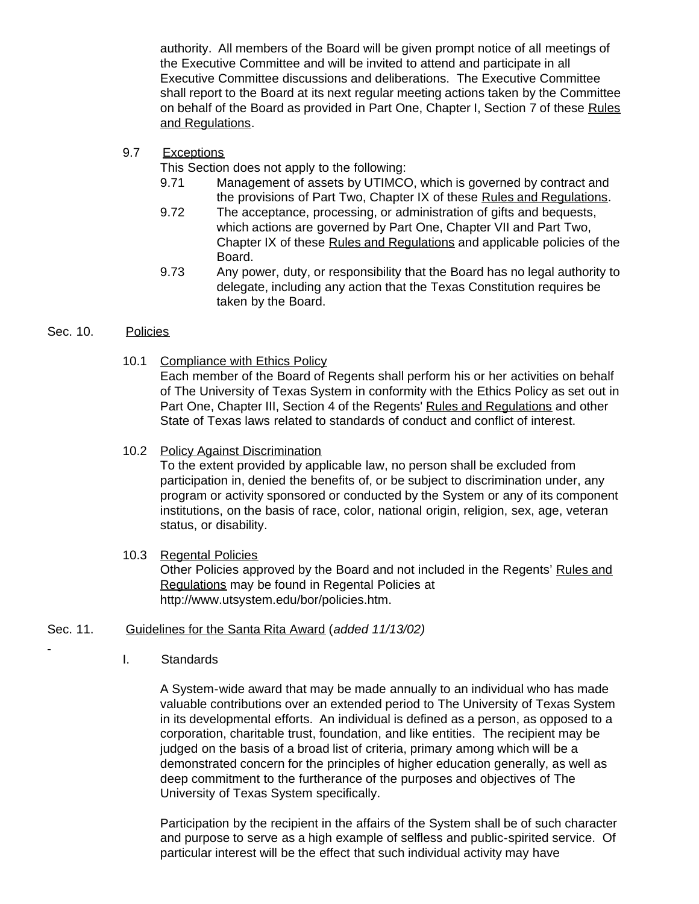authority. All members of the Board will be given prompt notice of all meetings of the Executive Committee and will be invited to attend and participate in all Executive Committee discussions and deliberations. The Executive Committee shall report to the Board at its next regular meeting actions taken by the Committee on behalf of the Board as provided in Part One, Chapter I, Section 7 of these Rules and Regulations.

<span id="page-30-0"></span>9.7 Exceptions

This Section does not apply to the following:

- 9.71 Management of assets by UTIMCO, which is governed by contract and the provisions of Part Two, Chapter IX of these Rules and Regulations.
- 9.72 The acceptance, processing, or administration of gifts and bequests, which actions are governed by Part One, Chapter VII and Part Two, Chapter IX of these Rules and Regulations and applicable policies of the Board.
- 9.73 Any power, duty, or responsibility that the Board has no legal authority to delegate, including any action that the Texas Constitution requires be taken by the Board.

### <span id="page-30-2"></span><span id="page-30-1"></span>Sec. 10. Policies

10.1 Compliance with Ethics Policy

Each member of the Board of Regents shall perform his or her activities on behalf of The University of Texas System in conformity with the Ethics Policy as set out in Part One, Chapter III, Section 4 of the Regents' Rules and Regulations and other State of Texas laws related to standards of conduct and conflict of interest.

<span id="page-30-3"></span>10.2 Policy Against Discrimination

To the extent provided by applicable law, no person shall be excluded from participation in, denied the benefits of, or be subject to discrimination under, any program or activity sponsored or conducted by the System or any of its component institutions, on the basis of race, color, national origin, religion, sex, age, veteran status, or disability.

### 10.3 Regental Policies

Other Policies approved by the Board and not included in the Regents' Rules and Regulations may be found in Regental Policies at http://www.utsystem.edu/bor/policies.htm.

## <span id="page-30-5"></span><span id="page-30-4"></span>Sec. 11. Guidelines for the Santa Rita Award (*added 11/13/02)*

I. Standards

A System-wide award that may be made annually to an individual who has made valuable contributions over an extended period to The University of Texas System in its developmental efforts. An individual is defined as a person, as opposed to a corporation, charitable trust, foundation, and like entities. The recipient may be judged on the basis of a broad list of criteria, primary among which will be a demonstrated concern for the principles of higher education generally, as well as deep commitment to the furtherance of the purposes and objectives of The University of Texas System specifically.

Participation by the recipient in the affairs of the System shall be of such character and purpose to serve as a high example of selfless and public-spirited service. Of particular interest will be the effect that such individual activity may have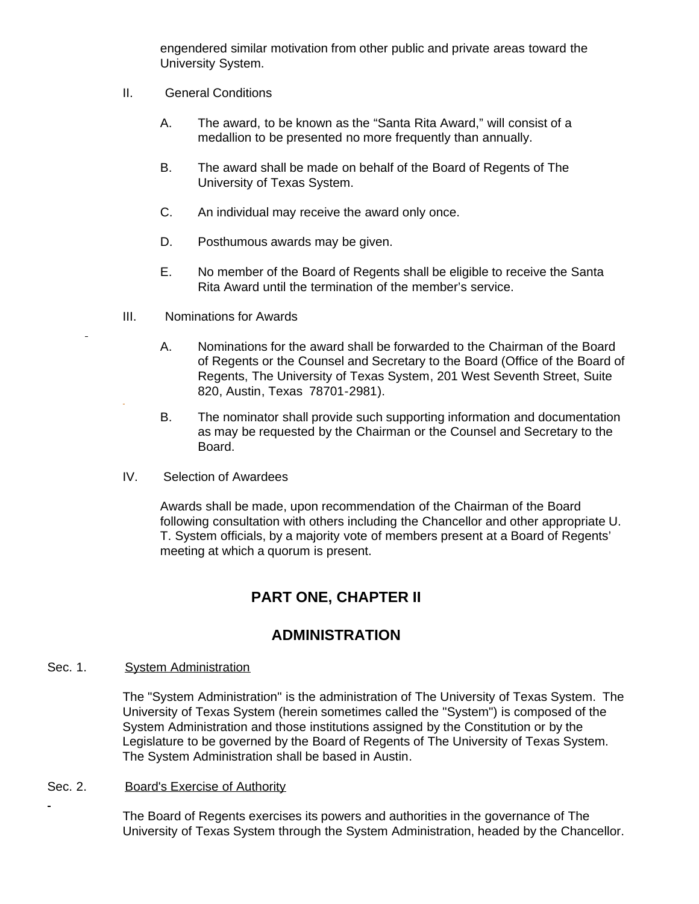engendered similar motivation from other public and private areas toward the University System.

- II. General Conditions
	- A. The award, to be known as the "Santa Rita Award," will consist of a medallion to be presented no more frequently than annually.
	- B. The award shall be made on behalf of the Board of Regents of The University of Texas System.
	- C. An individual may receive the award only once.
	- D. Posthumous awards may be given.
	- E. No member of the Board of Regents shall be eligible to receive the Santa Rita Award until the termination of the member's service.
- III. Nominations for Awards
	- A. Nominations for the award shall be forwarded to the Chairman of the Board of Regents or the Counsel and Secretary to the Board (Office of the Board of Regents, The University of Texas System, 201 West Seventh Street, Suite 820, Austin, Texas 78701-2981).
	- B. The nominator shall provide such supporting information and documentation as may be requested by the Chairman or the Counsel and Secretary to the Board.
- IV. Selection of Awardees

Awards shall be made, upon recommendation of the Chairman of the Board following consultation with others including the Chancellor and other appropriate U. T. System officials, by a majority vote of members present at a Board of Regents' meeting at which a quorum is present.

# **PART ONE, CHAPTER II**

# **ADMINISTRATION**

### <span id="page-31-2"></span><span id="page-31-1"></span><span id="page-31-0"></span>Sec. 1. System Administration

The "System Administration" is the administration of The University of Texas System. The University of Texas System (herein sometimes called the "System") is composed of the System Administration and those institutions assigned by the Constitution or by the Legislature to be governed by the Board of Regents of The University of Texas System. The System Administration shall be based in Austin.

### <span id="page-31-3"></span>Sec. 2. Board's Exercise of Authority

The Board of Regents exercises its powers and authorities in the governance of The University of Texas System through the System Administration, headed by the Chancellor.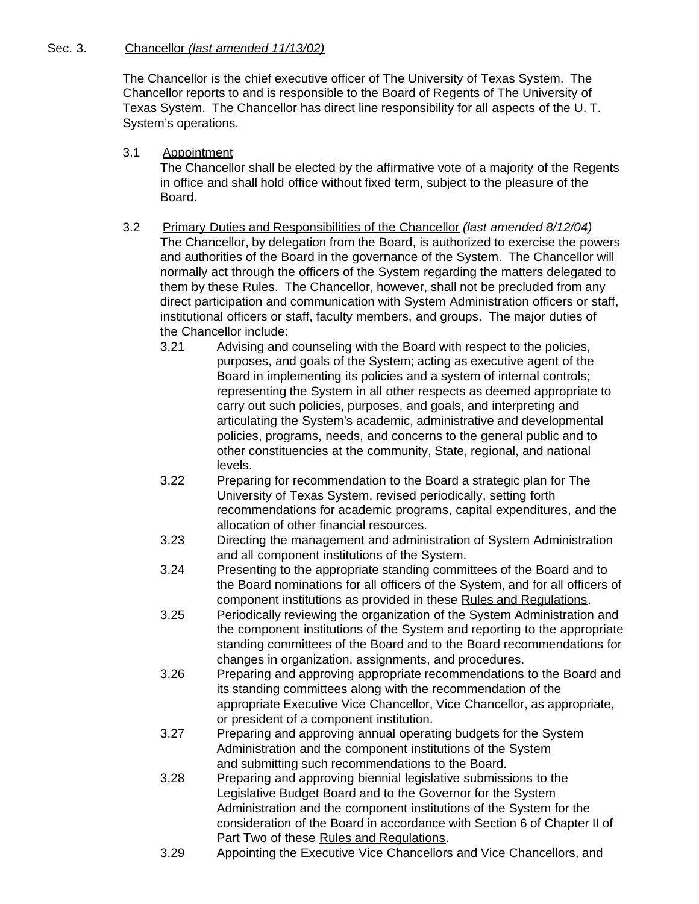### <span id="page-32-1"></span><span id="page-32-0"></span>Sec. 3. Chancellor *(last amended 11/13/02)*

The Chancellor is the chief executive officer of The University of Texas System. The Chancellor reports to and is responsible to the Board of Regents of The University of Texas System. The Chancellor has direct line responsibility for all aspects of the U. T. System's operations.

- 3.1 Appointment The Chancellor shall be elected by the affirmative vote of a majority of the Regents in office and shall hold office without fixed term, subject to the pleasure of the Board.
- <span id="page-32-2"></span>3.2 Primary Duties and Responsibilities of the Chancellor *(last amended 8/12/04)* The Chancellor, by delegation from the Board, is authorized to exercise the powers and authorities of the Board in the governance of the System. The Chancellor will normally act through the officers of the System regarding the matters delegated to them by these Rules. The Chancellor, however, shall not be precluded from any direct participation and communication with System Administration officers or staff, institutional officers or staff, faculty members, and groups. The major duties of the Chancellor include:
	- 3.21 Advising and counseling with the Board with respect to the policies, purposes, and goals of the System; acting as executive agent of the Board in implementing its policies and a system of internal controls; representing the System in all other respects as deemed appropriate to carry out such policies, purposes, and goals, and interpreting and articulating the System's academic, administrative and developmental policies, programs, needs, and concerns to the general public and to other constituencies at the community, State, regional, and national levels.
	- 3.22 Preparing for recommendation to the Board a strategic plan for The University of Texas System, revised periodically, setting forth recommendations for academic programs, capital expenditures, and the allocation of other financial resources.
	- 3.23 Directing the management and administration of System Administration and all component institutions of the System.
	- 3.24 Presenting to the appropriate standing committees of the Board and to the Board nominations for all officers of the System, and for all officers of component institutions as provided in these Rules and Regulations.
	- 3.25 Periodically reviewing the organization of the System Administration and the component institutions of the System and reporting to the appropriate standing committees of the Board and to the Board recommendations for changes in organization, assignments, and procedures.
	- 3.26 Preparing and approving appropriate recommendations to the Board and its standing committees along with the recommendation of the appropriate Executive Vice Chancellor, Vice Chancellor, as appropriate, or president of a component institution.
	- 3.27 Preparing and approving annual operating budgets for the System Administration and the component institutions of the System and submitting such recommendations to the Board.
	- 3.28 Preparing and approving biennial legislative submissions to the Legislative Budget Board and to the Governor for the System Administration and the component institutions of the System for the consideration of the Board in accordance with Section 6 of Chapter II of Part Two of these Rules and Regulations.
	- 3.29 Appointing the Executive Vice Chancellors and Vice Chancellors, and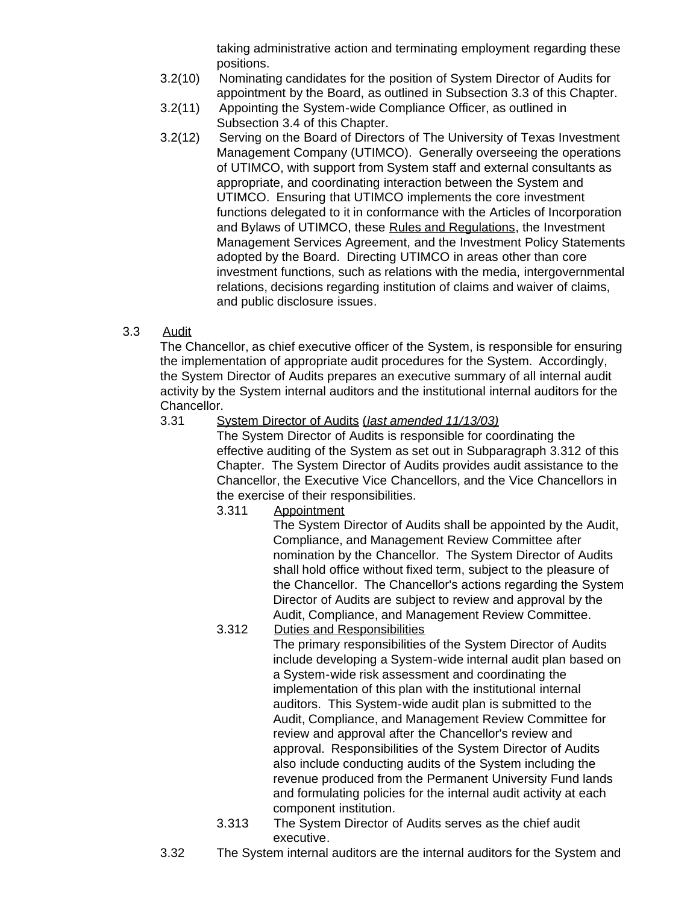taking administrative action and terminating employment regarding these positions.

- 3.2(10) Nominating candidates for the position of System Director of Audits for appointment by the Board, as outlined in Subsection 3.3 of this Chapter.
- 3.2(11) Appointing the System-wide Compliance Officer, as outlined in Subsection 3.4 of this Chapter.
- 3.2(12) Serving on the Board of Directors of The University of Texas Investment Management Company (UTIMCO). Generally overseeing the operations of UTIMCO, with support from System staff and external consultants as appropriate, and coordinating interaction between the System and UTIMCO. Ensuring that UTIMCO implements the core investment functions delegated to it in conformance with the Articles of Incorporation and Bylaws of UTIMCO, these Rules and Regulations, the Investment Management Services Agreement, and the Investment Policy Statements adopted by the Board. Directing UTIMCO in areas other than core investment functions, such as relations with the media, intergovernmental relations, decisions regarding institution of claims and waiver of claims, and public disclosure issues.
- <span id="page-33-0"></span>3.3 Audit

The Chancellor, as chief executive officer of the System, is responsible for ensuring the implementation of appropriate audit procedures for the System. Accordingly, the System Director of Audits prepares an executive summary of all internal audit activity by the System internal auditors and the institutional internal auditors for the Chancellor.<br>3.31 S

### 3.31 System Director of Audits (*last amended 11/13/03)*

The System Director of Audits is responsible for coordinating the effective auditing of the System as set out in Subparagraph 3.312 of this Chapter. The System Director of Audits provides audit assistance to the Chancellor, the Executive Vice Chancellors, and the Vice Chancellors in the exercise of their responsibilities.

3.311 Appointment

The System Director of Audits shall be appointed by the Audit, Compliance, and Management Review Committee after nomination by the Chancellor. The System Director of Audits shall hold office without fixed term, subject to the pleasure of the Chancellor. The Chancellor's actions regarding the System Director of Audits are subject to review and approval by the Audit, Compliance, and Management Review Committee.

3.312 Duties and Responsibilities

The primary responsibilities of the System Director of Audits include developing a System-wide internal audit plan based on a System-wide risk assessment and coordinating the implementation of this plan with the institutional internal auditors. This System-wide audit plan is submitted to the Audit, Compliance, and Management Review Committee for review and approval after the Chancellor's review and approval. Responsibilities of the System Director of Audits also include conducting audits of the System including the revenue produced from the Permanent University Fund lands and formulating policies for the internal audit activity at each component institution.

- 3.313 The System Director of Audits serves as the chief audit executive.
- 3.32 The System internal auditors are the internal auditors for the System and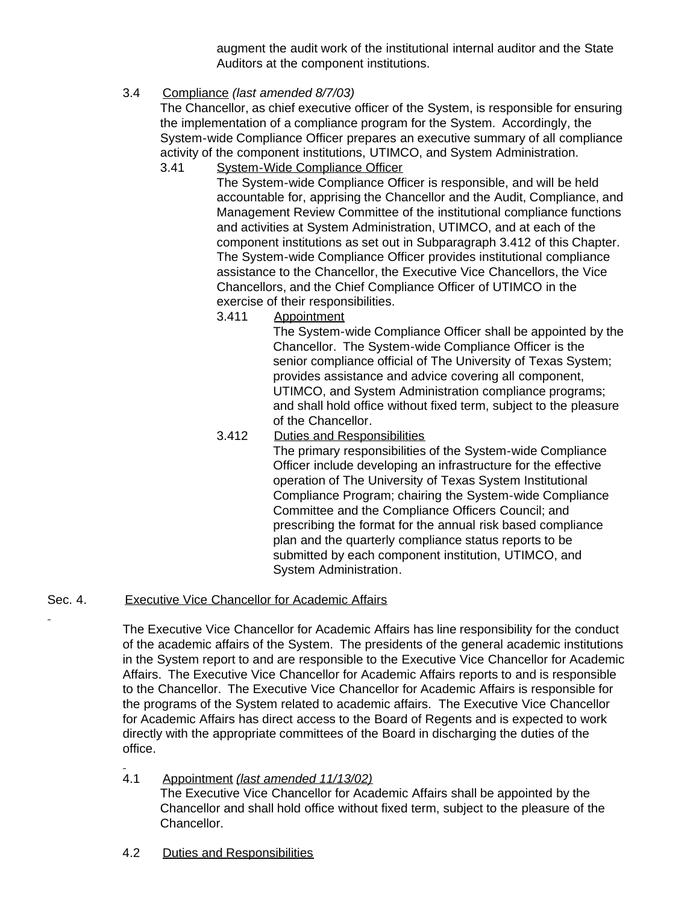augment the audit work of the institutional internal auditor and the State Auditors at the component institutions.

## <span id="page-34-0"></span>3.4 Compliance *(last amended 8/7/03)*

The Chancellor, as chief executive officer of the System, is responsible for ensuring the implementation of a compliance program for the System. Accordingly, the System-wide Compliance Officer prepares an executive summary of all compliance activity of the component institutions, UTIMCO, and System Administration.

3.41 System-Wide Compliance Officer

The System-wide Compliance Officer is responsible, and will be held accountable for, apprising the Chancellor and the Audit, Compliance, and Management Review Committee of the institutional compliance functions and activities at System Administration, UTIMCO, and at each of the component institutions as set out in Subparagraph 3.412 of this Chapter. The System-wide Compliance Officer provides institutional compliance assistance to the Chancellor, the Executive Vice Chancellors, the Vice Chancellors, and the Chief Compliance Officer of UTIMCO in the exercise of their responsibilities.

3.411 Appointment

The System-wide Compliance Officer shall be appointed by the Chancellor. The System-wide Compliance Officer is the senior compliance official of The University of Texas System; provides assistance and advice covering all component, UTIMCO, and System Administration compliance programs; and shall hold office without fixed term, subject to the pleasure of the Chancellor.

3.412 Duties and Responsibilities

The primary responsibilities of the System-wide Compliance Officer include developing an infrastructure for the effective operation of The University of Texas System Institutional Compliance Program; chairing the System-wide Compliance Committee and the Compliance Officers Council; and prescribing the format for the annual risk based compliance plan and the quarterly compliance status reports to be submitted by each component institution, UTIMCO, and System Administration.

## <span id="page-34-1"></span>Sec. 4. Executive Vice Chancellor for Academic Affairs

The Executive Vice Chancellor for Academic Affairs has line responsibility for the conduct of the academic affairs of the System. The presidents of the general academic institutions in the System report to and are responsible to the Executive Vice Chancellor for Academic Affairs. The Executive Vice Chancellor for Academic Affairs reports to and is responsible to the Chancellor. The Executive Vice Chancellor for Academic Affairs is responsible for the programs of the System related to academic affairs. The Executive Vice Chancellor for Academic Affairs has direct access to the Board of Regents and is expected to work directly with the appropriate committees of the Board in discharging the duties of the office.

<span id="page-34-2"></span>4.1 Appointment *(last amended 11/13/02)*

The Executive Vice Chancellor for Academic Affairs shall be appointed by the Chancellor and shall hold office without fixed term, subject to the pleasure of the Chancellor.

<span id="page-34-3"></span>4.2 Duties and Responsibilities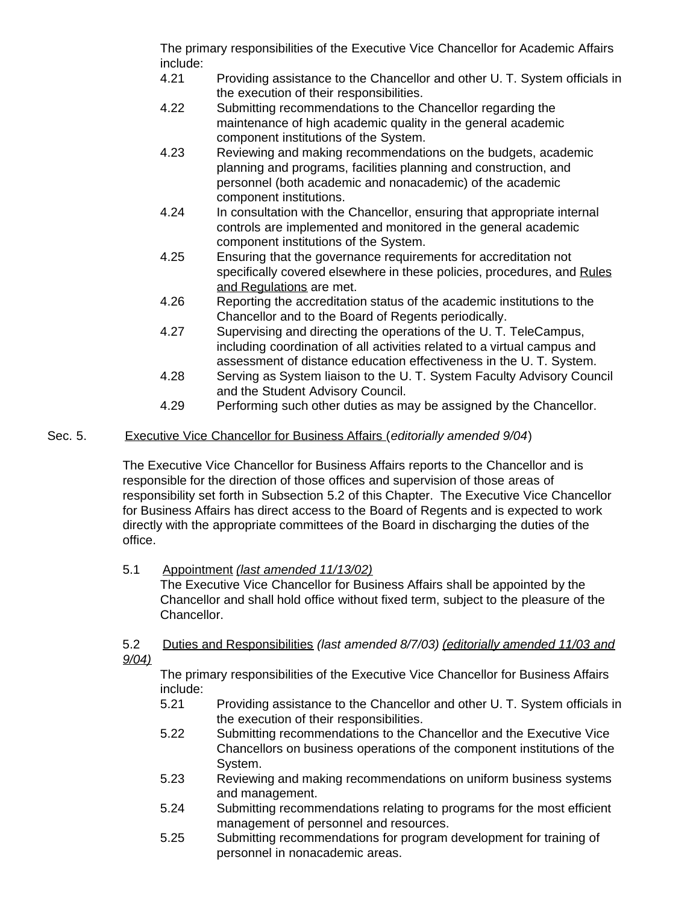The primary responsibilities of the Executive Vice Chancellor for Academic Affairs include:

- 4.21 Providing assistance to the Chancellor and other U. T. System officials in the execution of their responsibilities.
- 4.22 Submitting recommendations to the Chancellor regarding the maintenance of high academic quality in the general academic component institutions of the System.
- 4.23 Reviewing and making recommendations on the budgets, academic planning and programs, facilities planning and construction, and personnel (both academic and nonacademic) of the academic component institutions.
- 4.24 In consultation with the Chancellor, ensuring that appropriate internal controls are implemented and monitored in the general academic component institutions of the System.
- 4.25 Ensuring that the governance requirements for accreditation not specifically covered elsewhere in these policies, procedures, and Rules and Regulations are met.
- 4.26 Reporting the accreditation status of the academic institutions to the Chancellor and to the Board of Regents periodically.
- 4.27 Supervising and directing the operations of the U. T. TeleCampus, including coordination of all activities related to a virtual campus and assessment of distance education effectiveness in the U. T. System.
- 4.28 Serving as System liaison to the U. T. System Faculty Advisory Council and the Student Advisory Council.
- 4.29 Performing such other duties as may be assigned by the Chancellor.

### <span id="page-35-0"></span>Sec. 5. Executive Vice Chancellor for Business Affairs (*editorially amended 9/04*)

The Executive Vice Chancellor for Business Affairs reports to the Chancellor and is responsible for the direction of those offices and supervision of those areas of responsibility set forth in Subsection 5.2 of this Chapter. The Executive Vice Chancellor for Business Affairs has direct access to the Board of Regents and is expected to work directly with the appropriate committees of the Board in discharging the duties of the office.

## <span id="page-35-1"></span>5.1 Appointment *(last amended 11/13/02)*

The Executive Vice Chancellor for Business Affairs shall be appointed by the Chancellor and shall hold office without fixed term, subject to the pleasure of the Chancellor.

<span id="page-35-2"></span>5.2 Duties and Responsibilities *(last amended 8/7/03) (editorially amended 11/03 and 9/04)*

The primary responsibilities of the Executive Vice Chancellor for Business Affairs include:

- 5.21 Providing assistance to the Chancellor and other U. T. System officials in the execution of their responsibilities.
- 5.22 Submitting recommendations to the Chancellor and the Executive Vice Chancellors on business operations of the component institutions of the System.
- 5.23 Reviewing and making recommendations on uniform business systems and management.
- 5.24 Submitting recommendations relating to programs for the most efficient management of personnel and resources.
- 5.25 Submitting recommendations for program development for training of personnel in nonacademic areas.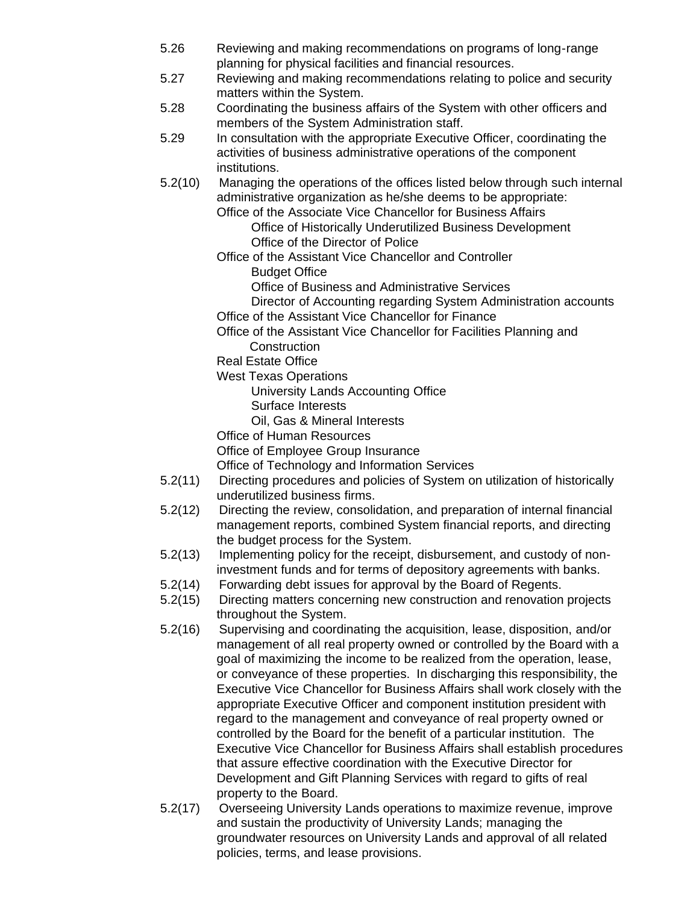- 5.26 Reviewing and making recommendations on programs of long-range planning for physical facilities and financial resources.
- 5.27 Reviewing and making recommendations relating to police and security matters within the System.
- 5.28 Coordinating the business affairs of the System with other officers and members of the System Administration staff.
- 5.29 In consultation with the appropriate Executive Officer, coordinating the activities of business administrative operations of the component institutions.
- 5.2(10) Managing the operations of the offices listed below through such internal administrative organization as he/she deems to be appropriate:

Office of the Associate Vice Chancellor for Business Affairs

 Office of Historically Underutilized Business Development Office of the Director of Police

- Office of the Assistant Vice Chancellor and Controller
	- Budget Office

Office of Business and Administrative Services

- Director of Accounting regarding System Administration accounts Office of the Assistant Vice Chancellor for Finance
- Office of the Assistant Vice Chancellor for Facilities Planning and **Construction**

Real Estate Office

West Texas Operations

 University Lands Accounting Office Surface Interests

Oil, Gas & Mineral Interests

Office of Human Resources

Office of Employee Group Insurance

Office of Technology and Information Services

- 5.2(11) Directing procedures and policies of System on utilization of historically underutilized business firms.
- 5.2(12) Directing the review, consolidation, and preparation of internal financial management reports, combined System financial reports, and directing the budget process for the System.
- 5.2(13) Implementing policy for the receipt, disbursement, and custody of noninvestment funds and for terms of depository agreements with banks.
- 5.2(14) Forwarding debt issues for approval by the Board of Regents.
- 5.2(15) Directing matters concerning new construction and renovation projects throughout the System.
- 5.2(16) Supervising and coordinating the acquisition, lease, disposition, and/or management of all real property owned or controlled by the Board with a goal of maximizing the income to be realized from the operation, lease, or conveyance of these properties. In discharging this responsibility, the Executive Vice Chancellor for Business Affairs shall work closely with the appropriate Executive Officer and component institution president with regard to the management and conveyance of real property owned or controlled by the Board for the benefit of a particular institution. The Executive Vice Chancellor for Business Affairs shall establish procedures that assure effective coordination with the Executive Director for Development and Gift Planning Services with regard to gifts of real property to the Board.
- 5.2(17) Overseeing University Lands operations to maximize revenue, improve and sustain the productivity of University Lands; managing the groundwater resources on University Lands and approval of all related policies, terms, and lease provisions.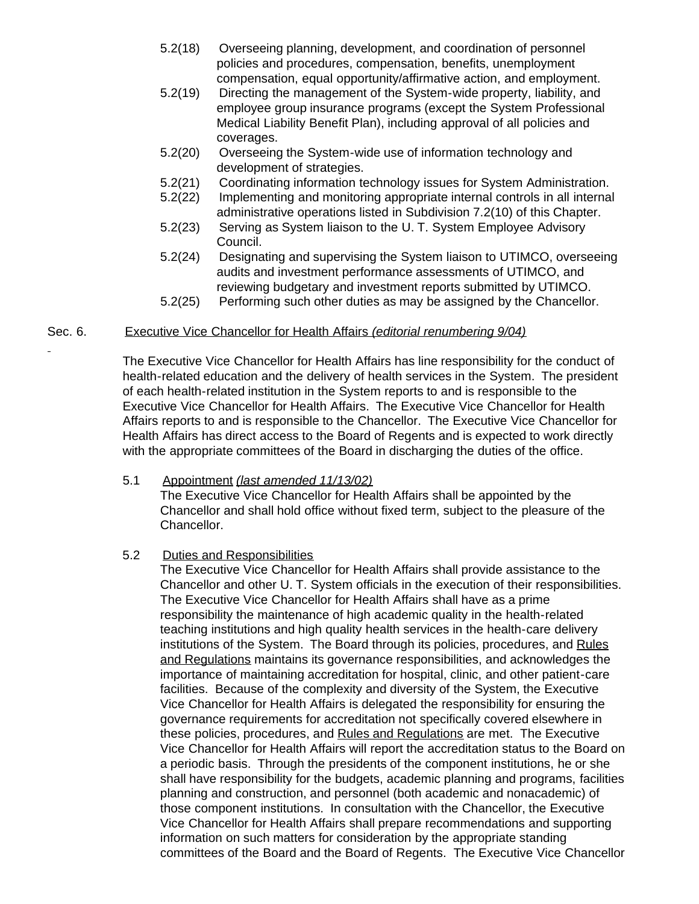- 5.2(18) Overseeing planning, development, and coordination of personnel policies and procedures, compensation, benefits, unemployment compensation, equal opportunity/affirmative action, and employment.
- 5.2(19) Directing the management of the System-wide property, liability, and employee group insurance programs (except the System Professional Medical Liability Benefit Plan), including approval of all policies and coverages.
- 5.2(20) Overseeing the System-wide use of information technology and development of strategies.
- 5.2(21) Coordinating information technology issues for System Administration.
- 5.2(22) Implementing and monitoring appropriate internal controls in all internal administrative operations listed in Subdivision 7.2(10) of this Chapter.
- 5.2(23) Serving as System liaison to the U. T. System Employee Advisory Council.
- 5.2(24) Designating and supervising the System liaison to UTIMCO, overseeing audits and investment performance assessments of UTIMCO, and reviewing budgetary and investment reports submitted by UTIMCO.
- 5.2(25) Performing such other duties as may be assigned by the Chancellor.

## Sec. 6. Executive Vice Chancellor for Health Affairs *(editorial renumbering 9/04)*

The Executive Vice Chancellor for Health Affairs has line responsibility for the conduct of health-related education and the delivery of health services in the System. The president of each health-related institution in the System reports to and is responsible to the Executive Vice Chancellor for Health Affairs. The Executive Vice Chancellor for Health Affairs reports to and is responsible to the Chancellor. The Executive Vice Chancellor for Health Affairs has direct access to the Board of Regents and is expected to work directly with the appropriate committees of the Board in discharging the duties of the office.

#### 5.1 Appointment *(last amended 11/13/02)*

The Executive Vice Chancellor for Health Affairs shall be appointed by the Chancellor and shall hold office without fixed term, subject to the pleasure of the Chancellor.

## 5.2 Duties and Responsibilities

The Executive Vice Chancellor for Health Affairs shall provide assistance to the Chancellor and other U. T. System officials in the execution of their responsibilities. The Executive Vice Chancellor for Health Affairs shall have as a prime responsibility the maintenance of high academic quality in the health-related teaching institutions and high quality health services in the health-care delivery institutions of the System. The Board through its policies, procedures, and Rules and Regulations maintains its governance responsibilities, and acknowledges the importance of maintaining accreditation for hospital, clinic, and other patient-care facilities. Because of the complexity and diversity of the System, the Executive Vice Chancellor for Health Affairs is delegated the responsibility for ensuring the governance requirements for accreditation not specifically covered elsewhere in these policies, procedures, and Rules and Regulations are met. The Executive Vice Chancellor for Health Affairs will report the accreditation status to the Board on a periodic basis. Through the presidents of the component institutions, he or she shall have responsibility for the budgets, academic planning and programs, facilities planning and construction, and personnel (both academic and nonacademic) of those component institutions. In consultation with the Chancellor, the Executive Vice Chancellor for Health Affairs shall prepare recommendations and supporting information on such matters for consideration by the appropriate standing committees of the Board and the Board of Regents. The Executive Vice Chancellor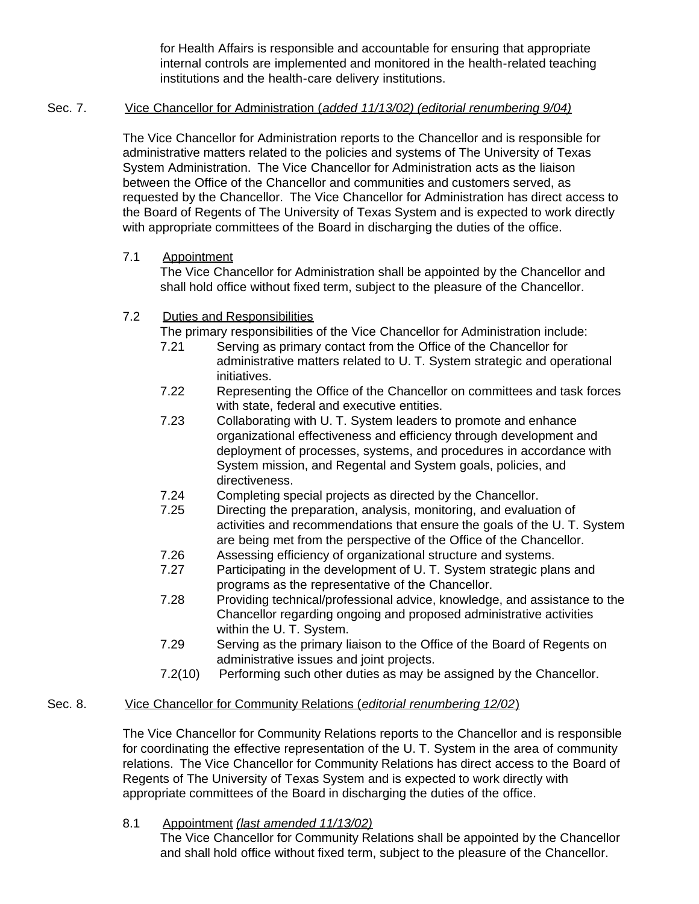for Health Affairs is responsible and accountable for ensuring that appropriate internal controls are implemented and monitored in the health-related teaching institutions and the health-care delivery institutions.

## Sec. 7. Vice Chancellor for Administration (*added 11/13/02) (editorial renumbering 9/04)*

The Vice Chancellor for Administration reports to the Chancellor and is responsible for administrative matters related to the policies and systems of The University of Texas System Administration. The Vice Chancellor for Administration acts as the liaison between the Office of the Chancellor and communities and customers served, as requested by the Chancellor. The Vice Chancellor for Administration has direct access to the Board of Regents of The University of Texas System and is expected to work directly with appropriate committees of the Board in discharging the duties of the office.

## 7.1 Appointment

The Vice Chancellor for Administration shall be appointed by the Chancellor and shall hold office without fixed term, subject to the pleasure of the Chancellor.

## 7.2 Duties and Responsibilities

The primary responsibilities of the Vice Chancellor for Administration include:

- 7.21 Serving as primary contact from the Office of the Chancellor for administrative matters related to U. T. System strategic and operational initiatives.
- 7.22 Representing the Office of the Chancellor on committees and task forces with state, federal and executive entities.
- 7.23 Collaborating with U. T. System leaders to promote and enhance organizational effectiveness and efficiency through development and deployment of processes, systems, and procedures in accordance with System mission, and Regental and System goals, policies, and directiveness.
- 7.24 Completing special projects as directed by the Chancellor.
- 7.25 Directing the preparation, analysis, monitoring, and evaluation of activities and recommendations that ensure the goals of the U. T. System are being met from the perspective of the Office of the Chancellor.
- 7.26 Assessing efficiency of organizational structure and systems.
- 7.27 Participating in the development of U. T. System strategic plans and programs as the representative of the Chancellor.
- 7.28 Providing technical/professional advice, knowledge, and assistance to the Chancellor regarding ongoing and proposed administrative activities within the U. T. System.
- 7.29 Serving as the primary liaison to the Office of the Board of Regents on administrative issues and joint projects.
- 7.2(10) Performing such other duties as may be assigned by the Chancellor.

# Sec. 8. Vice Chancellor for Community Relations (*editorial renumbering 12/02*)

The Vice Chancellor for Community Relations reports to the Chancellor and is responsible for coordinating the effective representation of the U. T. System in the area of community relations. The Vice Chancellor for Community Relations has direct access to the Board of Regents of The University of Texas System and is expected to work directly with appropriate committees of the Board in discharging the duties of the office.

8.1 Appointment *(last amended 11/13/02)*

The Vice Chancellor for Community Relations shall be appointed by the Chancellor and shall hold office without fixed term, subject to the pleasure of the Chancellor.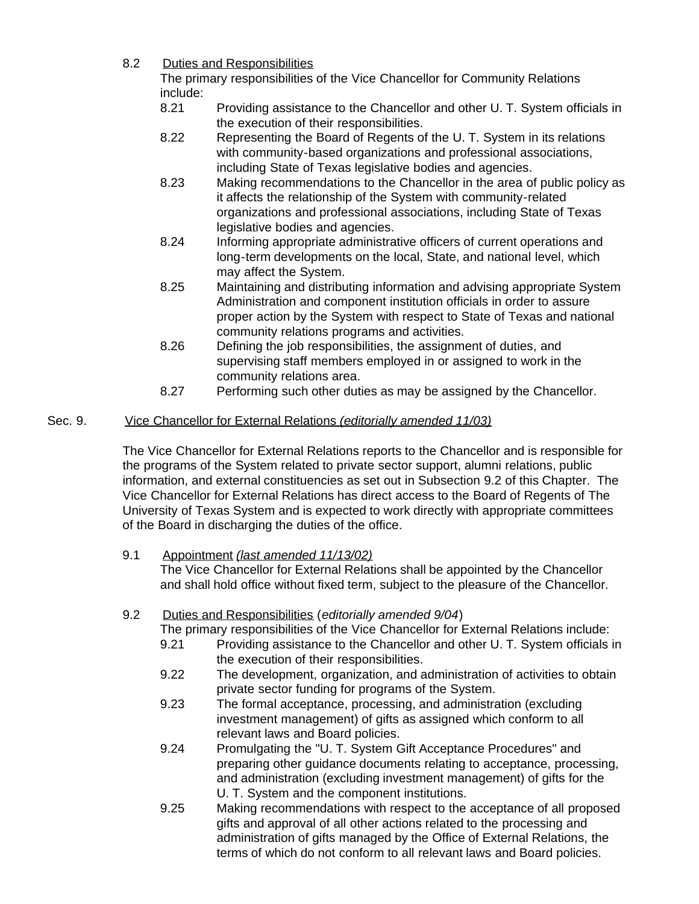8.2 Duties and Responsibilities

The primary responsibilities of the Vice Chancellor for Community Relations include:<br>8.21

- 8.21 Providing assistance to the Chancellor and other U. T. System officials in the execution of their responsibilities.
- 8.22 Representing the Board of Regents of the U. T. System in its relations with community-based organizations and professional associations, including State of Texas legislative bodies and agencies.
- 8.23 Making recommendations to the Chancellor in the area of public policy as it affects the relationship of the System with community-related organizations and professional associations, including State of Texas legislative bodies and agencies.
- 8.24 Informing appropriate administrative officers of current operations and long-term developments on the local, State, and national level, which may affect the System.
- 8.25 Maintaining and distributing information and advising appropriate System Administration and component institution officials in order to assure proper action by the System with respect to State of Texas and national community relations programs and activities.
- 8.26 Defining the job responsibilities, the assignment of duties, and supervising staff members employed in or assigned to work in the community relations area.
- 8.27 Performing such other duties as may be assigned by the Chancellor.

# Sec. 9. Vice Chancellor for External Relations *(editorially amended 11/03)*

The Vice Chancellor for External Relations reports to the Chancellor and is responsible for the programs of the System related to private sector support, alumni relations, public information, and external constituencies as set out in Subsection 9.2 of this Chapter. The Vice Chancellor for External Relations has direct access to the Board of Regents of The University of Texas System and is expected to work directly with appropriate committees of the Board in discharging the duties of the office.

## 9.1 Appointment *(last amended 11/13/02)*

The Vice Chancellor for External Relations shall be appointed by the Chancellor and shall hold office without fixed term, subject to the pleasure of the Chancellor.

# 9.2 Duties and Responsibilities (*editorially amended 9/04*)

The primary responsibilities of the Vice Chancellor for External Relations include:

- 9.21 Providing assistance to the Chancellor and other U. T. System officials in the execution of their responsibilities.
- 9.22 The development, organization, and administration of activities to obtain private sector funding for programs of the System.
- 9.23 The formal acceptance, processing, and administration (excluding investment management) of gifts as assigned which conform to all relevant laws and Board policies.
- 9.24 Promulgating the "U. T. System Gift Acceptance Procedures" and preparing other guidance documents relating to acceptance, processing, and administration (excluding investment management) of gifts for the U. T. System and the component institutions.
- 9.25 Making recommendations with respect to the acceptance of all proposed gifts and approval of all other actions related to the processing and administration of gifts managed by the Office of External Relations, the terms of which do not conform to all relevant laws and Board policies.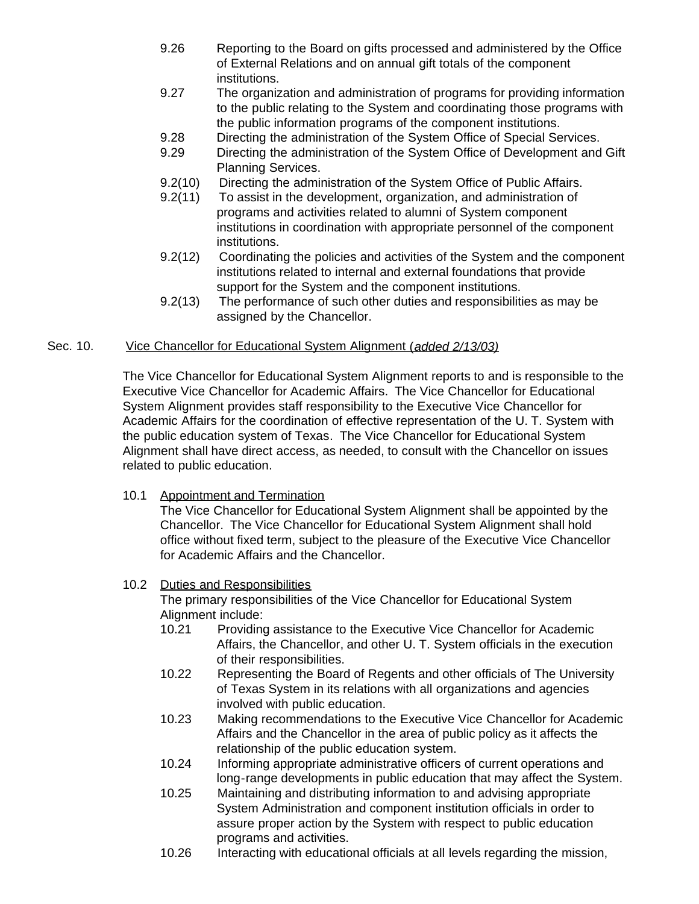- 9.26 Reporting to the Board on gifts processed and administered by the Office of External Relations and on annual gift totals of the component institutions.
- 9.27 The organization and administration of programs for providing information to the public relating to the System and coordinating those programs with the public information programs of the component institutions.
- 9.28 Directing the administration of the System Office of Special Services.
- 9.29 Directing the administration of the System Office of Development and Gift Planning Services.
- 9.2(10) Directing the administration of the System Office of Public Affairs.
- 9.2(11) To assist in the development, organization, and administration of programs and activities related to alumni of System component institutions in coordination with appropriate personnel of the component institutions.
- 9.2(12) Coordinating the policies and activities of the System and the component institutions related to internal and external foundations that provide support for the System and the component institutions.
- 9.2(13) The performance of such other duties and responsibilities as may be assigned by the Chancellor.

## Sec. 10. Vice Chancellor for Educational System Alignment (*added 2/13/03)*

The Vice Chancellor for Educational System Alignment reports to and is responsible to the Executive Vice Chancellor for Academic Affairs. The Vice Chancellor for Educational System Alignment provides staff responsibility to the Executive Vice Chancellor for Academic Affairs for the coordination of effective representation of the U. T. System with the public education system of Texas. The Vice Chancellor for Educational System Alignment shall have direct access, as needed, to consult with the Chancellor on issues related to public education.

## 10.1 Appointment and Termination

The Vice Chancellor for Educational System Alignment shall be appointed by the Chancellor. The Vice Chancellor for Educational System Alignment shall hold office without fixed term, subject to the pleasure of the Executive Vice Chancellor for Academic Affairs and the Chancellor.

## 10.2 Duties and Responsibilities

The primary responsibilities of the Vice Chancellor for Educational System Alignment include:

- 10.21 Providing assistance to the Executive Vice Chancellor for Academic Affairs, the Chancellor, and other U. T. System officials in the execution of their responsibilities.
- 10.22 Representing the Board of Regents and other officials of The University of Texas System in its relations with all organizations and agencies involved with public education.
- 10.23 Making recommendations to the Executive Vice Chancellor for Academic Affairs and the Chancellor in the area of public policy as it affects the relationship of the public education system.
- 10.24 Informing appropriate administrative officers of current operations and long-range developments in public education that may affect the System.
- 10.25 Maintaining and distributing information to and advising appropriate System Administration and component institution officials in order to assure proper action by the System with respect to public education programs and activities.
- 10.26 Interacting with educational officials at all levels regarding the mission,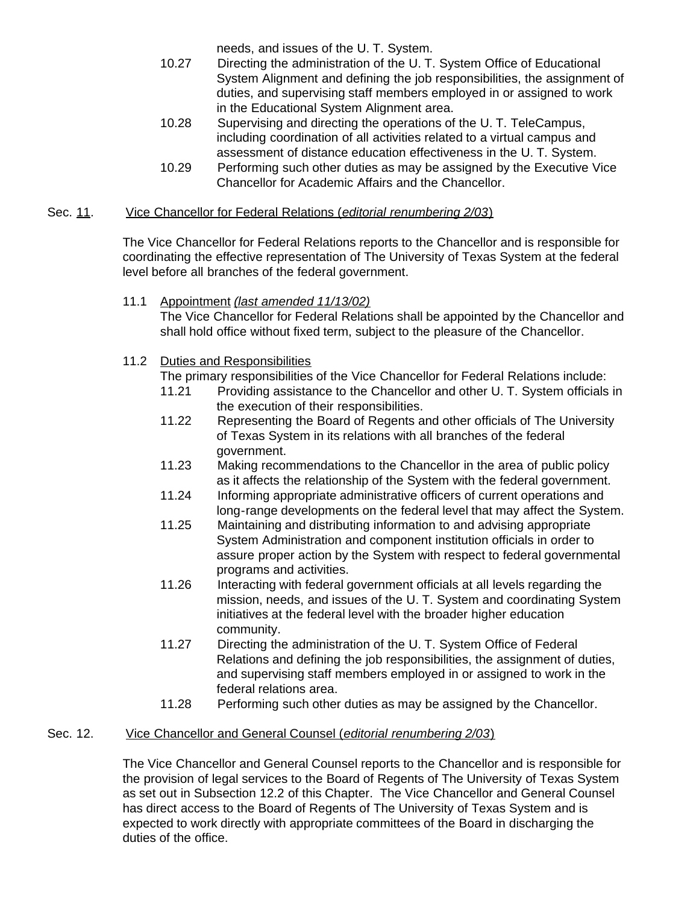needs, and issues of the U. T. System.

- 10.27 Directing the administration of the U. T. System Office of Educational System Alignment and defining the job responsibilities, the assignment of duties, and supervising staff members employed in or assigned to work in the Educational System Alignment area.
- 10.28 Supervising and directing the operations of the U. T. TeleCampus, including coordination of all activities related to a virtual campus and assessment of distance education effectiveness in the U. T. System.
- 10.29 Performing such other duties as may be assigned by the Executive Vice Chancellor for Academic Affairs and the Chancellor.

## Sec. 11. Vice Chancellor for Federal Relations (*editorial renumbering 2/03*)

The Vice Chancellor for Federal Relations reports to the Chancellor and is responsible for coordinating the effective representation of The University of Texas System at the federal level before all branches of the federal government.

## 11.1 Appointment *(last amended 11/13/02)*

The Vice Chancellor for Federal Relations shall be appointed by the Chancellor and shall hold office without fixed term, subject to the pleasure of the Chancellor.

11.2 Duties and Responsibilities

The primary responsibilities of the Vice Chancellor for Federal Relations include:

- 11.21 Providing assistance to the Chancellor and other U. T. System officials in the execution of their responsibilities.
- 11.22 Representing the Board of Regents and other officials of The University of Texas System in its relations with all branches of the federal government.
- 11.23 Making recommendations to the Chancellor in the area of public policy as it affects the relationship of the System with the federal government.
- 11.24 Informing appropriate administrative officers of current operations and long-range developments on the federal level that may affect the System.
- 11.25 Maintaining and distributing information to and advising appropriate System Administration and component institution officials in order to assure proper action by the System with respect to federal governmental programs and activities.
- 11.26 Interacting with federal government officials at all levels regarding the mission, needs, and issues of the U. T. System and coordinating System initiatives at the federal level with the broader higher education community.
- 11.27 Directing the administration of the U. T. System Office of Federal Relations and defining the job responsibilities, the assignment of duties, and supervising staff members employed in or assigned to work in the federal relations area.
- 11.28 Performing such other duties as may be assigned by the Chancellor.

# Sec. 12. Vice Chancellor and General Counsel (*editorial renumbering 2/03*)

The Vice Chancellor and General Counsel reports to the Chancellor and is responsible for the provision of legal services to the Board of Regents of The University of Texas System as set out in Subsection 12.2 of this Chapter. The Vice Chancellor and General Counsel has direct access to the Board of Regents of The University of Texas System and is expected to work directly with appropriate committees of the Board in discharging the duties of the office.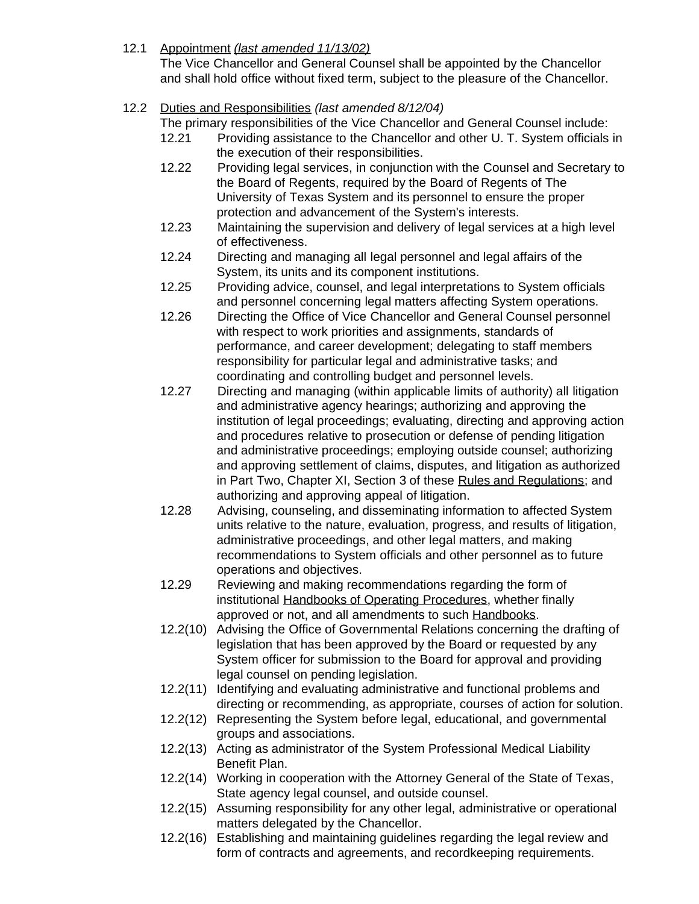# 12.1 Appointment *(last amended 11/13/02)*

The Vice Chancellor and General Counsel shall be appointed by the Chancellor and shall hold office without fixed term, subject to the pleasure of the Chancellor.

# 12.2 Duties and Responsibilities *(last amended 8/12/04)*

The primary responsibilities of the Vice Chancellor and General Counsel include:

- 12.21 Providing assistance to the Chancellor and other U. T. System officials in the execution of their responsibilities.
- 12.22 Providing legal services, in conjunction with the Counsel and Secretary to the Board of Regents, required by the Board of Regents of The University of Texas System and its personnel to ensure the proper protection and advancement of the System's interests.
- 12.23 Maintaining the supervision and delivery of legal services at a high level of effectiveness.
- 12.24 Directing and managing all legal personnel and legal affairs of the System, its units and its component institutions.
- 12.25 Providing advice, counsel, and legal interpretations to System officials and personnel concerning legal matters affecting System operations.
- 12.26 Directing the Office of Vice Chancellor and General Counsel personnel with respect to work priorities and assignments, standards of performance, and career development; delegating to staff members responsibility for particular legal and administrative tasks; and coordinating and controlling budget and personnel levels.
- 12.27 Directing and managing (within applicable limits of authority) all litigation and administrative agency hearings; authorizing and approving the institution of legal proceedings; evaluating, directing and approving action and procedures relative to prosecution or defense of pending litigation and administrative proceedings; employing outside counsel; authorizing and approving settlement of claims, disputes, and litigation as authorized in Part Two, Chapter XI, Section 3 of these Rules and Regulations; and authorizing and approving appeal of litigation.
- 12.28 Advising, counseling, and disseminating information to affected System units relative to the nature, evaluation, progress, and results of litigation, administrative proceedings, and other legal matters, and making recommendations to System officials and other personnel as to future operations and objectives.
- 12.29 Reviewing and making recommendations regarding the form of institutional Handbooks of Operating Procedures, whether finally approved or not, and all amendments to such Handbooks.
- 12.2(10) Advising the Office of Governmental Relations concerning the drafting of legislation that has been approved by the Board or requested by any System officer for submission to the Board for approval and providing legal counsel on pending legislation.
- 12.2(11) Identifying and evaluating administrative and functional problems and directing or recommending, as appropriate, courses of action for solution.
- 12.2(12) Representing the System before legal, educational, and governmental groups and associations.
- 12.2(13) Acting as administrator of the System Professional Medical Liability Benefit Plan.
- 12.2(14) Working in cooperation with the Attorney General of the State of Texas, State agency legal counsel, and outside counsel.
- 12.2(15) Assuming responsibility for any other legal, administrative or operational matters delegated by the Chancellor.
- 12.2(16) Establishing and maintaining guidelines regarding the legal review and form of contracts and agreements, and recordkeeping requirements.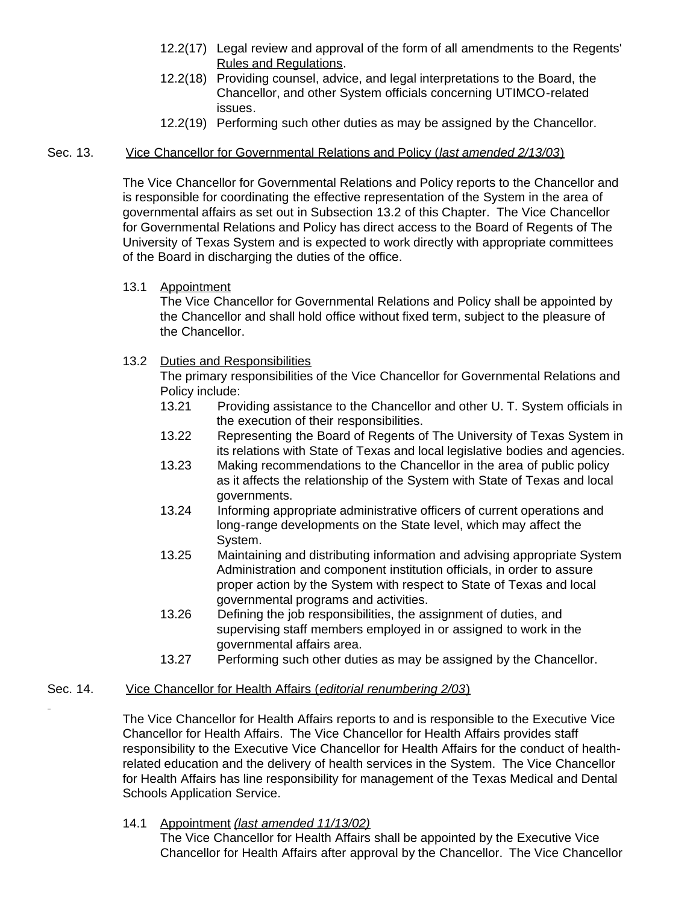- 12.2(17) Legal review and approval of the form of all amendments to the Regents' Rules and Regulations.
- 12.2(18) Providing counsel, advice, and legal interpretations to the Board, the Chancellor, and other System officials concerning UTIMCO-related issues.
- 12.2(19) Performing such other duties as may be assigned by the Chancellor.

#### Sec. 13. Vice Chancellor for Governmental Relations and Policy (*last amended 2/13/03*)

The Vice Chancellor for Governmental Relations and Policy reports to the Chancellor and is responsible for coordinating the effective representation of the System in the area of governmental affairs as set out in Subsection 13.2 of this Chapter. The Vice Chancellor for Governmental Relations and Policy has direct access to the Board of Regents of The University of Texas System and is expected to work directly with appropriate committees of the Board in discharging the duties of the office.

#### 13.1 Appointment

The Vice Chancellor for Governmental Relations and Policy shall be appointed by the Chancellor and shall hold office without fixed term, subject to the pleasure of the Chancellor.

## 13.2 Duties and Responsibilities

The primary responsibilities of the Vice Chancellor for Governmental Relations and Policy include:

- 13.21 Providing assistance to the Chancellor and other U. T. System officials in the execution of their responsibilities.
- 13.22 Representing the Board of Regents of The University of Texas System in its relations with State of Texas and local legislative bodies and agencies.
- 13.23 Making recommendations to the Chancellor in the area of public policy as it affects the relationship of the System with State of Texas and local governments.
- 13.24 Informing appropriate administrative officers of current operations and long-range developments on the State level, which may affect the System.
- 13.25 Maintaining and distributing information and advising appropriate System Administration and component institution officials, in order to assure proper action by the System with respect to State of Texas and local governmental programs and activities.
- 13.26 Defining the job responsibilities, the assignment of duties, and supervising staff members employed in or assigned to work in the governmental affairs area.
- 13.27 Performing such other duties as may be assigned by the Chancellor.

## Sec. 14. Vice Chancellor for Health Affairs (*editorial renumbering 2/03*)

The Vice Chancellor for Health Affairs reports to and is responsible to the Executive Vice Chancellor for Health Affairs. The Vice Chancellor for Health Affairs provides staff responsibility to the Executive Vice Chancellor for Health Affairs for the conduct of healthrelated education and the delivery of health services in the System. The Vice Chancellor for Health Affairs has line responsibility for management of the Texas Medical and Dental Schools Application Service.

## 14.1 Appointment *(last amended 11/13/02)*

The Vice Chancellor for Health Affairs shall be appointed by the Executive Vice Chancellor for Health Affairs after approval by the Chancellor. The Vice Chancellor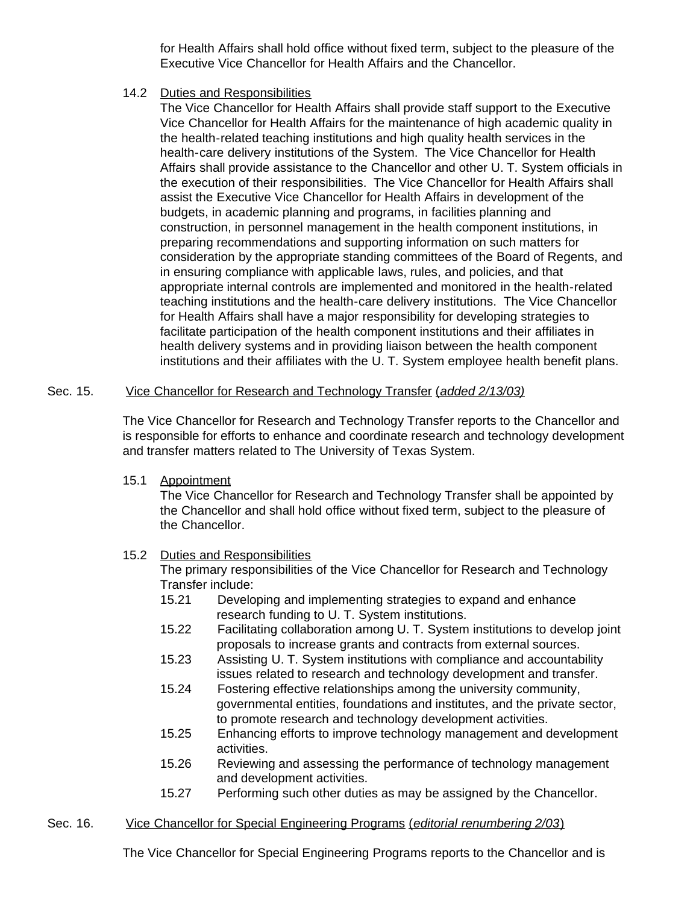for Health Affairs shall hold office without fixed term, subject to the pleasure of the Executive Vice Chancellor for Health Affairs and the Chancellor.

14.2 Duties and Responsibilities

The Vice Chancellor for Health Affairs shall provide staff support to the Executive Vice Chancellor for Health Affairs for the maintenance of high academic quality in the health-related teaching institutions and high quality health services in the health-care delivery institutions of the System. The Vice Chancellor for Health Affairs shall provide assistance to the Chancellor and other U. T. System officials in the execution of their responsibilities. The Vice Chancellor for Health Affairs shall assist the Executive Vice Chancellor for Health Affairs in development of the budgets, in academic planning and programs, in facilities planning and construction, in personnel management in the health component institutions, in preparing recommendations and supporting information on such matters for consideration by the appropriate standing committees of the Board of Regents, and in ensuring compliance with applicable laws, rules, and policies, and that appropriate internal controls are implemented and monitored in the health-related teaching institutions and the health-care delivery institutions. The Vice Chancellor for Health Affairs shall have a major responsibility for developing strategies to facilitate participation of the health component institutions and their affiliates in health delivery systems and in providing liaison between the health component institutions and their affiliates with the U. T. System employee health benefit plans.

## Sec. 15. Vice Chancellor for Research and Technology Transfer (*added 2/13/03)*

The Vice Chancellor for Research and Technology Transfer reports to the Chancellor and is responsible for efforts to enhance and coordinate research and technology development and transfer matters related to The University of Texas System.

15.1 Appointment

The Vice Chancellor for Research and Technology Transfer shall be appointed by the Chancellor and shall hold office without fixed term, subject to the pleasure of the Chancellor.

## 15.2 Duties and Responsibilities

The primary responsibilities of the Vice Chancellor for Research and Technology Transfer include:

- 15.21 Developing and implementing strategies to expand and enhance research funding to U. T. System institutions.
- 15.22 Facilitating collaboration among U. T. System institutions to develop joint proposals to increase grants and contracts from external sources.
- 15.23 Assisting U. T. System institutions with compliance and accountability issues related to research and technology development and transfer.
- 15.24 Fostering effective relationships among the university community, governmental entities, foundations and institutes, and the private sector, to promote research and technology development activities.
- 15.25 Enhancing efforts to improve technology management and development activities.
- 15.26 Reviewing and assessing the performance of technology management and development activities.
- 15.27 Performing such other duties as may be assigned by the Chancellor.

## Sec. 16. Vice Chancellor for Special Engineering Programs (*editorial renumbering 2/03*)

The Vice Chancellor for Special Engineering Programs reports to the Chancellor and is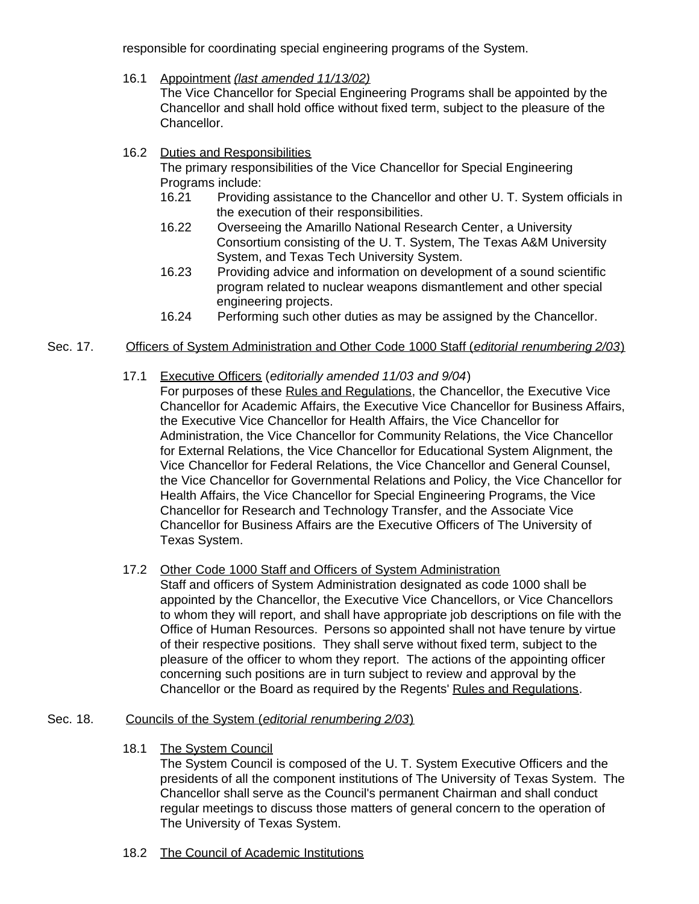responsible for coordinating special engineering programs of the System.

16.1 Appointment *(last amended 11/13/02)*

The Vice Chancellor for Special Engineering Programs shall be appointed by the Chancellor and shall hold office without fixed term, subject to the pleasure of the Chancellor.

16.2 Duties and Responsibilities

The primary responsibilities of the Vice Chancellor for Special Engineering Programs include:

- 16.21 Providing assistance to the Chancellor and other U. T. System officials in the execution of their responsibilities.
- 16.22 Overseeing the Amarillo National Research Center, a University Consortium consisting of the U. T. System, The Texas A&M University System, and Texas Tech University System.
- 16.23 Providing advice and information on development of a sound scientific program related to nuclear weapons dismantlement and other special engineering projects.
- 16.24 Performing such other duties as may be assigned by the Chancellor.

# Sec. 17. Officers of System Administration and Other Code 1000 Staff (*editorial renumbering 2/03*)

- 17.1 Executive Officers (*editorially amended 11/03 and 9/04*)
	- For purposes of these Rules and Regulations, the Chancellor, the Executive Vice Chancellor for Academic Affairs, the Executive Vice Chancellor for Business Affairs, the Executive Vice Chancellor for Health Affairs, the Vice Chancellor for Administration, the Vice Chancellor for Community Relations, the Vice Chancellor for External Relations, the Vice Chancellor for Educational System Alignment, the Vice Chancellor for Federal Relations, the Vice Chancellor and General Counsel, the Vice Chancellor for Governmental Relations and Policy, the Vice Chancellor for Health Affairs, the Vice Chancellor for Special Engineering Programs, the Vice Chancellor for Research and Technology Transfer, and the Associate Vice Chancellor for Business Affairs are the Executive Officers of The University of Texas System.
- 17.2 Other Code 1000 Staff and Officers of System Administration
	- Staff and officers of System Administration designated as code 1000 shall be appointed by the Chancellor, the Executive Vice Chancellors, or Vice Chancellors to whom they will report, and shall have appropriate job descriptions on file with the Office of Human Resources. Persons so appointed shall not have tenure by virtue of their respective positions. They shall serve without fixed term, subject to the pleasure of the officer to whom they report. The actions of the appointing officer concerning such positions are in turn subject to review and approval by the Chancellor or the Board as required by the Regents' Rules and Regulations.

# Sec. 18. Councils of the System (*editorial renumbering 2/03*)

18.1 The System Council

The System Council is composed of the U. T. System Executive Officers and the presidents of all the component institutions of The University of Texas System. The Chancellor shall serve as the Council's permanent Chairman and shall conduct regular meetings to discuss those matters of general concern to the operation of The University of Texas System.

18.2 The Council of Academic Institutions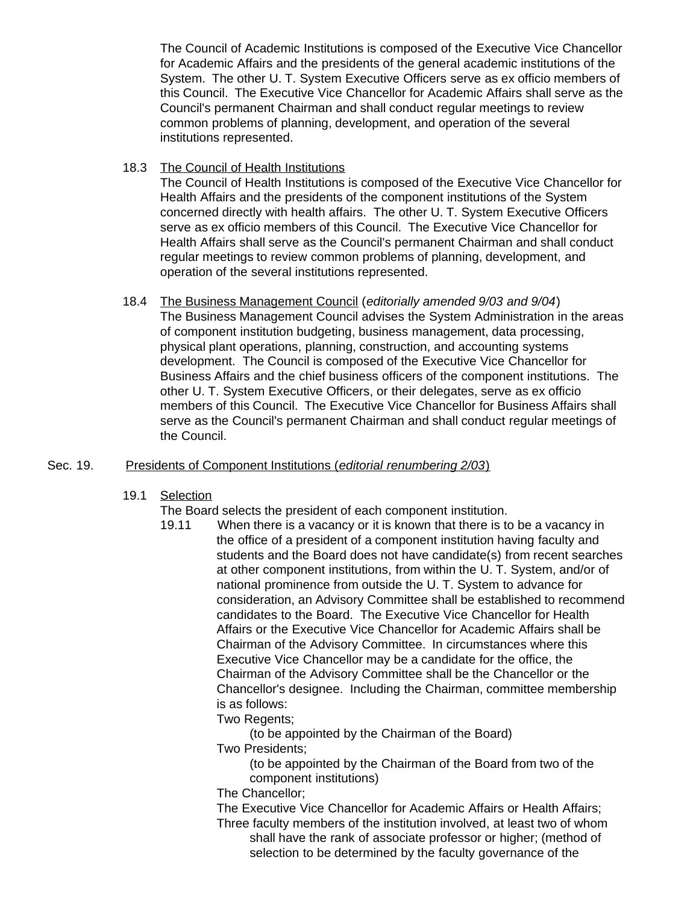The Council of Academic Institutions is composed of the Executive Vice Chancellor for Academic Affairs and the presidents of the general academic institutions of the System. The other U. T. System Executive Officers serve as ex officio members of this Council. The Executive Vice Chancellor for Academic Affairs shall serve as the Council's permanent Chairman and shall conduct regular meetings to review common problems of planning, development, and operation of the several institutions represented.

18.3 The Council of Health Institutions

The Council of Health Institutions is composed of the Executive Vice Chancellor for Health Affairs and the presidents of the component institutions of the System concerned directly with health affairs. The other U. T. System Executive Officers serve as ex officio members of this Council. The Executive Vice Chancellor for Health Affairs shall serve as the Council's permanent Chairman and shall conduct regular meetings to review common problems of planning, development, and operation of the several institutions represented.

18.4 The Business Management Council (*editorially amended 9/03 and 9/04*) The Business Management Council advises the System Administration in the areas of component institution budgeting, business management, data processing, physical plant operations, planning, construction, and accounting systems development. The Council is composed of the Executive Vice Chancellor for Business Affairs and the chief business officers of the component institutions. The other U. T. System Executive Officers, or their delegates, serve as ex officio members of this Council. The Executive Vice Chancellor for Business Affairs shall serve as the Council's permanent Chairman and shall conduct regular meetings of the Council.

## Sec. 19. Presidents of Component Institutions (*editorial renumbering 2/03*)

19.1 Selection

The Board selects the president of each component institution.

- 19.11 When there is a vacancy or it is known that there is to be a vacancy in the office of a president of a component institution having faculty and students and the Board does not have candidate(s) from recent searches at other component institutions, from within the U. T. System, and/or of national prominence from outside the U. T. System to advance for consideration, an Advisory Committee shall be established to recommend candidates to the Board. The Executive Vice Chancellor for Health Affairs or the Executive Vice Chancellor for Academic Affairs shall be Chairman of the Advisory Committee. In circumstances where this Executive Vice Chancellor may be a candidate for the office, the Chairman of the Advisory Committee shall be the Chancellor or the Chancellor's designee. Including the Chairman, committee membership is as follows:
	- Two Regents;
		- (to be appointed by the Chairman of the Board)

Two Presidents;

(to be appointed by the Chairman of the Board from two of the component institutions)

The Chancellor;

The Executive Vice Chancellor for Academic Affairs or Health Affairs; Three faculty members of the institution involved, at least two of whom shall have the rank of associate professor or higher; (method of

selection to be determined by the faculty governance of the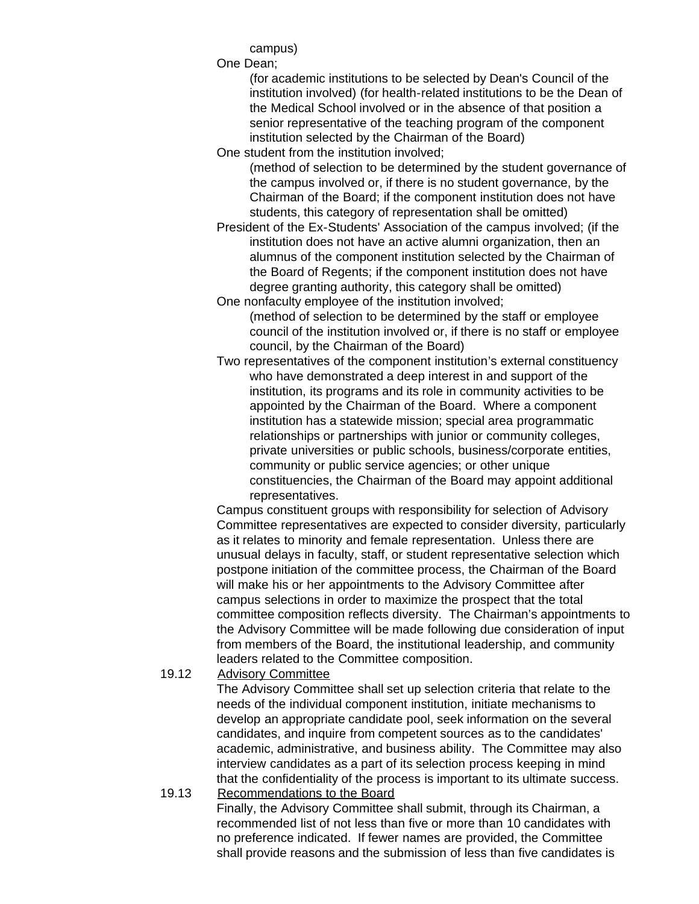campus)

One Dean;

(for academic institutions to be selected by Dean's Council of the institution involved) (for health-related institutions to be the Dean of the Medical School involved or in the absence of that position a senior representative of the teaching program of the component institution selected by the Chairman of the Board)

One student from the institution involved;

(method of selection to be determined by the student governance of the campus involved or, if there is no student governance, by the Chairman of the Board; if the component institution does not have students, this category of representation shall be omitted)

President of the Ex-Students' Association of the campus involved; (if the institution does not have an active alumni organization, then an alumnus of the component institution selected by the Chairman of the Board of Regents; if the component institution does not have degree granting authority, this category shall be omitted)

One nonfaculty employee of the institution involved; (method of selection to be determined by the staff or employee council of the institution involved or, if there is no staff or employee council, by the Chairman of the Board)

Two representatives of the component institution's external constituency who have demonstrated a deep interest in and support of the institution, its programs and its role in community activities to be appointed by the Chairman of the Board. Where a component institution has a statewide mission; special area programmatic relationships or partnerships with junior or community colleges, private universities or public schools, business/corporate entities, community or public service agencies; or other unique constituencies, the Chairman of the Board may appoint additional representatives.

Campus constituent groups with responsibility for selection of Advisory Committee representatives are expected to consider diversity, particularly as it relates to minority and female representation. Unless there are unusual delays in faculty, staff, or student representative selection which postpone initiation of the committee process, the Chairman of the Board will make his or her appointments to the Advisory Committee after campus selections in order to maximize the prospect that the total committee composition reflects diversity. The Chairman's appointments to the Advisory Committee will be made following due consideration of input from members of the Board, the institutional leadership, and community leaders related to the Committee composition.

19.12 Advisory Committee

 The Advisory Committee shall set up selection criteria that relate to the needs of the individual component institution, initiate mechanisms to develop an appropriate candidate pool, seek information on the several candidates, and inquire from competent sources as to the candidates' academic, administrative, and business ability. The Committee may also interview candidates as a part of its selection process keeping in mind that the confidentiality of the process is important to its ultimate success.

19.13 Recommendations to the Board Finally, the Advisory Committee shall submit, through its Chairman, a recommended list of not less than five or more than 10 candidates with no preference indicated. If fewer names are provided, the Committee shall provide reasons and the submission of less than five candidates is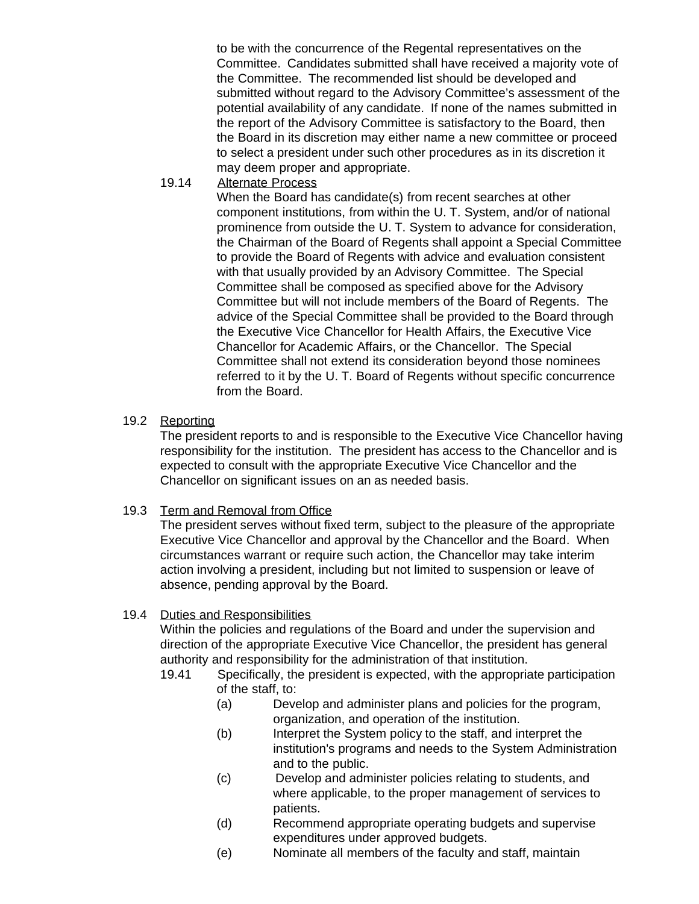to be with the concurrence of the Regental representatives on the Committee. Candidates submitted shall have received a majority vote of the Committee. The recommended list should be developed and submitted without regard to the Advisory Committee's assessment of the potential availability of any candidate. If none of the names submitted in the report of the Advisory Committee is satisfactory to the Board, then the Board in its discretion may either name a new committee or proceed to select a president under such other procedures as in its discretion it may deem proper and appropriate.

19.14 Alternate Process

 When the Board has candidate(s) from recent searches at other component institutions, from within the U. T. System, and/or of national prominence from outside the U. T. System to advance for consideration, the Chairman of the Board of Regents shall appoint a Special Committee to provide the Board of Regents with advice and evaluation consistent with that usually provided by an Advisory Committee. The Special Committee shall be composed as specified above for the Advisory Committee but will not include members of the Board of Regents. The advice of the Special Committee shall be provided to the Board through the Executive Vice Chancellor for Health Affairs, the Executive Vice Chancellor for Academic Affairs, or the Chancellor. The Special Committee shall not extend its consideration beyond those nominees referred to it by the U. T. Board of Regents without specific concurrence from the Board.

19.2 Reporting

The president reports to and is responsible to the Executive Vice Chancellor having responsibility for the institution. The president has access to the Chancellor and is expected to consult with the appropriate Executive Vice Chancellor and the Chancellor on significant issues on an as needed basis.

19.3 Term and Removal from Office

The president serves without fixed term, subject to the pleasure of the appropriate Executive Vice Chancellor and approval by the Chancellor and the Board. When circumstances warrant or require such action, the Chancellor may take interim action involving a president, including but not limited to suspension or leave of absence, pending approval by the Board.

# 19.4 Duties and Responsibilities

Within the policies and regulations of the Board and under the supervision and direction of the appropriate Executive Vice Chancellor, the president has general authority and responsibility for the administration of that institution.

- 19.41 Specifically, the president is expected, with the appropriate participation of the staff, to:
	- (a) Develop and administer plans and policies for the program, organization, and operation of the institution.
	- (b) Interpret the System policy to the staff, and interpret the institution's programs and needs to the System Administration and to the public.
	- (c) Develop and administer policies relating to students, and where applicable, to the proper management of services to patients.
	- (d) Recommend appropriate operating budgets and supervise expenditures under approved budgets.
	- (e) Nominate all members of the faculty and staff, maintain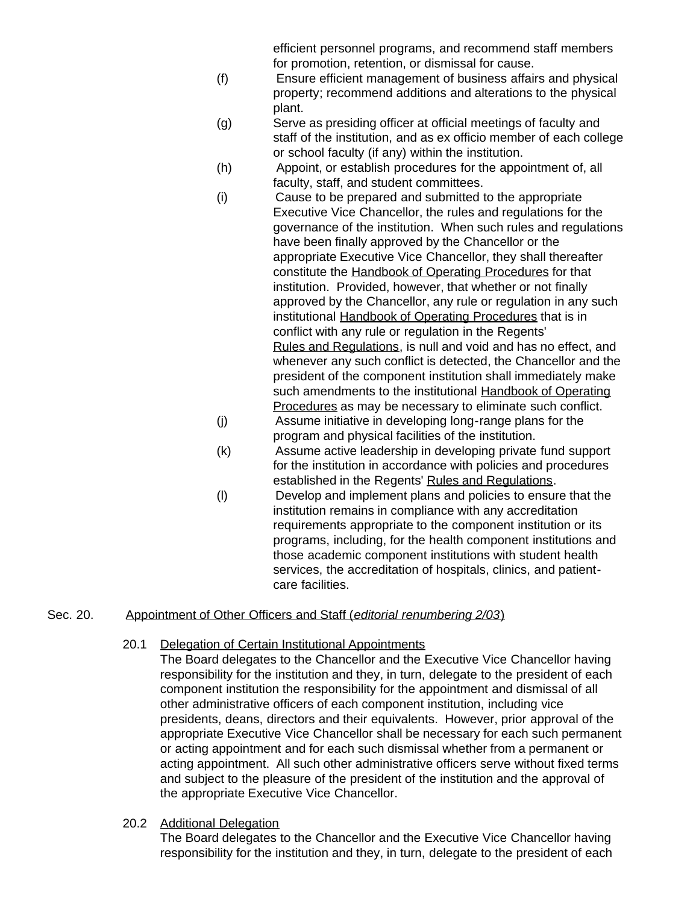efficient personnel programs, and recommend staff members for promotion, retention, or dismissal for cause.

- (f) Ensure efficient management of business affairs and physical property; recommend additions and alterations to the physical plant.
- (g) Serve as presiding officer at official meetings of faculty and staff of the institution, and as ex officio member of each college or school faculty (if any) within the institution.
- (h) Appoint, or establish procedures for the appointment of, all faculty, staff, and student committees.
- (i) Cause to be prepared and submitted to the appropriate Executive Vice Chancellor, the rules and regulations for the governance of the institution. When such rules and regulations have been finally approved by the Chancellor or the appropriate Executive Vice Chancellor, they shall thereafter constitute the Handbook of Operating Procedures for that institution. Provided, however, that whether or not finally approved by the Chancellor, any rule or regulation in any such institutional Handbook of Operating Procedures that is in conflict with any rule or regulation in the Regents' Rules and Regulations, is null and void and has no effect, and whenever any such conflict is detected, the Chancellor and the president of the component institution shall immediately make such amendments to the institutional Handbook of Operating Procedures as may be necessary to eliminate such conflict.
- (j) Assume initiative in developing long-range plans for the program and physical facilities of the institution.
- (k) Assume active leadership in developing private fund support for the institution in accordance with policies and procedures established in the Regents' Rules and Regulations.
- (l) Develop and implement plans and policies to ensure that the institution remains in compliance with any accreditation requirements appropriate to the component institution or its programs, including, for the health component institutions and those academic component institutions with student health services, the accreditation of hospitals, clinics, and patientcare facilities.

# Sec. 20. Appointment of Other Officers and Staff (*editorial renumbering 2/03*)

- 20.1 Delegation of Certain Institutional Appointments
	- The Board delegates to the Chancellor and the Executive Vice Chancellor having responsibility for the institution and they, in turn, delegate to the president of each component institution the responsibility for the appointment and dismissal of all other administrative officers of each component institution, including vice presidents, deans, directors and their equivalents. However, prior approval of the appropriate Executive Vice Chancellor shall be necessary for each such permanent or acting appointment and for each such dismissal whether from a permanent or acting appointment. All such other administrative officers serve without fixed terms and subject to the pleasure of the president of the institution and the approval of the appropriate Executive Vice Chancellor.
- 20.2 Additional Delegation

The Board delegates to the Chancellor and the Executive Vice Chancellor having responsibility for the institution and they, in turn, delegate to the president of each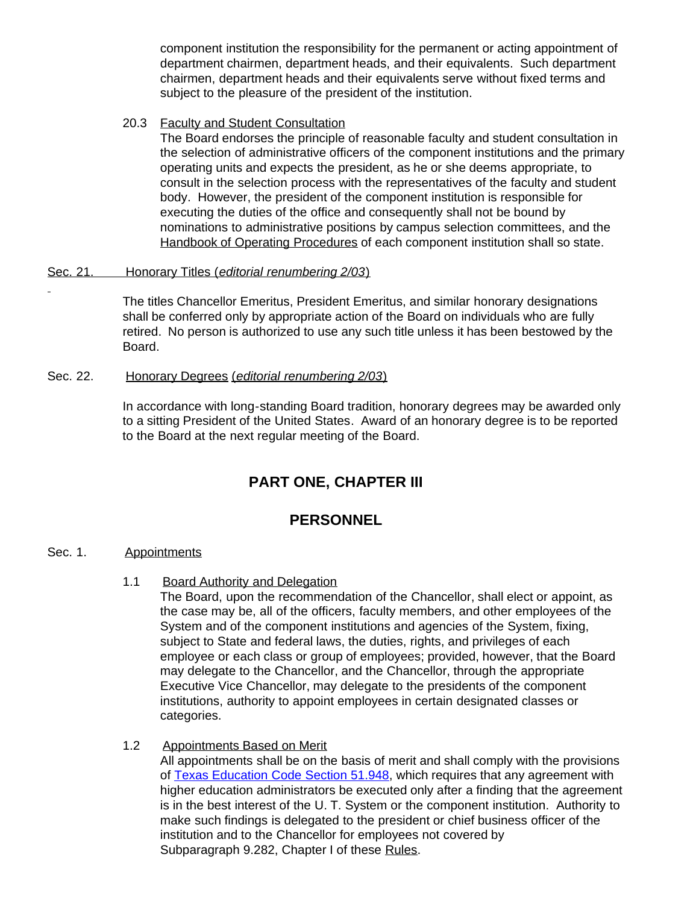component institution the responsibility for the permanent or acting appointment of department chairmen, department heads, and their equivalents. Such department chairmen, department heads and their equivalents serve without fixed terms and subject to the pleasure of the president of the institution.

#### 20.3 Faculty and Student Consultation

The Board endorses the principle of reasonable faculty and student consultation in the selection of administrative officers of the component institutions and the primary operating units and expects the president, as he or she deems appropriate, to consult in the selection process with the representatives of the faculty and student body. However, the president of the component institution is responsible for executing the duties of the office and consequently shall not be bound by nominations to administrative positions by campus selection committees, and the Handbook of Operating Procedures of each component institution shall so state.

#### Sec. 21. Honorary Titles (*editorial renumbering 2/03*)

The titles Chancellor Emeritus, President Emeritus, and similar honorary designations shall be conferred only by appropriate action of the Board on individuals who are fully retired. No person is authorized to use any such title unless it has been bestowed by the Board.

#### Sec. 22. Honorary Degrees (*editorial renumbering 2/03*)

In accordance with long-standing Board tradition, honorary degrees may be awarded only to a sitting President of the United States. Award of an honorary degree is to be reported to the Board at the next regular meeting of the Board.

# **PART ONE, CHAPTER III**

# **PERSONNEL**

## Sec. 1. Appointments

1.1 Board Authority and Delegation

The Board, upon the recommendation of the Chancellor, shall elect or appoint, as the case may be, all of the officers, faculty members, and other employees of the System and of the component institutions and agencies of the System, fixing, subject to State and federal laws, the duties, rights, and privileges of each employee or each class or group of employees; provided, however, that the Board may delegate to the Chancellor, and the Chancellor, through the appropriate Executive Vice Chancellor, may delegate to the presidents of the component institutions, authority to appoint employees in certain designated classes or categories.

## 1.2 Appointments Based on Merit

All appointments shall be on the basis of merit and shall comply with the provisions of [Texas Education Code Section](http://www.capitol.state.tx.us/statutes/ed/ed0005100.html#ed246.51.948) 51.948, which requires that any agreement with higher education administrators be executed only after a finding that the agreement is in the best interest of the U. T. System or the component institution. Authority to make such findings is delegated to the president or chief business officer of the institution and to the Chancellor for employees not covered by Subparagraph 9.282, Chapter I of these Rules.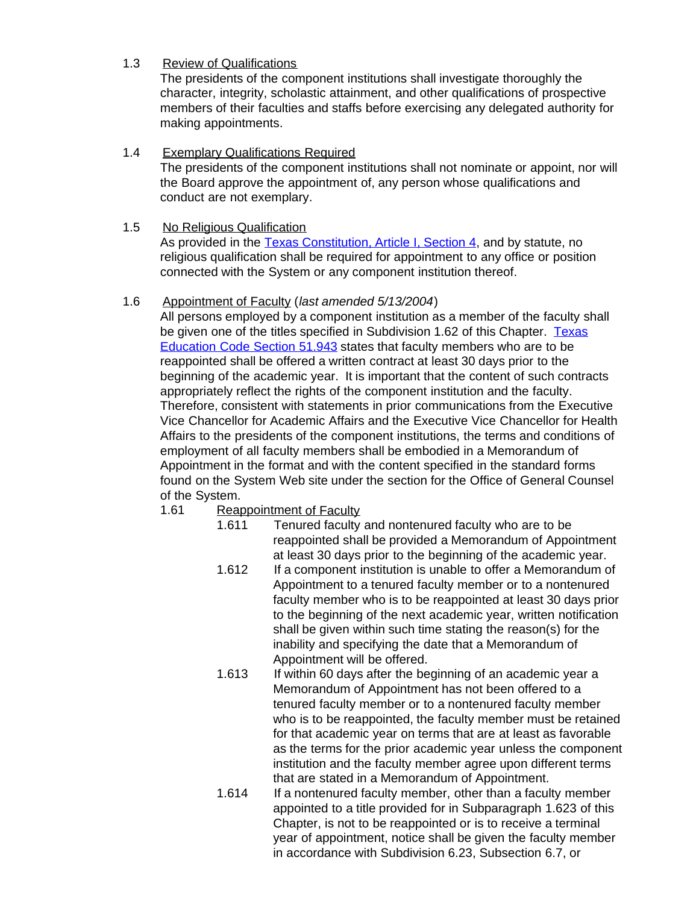## 1.3 Review of Qualifications

The presidents of the component institutions shall investigate thoroughly the character, integrity, scholastic attainment, and other qualifications of prospective members of their faculties and staffs before exercising any delegated authority for making appointments.

1.4 Exemplary Qualifications Required The presidents of the component institutions shall not nominate or appoint, nor will the Board approve the appointment of, any person whose qualifications and conduct are not exemplary.

## 1.5 No Religious Qualification

As provided in the [Texas Constitution, Article](http://www.capitol.state.tx.us/txconst/sections/cn000100-000400.html) I, Section 4, and by statute, no religious qualification shall be required for appointment to any office or position connected with the System or any component institution thereof.

## 1.6 Appointment of Faculty (*last amended 5/13/2004*)

All persons employed by a component institution as a member of the faculty shall be given one of the titles specified in Subdivision 1.62 of this Chapter. [Texas](http://www.capitol.state.tx.us/statutes/ed/ed0005100.html#ed242.51.943) [Education Code Section](http://www.capitol.state.tx.us/statutes/ed/ed0005100.html#ed242.51.943) 51.943 states that faculty members who are to be reappointed shall be offered a written contract at least 30 days prior to the beginning of the academic year. It is important that the content of such contracts appropriately reflect the rights of the component institution and the faculty. Therefore, consistent with statements in prior communications from the Executive Vice Chancellor for Academic Affairs and the Executive Vice Chancellor for Health Affairs to the presidents of the component institutions, the terms and conditions of employment of all faculty members shall be embodied in a Memorandum of Appointment in the format and with the content specified in the standard forms found on the System Web site under the section for the Office of General Counsel of the System.

# 1.61 Reappointment of Faculty

- 1.611 Tenured faculty and nontenured faculty who are to be reappointed shall be provided a Memorandum of Appointment at least 30 days prior to the beginning of the academic year.
- 1.612 If a component institution is unable to offer a Memorandum of Appointment to a tenured faculty member or to a nontenured faculty member who is to be reappointed at least 30 days prior to the beginning of the next academic year, written notification shall be given within such time stating the reason(s) for the inability and specifying the date that a Memorandum of Appointment will be offered.
- 1.613 If within 60 days after the beginning of an academic year a Memorandum of Appointment has not been offered to a tenured faculty member or to a nontenured faculty member who is to be reappointed, the faculty member must be retained for that academic year on terms that are at least as favorable as the terms for the prior academic year unless the component institution and the faculty member agree upon different terms that are stated in a Memorandum of Appointment.
- 1.614 If a nontenured faculty member, other than a faculty member appointed to a title provided for in Subparagraph 1.623 of this Chapter, is not to be reappointed or is to receive a terminal year of appointment, notice shall be given the faculty member in accordance with Subdivision 6.23, Subsection 6.7, or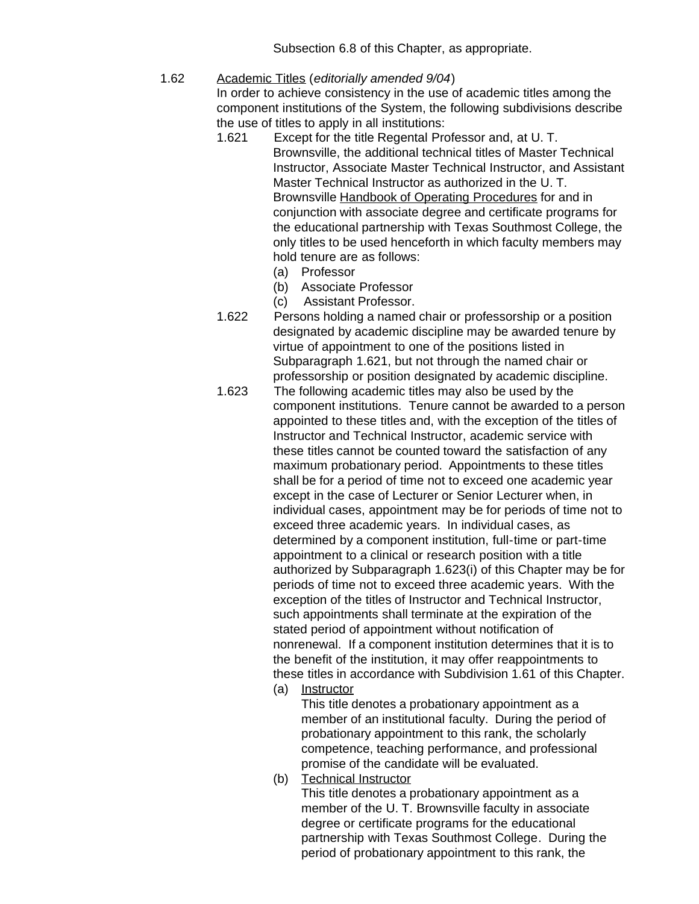Subsection 6.8 of this Chapter, as appropriate.

1.62 Academic Titles (*editorially amended 9/04*)

In order to achieve consistency in the use of academic titles among the component institutions of the System, the following subdivisions describe the use of titles to apply in all institutions:

- 1.621 Except for the title Regental Professor and, at U. T. Brownsville, the additional technical titles of Master Technical Instructor, Associate Master Technical Instructor, and Assistant Master Technical Instructor as authorized in the U. T. Brownsville Handbook of Operating Procedures for and in conjunction with associate degree and certificate programs for the educational partnership with Texas Southmost College, the only titles to be used henceforth in which faculty members may hold tenure are as follows:
	- (a) Professor
	- (b) Associate Professor
	- (c) Assistant Professor.
- 1.622 Persons holding a named chair or professorship or a position designated by academic discipline may be awarded tenure by virtue of appointment to one of the positions listed in Subparagraph 1.621, but not through the named chair or professorship or position designated by academic discipline.
- 1.623 The following academic titles may also be used by the component institutions. Tenure cannot be awarded to a person appointed to these titles and, with the exception of the titles of Instructor and Technical Instructor, academic service with these titles cannot be counted toward the satisfaction of any maximum probationary period. Appointments to these titles shall be for a period of time not to exceed one academic year except in the case of Lecturer or Senior Lecturer when, in individual cases, appointment may be for periods of time not to exceed three academic years. In individual cases, as determined by a component institution, full-time or part-time appointment to a clinical or research position with a title authorized by Subparagraph 1.623(i) of this Chapter may be for periods of time not to exceed three academic years. With the exception of the titles of Instructor and Technical Instructor, such appointments shall terminate at the expiration of the stated period of appointment without notification of nonrenewal. If a component institution determines that it is to the benefit of the institution, it may offer reappointments to these titles in accordance with Subdivision 1.61 of this Chapter.
	- (a) Instructor

 This title denotes a probationary appointment as a member of an institutional faculty. During the period of probationary appointment to this rank, the scholarly competence, teaching performance, and professional promise of the candidate will be evaluated.

(b) Technical Instructor This title denotes a probationary appointment as a member of the U. T. Brownsville faculty in associate degree or certificate programs for the educational partnership with Texas Southmost College. During the period of probationary appointment to this rank, the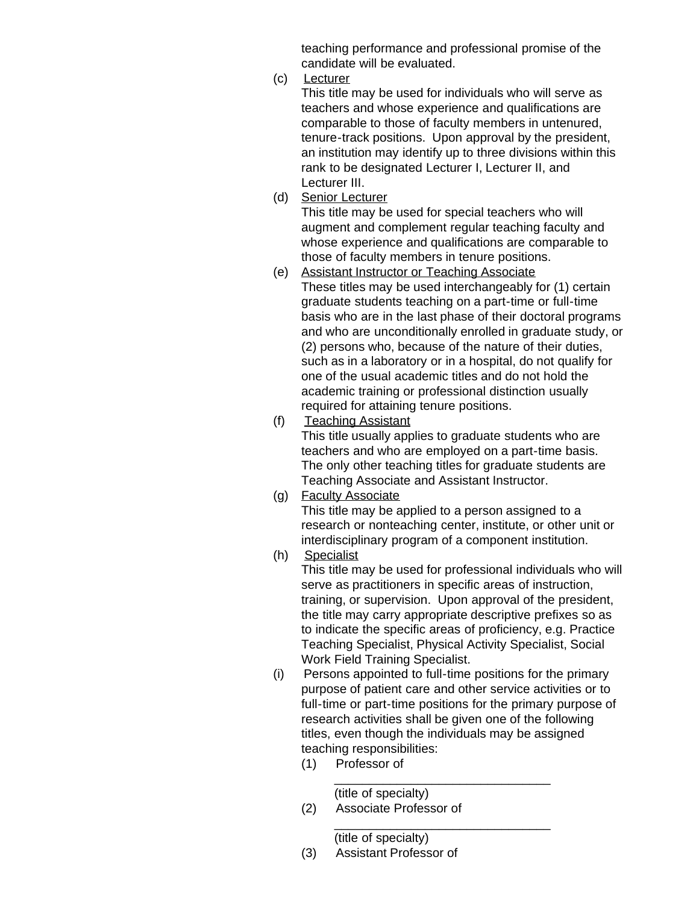teaching performance and professional promise of the candidate will be evaluated.

(c) Lecturer

 This title may be used for individuals who will serve as teachers and whose experience and qualifications are comparable to those of faculty members in untenured, tenure-track positions. Upon approval by the president, an institution may identify up to three divisions within this rank to be designated Lecturer I, Lecturer II, and Lecturer III.

(d) Senior Lecturer

 This title may be used for special teachers who will augment and complement regular teaching faculty and whose experience and qualifications are comparable to those of faculty members in tenure positions.

- (e) Assistant Instructor or Teaching Associate These titles may be used interchangeably for (1) certain graduate students teaching on a part-time or full-time basis who are in the last phase of their doctoral programs and who are unconditionally enrolled in graduate study, or (2) persons who, because of the nature of their duties, such as in a laboratory or in a hospital, do not qualify for one of the usual academic titles and do not hold the academic training or professional distinction usually required for attaining tenure positions.
- (f) Teaching Assistant

 This title usually applies to graduate students who are teachers and who are employed on a part-time basis. The only other teaching titles for graduate students are Teaching Associate and Assistant Instructor.

(g) Faculty Associate

 This title may be applied to a person assigned to a research or nonteaching center, institute, or other unit or interdisciplinary program of a component institution.

(h) Specialist

 This title may be used for professional individuals who will serve as practitioners in specific areas of instruction, training, or supervision. Upon approval of the president, the title may carry appropriate descriptive prefixes so as to indicate the specific areas of proficiency, e.g. Practice Teaching Specialist, Physical Activity Specialist, Social Work Field Training Specialist.

(i) Persons appointed to full-time positions for the primary purpose of patient care and other service activities or to full-time or part-time positions for the primary purpose of research activities shall be given one of the following titles, even though the individuals may be assigned teaching responsibilities:

\_\_\_\_\_\_\_\_\_\_\_\_\_\_\_\_\_\_\_\_\_\_\_\_\_\_\_\_\_\_\_

\_\_\_\_\_\_\_\_\_\_\_\_\_\_\_\_\_\_\_\_\_\_\_\_\_\_\_\_\_\_\_

(1) Professor of

(title of specialty) (2) Associate Professor of

(title of specialty)

(3) Assistant Professor of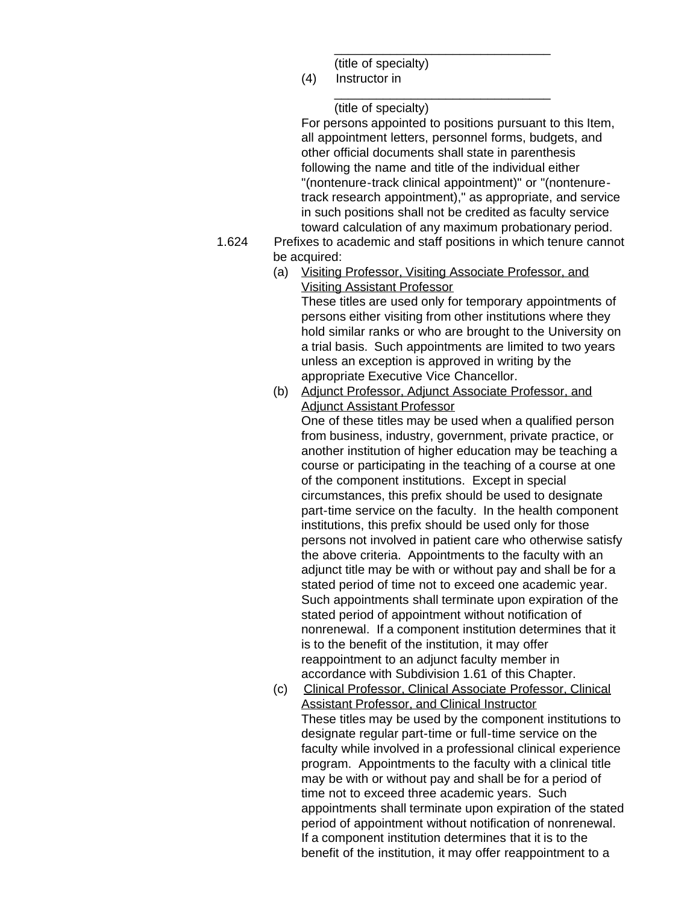(title of specialty)

(4) Instructor in \_\_\_\_\_\_\_\_\_\_\_\_\_\_\_\_\_\_\_\_\_\_\_\_\_\_\_\_\_\_\_

(title of specialty)

 For persons appointed to positions pursuant to this Item, all appointment letters, personnel forms, budgets, and other official documents shall state in parenthesis following the name and title of the individual either "(nontenure-track clinical appointment)" or "(nontenuretrack research appointment)," as appropriate, and service in such positions shall not be credited as faculty service toward calculation of any maximum probationary period.

\_\_\_\_\_\_\_\_\_\_\_\_\_\_\_\_\_\_\_\_\_\_\_\_\_\_\_\_\_\_\_

- 1.624 Prefixes to academic and staff positions in which tenure cannot be acquired:
	- (a) Visiting Professor, Visiting Associate Professor, and Visiting Assistant Professor

 These titles are used only for temporary appointments of persons either visiting from other institutions where they hold similar ranks or who are brought to the University on a trial basis. Such appointments are limited to two years unless an exception is approved in writing by the appropriate Executive Vice Chancellor.

(b) Adjunct Professor, Adjunct Associate Professor, and Adjunct Assistant Professor

 One of these titles may be used when a qualified person from business, industry, government, private practice, or another institution of higher education may be teaching a course or participating in the teaching of a course at one of the component institutions. Except in special circumstances, this prefix should be used to designate part-time service on the faculty. In the health component institutions, this prefix should be used only for those persons not involved in patient care who otherwise satisfy the above criteria. Appointments to the faculty with an adjunct title may be with or without pay and shall be for a stated period of time not to exceed one academic year. Such appointments shall terminate upon expiration of the stated period of appointment without notification of nonrenewal. If a component institution determines that it is to the benefit of the institution, it may offer reappointment to an adjunct faculty member in accordance with Subdivision 1.61 of this Chapter.

(c) Clinical Professor, Clinical Associate Professor, Clinical Assistant Professor, and Clinical Instructor These titles may be used by the component institutions to designate regular part-time or full-time service on the faculty while involved in a professional clinical experience program. Appointments to the faculty with a clinical title may be with or without pay and shall be for a period of time not to exceed three academic years. Such appointments shall terminate upon expiration of the stated period of appointment without notification of nonrenewal. If a component institution determines that it is to the benefit of the institution, it may offer reappointment to a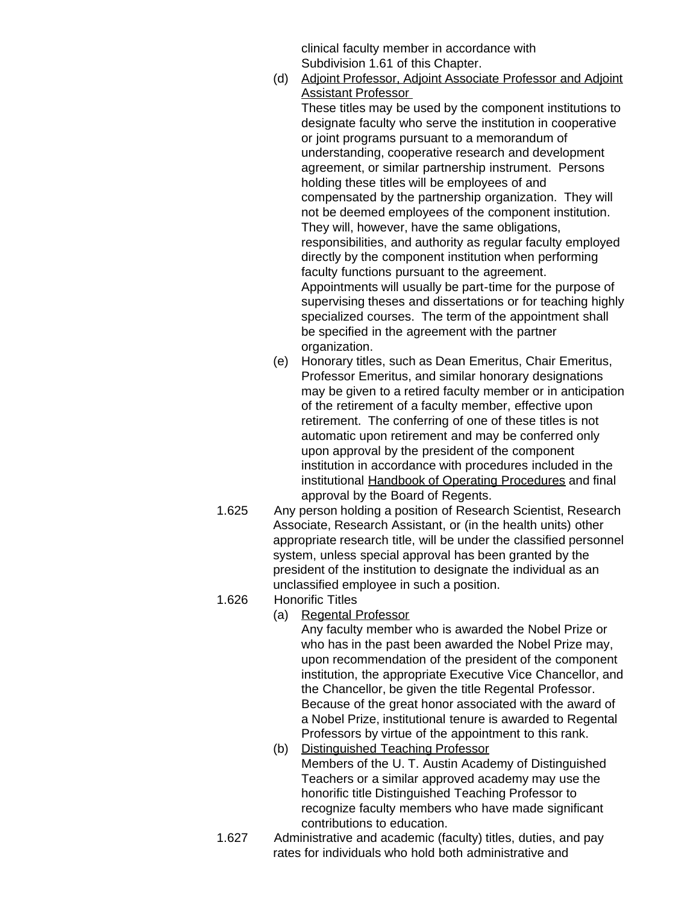clinical faculty member in accordance with Subdivision 1.61 of this Chapter.

(d) Adjoint Professor, Adjoint Associate Professor and Adjoint Assistant Professor

These titles may be used by the component institutions to designate faculty who serve the institution in cooperative or joint programs pursuant to a memorandum of understanding, cooperative research and development agreement, or similar partnership instrument. Persons holding these titles will be employees of and compensated by the partnership organization. They will not be deemed employees of the component institution. They will, however, have the same obligations, responsibilities, and authority as regular faculty employed directly by the component institution when performing faculty functions pursuant to the agreement. Appointments will usually be part-time for the purpose of supervising theses and dissertations or for teaching highly specialized courses. The term of the appointment shall be specified in the agreement with the partner organization.

- (e) Honorary titles, such as Dean Emeritus, Chair Emeritus, Professor Emeritus, and similar honorary designations may be given to a retired faculty member or in anticipation of the retirement of a faculty member, effective upon retirement. The conferring of one of these titles is not automatic upon retirement and may be conferred only upon approval by the president of the component institution in accordance with procedures included in the institutional Handbook of Operating Procedures and final approval by the Board of Regents.
- 1.625 Any person holding a position of Research Scientist, Research Associate, Research Assistant, or (in the health units) other appropriate research title, will be under the classified personnel system, unless special approval has been granted by the president of the institution to designate the individual as an unclassified employee in such a position.
- 1.626 Honorific Titles
	- (a) Regental Professor

 Any faculty member who is awarded the Nobel Prize or who has in the past been awarded the Nobel Prize may, upon recommendation of the president of the component institution, the appropriate Executive Vice Chancellor, and the Chancellor, be given the title Regental Professor. Because of the great honor associated with the award of a Nobel Prize, institutional tenure is awarded to Regental Professors by virtue of the appointment to this rank.

- (b) Distinguished Teaching Professor Members of the U. T. Austin Academy of Distinguished Teachers or a similar approved academy may use the honorific title Distinguished Teaching Professor to recognize faculty members who have made significant contributions to education.
- 1.627 Administrative and academic (faculty) titles, duties, and pay rates for individuals who hold both administrative and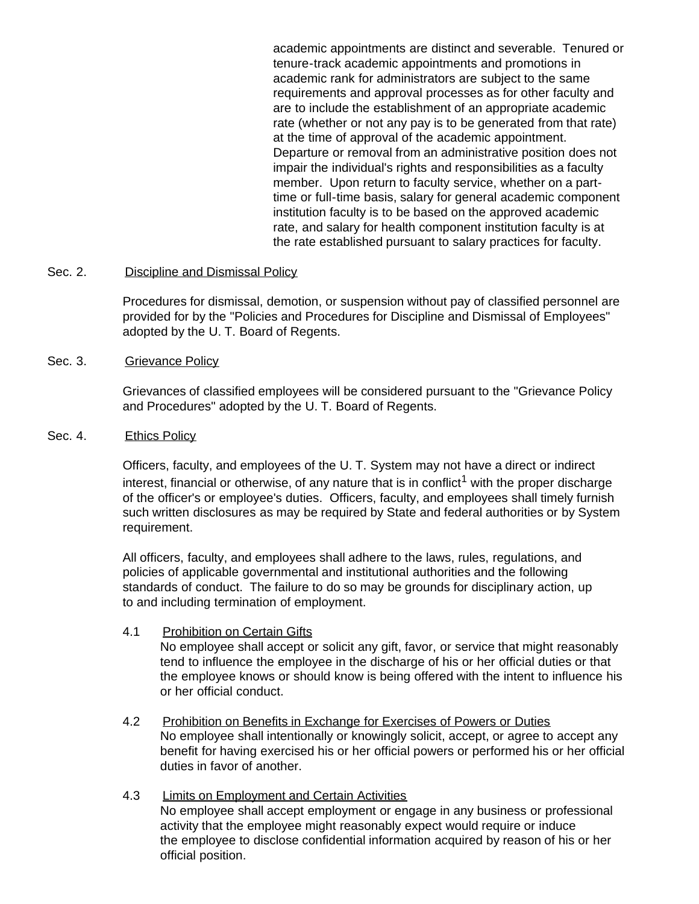academic appointments are distinct and severable. Tenured or tenure-track academic appointments and promotions in academic rank for administrators are subject to the same requirements and approval processes as for other faculty and are to include the establishment of an appropriate academic rate (whether or not any pay is to be generated from that rate) at the time of approval of the academic appointment. Departure or removal from an administrative position does not impair the individual's rights and responsibilities as a faculty member. Upon return to faculty service, whether on a parttime or full-time basis, salary for general academic component institution faculty is to be based on the approved academic rate, and salary for health component institution faculty is at the rate established pursuant to salary practices for faculty.

#### Sec. 2. Discipline and Dismissal Policy

Procedures for dismissal, demotion, or suspension without pay of classified personnel are provided for by the "Policies and Procedures for Discipline and Dismissal of Employees" adopted by the U. T. Board of Regents.

#### Sec. 3. Grievance Policy

Grievances of classified employees will be considered pursuant to the "Grievance Policy and Procedures" adopted by the U. T. Board of Regents.

#### Sec. 4. Ethics Policy

Officers, faculty, and employees of the U. T. System may not have a direct or indirect interest, financial or otherwise, of any nature that is in conflict<sup>1</sup> with the proper discharge of the officer's or employee's duties. Officers, faculty, and employees shall timely furnish such written disclosures as may be required by State and federal authorities or by System requirement.

All officers, faculty, and employees shall adhere to the laws, rules, regulations, and policies of applicable governmental and institutional authorities and the following standards of conduct. The failure to do so may be grounds for disciplinary action, up to and including termination of employment.

#### 4.1 Prohibition on Certain Gifts

No employee shall accept or solicit any gift, favor, or service that might reasonably tend to influence the employee in the discharge of his or her official duties or that the employee knows or should know is being offered with the intent to influence his or her official conduct.

- 4.2 Prohibition on Benefits in Exchange for Exercises of Powers or Duties No employee shall intentionally or knowingly solicit, accept, or agree to accept any benefit for having exercised his or her official powers or performed his or her official duties in favor of another.
- 4.3 Limits on Employment and Certain Activities No employee shall accept employment or engage in any business or professional activity that the employee might reasonably expect would require or induce the employee to disclose confidential information acquired by reason of his or her official position.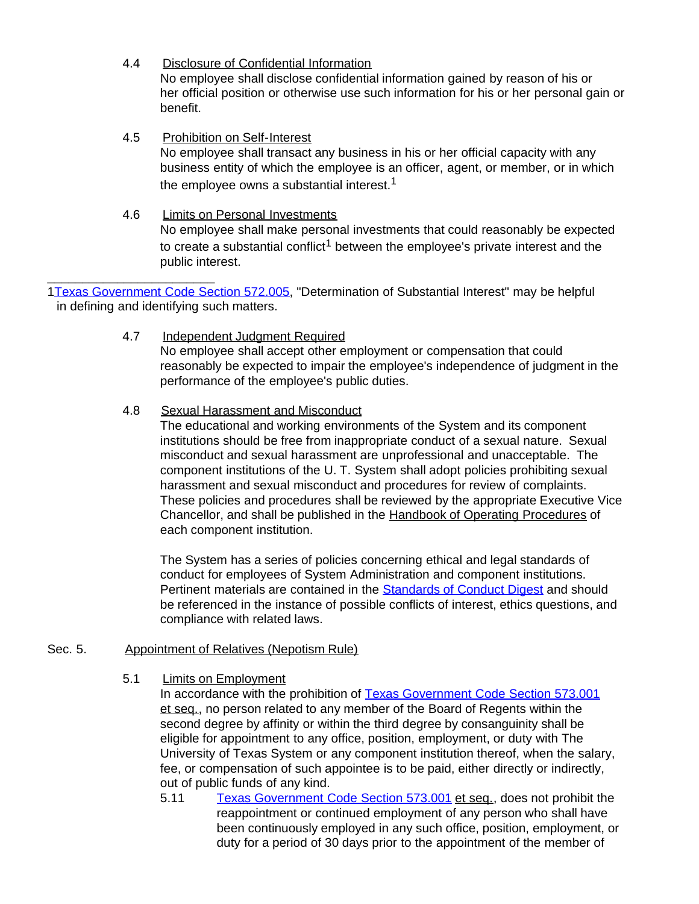- 4.4 Disclosure of Confidential Information No employee shall disclose confidential information gained by reason of his or her official position or otherwise use such information for his or her personal gain or benefit.
- 4.5 Prohibition on Self-Interest No employee shall transact any business in his or her official capacity with any business entity of which the employee is an officer, agent, or member, or in which the employee owns a substantial interest.<sup>1</sup>
- 4.6 Limits on Personal Investments No employee shall make personal investments that could reasonably be expected to create a substantial conflict<sup>1</sup> between the employee's private interest and the public interest.

\_\_\_\_\_\_\_\_\_\_\_\_\_\_\_\_\_\_\_\_\_\_\_\_ 1[Texas Government Code Section](http://www.capitol.state.tx.us/statutes/go/go0057200.html#go005.572.005) 572.005, "Determination of Substantial Interest" may be helpful in defining and identifying such matters.

> 4.7 Independent Judgment Required No employee shall accept other employment or compensation that could reasonably be expected to impair the employee's independence of judgment in the performance of the employee's public duties.

## 4.8 Sexual Harassment and Misconduct

The educational and working environments of the System and its component institutions should be free from inappropriate conduct of a sexual nature. Sexual misconduct and sexual harassment are unprofessional and unacceptable. The component institutions of the U. T. System shall adopt policies prohibiting sexual harassment and sexual misconduct and procedures for review of complaints. These policies and procedures shall be reviewed by the appropriate Executive Vice Chancellor, and shall be published in the Handbook of Operating Procedures of each component institution.

The System has a series of policies concerning ethical and legal standards of conduct for employees of System Administration and component institutions. Pertinent materials are contained in the [Standards of Conduct Digest](http://www.utsystem.edu/ogc/ethics.htm) and should be referenced in the instance of possible conflicts of interest, ethics questions, and compliance with related laws.

## Sec. 5. Appointment of Relatives (Nepotism Rule)

- 5.1 Limits on Employment
	- In accordance with the prohibition of [Texas Government Code Section](http://www.capitol.state.tx.us/statutes/go/go0057300.html#go001.573.001) 573.001 et seq., no person related to any member of the Board of Regents within the second degree by affinity or within the third degree by consanguinity shall be eligible for appointment to any office, position, employment, or duty with The University of Texas System or any component institution thereof, when the salary, fee, or compensation of such appointee is to be paid, either directly or indirectly, out of public funds of any kind.
	- 5.11 [Texas Government Code Section](http://www.capitol.state.tx.us/statutes/go/go0057300.html#go001.573.001) 573.001 et seq., does not prohibit the reappointment or continued employment of any person who shall have been continuously employed in any such office, position, employment, or duty for a period of 30 days prior to the appointment of the member of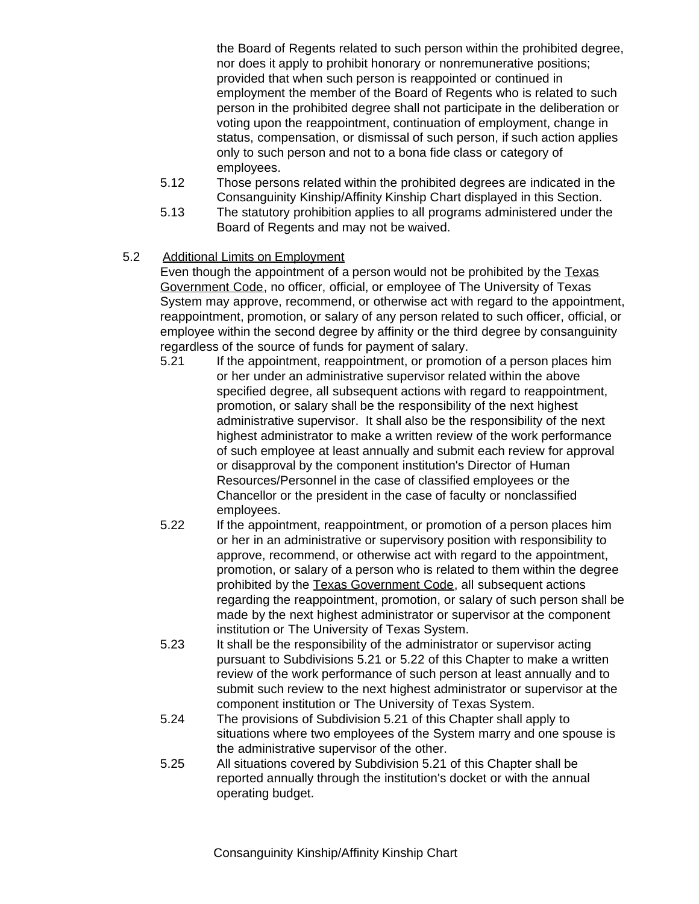the Board of Regents related to such person within the prohibited degree, nor does it apply to prohibit honorary or nonremunerative positions; provided that when such person is reappointed or continued in employment the member of the Board of Regents who is related to such person in the prohibited degree shall not participate in the deliberation or voting upon the reappointment, continuation of employment, change in status, compensation, or dismissal of such person, if such action applies only to such person and not to a bona fide class or category of employees.

- 5.12 Those persons related within the prohibited degrees are indicated in the Consanguinity Kinship/Affinity Kinship Chart displayed in this Section.
- 5.13 The statutory prohibition applies to all programs administered under the Board of Regents and may not be waived.

# 5.2 Additional Limits on Employment

Even though the appointment of a person would not be prohibited by the Texas Government Code, no officer, official, or employee of The University of Texas System may approve, recommend, or otherwise act with regard to the appointment, reappointment, promotion, or salary of any person related to such officer, official, or employee within the second degree by affinity or the third degree by consanguinity regardless of the source of funds for payment of salary.

- 5.21 If the appointment, reappointment, or promotion of a person places him or her under an administrative supervisor related within the above specified degree, all subsequent actions with regard to reappointment. promotion, or salary shall be the responsibility of the next highest administrative supervisor. It shall also be the responsibility of the next highest administrator to make a written review of the work performance of such employee at least annually and submit each review for approval or disapproval by the component institution's Director of Human Resources/Personnel in the case of classified employees or the Chancellor or the president in the case of faculty or nonclassified employees.
- 5.22 If the appointment, reappointment, or promotion of a person places him or her in an administrative or supervisory position with responsibility to approve, recommend, or otherwise act with regard to the appointment, promotion, or salary of a person who is related to them within the degree prohibited by the Texas Government Code, all subsequent actions regarding the reappointment, promotion, or salary of such person shall be made by the next highest administrator or supervisor at the component institution or The University of Texas System.
- 5.23 It shall be the responsibility of the administrator or supervisor acting pursuant to Subdivisions 5.21 or 5.22 of this Chapter to make a written review of the work performance of such person at least annually and to submit such review to the next highest administrator or supervisor at the component institution or The University of Texas System.
- 5.24 The provisions of Subdivision 5.21 of this Chapter shall apply to situations where two employees of the System marry and one spouse is the administrative supervisor of the other.
- 5.25 All situations covered by Subdivision 5.21 of this Chapter shall be reported annually through the institution's docket or with the annual operating budget.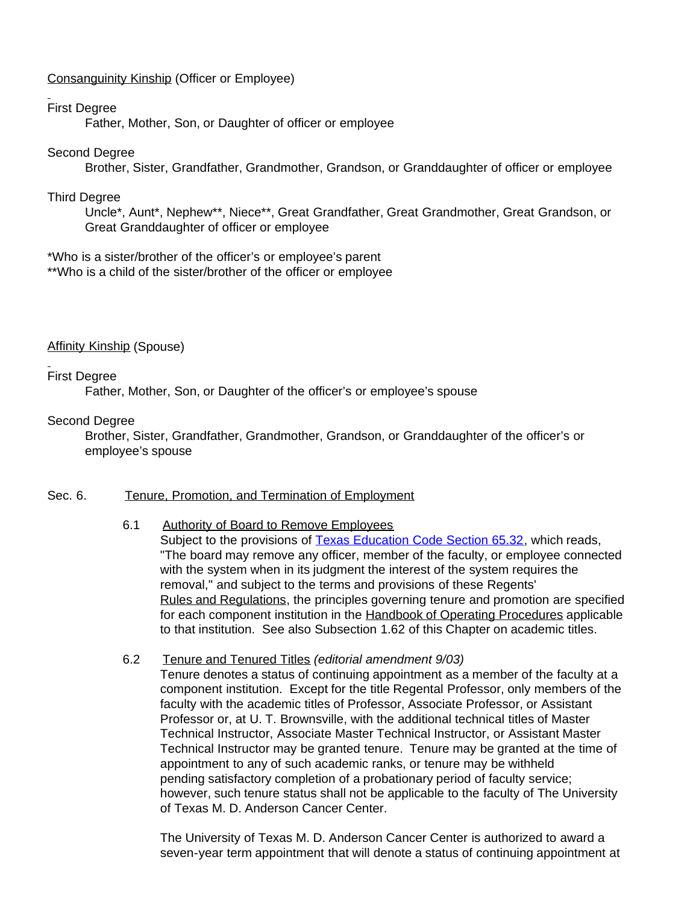## Consanguinity Kinship (Officer or Employee)

## First Degree

Father, Mother, Son, or Daughter of officer or employee

## Second Degree

Brother, Sister, Grandfather, Grandmother, Grandson, or Granddaughter of officer or employee

## Third Degree

Uncle\*, Aunt\*, Nephew\*\*, Niece\*\*, Great Grandfather, Great Grandmother, Great Grandson, or Great Granddaughter of officer or employee

\*Who is a sister/brother of the officer's or employee's parent \*\*Who is a child of the sister/brother of the officer or employee

Affinity Kinship (Spouse)

## First Degree

Father, Mother, Son, or Daughter of the officer's or employee's spouse

## Second Degree

Brother, Sister, Grandfather, Grandmother, Grandson, or Granddaughter of the officer's or employee's spouse

## Sec. 6. Tenure, Promotion, and Termination of Employment

## 6.1 Authority of Board to Remove Employees

Subject to the provisions of Texas Education [Code Section](http://www.capitol.state.tx.us/statutes/ed/ed0006500.html#ed010.65.32) 65.32, which reads, "The board may remove any officer, member of the faculty, or employee connected with the system when in its judgment the interest of the system requires the removal," and subject to the terms and provisions of these Regents' Rules and Regulations, the principles governing tenure and promotion are specified for each component institution in the Handbook of Operating Procedures applicable to that institution. See also Subsection 1.62 of this Chapter on academic titles.

## 6.2 Tenure and Tenured Titles *(editorial amendment 9/03)*

Tenure denotes a status of continuing appointment as a member of the faculty at a component institution. Except for the title Regental Professor, only members of the faculty with the academic titles of Professor, Associate Professor, or Assistant Professor or, at U. T. Brownsville, with the additional technical titles of Master Technical Instructor, Associate Master Technical Instructor, or Assistant Master Technical Instructor may be granted tenure. Tenure may be granted at the time of appointment to any of such academic ranks, or tenure may be withheld pending satisfactory completion of a probationary period of faculty service; however, such tenure status shall not be applicable to the faculty of The University of Texas M. D. Anderson Cancer Center.

The University of Texas M. D. Anderson Cancer Center is authorized to award a seven-year term appointment that will denote a status of continuing appointment at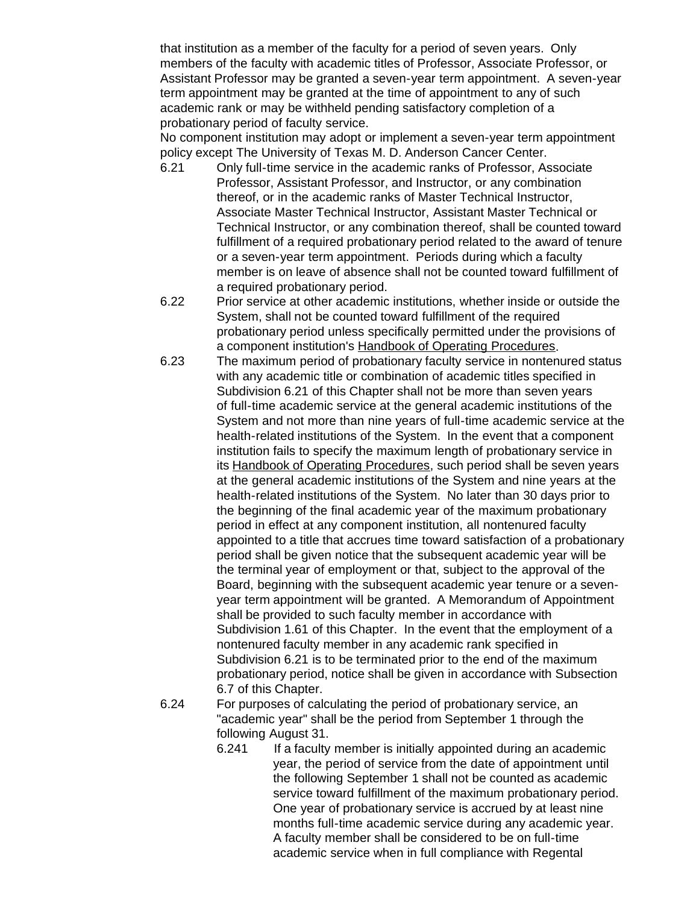that institution as a member of the faculty for a period of seven years. Only members of the faculty with academic titles of Professor, Associate Professor, or Assistant Professor may be granted a seven-year term appointment. A seven-year term appointment may be granted at the time of appointment to any of such academic rank or may be withheld pending satisfactory completion of a probationary period of faculty service.

No component institution may adopt or implement a seven-year term appointment policy except The University of Texas M. D. Anderson Cancer Center.

- 6.21 Only full-time service in the academic ranks of Professor, Associate Professor, Assistant Professor, and Instructor, or any combination thereof, or in the academic ranks of Master Technical Instructor, Associate Master Technical Instructor, Assistant Master Technical or Technical Instructor, or any combination thereof, shall be counted toward fulfillment of a required probationary period related to the award of tenure or a seven-year term appointment. Periods during which a faculty member is on leave of absence shall not be counted toward fulfillment of a required probationary period.
- 6.22 Prior service at other academic institutions, whether inside or outside the System, shall not be counted toward fulfillment of the required probationary period unless specifically permitted under the provisions of a component institution's Handbook of Operating Procedures.
- 6.23 The maximum period of probationary faculty service in nontenured status with any academic title or combination of academic titles specified in Subdivision 6.21 of this Chapter shall not be more than seven years of full-time academic service at the general academic institutions of the System and not more than nine years of full-time academic service at the health-related institutions of the System. In the event that a component institution fails to specify the maximum length of probationary service in its Handbook of Operating Procedures, such period shall be seven years at the general academic institutions of the System and nine years at the health-related institutions of the System. No later than 30 days prior to the beginning of the final academic year of the maximum probationary period in effect at any component institution, all nontenured faculty appointed to a title that accrues time toward satisfaction of a probationary period shall be given notice that the subsequent academic year will be the terminal year of employment or that, subject to the approval of the Board, beginning with the subsequent academic year tenure or a sevenyear term appointment will be granted. A Memorandum of Appointment shall be provided to such faculty member in accordance with Subdivision 1.61 of this Chapter. In the event that the employment of a nontenured faculty member in any academic rank specified in Subdivision 6.21 is to be terminated prior to the end of the maximum probationary period, notice shall be given in accordance with Subsection 6.7 of this Chapter.
- 6.24 For purposes of calculating the period of probationary service, an "academic year" shall be the period from September 1 through the following August 31.
	- 6.241 If a faculty member is initially appointed during an academic year, the period of service from the date of appointment until the following September 1 shall not be counted as academic service toward fulfillment of the maximum probationary period. One year of probationary service is accrued by at least nine months full-time academic service during any academic year. A faculty member shall be considered to be on full-time academic service when in full compliance with Regental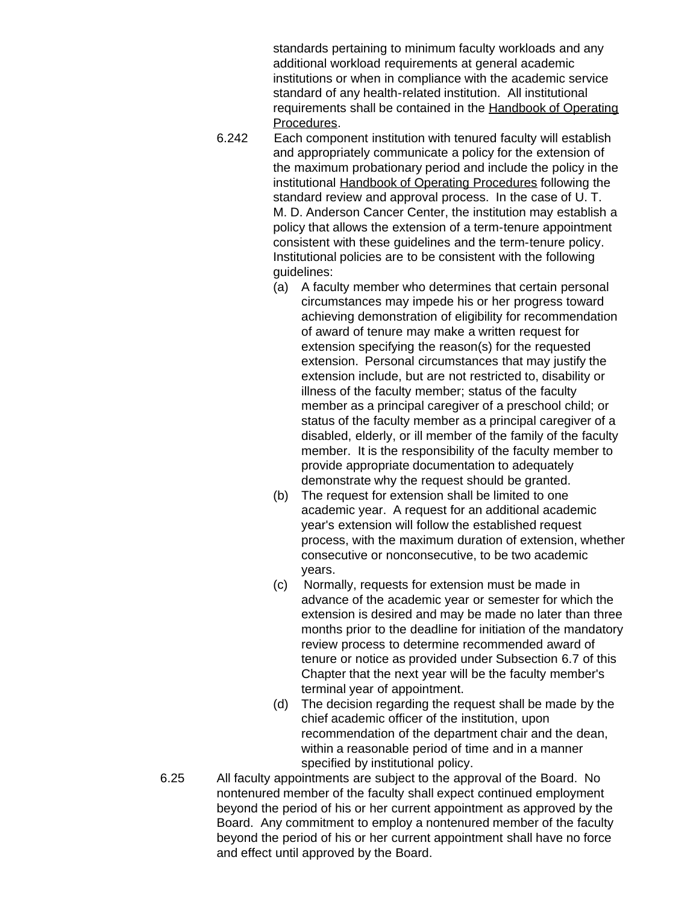standards pertaining to minimum faculty workloads and any additional workload requirements at general academic institutions or when in compliance with the academic service standard of any health-related institution. All institutional requirements shall be contained in the Handbook of Operating Procedures.

- 6.242 Each component institution with tenured faculty will establish and appropriately communicate a policy for the extension of the maximum probationary period and include the policy in the institutional Handbook of Operating Procedures following the standard review and approval process. In the case of U. T. M. D. Anderson Cancer Center, the institution may establish a policy that allows the extension of a term-tenure appointment consistent with these guidelines and the term-tenure policy. Institutional policies are to be consistent with the following guidelines:
	- (a) A faculty member who determines that certain personal circumstances may impede his or her progress toward achieving demonstration of eligibility for recommendation of award of tenure may make a written request for extension specifying the reason(s) for the requested extension. Personal circumstances that may justify the extension include, but are not restricted to, disability or illness of the faculty member; status of the faculty member as a principal caregiver of a preschool child; or status of the faculty member as a principal caregiver of a disabled, elderly, or ill member of the family of the faculty member. It is the responsibility of the faculty member to provide appropriate documentation to adequately demonstrate why the request should be granted.
	- (b) The request for extension shall be limited to one academic year. A request for an additional academic year's extension will follow the established request process, with the maximum duration of extension, whether consecutive or nonconsecutive, to be two academic years.
	- (c) Normally, requests for extension must be made in advance of the academic year or semester for which the extension is desired and may be made no later than three months prior to the deadline for initiation of the mandatory review process to determine recommended award of tenure or notice as provided under Subsection 6.7 of this Chapter that the next year will be the faculty member's terminal year of appointment.
	- (d) The decision regarding the request shall be made by the chief academic officer of the institution, upon recommendation of the department chair and the dean, within a reasonable period of time and in a manner specified by institutional policy.
- 6.25 All faculty appointments are subject to the approval of the Board. No nontenured member of the faculty shall expect continued employment beyond the period of his or her current appointment as approved by the Board. Any commitment to employ a nontenured member of the faculty beyond the period of his or her current appointment shall have no force and effect until approved by the Board.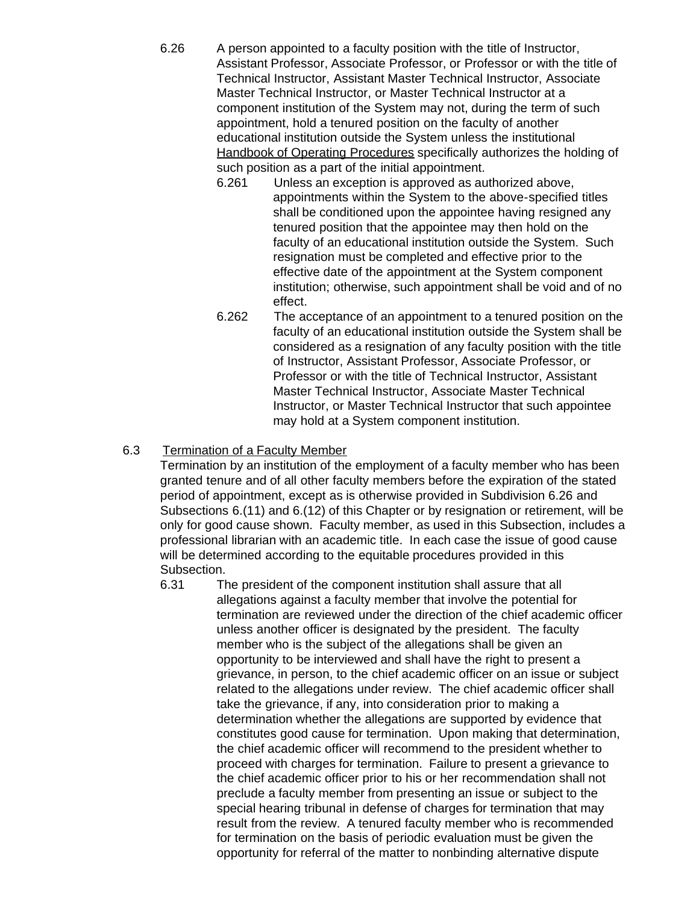- 6.26 A person appointed to a faculty position with the title of Instructor, Assistant Professor, Associate Professor, or Professor or with the title of Technical Instructor, Assistant Master Technical Instructor, Associate Master Technical Instructor, or Master Technical Instructor at a component institution of the System may not, during the term of such appointment, hold a tenured position on the faculty of another educational institution outside the System unless the institutional Handbook of Operating Procedures specifically authorizes the holding of such position as a part of the initial appointment.
	- 6.261 Unless an exception is approved as authorized above, appointments within the System to the above-specified titles shall be conditioned upon the appointee having resigned any tenured position that the appointee may then hold on the faculty of an educational institution outside the System. Such resignation must be completed and effective prior to the effective date of the appointment at the System component institution; otherwise, such appointment shall be void and of no effect.
	- 6.262 The acceptance of an appointment to a tenured position on the faculty of an educational institution outside the System shall be considered as a resignation of any faculty position with the title of Instructor, Assistant Professor, Associate Professor, or Professor or with the title of Technical Instructor, Assistant Master Technical Instructor, Associate Master Technical Instructor, or Master Technical Instructor that such appointee may hold at a System component institution.

## 6.3 Termination of a Faculty Member

Termination by an institution of the employment of a faculty member who has been granted tenure and of all other faculty members before the expiration of the stated period of appointment, except as is otherwise provided in Subdivision 6.26 and Subsections 6.(11) and 6.(12) of this Chapter or by resignation or retirement, will be only for good cause shown. Faculty member, as used in this Subsection, includes a professional librarian with an academic title. In each case the issue of good cause will be determined according to the equitable procedures provided in this Subsection.

6.31 The president of the component institution shall assure that all allegations against a faculty member that involve the potential for termination are reviewed under the direction of the chief academic officer unless another officer is designated by the president. The faculty member who is the subject of the allegations shall be given an opportunity to be interviewed and shall have the right to present a grievance, in person, to the chief academic officer on an issue or subject related to the allegations under review. The chief academic officer shall take the grievance, if any, into consideration prior to making a determination whether the allegations are supported by evidence that constitutes good cause for termination. Upon making that determination, the chief academic officer will recommend to the president whether to proceed with charges for termination. Failure to present a grievance to the chief academic officer prior to his or her recommendation shall not preclude a faculty member from presenting an issue or subject to the special hearing tribunal in defense of charges for termination that may result from the review. A tenured faculty member who is recommended for termination on the basis of periodic evaluation must be given the opportunity for referral of the matter to nonbinding alternative dispute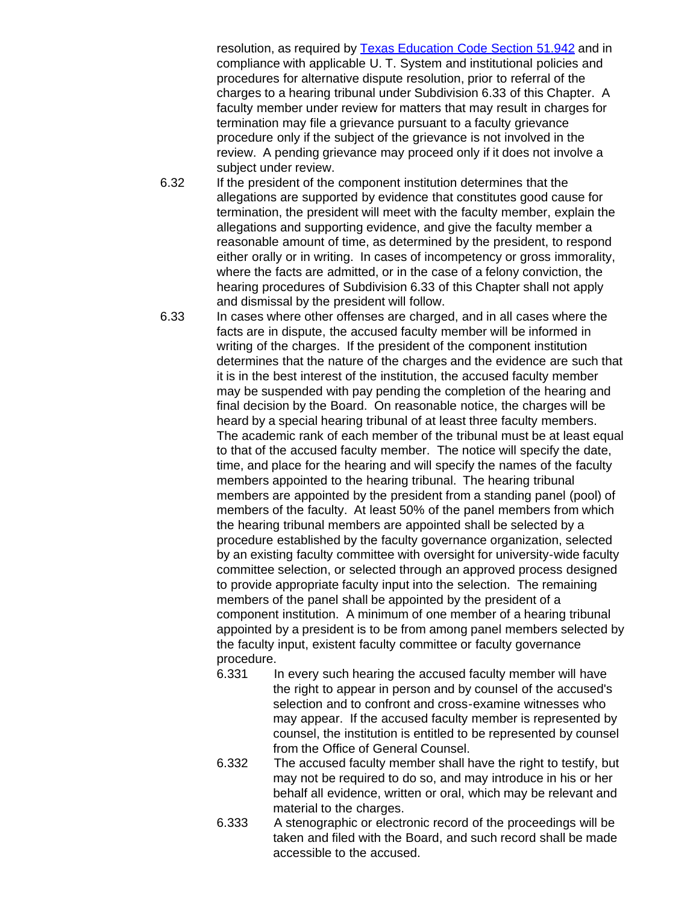resolution, as required by [Texas Education Code Section](http://www.capitol.state.tx.us/statutes/ed/ed0005100.html#ed241.51.942) 51.942 and in compliance with applicable U. T. System and institutional policies and procedures for alternative dispute resolution, prior to referral of the charges to a hearing tribunal under Subdivision 6.33 of this Chapter. A faculty member under review for matters that may result in charges for termination may file a grievance pursuant to a faculty grievance procedure only if the subject of the grievance is not involved in the review. A pending grievance may proceed only if it does not involve a subject under review.

- 6.32 If the president of the component institution determines that the allegations are supported by evidence that constitutes good cause for termination, the president will meet with the faculty member, explain the allegations and supporting evidence, and give the faculty member a reasonable amount of time, as determined by the president, to respond either orally or in writing. In cases of incompetency or gross immorality, where the facts are admitted, or in the case of a felony conviction, the hearing procedures of Subdivision 6.33 of this Chapter shall not apply and dismissal by the president will follow.
- 6.33 In cases where other offenses are charged, and in all cases where the facts are in dispute, the accused faculty member will be informed in writing of the charges. If the president of the component institution determines that the nature of the charges and the evidence are such that it is in the best interest of the institution, the accused faculty member may be suspended with pay pending the completion of the hearing and final decision by the Board. On reasonable notice, the charges will be heard by a special hearing tribunal of at least three faculty members. The academic rank of each member of the tribunal must be at least equal to that of the accused faculty member. The notice will specify the date, time, and place for the hearing and will specify the names of the faculty members appointed to the hearing tribunal. The hearing tribunal members are appointed by the president from a standing panel (pool) of members of the faculty. At least 50% of the panel members from which the hearing tribunal members are appointed shall be selected by a procedure established by the faculty governance organization, selected by an existing faculty committee with oversight for university-wide faculty committee selection, or selected through an approved process designed to provide appropriate faculty input into the selection. The remaining members of the panel shall be appointed by the president of a component institution. A minimum of one member of a hearing tribunal appointed by a president is to be from among panel members selected by the faculty input, existent faculty committee or faculty governance procedure.
	- 6.331 In every such hearing the accused faculty member will have the right to appear in person and by counsel of the accused's selection and to confront and cross-examine witnesses who may appear. If the accused faculty member is represented by counsel, the institution is entitled to be represented by counsel from the Office of General Counsel.
	- 6.332 The accused faculty member shall have the right to testify, but may not be required to do so, and may introduce in his or her behalf all evidence, written or oral, which may be relevant and material to the charges.
	- 6.333 A stenographic or electronic record of the proceedings will be taken and filed with the Board, and such record shall be made accessible to the accused.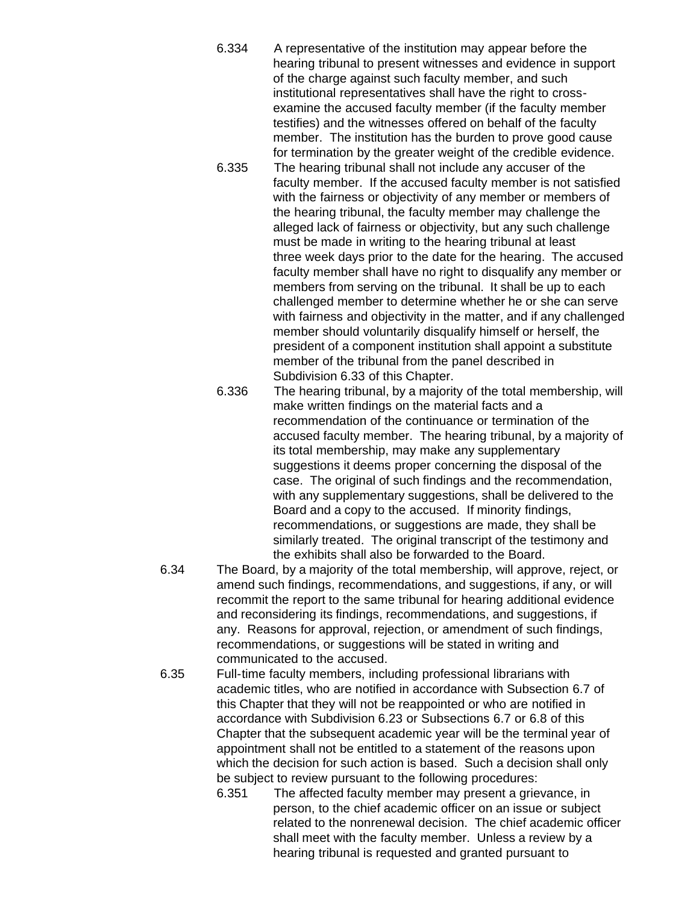- 6.334 A representative of the institution may appear before the hearing tribunal to present witnesses and evidence in support of the charge against such faculty member, and such institutional representatives shall have the right to crossexamine the accused faculty member (if the faculty member testifies) and the witnesses offered on behalf of the faculty member. The institution has the burden to prove good cause for termination by the greater weight of the credible evidence.
- 6.335 The hearing tribunal shall not include any accuser of the faculty member. If the accused faculty member is not satisfied with the fairness or objectivity of any member or members of the hearing tribunal, the faculty member may challenge the alleged lack of fairness or objectivity, but any such challenge must be made in writing to the hearing tribunal at least three week days prior to the date for the hearing. The accused faculty member shall have no right to disqualify any member or members from serving on the tribunal. It shall be up to each challenged member to determine whether he or she can serve with fairness and objectivity in the matter, and if any challenged member should voluntarily disqualify himself or herself, the president of a component institution shall appoint a substitute member of the tribunal from the panel described in Subdivision 6.33 of this Chapter.
- 6.336 The hearing tribunal, by a majority of the total membership, will make written findings on the material facts and a recommendation of the continuance or termination of the accused faculty member. The hearing tribunal, by a majority of its total membership, may make any supplementary suggestions it deems proper concerning the disposal of the case. The original of such findings and the recommendation, with any supplementary suggestions, shall be delivered to the Board and a copy to the accused. If minority findings, recommendations, or suggestions are made, they shall be similarly treated. The original transcript of the testimony and the exhibits shall also be forwarded to the Board.
- 6.34 The Board, by a majority of the total membership, will approve, reject, or amend such findings, recommendations, and suggestions, if any, or will recommit the report to the same tribunal for hearing additional evidence and reconsidering its findings, recommendations, and suggestions, if any. Reasons for approval, rejection, or amendment of such findings, recommendations, or suggestions will be stated in writing and communicated to the accused.
- 6.35 Full-time faculty members, including professional librarians with academic titles, who are notified in accordance with Subsection 6.7 of this Chapter that they will not be reappointed or who are notified in accordance with Subdivision 6.23 or Subsections 6.7 or 6.8 of this Chapter that the subsequent academic year will be the terminal year of appointment shall not be entitled to a statement of the reasons upon which the decision for such action is based. Such a decision shall only be subject to review pursuant to the following procedures:
	- 6.351 The affected faculty member may present a grievance, in person, to the chief academic officer on an issue or subject related to the nonrenewal decision. The chief academic officer shall meet with the faculty member. Unless a review by a hearing tribunal is requested and granted pursuant to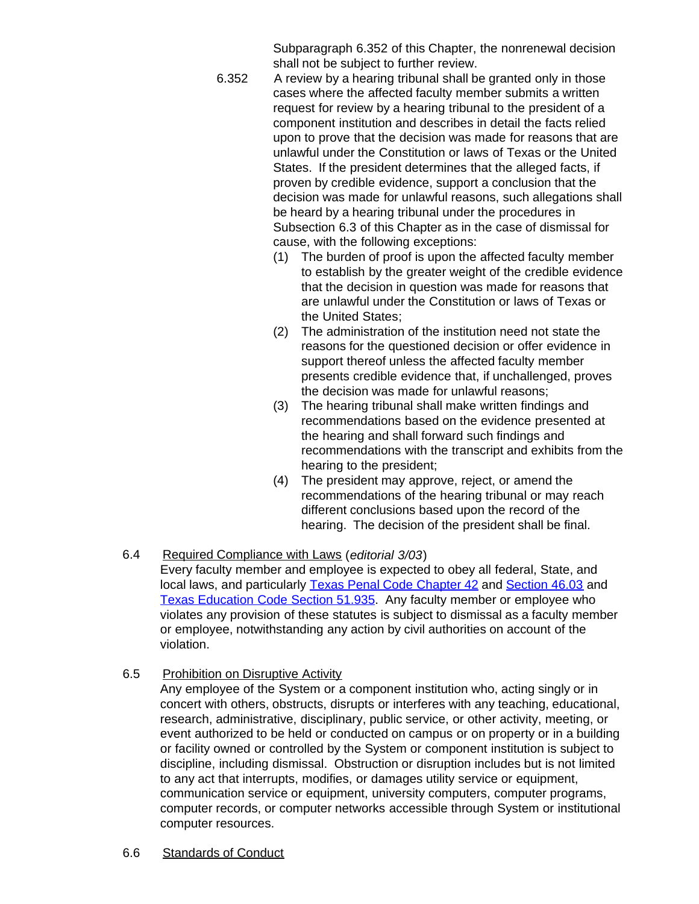Subparagraph 6.352 of this Chapter, the nonrenewal decision shall not be subject to further review.

- 6.352 A review by a hearing tribunal shall be granted only in those cases where the affected faculty member submits a written request for review by a hearing tribunal to the president of a component institution and describes in detail the facts relied upon to prove that the decision was made for reasons that are unlawful under the Constitution or laws of Texas or the United States. If the president determines that the alleged facts, if proven by credible evidence, support a conclusion that the decision was made for unlawful reasons, such allegations shall be heard by a hearing tribunal under the procedures in Subsection 6.3 of this Chapter as in the case of dismissal for cause, with the following exceptions:
	- (1) The burden of proof is upon the affected faculty member to establish by the greater weight of the credible evidence that the decision in question was made for reasons that are unlawful under the Constitution or laws of Texas or the United States;
	- (2) The administration of the institution need not state the reasons for the questioned decision or offer evidence in support thereof unless the affected faculty member presents credible evidence that, if unchallenged, proves the decision was made for unlawful reasons;
	- (3) The hearing tribunal shall make written findings and recommendations based on the evidence presented at the hearing and shall forward such findings and recommendations with the transcript and exhibits from the hearing to the president;
	- (4) The president may approve, reject, or amend the recommendations of the hearing tribunal or may reach different conclusions based upon the record of the hearing. The decision of the president shall be final.
- 6.4 Required Compliance with Laws (*editorial 3/03*) Every faculty member and employee is expected to obey all federal, State, and local laws, and particularly [Texas Penal Code Chapter 42](http://www.capitol.state.tx.us/statutes/pe/pe0004200toc.html) and [Section](http://www.capitol.state.tx.us/statutes/pe/pe0004600.html#pe003.46.03) 46.03 and [Texas Education Code Section](http://www.capitol.state.tx.us/statutes/ed/ed0005100.html#ed235.51.935) 51.935. Any faculty member or employee who violates any provision of these statutes is subject to dismissal as a faculty member or employee, notwithstanding any action by civil authorities on account of the violation.
- 6.5 Prohibition on Disruptive Activity

Any employee of the System or a component institution who, acting singly or in concert with others, obstructs, disrupts or interferes with any teaching, educational, research, administrative, disciplinary, public service, or other activity, meeting, or event authorized to be held or conducted on campus or on property or in a building or facility owned or controlled by the System or component institution is subject to discipline, including dismissal. Obstruction or disruption includes but is not limited to any act that interrupts, modifies, or damages utility service or equipment, communication service or equipment, university computers, computer programs, computer records, or computer networks accessible through System or institutional computer resources.

6.6 Standards of Conduct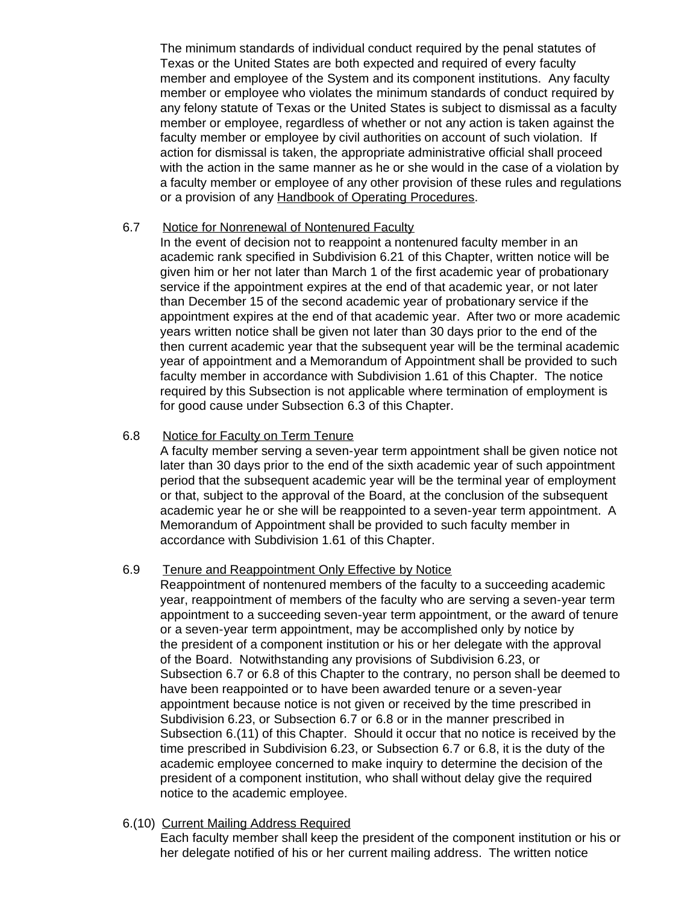The minimum standards of individual conduct required by the penal statutes of Texas or the United States are both expected and required of every faculty member and employee of the System and its component institutions. Any faculty member or employee who violates the minimum standards of conduct required by any felony statute of Texas or the United States is subject to dismissal as a faculty member or employee, regardless of whether or not any action is taken against the faculty member or employee by civil authorities on account of such violation. If action for dismissal is taken, the appropriate administrative official shall proceed with the action in the same manner as he or she would in the case of a violation by a faculty member or employee of any other provision of these rules and regulations or a provision of any Handbook of Operating Procedures.

#### 6.7 Notice for Nonrenewal of Nontenured Faculty

In the event of decision not to reappoint a nontenured faculty member in an academic rank specified in Subdivision 6.21 of this Chapter, written notice will be given him or her not later than March 1 of the first academic year of probationary service if the appointment expires at the end of that academic year, or not later than December 15 of the second academic year of probationary service if the appointment expires at the end of that academic year. After two or more academic years written notice shall be given not later than 30 days prior to the end of the then current academic year that the subsequent year will be the terminal academic year of appointment and a Memorandum of Appointment shall be provided to such faculty member in accordance with Subdivision 1.61 of this Chapter. The notice required by this Subsection is not applicable where termination of employment is for good cause under Subsection 6.3 of this Chapter.

#### 6.8 Notice for Faculty on Term Tenure

A faculty member serving a seven-year term appointment shall be given notice not later than 30 days prior to the end of the sixth academic year of such appointment period that the subsequent academic year will be the terminal year of employment or that, subject to the approval of the Board, at the conclusion of the subsequent academic year he or she will be reappointed to a seven-year term appointment. A Memorandum of Appointment shall be provided to such faculty member in accordance with Subdivision 1.61 of this Chapter.

#### 6.9 Tenure and Reappointment Only Effective by Notice

Reappointment of nontenured members of the faculty to a succeeding academic year, reappointment of members of the faculty who are serving a seven-year term appointment to a succeeding seven-year term appointment, or the award of tenure or a seven-year term appointment, may be accomplished only by notice by the president of a component institution or his or her delegate with the approval of the Board. Notwithstanding any provisions of Subdivision 6.23, or Subsection 6.7 or 6.8 of this Chapter to the contrary, no person shall be deemed to have been reappointed or to have been awarded tenure or a seven-year appointment because notice is not given or received by the time prescribed in Subdivision 6.23, or Subsection 6.7 or 6.8 or in the manner prescribed in Subsection 6.(11) of this Chapter. Should it occur that no notice is received by the time prescribed in Subdivision 6.23, or Subsection 6.7 or 6.8, it is the duty of the academic employee concerned to make inquiry to determine the decision of the president of a component institution, who shall without delay give the required notice to the academic employee.

#### 6.(10) Current Mailing Address Required

Each faculty member shall keep the president of the component institution or his or her delegate notified of his or her current mailing address. The written notice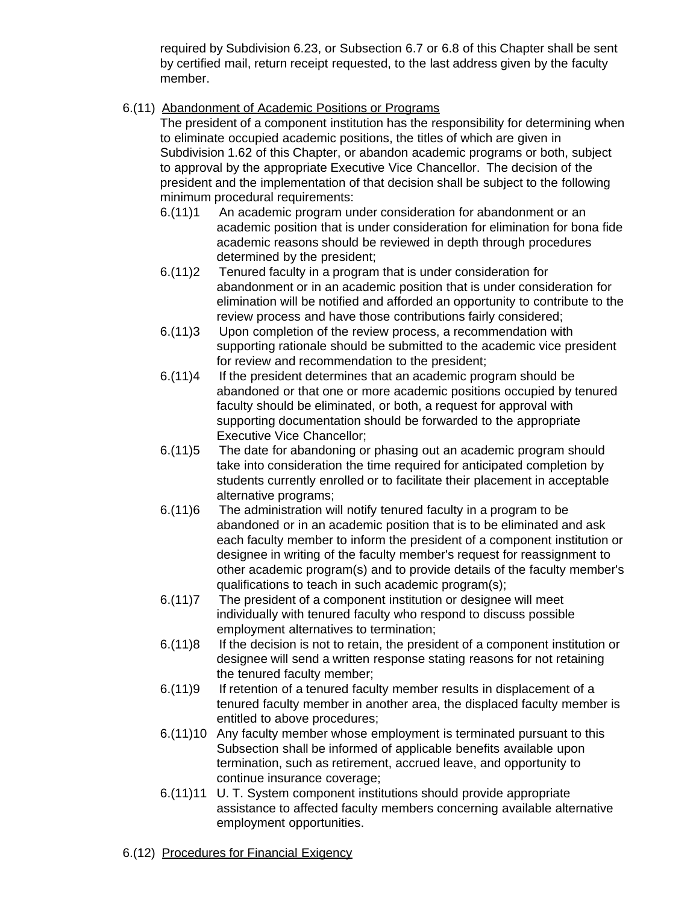required by Subdivision 6.23, or Subsection 6.7 or 6.8 of this Chapter shall be sent by certified mail, return receipt requested, to the last address given by the faculty member.

6.(11) Abandonment of Academic Positions or Programs

The president of a component institution has the responsibility for determining when to eliminate occupied academic positions, the titles of which are given in Subdivision 1.62 of this Chapter, or abandon academic programs or both, subject to approval by the appropriate Executive Vice Chancellor. The decision of the president and the implementation of that decision shall be subject to the following minimum procedural requirements:

- 6.(11)1 An academic program under consideration for abandonment or an academic position that is under consideration for elimination for bona fide academic reasons should be reviewed in depth through procedures determined by the president;
- 6.(11)2 Tenured faculty in a program that is under consideration for abandonment or in an academic position that is under consideration for elimination will be notified and afforded an opportunity to contribute to the review process and have those contributions fairly considered;
- 6.(11)3 Upon completion of the review process, a recommendation with supporting rationale should be submitted to the academic vice president for review and recommendation to the president;
- 6.(11)4 If the president determines that an academic program should be abandoned or that one or more academic positions occupied by tenured faculty should be eliminated, or both, a request for approval with supporting documentation should be forwarded to the appropriate Executive Vice Chancellor;
- 6.(11)5 The date for abandoning or phasing out an academic program should take into consideration the time required for anticipated completion by students currently enrolled or to facilitate their placement in acceptable alternative programs;
- 6.(11)6 The administration will notify tenured faculty in a program to be abandoned or in an academic position that is to be eliminated and ask each faculty member to inform the president of a component institution or designee in writing of the faculty member's request for reassignment to other academic program(s) and to provide details of the faculty member's qualifications to teach in such academic program(s);
- 6.(11)7 The president of a component institution or designee will meet individually with tenured faculty who respond to discuss possible employment alternatives to termination;
- 6.(11)8 If the decision is not to retain, the president of a component institution or designee will send a written response stating reasons for not retaining the tenured faculty member;
- 6.(11)9 If retention of a tenured faculty member results in displacement of a tenured faculty member in another area, the displaced faculty member is entitled to above procedures;
- 6.(11)10 Any faculty member whose employment is terminated pursuant to this Subsection shall be informed of applicable benefits available upon termination, such as retirement, accrued leave, and opportunity to continue insurance coverage;
- 6.(11)11 U. T. System component institutions should provide appropriate assistance to affected faculty members concerning available alternative employment opportunities.
- 6.(12) Procedures for Financial Exigency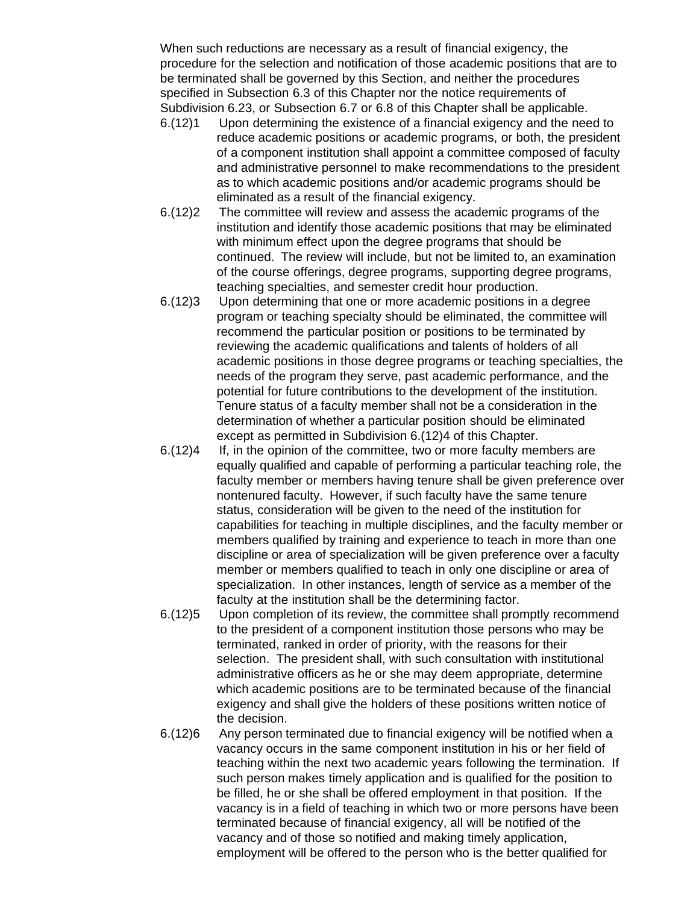When such reductions are necessary as a result of financial exigency, the procedure for the selection and notification of those academic positions that are to be terminated shall be governed by this Section, and neither the procedures specified in Subsection 6.3 of this Chapter nor the notice requirements of Subdivision 6.23, or Subsection 6.7 or 6.8 of this Chapter shall be applicable.

- 6.(12)1 Upon determining the existence of a financial exigency and the need to reduce academic positions or academic programs, or both, the president of a component institution shall appoint a committee composed of faculty and administrative personnel to make recommendations to the president as to which academic positions and/or academic programs should be eliminated as a result of the financial exigency.
- 6.(12)2 The committee will review and assess the academic programs of the institution and identify those academic positions that may be eliminated with minimum effect upon the degree programs that should be continued. The review will include, but not be limited to, an examination of the course offerings, degree programs, supporting degree programs, teaching specialties, and semester credit hour production.
- 6.(12)3 Upon determining that one or more academic positions in a degree program or teaching specialty should be eliminated, the committee will recommend the particular position or positions to be terminated by reviewing the academic qualifications and talents of holders of all academic positions in those degree programs or teaching specialties, the needs of the program they serve, past academic performance, and the potential for future contributions to the development of the institution. Tenure status of a faculty member shall not be a consideration in the determination of whether a particular position should be eliminated except as permitted in Subdivision 6.(12)4 of this Chapter.
- 6.(12)4 If, in the opinion of the committee, two or more faculty members are equally qualified and capable of performing a particular teaching role, the faculty member or members having tenure shall be given preference over nontenured faculty. However, if such faculty have the same tenure status, consideration will be given to the need of the institution for capabilities for teaching in multiple disciplines, and the faculty member or members qualified by training and experience to teach in more than one discipline or area of specialization will be given preference over a faculty member or members qualified to teach in only one discipline or area of specialization. In other instances, length of service as a member of the faculty at the institution shall be the determining factor.
- 6.(12)5 Upon completion of its review, the committee shall promptly recommend to the president of a component institution those persons who may be terminated, ranked in order of priority, with the reasons for their selection. The president shall, with such consultation with institutional administrative officers as he or she may deem appropriate, determine which academic positions are to be terminated because of the financial exigency and shall give the holders of these positions written notice of the decision.
- 6.(12)6 Any person terminated due to financial exigency will be notified when a vacancy occurs in the same component institution in his or her field of teaching within the next two academic years following the termination. If such person makes timely application and is qualified for the position to be filled, he or she shall be offered employment in that position. If the vacancy is in a field of teaching in which two or more persons have been terminated because of financial exigency, all will be notified of the vacancy and of those so notified and making timely application, employment will be offered to the person who is the better qualified for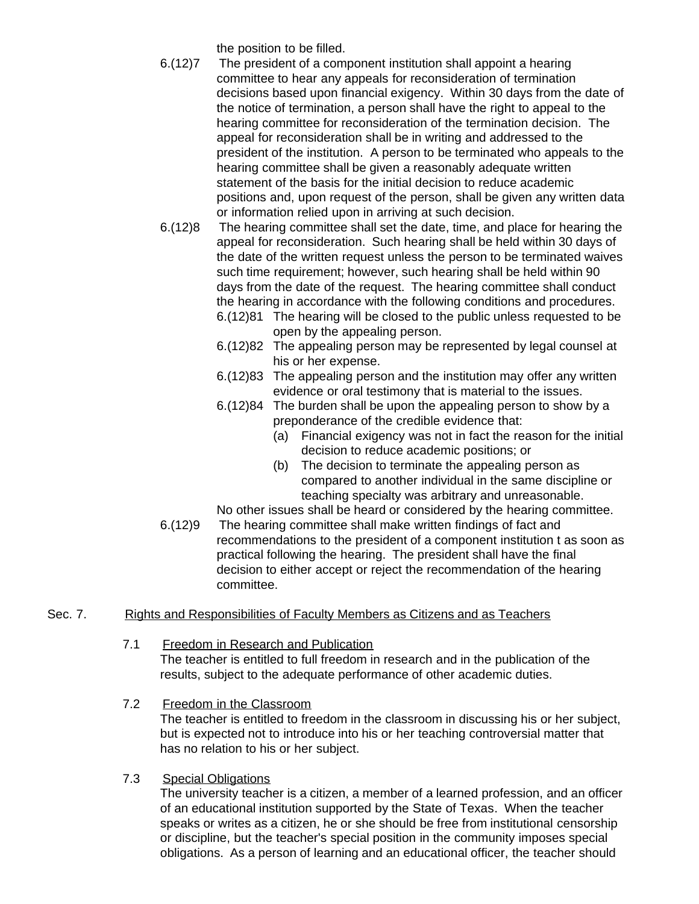the position to be filled.

- 6.(12)7 The president of a component institution shall appoint a hearing committee to hear any appeals for reconsideration of termination decisions based upon financial exigency. Within 30 days from the date of the notice of termination, a person shall have the right to appeal to the hearing committee for reconsideration of the termination decision. The appeal for reconsideration shall be in writing and addressed to the president of the institution. A person to be terminated who appeals to the hearing committee shall be given a reasonably adequate written statement of the basis for the initial decision to reduce academic positions and, upon request of the person, shall be given any written data or information relied upon in arriving at such decision.
- 6.(12)8 The hearing committee shall set the date, time, and place for hearing the appeal for reconsideration. Such hearing shall be held within 30 days of the date of the written request unless the person to be terminated waives such time requirement; however, such hearing shall be held within 90 days from the date of the request. The hearing committee shall conduct the hearing in accordance with the following conditions and procedures. 6.(12)81 The hearing will be closed to the public unless requested to be
	- open by the appealing person.
	- 6.(12)82 The appealing person may be represented by legal counsel at his or her expense.
	- 6.(12)83 The appealing person and the institution may offer any written evidence or oral testimony that is material to the issues.
	- 6.(12)84 The burden shall be upon the appealing person to show by a preponderance of the credible evidence that:
		- (a) Financial exigency was not in fact the reason for the initial decision to reduce academic positions; or
		- (b) The decision to terminate the appealing person as compared to another individual in the same discipline or teaching specialty was arbitrary and unreasonable.

No other issues shall be heard or considered by the hearing committee.

6.(12)9 The hearing committee shall make written findings of fact and recommendations to the president of a component institution t as soon as practical following the hearing. The president shall have the final decision to either accept or reject the recommendation of the hearing committee.

# Sec. 7. Rights and Responsibilities of Faculty Members as Citizens and as Teachers

- 7.1 Freedom in Research and Publication The teacher is entitled to full freedom in research and in the publication of the results, subject to the adequate performance of other academic duties.
- 7.2 Freedom in the Classroom

The teacher is entitled to freedom in the classroom in discussing his or her subject, but is expected not to introduce into his or her teaching controversial matter that has no relation to his or her subject.

7.3 Special Obligations

The university teacher is a citizen, a member of a learned profession, and an officer of an educational institution supported by the State of Texas. When the teacher speaks or writes as a citizen, he or she should be free from institutional censorship or discipline, but the teacher's special position in the community imposes special obligations. As a person of learning and an educational officer, the teacher should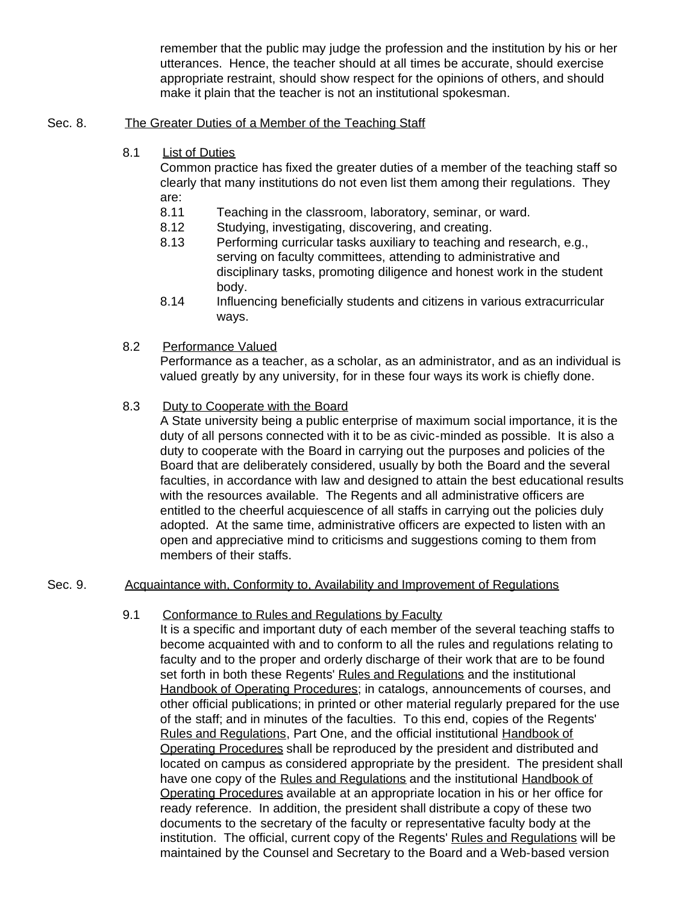remember that the public may judge the profession and the institution by his or her utterances. Hence, the teacher should at all times be accurate, should exercise appropriate restraint, should show respect for the opinions of others, and should make it plain that the teacher is not an institutional spokesman.

#### Sec. 8. The Greater Duties of a Member of the Teaching Staff

8.1 List of Duties

Common practice has fixed the greater duties of a member of the teaching staff so clearly that many institutions do not even list them among their regulations. They are:

- 8.11 Teaching in the classroom, laboratory, seminar, or ward.
- 8.12 Studying, investigating, discovering, and creating.
- 8.13 Performing curricular tasks auxiliary to teaching and research, e.g., serving on faculty committees, attending to administrative and disciplinary tasks, promoting diligence and honest work in the student body.
- 8.14 Influencing beneficially students and citizens in various extracurricular ways.
- 8.2 Performance Valued

Performance as a teacher, as a scholar, as an administrator, and as an individual is valued greatly by any university, for in these four ways its work is chiefly done.

8.3 Duty to Cooperate with the Board

A State university being a public enterprise of maximum social importance, it is the duty of all persons connected with it to be as civic-minded as possible. It is also a duty to cooperate with the Board in carrying out the purposes and policies of the Board that are deliberately considered, usually by both the Board and the several faculties, in accordance with law and designed to attain the best educational results with the resources available. The Regents and all administrative officers are entitled to the cheerful acquiescence of all staffs in carrying out the policies duly adopted. At the same time, administrative officers are expected to listen with an open and appreciative mind to criticisms and suggestions coming to them from members of their staffs.

## Sec. 9. Acquaintance with, Conformity to, Availability and Improvement of Regulations

9.1 Conformance to Rules and Regulations by Faculty

It is a specific and important duty of each member of the several teaching staffs to become acquainted with and to conform to all the rules and regulations relating to faculty and to the proper and orderly discharge of their work that are to be found set forth in both these Regents' Rules and Regulations and the institutional Handbook of Operating Procedures; in catalogs, announcements of courses, and other official publications; in printed or other material regularly prepared for the use of the staff; and in minutes of the faculties. To this end, copies of the Regents' Rules and Regulations, Part One, and the official institutional Handbook of Operating Procedures shall be reproduced by the president and distributed and located on campus as considered appropriate by the president. The president shall have one copy of the Rules and Regulations and the institutional Handbook of Operating Procedures available at an appropriate location in his or her office for ready reference. In addition, the president shall distribute a copy of these two documents to the secretary of the faculty or representative faculty body at the institution. The official, current copy of the Regents' Rules and Regulations will be maintained by the Counsel and Secretary to the Board and a Web-based version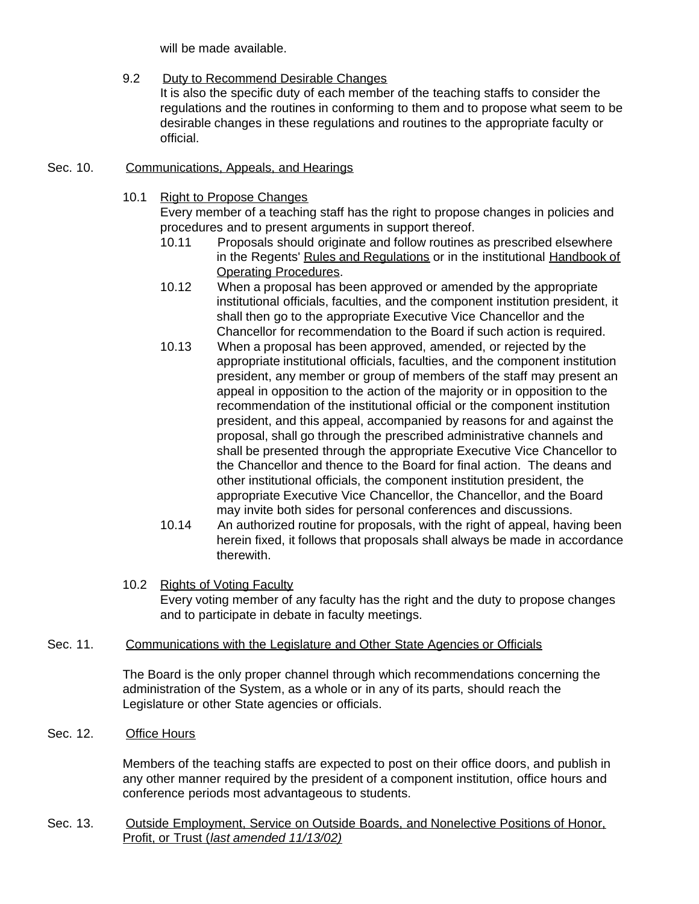will be made available.

9.2 Duty to Recommend Desirable Changes

It is also the specific duty of each member of the teaching staffs to consider the regulations and the routines in conforming to them and to propose what seem to be desirable changes in these regulations and routines to the appropriate faculty or official.

- Sec. 10. Communications, Appeals, and Hearings
	- 10.1 Right to Propose Changes

Every member of a teaching staff has the right to propose changes in policies and procedures and to present arguments in support thereof.

- 10.11 Proposals should originate and follow routines as prescribed elsewhere in the Regents' Rules and Regulations or in the institutional Handbook of Operating Procedures.
- 10.12 When a proposal has been approved or amended by the appropriate institutional officials, faculties, and the component institution president, it shall then go to the appropriate Executive Vice Chancellor and the Chancellor for recommendation to the Board if such action is required.
- 10.13 When a proposal has been approved, amended, or rejected by the appropriate institutional officials, faculties, and the component institution president, any member or group of members of the staff may present an appeal in opposition to the action of the majority or in opposition to the recommendation of the institutional official or the component institution president, and this appeal, accompanied by reasons for and against the proposal, shall go through the prescribed administrative channels and shall be presented through the appropriate Executive Vice Chancellor to the Chancellor and thence to the Board for final action. The deans and other institutional officials, the component institution president, the appropriate Executive Vice Chancellor, the Chancellor, and the Board may invite both sides for personal conferences and discussions.
- 10.14 An authorized routine for proposals, with the right of appeal, having been herein fixed, it follows that proposals shall always be made in accordance therewith.
- 10.2 Rights of Voting Faculty Every voting member of any faculty has the right and the duty to propose changes and to participate in debate in faculty meetings.
- Sec. 11. Communications with the Legislature and Other State Agencies or Officials

The Board is the only proper channel through which recommendations concerning the administration of the System, as a whole or in any of its parts, should reach the Legislature or other State agencies or officials.

Sec. 12. Office Hours

Members of the teaching staffs are expected to post on their office doors, and publish in any other manner required by the president of a component institution, office hours and conference periods most advantageous to students.

Sec. 13. Outside Employment, Service on Outside Boards, and Nonelective Positions of Honor, Profit, or Trust (*last amended 11/13/02)*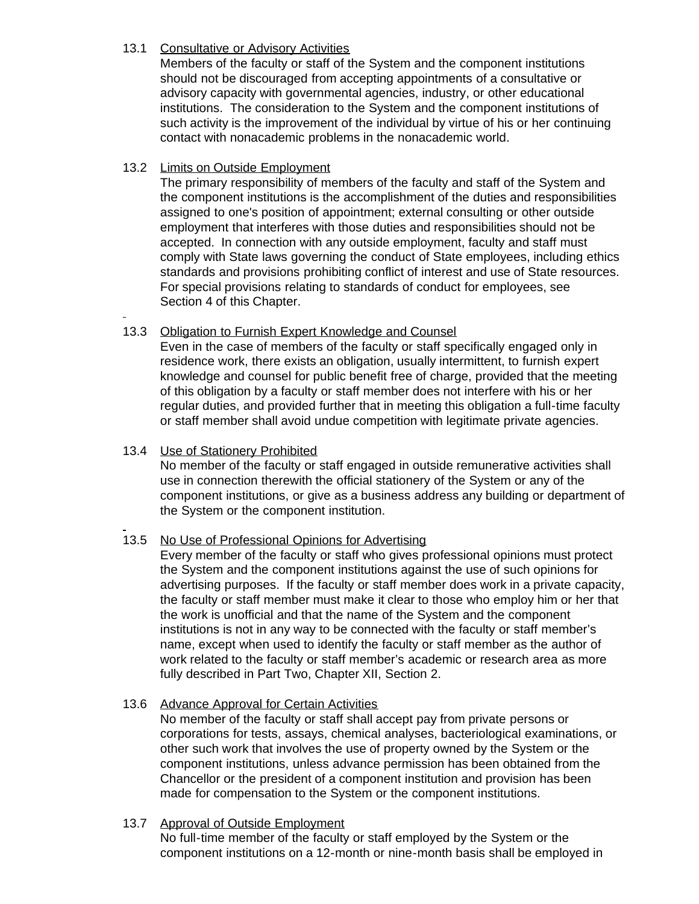# 13.1 Consultative or Advisory Activities

Members of the faculty or staff of the System and the component institutions should not be discouraged from accepting appointments of a consultative or advisory capacity with governmental agencies, industry, or other educational institutions. The consideration to the System and the component institutions of such activity is the improvement of the individual by virtue of his or her continuing contact with nonacademic problems in the nonacademic world.

# 13.2 Limits on Outside Employment

The primary responsibility of members of the faculty and staff of the System and the component institutions is the accomplishment of the duties and responsibilities assigned to one's position of appointment; external consulting or other outside employment that interferes with those duties and responsibilities should not be accepted. In connection with any outside employment, faculty and staff must comply with State laws governing the conduct of State employees, including ethics standards and provisions prohibiting conflict of interest and use of State resources. For special provisions relating to standards of conduct for employees, see Section 4 of this Chapter.

# 13.3 Obligation to Furnish Expert Knowledge and Counsel

Even in the case of members of the faculty or staff specifically engaged only in residence work, there exists an obligation, usually intermittent, to furnish expert knowledge and counsel for public benefit free of charge, provided that the meeting of this obligation by a faculty or staff member does not interfere with his or her regular duties, and provided further that in meeting this obligation a full-time faculty or staff member shall avoid undue competition with legitimate private agencies.

# 13.4 Use of Stationery Prohibited

No member of the faculty or staff engaged in outside remunerative activities shall use in connection therewith the official stationery of the System or any of the component institutions, or give as a business address any building or department of the System or the component institution.

# 13.5 No Use of Professional Opinions for Advertising

Every member of the faculty or staff who gives professional opinions must protect the System and the component institutions against the use of such opinions for advertising purposes. If the faculty or staff member does work in a private capacity, the faculty or staff member must make it clear to those who employ him or her that the work is unofficial and that the name of the System and the component institutions is not in any way to be connected with the faculty or staff member's name, except when used to identify the faculty or staff member as the author of work related to the faculty or staff member's academic or research area as more fully described in Part Two, Chapter XII, Section 2.

#### 13.6 Advance Approval for Certain Activities

No member of the faculty or staff shall accept pay from private persons or corporations for tests, assays, chemical analyses, bacteriological examinations, or other such work that involves the use of property owned by the System or the component institutions, unless advance permission has been obtained from the Chancellor or the president of a component institution and provision has been made for compensation to the System or the component institutions.

#### 13.7 Approval of Outside Employment

No full-time member of the faculty or staff employed by the System or the component institutions on a 12-month or nine-month basis shall be employed in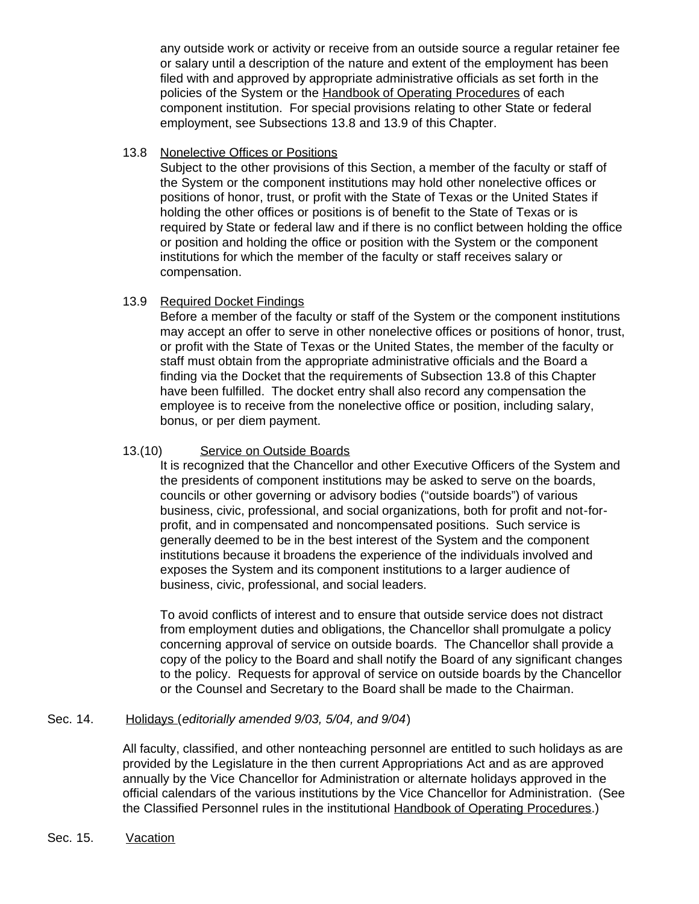any outside work or activity or receive from an outside source a regular retainer fee or salary until a description of the nature and extent of the employment has been filed with and approved by appropriate administrative officials as set forth in the policies of the System or the Handbook of Operating Procedures of each component institution. For special provisions relating to other State or federal employment, see Subsections 13.8 and 13.9 of this Chapter.

#### 13.8 Nonelective Offices or Positions

Subject to the other provisions of this Section, a member of the faculty or staff of the System or the component institutions may hold other nonelective offices or positions of honor, trust, or profit with the State of Texas or the United States if holding the other offices or positions is of benefit to the State of Texas or is required by State or federal law and if there is no conflict between holding the office or position and holding the office or position with the System or the component institutions for which the member of the faculty or staff receives salary or compensation.

#### 13.9 Required Docket Findings

Before a member of the faculty or staff of the System or the component institutions may accept an offer to serve in other nonelective offices or positions of honor, trust, or profit with the State of Texas or the United States, the member of the faculty or staff must obtain from the appropriate administrative officials and the Board a finding via the Docket that the requirements of Subsection 13.8 of this Chapter have been fulfilled. The docket entry shall also record any compensation the employee is to receive from the nonelective office or position, including salary, bonus, or per diem payment.

#### 13.(10) Service on Outside Boards

It is recognized that the Chancellor and other Executive Officers of the System and the presidents of component institutions may be asked to serve on the boards, councils or other governing or advisory bodies ("outside boards") of various business, civic, professional, and social organizations, both for profit and not-forprofit, and in compensated and noncompensated positions. Such service is generally deemed to be in the best interest of the System and the component institutions because it broadens the experience of the individuals involved and exposes the System and its component institutions to a larger audience of business, civic, professional, and social leaders.

To avoid conflicts of interest and to ensure that outside service does not distract from employment duties and obligations, the Chancellor shall promulgate a policy concerning approval of service on outside boards. The Chancellor shall provide a copy of the policy to the Board and shall notify the Board of any significant changes to the policy. Requests for approval of service on outside boards by the Chancellor or the Counsel and Secretary to the Board shall be made to the Chairman.

#### Sec. 14. Holidays (*editorially amended 9/03, 5/04, and 9/04*)

All faculty, classified, and other nonteaching personnel are entitled to such holidays as are provided by the Legislature in the then current Appropriations Act and as are approved annually by the Vice Chancellor for Administration or alternate holidays approved in the official calendars of the various institutions by the Vice Chancellor for Administration. (See the Classified Personnel rules in the institutional Handbook of Operating Procedures.)

Sec. 15. Vacation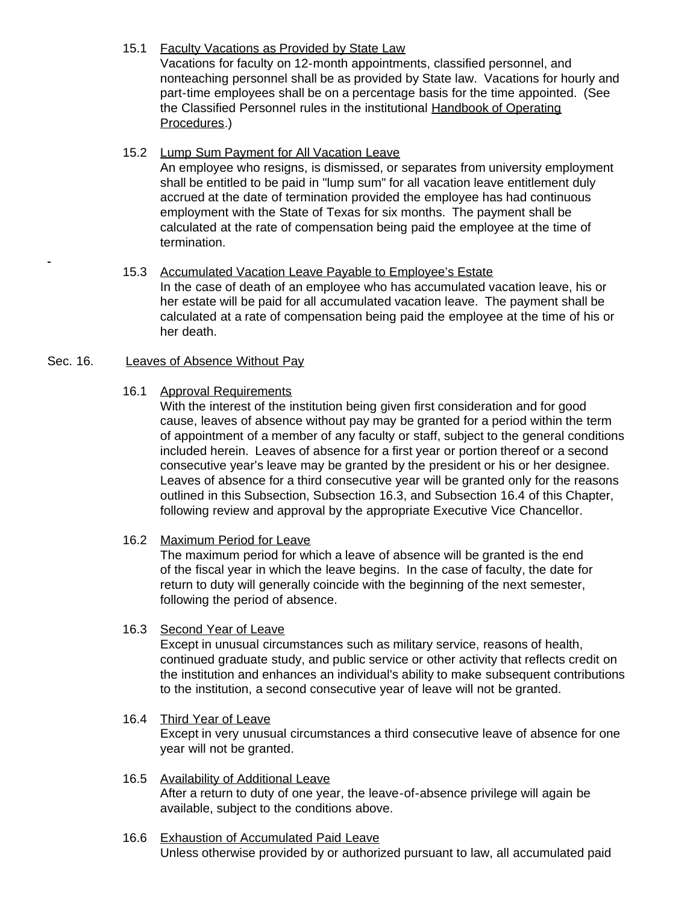# 15.1 Faculty Vacations as Provided by State Law

Vacations for faculty on 12-month appointments, classified personnel, and nonteaching personnel shall be as provided by State law. Vacations for hourly and part-time employees shall be on a percentage basis for the time appointed. (See the Classified Personnel rules in the institutional Handbook of Operating Procedures.)

# 15.2 Lump Sum Payment for All Vacation Leave

An employee who resigns, is dismissed, or separates from university employment shall be entitled to be paid in "lump sum" for all vacation leave entitlement duly accrued at the date of termination provided the employee has had continuous employment with the State of Texas for six months. The payment shall be calculated at the rate of compensation being paid the employee at the time of termination.

#### 15.3 Accumulated Vacation Leave Payable to Employee's Estate In the case of death of an employee who has accumulated vacation leave, his or her estate will be paid for all accumulated vacation leave. The payment shall be calculated at a rate of compensation being paid the employee at the time of his or her death.

#### Sec. 16. Leaves of Absence Without Pay

# 16.1 Approval Requirements

With the interest of the institution being given first consideration and for good cause, leaves of absence without pay may be granted for a period within the term of appointment of a member of any faculty or staff, subject to the general conditions included herein. Leaves of absence for a first year or portion thereof or a second consecutive year's leave may be granted by the president or his or her designee. Leaves of absence for a third consecutive year will be granted only for the reasons outlined in this Subsection, Subsection 16.3, and Subsection 16.4 of this Chapter, following review and approval by the appropriate Executive Vice Chancellor.

# 16.2 Maximum Period for Leave

The maximum period for which a leave of absence will be granted is the end of the fiscal year in which the leave begins. In the case of faculty, the date for return to duty will generally coincide with the beginning of the next semester, following the period of absence.

#### 16.3 Second Year of Leave

Except in unusual circumstances such as military service, reasons of health, continued graduate study, and public service or other activity that reflects credit on the institution and enhances an individual's ability to make subsequent contributions to the institution, a second consecutive year of leave will not be granted.

#### 16.4 Third Year of Leave Except in very unusual circumstances a third consecutive leave of absence for one year will not be granted.

#### 16.5 Availability of Additional Leave After a return to duty of one year, the leave-of-absence privilege will again be available, subject to the conditions above.

#### 16.6 Exhaustion of Accumulated Paid Leave Unless otherwise provided by or authorized pursuant to law, all accumulated paid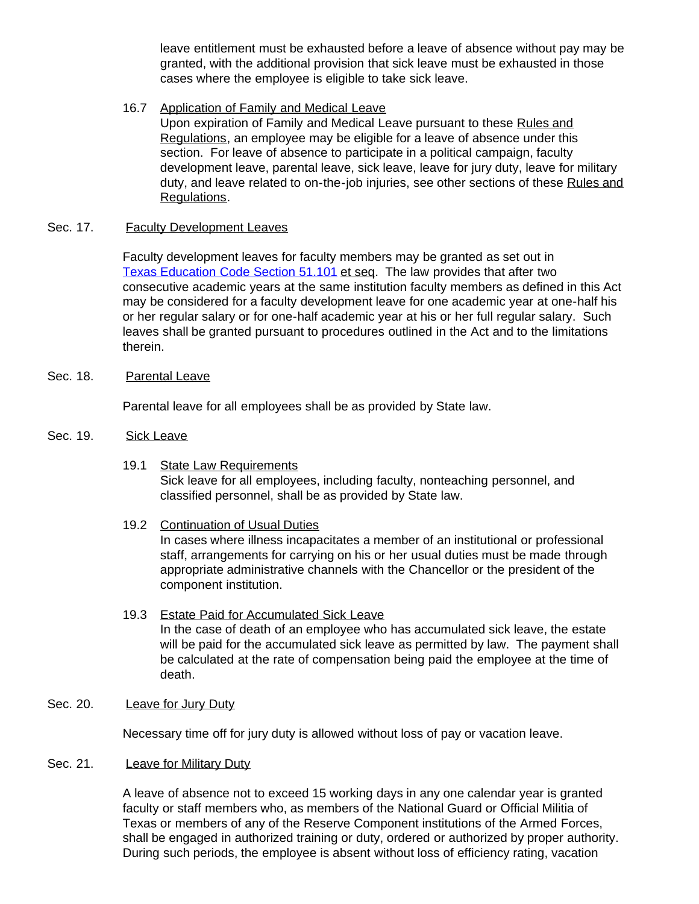leave entitlement must be exhausted before a leave of absence without pay may be granted, with the additional provision that sick leave must be exhausted in those cases where the employee is eligible to take sick leave.

16.7 Application of Family and Medical Leave

Upon expiration of Family and Medical Leave pursuant to these Rules and Regulations, an employee may be eligible for a leave of absence under this section. For leave of absence to participate in a political campaign, faculty development leave, parental leave, sick leave, leave for jury duty, leave for military duty, and leave related to on-the-job injuries, see other sections of these Rules and Regulations.

#### Sec. 17. Faculty Development Leaves

Faculty development leaves for faculty members may be granted as set out in Texas [Education Code Section](http://www.capitol.state.tx.us/statutes/ed/ed0005100.html#ed013.51.101) 51.101 et seq. The law provides that after two consecutive academic years at the same institution faculty members as defined in this Act may be considered for a faculty development leave for one academic year at one-half his or her regular salary or for one-half academic year at his or her full regular salary. Such leaves shall be granted pursuant to procedures outlined in the Act and to the limitations therein.

Sec. 18. Parental Leave

Parental leave for all employees shall be as provided by State law.

- Sec. 19. Sick Leave
	- 19.1 State Law Requirements Sick leave for all employees, including faculty, nonteaching personnel, and classified personnel, shall be as provided by State law.

19.2 Continuation of Usual Duties In cases where illness incapacitates a member of an institutional or professional staff, arrangements for carrying on his or her usual duties must be made through appropriate administrative channels with the Chancellor or the president of the component institution.

- 19.3 Estate Paid for Accumulated Sick Leave In the case of death of an employee who has accumulated sick leave, the estate will be paid for the accumulated sick leave as permitted by law. The payment shall be calculated at the rate of compensation being paid the employee at the time of death.
- Sec. 20. Leave for Jury Duty

Necessary time off for jury duty is allowed without loss of pay or vacation leave.

#### Sec. 21. Leave for Military Duty

A leave of absence not to exceed 15 working days in any one calendar year is granted faculty or staff members who, as members of the National Guard or Official Militia of Texas or members of any of the Reserve Component institutions of the Armed Forces, shall be engaged in authorized training or duty, ordered or authorized by proper authority. During such periods, the employee is absent without loss of efficiency rating, vacation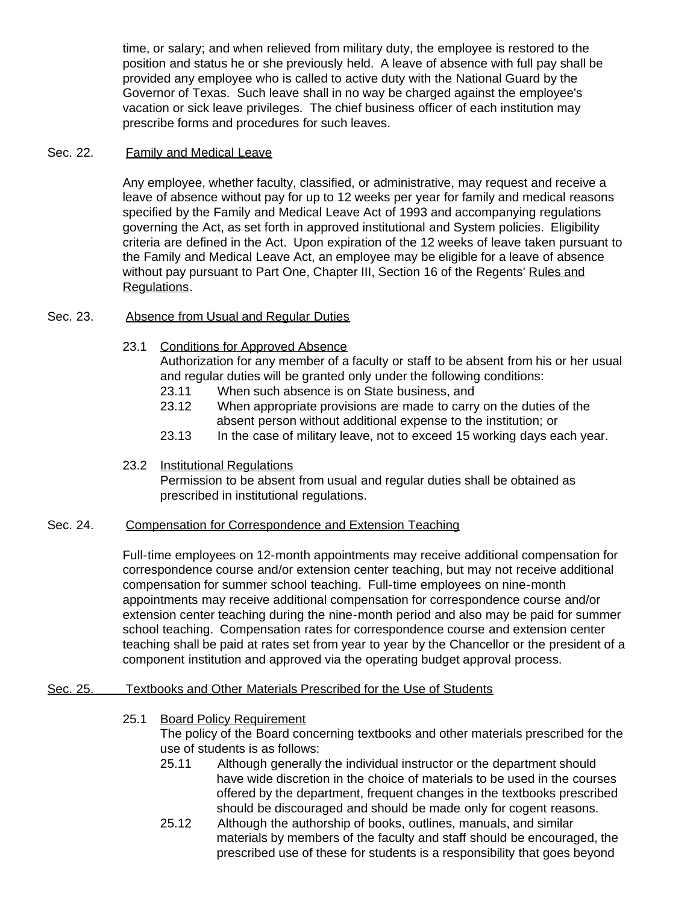time, or salary; and when relieved from military duty, the employee is restored to the position and status he or she previously held. A leave of absence with full pay shall be provided any employee who is called to active duty with the National Guard by the Governor of Texas. Such leave shall in no way be charged against the employee's vacation or sick leave privileges. The chief business officer of each institution may prescribe forms and procedures for such leaves.

#### Sec. 22. Family and Medical Leave

Any employee, whether faculty, classified, or administrative, may request and receive a leave of absence without pay for up to 12 weeks per year for family and medical reasons specified by the Family and Medical Leave Act of 1993 and accompanying regulations governing the Act, as set forth in approved institutional and System policies. Eligibility criteria are defined in the Act. Upon expiration of the 12 weeks of leave taken pursuant to the Family and Medical Leave Act, an employee may be eligible for a leave of absence without pay pursuant to Part One, Chapter III, Section 16 of the Regents' Rules and Regulations.

#### Sec. 23. Absence from Usual and Regular Duties

23.1 Conditions for Approved Absence

Authorization for any member of a faculty or staff to be absent from his or her usual and regular duties will be granted only under the following conditions:

- 23.11 When such absence is on State business, and
- 23.12 When appropriate provisions are made to carry on the duties of the absent person without additional expense to the institution; or
- 23.13 In the case of military leave, not to exceed 15 working days each year.

#### 23.2 Institutional Regulations

Permission to be absent from usual and regular duties shall be obtained as prescribed in institutional regulations.

#### Sec. 24. Compensation for Correspondence and Extension Teaching

Full-time employees on 12-month appointments may receive additional compensation for correspondence course and/or extension center teaching, but may not receive additional compensation for summer school teaching. Full-time employees on nine-month appointments may receive additional compensation for correspondence course and/or extension center teaching during the nine-month period and also may be paid for summer school teaching. Compensation rates for correspondence course and extension center teaching shall be paid at rates set from year to year by the Chancellor or the president of a component institution and approved via the operating budget approval process.

#### Sec. 25. Textbooks and Other Materials Prescribed for the Use of Students

- 25.1 Board Policy Requirement The policy of the Board concerning textbooks and other materials prescribed for the use of students is as follows:
	- 25.11 Although generally the individual instructor or the department should have wide discretion in the choice of materials to be used in the courses offered by the department, frequent changes in the textbooks prescribed should be discouraged and should be made only for cogent reasons.
	- 25.12 Although the authorship of books, outlines, manuals, and similar materials by members of the faculty and staff should be encouraged, the prescribed use of these for students is a responsibility that goes beyond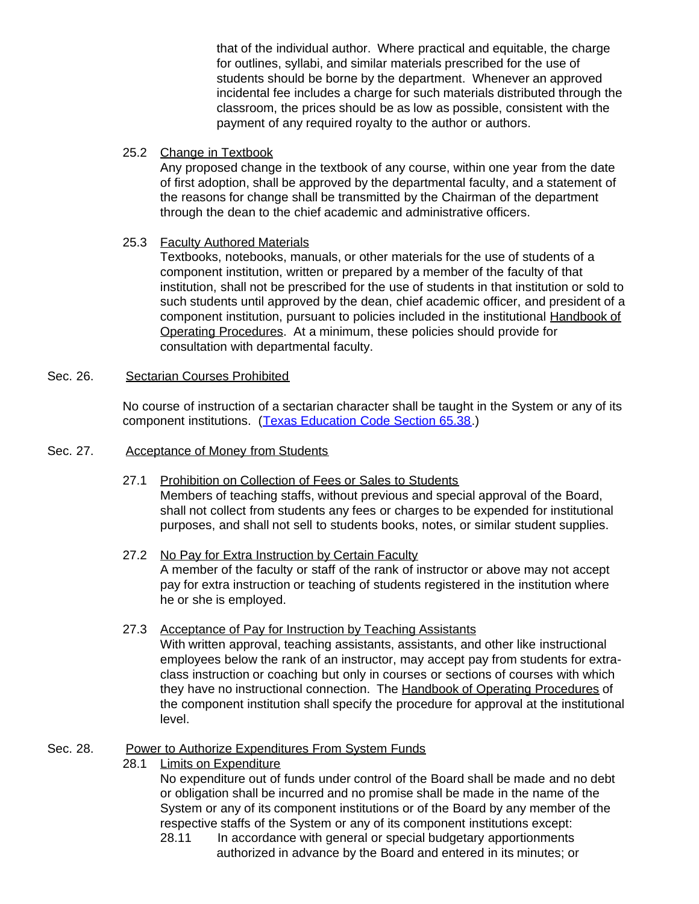that of the individual author. Where practical and equitable, the charge for outlines, syllabi, and similar materials prescribed for the use of students should be borne by the department. Whenever an approved incidental fee includes a charge for such materials distributed through the classroom, the prices should be as low as possible, consistent with the payment of any required royalty to the author or authors.

### 25.2 Change in Textbook

Any proposed change in the textbook of any course, within one year from the date of first adoption, shall be approved by the departmental faculty, and a statement of the reasons for change shall be transmitted by the Chairman of the department through the dean to the chief academic and administrative officers.

# 25.3 Faculty Authored Materials

Textbooks, notebooks, manuals, or other materials for the use of students of a component institution, written or prepared by a member of the faculty of that institution, shall not be prescribed for the use of students in that institution or sold to such students until approved by the dean, chief academic officer, and president of a component institution, pursuant to policies included in the institutional Handbook of Operating Procedures. At a minimum, these policies should provide for consultation with departmental faculty.

#### Sec. 26. Sectarian Courses Prohibited

No course of instruction of a sectarian character shall be taught in the System or any of its component institutions. ([Texas Education Code Section](http://www.capitol.state.tx.us/statutes/ed/ed0006500.html#ed016.65.38) 65.38.)

### Sec. 27. Acceptance of Money from Students

- 27.1 Prohibition on Collection of Fees or Sales to Students Members of teaching staffs, without previous and special approval of the Board, shall not collect from students any fees or charges to be expended for institutional purposes, and shall not sell to students books, notes, or similar student supplies.
- 27.2 No Pay for Extra Instruction by Certain Faculty A member of the faculty or staff of the rank of instructor or above may not accept pay for extra instruction or teaching of students registered in the institution where he or she is employed.
- 27.3 Acceptance of Pay for Instruction by Teaching Assistants With written approval, teaching assistants, assistants, and other like instructional employees below the rank of an instructor, may accept pay from students for extraclass instruction or coaching but only in courses or sections of courses with which they have no instructional connection. The Handbook of Operating Procedures of the component institution shall specify the procedure for approval at the institutional level.

# Sec. 28. Power to Authorize Expenditures From System Funds

28.1 Limits on Expenditure

No expenditure out of funds under control of the Board shall be made and no debt or obligation shall be incurred and no promise shall be made in the name of the System or any of its component institutions or of the Board by any member of the respective staffs of the System or any of its component institutions except:

28.11 In accordance with general or special budgetary apportionments authorized in advance by the Board and entered in its minutes; or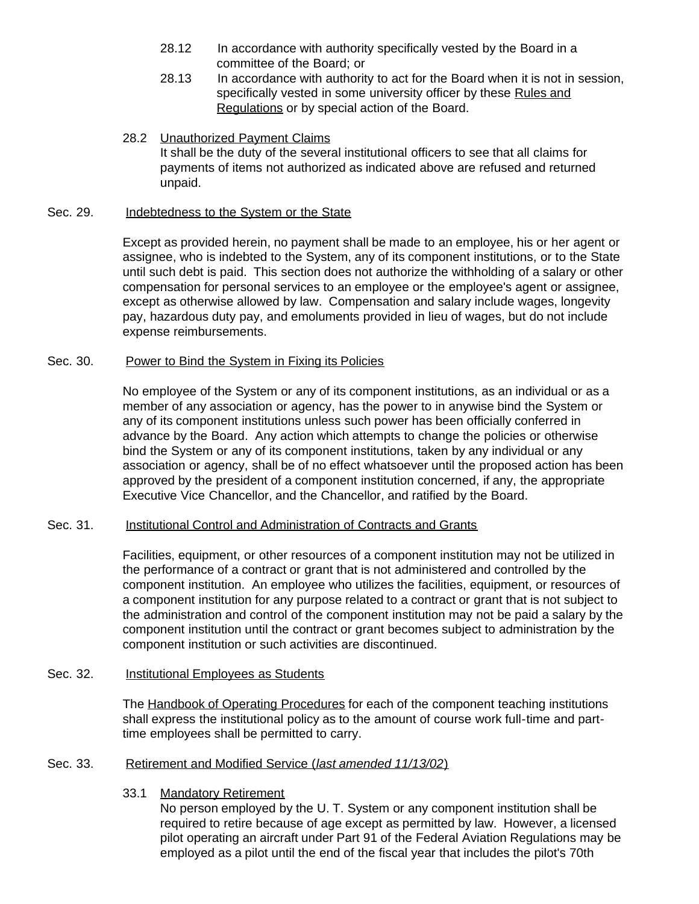- 28.12 In accordance with authority specifically vested by the Board in a committee of the Board; or
- 28.13 In accordance with authority to act for the Board when it is not in session, specifically vested in some university officer by these Rules and Regulations or by special action of the Board.
- 28.2 Unauthorized Payment Claims It shall be the duty of the several institutional officers to see that all claims for payments of items not authorized as indicated above are refused and returned unpaid.

#### Sec. 29. Indebtedness to the System or the State

Except as provided herein, no payment shall be made to an employee, his or her agent or assignee, who is indebted to the System, any of its component institutions, or to the State until such debt is paid. This section does not authorize the withholding of a salary or other compensation for personal services to an employee or the employee's agent or assignee, except as otherwise allowed by law. Compensation and salary include wages, longevity pay, hazardous duty pay, and emoluments provided in lieu of wages, but do not include expense reimbursements.

#### Sec. 30. Power to Bind the System in Fixing its Policies

No employee of the System or any of its component institutions, as an individual or as a member of any association or agency, has the power to in anywise bind the System or any of its component institutions unless such power has been officially conferred in advance by the Board. Any action which attempts to change the policies or otherwise bind the System or any of its component institutions, taken by any individual or any association or agency, shall be of no effect whatsoever until the proposed action has been approved by the president of a component institution concerned, if any, the appropriate Executive Vice Chancellor, and the Chancellor, and ratified by the Board.

#### Sec. 31. Institutional Control and Administration of Contracts and Grants

Facilities, equipment, or other resources of a component institution may not be utilized in the performance of a contract or grant that is not administered and controlled by the component institution. An employee who utilizes the facilities, equipment, or resources of a component institution for any purpose related to a contract or grant that is not subject to the administration and control of the component institution may not be paid a salary by the component institution until the contract or grant becomes subject to administration by the component institution or such activities are discontinued.

#### Sec. 32. **Institutional Employees as Students**

The Handbook of Operating Procedures for each of the component teaching institutions shall express the institutional policy as to the amount of course work full-time and parttime employees shall be permitted to carry.

#### Sec. 33. Retirement and Modified Service (*last amended 11/13/02*)

#### 33.1 Mandatory Retirement

No person employed by the U. T. System or any component institution shall be required to retire because of age except as permitted by law. However, a licensed pilot operating an aircraft under Part 91 of the Federal Aviation Regulations may be employed as a pilot until the end of the fiscal year that includes the pilot's 70th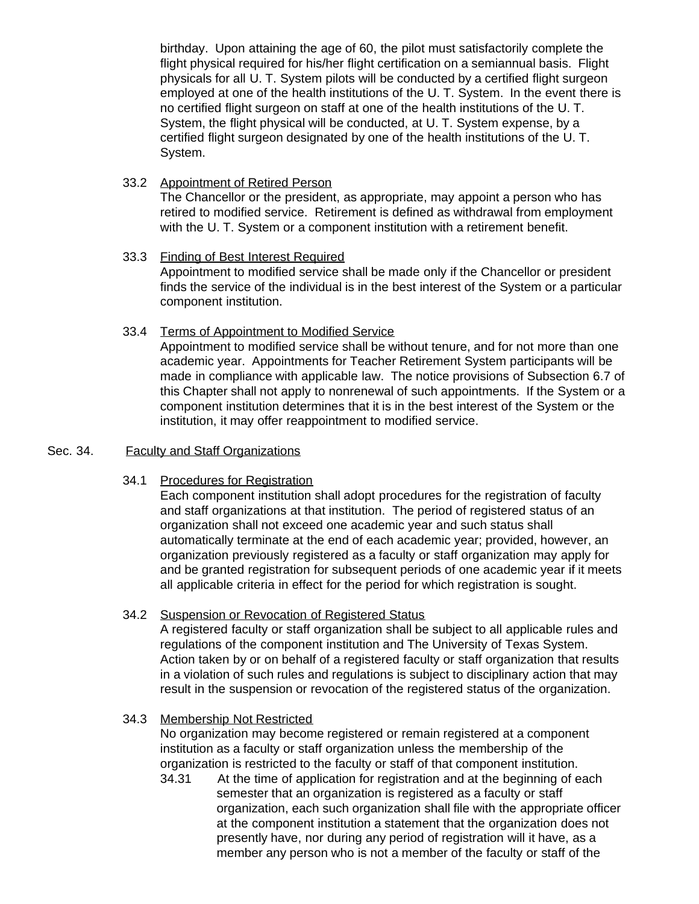birthday. Upon attaining the age of 60, the pilot must satisfactorily complete the flight physical required for his/her flight certification on a semiannual basis. Flight physicals for all U. T. System pilots will be conducted by a certified flight surgeon employed at one of the health institutions of the U. T. System. In the event there is no certified flight surgeon on staff at one of the health institutions of the U. T. System, the flight physical will be conducted, at U. T. System expense, by a certified flight surgeon designated by one of the health institutions of the U. T. System.

- 33.2 Appointment of Retired Person The Chancellor or the president, as appropriate, may appoint a person who has retired to modified service. Retirement is defined as withdrawal from employment with the U. T. System or a component institution with a retirement benefit.
- 33.3 Finding of Best Interest Required Appointment to modified service shall be made only if the Chancellor or president finds the service of the individual is in the best interest of the System or a particular component institution.
- 33.4 Terms of Appointment to Modified Service

Appointment to modified service shall be without tenure, and for not more than one academic year. Appointments for Teacher Retirement System participants will be made in compliance with applicable law. The notice provisions of Subsection 6.7 of this Chapter shall not apply to nonrenewal of such appointments. If the System or a component institution determines that it is in the best interest of the System or the institution, it may offer reappointment to modified service.

#### Sec. 34. Faculty and Staff Organizations

34.1 Procedures for Registration

Each component institution shall adopt procedures for the registration of faculty and staff organizations at that institution. The period of registered status of an organization shall not exceed one academic year and such status shall automatically terminate at the end of each academic year; provided, however, an organization previously registered as a faculty or staff organization may apply for and be granted registration for subsequent periods of one academic year if it meets all applicable criteria in effect for the period for which registration is sought.

34.2 Suspension or Revocation of Registered Status

A registered faculty or staff organization shall be subject to all applicable rules and regulations of the component institution and The University of Texas System. Action taken by or on behalf of a registered faculty or staff organization that results in a violation of such rules and regulations is subject to disciplinary action that may result in the suspension or revocation of the registered status of the organization.

34.3 Membership Not Restricted

No organization may become registered or remain registered at a component institution as a faculty or staff organization unless the membership of the organization is restricted to the faculty or staff of that component institution.

34.31 At the time of application for registration and at the beginning of each semester that an organization is registered as a faculty or staff organization, each such organization shall file with the appropriate officer at the component institution a statement that the organization does not presently have, nor during any period of registration will it have, as a member any person who is not a member of the faculty or staff of the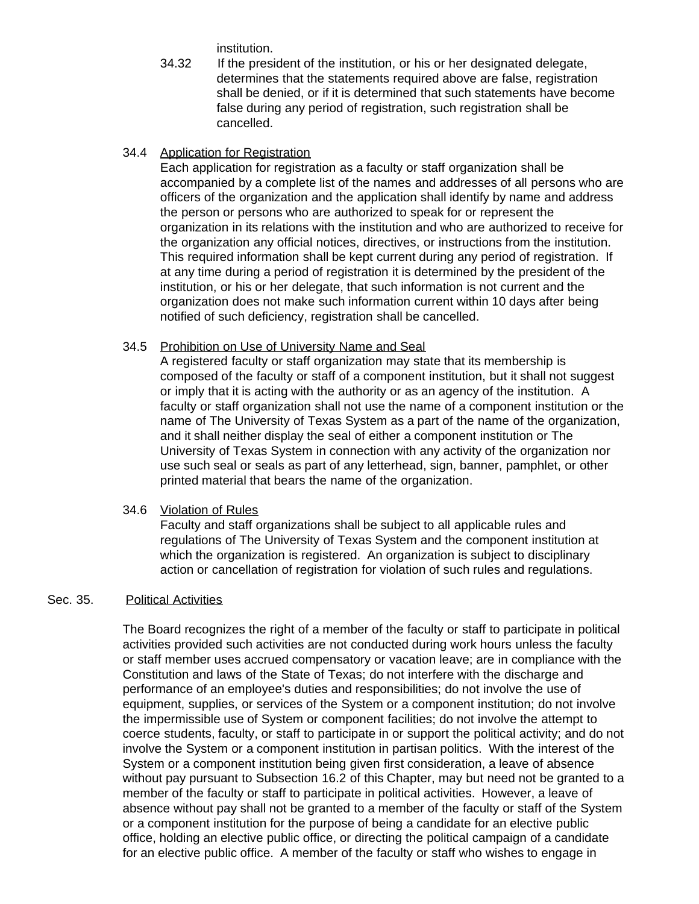institution.

34.32 If the president of the institution, or his or her designated delegate, determines that the statements required above are false, registration shall be denied, or if it is determined that such statements have become false during any period of registration, such registration shall be cancelled.

#### 34.4 Application for Registration

Each application for registration as a faculty or staff organization shall be accompanied by a complete list of the names and addresses of all persons who are officers of the organization and the application shall identify by name and address the person or persons who are authorized to speak for or represent the organization in its relations with the institution and who are authorized to receive for the organization any official notices, directives, or instructions from the institution. This required information shall be kept current during any period of registration. If at any time during a period of registration it is determined by the president of the institution, or his or her delegate, that such information is not current and the organization does not make such information current within 10 days after being notified of such deficiency, registration shall be cancelled.

#### 34.5 Prohibition on Use of University Name and Seal

A registered faculty or staff organization may state that its membership is composed of the faculty or staff of a component institution, but it shall not suggest or imply that it is acting with the authority or as an agency of the institution. A faculty or staff organization shall not use the name of a component institution or the name of The University of Texas System as a part of the name of the organization, and it shall neither display the seal of either a component institution or The University of Texas System in connection with any activity of the organization nor use such seal or seals as part of any letterhead, sign, banner, pamphlet, or other printed material that bears the name of the organization.

#### 34.6 Violation of Rules

Faculty and staff organizations shall be subject to all applicable rules and regulations of The University of Texas System and the component institution at which the organization is registered. An organization is subject to disciplinary action or cancellation of registration for violation of such rules and regulations.

#### Sec. 35. Political Activities

The Board recognizes the right of a member of the faculty or staff to participate in political activities provided such activities are not conducted during work hours unless the faculty or staff member uses accrued compensatory or vacation leave; are in compliance with the Constitution and laws of the State of Texas; do not interfere with the discharge and performance of an employee's duties and responsibilities; do not involve the use of equipment, supplies, or services of the System or a component institution; do not involve the impermissible use of System or component facilities; do not involve the attempt to coerce students, faculty, or staff to participate in or support the political activity; and do not involve the System or a component institution in partisan politics. With the interest of the System or a component institution being given first consideration, a leave of absence without pay pursuant to Subsection 16.2 of this Chapter, may but need not be granted to a member of the faculty or staff to participate in political activities. However, a leave of absence without pay shall not be granted to a member of the faculty or staff of the System or a component institution for the purpose of being a candidate for an elective public office, holding an elective public office, or directing the political campaign of a candidate for an elective public office. A member of the faculty or staff who wishes to engage in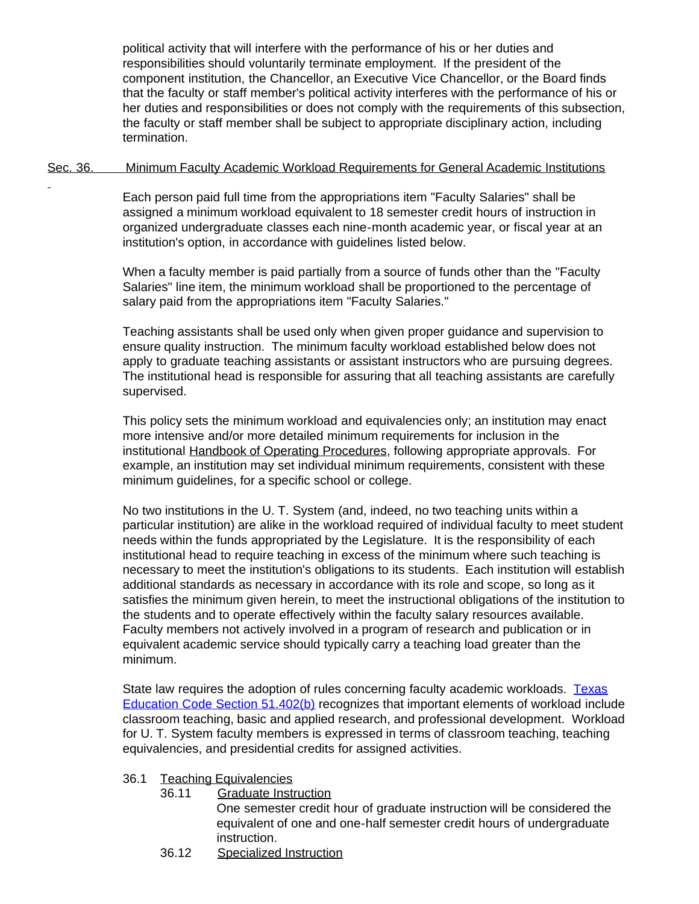political activity that will interfere with the performance of his or her duties and responsibilities should voluntarily terminate employment. If the president of the component institution, the Chancellor, an Executive Vice Chancellor, or the Board finds that the faculty or staff member's political activity interferes with the performance of his or her duties and responsibilities or does not comply with the requirements of this subsection, the faculty or staff member shall be subject to appropriate disciplinary action, including termination.

#### Sec. 36. Minimum Faculty Academic Workload Requirements for General Academic Institutions

Each person paid full time from the appropriations item "Faculty Salaries" shall be assigned a minimum workload equivalent to 18 semester credit hours of instruction in organized undergraduate classes each nine-month academic year, or fiscal year at an institution's option, in accordance with guidelines listed below.

When a faculty member is paid partially from a source of funds other than the "Faculty Salaries" line item, the minimum workload shall be proportioned to the percentage of salary paid from the appropriations item "Faculty Salaries."

Teaching assistants shall be used only when given proper guidance and supervision to ensure quality instruction. The minimum faculty workload established below does not apply to graduate teaching assistants or assistant instructors who are pursuing degrees. The institutional head is responsible for assuring that all teaching assistants are carefully supervised.

This policy sets the minimum workload and equivalencies only; an institution may enact more intensive and/or more detailed minimum requirements for inclusion in the institutional Handbook of Operating Procedures, following appropriate approvals. For example, an institution may set individual minimum requirements, consistent with these minimum guidelines, for a specific school or college.

No two institutions in the U. T. System (and, indeed, no two teaching units within a particular institution) are alike in the workload required of individual faculty to meet student needs within the funds appropriated by the Legislature. It is the responsibility of each institutional head to require teaching in excess of the minimum where such teaching is necessary to meet the institution's obligations to its students. Each institution will establish additional standards as necessary in accordance with its role and scope, so long as it satisfies the minimum given herein, to meet the instructional obligations of the institution to the students and to operate effectively within the faculty salary resources available. Faculty members not actively involved in a program of research and publication or in equivalent academic service should typically carry a teaching load greater than the minimum.

State law requires the adoption of rules concerning faculty academic workloads. [Texas](http://www.capitol.state.tx.us/statutes/ed/ed0005100.html#ed090.51.402) [Education Code Section](http://www.capitol.state.tx.us/statutes/ed/ed0005100.html#ed090.51.402) 51.402(b) recognizes that important elements of workload include classroom teaching, basic and applied research, and professional development. Workload for U. T. System faculty members is expressed in terms of classroom teaching, teaching equivalencies, and presidential credits for assigned activities.

## 36.1 Teaching Equivalencies

36.11 Graduate Instruction

One semester credit hour of graduate instruction will be considered the equivalent of one and one-half semester credit hours of undergraduate instruction.

36.12 Specialized Instruction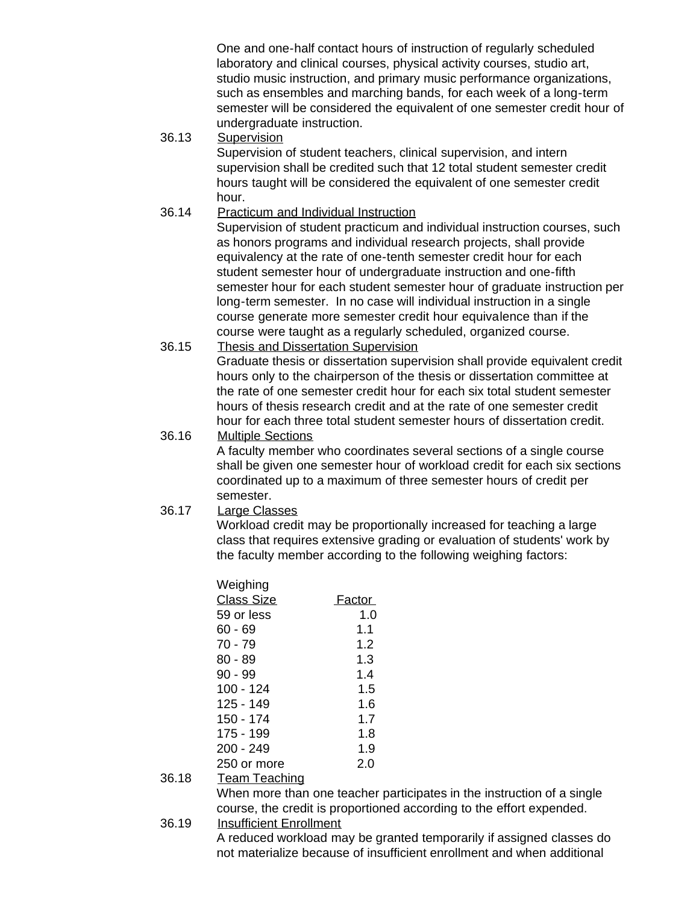One and one-half contact hours of instruction of regularly scheduled laboratory and clinical courses, physical activity courses, studio art, studio music instruction, and primary music performance organizations, such as ensembles and marching bands, for each week of a long-term semester will be considered the equivalent of one semester credit hour of undergraduate instruction.

36.13 Supervision

Supervision of student teachers, clinical supervision, and intern supervision shall be credited such that 12 total student semester credit hours taught will be considered the equivalent of one semester credit hour.

36.14 Practicum and Individual Instruction

Supervision of student practicum and individual instruction courses, such as honors programs and individual research projects, shall provide equivalency at the rate of one-tenth semester credit hour for each student semester hour of undergraduate instruction and one-fifth semester hour for each student semester hour of graduate instruction per long-term semester. In no case will individual instruction in a single course generate more semester credit hour equivalence than if the course were taught as a regularly scheduled, organized course.

36.15 Thesis and Dissertation Supervision Graduate thesis or dissertation supervision shall provide equivalent credit hours only to the chairperson of the thesis or dissertation committee at the rate of one semester credit hour for each six total student semester

hours of thesis research credit and at the rate of one semester credit hour for each three total student semester hours of dissertation credit. 36.16 Multiple Sections

> A faculty member who coordinates several sections of a single course shall be given one semester hour of workload credit for each six sections coordinated up to a maximum of three semester hours of credit per semester.

36.17 Large Classes

Workload credit may be proportionally increased for teaching a large class that requires extensive grading or evaluation of students' work by the faculty member according to the following weighing factors:

| Weighing          |        |
|-------------------|--------|
| <b>Class Size</b> | Factor |
| 59 or less        | 1.0    |
| 60 - 69           | 1.1    |
| 70 - 79           | 1.2    |
| $80 - 89$         | 1.3    |
| $90 - 99$         | 1.4    |
| 100 - 124         | 1.5    |
| 125 - 149         | 1.6    |
| 150 - 174         | 1.7    |
| 175 - 199         | 1.8    |
| 200 - 249         | 1.9    |
| 250 or more       | 2.0    |
|                   |        |

36.18 Team Teaching

When more than one teacher participates in the instruction of a single course, the credit is proportioned according to the effort expended.

36.19 Insufficient Enrollment

A reduced workload may be granted temporarily if assigned classes do not materialize because of insufficient enrollment and when additional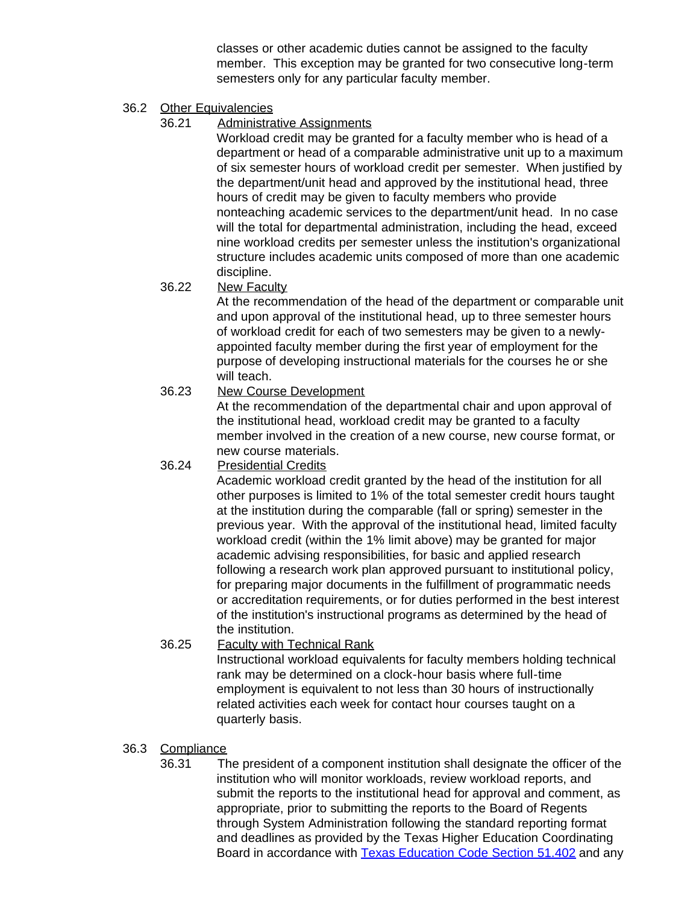classes or other academic duties cannot be assigned to the faculty member. This exception may be granted for two consecutive long-term semesters only for any particular faculty member.

# 36.2 Other Equivalencies

36.21 Administrative Assignments

Workload credit may be granted for a faculty member who is head of a department or head of a comparable administrative unit up to a maximum of six semester hours of workload credit per semester. When justified by the department/unit head and approved by the institutional head, three hours of credit may be given to faculty members who provide nonteaching academic services to the department/unit head. In no case will the total for departmental administration, including the head, exceed nine workload credits per semester unless the institution's organizational structure includes academic units composed of more than one academic discipline.

# 36.22 New Faculty

At the recommendation of the head of the department or comparable unit and upon approval of the institutional head, up to three semester hours of workload credit for each of two semesters may be given to a newlyappointed faculty member during the first year of employment for the purpose of developing instructional materials for the courses he or she will teach.

# 36.23 New Course Development

At the recommendation of the departmental chair and upon approval of the institutional head, workload credit may be granted to a faculty member involved in the creation of a new course, new course format, or new course materials.

# 36.24 Presidential Credits

Academic workload credit granted by the head of the institution for all other purposes is limited to 1% of the total semester credit hours taught at the institution during the comparable (fall or spring) semester in the previous year. With the approval of the institutional head, limited faculty workload credit (within the 1% limit above) may be granted for major academic advising responsibilities, for basic and applied research following a research work plan approved pursuant to institutional policy, for preparing major documents in the fulfillment of programmatic needs or accreditation requirements, or for duties performed in the best interest of the institution's instructional programs as determined by the head of the institution.

# 36.25 Faculty with Technical Rank

Instructional workload equivalents for faculty members holding technical rank may be determined on a clock-hour basis where full-time employment is equivalent to not less than 30 hours of instructionally related activities each week for contact hour courses taught on a quarterly basis.

#### 36.3 Compliance

36.31 The president of a component institution shall designate the officer of the institution who will monitor workloads, review workload reports, and submit the reports to the institutional head for approval and comment, as appropriate, prior to submitting the reports to the Board of Regents through System Administration following the standard reporting format and deadlines as provided by the Texas Higher Education Coordinating Board in accordance with [Texas Education Code Section](http://www.capitol.state.tx.us/statutes/ed/ed0005100.html#ed090.51.402) 51.402 and any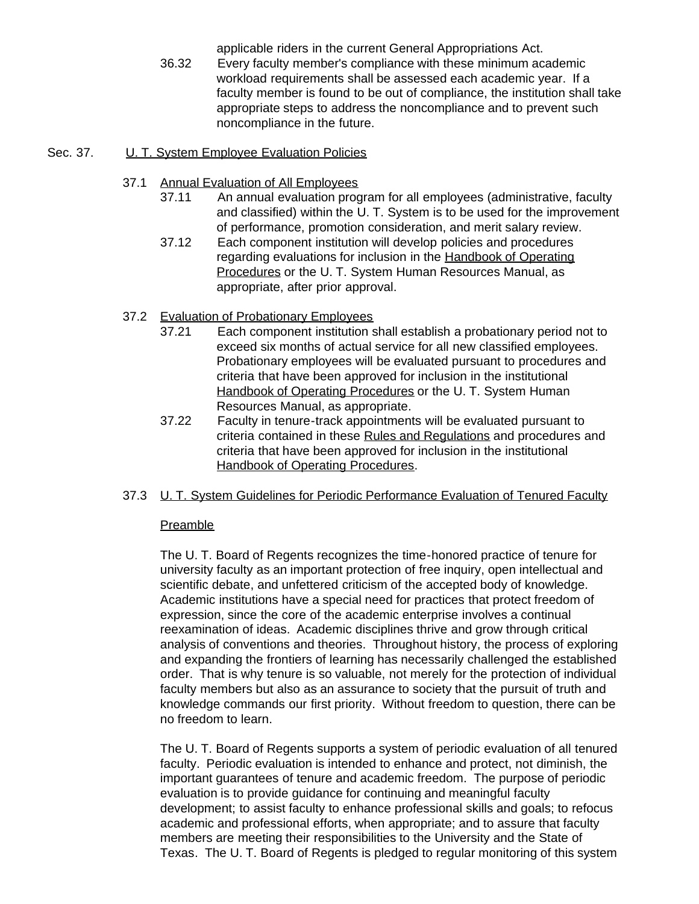applicable riders in the current General Appropriations Act.

36.32 Every faculty member's compliance with these minimum academic workload requirements shall be assessed each academic year. If a faculty member is found to be out of compliance, the institution shall take appropriate steps to address the noncompliance and to prevent such noncompliance in the future.

### Sec. 37. U. T. System Employee Evaluation Policies

- 37.1 Annual Evaluation of All Employees
	- 37.11 An annual evaluation program for all employees (administrative, faculty and classified) within the U. T. System is to be used for the improvement of performance, promotion consideration, and merit salary review.
	- 37.12 Each component institution will develop policies and procedures regarding evaluations for inclusion in the Handbook of Operating Procedures or the U. T. System Human Resources Manual, as appropriate, after prior approval.
- 37.2 Evaluation of Probationary Employees
	- 37.21 Each component institution shall establish a probationary period not to exceed six months of actual service for all new classified employees. Probationary employees will be evaluated pursuant to procedures and criteria that have been approved for inclusion in the institutional Handbook of Operating Procedures or the U. T. System Human Resources Manual, as appropriate.
	- 37.22 Faculty in tenure-track appointments will be evaluated pursuant to criteria contained in these Rules and Regulations and procedures and criteria that have been approved for inclusion in the institutional Handbook of Operating Procedures.
- 37.3 U. T. System Guidelines for Periodic Performance Evaluation of Tenured Faculty

#### **Preamble**

The U. T. Board of Regents recognizes the time-honored practice of tenure for university faculty as an important protection of free inquiry, open intellectual and scientific debate, and unfettered criticism of the accepted body of knowledge. Academic institutions have a special need for practices that protect freedom of expression, since the core of the academic enterprise involves a continual reexamination of ideas. Academic disciplines thrive and grow through critical analysis of conventions and theories. Throughout history, the process of exploring and expanding the frontiers of learning has necessarily challenged the established order. That is why tenure is so valuable, not merely for the protection of individual faculty members but also as an assurance to society that the pursuit of truth and knowledge commands our first priority. Without freedom to question, there can be no freedom to learn.

The U. T. Board of Regents supports a system of periodic evaluation of all tenured faculty. Periodic evaluation is intended to enhance and protect, not diminish, the important guarantees of tenure and academic freedom. The purpose of periodic evaluation is to provide guidance for continuing and meaningful faculty development; to assist faculty to enhance professional skills and goals; to refocus academic and professional efforts, when appropriate; and to assure that faculty members are meeting their responsibilities to the University and the State of Texas. The U. T. Board of Regents is pledged to regular monitoring of this system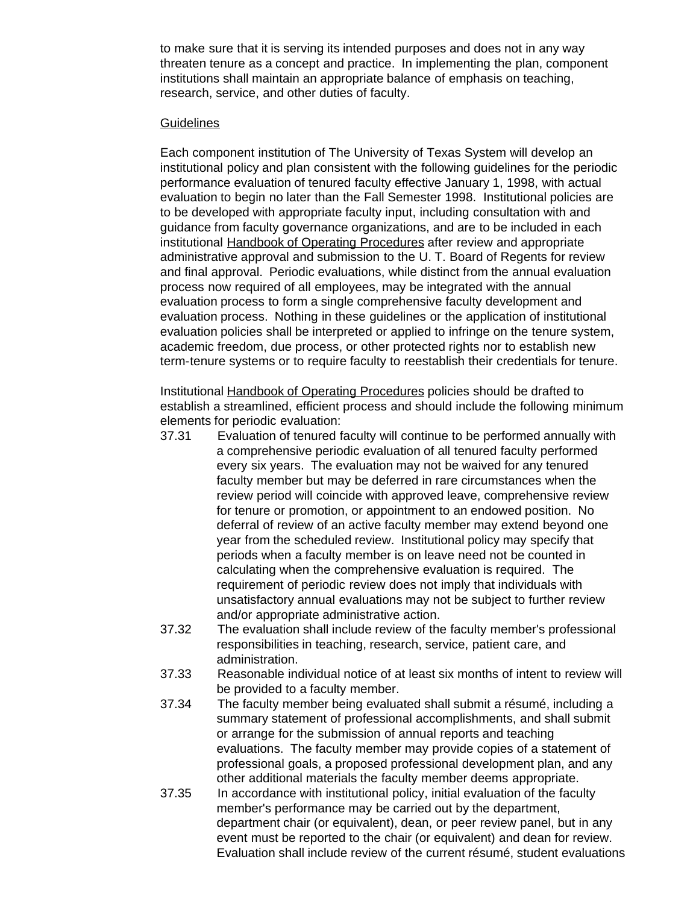to make sure that it is serving its intended purposes and does not in any way threaten tenure as a concept and practice. In implementing the plan, component institutions shall maintain an appropriate balance of emphasis on teaching, research, service, and other duties of faculty.

#### **Guidelines**

Each component institution of The University of Texas System will develop an institutional policy and plan consistent with the following guidelines for the periodic performance evaluation of tenured faculty effective January 1, 1998, with actual evaluation to begin no later than the Fall Semester 1998. Institutional policies are to be developed with appropriate faculty input, including consultation with and guidance from faculty governance organizations, and are to be included in each institutional Handbook of Operating Procedures after review and appropriate administrative approval and submission to the U. T. Board of Regents for review and final approval. Periodic evaluations, while distinct from the annual evaluation process now required of all employees, may be integrated with the annual evaluation process to form a single comprehensive faculty development and evaluation process. Nothing in these guidelines or the application of institutional evaluation policies shall be interpreted or applied to infringe on the tenure system, academic freedom, due process, or other protected rights nor to establish new term-tenure systems or to require faculty to reestablish their credentials for tenure.

Institutional Handbook of Operating Procedures policies should be drafted to establish a streamlined, efficient process and should include the following minimum elements for periodic evaluation:

- 37.31 Evaluation of tenured faculty will continue to be performed annually with a comprehensive periodic evaluation of all tenured faculty performed every six years. The evaluation may not be waived for any tenured faculty member but may be deferred in rare circumstances when the review period will coincide with approved leave, comprehensive review for tenure or promotion, or appointment to an endowed position. No deferral of review of an active faculty member may extend beyond one year from the scheduled review. Institutional policy may specify that periods when a faculty member is on leave need not be counted in calculating when the comprehensive evaluation is required. The requirement of periodic review does not imply that individuals with unsatisfactory annual evaluations may not be subject to further review and/or appropriate administrative action.
- 37.32 The evaluation shall include review of the faculty member's professional responsibilities in teaching, research, service, patient care, and administration.
- 37.33 Reasonable individual notice of at least six months of intent to review will be provided to a faculty member.
- 37.34 The faculty member being evaluated shall submit a résumé, including a summary statement of professional accomplishments, and shall submit or arrange for the submission of annual reports and teaching evaluations. The faculty member may provide copies of a statement of professional goals, a proposed professional development plan, and any other additional materials the faculty member deems appropriate.
- 37.35 In accordance with institutional policy, initial evaluation of the faculty member's performance may be carried out by the department, department chair (or equivalent), dean, or peer review panel, but in any event must be reported to the chair (or equivalent) and dean for review. Evaluation shall include review of the current résumé, student evaluations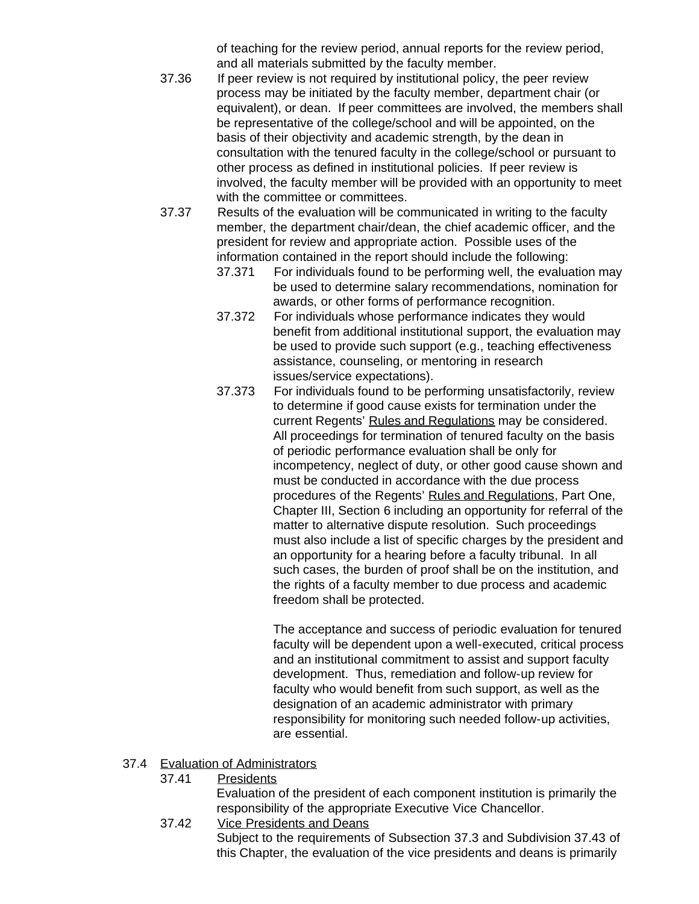of teaching for the review period, annual reports for the review period, and all materials submitted by the faculty member.

- 37.36 If peer review is not required by institutional policy, the peer review process may be initiated by the faculty member, department chair (or equivalent), or dean. If peer committees are involved, the members shall be representative of the college/school and will be appointed, on the basis of their objectivity and academic strength, by the dean in consultation with the tenured faculty in the college/school or pursuant to other process as defined in institutional policies. If peer review is involved, the faculty member will be provided with an opportunity to meet with the committee or committees.
- 37.37 Results of the evaluation will be communicated in writing to the faculty member, the department chair/dean, the chief academic officer, and the president for review and appropriate action. Possible uses of the information contained in the report should include the following:
	- 37.371 For individuals found to be performing well, the evaluation may be used to determine salary recommendations, nomination for awards, or other forms of performance recognition.
	- 37.372 For individuals whose performance indicates they would benefit from additional institutional support, the evaluation may be used to provide such support (e.g., teaching effectiveness assistance, counseling, or mentoring in research issues/service expectations).
	- 37.373 For individuals found to be performing unsatisfactorily, review to determine if good cause exists for termination under the current Regents' Rules and Regulations may be considered. All proceedings for termination of tenured faculty on the basis of periodic performance evaluation shall be only for incompetency, neglect of duty, or other good cause shown and must be conducted in accordance with the due process procedures of the Regents' Rules and Regulations, Part One, Chapter III, Section 6 including an opportunity for referral of the matter to alternative dispute resolution. Such proceedings must also include a list of specific charges by the president and an opportunity for a hearing before a faculty tribunal. In all such cases, the burden of proof shall be on the institution, and the rights of a faculty member to due process and academic freedom shall be protected.

The acceptance and success of periodic evaluation for tenured faculty will be dependent upon a well-executed, critical process and an institutional commitment to assist and support faculty development. Thus, remediation and follow-up review for faculty who would benefit from such support, as well as the designation of an academic administrator with primary responsibility for monitoring such needed follow-up activities, are essential.

#### 37.4 Evaluation of Administrators

37.41 Presidents

Evaluation of the president of each component institution is primarily the responsibility of the appropriate Executive Vice Chancellor.

37.42 Vice Presidents and Deans Subject to the requirements of Subsection 37.3 and Subdivision 37.43 of this Chapter, the evaluation of the vice presidents and deans is primarily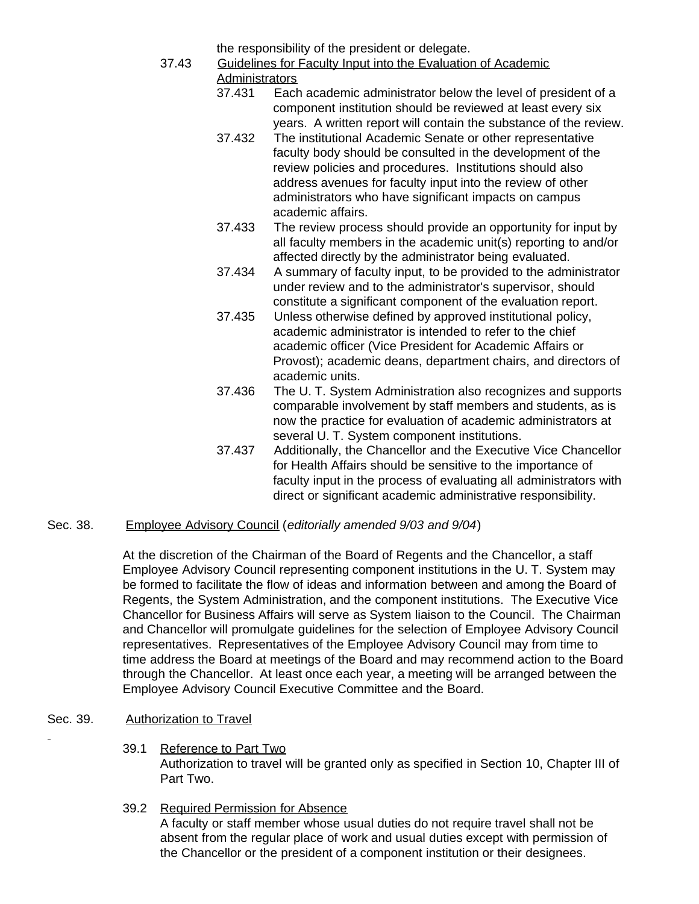the responsibility of the president or delegate.

- 37.43 Guidelines for Faculty Input into the Evaluation of Academic **Administrators** 
	- 37.431 Each academic administrator below the level of president of a component institution should be reviewed at least every six years. A written report will contain the substance of the review.
	- 37.432 The institutional Academic Senate or other representative faculty body should be consulted in the development of the review policies and procedures. Institutions should also address avenues for faculty input into the review of other administrators who have significant impacts on campus academic affairs.
	- 37.433 The review process should provide an opportunity for input by all faculty members in the academic unit(s) reporting to and/or affected directly by the administrator being evaluated.
	- 37.434 A summary of faculty input, to be provided to the administrator under review and to the administrator's supervisor, should constitute a significant component of the evaluation report.
	- 37.435 Unless otherwise defined by approved institutional policy, academic administrator is intended to refer to the chief academic officer (Vice President for Academic Affairs or Provost); academic deans, department chairs, and directors of academic units.
	- 37.436 The U. T. System Administration also recognizes and supports comparable involvement by staff members and students, as is now the practice for evaluation of academic administrators at several U. T. System component institutions.
	- 37.437 Additionally, the Chancellor and the Executive Vice Chancellor for Health Affairs should be sensitive to the importance of faculty input in the process of evaluating all administrators with direct or significant academic administrative responsibility.

# Sec. 38. Employee Advisory Council (*editorially amended 9/03 and 9/04*)

At the discretion of the Chairman of the Board of Regents and the Chancellor, a staff Employee Advisory Council representing component institutions in the U. T. System may be formed to facilitate the flow of ideas and information between and among the Board of Regents, the System Administration, and the component institutions. The Executive Vice Chancellor for Business Affairs will serve as System liaison to the Council. The Chairman and Chancellor will promulgate guidelines for the selection of Employee Advisory Council representatives. Representatives of the Employee Advisory Council may from time to time address the Board at meetings of the Board and may recommend action to the Board through the Chancellor. At least once each year, a meeting will be arranged between the Employee Advisory Council Executive Committee and the Board.

# Sec. 39. Authorization to Travel

- 39.1 Reference to Part Two Authorization to travel will be granted only as specified in Section 10, Chapter III of Part Two.
- 39.2 Required Permission for Absence A faculty or staff member whose usual duties do not require travel shall not be absent from the regular place of work and usual duties except with permission of the Chancellor or the president of a component institution or their designees.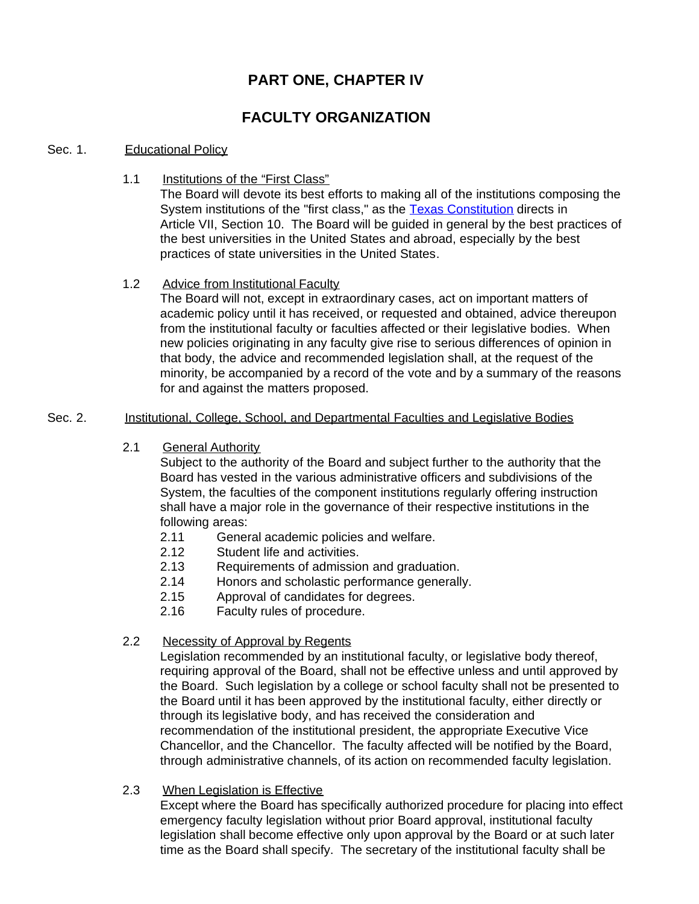# **PART ONE, CHAPTER IV**

# **FACULTY ORGANIZATION**

#### Sec. 1. Educational Policy

1.1 Institutions of the "First Class"

The Board will devote its best efforts to making all of the institutions composing the System institutions of the "first class," as the [Texas Constitution](http://www.capitol.state.tx.us/txconst/sections/cn000700-001000.html) directs in Article VII, Section 10. The Board will be guided in general by the best practices of the best universities in the United States and abroad, especially by the best practices of state universities in the United States.

#### 1.2 Advice from Institutional Faculty

The Board will not, except in extraordinary cases, act on important matters of academic policy until it has received, or requested and obtained, advice thereupon from the institutional faculty or faculties affected or their legislative bodies. When new policies originating in any faculty give rise to serious differences of opinion in that body, the advice and recommended legislation shall, at the request of the minority, be accompanied by a record of the vote and by a summary of the reasons for and against the matters proposed.

#### Sec. 2. Institutional, College, School, and Departmental Faculties and Legislative Bodies

2.1 General Authority

Subject to the authority of the Board and subject further to the authority that the Board has vested in the various administrative officers and subdivisions of the System, the faculties of the component institutions regularly offering instruction shall have a major role in the governance of their respective institutions in the following areas:

- 2.11 General academic policies and welfare.
- 2.12 Student life and activities.
- 2.13 Requirements of admission and graduation.
- 2.14 Honors and scholastic performance generally.
- 2.15 Approval of candidates for degrees.
- 2.16 Faculty rules of procedure.

#### 2.2 Necessity of Approval by Regents

Legislation recommended by an institutional faculty, or legislative body thereof, requiring approval of the Board, shall not be effective unless and until approved by the Board. Such legislation by a college or school faculty shall not be presented to the Board until it has been approved by the institutional faculty, either directly or through its legislative body, and has received the consideration and recommendation of the institutional president, the appropriate Executive Vice Chancellor, and the Chancellor. The faculty affected will be notified by the Board, through administrative channels, of its action on recommended faculty legislation.

2.3 When Legislation is Effective

Except where the Board has specifically authorized procedure for placing into effect emergency faculty legislation without prior Board approval, institutional faculty legislation shall become effective only upon approval by the Board or at such later time as the Board shall specify. The secretary of the institutional faculty shall be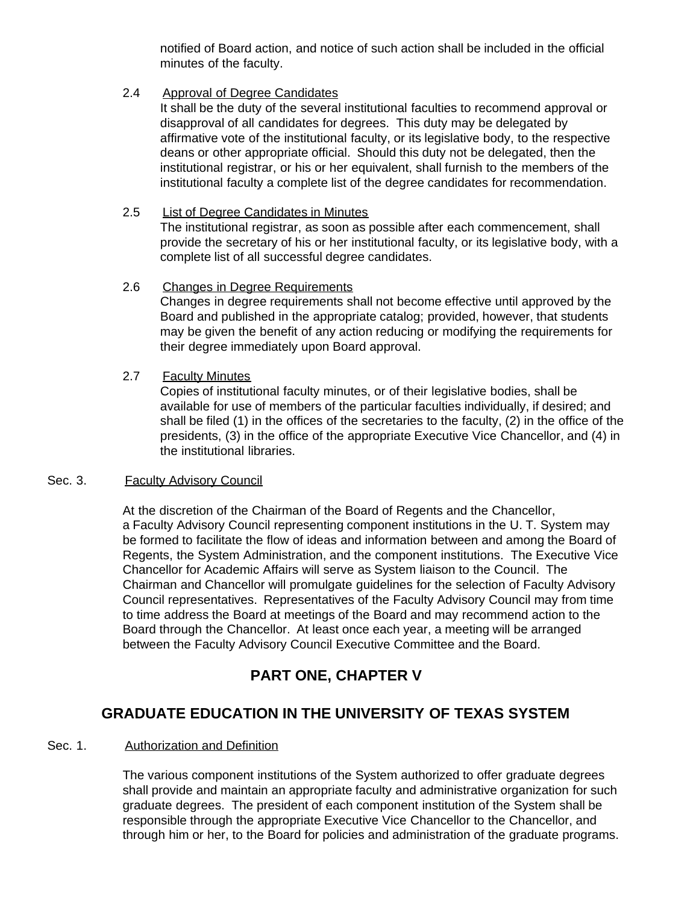notified of Board action, and notice of such action shall be included in the official minutes of the faculty.

#### 2.4 Approval of Degree Candidates

It shall be the duty of the several institutional faculties to recommend approval or disapproval of all candidates for degrees. This duty may be delegated by affirmative vote of the institutional faculty, or its legislative body, to the respective deans or other appropriate official. Should this duty not be delegated, then the institutional registrar, or his or her equivalent, shall furnish to the members of the institutional faculty a complete list of the degree candidates for recommendation.

#### 2.5 List of Degree Candidates in Minutes

The institutional registrar, as soon as possible after each commencement, shall provide the secretary of his or her institutional faculty, or its legislative body, with a complete list of all successful degree candidates.

#### 2.6 Changes in Degree Requirements

Changes in degree requirements shall not become effective until approved by the Board and published in the appropriate catalog; provided, however, that students may be given the benefit of any action reducing or modifying the requirements for their degree immediately upon Board approval.

#### 2.7 Faculty Minutes

Copies of institutional faculty minutes, or of their legislative bodies, shall be available for use of members of the particular faculties individually, if desired; and shall be filed (1) in the offices of the secretaries to the faculty, (2) in the office of the presidents, (3) in the office of the appropriate Executive Vice Chancellor, and (4) in the institutional libraries.

#### Sec. 3. Faculty Advisory Council

At the discretion of the Chairman of the Board of Regents and the Chancellor, a Faculty Advisory Council representing component institutions in the U. T. System may be formed to facilitate the flow of ideas and information between and among the Board of Regents, the System Administration, and the component institutions. The Executive Vice Chancellor for Academic Affairs will serve as System liaison to the Council. The Chairman and Chancellor will promulgate guidelines for the selection of Faculty Advisory Council representatives. Representatives of the Faculty Advisory Council may from time to time address the Board at meetings of the Board and may recommend action to the Board through the Chancellor. At least once each year, a meeting will be arranged between the Faculty Advisory Council Executive Committee and the Board.

# **PART ONE, CHAPTER V**

# **GRADUATE EDUCATION IN THE UNIVERSITY OF TEXAS SYSTEM**

#### Sec. 1. Authorization and Definition

The various component institutions of the System authorized to offer graduate degrees shall provide and maintain an appropriate faculty and administrative organization for such graduate degrees. The president of each component institution of the System shall be responsible through the appropriate Executive Vice Chancellor to the Chancellor, and through him or her, to the Board for policies and administration of the graduate programs.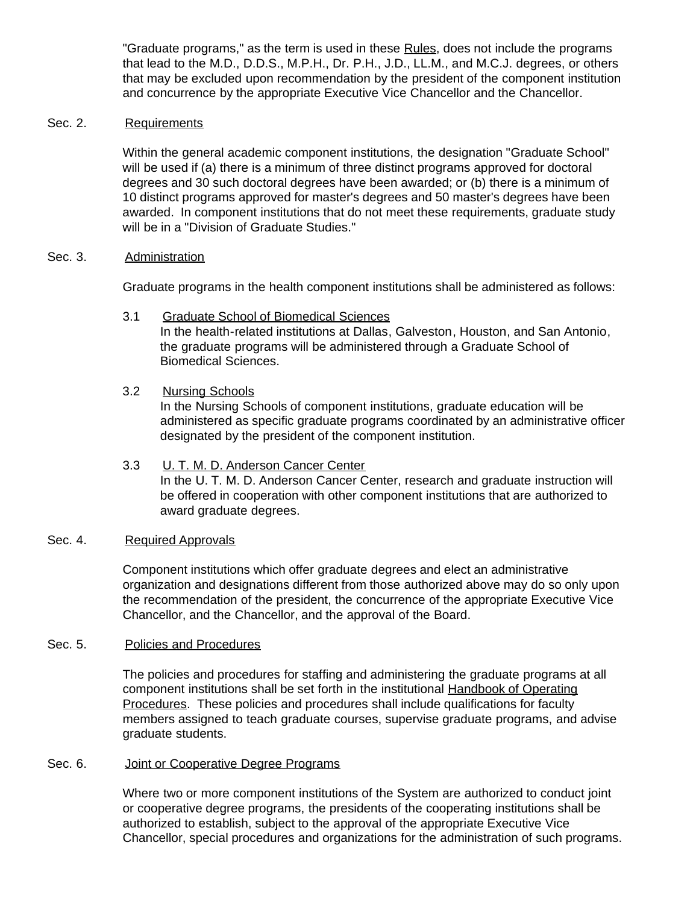"Graduate programs," as the term is used in these Rules, does not include the programs that lead to the M.D., D.D.S., M.P.H., Dr. P.H., J.D., LL.M., and M.C.J. degrees, or others that may be excluded upon recommendation by the president of the component institution and concurrence by the appropriate Executive Vice Chancellor and the Chancellor.

#### Sec. 2. Requirements

Within the general academic component institutions, the designation "Graduate School" will be used if (a) there is a minimum of three distinct programs approved for doctoral degrees and 30 such doctoral degrees have been awarded; or (b) there is a minimum of 10 distinct programs approved for master's degrees and 50 master's degrees have been awarded. In component institutions that do not meet these requirements, graduate study will be in a "Division of Graduate Studies."

#### Sec. 3. Administration

Graduate programs in the health component institutions shall be administered as follows:

3.1 Graduate School of Biomedical Sciences In the health-related institutions at Dallas, Galveston, Houston, and San Antonio, the graduate programs will be administered through a Graduate School of Biomedical Sciences.

#### 3.2 Nursing Schools

In the Nursing Schools of component institutions, graduate education will be administered as specific graduate programs coordinated by an administrative officer designated by the president of the component institution.

# 3.3 U. T. M. D. Anderson Cancer Center In the U. T. M. D. Anderson Cancer Center, research and graduate instruction will be offered in cooperation with other component institutions that are authorized to award graduate degrees.

#### Sec. 4. Required Approvals

Component institutions which offer graduate degrees and elect an administrative organization and designations different from those authorized above may do so only upon the recommendation of the president, the concurrence of the appropriate Executive Vice Chancellor, and the Chancellor, and the approval of the Board.

#### Sec. 5. Policies and Procedures

The policies and procedures for staffing and administering the graduate programs at all component institutions shall be set forth in the institutional Handbook of Operating Procedures. These policies and procedures shall include qualifications for faculty members assigned to teach graduate courses, supervise graduate programs, and advise graduate students.

#### Sec. 6. **Joint or Cooperative Degree Programs**

Where two or more component institutions of the System are authorized to conduct joint or cooperative degree programs, the presidents of the cooperating institutions shall be authorized to establish, subject to the approval of the appropriate Executive Vice Chancellor, special procedures and organizations for the administration of such programs.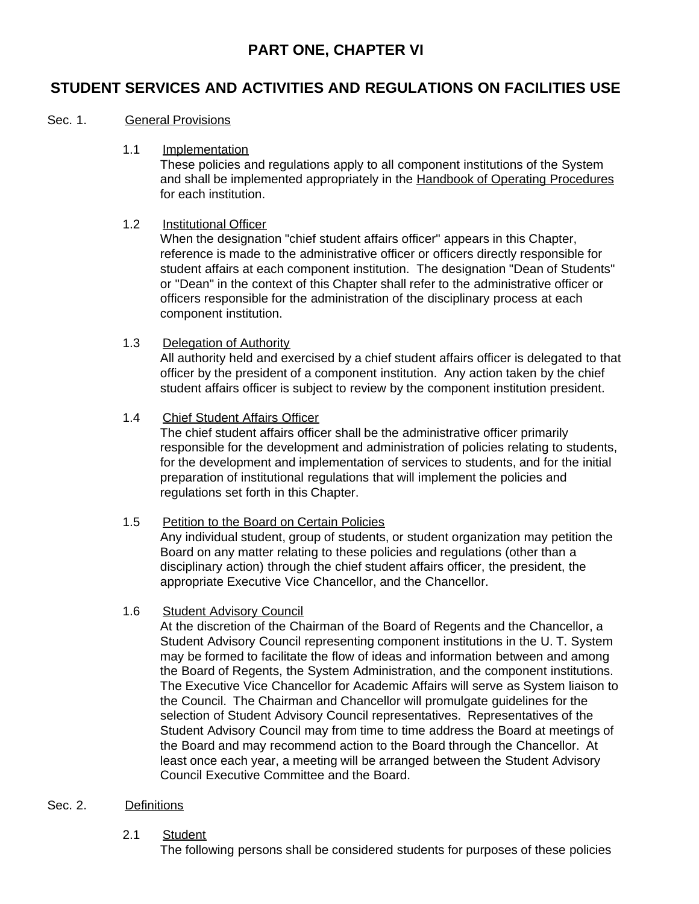# **PART ONE, CHAPTER VI**

# **STUDENT SERVICES AND ACTIVITIES AND REGULATIONS ON FACILITIES USE**

### Sec. 1. **General Provisions**

#### 1.1 Implementation

These policies and regulations apply to all component institutions of the System and shall be implemented appropriately in the Handbook of Operating Procedures for each institution.

#### 1.2 Institutional Officer

When the designation "chief student affairs officer" appears in this Chapter, reference is made to the administrative officer or officers directly responsible for student affairs at each component institution. The designation "Dean of Students" or "Dean" in the context of this Chapter shall refer to the administrative officer or officers responsible for the administration of the disciplinary process at each component institution.

#### 1.3 Delegation of Authority

All authority held and exercised by a chief student affairs officer is delegated to that officer by the president of a component institution. Any action taken by the chief student affairs officer is subject to review by the component institution president.

#### 1.4 Chief Student Affairs Officer

The chief student affairs officer shall be the administrative officer primarily responsible for the development and administration of policies relating to students, for the development and implementation of services to students, and for the initial preparation of institutional regulations that will implement the policies and regulations set forth in this Chapter.

#### 1.5 Petition to the Board on Certain Policies

Any individual student, group of students, or student organization may petition the Board on any matter relating to these policies and regulations (other than a disciplinary action) through the chief student affairs officer, the president, the appropriate Executive Vice Chancellor, and the Chancellor.

#### 1.6 Student Advisory Council

At the discretion of the Chairman of the Board of Regents and the Chancellor, a Student Advisory Council representing component institutions in the U. T. System may be formed to facilitate the flow of ideas and information between and among the Board of Regents, the System Administration, and the component institutions. The Executive Vice Chancellor for Academic Affairs will serve as System liaison to the Council. The Chairman and Chancellor will promulgate guidelines for the selection of Student Advisory Council representatives. Representatives of the Student Advisory Council may from time to time address the Board at meetings of the Board and may recommend action to the Board through the Chancellor. At least once each year, a meeting will be arranged between the Student Advisory Council Executive Committee and the Board.

#### Sec. 2. Definitions

#### 2.1 Student

The following persons shall be considered students for purposes of these policies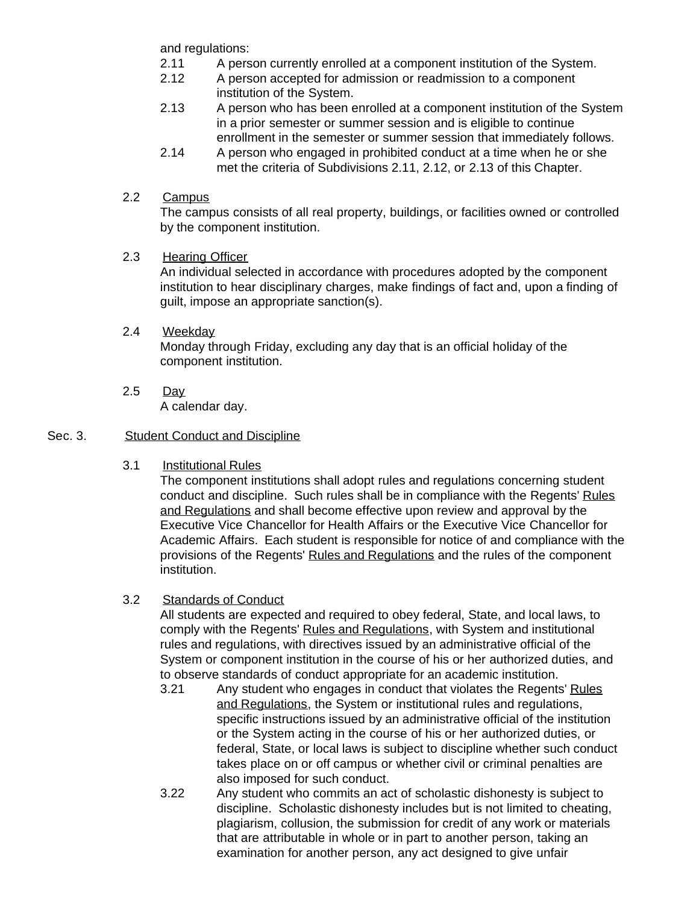and regulations:

- 2.11 A person currently enrolled at a component institution of the System.
- 2.12 A person accepted for admission or readmission to a component institution of the System.
- 2.13 A person who has been enrolled at a component institution of the System in a prior semester or summer session and is eligible to continue enrollment in the semester or summer session that immediately follows.
- 2.14 A person who engaged in prohibited conduct at a time when he or she met the criteria of Subdivisions 2.11, 2.12, or 2.13 of this Chapter.

# 2.2 Campus

The campus consists of all real property, buildings, or facilities owned or controlled by the component institution.

# 2.3 Hearing Officer

An individual selected in accordance with procedures adopted by the component institution to hear disciplinary charges, make findings of fact and, upon a finding of guilt, impose an appropriate sanction(s).

2.4 Weekday

Monday through Friday, excluding any day that is an official holiday of the component institution.

2.5 Day

A calendar day.

# Sec. 3. Student Conduct and Discipline

#### 3.1 Institutional Rules

The component institutions shall adopt rules and regulations concerning student conduct and discipline. Such rules shall be in compliance with the Regents' Rules and Regulations and shall become effective upon review and approval by the Executive Vice Chancellor for Health Affairs or the Executive Vice Chancellor for Academic Affairs. Each student is responsible for notice of and compliance with the provisions of the Regents' Rules and Regulations and the rules of the component institution.

# 3.2 Standards of Conduct

All students are expected and required to obey federal, State, and local laws, to comply with the Regents' Rules and Regulations, with System and institutional rules and regulations, with directives issued by an administrative official of the System or component institution in the course of his or her authorized duties, and to observe standards of conduct appropriate for an academic institution.

- 3.21 Any student who engages in conduct that violates the Regents' Rules and Regulations, the System or institutional rules and regulations, specific instructions issued by an administrative official of the institution or the System acting in the course of his or her authorized duties, or federal, State, or local laws is subject to discipline whether such conduct takes place on or off campus or whether civil or criminal penalties are also imposed for such conduct.
- 3.22 Any student who commits an act of scholastic dishonesty is subject to discipline. Scholastic dishonesty includes but is not limited to cheating, plagiarism, collusion, the submission for credit of any work or materials that are attributable in whole or in part to another person, taking an examination for another person, any act designed to give unfair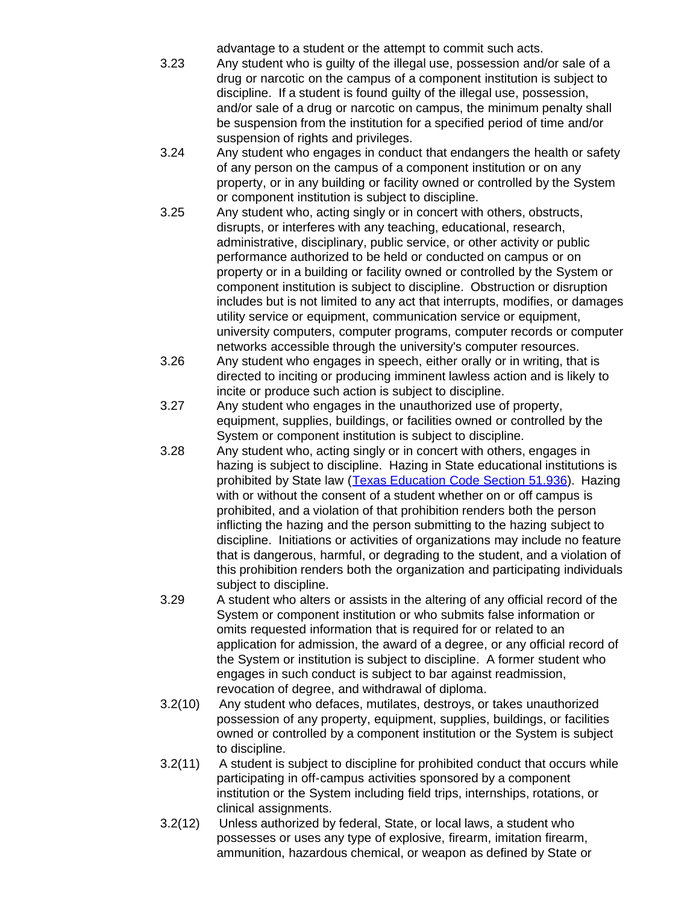advantage to a student or the attempt to commit such acts.

- 3.23 Any student who is guilty of the illegal use, possession and/or sale of a drug or narcotic on the campus of a component institution is subject to discipline. If a student is found guilty of the illegal use, possession, and/or sale of a drug or narcotic on campus, the minimum penalty shall be suspension from the institution for a specified period of time and/or suspension of rights and privileges.
- 3.24 Any student who engages in conduct that endangers the health or safety of any person on the campus of a component institution or on any property, or in any building or facility owned or controlled by the System or component institution is subject to discipline.
- 3.25 Any student who, acting singly or in concert with others, obstructs, disrupts, or interferes with any teaching, educational, research, administrative, disciplinary, public service, or other activity or public performance authorized to be held or conducted on campus or on property or in a building or facility owned or controlled by the System or component institution is subject to discipline. Obstruction or disruption includes but is not limited to any act that interrupts, modifies, or damages utility service or equipment, communication service or equipment, university computers, computer programs, computer records or computer networks accessible through the university's computer resources.
- 3.26 Any student who engages in speech, either orally or in writing, that is directed to inciting or producing imminent lawless action and is likely to incite or produce such action is subject to discipline.
- 3.27 Any student who engages in the unauthorized use of property, equipment, supplies, buildings, or facilities owned or controlled by the System or component institution is subject to discipline.
- 3.28 Any student who, acting singly or in concert with others, engages in hazing is subject to discipline. Hazing in State educational institutions is prohibited by State law ([Texas Education Code Section](http://www.capitol.state.tx.us/statutes/ed/ed0005100.html#ed237.51.936) 51.936). Hazing with or without the consent of a student whether on or off campus is prohibited, and a violation of that prohibition renders both the person inflicting the hazing and the person submitting to the hazing subject to discipline. Initiations or activities of organizations may include no feature that is dangerous, harmful, or degrading to the student, and a violation of this prohibition renders both the organization and participating individuals subject to discipline.
- 3.29 A student who alters or assists in the altering of any official record of the System or component institution or who submits false information or omits requested information that is required for or related to an application for admission, the award of a degree, or any official record of the System or institution is subject to discipline. A former student who engages in such conduct is subject to bar against readmission, revocation of degree, and withdrawal of diploma.
- 3.2(10) Any student who defaces, mutilates, destroys, or takes unauthorized possession of any property, equipment, supplies, buildings, or facilities owned or controlled by a component institution or the System is subject to discipline.
- 3.2(11) A student is subject to discipline for prohibited conduct that occurs while participating in off-campus activities sponsored by a component institution or the System including field trips, internships, rotations, or clinical assignments.
- 3.2(12) Unless authorized by federal, State, or local laws, a student who possesses or uses any type of explosive, firearm, imitation firearm, ammunition, hazardous chemical, or weapon as defined by State or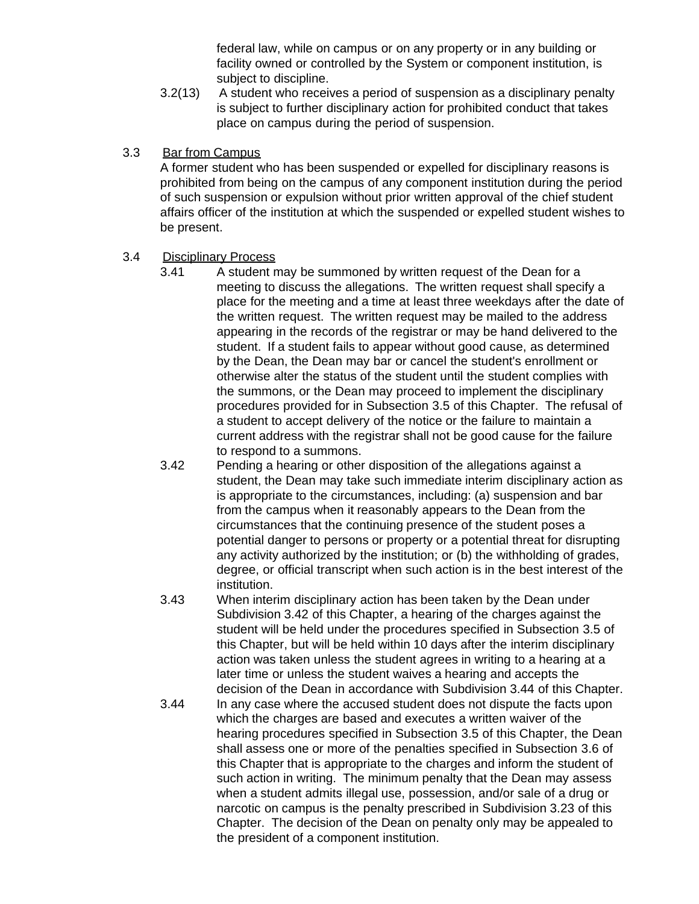federal law, while on campus or on any property or in any building or facility owned or controlled by the System or component institution, is subject to discipline.

3.2(13) A student who receives a period of suspension as a disciplinary penalty is subject to further disciplinary action for prohibited conduct that takes place on campus during the period of suspension.

#### 3.3 Bar from Campus

A former student who has been suspended or expelled for disciplinary reasons is prohibited from being on the campus of any component institution during the period of such suspension or expulsion without prior written approval of the chief student affairs officer of the institution at which the suspended or expelled student wishes to be present.

#### 3.4 Disciplinary Process

- 3.41 A student may be summoned by written request of the Dean for a meeting to discuss the allegations. The written request shall specify a place for the meeting and a time at least three weekdays after the date of the written request. The written request may be mailed to the address appearing in the records of the registrar or may be hand delivered to the student. If a student fails to appear without good cause, as determined by the Dean, the Dean may bar or cancel the student's enrollment or otherwise alter the status of the student until the student complies with the summons, or the Dean may proceed to implement the disciplinary procedures provided for in Subsection 3.5 of this Chapter. The refusal of a student to accept delivery of the notice or the failure to maintain a current address with the registrar shall not be good cause for the failure to respond to a summons.
- 3.42 Pending a hearing or other disposition of the allegations against a student, the Dean may take such immediate interim disciplinary action as is appropriate to the circumstances, including: (a) suspension and bar from the campus when it reasonably appears to the Dean from the circumstances that the continuing presence of the student poses a potential danger to persons or property or a potential threat for disrupting any activity authorized by the institution; or (b) the withholding of grades, degree, or official transcript when such action is in the best interest of the institution.
- 3.43 When interim disciplinary action has been taken by the Dean under Subdivision 3.42 of this Chapter, a hearing of the charges against the student will be held under the procedures specified in Subsection 3.5 of this Chapter, but will be held within 10 days after the interim disciplinary action was taken unless the student agrees in writing to a hearing at a later time or unless the student waives a hearing and accepts the decision of the Dean in accordance with Subdivision 3.44 of this Chapter.
- 3.44 In any case where the accused student does not dispute the facts upon which the charges are based and executes a written waiver of the hearing procedures specified in Subsection 3.5 of this Chapter, the Dean shall assess one or more of the penalties specified in Subsection 3.6 of this Chapter that is appropriate to the charges and inform the student of such action in writing. The minimum penalty that the Dean may assess when a student admits illegal use, possession, and/or sale of a drug or narcotic on campus is the penalty prescribed in Subdivision 3.23 of this Chapter. The decision of the Dean on penalty only may be appealed to the president of a component institution.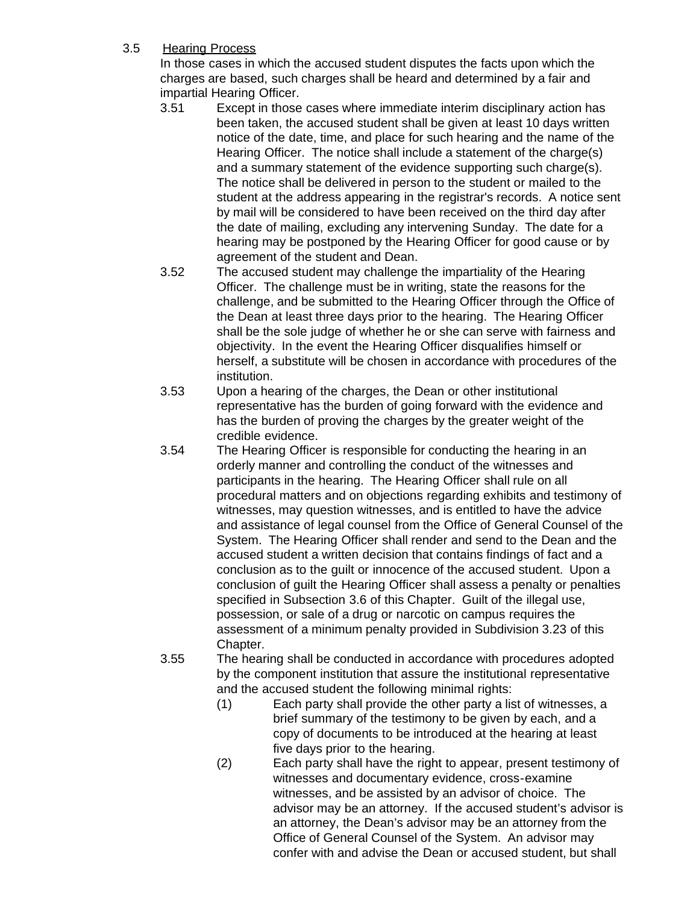#### 3.5 Hearing Process

In those cases in which the accused student disputes the facts upon which the charges are based, such charges shall be heard and determined by a fair and impartial Hearing Officer.

- 3.51 Except in those cases where immediate interim disciplinary action has been taken, the accused student shall be given at least 10 days written notice of the date, time, and place for such hearing and the name of the Hearing Officer. The notice shall include a statement of the charge(s) and a summary statement of the evidence supporting such charge(s). The notice shall be delivered in person to the student or mailed to the student at the address appearing in the registrar's records. A notice sent by mail will be considered to have been received on the third day after the date of mailing, excluding any intervening Sunday. The date for a hearing may be postponed by the Hearing Officer for good cause or by agreement of the student and Dean.
- 3.52 The accused student may challenge the impartiality of the Hearing Officer. The challenge must be in writing, state the reasons for the challenge, and be submitted to the Hearing Officer through the Office of the Dean at least three days prior to the hearing. The Hearing Officer shall be the sole judge of whether he or she can serve with fairness and objectivity. In the event the Hearing Officer disqualifies himself or herself, a substitute will be chosen in accordance with procedures of the institution.
- 3.53 Upon a hearing of the charges, the Dean or other institutional representative has the burden of going forward with the evidence and has the burden of proving the charges by the greater weight of the credible evidence.
- 3.54 The Hearing Officer is responsible for conducting the hearing in an orderly manner and controlling the conduct of the witnesses and participants in the hearing. The Hearing Officer shall rule on all procedural matters and on objections regarding exhibits and testimony of witnesses, may question witnesses, and is entitled to have the advice and assistance of legal counsel from the Office of General Counsel of the System. The Hearing Officer shall render and send to the Dean and the accused student a written decision that contains findings of fact and a conclusion as to the guilt or innocence of the accused student. Upon a conclusion of guilt the Hearing Officer shall assess a penalty or penalties specified in Subsection 3.6 of this Chapter. Guilt of the illegal use, possession, or sale of a drug or narcotic on campus requires the assessment of a minimum penalty provided in Subdivision 3.23 of this Chapter.
- 3.55 The hearing shall be conducted in accordance with procedures adopted by the component institution that assure the institutional representative and the accused student the following minimal rights:
	- (1) Each party shall provide the other party a list of witnesses, a brief summary of the testimony to be given by each, and a copy of documents to be introduced at the hearing at least five days prior to the hearing.
	- (2) Each party shall have the right to appear, present testimony of witnesses and documentary evidence, cross-examine witnesses, and be assisted by an advisor of choice. The advisor may be an attorney. If the accused student's advisor is an attorney, the Dean's advisor may be an attorney from the Office of General Counsel of the System. An advisor may confer with and advise the Dean or accused student, but shall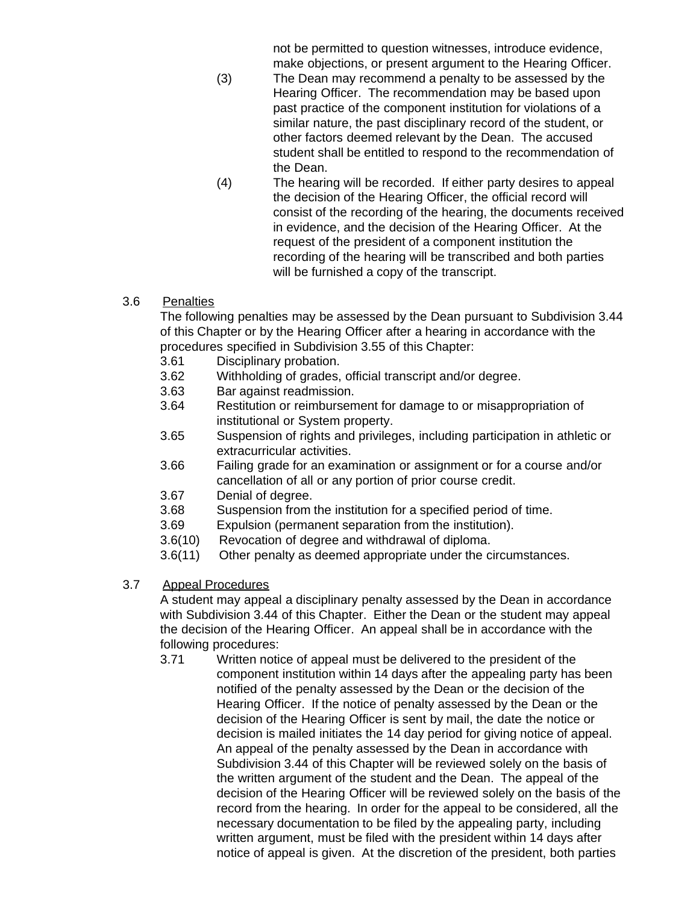not be permitted to question witnesses, introduce evidence, make objections, or present argument to the Hearing Officer.

- (3) The Dean may recommend a penalty to be assessed by the Hearing Officer. The recommendation may be based upon past practice of the component institution for violations of a similar nature, the past disciplinary record of the student, or other factors deemed relevant by the Dean. The accused student shall be entitled to respond to the recommendation of the Dean.
- (4) The hearing will be recorded. If either party desires to appeal the decision of the Hearing Officer, the official record will consist of the recording of the hearing, the documents received in evidence, and the decision of the Hearing Officer. At the request of the president of a component institution the recording of the hearing will be transcribed and both parties will be furnished a copy of the transcript.

# 3.6 Penalties

The following penalties may be assessed by the Dean pursuant to Subdivision 3.44 of this Chapter or by the Hearing Officer after a hearing in accordance with the procedures specified in Subdivision 3.55 of this Chapter:

- 3.61 Disciplinary probation.
- 3.62 Withholding of grades, official transcript and/or degree.
- 3.63 Bar against readmission.
- 3.64 Restitution or reimbursement for damage to or misappropriation of institutional or System property.
- 3.65 Suspension of rights and privileges, including participation in athletic or extracurricular activities.
- 3.66 Failing grade for an examination or assignment or for a course and/or cancellation of all or any portion of prior course credit.
- 3.67 Denial of degree.
- 3.68 Suspension from the institution for a specified period of time.
- 3.69 Expulsion (permanent separation from the institution).
- 3.6(10) Revocation of degree and withdrawal of diploma.
- 3.6(11) Other penalty as deemed appropriate under the circumstances.
- 3.7 Appeal Procedures

A student may appeal a disciplinary penalty assessed by the Dean in accordance with Subdivision 3.44 of this Chapter. Either the Dean or the student may appeal the decision of the Hearing Officer. An appeal shall be in accordance with the following procedures:

3.71 Written notice of appeal must be delivered to the president of the component institution within 14 days after the appealing party has been notified of the penalty assessed by the Dean or the decision of the Hearing Officer. If the notice of penalty assessed by the Dean or the decision of the Hearing Officer is sent by mail, the date the notice or decision is mailed initiates the 14 day period for giving notice of appeal. An appeal of the penalty assessed by the Dean in accordance with Subdivision 3.44 of this Chapter will be reviewed solely on the basis of the written argument of the student and the Dean. The appeal of the decision of the Hearing Officer will be reviewed solely on the basis of the record from the hearing. In order for the appeal to be considered, all the necessary documentation to be filed by the appealing party, including written argument, must be filed with the president within 14 days after notice of appeal is given. At the discretion of the president, both parties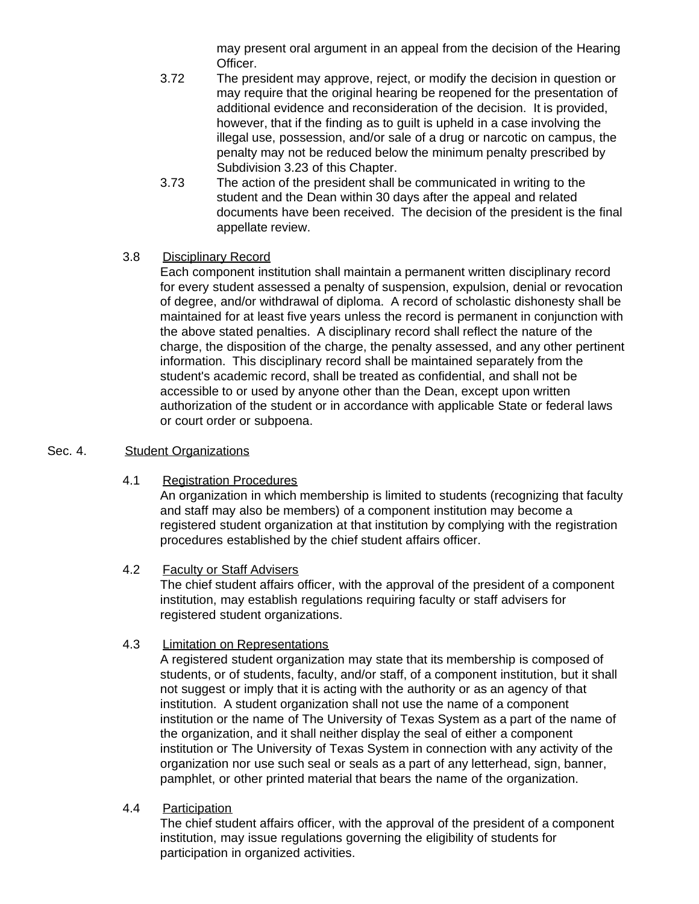may present oral argument in an appeal from the decision of the Hearing Officer.

- 3.72 The president may approve, reject, or modify the decision in question or may require that the original hearing be reopened for the presentation of additional evidence and reconsideration of the decision. It is provided, however, that if the finding as to guilt is upheld in a case involving the illegal use, possession, and/or sale of a drug or narcotic on campus, the penalty may not be reduced below the minimum penalty prescribed by Subdivision 3.23 of this Chapter.
- 3.73 The action of the president shall be communicated in writing to the student and the Dean within 30 days after the appeal and related documents have been received. The decision of the president is the final appellate review.

# 3.8 Disciplinary Record

Each component institution shall maintain a permanent written disciplinary record for every student assessed a penalty of suspension, expulsion, denial or revocation of degree, and/or withdrawal of diploma. A record of scholastic dishonesty shall be maintained for at least five years unless the record is permanent in conjunction with the above stated penalties. A disciplinary record shall reflect the nature of the charge, the disposition of the charge, the penalty assessed, and any other pertinent information. This disciplinary record shall be maintained separately from the student's academic record, shall be treated as confidential, and shall not be accessible to or used by anyone other than the Dean, except upon written authorization of the student or in accordance with applicable State or federal laws or court order or subpoena.

#### Sec. 4. Student Organizations

4.1 Registration Procedures

An organization in which membership is limited to students (recognizing that faculty and staff may also be members) of a component institution may become a registered student organization at that institution by complying with the registration procedures established by the chief student affairs officer.

#### 4.2 Faculty or Staff Advisers

The chief student affairs officer, with the approval of the president of a component institution, may establish regulations requiring faculty or staff advisers for registered student organizations.

#### 4.3 Limitation on Representations

A registered student organization may state that its membership is composed of students, or of students, faculty, and/or staff, of a component institution, but it shall not suggest or imply that it is acting with the authority or as an agency of that institution. A student organization shall not use the name of a component institution or the name of The University of Texas System as a part of the name of the organization, and it shall neither display the seal of either a component institution or The University of Texas System in connection with any activity of the organization nor use such seal or seals as a part of any letterhead, sign, banner, pamphlet, or other printed material that bears the name of the organization.

4.4 Participation

The chief student affairs officer, with the approval of the president of a component institution, may issue regulations governing the eligibility of students for participation in organized activities.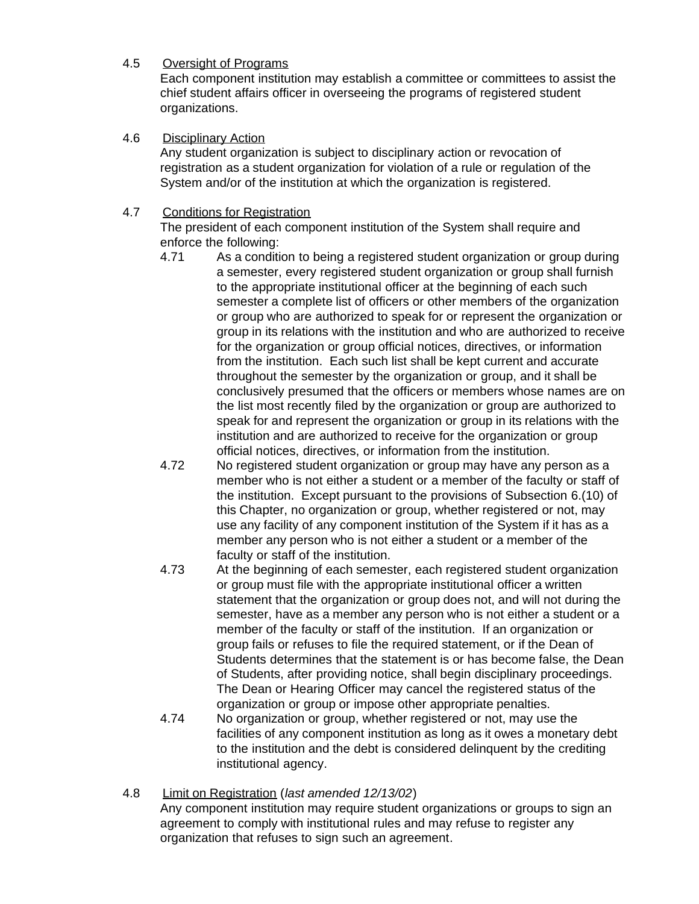# 4.5 Oversight of Programs

Each component institution may establish a committee or committees to assist the chief student affairs officer in overseeing the programs of registered student organizations.

#### 4.6 Disciplinary Action

Any student organization is subject to disciplinary action or revocation of registration as a student organization for violation of a rule or regulation of the System and/or of the institution at which the organization is registered.

# 4.7 Conditions for Registration

The president of each component institution of the System shall require and enforce the following:

- 4.71 As a condition to being a registered student organization or group during a semester, every registered student organization or group shall furnish to the appropriate institutional officer at the beginning of each such semester a complete list of officers or other members of the organization or group who are authorized to speak for or represent the organization or group in its relations with the institution and who are authorized to receive for the organization or group official notices, directives, or information from the institution. Each such list shall be kept current and accurate throughout the semester by the organization or group, and it shall be conclusively presumed that the officers or members whose names are on the list most recently filed by the organization or group are authorized to speak for and represent the organization or group in its relations with the institution and are authorized to receive for the organization or group official notices, directives, or information from the institution.
- 4.72 No registered student organization or group may have any person as a member who is not either a student or a member of the faculty or staff of the institution. Except pursuant to the provisions of Subsection 6.(10) of this Chapter, no organization or group, whether registered or not, may use any facility of any component institution of the System if it has as a member any person who is not either a student or a member of the faculty or staff of the institution.
- 4.73 At the beginning of each semester, each registered student organization or group must file with the appropriate institutional officer a written statement that the organization or group does not, and will not during the semester, have as a member any person who is not either a student or a member of the faculty or staff of the institution. If an organization or group fails or refuses to file the required statement, or if the Dean of Students determines that the statement is or has become false, the Dean of Students, after providing notice, shall begin disciplinary proceedings. The Dean or Hearing Officer may cancel the registered status of the organization or group or impose other appropriate penalties.
- 4.74 No organization or group, whether registered or not, may use the facilities of any component institution as long as it owes a monetary debt to the institution and the debt is considered delinquent by the crediting institutional agency.
- 4.8 Limit on Registration (*last amended 12/13/02*) Any component institution may require student organizations or groups to sign an agreement to comply with institutional rules and may refuse to register any organization that refuses to sign such an agreement.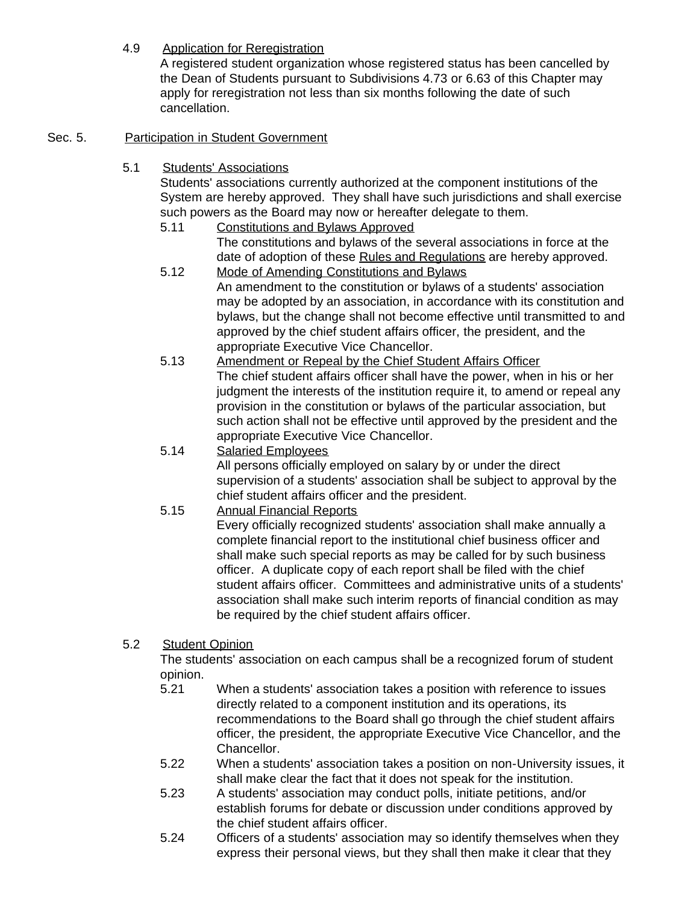4.9 Application for Reregistration

A registered student organization whose registered status has been cancelled by the Dean of Students pursuant to Subdivisions 4.73 or 6.63 of this Chapter may apply for reregistration not less than six months following the date of such cancellation.

# Sec. 5. Participation in Student Government

5.1 Students' Associations

Students' associations currently authorized at the component institutions of the System are hereby approved. They shall have such jurisdictions and shall exercise such powers as the Board may now or hereafter delegate to them.

- 5.11 Constitutions and Bylaws Approved The constitutions and bylaws of the several associations in force at the date of adoption of these Rules and Regulations are hereby approved.
- 5.12 Mode of Amending Constitutions and Bylaws An amendment to the constitution or bylaws of a students' association may be adopted by an association, in accordance with its constitution and bylaws, but the change shall not become effective until transmitted to and approved by the chief student affairs officer, the president, and the appropriate Executive Vice Chancellor.
- 5.13 Amendment or Repeal by the Chief Student Affairs Officer The chief student affairs officer shall have the power, when in his or her judgment the interests of the institution require it, to amend or repeal any provision in the constitution or bylaws of the particular association, but such action shall not be effective until approved by the president and the appropriate Executive Vice Chancellor.
- 5.14 Salaried Employees All persons officially employed on salary by or under the direct supervision of a students' association shall be subject to approval by the chief student affairs officer and the president.
- 5.15 Annual Financial Reports

Every officially recognized students' association shall make annually a complete financial report to the institutional chief business officer and shall make such special reports as may be called for by such business officer. A duplicate copy of each report shall be filed with the chief student affairs officer. Committees and administrative units of a students' association shall make such interim reports of financial condition as may be required by the chief student affairs officer.

5.2 Student Opinion

The students' association on each campus shall be a recognized forum of student opinion.

- 5.21 When a students' association takes a position with reference to issues directly related to a component institution and its operations, its recommendations to the Board shall go through the chief student affairs officer, the president, the appropriate Executive Vice Chancellor, and the Chancellor.
- 5.22 When a students' association takes a position on non-University issues, it shall make clear the fact that it does not speak for the institution.
- 5.23 A students' association may conduct polls, initiate petitions, and/or establish forums for debate or discussion under conditions approved by the chief student affairs officer.
- 5.24 Officers of a students' association may so identify themselves when they express their personal views, but they shall then make it clear that they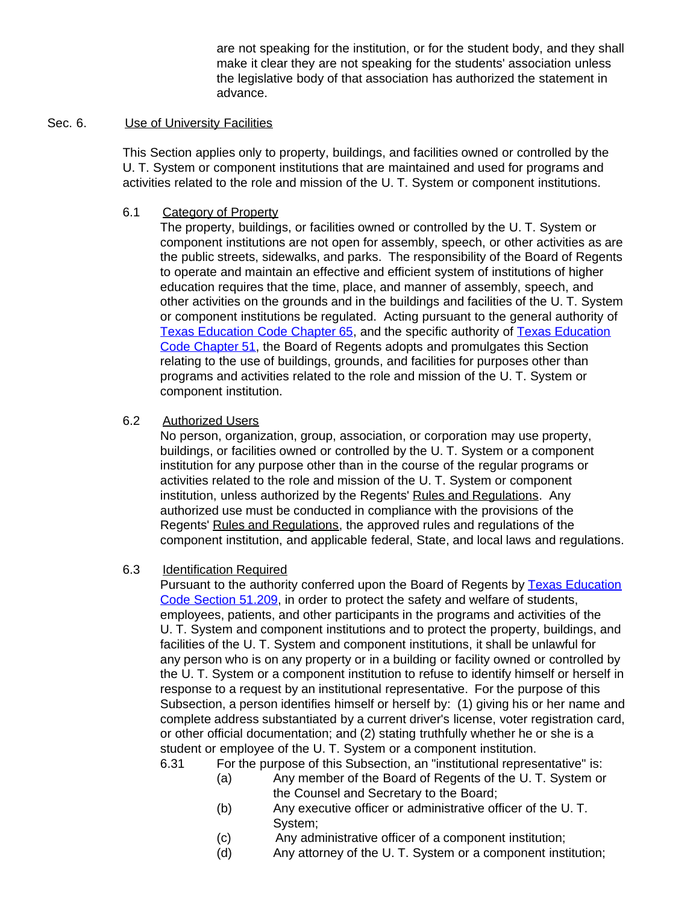are not speaking for the institution, or for the student body, and they shall make it clear they are not speaking for the students' association unless the legislative body of that association has authorized the statement in advance.

#### Sec. 6. Use of University Facilities

This Section applies only to property, buildings, and facilities owned or controlled by the U. T. System or component institutions that are maintained and used for programs and activities related to the role and mission of the U. T. System or component institutions.

#### 6.1 Category of Property

The property, buildings, or facilities owned or controlled by the U. T. System or component institutions are not open for assembly, speech, or other activities as are the public streets, sidewalks, and parks. The responsibility of the Board of Regents to operate and maintain an effective and efficient system of institutions of higher education requires that the time, place, and manner of assembly, speech, and other activities on the grounds and in the buildings and facilities of the U. T. System or component institutions be regulated. Acting pursuant to the general authority of [Texas Education Code Chapter](http://www.capitol.state.tx.us/statutes/ed/ed0006500toc.html) 65, and the specific authority of [Texas Education](http://www.capitol.state.tx.us/statutes/ed/ed0005100toc.html) [Code Chapter](http://www.capitol.state.tx.us/statutes/ed/ed0005100toc.html) 51, the Board of Regents adopts and promulgates this Section relating to the use of buildings, grounds, and facilities for purposes other than programs and activities related to the role and mission of the U. T. System or component institution.

#### 6.2 Authorized Users

No person, organization, group, association, or corporation may use property, buildings, or facilities owned or controlled by the U. T. System or a component institution for any purpose other than in the course of the regular programs or activities related to the role and mission of the U. T. System or component institution, unless authorized by the Regents' Rules and Regulations. Any authorized use must be conducted in compliance with the provisions of the Regents' Rules and Regulations, the approved rules and regulations of the component institution, and applicable federal, State, and local laws and regulations.

#### 6.3 Identification Required

Pursuant to the authority conferred upon the Board of Regents by [Texas Education](http://www.capitol.state.tx.us/statutes/ed/ed0005100.html#ed053.51.209) [Code Section](http://www.capitol.state.tx.us/statutes/ed/ed0005100.html#ed053.51.209) 51.209, in order to protect the safety and welfare of students, employees, patients, and other participants in the programs and activities of the U. T. System and component institutions and to protect the property, buildings, and facilities of the U. T. System and component institutions, it shall be unlawful for any person who is on any property or in a building or facility owned or controlled by the U. T. System or a component institution to refuse to identify himself or herself in response to a request by an institutional representative. For the purpose of this Subsection, a person identifies himself or herself by: (1) giving his or her name and complete address substantiated by a current driver's license, voter registration card, or other official documentation; and (2) stating truthfully whether he or she is a student or employee of the U. T. System or a component institution.

- 6.31 For the purpose of this Subsection, an "institutional representative" is:
	- (a) Any member of the Board of Regents of the U. T. System or the Counsel and Secretary to the Board;
	- (b) Any executive officer or administrative officer of the U. T. System;
	- (c) Any administrative officer of a component institution;
	- (d) Any attorney of the U. T. System or a component institution;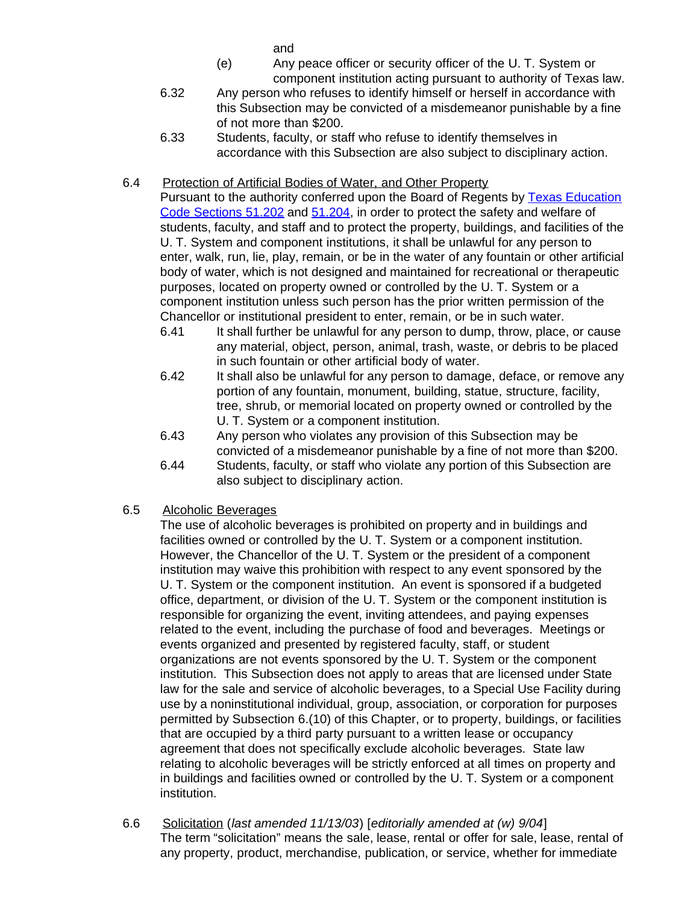and

- (e) Any peace officer or security officer of the U. T. System or component institution acting pursuant to authority of Texas law.
- 6.32 Any person who refuses to identify himself or herself in accordance with this Subsection may be convicted of a misdemeanor punishable by a fine of not more than \$200.
- 6.33 Students, faculty, or staff who refuse to identify themselves in accordance with this Subsection are also subject to disciplinary action.

# 6.4 Protection of Artificial Bodies of Water, and Other Property

Pursuant to the authority conferred upon the Board of Regents by [Texas Education](http://www.capitol.state.tx.us/statutes/ed/ed0005100.html#ed046.51.202) [Code Sections](http://www.capitol.state.tx.us/statutes/ed/ed0005100.html#ed046.51.202) 51.202 and [51.204,](http://www.capitol.state.tx.us/statutes/ed/ed0005100.html#ed048.51.204) in order to protect the safety and welfare of students, faculty, and staff and to protect the property, buildings, and facilities of the U. T. System and component institutions, it shall be unlawful for any person to enter, walk, run, lie, play, remain, or be in the water of any fountain or other artificial body of water, which is not designed and maintained for recreational or therapeutic purposes, located on property owned or controlled by the U. T. System or a component institution unless such person has the prior written permission of the Chancellor or institutional president to enter, remain, or be in such water.

- 6.41 It shall further be unlawful for any person to dump, throw, place, or cause any material, object, person, animal, trash, waste, or debris to be placed in such fountain or other artificial body of water.
- 6.42 It shall also be unlawful for any person to damage, deface, or remove any portion of any fountain, monument, building, statue, structure, facility, tree, shrub, or memorial located on property owned or controlled by the U. T. System or a component institution.
- 6.43 Any person who violates any provision of this Subsection may be convicted of a misdemeanor punishable by a fine of not more than \$200.
- 6.44 Students, faculty, or staff who violate any portion of this Subsection are also subject to disciplinary action.
- 6.5 Alcoholic Beverages

The use of alcoholic beverages is prohibited on property and in buildings and facilities owned or controlled by the U. T. System or a component institution. However, the Chancellor of the U. T. System or the president of a component institution may waive this prohibition with respect to any event sponsored by the U. T. System or the component institution. An event is sponsored if a budgeted office, department, or division of the U. T. System or the component institution is responsible for organizing the event, inviting attendees, and paying expenses related to the event, including the purchase of food and beverages. Meetings or events organized and presented by registered faculty, staff, or student organizations are not events sponsored by the U. T. System or the component institution. This Subsection does not apply to areas that are licensed under State law for the sale and service of alcoholic beverages, to a Special Use Facility during use by a noninstitutional individual, group, association, or corporation for purposes permitted by Subsection 6.(10) of this Chapter, or to property, buildings, or facilities that are occupied by a third party pursuant to a written lease or occupancy agreement that does not specifically exclude alcoholic beverages. State law relating to alcoholic beverages will be strictly enforced at all times on property and in buildings and facilities owned or controlled by the U. T. System or a component institution.

6.6 Solicitation (*last amended 11/13/03*) [*editorially amended at (w) 9/04*] The term "solicitation" means the sale, lease, rental or offer for sale, lease, rental of any property, product, merchandise, publication, or service, whether for immediate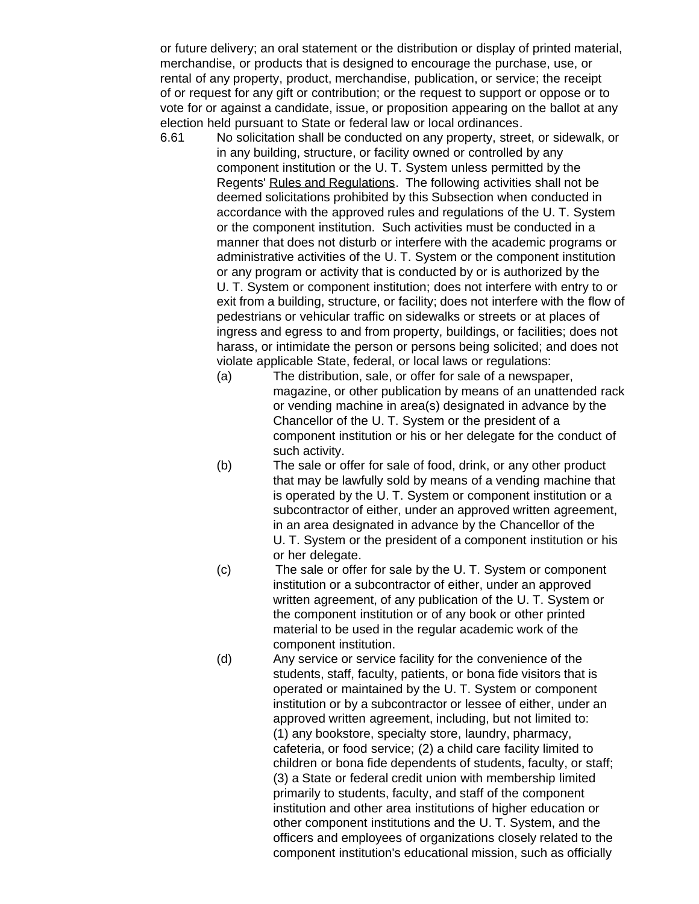or future delivery; an oral statement or the distribution or display of printed material, merchandise, or products that is designed to encourage the purchase, use, or rental of any property, product, merchandise, publication, or service; the receipt of or request for any gift or contribution; or the request to support or oppose or to vote for or against a candidate, issue, or proposition appearing on the ballot at any election held pursuant to State or federal law or local ordinances.

- 6.61 No solicitation shall be conducted on any property, street, or sidewalk, or in any building, structure, or facility owned or controlled by any component institution or the U. T. System unless permitted by the Regents' Rules and Regulations. The following activities shall not be deemed solicitations prohibited by this Subsection when conducted in accordance with the approved rules and regulations of the U. T. System or the component institution. Such activities must be conducted in a manner that does not disturb or interfere with the academic programs or administrative activities of the U. T. System or the component institution or any program or activity that is conducted by or is authorized by the U. T. System or component institution; does not interfere with entry to or exit from a building, structure, or facility; does not interfere with the flow of pedestrians or vehicular traffic on sidewalks or streets or at places of ingress and egress to and from property, buildings, or facilities; does not harass, or intimidate the person or persons being solicited; and does not violate applicable State, federal, or local laws or regulations:
	- (a) The distribution, sale, or offer for sale of a newspaper, magazine, or other publication by means of an unattended rack or vending machine in area(s) designated in advance by the Chancellor of the U. T. System or the president of a component institution or his or her delegate for the conduct of such activity.
	- (b) The sale or offer for sale of food, drink, or any other product that may be lawfully sold by means of a vending machine that is operated by the U. T. System or component institution or a subcontractor of either, under an approved written agreement, in an area designated in advance by the Chancellor of the U. T. System or the president of a component institution or his or her delegate.
	- (c) The sale or offer for sale by the U. T. System or component institution or a subcontractor of either, under an approved written agreement, of any publication of the U. T. System or the component institution or of any book or other printed material to be used in the regular academic work of the component institution.
	- (d) Any service or service facility for the convenience of the students, staff, faculty, patients, or bona fide visitors that is operated or maintained by the U. T. System or component institution or by a subcontractor or lessee of either, under an approved written agreement, including, but not limited to: (1) any bookstore, specialty store, laundry, pharmacy, cafeteria, or food service; (2) a child care facility limited to children or bona fide dependents of students, faculty, or staff; (3) a State or federal credit union with membership limited primarily to students, faculty, and staff of the component institution and other area institutions of higher education or other component institutions and the U. T. System, and the officers and employees of organizations closely related to the component institution's educational mission, such as officially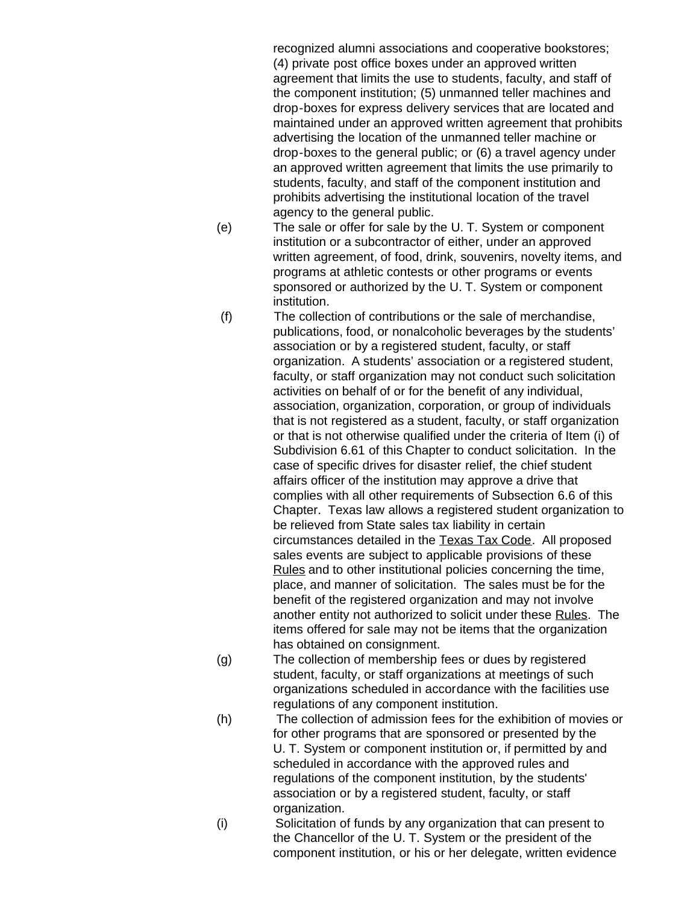recognized alumni associations and cooperative bookstores; (4) private post office boxes under an approved written agreement that limits the use to students, faculty, and staff of the component institution; (5) unmanned teller machines and drop-boxes for express delivery services that are located and maintained under an approved written agreement that prohibits advertising the location of the unmanned teller machine or drop-boxes to the general public; or (6) a travel agency under an approved written agreement that limits the use primarily to students, faculty, and staff of the component institution and prohibits advertising the institutional location of the travel agency to the general public.

- (e) The sale or offer for sale by the U. T. System or component institution or a subcontractor of either, under an approved written agreement, of food, drink, souvenirs, novelty items, and programs at athletic contests or other programs or events sponsored or authorized by the U. T. System or component institution.
- (f) The collection of contributions or the sale of merchandise, publications, food, or nonalcoholic beverages by the students' association or by a registered student, faculty, or staff organization. A students' association or a registered student, faculty, or staff organization may not conduct such solicitation activities on behalf of or for the benefit of any individual, association, organization, corporation, or group of individuals that is not registered as a student, faculty, or staff organization or that is not otherwise qualified under the criteria of Item (i) of Subdivision 6.61 of this Chapter to conduct solicitation. In the case of specific drives for disaster relief, the chief student affairs officer of the institution may approve a drive that complies with all other requirements of Subsection 6.6 of this Chapter. Texas law allows a registered student organization to be relieved from State sales tax liability in certain circumstances detailed in the Texas Tax Code. All proposed sales events are subject to applicable provisions of these Rules and to other institutional policies concerning the time, place, and manner of solicitation. The sales must be for the benefit of the registered organization and may not involve another entity not authorized to solicit under these Rules. The items offered for sale may not be items that the organization has obtained on consignment.
- (g) The collection of membership fees or dues by registered student, faculty, or staff organizations at meetings of such organizations scheduled in accordance with the facilities use regulations of any component institution.
- (h) The collection of admission fees for the exhibition of movies or for other programs that are sponsored or presented by the U. T. System or component institution or, if permitted by and scheduled in accordance with the approved rules and regulations of the component institution, by the students' association or by a registered student, faculty, or staff organization.
- (i) Solicitation of funds by any organization that can present to the Chancellor of the U. T. System or the president of the component institution, or his or her delegate, written evidence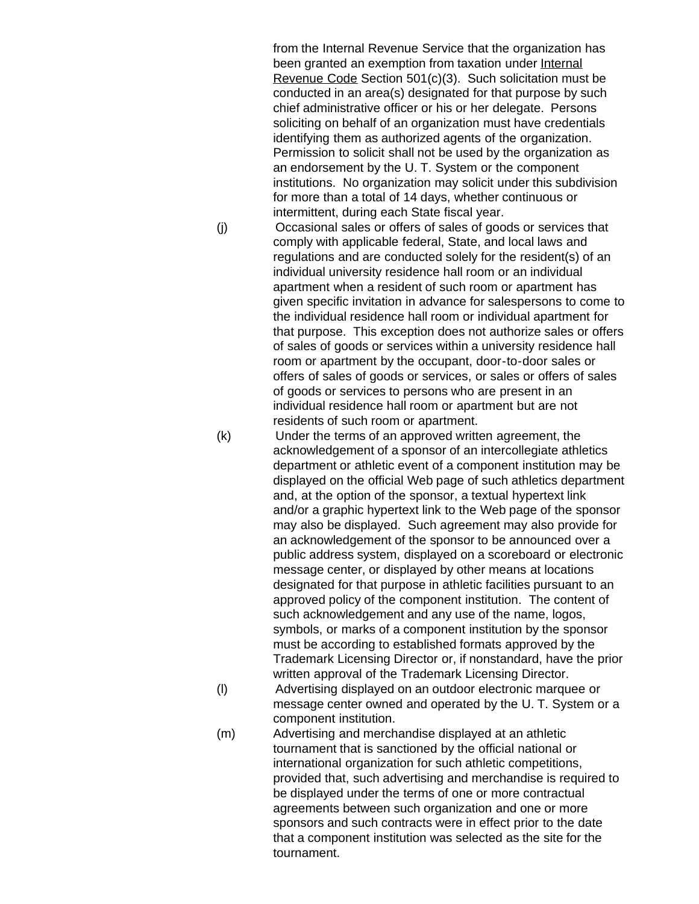from the Internal Revenue Service that the organization has been granted an exemption from taxation under Internal Revenue Code Section 501(c)(3). Such solicitation must be conducted in an area(s) designated for that purpose by such chief administrative officer or his or her delegate. Persons soliciting on behalf of an organization must have credentials identifying them as authorized agents of the organization. Permission to solicit shall not be used by the organization as an endorsement by the U. T. System or the component institutions. No organization may solicit under this subdivision for more than a total of 14 days, whether continuous or intermittent, during each State fiscal year.

(j) Occasional sales or offers of sales of goods or services that comply with applicable federal, State, and local laws and regulations and are conducted solely for the resident(s) of an individual university residence hall room or an individual apartment when a resident of such room or apartment has given specific invitation in advance for salespersons to come to the individual residence hall room or individual apartment for that purpose. This exception does not authorize sales or offers of sales of goods or services within a university residence hall room or apartment by the occupant, door-to-door sales or offers of sales of goods or services, or sales or offers of sales of goods or services to persons who are present in an individual residence hall room or apartment but are not residents of such room or apartment.

(k) Under the terms of an approved written agreement, the acknowledgement of a sponsor of an intercollegiate athletics department or athletic event of a component institution may be displayed on the official Web page of such athletics department and, at the option of the sponsor, a textual hypertext link and/or a graphic hypertext link to the Web page of the sponsor may also be displayed. Such agreement may also provide for an acknowledgement of the sponsor to be announced over a public address system, displayed on a scoreboard or electronic message center, or displayed by other means at locations designated for that purpose in athletic facilities pursuant to an approved policy of the component institution. The content of such acknowledgement and any use of the name, logos, symbols, or marks of a component institution by the sponsor must be according to established formats approved by the Trademark Licensing Director or, if nonstandard, have the prior written approval of the Trademark Licensing Director.

- (l) Advertising displayed on an outdoor electronic marquee or message center owned and operated by the U. T. System or a component institution.
- (m) Advertising and merchandise displayed at an athletic tournament that is sanctioned by the official national or international organization for such athletic competitions, provided that, such advertising and merchandise is required to be displayed under the terms of one or more contractual agreements between such organization and one or more sponsors and such contracts were in effect prior to the date that a component institution was selected as the site for the tournament.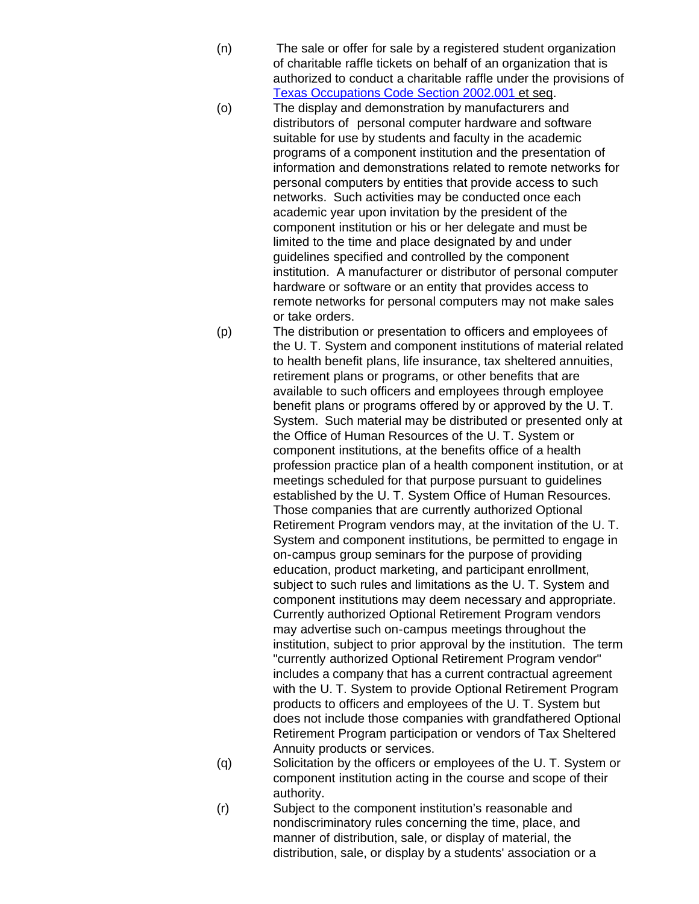- (n) The sale or offer for sale by a registered student organization of charitable raffle tickets on behalf of an organization that is authorized to conduct a charitable raffle under the provisions of [Texas Occupations Code Section](http://www.capitol.state.tx.us/statutes/oc/oc0200200.html#oc001.2002.001) 2002.001 et seq.
- (o) The display and demonstration by manufacturers and distributors of personal computer hardware and software suitable for use by students and faculty in the academic programs of a component institution and the presentation of information and demonstrations related to remote networks for personal computers by entities that provide access to such networks. Such activities may be conducted once each academic year upon invitation by the president of the component institution or his or her delegate and must be limited to the time and place designated by and under guidelines specified and controlled by the component institution. A manufacturer or distributor of personal computer hardware or software or an entity that provides access to remote networks for personal computers may not make sales or take orders.
- (p) The distribution or presentation to officers and employees of the U. T. System and component institutions of material related to health benefit plans, life insurance, tax sheltered annuities, retirement plans or programs, or other benefits that are available to such officers and employees through employee benefit plans or programs offered by or approved by the U. T. System. Such material may be distributed or presented only at the Office of Human Resources of the U. T. System or component institutions, at the benefits office of a health profession practice plan of a health component institution, or at meetings scheduled for that purpose pursuant to guidelines established by the U. T. System Office of Human Resources. Those companies that are currently authorized Optional Retirement Program vendors may, at the invitation of the U. T. System and component institutions, be permitted to engage in on-campus group seminars for the purpose of providing education, product marketing, and participant enrollment, subject to such rules and limitations as the U. T. System and component institutions may deem necessary and appropriate. Currently authorized Optional Retirement Program vendors may advertise such on-campus meetings throughout the institution, subject to prior approval by the institution. The term "currently authorized Optional Retirement Program vendor" includes a company that has a current contractual agreement with the U. T. System to provide Optional Retirement Program products to officers and employees of the U. T. System but does not include those companies with grandfathered Optional Retirement Program participation or vendors of Tax Sheltered Annuity products or services.
- (q) Solicitation by the officers or employees of the U. T. System or component institution acting in the course and scope of their authority.
- (r) Subject to the component institution's reasonable and nondiscriminatory rules concerning the time, place, and manner of distribution, sale, or display of material, the distribution, sale, or display by a students' association or a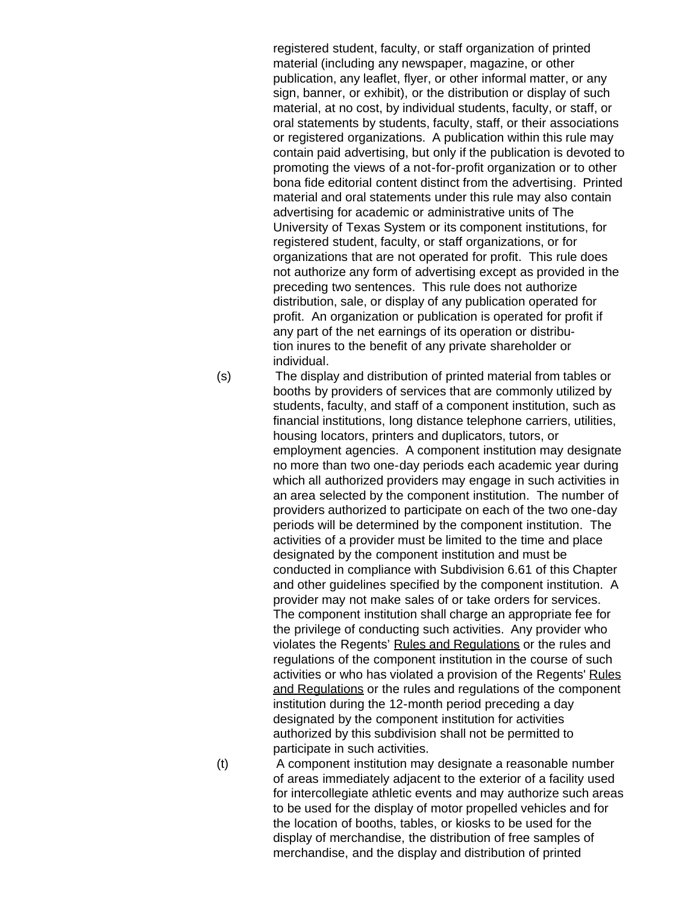registered student, faculty, or staff organization of printed material (including any newspaper, magazine, or other publication, any leaflet, flyer, or other informal matter, or any sign, banner, or exhibit), or the distribution or display of such material, at no cost, by individual students, faculty, or staff, or oral statements by students, faculty, staff, or their associations or registered organizations. A publication within this rule may contain paid advertising, but only if the publication is devoted to promoting the views of a not-for-profit organization or to other bona fide editorial content distinct from the advertising. Printed material and oral statements under this rule may also contain advertising for academic or administrative units of The University of Texas System or its component institutions, for registered student, faculty, or staff organizations, or for organizations that are not operated for profit. This rule does not authorize any form of advertising except as provided in the preceding two sentences. This rule does not authorize distribution, sale, or display of any publication operated for profit. An organization or publication is operated for profit if any part of the net earnings of its operation or distribution inures to the benefit of any private shareholder or individual.

(s) The display and distribution of printed material from tables or booths by providers of services that are commonly utilized by students, faculty, and staff of a component institution, such as financial institutions, long distance telephone carriers, utilities, housing locators, printers and duplicators, tutors, or employment agencies. A component institution may designate no more than two one-day periods each academic year during which all authorized providers may engage in such activities in an area selected by the component institution. The number of providers authorized to participate on each of the two one-day periods will be determined by the component institution. The activities of a provider must be limited to the time and place designated by the component institution and must be conducted in compliance with Subdivision 6.61 of this Chapter and other guidelines specified by the component institution. A provider may not make sales of or take orders for services. The component institution shall charge an appropriate fee for the privilege of conducting such activities. Any provider who violates the Regents' Rules and Regulations or the rules and regulations of the component institution in the course of such activities or who has violated a provision of the Regents' Rules and Regulations or the rules and regulations of the component institution during the 12-month period preceding a day designated by the component institution for activities authorized by this subdivision shall not be permitted to participate in such activities.

(t) A component institution may designate a reasonable number of areas immediately adjacent to the exterior of a facility used for intercollegiate athletic events and may authorize such areas to be used for the display of motor propelled vehicles and for the location of booths, tables, or kiosks to be used for the display of merchandise, the distribution of free samples of merchandise, and the display and distribution of printed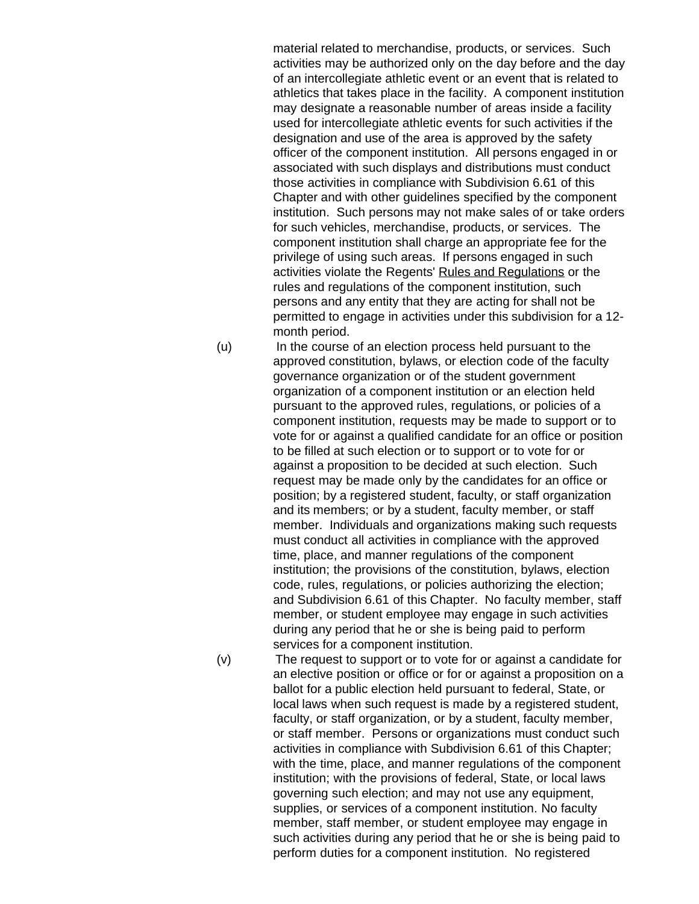material related to merchandise, products, or services. Such activities may be authorized only on the day before and the day of an intercollegiate athletic event or an event that is related to athletics that takes place in the facility. A component institution may designate a reasonable number of areas inside a facility used for intercollegiate athletic events for such activities if the designation and use of the area is approved by the safety officer of the component institution. All persons engaged in or associated with such displays and distributions must conduct those activities in compliance with Subdivision 6.61 of this Chapter and with other guidelines specified by the component institution. Such persons may not make sales of or take orders for such vehicles, merchandise, products, or services. The component institution shall charge an appropriate fee for the privilege of using such areas. If persons engaged in such activities violate the Regents' Rules and Regulations or the rules and regulations of the component institution, such persons and any entity that they are acting for shall not be permitted to engage in activities under this subdivision for a 12 month period.

- (u) In the course of an election process held pursuant to the approved constitution, bylaws, or election code of the faculty governance organization or of the student government organization of a component institution or an election held pursuant to the approved rules, regulations, or policies of a component institution, requests may be made to support or to vote for or against a qualified candidate for an office or position to be filled at such election or to support or to vote for or against a proposition to be decided at such election. Such request may be made only by the candidates for an office or position; by a registered student, faculty, or staff organization and its members; or by a student, faculty member, or staff member. Individuals and organizations making such requests must conduct all activities in compliance with the approved time, place, and manner regulations of the component institution; the provisions of the constitution, bylaws, election code, rules, regulations, or policies authorizing the election; and Subdivision 6.61 of this Chapter. No faculty member, staff member, or student employee may engage in such activities during any period that he or she is being paid to perform services for a component institution.
- 

(v) The request to support or to vote for or against a candidate for an elective position or office or for or against a proposition on a ballot for a public election held pursuant to federal, State, or local laws when such request is made by a registered student, faculty, or staff organization, or by a student, faculty member, or staff member. Persons or organizations must conduct such activities in compliance with Subdivision 6.61 of this Chapter; with the time, place, and manner regulations of the component institution; with the provisions of federal, State, or local laws governing such election; and may not use any equipment, supplies, or services of a component institution. No faculty member, staff member, or student employee may engage in such activities during any period that he or she is being paid to perform duties for a component institution. No registered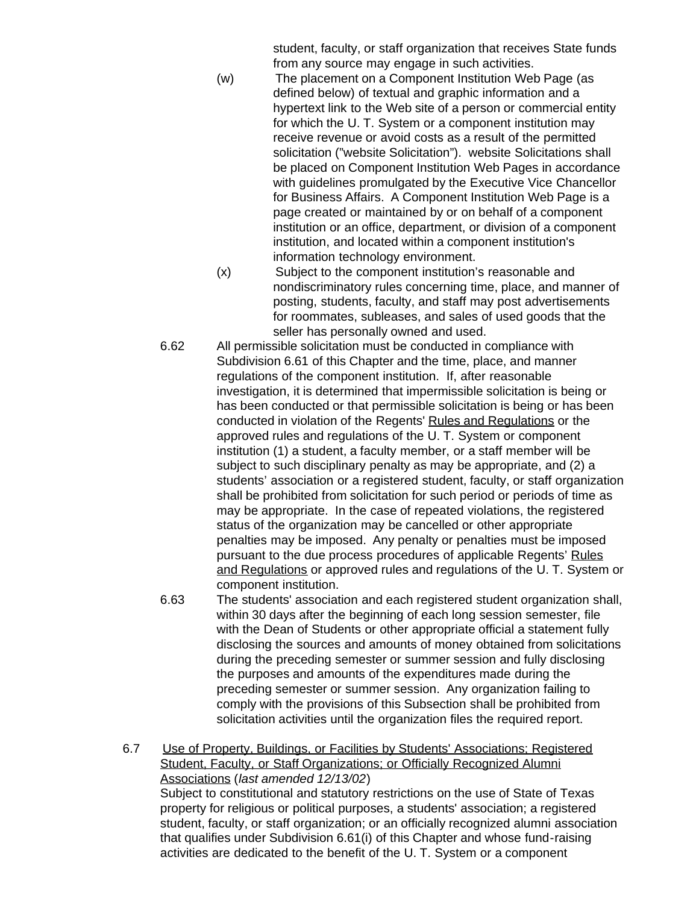student, faculty, or staff organization that receives State funds from any source may engage in such activities.

- (w) The placement on a Component Institution Web Page (as defined below) of textual and graphic information and a hypertext link to the Web site of a person or commercial entity for which the U. T. System or a component institution may receive revenue or avoid costs as a result of the permitted solicitation ("website Solicitation"). website Solicitations shall be placed on Component Institution Web Pages in accordance with guidelines promulgated by the Executive Vice Chancellor for Business Affairs. A Component Institution Web Page is a page created or maintained by or on behalf of a component institution or an office, department, or division of a component institution, and located within a component institution's information technology environment.
- (x) Subject to the component institution's reasonable and nondiscriminatory rules concerning time, place, and manner of posting, students, faculty, and staff may post advertisements for roommates, subleases, and sales of used goods that the seller has personally owned and used.
- 6.62 All permissible solicitation must be conducted in compliance with Subdivision 6.61 of this Chapter and the time, place, and manner regulations of the component institution. If, after reasonable investigation, it is determined that impermissible solicitation is being or has been conducted or that permissible solicitation is being or has been conducted in violation of the Regents' Rules and Regulations or the approved rules and regulations of the U. T. System or component institution (1) a student, a faculty member, or a staff member will be subject to such disciplinary penalty as may be appropriate, and (2) a students' association or a registered student, faculty, or staff organization shall be prohibited from solicitation for such period or periods of time as may be appropriate. In the case of repeated violations, the registered status of the organization may be cancelled or other appropriate penalties may be imposed. Any penalty or penalties must be imposed pursuant to the due process procedures of applicable Regents' Rules and Regulations or approved rules and regulations of the U. T. System or component institution.
- 6.63 The students' association and each registered student organization shall, within 30 days after the beginning of each long session semester, file with the Dean of Students or other appropriate official a statement fully disclosing the sources and amounts of money obtained from solicitations during the preceding semester or summer session and fully disclosing the purposes and amounts of the expenditures made during the preceding semester or summer session. Any organization failing to comply with the provisions of this Subsection shall be prohibited from solicitation activities until the organization files the required report.
- 6.7 Use of Property, Buildings, or Facilities by Students' Associations; Registered Student, Faculty, or Staff Organizations; or Officially Recognized Alumni Associations (*last amended 12/13/02*) Subject to constitutional and statutory restrictions on the use of State of Texas property for religious or political purposes, a students' association; a registered student, faculty, or staff organization; or an officially recognized alumni association that qualifies under Subdivision 6.61(i) of this Chapter and whose fund-raising activities are dedicated to the benefit of the U. T. System or a component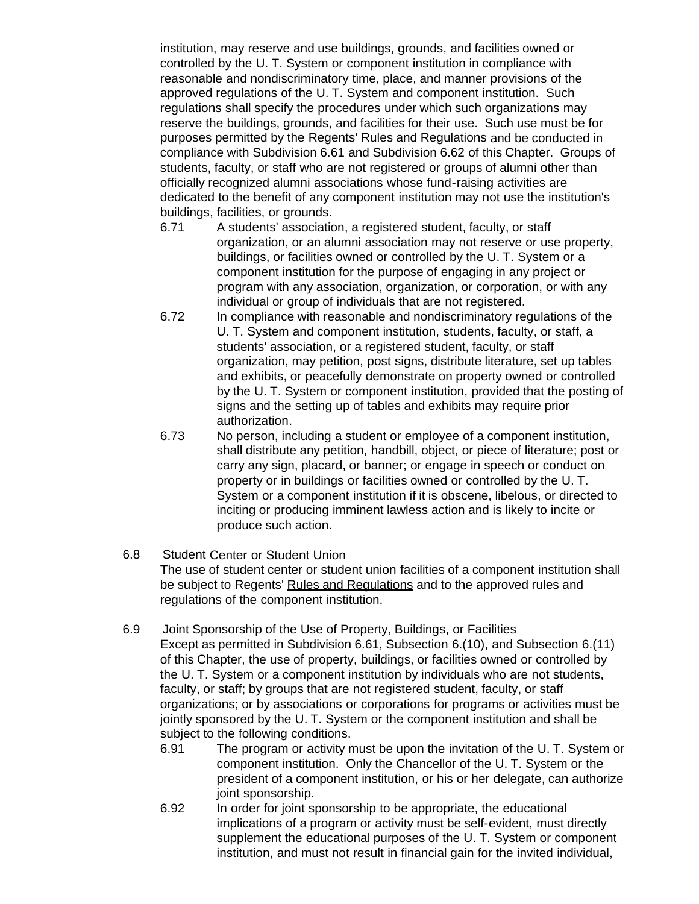institution, may reserve and use buildings, grounds, and facilities owned or controlled by the U. T. System or component institution in compliance with reasonable and nondiscriminatory time, place, and manner provisions of the approved regulations of the U. T. System and component institution. Such regulations shall specify the procedures under which such organizations may reserve the buildings, grounds, and facilities for their use. Such use must be for purposes permitted by the Regents' Rules and Regulations and be conducted in compliance with Subdivision 6.61 and Subdivision 6.62 of this Chapter. Groups of students, faculty, or staff who are not registered or groups of alumni other than officially recognized alumni associations whose fund-raising activities are dedicated to the benefit of any component institution may not use the institution's buildings, facilities, or grounds.

- 6.71 A students' association, a registered student, faculty, or staff organization, or an alumni association may not reserve or use property, buildings, or facilities owned or controlled by the U. T. System or a component institution for the purpose of engaging in any project or program with any association, organization, or corporation, or with any individual or group of individuals that are not registered.
- 6.72 In compliance with reasonable and nondiscriminatory regulations of the U. T. System and component institution, students, faculty, or staff, a students' association, or a registered student, faculty, or staff organization, may petition, post signs, distribute literature, set up tables and exhibits, or peacefully demonstrate on property owned or controlled by the U. T. System or component institution, provided that the posting of signs and the setting up of tables and exhibits may require prior authorization.
- 6.73 No person, including a student or employee of a component institution, shall distribute any petition, handbill, object, or piece of literature; post or carry any sign, placard, or banner; or engage in speech or conduct on property or in buildings or facilities owned or controlled by the U. T. System or a component institution if it is obscene, libelous, or directed to inciting or producing imminent lawless action and is likely to incite or produce such action.

#### 6.8 Student Center or Student Union

The use of student center or student union facilities of a component institution shall be subject to Regents' Rules and Regulations and to the approved rules and regulations of the component institution.

6.9 Joint Sponsorship of the Use of Property, Buildings, or Facilities

Except as permitted in Subdivision 6.61, Subsection 6.(10), and Subsection 6.(11) of this Chapter, the use of property, buildings, or facilities owned or controlled by the U. T. System or a component institution by individuals who are not students, faculty, or staff; by groups that are not registered student, faculty, or staff organizations; or by associations or corporations for programs or activities must be jointly sponsored by the U. T. System or the component institution and shall be subject to the following conditions.

- 6.91 The program or activity must be upon the invitation of the U. T. System or component institution. Only the Chancellor of the U. T. System or the president of a component institution, or his or her delegate, can authorize joint sponsorship.
- 6.92 In order for joint sponsorship to be appropriate, the educational implications of a program or activity must be self-evident, must directly supplement the educational purposes of the U. T. System or component institution, and must not result in financial gain for the invited individual,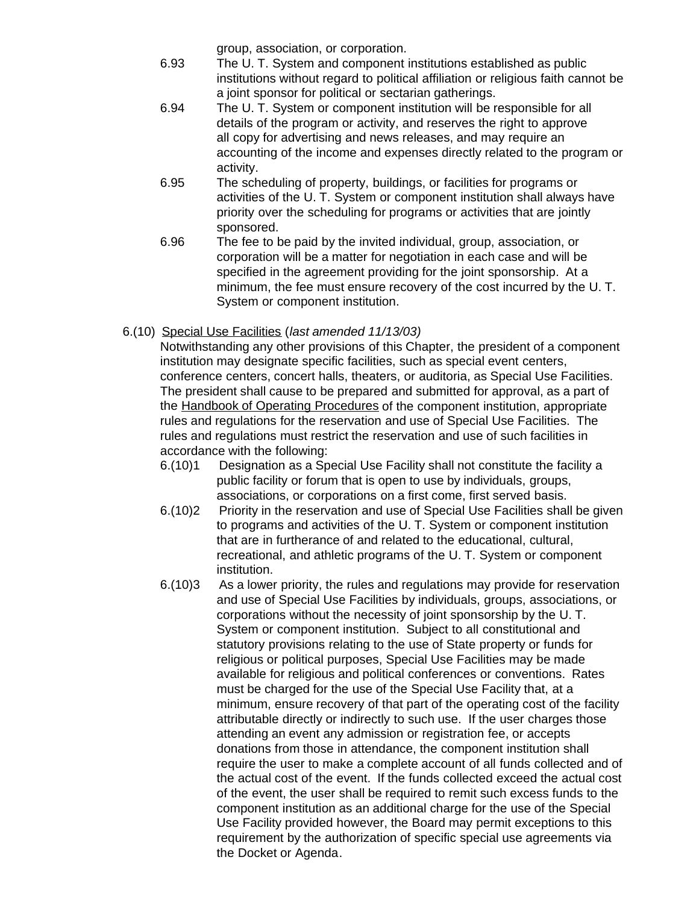group, association, or corporation.

- 6.93 The U. T. System and component institutions established as public institutions without regard to political affiliation or religious faith cannot be a joint sponsor for political or sectarian gatherings.
- 6.94 The U. T. System or component institution will be responsible for all details of the program or activity, and reserves the right to approve all copy for advertising and news releases, and may require an accounting of the income and expenses directly related to the program or activity.
- 6.95 The scheduling of property, buildings, or facilities for programs or activities of the U. T. System or component institution shall always have priority over the scheduling for programs or activities that are jointly sponsored.
- 6.96 The fee to be paid by the invited individual, group, association, or corporation will be a matter for negotiation in each case and will be specified in the agreement providing for the joint sponsorship. At a minimum, the fee must ensure recovery of the cost incurred by the U. T. System or component institution.
- 6.(10) Special Use Facilities (*last amended 11/13/03)*

Notwithstanding any other provisions of this Chapter, the president of a component institution may designate specific facilities, such as special event centers, conference centers, concert halls, theaters, or auditoria, as Special Use Facilities. The president shall cause to be prepared and submitted for approval, as a part of the Handbook of Operating Procedures of the component institution, appropriate rules and regulations for the reservation and use of Special Use Facilities. The rules and regulations must restrict the reservation and use of such facilities in accordance with the following:

- 6.(10)1 Designation as a Special Use Facility shall not constitute the facility a public facility or forum that is open to use by individuals, groups, associations, or corporations on a first come, first served basis.
- 6.(10)2 Priority in the reservation and use of Special Use Facilities shall be given to programs and activities of the U. T. System or component institution that are in furtherance of and related to the educational, cultural, recreational, and athletic programs of the U. T. System or component institution.
- 6.(10)3 As a lower priority, the rules and regulations may provide for reservation and use of Special Use Facilities by individuals, groups, associations, or corporations without the necessity of joint sponsorship by the U. T. System or component institution. Subject to all constitutional and statutory provisions relating to the use of State property or funds for religious or political purposes, Special Use Facilities may be made available for religious and political conferences or conventions. Rates must be charged for the use of the Special Use Facility that, at a minimum, ensure recovery of that part of the operating cost of the facility attributable directly or indirectly to such use. If the user charges those attending an event any admission or registration fee, or accepts donations from those in attendance, the component institution shall require the user to make a complete account of all funds collected and of the actual cost of the event. If the funds collected exceed the actual cost of the event, the user shall be required to remit such excess funds to the component institution as an additional charge for the use of the Special Use Facility provided however, the Board may permit exceptions to this requirement by the authorization of specific special use agreements via the Docket or Agenda.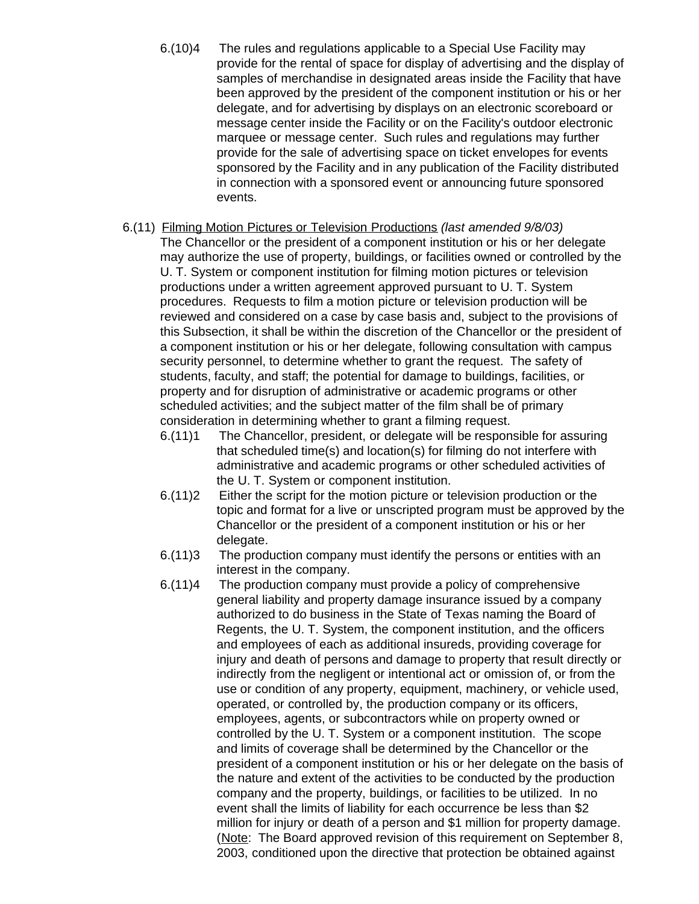- 6.(10)4 The rules and regulations applicable to a Special Use Facility may provide for the rental of space for display of advertising and the display of samples of merchandise in designated areas inside the Facility that have been approved by the president of the component institution or his or her delegate, and for advertising by displays on an electronic scoreboard or message center inside the Facility or on the Facility's outdoor electronic marquee or message center. Such rules and regulations may further provide for the sale of advertising space on ticket envelopes for events sponsored by the Facility and in any publication of the Facility distributed in connection with a sponsored event or announcing future sponsored events.
- 6.(11) Filming Motion Pictures or Television Productions *(last amended 9/8/03)* The Chancellor or the president of a component institution or his or her delegate may authorize the use of property, buildings, or facilities owned or controlled by the U. T. System or component institution for filming motion pictures or television productions under a written agreement approved pursuant to U. T. System procedures. Requests to film a motion picture or television production will be reviewed and considered on a case by case basis and, subject to the provisions of this Subsection, it shall be within the discretion of the Chancellor or the president of a component institution or his or her delegate, following consultation with campus security personnel, to determine whether to grant the request. The safety of students, faculty, and staff; the potential for damage to buildings, facilities, or property and for disruption of administrative or academic programs or other scheduled activities; and the subject matter of the film shall be of primary consideration in determining whether to grant a filming request.
	- 6.(11)1 The Chancellor, president, or delegate will be responsible for assuring that scheduled time(s) and location(s) for filming do not interfere with administrative and academic programs or other scheduled activities of the U. T. System or component institution.
	- 6.(11)2 Either the script for the motion picture or television production or the topic and format for a live or unscripted program must be approved by the Chancellor or the president of a component institution or his or her delegate.
	- 6.(11)3 The production company must identify the persons or entities with an interest in the company.
	- 6.(11)4 The production company must provide a policy of comprehensive general liability and property damage insurance issued by a company authorized to do business in the State of Texas naming the Board of Regents, the U. T. System, the component institution, and the officers and employees of each as additional insureds, providing coverage for injury and death of persons and damage to property that result directly or indirectly from the negligent or intentional act or omission of, or from the use or condition of any property, equipment, machinery, or vehicle used, operated, or controlled by, the production company or its officers, employees, agents, or subcontractors while on property owned or controlled by the U. T. System or a component institution. The scope and limits of coverage shall be determined by the Chancellor or the president of a component institution or his or her delegate on the basis of the nature and extent of the activities to be conducted by the production company and the property, buildings, or facilities to be utilized. In no event shall the limits of liability for each occurrence be less than \$2 million for injury or death of a person and \$1 million for property damage. (Note: The Board approved revision of this requirement on September 8, 2003, conditioned upon the directive that protection be obtained against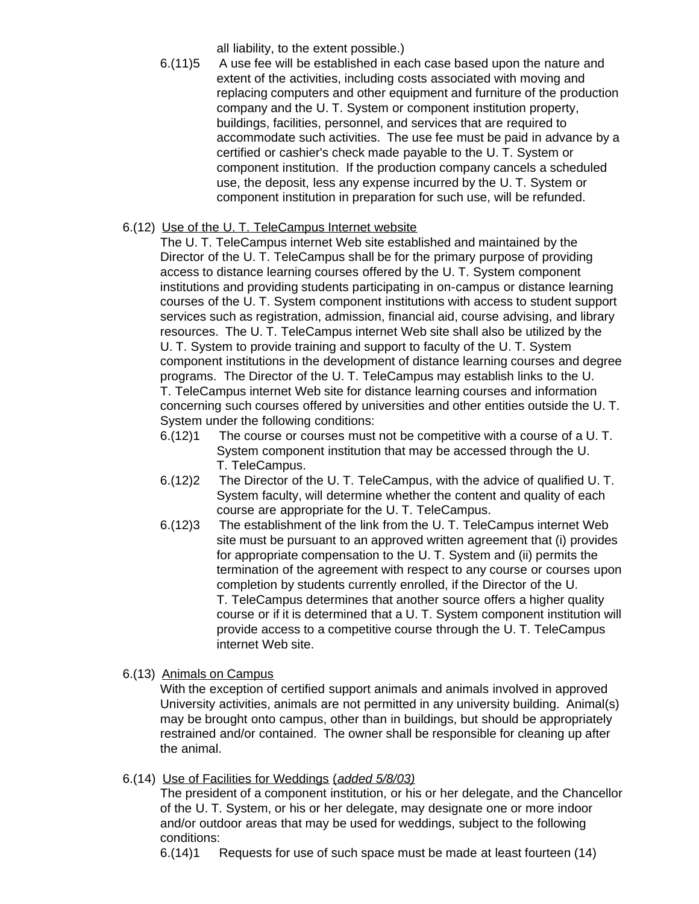all liability, to the extent possible.)

6.(11)5 A use fee will be established in each case based upon the nature and extent of the activities, including costs associated with moving and replacing computers and other equipment and furniture of the production company and the U. T. System or component institution property, buildings, facilities, personnel, and services that are required to accommodate such activities. The use fee must be paid in advance by a certified or cashier's check made payable to the U. T. System or component institution. If the production company cancels a scheduled use, the deposit, less any expense incurred by the U. T. System or component institution in preparation for such use, will be refunded.

# 6.(12) Use of the U. T. TeleCampus Internet website

The U. T. TeleCampus internet Web site established and maintained by the Director of the U. T. TeleCampus shall be for the primary purpose of providing access to distance learning courses offered by the U. T. System component institutions and providing students participating in on-campus or distance learning courses of the U. T. System component institutions with access to student support services such as registration, admission, financial aid, course advising, and library resources. The U. T. TeleCampus internet Web site shall also be utilized by the U. T. System to provide training and support to faculty of the U. T. System component institutions in the development of distance learning courses and degree programs. The Director of the U. T. TeleCampus may establish links to the U. T. TeleCampus internet Web site for distance learning courses and information concerning such courses offered by universities and other entities outside the U. T. System under the following conditions:

- 6.(12)1 The course or courses must not be competitive with a course of a U. T. System component institution that may be accessed through the U. T. TeleCampus.
- 6.(12)2 The Director of the U. T. TeleCampus, with the advice of qualified U. T. System faculty, will determine whether the content and quality of each course are appropriate for the U. T. TeleCampus.
- 6.(12)3 The establishment of the link from the U. T. TeleCampus internet Web site must be pursuant to an approved written agreement that (i) provides for appropriate compensation to the U. T. System and (ii) permits the termination of the agreement with respect to any course or courses upon completion by students currently enrolled, if the Director of the U. T. TeleCampus determines that another source offers a higher quality course or if it is determined that a U. T. System component institution will provide access to a competitive course through the U. T. TeleCampus internet Web site.
- 6.(13) Animals on Campus

With the exception of certified support animals and animals involved in approved University activities, animals are not permitted in any university building. Animal(s) may be brought onto campus, other than in buildings, but should be appropriately restrained and/or contained. The owner shall be responsible for cleaning up after the animal.

# 6.(14) Use of Facilities for Weddings (*added 5/8/03)*

The president of a component institution, or his or her delegate, and the Chancellor of the U. T. System, or his or her delegate, may designate one or more indoor and/or outdoor areas that may be used for weddings, subject to the following conditions:

6.(14)1 Requests for use of such space must be made at least fourteen (14)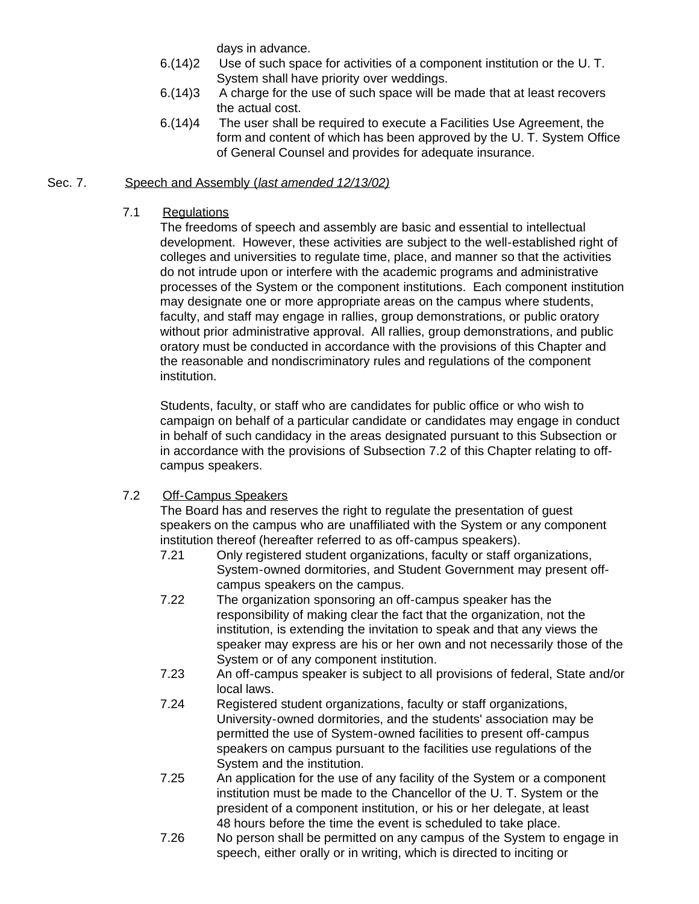days in advance.

- 6.(14)2 Use of such space for activities of a component institution or the U. T. System shall have priority over weddings.
- 6.(14)3 A charge for the use of such space will be made that at least recovers the actual cost.
- 6.(14)4 The user shall be required to execute a Facilities Use Agreement, the form and content of which has been approved by the U. T. System Office of General Counsel and provides for adequate insurance.

# Sec. 7. Speech and Assembly (*last amended 12/13/02)*

## 7.1 Regulations

The freedoms of speech and assembly are basic and essential to intellectual development. However, these activities are subject to the well-established right of colleges and universities to regulate time, place, and manner so that the activities do not intrude upon or interfere with the academic programs and administrative processes of the System or the component institutions. Each component institution may designate one or more appropriate areas on the campus where students, faculty, and staff may engage in rallies, group demonstrations, or public oratory without prior administrative approval. All rallies, group demonstrations, and public oratory must be conducted in accordance with the provisions of this Chapter and the reasonable and nondiscriminatory rules and regulations of the component institution.

Students, faculty, or staff who are candidates for public office or who wish to campaign on behalf of a particular candidate or candidates may engage in conduct in behalf of such candidacy in the areas designated pursuant to this Subsection or in accordance with the provisions of Subsection 7.2 of this Chapter relating to offcampus speakers.

# 7.2 Off-Campus Speakers

The Board has and reserves the right to regulate the presentation of guest speakers on the campus who are unaffiliated with the System or any component institution thereof (hereafter referred to as off-campus speakers).

- 7.21 Only registered student organizations, faculty or staff organizations, System-owned dormitories, and Student Government may present offcampus speakers on the campus.
- 7.22 The organization sponsoring an off-campus speaker has the responsibility of making clear the fact that the organization, not the institution, is extending the invitation to speak and that any views the speaker may express are his or her own and not necessarily those of the System or of any component institution.
- 7.23 An off-campus speaker is subject to all provisions of federal, State and/or local laws.
- 7.24 Registered student organizations, faculty or staff organizations, University-owned dormitories, and the students' association may be permitted the use of System-owned facilities to present off-campus speakers on campus pursuant to the facilities use regulations of the System and the institution.
- 7.25 An application for the use of any facility of the System or a component institution must be made to the Chancellor of the U. T. System or the president of a component institution, or his or her delegate, at least 48 hours before the time the event is scheduled to take place.
- 7.26 No person shall be permitted on any campus of the System to engage in speech, either orally or in writing, which is directed to inciting or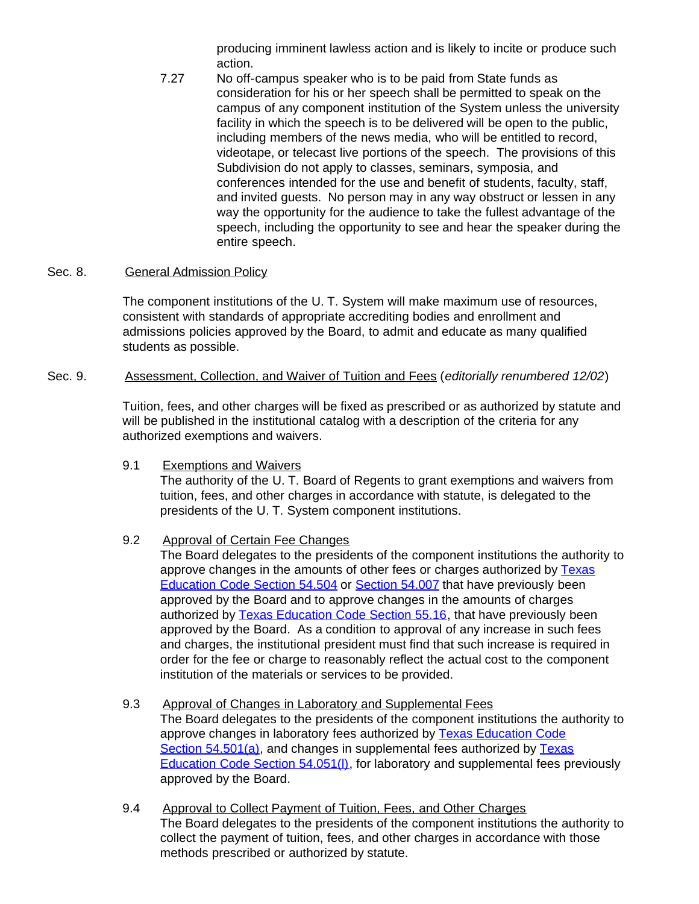producing imminent lawless action and is likely to incite or produce such action.

7.27 No off-campus speaker who is to be paid from State funds as consideration for his or her speech shall be permitted to speak on the campus of any component institution of the System unless the university facility in which the speech is to be delivered will be open to the public, including members of the news media, who will be entitled to record, videotape, or telecast live portions of the speech. The provisions of this Subdivision do not apply to classes, seminars, symposia, and conferences intended for the use and benefit of students, faculty, staff, and invited guests. No person may in any way obstruct or lessen in any way the opportunity for the audience to take the fullest advantage of the speech, including the opportunity to see and hear the speaker during the entire speech.

#### Sec. 8. General Admission Policy

The component institutions of the U. T. System will make maximum use of resources, consistent with standards of appropriate accrediting bodies and enrollment and admissions policies approved by the Board, to admit and educate as many qualified students as possible.

# Sec. 9. Assessment, Collection, and Waiver of Tuition and Fees (*editorially renumbered 12/02*)

Tuition, fees, and other charges will be fixed as prescribed or as authorized by statute and will be published in the institutional catalog with a description of the criteria for any authorized exemptions and waivers.

9.1 Exemptions and Waivers

The authority of the U. T. Board of Regents to grant exemptions and waivers from tuition, fees, and other charges in accordance with statute, is delegated to the presidents of the U. T. System component institutions.

# 9.2 Approval of Certain Fee Changes

The Board delegates to the presidents of the component institutions the authority to approve changes in the amounts of other fees or charges authorized by [Texas](http://www.capitol.state.tx.us/statutes/ed/ed0005400.html#ed066.54.504) [Education Code Section](http://www.capitol.state.tx.us/statutes/ed/ed0005400.html#ed066.54.504) 54.504 or [Section](http://www.capitol.state.tx.us/statutes/ed/ed0005400.html#ed008.54.007) 54.007 that have previously been approved by the Board and to approve changes in the amounts of charges authorized by [Texas Education Code Section](http://www.capitol.state.tx.us/statutes/ed/ed0005500.html#ed010.55.16) 55.16, that have previously been approved by the Board. As a condition to approval of any increase in such fees and charges, the institutional president must find that such increase is required in order for the fee or charge to reasonably reflect the actual cost to the component institution of the materials or services to be provided.

- 9.3 Approval of Changes in Laboratory and Supplemental Fees The Board delegates to the presidents of the component institutions the authority to approve changes in laboratory fees authorized by [Texas Education Code](http://www.capitol.state.tx.us/statutes/ed/ed0005400.html#ed057.54.501) Section [54.501\(a\)](http://www.capitol.state.tx.us/statutes/ed/ed0005400.html#ed057.54.501), and changes in supplemental fees authorized by [Texas](http://www.capitol.state.tx.us/statutes/ed/ed0005400.html#ed012.54.051) [Education Code Section](http://www.capitol.state.tx.us/statutes/ed/ed0005400.html#ed012.54.051) 54.051(l), for laboratory and supplemental fees previously approved by the Board.
- 9.4 Approval to Collect Payment of Tuition, Fees, and Other Charges The Board delegates to the presidents of the component institutions the authority to collect the payment of tuition, fees, and other charges in accordance with those methods prescribed or authorized by statute.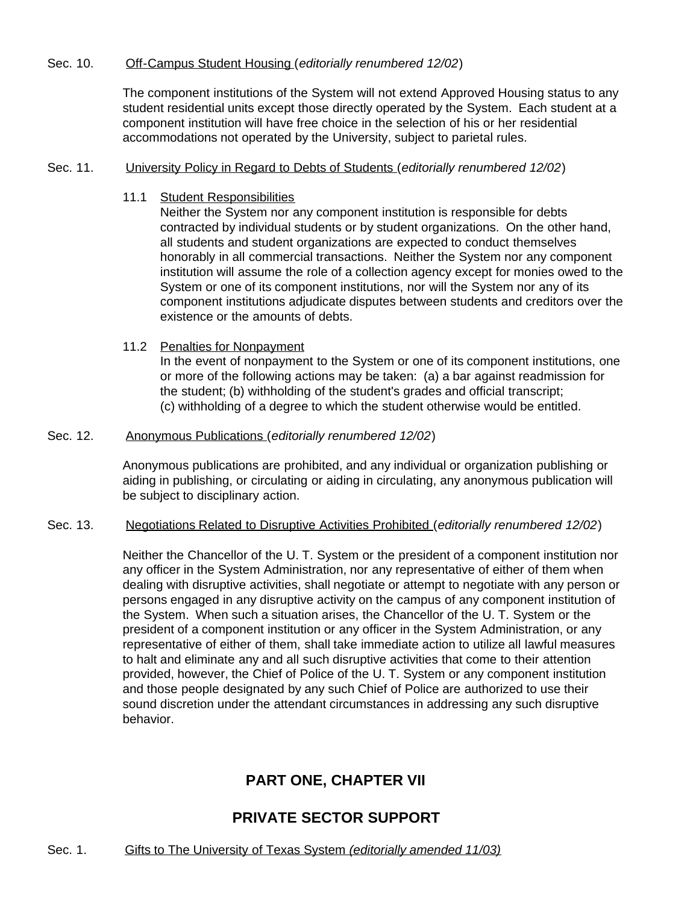#### Sec. 10. Off-Campus Student Housing (*editorially renumbered 12/02*)

The component institutions of the System will not extend Approved Housing status to any student residential units except those directly operated by the System. Each student at a component institution will have free choice in the selection of his or her residential accommodations not operated by the University, subject to parietal rules.

#### Sec. 11. University Policy in Regard to Debts of Students (*editorially renumbered 12/02*)

11.1 Student Responsibilities

Neither the System nor any component institution is responsible for debts contracted by individual students or by student organizations. On the other hand, all students and student organizations are expected to conduct themselves honorably in all commercial transactions. Neither the System nor any component institution will assume the role of a collection agency except for monies owed to the System or one of its component institutions, nor will the System nor any of its component institutions adjudicate disputes between students and creditors over the existence or the amounts of debts.

#### 11.2 Penalties for Nonpayment

In the event of nonpayment to the System or one of its component institutions, one or more of the following actions may be taken: (a) a bar against readmission for the student; (b) withholding of the student's grades and official transcript; (c) withholding of a degree to which the student otherwise would be entitled.

#### Sec. 12. Anonymous Publications (*editorially renumbered 12/02*)

Anonymous publications are prohibited, and any individual or organization publishing or aiding in publishing, or circulating or aiding in circulating, any anonymous publication will be subject to disciplinary action.

#### Sec. 13. Negotiations Related to Disruptive Activities Prohibited (*editorially renumbered 12/02*)

Neither the Chancellor of the U. T. System or the president of a component institution nor any officer in the System Administration, nor any representative of either of them when dealing with disruptive activities, shall negotiate or attempt to negotiate with any person or persons engaged in any disruptive activity on the campus of any component institution of the System. When such a situation arises, the Chancellor of the U. T. System or the president of a component institution or any officer in the System Administration, or any representative of either of them, shall take immediate action to utilize all lawful measures to halt and eliminate any and all such disruptive activities that come to their attention provided, however, the Chief of Police of the U. T. System or any component institution and those people designated by any such Chief of Police are authorized to use their sound discretion under the attendant circumstances in addressing any such disruptive behavior.

# **PART ONE, CHAPTER VII**

# **PRIVATE SECTOR SUPPORT**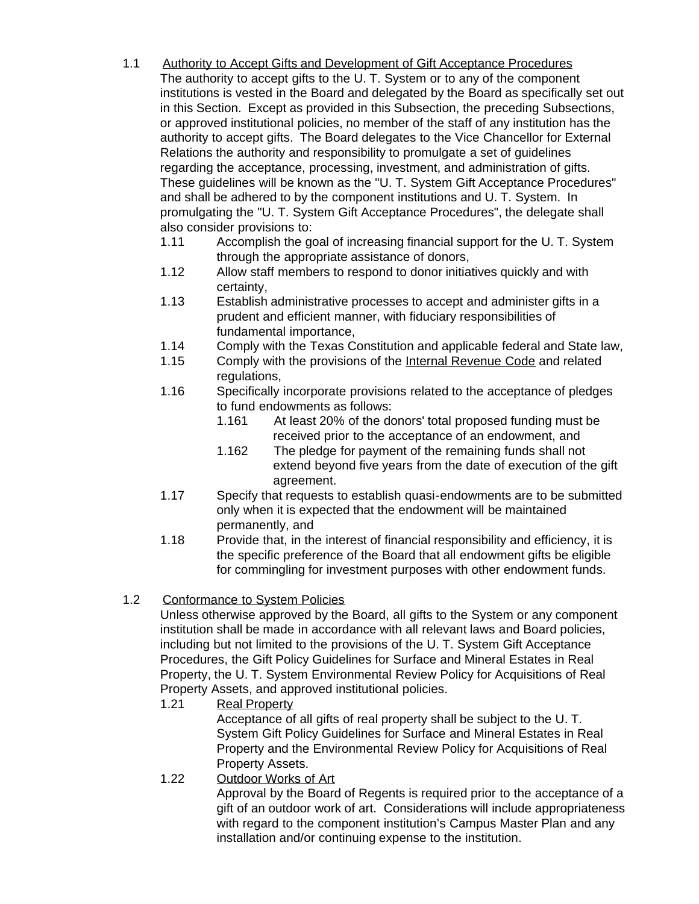- 1.1 Authority to Accept Gifts and Development of Gift Acceptance Procedures The authority to accept gifts to the U. T. System or to any of the component institutions is vested in the Board and delegated by the Board as specifically set out in this Section. Except as provided in this Subsection, the preceding Subsections, or approved institutional policies, no member of the staff of any institution has the authority to accept gifts. The Board delegates to the Vice Chancellor for External Relations the authority and responsibility to promulgate a set of guidelines regarding the acceptance, processing, investment, and administration of gifts. These guidelines will be known as the "U. T. System Gift Acceptance Procedures" and shall be adhered to by the component institutions and U. T. System. In promulgating the "U. T. System Gift Acceptance Procedures", the delegate shall also consider provisions to:
	- 1.11 Accomplish the goal of increasing financial support for the U. T. System through the appropriate assistance of donors,
	- 1.12 Allow staff members to respond to donor initiatives quickly and with certainty,
	- 1.13 Establish administrative processes to accept and administer gifts in a prudent and efficient manner, with fiduciary responsibilities of fundamental importance,
	- 1.14 Comply with the Texas Constitution and applicable federal and State law,
	- 1.15 Comply with the provisions of the Internal Revenue Code and related regulations,
	- 1.16 Specifically incorporate provisions related to the acceptance of pledges to fund endowments as follows:
		- 1.161 At least 20% of the donors' total proposed funding must be received prior to the acceptance of an endowment, and
		- 1.162 The pledge for payment of the remaining funds shall not extend beyond five years from the date of execution of the gift agreement.
	- 1.17 Specify that requests to establish quasi-endowments are to be submitted only when it is expected that the endowment will be maintained permanently, and
	- 1.18 Provide that, in the interest of financial responsibility and efficiency, it is the specific preference of the Board that all endowment gifts be eligible for commingling for investment purposes with other endowment funds.

# 1.2 Conformance to System Policies

Unless otherwise approved by the Board, all gifts to the System or any component institution shall be made in accordance with all relevant laws and Board policies, including but not limited to the provisions of the U. T. System Gift Acceptance Procedures, the Gift Policy Guidelines for Surface and Mineral Estates in Real Property, the U. T. System Environmental Review Policy for Acquisitions of Real Property Assets, and approved institutional policies.

1.21 Real Property

Acceptance of all gifts of real property shall be subject to the U. T. System Gift Policy Guidelines for Surface and Mineral Estates in Real Property and the Environmental Review Policy for Acquisitions of Real Property Assets.

1.22 Outdoor Works of Art

Approval by the Board of Regents is required prior to the acceptance of a gift of an outdoor work of art. Considerations will include appropriateness with regard to the component institution's Campus Master Plan and any installation and/or continuing expense to the institution.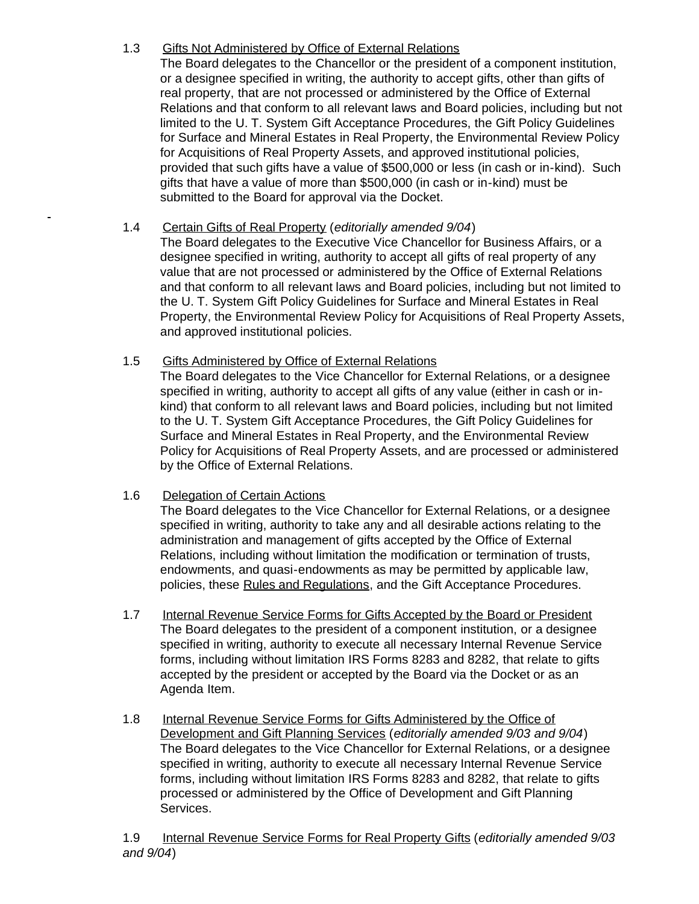# 1.3 Gifts Not Administered by Office of External Relations

The Board delegates to the Chancellor or the president of a component institution, or a designee specified in writing, the authority to accept gifts, other than gifts of real property, that are not processed or administered by the Office of External Relations and that conform to all relevant laws and Board policies, including but not limited to the U. T. System Gift Acceptance Procedures, the Gift Policy Guidelines for Surface and Mineral Estates in Real Property, the Environmental Review Policy for Acquisitions of Real Property Assets, and approved institutional policies, provided that such gifts have a value of \$500,000 or less (in cash or in-kind). Such gifts that have a value of more than \$500,000 (in cash or in-kind) must be submitted to the Board for approval via the Docket.

# 1.4 Certain Gifts of Real Property (*editorially amended 9/04*)

The Board delegates to the Executive Vice Chancellor for Business Affairs, or a designee specified in writing, authority to accept all gifts of real property of any value that are not processed or administered by the Office of External Relations and that conform to all relevant laws and Board policies, including but not limited to the U. T. System Gift Policy Guidelines for Surface and Mineral Estates in Real Property, the Environmental Review Policy for Acquisitions of Real Property Assets, and approved institutional policies.

# 1.5 Gifts Administered by Office of External Relations

The Board delegates to the Vice Chancellor for External Relations, or a designee specified in writing, authority to accept all gifts of any value (either in cash or inkind) that conform to all relevant laws and Board policies, including but not limited to the U. T. System Gift Acceptance Procedures, the Gift Policy Guidelines for Surface and Mineral Estates in Real Property, and the Environmental Review Policy for Acquisitions of Real Property Assets, and are processed or administered by the Office of External Relations.

# 1.6 Delegation of Certain Actions

The Board delegates to the Vice Chancellor for External Relations, or a designee specified in writing, authority to take any and all desirable actions relating to the administration and management of gifts accepted by the Office of External Relations, including without limitation the modification or termination of trusts, endowments, and quasi-endowments as may be permitted by applicable law, policies, these Rules and Regulations, and the Gift Acceptance Procedures.

- 1.7 Internal Revenue Service Forms for Gifts Accepted by the Board or President The Board delegates to the president of a component institution, or a designee specified in writing, authority to execute all necessary Internal Revenue Service forms, including without limitation IRS Forms 8283 and 8282, that relate to gifts accepted by the president or accepted by the Board via the Docket or as an Agenda Item.
- 1.8 Internal Revenue Service Forms for Gifts Administered by the Office of Development and Gift Planning Services (*editorially amended 9/03 and 9/04*) The Board delegates to the Vice Chancellor for External Relations, or a designee specified in writing, authority to execute all necessary Internal Revenue Service forms, including without limitation IRS Forms 8283 and 8282, that relate to gifts processed or administered by the Office of Development and Gift Planning Services.

1.9 Internal Revenue Service Forms for Real Property Gifts (*editorially amended 9/03 and 9/04*)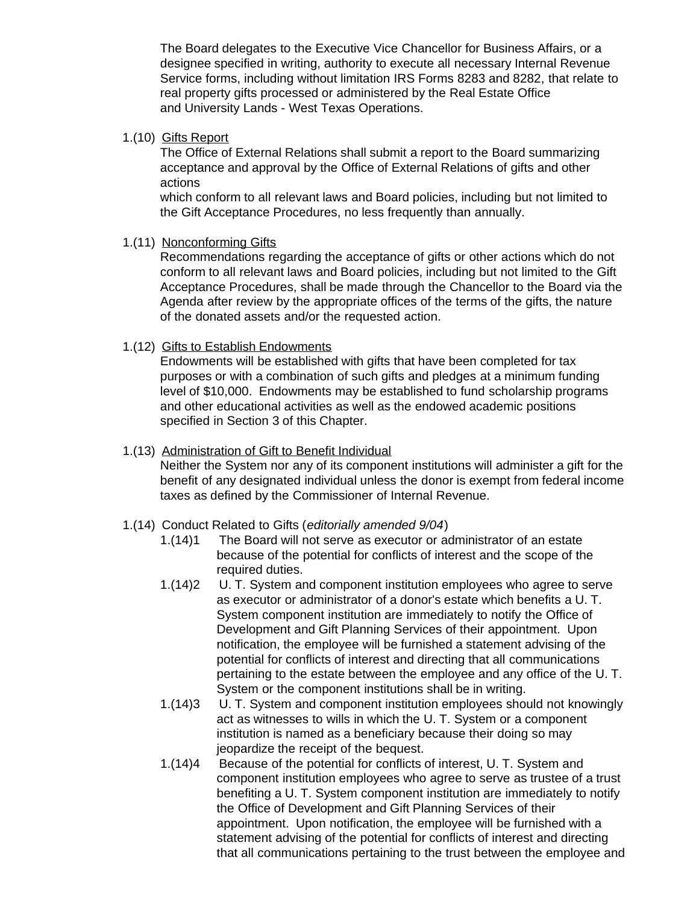The Board delegates to the Executive Vice Chancellor for Business Affairs, or a designee specified in writing, authority to execute all necessary Internal Revenue Service forms, including without limitation IRS Forms 8283 and 8282, that relate to real property gifts processed or administered by the Real Estate Office and University Lands - West Texas Operations.

1.(10) Gifts Report

The Office of External Relations shall submit a report to the Board summarizing acceptance and approval by the Office of External Relations of gifts and other actions

which conform to all relevant laws and Board policies, including but not limited to the Gift Acceptance Procedures, no less frequently than annually.

1.(11) Nonconforming Gifts

Recommendations regarding the acceptance of gifts or other actions which do not conform to all relevant laws and Board policies, including but not limited to the Gift Acceptance Procedures, shall be made through the Chancellor to the Board via the Agenda after review by the appropriate offices of the terms of the gifts, the nature of the donated assets and/or the requested action.

1.(12) Gifts to Establish Endowments

Endowments will be established with gifts that have been completed for tax purposes or with a combination of such gifts and pledges at a minimum funding level of \$10,000. Endowments may be established to fund scholarship programs and other educational activities as well as the endowed academic positions specified in Section 3 of this Chapter.

#### 1.(13) Administration of Gift to Benefit Individual

Neither the System nor any of its component institutions will administer a gift for the benefit of any designated individual unless the donor is exempt from federal income taxes as defined by the Commissioner of Internal Revenue.

#### 1.(14) Conduct Related to Gifts (*editorially amended 9/04*)

- 1.(14)1 The Board will not serve as executor or administrator of an estate because of the potential for conflicts of interest and the scope of the required duties.
- 1.(14)2 U. T. System and component institution employees who agree to serve as executor or administrator of a donor's estate which benefits a U. T. System component institution are immediately to notify the Office of Development and Gift Planning Services of their appointment. Upon notification, the employee will be furnished a statement advising of the potential for conflicts of interest and directing that all communications pertaining to the estate between the employee and any office of the U. T. System or the component institutions shall be in writing.
- 1.(14)3 U. T. System and component institution employees should not knowingly act as witnesses to wills in which the U. T. System or a component institution is named as a beneficiary because their doing so may jeopardize the receipt of the bequest.
- 1.(14)4 Because of the potential for conflicts of interest, U. T. System and component institution employees who agree to serve as trustee of a trust benefiting a U. T. System component institution are immediately to notify the Office of Development and Gift Planning Services of their appointment. Upon notification, the employee will be furnished with a statement advising of the potential for conflicts of interest and directing that all communications pertaining to the trust between the employee and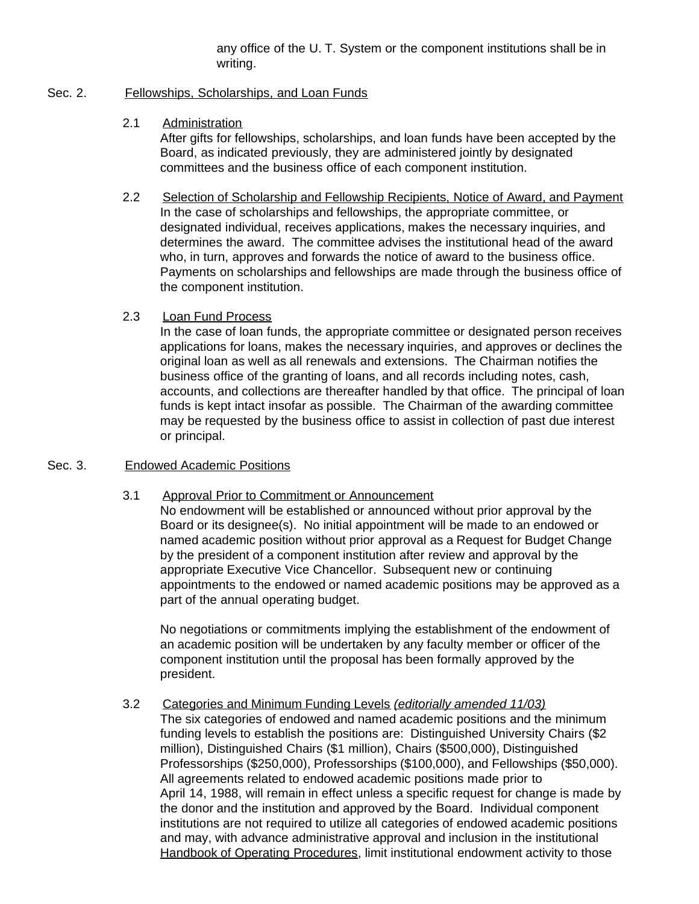any office of the U. T. System or the component institutions shall be in writing.

### Sec. 2. Fellowships, Scholarships, and Loan Funds

## 2.1 Administration

After gifts for fellowships, scholarships, and loan funds have been accepted by the Board, as indicated previously, they are administered jointly by designated committees and the business office of each component institution.

2.2 Selection of Scholarship and Fellowship Recipients, Notice of Award, and Payment In the case of scholarships and fellowships, the appropriate committee, or designated individual, receives applications, makes the necessary inquiries, and determines the award. The committee advises the institutional head of the award who, in turn, approves and forwards the notice of award to the business office. Payments on scholarships and fellowships are made through the business office of the component institution.

# 2.3 Loan Fund Process

In the case of loan funds, the appropriate committee or designated person receives applications for loans, makes the necessary inquiries, and approves or declines the original loan as well as all renewals and extensions. The Chairman notifies the business office of the granting of loans, and all records including notes, cash, accounts, and collections are thereafter handled by that office. The principal of loan funds is kept intact insofar as possible. The Chairman of the awarding committee may be requested by the business office to assist in collection of past due interest or principal.

## Sec. 3. Endowed Academic Positions

# 3.1 Approval Prior to Commitment or Announcement

No endowment will be established or announced without prior approval by the Board or its designee(s). No initial appointment will be made to an endowed or named academic position without prior approval as a Request for Budget Change by the president of a component institution after review and approval by the appropriate Executive Vice Chancellor. Subsequent new or continuing appointments to the endowed or named academic positions may be approved as a part of the annual operating budget.

No negotiations or commitments implying the establishment of the endowment of an academic position will be undertaken by any faculty member or officer of the component institution until the proposal has been formally approved by the president.

# 3.2 Categories and Minimum Funding Levels *(editorially amended 11/03)*

The six categories of endowed and named academic positions and the minimum funding levels to establish the positions are: Distinguished University Chairs (\$2 million), Distinguished Chairs (\$1 million), Chairs (\$500,000), Distinguished Professorships (\$250,000), Professorships (\$100,000), and Fellowships (\$50,000). All agreements related to endowed academic positions made prior to April 14, 1988, will remain in effect unless a specific request for change is made by the donor and the institution and approved by the Board. Individual component institutions are not required to utilize all categories of endowed academic positions and may, with advance administrative approval and inclusion in the institutional Handbook of Operating Procedures, limit institutional endowment activity to those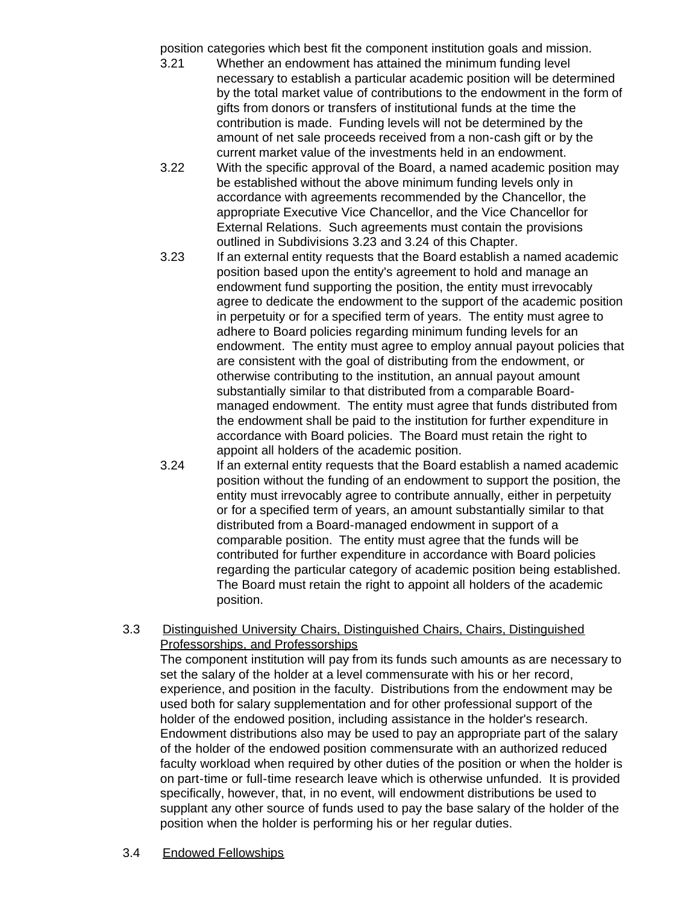position categories which best fit the component institution goals and mission.

- 3.21 Whether an endowment has attained the minimum funding level necessary to establish a particular academic position will be determined by the total market value of contributions to the endowment in the form of gifts from donors or transfers of institutional funds at the time the contribution is made. Funding levels will not be determined by the amount of net sale proceeds received from a non-cash gift or by the current market value of the investments held in an endowment.
- 3.22 With the specific approval of the Board, a named academic position may be established without the above minimum funding levels only in accordance with agreements recommended by the Chancellor, the appropriate Executive Vice Chancellor, and the Vice Chancellor for External Relations. Such agreements must contain the provisions outlined in Subdivisions 3.23 and 3.24 of this Chapter.
- 3.23 If an external entity requests that the Board establish a named academic position based upon the entity's agreement to hold and manage an endowment fund supporting the position, the entity must irrevocably agree to dedicate the endowment to the support of the academic position in perpetuity or for a specified term of years. The entity must agree to adhere to Board policies regarding minimum funding levels for an endowment. The entity must agree to employ annual payout policies that are consistent with the goal of distributing from the endowment, or otherwise contributing to the institution, an annual payout amount substantially similar to that distributed from a comparable Boardmanaged endowment. The entity must agree that funds distributed from the endowment shall be paid to the institution for further expenditure in accordance with Board policies. The Board must retain the right to appoint all holders of the academic position.
- 3.24 If an external entity requests that the Board establish a named academic position without the funding of an endowment to support the position, the entity must irrevocably agree to contribute annually, either in perpetuity or for a specified term of years, an amount substantially similar to that distributed from a Board-managed endowment in support of a comparable position. The entity must agree that the funds will be contributed for further expenditure in accordance with Board policies regarding the particular category of academic position being established. The Board must retain the right to appoint all holders of the academic position.

#### 3.3 Distinguished University Chairs, Distinguished Chairs, Chairs, Distinguished Professorships, and Professorships

The component institution will pay from its funds such amounts as are necessary to set the salary of the holder at a level commensurate with his or her record, experience, and position in the faculty. Distributions from the endowment may be used both for salary supplementation and for other professional support of the holder of the endowed position, including assistance in the holder's research. Endowment distributions also may be used to pay an appropriate part of the salary of the holder of the endowed position commensurate with an authorized reduced faculty workload when required by other duties of the position or when the holder is on part-time or full-time research leave which is otherwise unfunded. It is provided specifically, however, that, in no event, will endowment distributions be used to supplant any other source of funds used to pay the base salary of the holder of the position when the holder is performing his or her regular duties.

3.4 Endowed Fellowships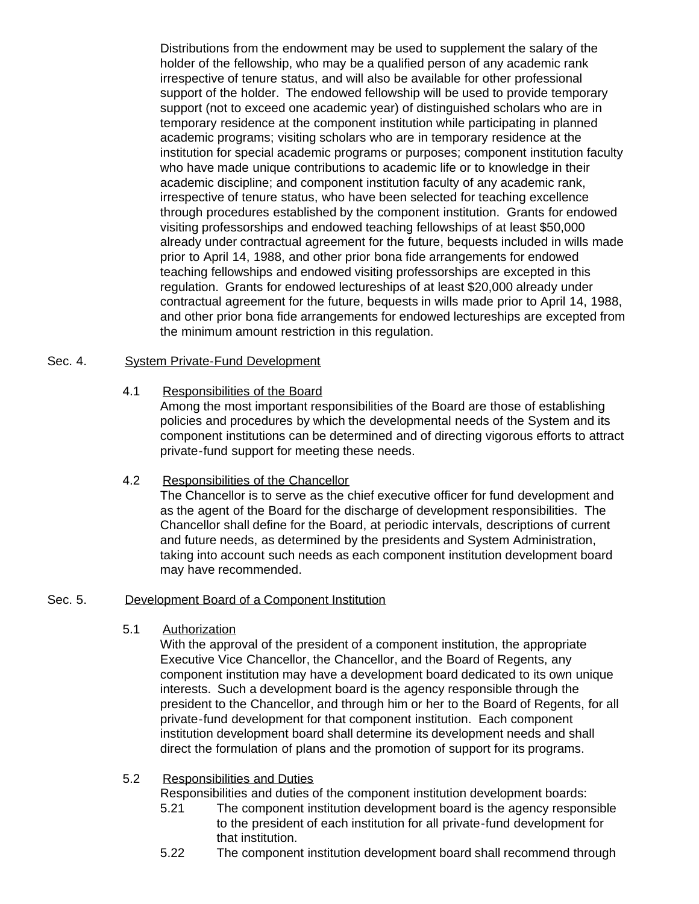Distributions from the endowment may be used to supplement the salary of the holder of the fellowship, who may be a qualified person of any academic rank irrespective of tenure status, and will also be available for other professional support of the holder. The endowed fellowship will be used to provide temporary support (not to exceed one academic year) of distinguished scholars who are in temporary residence at the component institution while participating in planned academic programs; visiting scholars who are in temporary residence at the institution for special academic programs or purposes; component institution faculty who have made unique contributions to academic life or to knowledge in their academic discipline; and component institution faculty of any academic rank, irrespective of tenure status, who have been selected for teaching excellence through procedures established by the component institution. Grants for endowed visiting professorships and endowed teaching fellowships of at least \$50,000 already under contractual agreement for the future, bequests included in wills made prior to April 14, 1988, and other prior bona fide arrangements for endowed teaching fellowships and endowed visiting professorships are excepted in this regulation. Grants for endowed lectureships of at least \$20,000 already under contractual agreement for the future, bequests in wills made prior to April 14, 1988, and other prior bona fide arrangements for endowed lectureships are excepted from the minimum amount restriction in this regulation.

#### Sec. 4. System Private-Fund Development

#### 4.1 Responsibilities of the Board

Among the most important responsibilities of the Board are those of establishing policies and procedures by which the developmental needs of the System and its component institutions can be determined and of directing vigorous efforts to attract private-fund support for meeting these needs.

#### 4.2 Responsibilities of the Chancellor

The Chancellor is to serve as the chief executive officer for fund development and as the agent of the Board for the discharge of development responsibilities. The Chancellor shall define for the Board, at periodic intervals, descriptions of current and future needs, as determined by the presidents and System Administration, taking into account such needs as each component institution development board may have recommended.

#### Sec. 5. Development Board of a Component Institution

#### 5.1 Authorization

With the approval of the president of a component institution, the appropriate Executive Vice Chancellor, the Chancellor, and the Board of Regents, any component institution may have a development board dedicated to its own unique interests. Such a development board is the agency responsible through the president to the Chancellor, and through him or her to the Board of Regents, for all private-fund development for that component institution. Each component institution development board shall determine its development needs and shall direct the formulation of plans and the promotion of support for its programs.

# 5.2 Responsibilities and Duties

Responsibilities and duties of the component institution development boards:

- 5.21 The component institution development board is the agency responsible to the president of each institution for all private-fund development for that institution.
- 5.22 The component institution development board shall recommend through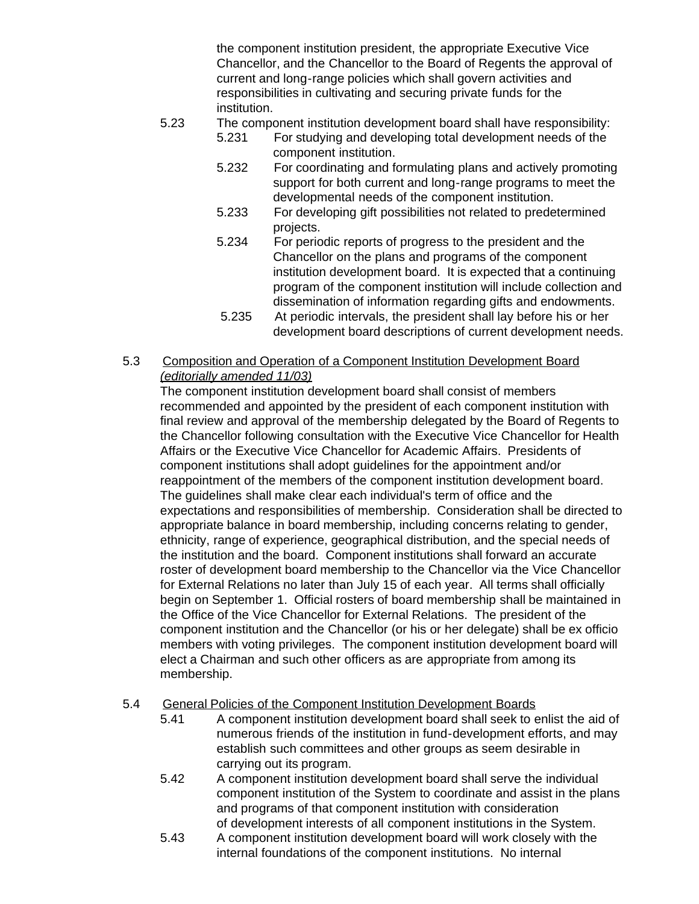the component institution president, the appropriate Executive Vice Chancellor, and the Chancellor to the Board of Regents the approval of current and long-range policies which shall govern activities and responsibilities in cultivating and securing private funds for the institution.

# 5.23 The component institution development board shall have responsibility:

- 5.231 For studying and developing total development needs of the component institution.
- 5.232 For coordinating and formulating plans and actively promoting support for both current and long-range programs to meet the developmental needs of the component institution.
- 5.233 For developing gift possibilities not related to predetermined projects.
- 5.234 For periodic reports of progress to the president and the Chancellor on the plans and programs of the component institution development board. It is expected that a continuing program of the component institution will include collection and dissemination of information regarding gifts and endowments.
- 5.235 At periodic intervals, the president shall lay before his or her development board descriptions of current development needs.
- 5.3 Composition and Operation of a Component Institution Development Board *(editorially amended 11/03)*

The component institution development board shall consist of members recommended and appointed by the president of each component institution with final review and approval of the membership delegated by the Board of Regents to the Chancellor following consultation with the Executive Vice Chancellor for Health Affairs or the Executive Vice Chancellor for Academic Affairs. Presidents of component institutions shall adopt guidelines for the appointment and/or reappointment of the members of the component institution development board. The guidelines shall make clear each individual's term of office and the expectations and responsibilities of membership. Consideration shall be directed to appropriate balance in board membership, including concerns relating to gender, ethnicity, range of experience, geographical distribution, and the special needs of the institution and the board. Component institutions shall forward an accurate roster of development board membership to the Chancellor via the Vice Chancellor for External Relations no later than July 15 of each year. All terms shall officially begin on September 1. Official rosters of board membership shall be maintained in the Office of the Vice Chancellor for External Relations. The president of the component institution and the Chancellor (or his or her delegate) shall be ex officio members with voting privileges. The component institution development board will elect a Chairman and such other officers as are appropriate from among its membership.

# 5.4 General Policies of the Component Institution Development Boards

- 5.41 A component institution development board shall seek to enlist the aid of numerous friends of the institution in fund-development efforts, and may establish such committees and other groups as seem desirable in carrying out its program.
- 5.42 A component institution development board shall serve the individual component institution of the System to coordinate and assist in the plans and programs of that component institution with consideration of development interests of all component institutions in the System.
- 5.43 A component institution development board will work closely with the internal foundations of the component institutions. No internal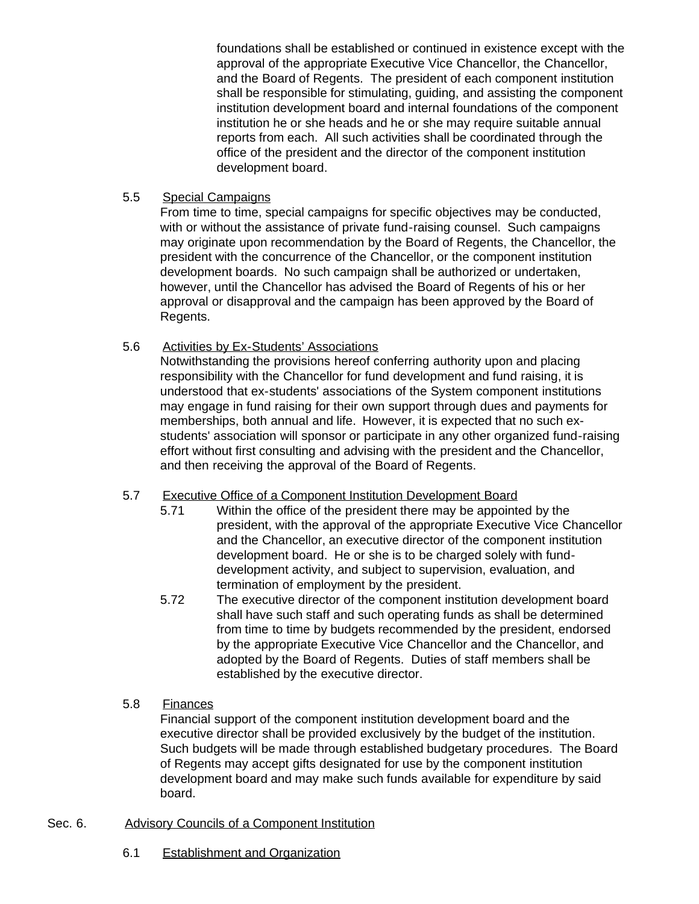foundations shall be established or continued in existence except with the approval of the appropriate Executive Vice Chancellor, the Chancellor, and the Board of Regents. The president of each component institution shall be responsible for stimulating, guiding, and assisting the component institution development board and internal foundations of the component institution he or she heads and he or she may require suitable annual reports from each. All such activities shall be coordinated through the office of the president and the director of the component institution development board.

# 5.5 Special Campaigns

From time to time, special campaigns for specific objectives may be conducted, with or without the assistance of private fund-raising counsel. Such campaigns may originate upon recommendation by the Board of Regents, the Chancellor, the president with the concurrence of the Chancellor, or the component institution development boards. No such campaign shall be authorized or undertaken, however, until the Chancellor has advised the Board of Regents of his or her approval or disapproval and the campaign has been approved by the Board of Regents.

# 5.6 Activities by Ex-Students' Associations

Notwithstanding the provisions hereof conferring authority upon and placing responsibility with the Chancellor for fund development and fund raising, it is understood that ex-students' associations of the System component institutions may engage in fund raising for their own support through dues and payments for memberships, both annual and life. However, it is expected that no such exstudents' association will sponsor or participate in any other organized fund-raising effort without first consulting and advising with the president and the Chancellor, and then receiving the approval of the Board of Regents.

# 5.7 Executive Office of a Component Institution Development Board

- 5.71 Within the office of the president there may be appointed by the president, with the approval of the appropriate Executive Vice Chancellor and the Chancellor, an executive director of the component institution development board. He or she is to be charged solely with funddevelopment activity, and subject to supervision, evaluation, and termination of employment by the president.
- 5.72 The executive director of the component institution development board shall have such staff and such operating funds as shall be determined from time to time by budgets recommended by the president, endorsed by the appropriate Executive Vice Chancellor and the Chancellor, and adopted by the Board of Regents. Duties of staff members shall be established by the executive director.

# 5.8 Finances

Financial support of the component institution development board and the executive director shall be provided exclusively by the budget of the institution. Such budgets will be made through established budgetary procedures. The Board of Regents may accept gifts designated for use by the component institution development board and may make such funds available for expenditure by said board.

# Sec. 6. Advisory Councils of a Component Institution

6.1 Establishment and Organization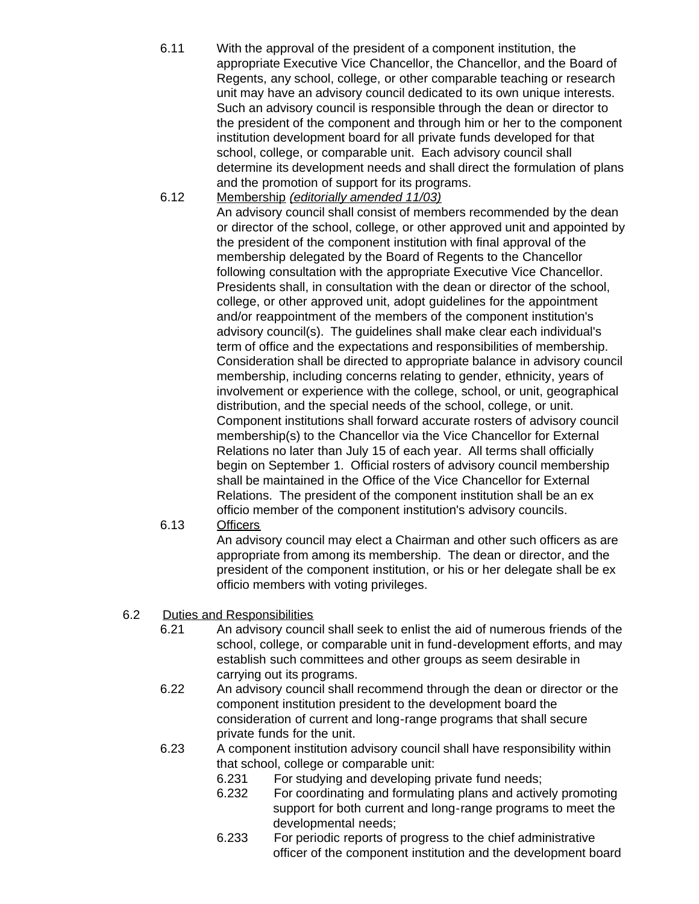- 6.11 With the approval of the president of a component institution, the appropriate Executive Vice Chancellor, the Chancellor, and the Board of Regents, any school, college, or other comparable teaching or research unit may have an advisory council dedicated to its own unique interests. Such an advisory council is responsible through the dean or director to the president of the component and through him or her to the component institution development board for all private funds developed for that school, college, or comparable unit. Each advisory council shall determine its development needs and shall direct the formulation of plans and the promotion of support for its programs.
- 6.12 Membership *(editorially amended 11/03)* An advisory council shall consist of members recommended by the dean or director of the school, college, or other approved unit and appointed by the president of the component institution with final approval of the membership delegated by the Board of Regents to the Chancellor following consultation with the appropriate Executive Vice Chancellor. Presidents shall, in consultation with the dean or director of the school, college, or other approved unit, adopt guidelines for the appointment and/or reappointment of the members of the component institution's advisory council(s). The guidelines shall make clear each individual's term of office and the expectations and responsibilities of membership. Consideration shall be directed to appropriate balance in advisory council membership, including concerns relating to gender, ethnicity, years of involvement or experience with the college, school, or unit, geographical distribution, and the special needs of the school, college, or unit. Component institutions shall forward accurate rosters of advisory council membership(s) to the Chancellor via the Vice Chancellor for External Relations no later than July 15 of each year. All terms shall officially begin on September 1. Official rosters of advisory council membership shall be maintained in the Office of the Vice Chancellor for External Relations. The president of the component institution shall be an ex officio member of the component institution's advisory councils.
- 6.13 Officers

An advisory council may elect a Chairman and other such officers as are appropriate from among its membership. The dean or director, and the president of the component institution, or his or her delegate shall be ex officio members with voting privileges.

- 6.2 Duties and Responsibilities
	- 6.21 An advisory council shall seek to enlist the aid of numerous friends of the school, college, or comparable unit in fund-development efforts, and may establish such committees and other groups as seem desirable in carrying out its programs.
	- 6.22 An advisory council shall recommend through the dean or director or the component institution president to the development board the consideration of current and long-range programs that shall secure private funds for the unit.
	- 6.23 A component institution advisory council shall have responsibility within that school, college or comparable unit:
		- 6.231 For studying and developing private fund needs;
		- 6.232 For coordinating and formulating plans and actively promoting support for both current and long-range programs to meet the developmental needs;
		- 6.233 For periodic reports of progress to the chief administrative officer of the component institution and the development board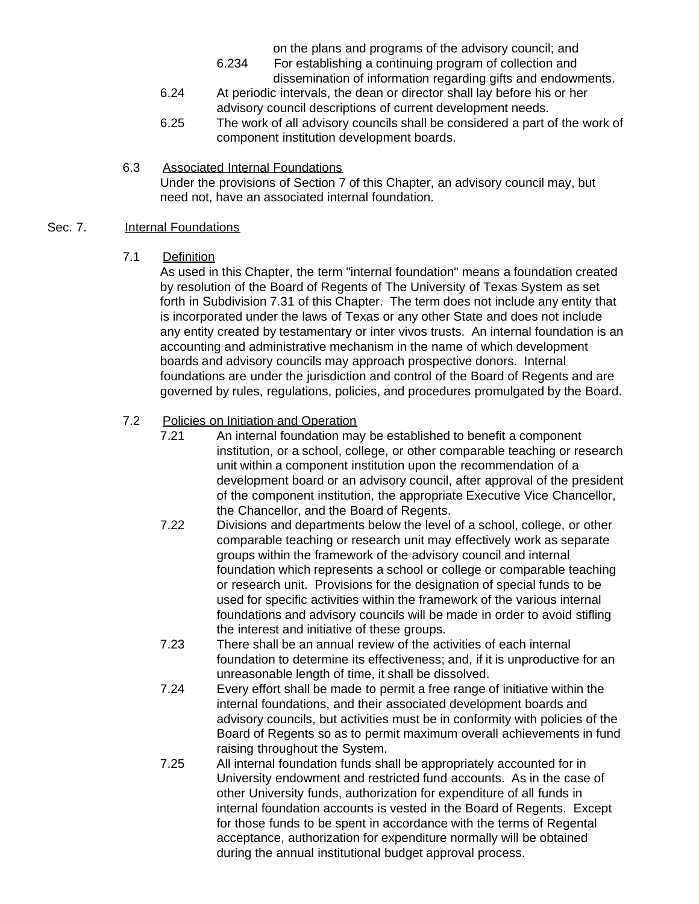on the plans and programs of the advisory council; and

- 6.234 For establishing a continuing program of collection and dissemination of information regarding gifts and endowments.
- 6.24 At periodic intervals, the dean or director shall lay before his or her advisory council descriptions of current development needs.
- 6.25 The work of all advisory councils shall be considered a part of the work of component institution development boards.
- 6.3 Associated Internal Foundations Under the provisions of Section 7 of this Chapter, an advisory council may, but need not, have an associated internal foundation.

#### Sec. 7. **Internal Foundations**

7.1 Definition

As used in this Chapter, the term "internal foundation" means a foundation created by resolution of the Board of Regents of The University of Texas System as set forth in Subdivision 7.31 of this Chapter. The term does not include any entity that is incorporated under the laws of Texas or any other State and does not include any entity created by testamentary or inter vivos trusts. An internal foundation is an accounting and administrative mechanism in the name of which development boards and advisory councils may approach prospective donors. Internal foundations are under the jurisdiction and control of the Board of Regents and are governed by rules, regulations, policies, and procedures promulgated by the Board.

# 7.2 Policies on Initiation and Operation

- 7.21 An internal foundation may be established to benefit a component institution, or a school, college, or other comparable teaching or research unit within a component institution upon the recommendation of a development board or an advisory council, after approval of the president of the component institution, the appropriate Executive Vice Chancellor, the Chancellor, and the Board of Regents.
- 7.22 Divisions and departments below the level of a school, college, or other comparable teaching or research unit may effectively work as separate groups within the framework of the advisory council and internal foundation which represents a school or college or comparable teaching or research unit. Provisions for the designation of special funds to be used for specific activities within the framework of the various internal foundations and advisory councils will be made in order to avoid stifling the interest and initiative of these groups.
- 7.23 There shall be an annual review of the activities of each internal foundation to determine its effectiveness; and, if it is unproductive for an unreasonable length of time, it shall be dissolved.
- 7.24 Every effort shall be made to permit a free range of initiative within the internal foundations, and their associated development boards and advisory councils, but activities must be in conformity with policies of the Board of Regents so as to permit maximum overall achievements in fund raising throughout the System.
- 7.25 All internal foundation funds shall be appropriately accounted for in University endowment and restricted fund accounts. As in the case of other University funds, authorization for expenditure of all funds in internal foundation accounts is vested in the Board of Regents. Except for those funds to be spent in accordance with the terms of Regental acceptance, authorization for expenditure normally will be obtained during the annual institutional budget approval process.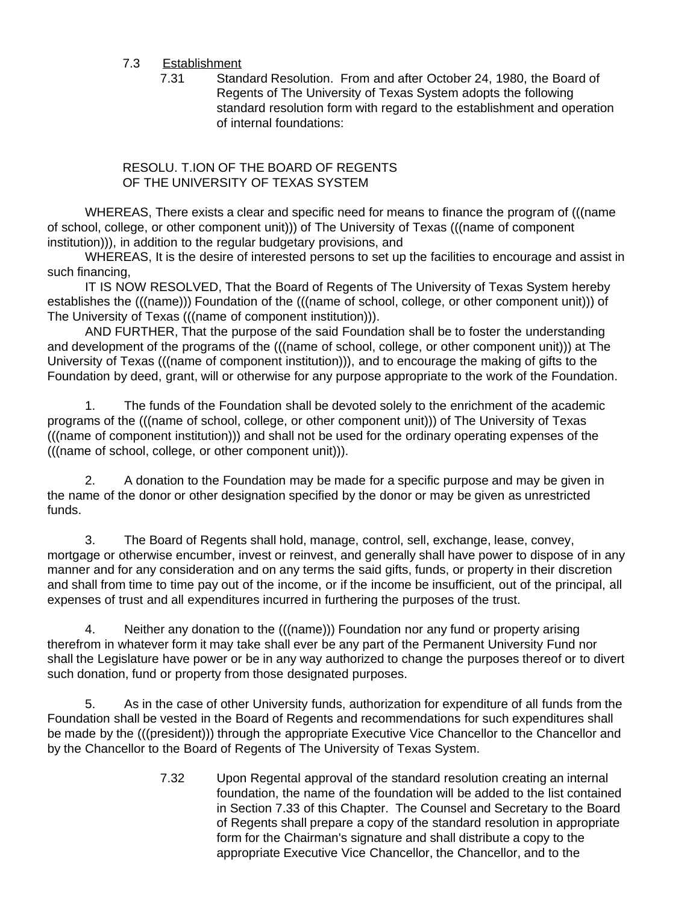# 7.3 Establishment

7.31 Standard Resolution. From and after October 24, 1980, the Board of Regents of The University of Texas System adopts the following standard resolution form with regard to the establishment and operation of internal foundations:

#### RESOLU. T.ION OF THE BOARD OF REGENTS OF THE UNIVERSITY OF TEXAS SYSTEM

 WHEREAS, There exists a clear and specific need for means to finance the program of (((name of school, college, or other component unit))) of The University of Texas (((name of component institution))), in addition to the regular budgetary provisions, and

WHEREAS, It is the desire of interested persons to set up the facilities to encourage and assist in such financing,

 IT IS NOW RESOLVED, That the Board of Regents of The University of Texas System hereby establishes the (((name))) Foundation of the (((name of school, college, or other component unit))) of The University of Texas (((name of component institution))).

 AND FURTHER, That the purpose of the said Foundation shall be to foster the understanding and development of the programs of the (((name of school, college, or other component unit))) at The University of Texas (((name of component institution))), and to encourage the making of gifts to the Foundation by deed, grant, will or otherwise for any purpose appropriate to the work of the Foundation.

 1. The funds of the Foundation shall be devoted solely to the enrichment of the academic programs of the (((name of school, college, or other component unit))) of The University of Texas (((name of component institution))) and shall not be used for the ordinary operating expenses of the (((name of school, college, or other component unit))).

 2. A donation to the Foundation may be made for a specific purpose and may be given in the name of the donor or other designation specified by the donor or may be given as unrestricted funds.

 3. The Board of Regents shall hold, manage, control, sell, exchange, lease, convey, mortgage or otherwise encumber, invest or reinvest, and generally shall have power to dispose of in any manner and for any consideration and on any terms the said gifts, funds, or property in their discretion and shall from time to time pay out of the income, or if the income be insufficient, out of the principal, all expenses of trust and all expenditures incurred in furthering the purposes of the trust.

 4. Neither any donation to the (((name))) Foundation nor any fund or property arising therefrom in whatever form it may take shall ever be any part of the Permanent University Fund nor shall the Legislature have power or be in any way authorized to change the purposes thereof or to divert such donation, fund or property from those designated purposes.

 5. As in the case of other University funds, authorization for expenditure of all funds from the Foundation shall be vested in the Board of Regents and recommendations for such expenditures shall be made by the (((president))) through the appropriate Executive Vice Chancellor to the Chancellor and by the Chancellor to the Board of Regents of The University of Texas System.

> 7.32 Upon Regental approval of the standard resolution creating an internal foundation, the name of the foundation will be added to the list contained in Section 7.33 of this Chapter. The Counsel and Secretary to the Board of Regents shall prepare a copy of the standard resolution in appropriate form for the Chairman's signature and shall distribute a copy to the appropriate Executive Vice Chancellor, the Chancellor, and to the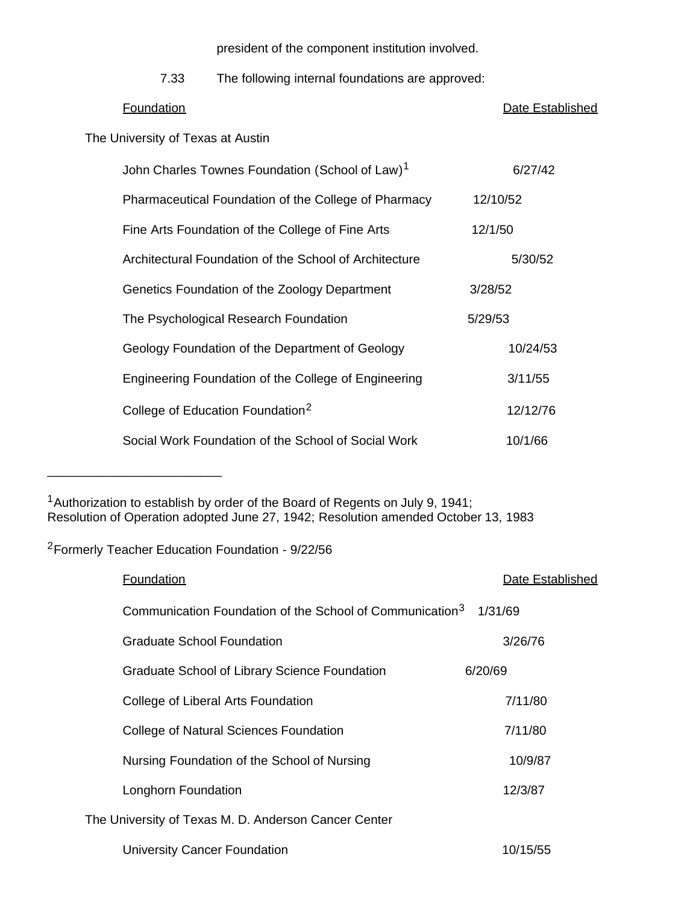president of the component institution involved.

7.33 The following internal foundations are approved:

Foundation **Extending Contract Contract Contract Contract Contract Contract Contract Contract Contract Contract Contract Contract Contract Contract Contract Contract Contract Contract Contract Contract Contract Contract Co** 

The University of Texas at Austin

| John Charles Townes Foundation (School of Law) <sup>1</sup> | 6/27/42  |
|-------------------------------------------------------------|----------|
| Pharmaceutical Foundation of the College of Pharmacy        | 12/10/52 |
| Fine Arts Foundation of the College of Fine Arts            | 12/1/50  |
| Architectural Foundation of the School of Architecture      | 5/30/52  |
| Genetics Foundation of the Zoology Department               | 3/28/52  |
| The Psychological Research Foundation                       | 5/29/53  |
| Geology Foundation of the Department of Geology             | 10/24/53 |
| Engineering Foundation of the College of Engineering        | 3/11/55  |
| College of Education Foundation <sup>2</sup>                | 12/12/76 |
| Social Work Foundation of the School of Social Work         | 10/1/66  |

<sup>1</sup> Authorization to establish by order of the Board of Regents on July 9, 1941; Resolution of Operation adopted June 27, 1942; Resolution amended October 13, 1983

2Formerly Teacher Education Foundation - 9/22/56

| <b>Foundation</b>                                                    | Date Established |
|----------------------------------------------------------------------|------------------|
| Communication Foundation of the School of Communication <sup>3</sup> | 1/31/69          |
| <b>Graduate School Foundation</b>                                    | 3/26/76          |
| Graduate School of Library Science Foundation                        | 6/20/69          |
| College of Liberal Arts Foundation                                   | 7/11/80          |
| College of Natural Sciences Foundation                               | 7/11/80          |
| Nursing Foundation of the School of Nursing                          | 10/9/87          |
| Longhorn Foundation                                                  | 12/3/87          |
| The University of Texas M. D. Anderson Cancer Center                 |                  |
| <b>University Cancer Foundation</b>                                  | 10/15/55         |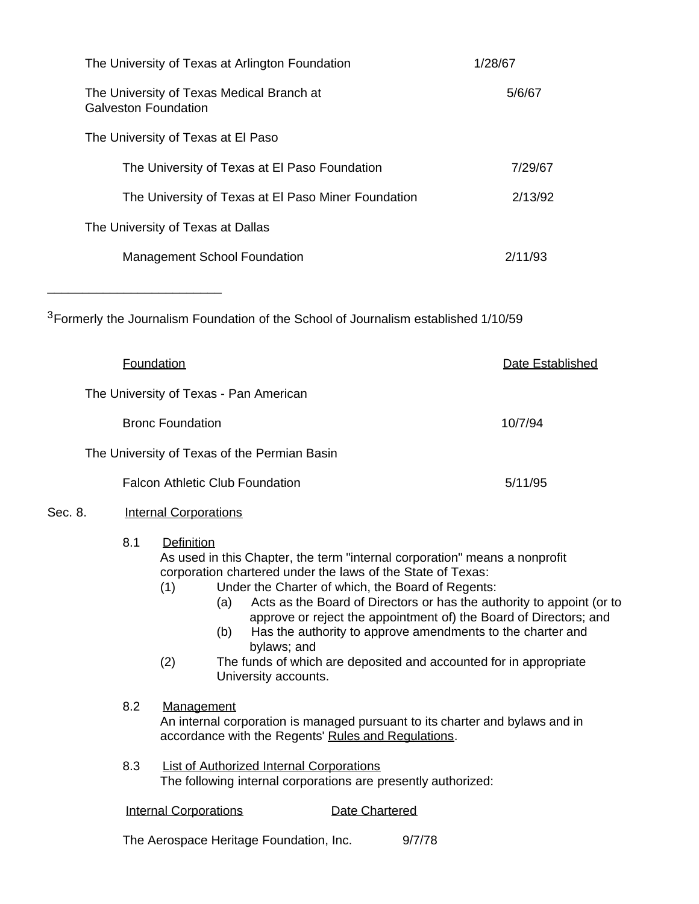| The University of Texas at Arlington Foundation                   | 1/28/67 |
|-------------------------------------------------------------------|---------|
| The University of Texas Medical Branch at<br>Galveston Foundation | 5/6/67  |
| The University of Texas at El Paso                                |         |
| The University of Texas at El Paso Foundation                     | 7/29/67 |
| The University of Texas at El Paso Miner Foundation               | 2/13/92 |
| The University of Texas at Dallas                                 |         |
| <b>Management School Foundation</b>                               | 2/11/93 |
|                                                                   |         |

3Formerly the Journalism Foundation of the School of Journalism established 1/10/59

\_\_\_\_\_\_\_\_\_\_\_\_\_\_\_\_\_\_\_\_\_\_\_\_\_

|                                        | Foundation              |                                                                                                                                                                                                                                                                                                                                                                                                                                                                                                                                                                  |  |                                              |                | Date Established |         |
|----------------------------------------|-------------------------|------------------------------------------------------------------------------------------------------------------------------------------------------------------------------------------------------------------------------------------------------------------------------------------------------------------------------------------------------------------------------------------------------------------------------------------------------------------------------------------------------------------------------------------------------------------|--|----------------------------------------------|----------------|------------------|---------|
| The University of Texas - Pan American |                         |                                                                                                                                                                                                                                                                                                                                                                                                                                                                                                                                                                  |  |                                              |                |                  |         |
|                                        | <b>Bronc Foundation</b> |                                                                                                                                                                                                                                                                                                                                                                                                                                                                                                                                                                  |  |                                              |                |                  | 10/7/94 |
|                                        |                         |                                                                                                                                                                                                                                                                                                                                                                                                                                                                                                                                                                  |  | The University of Texas of the Permian Basin |                |                  |         |
|                                        |                         |                                                                                                                                                                                                                                                                                                                                                                                                                                                                                                                                                                  |  | <b>Falcon Athletic Club Foundation</b>       |                |                  | 5/11/95 |
| Sec. 8.                                |                         | <b>Internal Corporations</b>                                                                                                                                                                                                                                                                                                                                                                                                                                                                                                                                     |  |                                              |                |                  |         |
|                                        | 8.1                     | Definition<br>As used in this Chapter, the term "internal corporation" means a nonprofit<br>corporation chartered under the laws of the State of Texas:<br>Under the Charter of which, the Board of Regents:<br>(1)<br>Acts as the Board of Directors or has the authority to appoint (or to<br>(a)<br>approve or reject the appointment of) the Board of Directors; and<br>Has the authority to approve amendments to the charter and<br>(b)<br>bylaws; and<br>(2)<br>The funds of which are deposited and accounted for in appropriate<br>University accounts. |  |                                              |                |                  |         |
|                                        | 8.2                     | Management<br>An internal corporation is managed pursuant to its charter and bylaws and in<br>accordance with the Regents' Rules and Regulations.                                                                                                                                                                                                                                                                                                                                                                                                                |  |                                              |                |                  |         |
|                                        | 8.3                     | <b>List of Authorized Internal Corporations</b><br>The following internal corporations are presently authorized:                                                                                                                                                                                                                                                                                                                                                                                                                                                 |  |                                              |                |                  |         |
|                                        |                         | <b>Internal Corporations</b>                                                                                                                                                                                                                                                                                                                                                                                                                                                                                                                                     |  |                                              | Date Chartered |                  |         |
|                                        |                         |                                                                                                                                                                                                                                                                                                                                                                                                                                                                                                                                                                  |  |                                              |                |                  |         |

The Aerospace Heritage Foundation, Inc. 9/7/78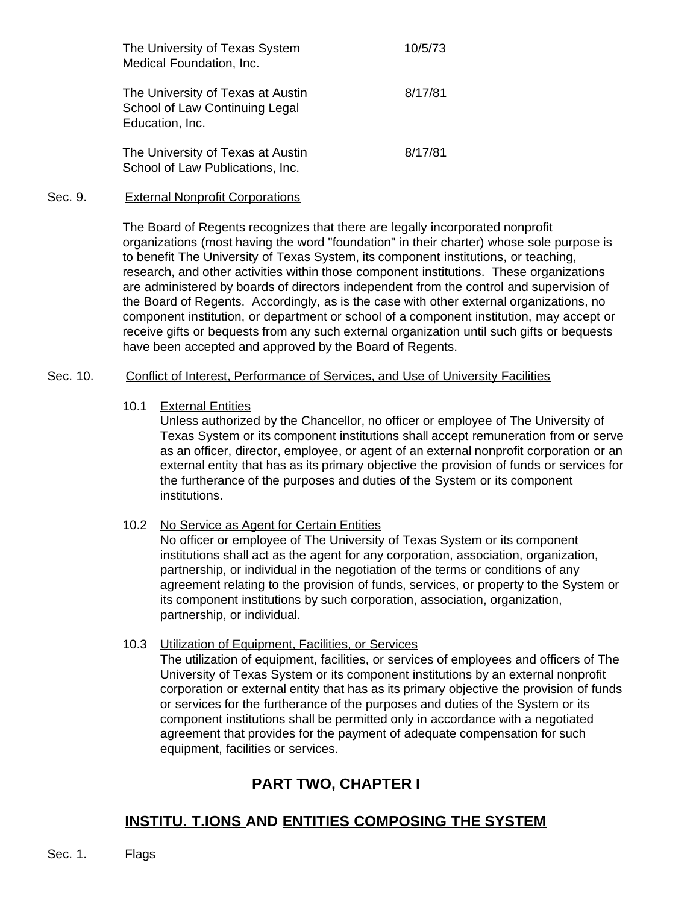| The University of Texas System<br>Medical Foundation, Inc.                             | 10/5/73 |
|----------------------------------------------------------------------------------------|---------|
| The University of Texas at Austin<br>School of Law Continuing Legal<br>Education, Inc. | 8/17/81 |
| The University of Texas at Austin<br>School of Law Publications, Inc.                  | 8/17/81 |

#### Sec. 9. External Nonprofit Corporations

The Board of Regents recognizes that there are legally incorporated nonprofit organizations (most having the word "foundation" in their charter) whose sole purpose is to benefit The University of Texas System, its component institutions, or teaching, research, and other activities within those component institutions. These organizations are administered by boards of directors independent from the control and supervision of the Board of Regents. Accordingly, as is the case with other external organizations, no component institution, or department or school of a component institution, may accept or receive gifts or bequests from any such external organization until such gifts or bequests have been accepted and approved by the Board of Regents.

#### Sec. 10. Conflict of Interest, Performance of Services, and Use of University Facilities

10.1 External Entities

Unless authorized by the Chancellor, no officer or employee of The University of Texas System or its component institutions shall accept remuneration from or serve as an officer, director, employee, or agent of an external nonprofit corporation or an external entity that has as its primary objective the provision of funds or services for the furtherance of the purposes and duties of the System or its component institutions.

#### 10.2 No Service as Agent for Certain Entities

No officer or employee of The University of Texas System or its component institutions shall act as the agent for any corporation, association, organization, partnership, or individual in the negotiation of the terms or conditions of any agreement relating to the provision of funds, services, or property to the System or its component institutions by such corporation, association, organization, partnership, or individual.

#### 10.3 Utilization of Equipment, Facilities, or Services

The utilization of equipment, facilities, or services of employees and officers of The University of Texas System or its component institutions by an external nonprofit corporation or external entity that has as its primary objective the provision of funds or services for the furtherance of the purposes and duties of the System or its component institutions shall be permitted only in accordance with a negotiated agreement that provides for the payment of adequate compensation for such equipment, facilities or services.

# **PART TWO, CHAPTER I**

# **INSTITU. T.IONS AND ENTITIES COMPOSING THE SYSTEM**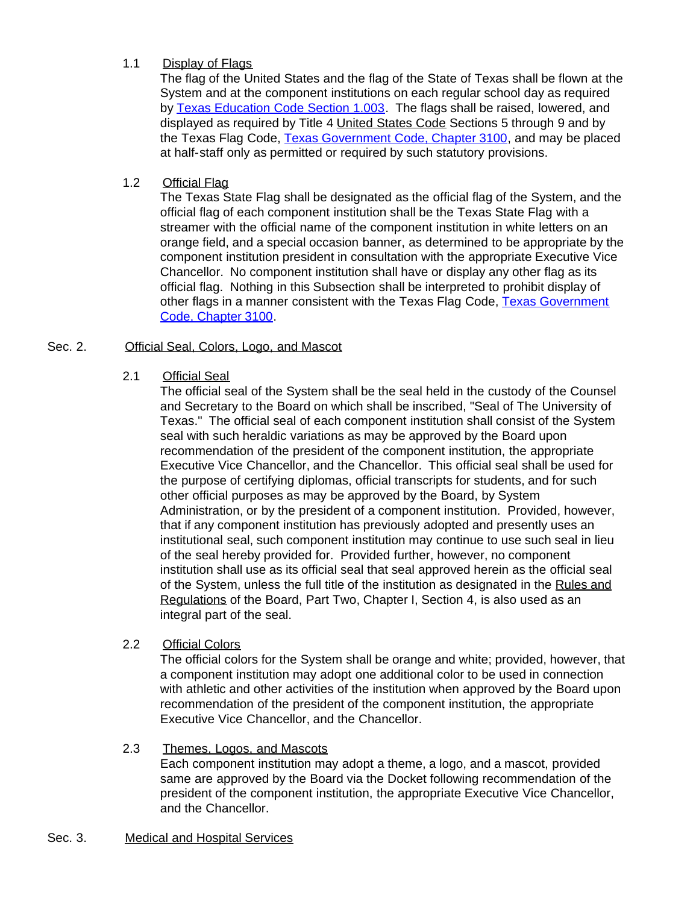# 1.1 Display of Flags

The flag of the United States and the flag of the State of Texas shall be flown at the System and at the component institutions on each regular school day as required by [Texas Education Code Section](http://www.capitol.state.tx.us/statutes/ed/ed0000100.html#ed003.1.003) 1.003. The flags shall be raised, lowered, and displayed as required by Title 4 United States Code Sections 5 through 9 and by the Texas Flag Code, [Texas Government Code, Chapter 3100,](http://www.capitol.state.tx.us/statutes/go/go0310000toc.html) and may be placed at half-staff only as permitted or required by such statutory provisions.

# 1.2 Official Flag

The Texas State Flag shall be designated as the official flag of the System, and the official flag of each component institution shall be the Texas State Flag with a streamer with the official name of the component institution in white letters on an orange field, and a special occasion banner, as determined to be appropriate by the component institution president in consultation with the appropriate Executive Vice Chancellor. No component institution shall have or display any other flag as its official flag. Nothing in this Subsection shall be interpreted to prohibit display of other flags in a manner consistent with the Texas Flag Code, [Texas Government](http://www.capitol.state.tx.us/statutes/go/go0310000toc.html) [Code, Chapter 3100](http://www.capitol.state.tx.us/statutes/go/go0310000toc.html).

# Sec. 2. **Official Seal, Colors, Logo, and Mascot**

# 2.1 Official Seal

The official seal of the System shall be the seal held in the custody of the Counsel and Secretary to the Board on which shall be inscribed, "Seal of The University of Texas." The official seal of each component institution shall consist of the System seal with such heraldic variations as may be approved by the Board upon recommendation of the president of the component institution, the appropriate Executive Vice Chancellor, and the Chancellor. This official seal shall be used for the purpose of certifying diplomas, official transcripts for students, and for such other official purposes as may be approved by the Board, by System Administration, or by the president of a component institution. Provided, however, that if any component institution has previously adopted and presently uses an institutional seal, such component institution may continue to use such seal in lieu of the seal hereby provided for. Provided further, however, no component institution shall use as its official seal that seal approved herein as the official seal of the System, unless the full title of the institution as designated in the Rules and Regulations of the Board, Part Two, Chapter I, Section 4, is also used as an integral part of the seal.

#### 2.2 Official Colors

The official colors for the System shall be orange and white; provided, however, that a component institution may adopt one additional color to be used in connection with athletic and other activities of the institution when approved by the Board upon recommendation of the president of the component institution, the appropriate Executive Vice Chancellor, and the Chancellor.

#### 2.3 Themes, Logos, and Mascots

Each component institution may adopt a theme, a logo, and a mascot, provided same are approved by the Board via the Docket following recommendation of the president of the component institution, the appropriate Executive Vice Chancellor, and the Chancellor.

# Sec. 3. Medical and Hospital Services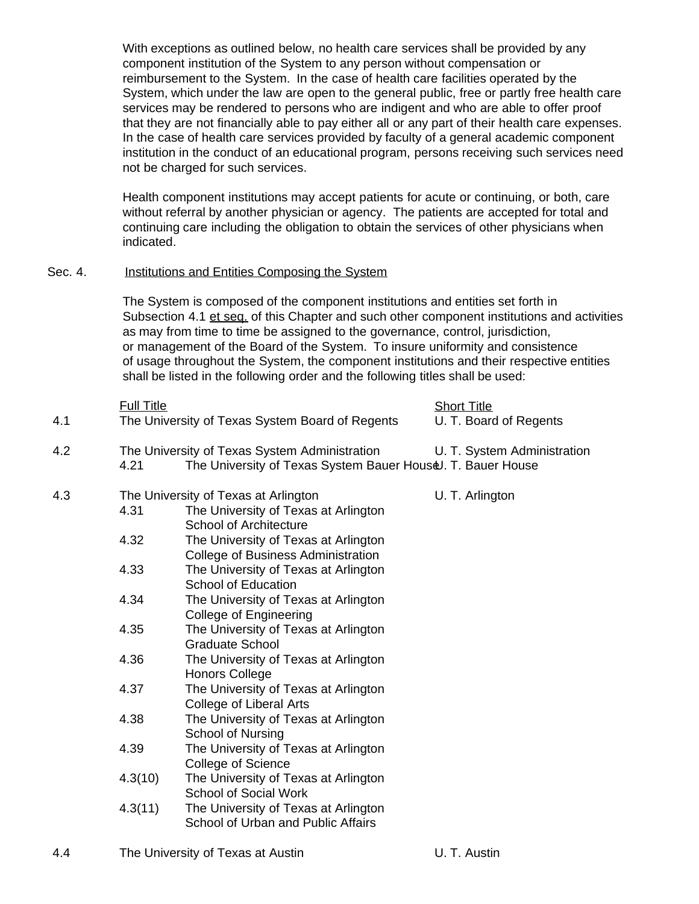With exceptions as outlined below, no health care services shall be provided by any component institution of the System to any person without compensation or reimbursement to the System. In the case of health care facilities operated by the System, which under the law are open to the general public, free or partly free health care services may be rendered to persons who are indigent and who are able to offer proof that they are not financially able to pay either all or any part of their health care expenses. In the case of health care services provided by faculty of a general academic component institution in the conduct of an educational program, persons receiving such services need not be charged for such services.

Health component institutions may accept patients for acute or continuing, or both, care without referral by another physician or agency. The patients are accepted for total and continuing care including the obligation to obtain the services of other physicians when indicated.

#### Sec. 4. Institutions and Entities Composing the System

The System is composed of the component institutions and entities set forth in Subsection 4.1 et seq. of this Chapter and such other component institutions and activities as may from time to time be assigned to the governance, control, jurisdiction, or management of the Board of the System. To insure uniformity and consistence of usage throughout the System, the component institutions and their respective entities shall be listed in the following order and the following titles shall be used:

|     | <b>Full Title</b>                                       |                                                                                                              | <b>Short Title</b>          |  |  |  |  |  |
|-----|---------------------------------------------------------|--------------------------------------------------------------------------------------------------------------|-----------------------------|--|--|--|--|--|
| 4.1 |                                                         | The University of Texas System Board of Regents                                                              | U. T. Board of Regents      |  |  |  |  |  |
| 4.2 | 4.21                                                    | The University of Texas System Administration<br>The University of Texas System Bauer HouseJ. T. Bauer House | U. T. System Administration |  |  |  |  |  |
| 4.3 | The University of Texas at Arlington<br>U. T. Arlington |                                                                                                              |                             |  |  |  |  |  |
|     | 4.31                                                    | The University of Texas at Arlington<br><b>School of Architecture</b>                                        |                             |  |  |  |  |  |
|     | 4.32                                                    | The University of Texas at Arlington<br><b>College of Business Administration</b>                            |                             |  |  |  |  |  |
|     | 4.33                                                    | The University of Texas at Arlington<br><b>School of Education</b>                                           |                             |  |  |  |  |  |
|     | 4.34                                                    | The University of Texas at Arlington<br><b>College of Engineering</b>                                        |                             |  |  |  |  |  |
|     | 4.35                                                    | The University of Texas at Arlington<br><b>Graduate School</b>                                               |                             |  |  |  |  |  |
|     | 4.36                                                    | The University of Texas at Arlington<br><b>Honors College</b>                                                |                             |  |  |  |  |  |
|     | 4.37                                                    | The University of Texas at Arlington<br><b>College of Liberal Arts</b>                                       |                             |  |  |  |  |  |
|     | 4.38                                                    | The University of Texas at Arlington<br>School of Nursing                                                    |                             |  |  |  |  |  |
|     | 4.39                                                    | The University of Texas at Arlington<br><b>College of Science</b>                                            |                             |  |  |  |  |  |
|     | 4.3(10)                                                 | The University of Texas at Arlington<br><b>School of Social Work</b>                                         |                             |  |  |  |  |  |
|     | 4.3(11)                                                 | The University of Texas at Arlington<br>School of Urban and Public Affairs                                   |                             |  |  |  |  |  |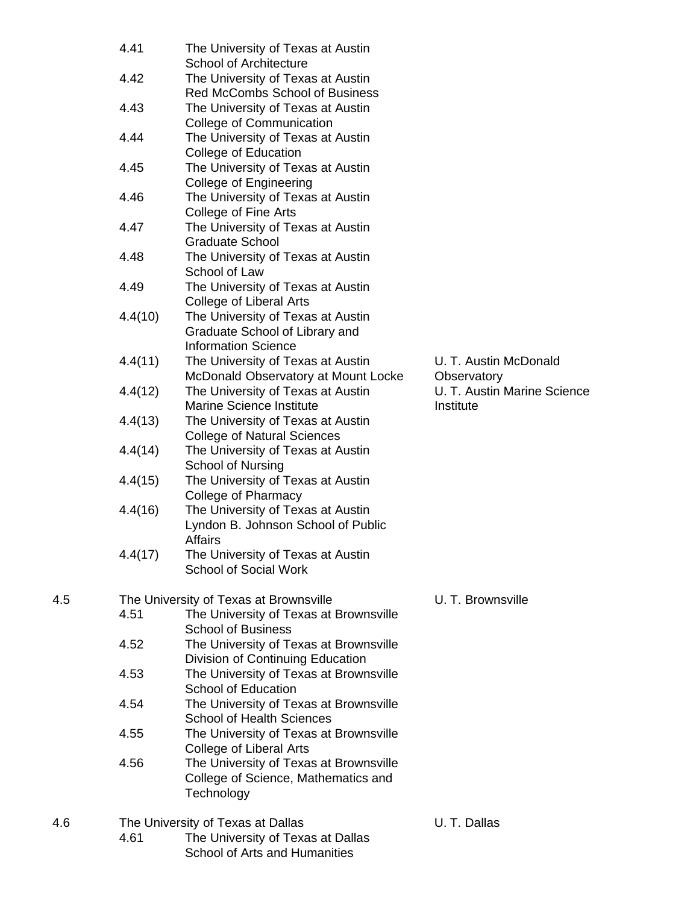|     | 4.41    | The University of Texas at Austin<br><b>School of Architecture</b>                                |                                 |
|-----|---------|---------------------------------------------------------------------------------------------------|---------------------------------|
|     | 4.42    | The University of Texas at Austin<br>Red McCombs School of Business                               |                                 |
|     | 4.43    | The University of Texas at Austin<br>College of Communication                                     |                                 |
|     | 4.44    | The University of Texas at Austin<br><b>College of Education</b>                                  |                                 |
|     | 4.45    | The University of Texas at Austin<br><b>College of Engineering</b>                                |                                 |
|     | 4.46    | The University of Texas at Austin<br>College of Fine Arts                                         |                                 |
|     | 4.47    | The University of Texas at Austin<br><b>Graduate School</b>                                       |                                 |
|     | 4.48    | The University of Texas at Austin<br>School of Law                                                |                                 |
|     | 4.49    | The University of Texas at Austin<br><b>College of Liberal Arts</b>                               |                                 |
|     | 4.4(10) | The University of Texas at Austin<br>Graduate School of Library and<br><b>Information Science</b> |                                 |
|     | 4.4(11) | The University of Texas at Austin<br>McDonald Observatory at Mount Locke                          | U. T. Austin McD<br>Observatory |
|     | 4.4(12) | The University of Texas at Austin<br><b>Marine Science Institute</b>                              | U. T. Austin Marir<br>Institute |
|     | 4.4(13) | The University of Texas at Austin<br><b>College of Natural Sciences</b>                           |                                 |
|     | 4.4(14) | The University of Texas at Austin<br>School of Nursing                                            |                                 |
|     | 4.4(15) | The University of Texas at Austin<br><b>College of Pharmacy</b>                                   |                                 |
|     | 4.4(16) | The University of Texas at Austin<br>Lyndon B. Johnson School of Public<br><b>Affairs</b>         |                                 |
|     | 4.4(17) | The University of Texas at Austin<br><b>School of Social Work</b>                                 |                                 |
| 4.5 |         | The University of Texas at Brownsville                                                            | U. T. Brownsville               |
|     | 4.51    | The University of Texas at Brownsville<br><b>School of Business</b>                               |                                 |
|     | 4.52    | The University of Texas at Brownsville<br>Division of Continuing Education                        |                                 |
|     | 4.53    | The University of Texas at Brownsville<br>School of Education                                     |                                 |
|     | 4.54    | The University of Texas at Brownsville<br><b>School of Health Sciences</b>                        |                                 |
|     | 4.55    | The University of Texas at Brownsville<br>College of Liberal Arts                                 |                                 |
|     | 4.56    | The University of Texas at Brownsville<br>College of Science, Mathematics and<br>Technology       |                                 |
| 4.6 |         | The University of Texas at Dallas                                                                 | U. T. Dallas                    |
|     | 4.61    | The University of Texas at Dallas                                                                 |                                 |

School of Arts and Humanities

U. T. Austin McDonald **Observatory** U. T. Austin Marine Science Institute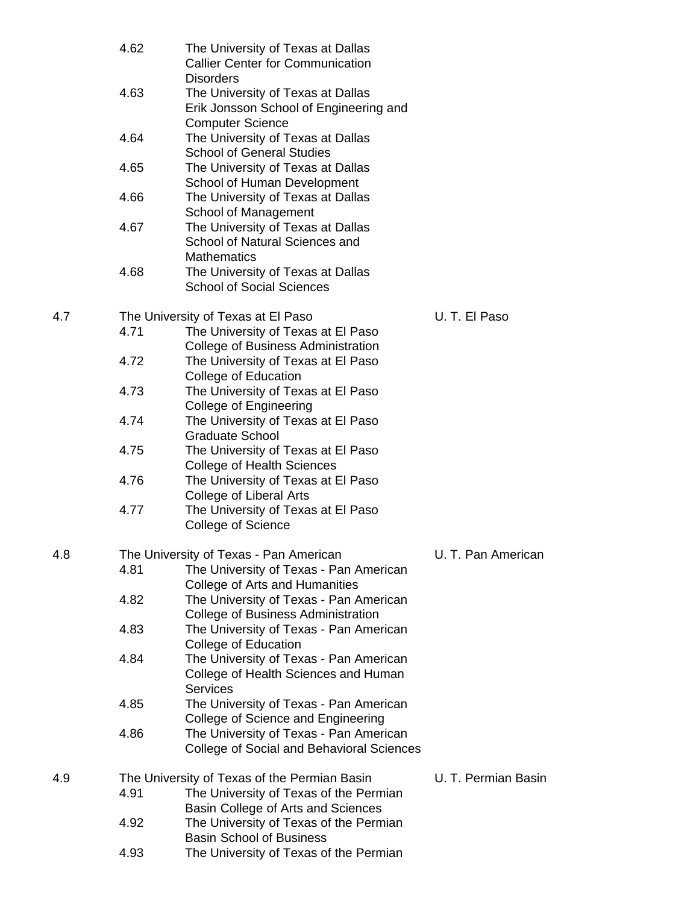|     | 4.62         | The University of Texas at Dallas<br><b>Callier Center for Communication</b>                                   |                     |
|-----|--------------|----------------------------------------------------------------------------------------------------------------|---------------------|
|     | 4.63         | <b>Disorders</b><br>The University of Texas at Dallas<br>Erik Jonsson School of Engineering and                |                     |
|     | 4.64         | <b>Computer Science</b><br>The University of Texas at Dallas<br><b>School of General Studies</b>               |                     |
|     | 4.65         | The University of Texas at Dallas<br>School of Human Development                                               |                     |
|     | 4.66         | The University of Texas at Dallas<br>School of Management                                                      |                     |
|     | 4.67         | The University of Texas at Dallas<br>School of Natural Sciences and                                            |                     |
|     | 4.68         | <b>Mathematics</b><br>The University of Texas at Dallas<br><b>School of Social Sciences</b>                    |                     |
|     |              |                                                                                                                |                     |
| 4.7 |              | The University of Texas at El Paso                                                                             | U.T. El Paso        |
|     | 4.71<br>4.72 | The University of Texas at El Paso<br>College of Business Administration<br>The University of Texas at El Paso |                     |
|     |              | College of Education                                                                                           |                     |
|     | 4.73         | The University of Texas at El Paso<br><b>College of Engineering</b>                                            |                     |
|     | 4.74         | The University of Texas at El Paso<br><b>Graduate School</b>                                                   |                     |
|     | 4.75         | The University of Texas at El Paso<br><b>College of Health Sciences</b>                                        |                     |
|     | 4.76         | The University of Texas at El Paso<br><b>College of Liberal Arts</b>                                           |                     |
|     | 4.77         | The University of Texas at El Paso<br><b>College of Science</b>                                                |                     |
| 4.8 |              | The University of Texas - Pan American                                                                         | U. T. Pan American  |
|     | 4.81         | The University of Texas - Pan American<br>College of Arts and Humanities                                       |                     |
|     | 4.82         | The University of Texas - Pan American<br>College of Business Administration                                   |                     |
|     | 4.83         | The University of Texas - Pan American<br>College of Education                                                 |                     |
|     | 4.84         | The University of Texas - Pan American<br>College of Health Sciences and Human<br><b>Services</b>              |                     |
|     | 4.85         | The University of Texas - Pan American<br>College of Science and Engineering                                   |                     |
|     | 4.86         | The University of Texas - Pan American<br>College of Social and Behavioral Sciences                            |                     |
| 4.9 |              | The University of Texas of the Permian Basin                                                                   | U. T. Permian Basin |
|     | 4.91         | The University of Texas of the Permian                                                                         |                     |
|     |              | Basin College of Arts and Sciences                                                                             |                     |
|     | 4.92         | The University of Texas of the Permian                                                                         |                     |
|     |              | <b>Basin School of Business</b>                                                                                |                     |
|     | 4.93         | The University of Texas of the Permian                                                                         |                     |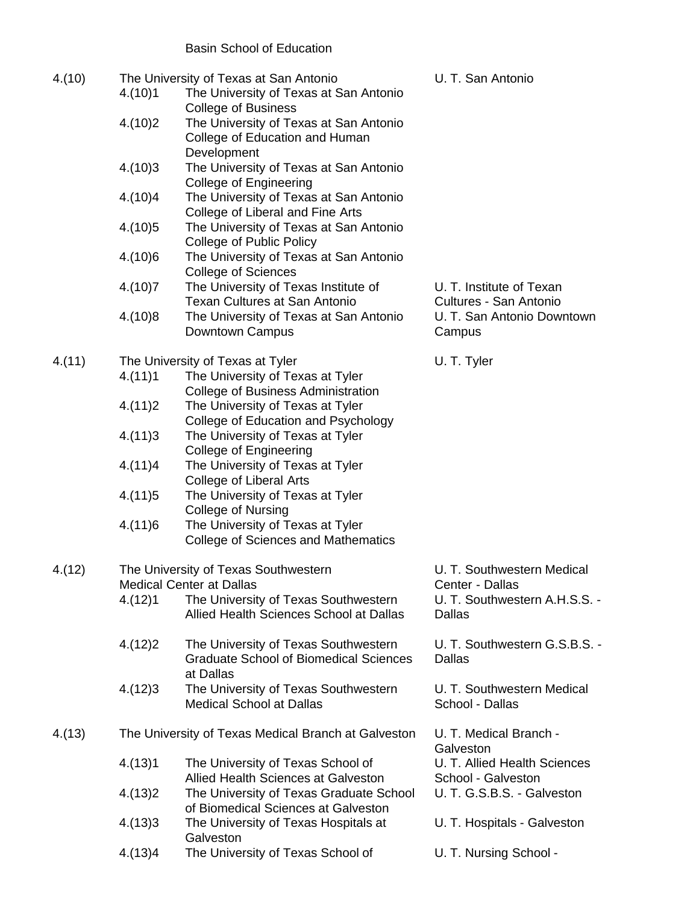# Basin School of Education

| 4.(10) | 4.(10)1 | The University of Texas at San Antonio<br>The University of Texas at San Antonio                                      | U. T. San Antonio                                  |
|--------|---------|-----------------------------------------------------------------------------------------------------------------------|----------------------------------------------------|
|        | 4.(10)2 | <b>College of Business</b><br>The University of Texas at San Antonio<br>College of Education and Human<br>Development |                                                    |
|        | 4.(10)3 | The University of Texas at San Antonio                                                                                |                                                    |
|        | 4.(10)4 | <b>College of Engineering</b><br>The University of Texas at San Antonio<br>College of Liberal and Fine Arts           |                                                    |
|        | 4.(10)5 | The University of Texas at San Antonio<br><b>College of Public Policy</b>                                             |                                                    |
|        | 4.(10)6 | The University of Texas at San Antonio<br><b>College of Sciences</b>                                                  |                                                    |
|        | 4.(10)7 | The University of Texas Institute of<br><b>Texan Cultures at San Antonio</b>                                          | U. T. Institute of Texan<br>Cultures - San Antonio |
|        | 4.(10)8 | The University of Texas at San Antonio<br>Downtown Campus                                                             | U. T. San Antonio Downtown<br>Campus               |
| 4.(11) |         | The University of Texas at Tyler                                                                                      | U.T. Tyler                                         |
|        | 4.(11)1 | The University of Texas at Tyler                                                                                      |                                                    |
|        |         | <b>College of Business Administration</b>                                                                             |                                                    |
|        | 4.(11)2 | The University of Texas at Tyler<br>College of Education and Psychology                                               |                                                    |
|        | 4.(11)3 | The University of Texas at Tyler<br><b>College of Engineering</b>                                                     |                                                    |
|        | 4.(11)4 | The University of Texas at Tyler<br><b>College of Liberal Arts</b>                                                    |                                                    |
|        | 4.(11)5 | The University of Texas at Tyler<br><b>College of Nursing</b>                                                         |                                                    |
|        | 4.(11)6 | The University of Texas at Tyler<br><b>College of Sciences and Mathematics</b>                                        |                                                    |
| 4.(12) |         | The University of Texas Southwestern<br><b>Medical Center at Dallas</b>                                               | U. T. Southwestern Medical<br>Center - Dallas      |
|        | 4.(12)1 | The University of Texas Southwestern<br>Allied Health Sciences School at Dallas                                       | U. T. Southwestern A.H.S.S. -<br>Dallas            |
|        | 4.(12)2 | The University of Texas Southwestern<br><b>Graduate School of Biomedical Sciences</b><br>at Dallas                    | U. T. Southwestern G.S.B.S. -<br><b>Dallas</b>     |
|        | 4.(12)3 | The University of Texas Southwestern<br><b>Medical School at Dallas</b>                                               | U. T. Southwestern Medical<br>School - Dallas      |
| 4.(13) |         | The University of Texas Medical Branch at Galveston                                                                   | U. T. Medical Branch -<br>Galveston                |
|        | 4.(13)1 | The University of Texas School of<br>Allied Health Sciences at Galveston                                              | U. T. Allied Health Sciences<br>School - Galveston |
|        | 4.(13)2 | The University of Texas Graduate School<br>of Biomedical Sciences at Galveston                                        | U. T. G.S.B.S. - Galveston                         |
|        | 4.(13)3 | The University of Texas Hospitals at<br>Galveston                                                                     | U. T. Hospitals - Galveston                        |
|        | 4.(13)4 | The University of Texas School of                                                                                     | U. T. Nursing School -                             |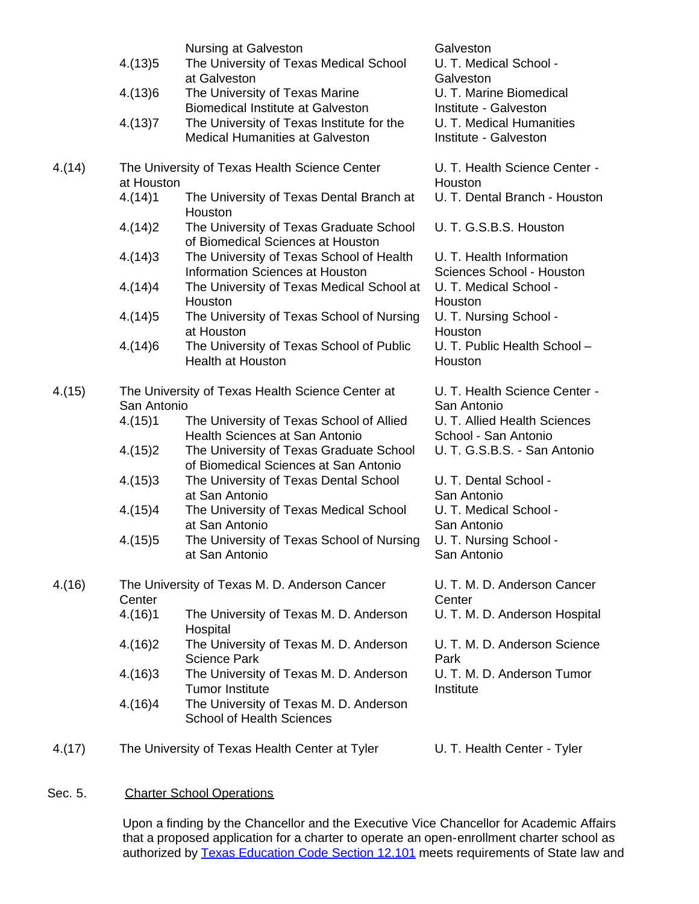|        |             | Nursing at Galveston                                                                | Galveston                                             |
|--------|-------------|-------------------------------------------------------------------------------------|-------------------------------------------------------|
|        | 4.(13)5     | The University of Texas Medical School<br>at Galveston                              | U. T. Medical School -<br>Galveston                   |
|        | 4.(13)6     | The University of Texas Marine<br><b>Biomedical Institute at Galveston</b>          | U. T. Marine Biomedical<br>Institute - Galveston      |
|        | 4.(13)7     | The University of Texas Institute for the<br><b>Medical Humanities at Galveston</b> | U. T. Medical Humanities<br>Institute - Galveston     |
| 4.(14) | at Houston  | The University of Texas Health Science Center                                       | U. T. Health Science Center -<br>Houston              |
|        | 4.(14)1     | The University of Texas Dental Branch at<br>Houston                                 | U. T. Dental Branch - Houston                         |
|        | 4.(14)2     | The University of Texas Graduate School<br>of Biomedical Sciences at Houston        | U. T. G.S.B.S. Houston                                |
|        | 4.(14)3     | The University of Texas School of Health<br>Information Sciences at Houston         | U. T. Health Information<br>Sciences School - Houston |
|        | 4.(14)4     | The University of Texas Medical School at<br>Houston                                | U. T. Medical School -<br>Houston                     |
|        | 4.(14)5     | The University of Texas School of Nursing<br>at Houston                             | U. T. Nursing School -<br>Houston                     |
|        | 4.(14)6     | The University of Texas School of Public<br><b>Health at Houston</b>                | U. T. Public Health School -<br>Houston               |
| 4.(15) |             | The University of Texas Health Science Center at                                    | U. T. Health Science Center -                         |
|        | San Antonio |                                                                                     | San Antonio                                           |
|        | 4.(15)1     | The University of Texas School of Allied                                            | U. T. Allied Health Sciences                          |
|        |             | Health Sciences at San Antonio                                                      | School - San Antonio                                  |
|        | 4.(15)2     | The University of Texas Graduate School<br>of Biomedical Sciences at San Antonio    | U. T. G.S.B.S. - San Antonio                          |
|        | 4.(15)3     | The University of Texas Dental School                                               | U. T. Dental School -                                 |
|        |             | at San Antonio                                                                      | San Antonio                                           |
|        | 4.(15)4     | The University of Texas Medical School                                              | U. T. Medical School -                                |
|        |             | at San Antonio                                                                      | San Antonio                                           |
|        | 4.(15)5     | The University of Texas School of Nursing                                           | U. T. Nursing School -                                |
|        |             | at San Antonio                                                                      | San Antonio                                           |
| 4.(16) |             | The University of Texas M. D. Anderson Cancer                                       | U. T. M. D. Anderson Cancer                           |
|        | Center      |                                                                                     | Center                                                |
|        | 4.(16)1     | The University of Texas M. D. Anderson<br>Hospital                                  | U. T. M. D. Anderson Hospital                         |
|        | 4.(16)2     | The University of Texas M. D. Anderson<br><b>Science Park</b>                       | U. T. M. D. Anderson Science<br>Park                  |
|        | 4.(16)3     | The University of Texas M. D. Anderson<br><b>Tumor Institute</b>                    | U. T. M. D. Anderson Tumor<br>Institute               |
|        | 4.(16)4     | The University of Texas M. D. Anderson<br><b>School of Health Sciences</b>          |                                                       |
| 4.(17) |             | The University of Texas Health Center at Tyler                                      | U. T. Health Center - Tyler                           |

# Sec. 5. Charter School Operations

Upon a finding by the Chancellor and the Executive Vice Chancellor for Academic Affairs that a proposed application for a charter to operate an open-enrollment charter school as authorized by <u>Texas Education Code Section 12.101</u> meets requirements of State law and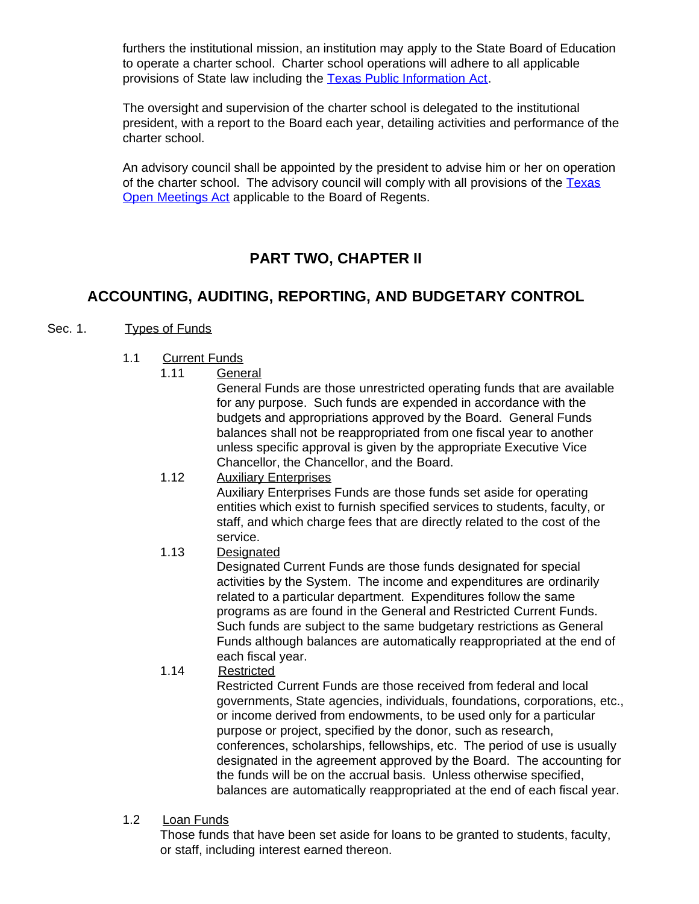furthers the institutional mission, an institution may apply to the State Board of Education to operate a charter school. Charter school operations will adhere to all applicable provisions of State law including the [Texas Public Information Act.](http://www.oag.state.tx.us/AG_Publications/publicinformation99.htm)

The oversight and supervision of the charter school is delegated to the institutional president, with a report to the Board each year, detailing activities and performance of the charter school.

An advisory council shall be appointed by the president to advise him or her on operation of the charter school. The advisory council will comply with all provisions of the [Texas](http://www.capitol.state.tx.us/statutes/go/go0055100toc.html) [Open Meetings Act](http://www.capitol.state.tx.us/statutes/go/go0055100toc.html) applicable to the Board of Regents.

# **PART TWO, CHAPTER II**

# **ACCOUNTING, AUDITING, REPORTING, AND BUDGETARY CONTROL**

# Sec. 1. Types of Funds

- 1.1 Current Funds
	- 1.11 General

General Funds are those unrestricted operating funds that are available for any purpose. Such funds are expended in accordance with the budgets and appropriations approved by the Board. General Funds balances shall not be reappropriated from one fiscal year to another unless specific approval is given by the appropriate Executive Vice Chancellor, the Chancellor, and the Board.

- 1.12 Auxiliary Enterprises Auxiliary Enterprises Funds are those funds set aside for operating entities which exist to furnish specified services to students, faculty, or staff, and which charge fees that are directly related to the cost of the service.
	- 1.13 Designated

Designated Current Funds are those funds designated for special activities by the System. The income and expenditures are ordinarily related to a particular department. Expenditures follow the same programs as are found in the General and Restricted Current Funds. Such funds are subject to the same budgetary restrictions as General Funds although balances are automatically reappropriated at the end of each fiscal year.

1.14 Restricted

Restricted Current Funds are those received from federal and local governments, State agencies, individuals, foundations, corporations, etc., or income derived from endowments, to be used only for a particular purpose or project, specified by the donor, such as research, conferences, scholarships, fellowships, etc. The period of use is usually designated in the agreement approved by the Board. The accounting for the funds will be on the accrual basis. Unless otherwise specified, balances are automatically reappropriated at the end of each fiscal year.

1.2 Loan Funds

Those funds that have been set aside for loans to be granted to students, faculty, or staff, including interest earned thereon.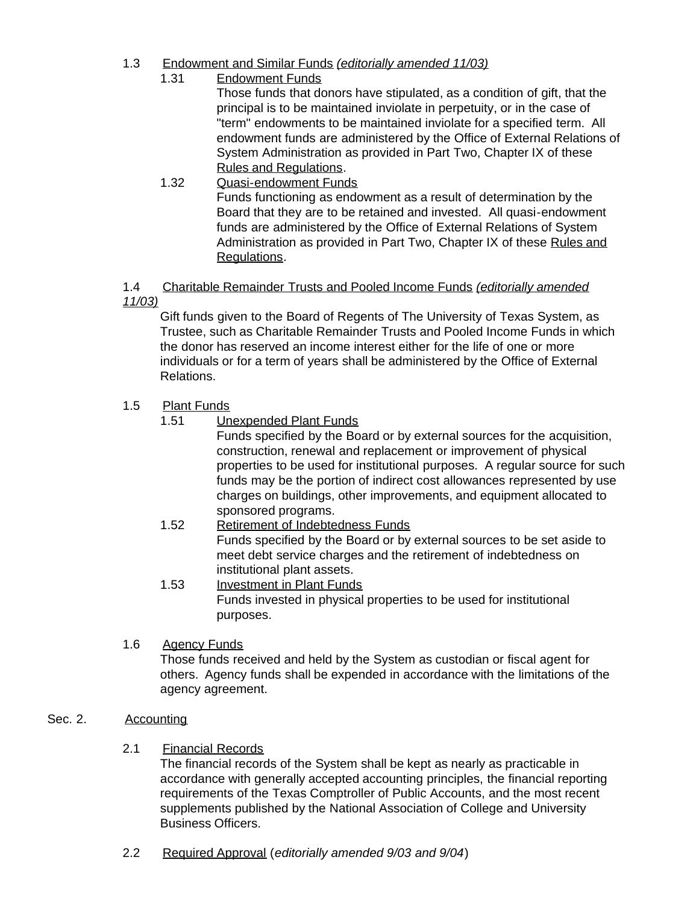- 1.3 Endowment and Similar Funds *(editorially amended 11/03)*
	- 1.31 Endowment Funds

Those funds that donors have stipulated, as a condition of gift, that the principal is to be maintained inviolate in perpetuity, or in the case of "term" endowments to be maintained inviolate for a specified term. All endowment funds are administered by the Office of External Relations of System Administration as provided in Part Two, Chapter IX of these Rules and Regulations.

1.32 Quasi-endowment Funds Funds functioning as endowment as a result of determination by the Board that they are to be retained and invested. All quasi-endowment funds are administered by the Office of External Relations of System Administration as provided in Part Two, Chapter IX of these Rules and Regulations.

# 1.4 Charitable Remainder Trusts and Pooled Income Funds *(editorially amended 11/03)*

Gift funds given to the Board of Regents of The University of Texas System, as Trustee, such as Charitable Remainder Trusts and Pooled Income Funds in which the donor has reserved an income interest either for the life of one or more individuals or for a term of years shall be administered by the Office of External Relations.

# 1.5 Plant Funds

1.51 Unexpended Plant Funds

Funds specified by the Board or by external sources for the acquisition, construction, renewal and replacement or improvement of physical properties to be used for institutional purposes. A regular source for such funds may be the portion of indirect cost allowances represented by use charges on buildings, other improvements, and equipment allocated to sponsored programs.

- 1.52 Retirement of Indebtedness Funds Funds specified by the Board or by external sources to be set aside to meet debt service charges and the retirement of indebtedness on institutional plant assets.
- 1.53 Investment in Plant Funds Funds invested in physical properties to be used for institutional purposes.
- 1.6 Agency Funds

Those funds received and held by the System as custodian or fiscal agent for others. Agency funds shall be expended in accordance with the limitations of the agency agreement.

# Sec. 2. Accounting

2.1 Financial Records

The financial records of the System shall be kept as nearly as practicable in accordance with generally accepted accounting principles, the financial reporting requirements of the Texas Comptroller of Public Accounts, and the most recent supplements published by the National Association of College and University Business Officers.

2.2 Required Approval (*editorially amended 9/03 and 9/04*)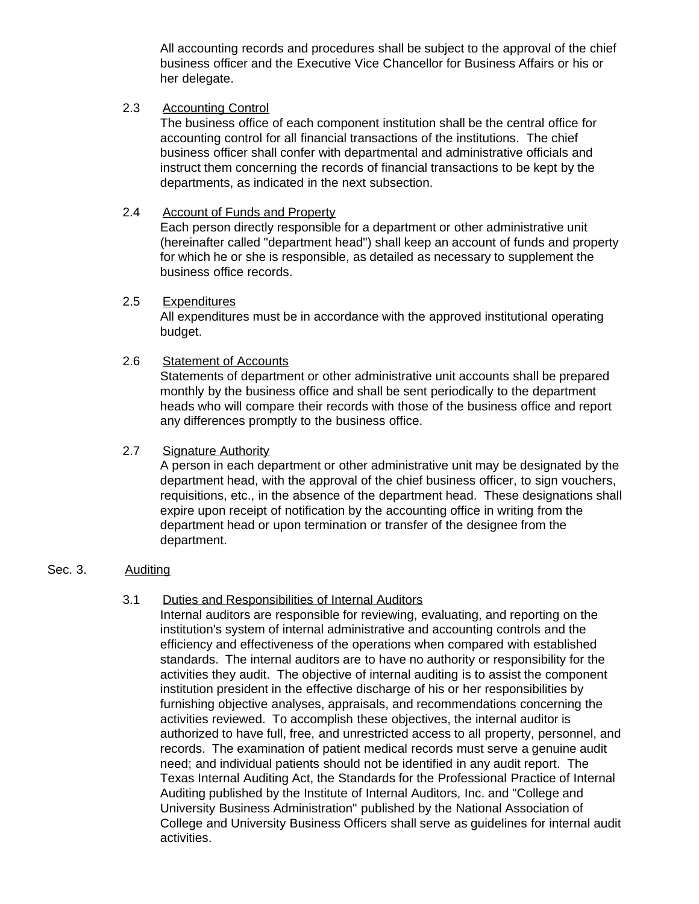All accounting records and procedures shall be subject to the approval of the chief business officer and the Executive Vice Chancellor for Business Affairs or his or her delegate.

#### 2.3 Accounting Control

The business office of each component institution shall be the central office for accounting control for all financial transactions of the institutions. The chief business officer shall confer with departmental and administrative officials and instruct them concerning the records of financial transactions to be kept by the departments, as indicated in the next subsection.

#### 2.4 Account of Funds and Property

Each person directly responsible for a department or other administrative unit (hereinafter called "department head") shall keep an account of funds and property for which he or she is responsible, as detailed as necessary to supplement the business office records.

#### 2.5 Expenditures

All expenditures must be in accordance with the approved institutional operating budget.

#### 2.6 Statement of Accounts

Statements of department or other administrative unit accounts shall be prepared monthly by the business office and shall be sent periodically to the department heads who will compare their records with those of the business office and report any differences promptly to the business office.

#### 2.7 Signature Authority

A person in each department or other administrative unit may be designated by the department head, with the approval of the chief business officer, to sign vouchers, requisitions, etc., in the absence of the department head. These designations shall expire upon receipt of notification by the accounting office in writing from the department head or upon termination or transfer of the designee from the department.

#### Sec. 3. Auditing

#### 3.1 Duties and Responsibilities of Internal Auditors

Internal auditors are responsible for reviewing, evaluating, and reporting on the institution's system of internal administrative and accounting controls and the efficiency and effectiveness of the operations when compared with established standards. The internal auditors are to have no authority or responsibility for the activities they audit. The objective of internal auditing is to assist the component institution president in the effective discharge of his or her responsibilities by furnishing objective analyses, appraisals, and recommendations concerning the activities reviewed. To accomplish these objectives, the internal auditor is authorized to have full, free, and unrestricted access to all property, personnel, and records. The examination of patient medical records must serve a genuine audit need; and individual patients should not be identified in any audit report. The Texas Internal Auditing Act, the Standards for the Professional Practice of Internal Auditing published by the Institute of Internal Auditors, Inc. and "College and University Business Administration" published by the National Association of College and University Business Officers shall serve as guidelines for internal audit activities.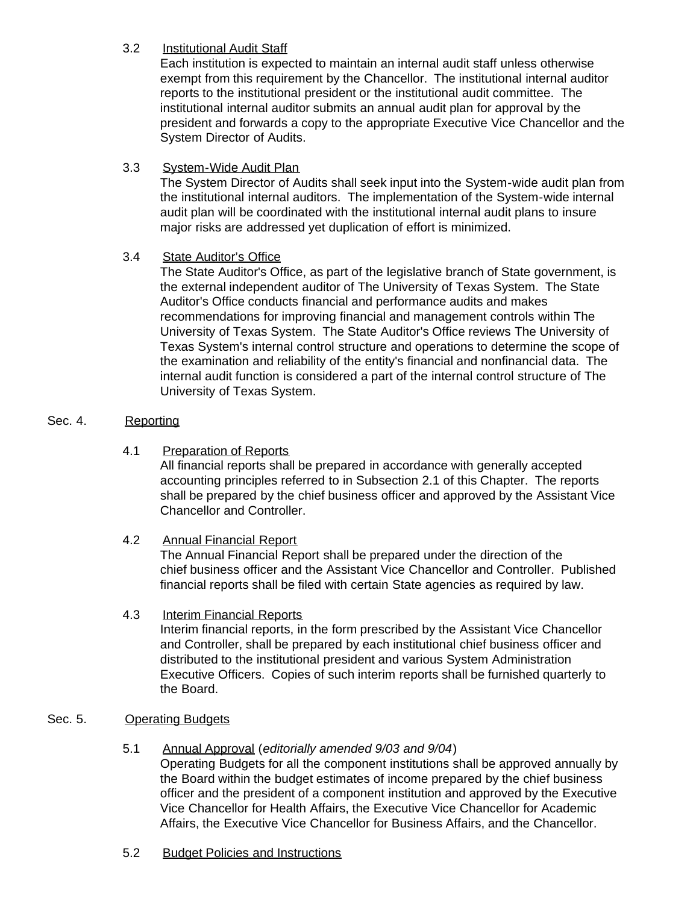# 3.2 Institutional Audit Staff

Each institution is expected to maintain an internal audit staff unless otherwise exempt from this requirement by the Chancellor. The institutional internal auditor reports to the institutional president or the institutional audit committee. The institutional internal auditor submits an annual audit plan for approval by the president and forwards a copy to the appropriate Executive Vice Chancellor and the System Director of Audits.

3.3 System-Wide Audit Plan

The System Director of Audits shall seek input into the System-wide audit plan from the institutional internal auditors. The implementation of the System-wide internal audit plan will be coordinated with the institutional internal audit plans to insure major risks are addressed yet duplication of effort is minimized.

# 3.4 State Auditor's Office

The State Auditor's Office, as part of the legislative branch of State government, is the external independent auditor of The University of Texas System. The State Auditor's Office conducts financial and performance audits and makes recommendations for improving financial and management controls within The University of Texas System. The State Auditor's Office reviews The University of Texas System's internal control structure and operations to determine the scope of the examination and reliability of the entity's financial and nonfinancial data. The internal audit function is considered a part of the internal control structure of The University of Texas System.

# Sec. 4. Reporting

4.1 Preparation of Reports

All financial reports shall be prepared in accordance with generally accepted accounting principles referred to in Subsection 2.1 of this Chapter. The reports shall be prepared by the chief business officer and approved by the Assistant Vice Chancellor and Controller.

# 4.2 Annual Financial Report

The Annual Financial Report shall be prepared under the direction of the chief business officer and the Assistant Vice Chancellor and Controller. Published financial reports shall be filed with certain State agencies as required by law.

#### 4.3 Interim Financial Reports

Interim financial reports, in the form prescribed by the Assistant Vice Chancellor and Controller, shall be prepared by each institutional chief business officer and distributed to the institutional president and various System Administration Executive Officers. Copies of such interim reports shall be furnished quarterly to the Board.

# Sec. 5. Operating Budgets

# 5.1 Annual Approval (*editorially amended 9/03 and 9/04*)

Operating Budgets for all the component institutions shall be approved annually by the Board within the budget estimates of income prepared by the chief business officer and the president of a component institution and approved by the Executive Vice Chancellor for Health Affairs, the Executive Vice Chancellor for Academic Affairs, the Executive Vice Chancellor for Business Affairs, and the Chancellor.

5.2 Budget Policies and Instructions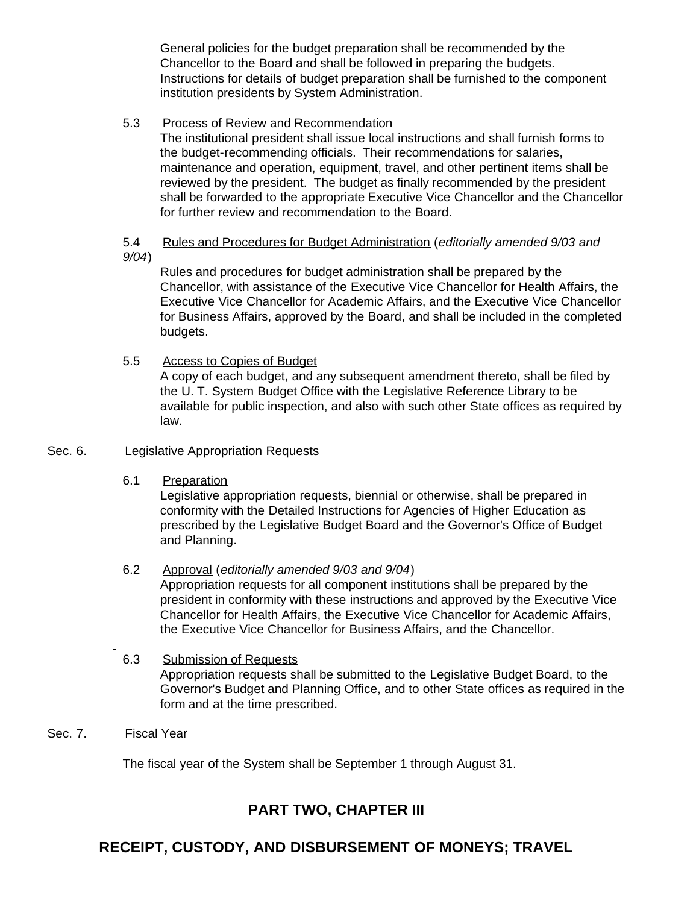General policies for the budget preparation shall be recommended by the Chancellor to the Board and shall be followed in preparing the budgets. Instructions for details of budget preparation shall be furnished to the component institution presidents by System Administration.

#### 5.3 Process of Review and Recommendation

The institutional president shall issue local instructions and shall furnish forms to the budget-recommending officials. Their recommendations for salaries, maintenance and operation, equipment, travel, and other pertinent items shall be reviewed by the president. The budget as finally recommended by the president shall be forwarded to the appropriate Executive Vice Chancellor and the Chancellor for further review and recommendation to the Board.

#### 5.4 Rules and Procedures for Budget Administration (*editorially amended 9/03 and 9/04*)

Rules and procedures for budget administration shall be prepared by the Chancellor, with assistance of the Executive Vice Chancellor for Health Affairs, the Executive Vice Chancellor for Academic Affairs, and the Executive Vice Chancellor for Business Affairs, approved by the Board, and shall be included in the completed budgets.

5.5 Access to Copies of Budget

A copy of each budget, and any subsequent amendment thereto, shall be filed by the U. T. System Budget Office with the Legislative Reference Library to be available for public inspection, and also with such other State offices as required by law.

#### Sec. 6. Legislative Appropriation Requests

6.1 Preparation

Legislative appropriation requests, biennial or otherwise, shall be prepared in conformity with the Detailed Instructions for Agencies of Higher Education as prescribed by the Legislative Budget Board and the Governor's Office of Budget and Planning.

# 6.2 Approval (*editorially amended 9/03 and 9/04*)

Appropriation requests for all component institutions shall be prepared by the president in conformity with these instructions and approved by the Executive Vice Chancellor for Health Affairs, the Executive Vice Chancellor for Academic Affairs, the Executive Vice Chancellor for Business Affairs, and the Chancellor.

#### 6.3 Submission of Requests Appropriation requests shall be submitted to the Legislative Budget Board, to the Governor's Budget and Planning Office, and to other State offices as required in the form and at the time prescribed.

Sec. 7. Fiscal Year

The fiscal year of the System shall be September 1 through August 31.

# **PART TWO, CHAPTER III**

# **RECEIPT, CUSTODY, AND DISBURSEMENT OF MONEYS; TRAVEL**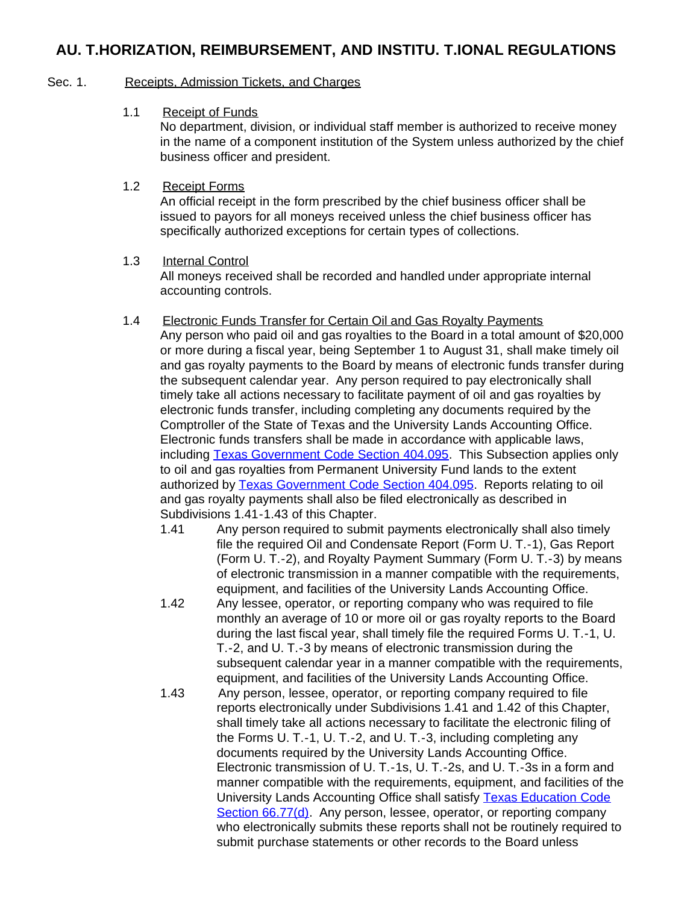# **AU. T.HORIZATION, REIMBURSEMENT, AND INSTITU. T.IONAL REGULATIONS**

#### Sec. 1. Receipts, Admission Tickets, and Charges

1.1 Receipt of Funds

No department, division, or individual staff member is authorized to receive money in the name of a component institution of the System unless authorized by the chief business officer and president.

1.2 Receipt Forms

An official receipt in the form prescribed by the chief business officer shall be issued to payors for all moneys received unless the chief business officer has specifically authorized exceptions for certain types of collections.

#### 1.3 Internal Control

All moneys received shall be recorded and handled under appropriate internal accounting controls.

- 1.4 Electronic Funds Transfer for Certain Oil and Gas Royalty Payments Any person who paid oil and gas royalties to the Board in a total amount of \$20,000 or more during a fiscal year, being September 1 to August 31, shall make timely oil and gas royalty payments to the Board by means of electronic funds transfer during the subsequent calendar year. Any person required to pay electronically shall timely take all actions necessary to facilitate payment of oil and gas royalties by electronic funds transfer, including completing any documents required by the Comptroller of the State of Texas and the University Lands Accounting Office. Electronic funds transfers shall be made in accordance with applicable laws, including [Texas Government Code Section](http://www.capitol.state.tx.us/statutes/go/go0040400.html#go051.404.095) 404.095. This Subsection applies only to oil and gas royalties from Permanent University Fund lands to the extent authorized by [Texas Government Code Section](http://www.capitol.state.tx.us/statutes/go/go0040400.html#go051.404.095) 404.095. Reports relating to oil and gas royalty payments shall also be filed electronically as described in Subdivisions 1.41-1.43 of this Chapter.
	- 1.41 Any person required to submit payments electronically shall also timely file the required Oil and Condensate Report (Form U. T.-1), Gas Report (Form U. T.-2), and Royalty Payment Summary (Form U. T.-3) by means of electronic transmission in a manner compatible with the requirements, equipment, and facilities of the University Lands Accounting Office.
	- 1.42 Any lessee, operator, or reporting company who was required to file monthly an average of 10 or more oil or gas royalty reports to the Board during the last fiscal year, shall timely file the required Forms U. T.-1, U. T.-2, and U. T.-3 by means of electronic transmission during the subsequent calendar year in a manner compatible with the requirements, equipment, and facilities of the University Lands Accounting Office.
	- 1.43 Any person, lessee, operator, or reporting company required to file reports electronically under Subdivisions 1.41 and 1.42 of this Chapter, shall timely take all actions necessary to facilitate the electronic filing of the Forms U. T.-1, U. T.-2, and U. T.-3, including completing any documents required by the University Lands Accounting Office. Electronic transmission of U. T.-1s, U. T.-2s, and U. T.-3s in a form and manner compatible with the requirements, equipment, and facilities of the University Lands Accounting Office shall satisfy [Texas Education Code](http://www.capitol.state.tx.us/statutes/ed/ed0006600.html#ed035.66.77) Section [66.77\(d\).](http://www.capitol.state.tx.us/statutes/ed/ed0006600.html#ed035.66.77) Any person, lessee, operator, or reporting company who electronically submits these reports shall not be routinely required to submit purchase statements or other records to the Board unless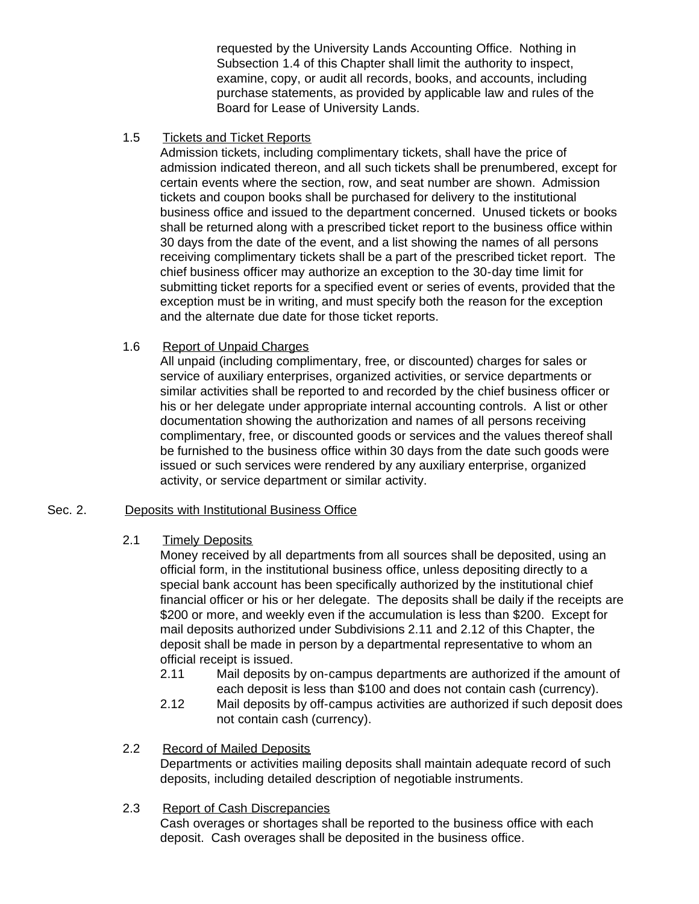requested by the University Lands Accounting Office. Nothing in Subsection 1.4 of this Chapter shall limit the authority to inspect, examine, copy, or audit all records, books, and accounts, including purchase statements, as provided by applicable law and rules of the Board for Lease of University Lands.

1.5 Tickets and Ticket Reports

Admission tickets, including complimentary tickets, shall have the price of admission indicated thereon, and all such tickets shall be prenumbered, except for certain events where the section, row, and seat number are shown. Admission tickets and coupon books shall be purchased for delivery to the institutional business office and issued to the department concerned. Unused tickets or books shall be returned along with a prescribed ticket report to the business office within 30 days from the date of the event, and a list showing the names of all persons receiving complimentary tickets shall be a part of the prescribed ticket report. The chief business officer may authorize an exception to the 30-day time limit for submitting ticket reports for a specified event or series of events, provided that the exception must be in writing, and must specify both the reason for the exception and the alternate due date for those ticket reports.

# 1.6 Report of Unpaid Charges

All unpaid (including complimentary, free, or discounted) charges for sales or service of auxiliary enterprises, organized activities, or service departments or similar activities shall be reported to and recorded by the chief business officer or his or her delegate under appropriate internal accounting controls. A list or other documentation showing the authorization and names of all persons receiving complimentary, free, or discounted goods or services and the values thereof shall be furnished to the business office within 30 days from the date such goods were issued or such services were rendered by any auxiliary enterprise, organized activity, or service department or similar activity.

#### Sec. 2. Deposits with Institutional Business Office

#### 2.1 Timely Deposits

Money received by all departments from all sources shall be deposited, using an official form, in the institutional business office, unless depositing directly to a special bank account has been specifically authorized by the institutional chief financial officer or his or her delegate. The deposits shall be daily if the receipts are \$200 or more, and weekly even if the accumulation is less than \$200. Except for mail deposits authorized under Subdivisions 2.11 and 2.12 of this Chapter, the deposit shall be made in person by a departmental representative to whom an official receipt is issued.

- 2.11 Mail deposits by on-campus departments are authorized if the amount of each deposit is less than \$100 and does not contain cash (currency).
- 2.12 Mail deposits by off-campus activities are authorized if such deposit does not contain cash (currency).

#### 2.2 Record of Mailed Deposits

Departments or activities mailing deposits shall maintain adequate record of such deposits, including detailed description of negotiable instruments.

#### 2.3 Report of Cash Discrepancies

Cash overages or shortages shall be reported to the business office with each deposit. Cash overages shall be deposited in the business office.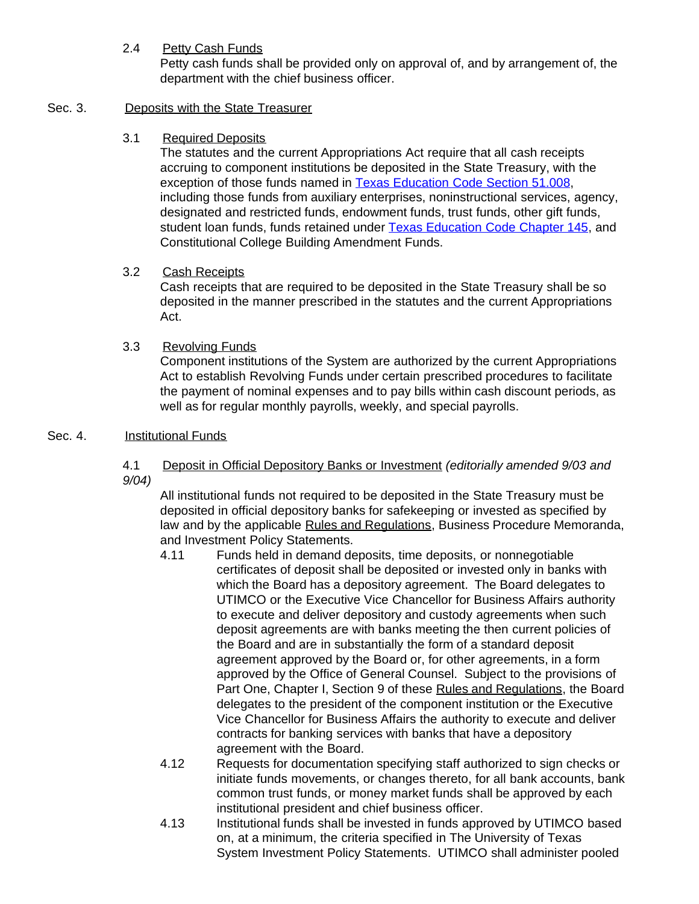# 2.4 Petty Cash Funds

Petty cash funds shall be provided only on approval of, and by arrangement of, the department with the chief business officer.

# Sec. 3. Deposits with the State Treasurer

# 3.1 Required Deposits

The statutes and the current Appropriations Act require that all cash receipts accruing to component institutions be deposited in the State Treasury, with the exception of those funds named in **Texas Education Code Section 51.008**, including those funds from auxiliary enterprises, noninstructional services, agency, designated and restricted funds, endowment funds, trust funds, other gift funds, student loan funds, funds retained under [Texas Education Code Chapter](http://www.capitol.state.tx.us/statutes/ed/ed0014500toc.html) 145, and Constitutional College Building Amendment Funds.

# 3.2 Cash Receipts

Cash receipts that are required to be deposited in the State Treasury shall be so deposited in the manner prescribed in the statutes and the current Appropriations Act.

# 3.3 Revolving Funds

Component institutions of the System are authorized by the current Appropriations Act to establish Revolving Funds under certain prescribed procedures to facilitate the payment of nominal expenses and to pay bills within cash discount periods, as well as for regular monthly payrolls, weekly, and special payrolls.

# Sec. 4. **Institutional Funds**

4.1 Deposit in Official Depository Banks or Investment *(editorially amended 9/03 and 9/04)*

All institutional funds not required to be deposited in the State Treasury must be deposited in official depository banks for safekeeping or invested as specified by law and by the applicable Rules and Regulations, Business Procedure Memoranda, and Investment Policy Statements.

- 4.11 Funds held in demand deposits, time deposits, or nonnegotiable certificates of deposit shall be deposited or invested only in banks with which the Board has a depository agreement. The Board delegates to UTIMCO or the Executive Vice Chancellor for Business Affairs authority to execute and deliver depository and custody agreements when such deposit agreements are with banks meeting the then current policies of the Board and are in substantially the form of a standard deposit agreement approved by the Board or, for other agreements, in a form approved by the Office of General Counsel. Subject to the provisions of Part One, Chapter I, Section 9 of these Rules and Regulations, the Board delegates to the president of the component institution or the Executive Vice Chancellor for Business Affairs the authority to execute and deliver contracts for banking services with banks that have a depository agreement with the Board.
- 4.12 Requests for documentation specifying staff authorized to sign checks or initiate funds movements, or changes thereto, for all bank accounts, bank common trust funds, or money market funds shall be approved by each institutional president and chief business officer.
- 4.13 Institutional funds shall be invested in funds approved by UTIMCO based on, at a minimum, the criteria specified in The University of Texas System Investment Policy Statements. UTIMCO shall administer pooled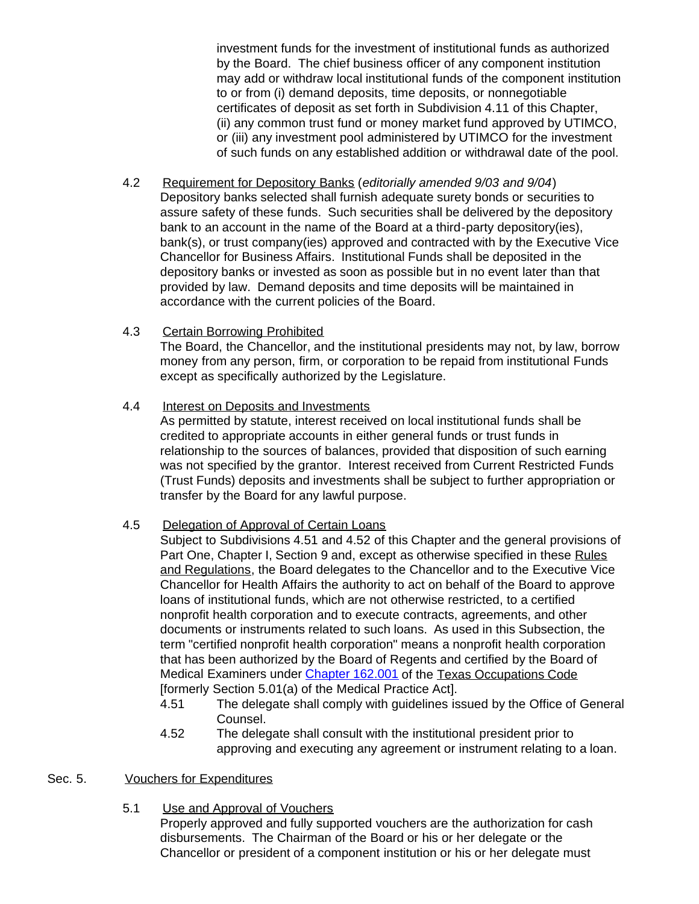investment funds for the investment of institutional funds as authorized by the Board. The chief business officer of any component institution may add or withdraw local institutional funds of the component institution to or from (i) demand deposits, time deposits, or nonnegotiable certificates of deposit as set forth in Subdivision 4.11 of this Chapter, (ii) any common trust fund or money market fund approved by UTIMCO, or (iii) any investment pool administered by UTIMCO for the investment of such funds on any established addition or withdrawal date of the pool.

- 4.2 Requirement for Depository Banks (*editorially amended 9/03 and 9/04*) Depository banks selected shall furnish adequate surety bonds or securities to assure safety of these funds. Such securities shall be delivered by the depository bank to an account in the name of the Board at a third-party depository(ies), bank(s), or trust company(ies) approved and contracted with by the Executive Vice Chancellor for Business Affairs. Institutional Funds shall be deposited in the depository banks or invested as soon as possible but in no event later than that provided by law. Demand deposits and time deposits will be maintained in accordance with the current policies of the Board.
- 4.3 Certain Borrowing Prohibited The Board, the Chancellor, and the institutional presidents may not, by law, borrow money from any person, firm, or corporation to be repaid from institutional Funds except as specifically authorized by the Legislature.
- 4.4 Interest on Deposits and Investments

As permitted by statute, interest received on local institutional funds shall be credited to appropriate accounts in either general funds or trust funds in relationship to the sources of balances, provided that disposition of such earning was not specified by the grantor. Interest received from Current Restricted Funds (Trust Funds) deposits and investments shall be subject to further appropriation or transfer by the Board for any lawful purpose.

### 4.5 Delegation of Approval of Certain Loans

Subject to Subdivisions 4.51 and 4.52 of this Chapter and the general provisions of Part One, Chapter I, Section 9 and, except as otherwise specified in these Rules and Regulations, the Board delegates to the Chancellor and to the Executive Vice Chancellor for Health Affairs the authority to act on behalf of the Board to approve loans of institutional funds, which are not otherwise restricted, to a certified nonprofit health corporation and to execute contracts, agreements, and other documents or instruments related to such loans. As used in this Subsection, the term "certified nonprofit health corporation" means a nonprofit health corporation that has been authorized by the Board of Regents and certified by the Board of Medical Examiners under [Chapter 162.001](http://www.capitol.state.tx.us/statutes/oc/oc0016200.html#oc001.162.001) of the Texas Occupations Code [formerly Section 5.01(a) of the Medical Practice Act].

- 4.51 The delegate shall comply with guidelines issued by the Office of General Counsel.
- 4.52 The delegate shall consult with the institutional president prior to approving and executing any agreement or instrument relating to a loan.

### Sec. 5. Vouchers for Expenditures

5.1 Use and Approval of Vouchers

Properly approved and fully supported vouchers are the authorization for cash disbursements. The Chairman of the Board or his or her delegate or the Chancellor or president of a component institution or his or her delegate must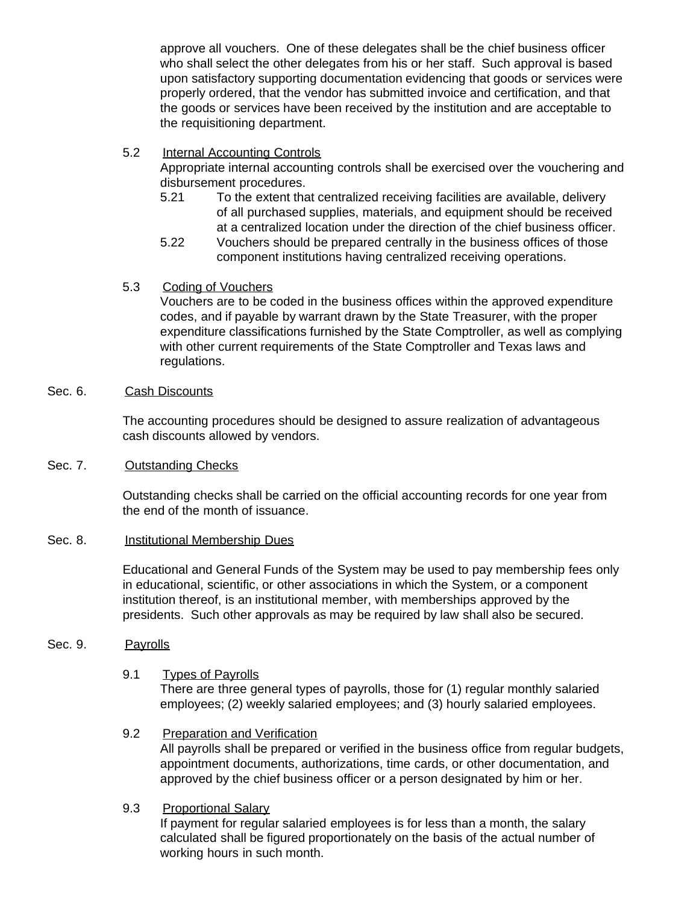approve all vouchers. One of these delegates shall be the chief business officer who shall select the other delegates from his or her staff. Such approval is based upon satisfactory supporting documentation evidencing that goods or services were properly ordered, that the vendor has submitted invoice and certification, and that the goods or services have been received by the institution and are acceptable to the requisitioning department.

5.2 Internal Accounting Controls

Appropriate internal accounting controls shall be exercised over the vouchering and disbursement procedures.

- 5.21 To the extent that centralized receiving facilities are available, delivery of all purchased supplies, materials, and equipment should be received at a centralized location under the direction of the chief business officer.
- 5.22 Vouchers should be prepared centrally in the business offices of those component institutions having centralized receiving operations.
- 5.3 Coding of Vouchers

Vouchers are to be coded in the business offices within the approved expenditure codes, and if payable by warrant drawn by the State Treasurer, with the proper expenditure classifications furnished by the State Comptroller, as well as complying with other current requirements of the State Comptroller and Texas laws and regulations.

Sec. 6. Cash Discounts

The accounting procedures should be designed to assure realization of advantageous cash discounts allowed by vendors.

Sec. 7. Outstanding Checks

Outstanding checks shall be carried on the official accounting records for one year from the end of the month of issuance.

### Sec. 8. **Institutional Membership Dues**

Educational and General Funds of the System may be used to pay membership fees only in educational, scientific, or other associations in which the System, or a component institution thereof, is an institutional member, with memberships approved by the presidents. Such other approvals as may be required by law shall also be secured.

### Sec. 9. Payrolls

9.1 Types of Payrolls

There are three general types of payrolls, those for (1) regular monthly salaried employees; (2) weekly salaried employees; and (3) hourly salaried employees.

- 9.2 Preparation and Verification All payrolls shall be prepared or verified in the business office from regular budgets, appointment documents, authorizations, time cards, or other documentation, and approved by the chief business officer or a person designated by him or her.
- 9.3 Proportional Salary

If payment for regular salaried employees is for less than a month, the salary calculated shall be figured proportionately on the basis of the actual number of working hours in such month.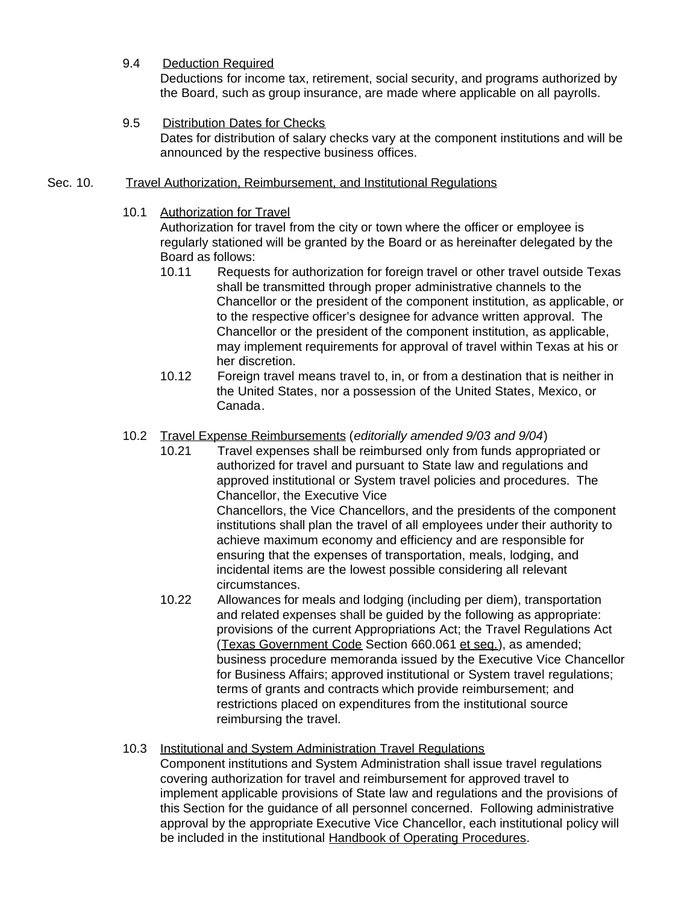### 9.4 Deduction Required

Deductions for income tax, retirement, social security, and programs authorized by the Board, such as group insurance, are made where applicable on all payrolls.

### 9.5 Distribution Dates for Checks

Dates for distribution of salary checks vary at the component institutions and will be announced by the respective business offices.

### Sec. 10. Travel Authorization, Reimbursement, and Institutional Regulations

#### 10.1 Authorization for Travel

Authorization for travel from the city or town where the officer or employee is regularly stationed will be granted by the Board or as hereinafter delegated by the Board as follows:

- 10.11 Requests for authorization for foreign travel or other travel outside Texas shall be transmitted through proper administrative channels to the Chancellor or the president of the component institution, as applicable, or to the respective officer's designee for advance written approval. The Chancellor or the president of the component institution, as applicable, may implement requirements for approval of travel within Texas at his or her discretion.
- 10.12 Foreign travel means travel to, in, or from a destination that is neither in the United States, nor a possession of the United States, Mexico, or Canada.

### 10.2 Travel Expense Reimbursements (*editorially amended 9/03 and 9/04*)

- 10.21 Travel expenses shall be reimbursed only from funds appropriated or authorized for travel and pursuant to State law and regulations and approved institutional or System travel policies and procedures. The Chancellor, the Executive Vice Chancellors, the Vice Chancellors, and the presidents of the component institutions shall plan the travel of all employees under their authority to achieve maximum economy and efficiency and are responsible for ensuring that the expenses of transportation, meals, lodging, and incidental items are the lowest possible considering all relevant
- circumstances. 10.22 Allowances for meals and lodging (including per diem), transportation and related expenses shall be guided by the following as appropriate: provisions of the current Appropriations Act; the Travel Regulations Act (Texas Government Code Section 660.061 et seq.), as amended; business procedure memoranda issued by the Executive Vice Chancellor for Business Affairs; approved institutional or System travel regulations; terms of grants and contracts which provide reimbursement; and restrictions placed on expenditures from the institutional source reimbursing the travel.

### 10.3 Institutional and System Administration Travel Regulations

Component institutions and System Administration shall issue travel regulations covering authorization for travel and reimbursement for approved travel to implement applicable provisions of State law and regulations and the provisions of this Section for the guidance of all personnel concerned. Following administrative approval by the appropriate Executive Vice Chancellor, each institutional policy will be included in the institutional Handbook of Operating Procedures.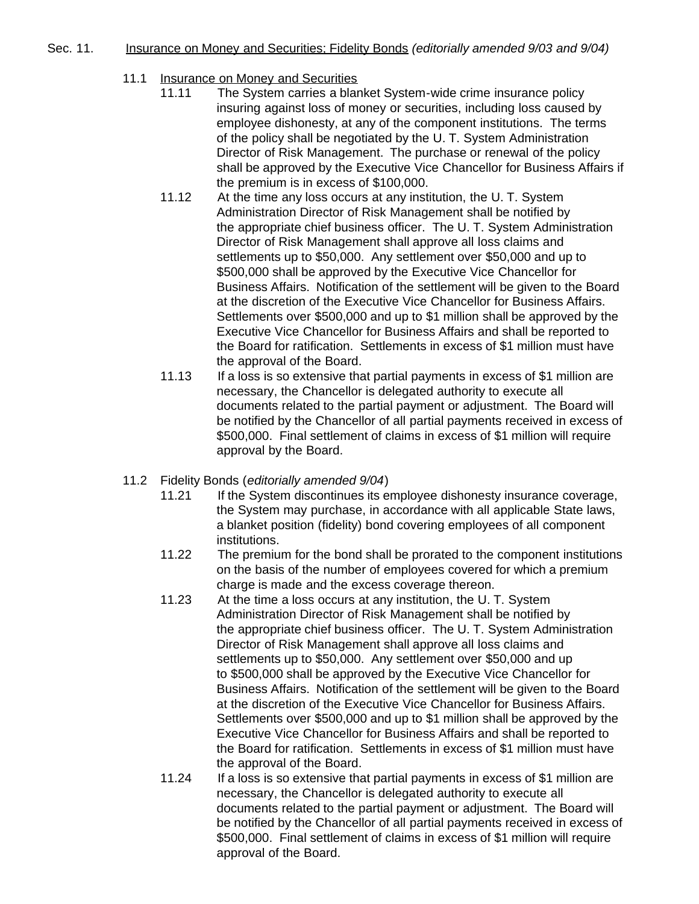### Sec. 11. Insurance on Money and Securities; Fidelity Bonds *(editorially amended 9/03 and 9/04)*

- 11.1 Insurance on Money and Securities
	- 11.11 The System carries a blanket System-wide crime insurance policy insuring against loss of money or securities, including loss caused by employee dishonesty, at any of the component institutions. The terms of the policy shall be negotiated by the U. T. System Administration Director of Risk Management. The purchase or renewal of the policy shall be approved by the Executive Vice Chancellor for Business Affairs if the premium is in excess of \$100,000.
	- 11.12 At the time any loss occurs at any institution, the U. T. System Administration Director of Risk Management shall be notified by the appropriate chief business officer. The U. T. System Administration Director of Risk Management shall approve all loss claims and settlements up to \$50,000. Any settlement over \$50,000 and up to \$500,000 shall be approved by the Executive Vice Chancellor for Business Affairs. Notification of the settlement will be given to the Board at the discretion of the Executive Vice Chancellor for Business Affairs. Settlements over \$500,000 and up to \$1 million shall be approved by the Executive Vice Chancellor for Business Affairs and shall be reported to the Board for ratification. Settlements in excess of \$1 million must have the approval of the Board.
	- 11.13 If a loss is so extensive that partial payments in excess of \$1 million are necessary, the Chancellor is delegated authority to execute all documents related to the partial payment or adjustment. The Board will be notified by the Chancellor of all partial payments received in excess of \$500,000. Final settlement of claims in excess of \$1 million will require approval by the Board.
- 11.2 Fidelity Bonds (*editorially amended 9/04*)
	- 11.21 If the System discontinues its employee dishonesty insurance coverage, the System may purchase, in accordance with all applicable State laws, a blanket position (fidelity) bond covering employees of all component institutions.
	- 11.22 The premium for the bond shall be prorated to the component institutions on the basis of the number of employees covered for which a premium charge is made and the excess coverage thereon.
	- 11.23 At the time a loss occurs at any institution, the U. T. System Administration Director of Risk Management shall be notified by the appropriate chief business officer. The U. T. System Administration Director of Risk Management shall approve all loss claims and settlements up to \$50,000. Any settlement over \$50,000 and up to \$500,000 shall be approved by the Executive Vice Chancellor for Business Affairs. Notification of the settlement will be given to the Board at the discretion of the Executive Vice Chancellor for Business Affairs. Settlements over \$500,000 and up to \$1 million shall be approved by the Executive Vice Chancellor for Business Affairs and shall be reported to the Board for ratification. Settlements in excess of \$1 million must have the approval of the Board.
	- 11.24 If a loss is so extensive that partial payments in excess of \$1 million are necessary, the Chancellor is delegated authority to execute all documents related to the partial payment or adjustment. The Board will be notified by the Chancellor of all partial payments received in excess of \$500,000. Final settlement of claims in excess of \$1 million will require approval of the Board.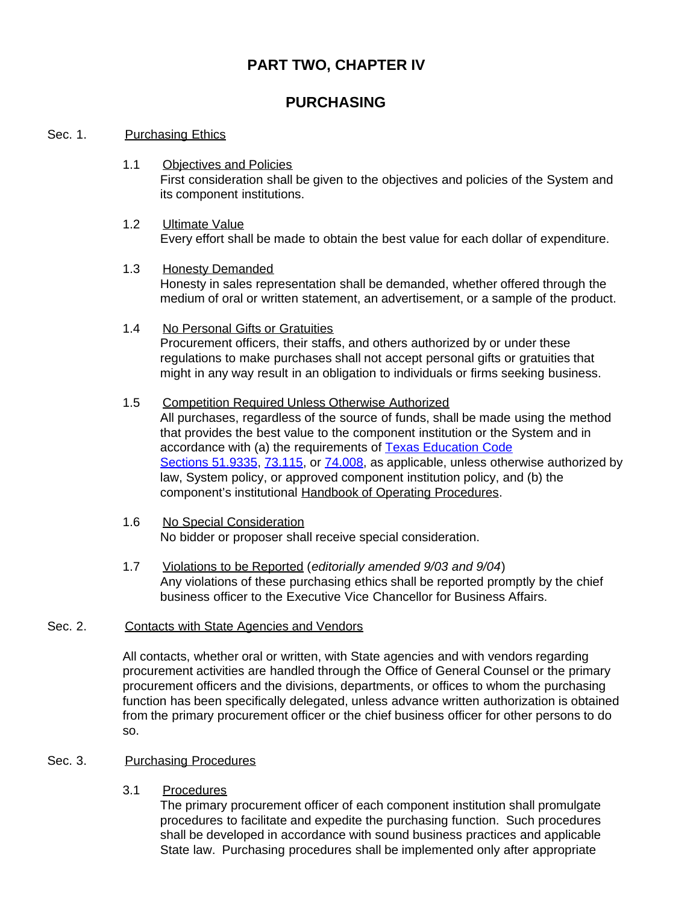# **PART TWO, CHAPTER IV**

# **PURCHASING**

### Sec. 1. Purchasing Ethics

- 1.1 Objectives and Policies First consideration shall be given to the objectives and policies of the System and its component institutions.
- 1.2 Ultimate Value Every effort shall be made to obtain the best value for each dollar of expenditure.
- 1.3 Honesty Demanded Honesty in sales representation shall be demanded, whether offered through the medium of oral or written statement, an advertisement, or a sample of the product.
- 1.4 No Personal Gifts or Gratuities Procurement officers, their staffs, and others authorized by or under these regulations to make purchases shall not accept personal gifts or gratuities that might in any way result in an obligation to individuals or firms seeking business.
- 1.5 Competition Required Unless Otherwise Authorized All purchases, regardless of the source of funds, shall be made using the method that provides the best value to the component institution or the System and in accordance with (a) the requirements of [Texas Education Code](http://www.capitol.state.tx.us/statutes/ed/ed0005100.html#ed233.51.9335) [Sections](http://www.capitol.state.tx.us/statutes/ed/ed0005100.html#ed233.51.9335) 51.9335, [73.115,](http://www.capitol.state.tx.us/statutes/ed/ed0007300.html#ed023.73.115) or [74.008,](http://www.capitol.state.tx.us/statutes/ed/ed0007400.html#ed008.74.008) as applicable, unless otherwise authorized by law, System policy, or approved component institution policy, and (b) the component's institutional Handbook of Operating Procedures.
- 1.6 No Special Consideration No bidder or proposer shall receive special consideration.
- 1.7 Violations to be Reported (*editorially amended 9/03 and 9/04*) Any violations of these purchasing ethics shall be reported promptly by the chief business officer to the Executive Vice Chancellor for Business Affairs.

### Sec. 2. Contacts with State Agencies and Vendors

All contacts, whether oral or written, with State agencies and with vendors regarding procurement activities are handled through the Office of General Counsel or the primary procurement officers and the divisions, departments, or offices to whom the purchasing function has been specifically delegated, unless advance written authorization is obtained from the primary procurement officer or the chief business officer for other persons to do so.

### Sec. 3. Purchasing Procedures

# 3.1 Procedures

The primary procurement officer of each component institution shall promulgate procedures to facilitate and expedite the purchasing function. Such procedures shall be developed in accordance with sound business practices and applicable State law. Purchasing procedures shall be implemented only after appropriate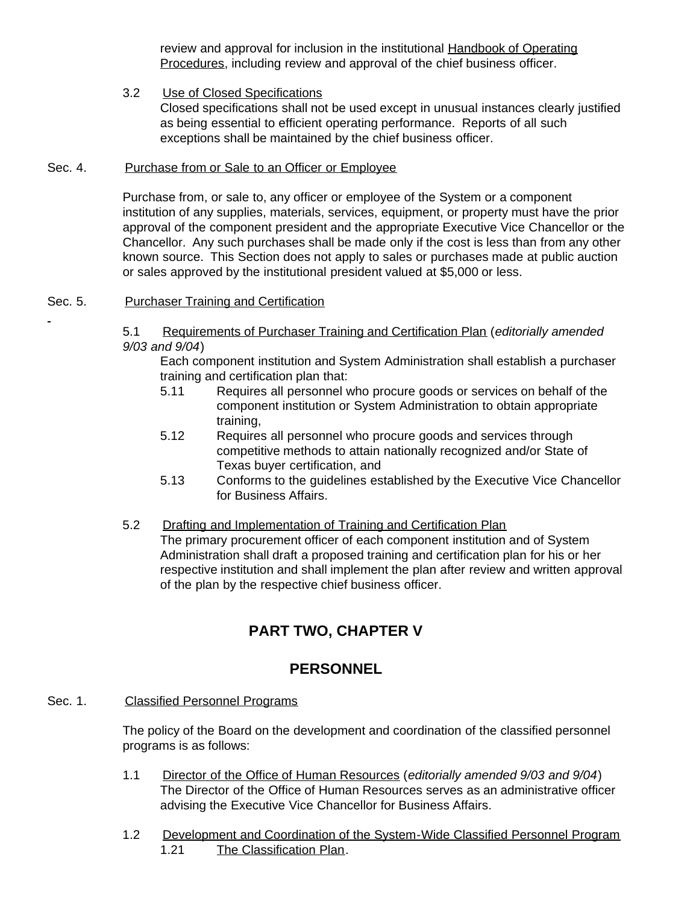review and approval for inclusion in the institutional Handbook of Operating Procedures, including review and approval of the chief business officer.

3.2 Use of Closed Specifications Closed specifications shall not be used except in unusual instances clearly justified as being essential to efficient operating performance. Reports of all such exceptions shall be maintained by the chief business officer.

### Sec. 4. Purchase from or Sale to an Officer or Employee

Purchase from, or sale to, any officer or employee of the System or a component institution of any supplies, materials, services, equipment, or property must have the prior approval of the component president and the appropriate Executive Vice Chancellor or the Chancellor. Any such purchases shall be made only if the cost is less than from any other known source. This Section does not apply to sales or purchases made at public auction or sales approved by the institutional president valued at \$5,000 or less.

### Sec. 5. Purchaser Training and Certification

5.1 Requirements of Purchaser Training and Certification Plan (*editorially amended 9/03 and 9/04*)

Each component institution and System Administration shall establish a purchaser training and certification plan that:

- 5.11 Requires all personnel who procure goods or services on behalf of the component institution or System Administration to obtain appropriate training,
- 5.12 Requires all personnel who procure goods and services through competitive methods to attain nationally recognized and/or State of Texas buyer certification, and
- 5.13 Conforms to the guidelines established by the Executive Vice Chancellor for Business Affairs.
- 5.2 Drafting and Implementation of Training and Certification Plan The primary procurement officer of each component institution and of System Administration shall draft a proposed training and certification plan for his or her respective institution and shall implement the plan after review and written approval of the plan by the respective chief business officer.

# **PART TWO, CHAPTER V**

# **PERSONNEL**

Sec. 1. Classified Personnel Programs

The policy of the Board on the development and coordination of the classified personnel programs is as follows:

- 1.1 Director of the Office of Human Resources (*editorially amended 9/03 and 9/04*) The Director of the Office of Human Resources serves as an administrative officer advising the Executive Vice Chancellor for Business Affairs.
- 1.2 Development and Coordination of the System-Wide Classified Personnel Program 1.21 The Classification Plan.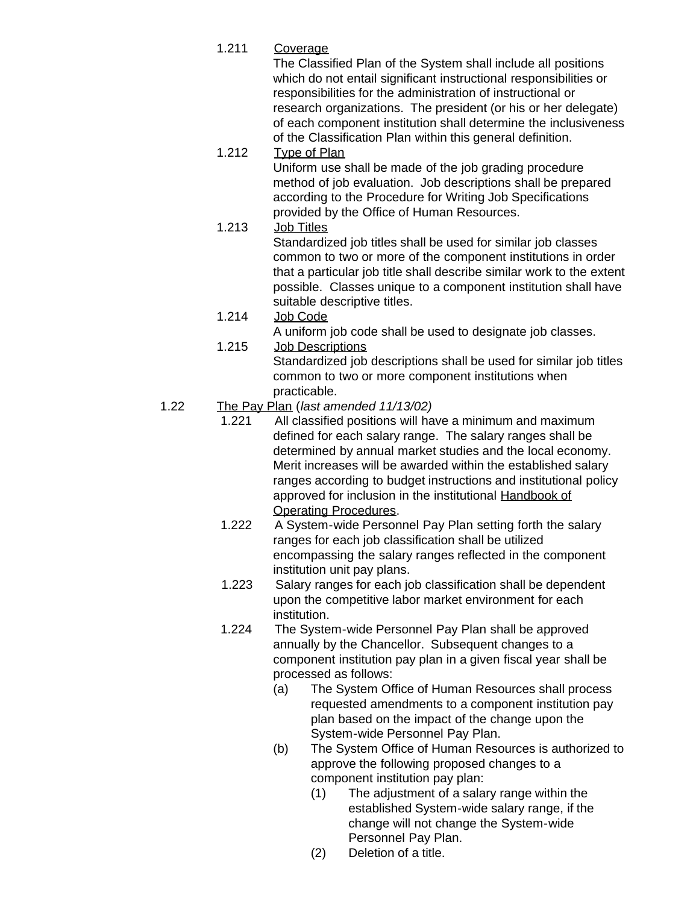1.211 Coverage

The Classified Plan of the System shall include all positions which do not entail significant instructional responsibilities or responsibilities for the administration of instructional or research organizations. The president (or his or her delegate) of each component institution shall determine the inclusiveness of the Classification Plan within this general definition.

1.212 Type of Plan

Uniform use shall be made of the job grading procedure method of job evaluation. Job descriptions shall be prepared according to the Procedure for Writing Job Specifications provided by the Office of Human Resources.

1.213 Job Titles

Standardized job titles shall be used for similar job classes common to two or more of the component institutions in order that a particular job title shall describe similar work to the extent possible. Classes unique to a component institution shall have suitable descriptive titles.

1.214 Job Code

A uniform job code shall be used to designate job classes.

1.215 Job Descriptions

Standardized job descriptions shall be used for similar job titles common to two or more component institutions when practicable.

# 1.22 The Pay Plan (*last amended 11/13/02)*

- 1.221 All classified positions will have a minimum and maximum defined for each salary range. The salary ranges shall be determined by annual market studies and the local economy. Merit increases will be awarded within the established salary ranges according to budget instructions and institutional policy approved for inclusion in the institutional Handbook of Operating Procedures.
- 1.222 A System-wide Personnel Pay Plan setting forth the salary ranges for each job classification shall be utilized encompassing the salary ranges reflected in the component institution unit pay plans.
- 1.223 Salary ranges for each job classification shall be dependent upon the competitive labor market environment for each institution.
- 1.224 The System-wide Personnel Pay Plan shall be approved annually by the Chancellor. Subsequent changes to a component institution pay plan in a given fiscal year shall be processed as follows:
	- (a) The System Office of Human Resources shall process requested amendments to a component institution pay plan based on the impact of the change upon the System-wide Personnel Pay Plan.
	- (b) The System Office of Human Resources is authorized to approve the following proposed changes to a component institution pay plan:
		- (1) The adjustment of a salary range within the established System-wide salary range, if the change will not change the System-wide Personnel Pay Plan.
		- (2) Deletion of a title.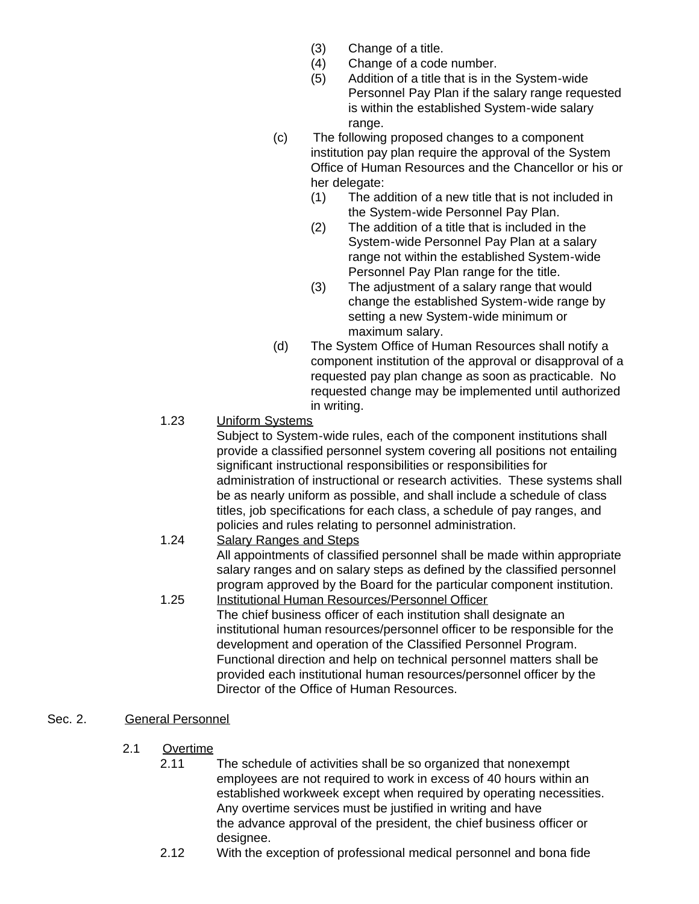- (3) Change of a title.
- (4) Change of a code number.
- (5) Addition of a title that is in the System-wide Personnel Pay Plan if the salary range requested is within the established System-wide salary range.
- (c) The following proposed changes to a component institution pay plan require the approval of the System Office of Human Resources and the Chancellor or his or her delegate:
	- (1) The addition of a new title that is not included in the System-wide Personnel Pay Plan.
	- (2) The addition of a title that is included in the System-wide Personnel Pay Plan at a salary range not within the established System-wide Personnel Pay Plan range for the title.
	- (3) The adjustment of a salary range that would change the established System-wide range by setting a new System-wide minimum or maximum salary.
- (d) The System Office of Human Resources shall notify a component institution of the approval or disapproval of a requested pay plan change as soon as practicable. No requested change may be implemented until authorized in writing.

# 1.23 Uniform Systems

Subject to System-wide rules, each of the component institutions shall provide a classified personnel system covering all positions not entailing significant instructional responsibilities or responsibilities for administration of instructional or research activities. These systems shall be as nearly uniform as possible, and shall include a schedule of class titles, job specifications for each class, a schedule of pay ranges, and policies and rules relating to personnel administration.

- 1.24 Salary Ranges and Steps All appointments of classified personnel shall be made within appropriate salary ranges and on salary steps as defined by the classified personnel program approved by the Board for the particular component institution.
- 1.25 Institutional Human Resources/Personnel Officer The chief business officer of each institution shall designate an institutional human resources/personnel officer to be responsible for the development and operation of the Classified Personnel Program. Functional direction and help on technical personnel matters shall be provided each institutional human resources/personnel officer by the Director of the Office of Human Resources.

# Sec. 2. General Personnel

- 2.1 Overtime
	- 2.11 The schedule of activities shall be so organized that nonexempt employees are not required to work in excess of 40 hours within an established workweek except when required by operating necessities. Any overtime services must be justified in writing and have the advance approval of the president, the chief business officer or designee.
	- 2.12 With the exception of professional medical personnel and bona fide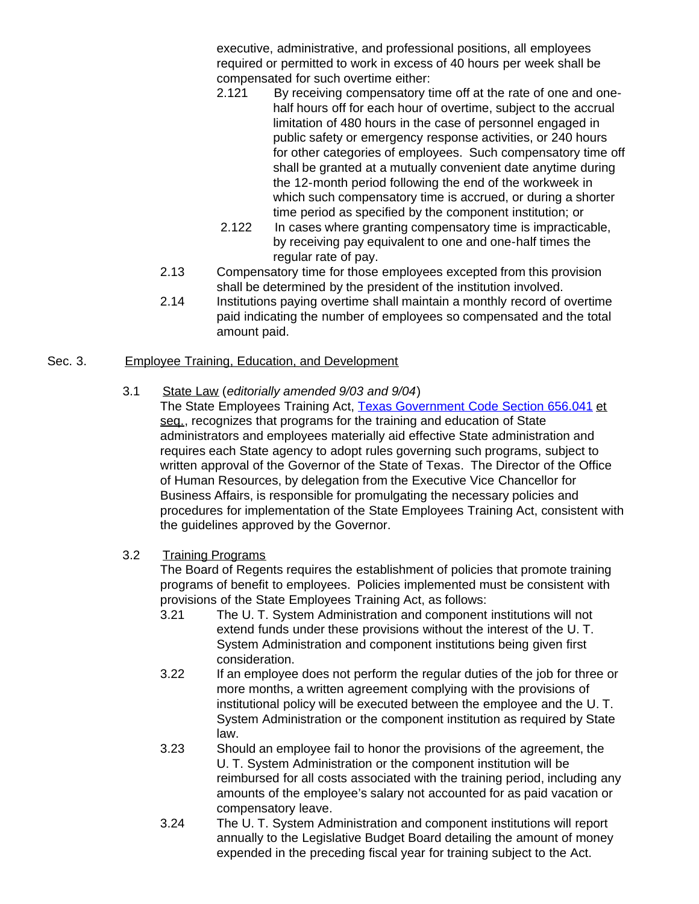executive, administrative, and professional positions, all employees required or permitted to work in excess of 40 hours per week shall be compensated for such overtime either:

- 2.121 By receiving compensatory time off at the rate of one and onehalf hours off for each hour of overtime, subject to the accrual limitation of 480 hours in the case of personnel engaged in public safety or emergency response activities, or 240 hours for other categories of employees. Such compensatory time off shall be granted at a mutually convenient date anytime during the 12-month period following the end of the workweek in which such compensatory time is accrued, or during a shorter time period as specified by the component institution; or
- 2.122 In cases where granting compensatory time is impracticable, by receiving pay equivalent to one and one-half times the regular rate of pay.
- 2.13 Compensatory time for those employees excepted from this provision shall be determined by the president of the institution involved.
- 2.14 Institutions paying overtime shall maintain a monthly record of overtime paid indicating the number of employees so compensated and the total amount paid.

# Sec. 3. Employee Training, Education, and Development

### 3.1 State Law (*editorially amended 9/03 and 9/04*)

The State Employees Training Act, [Texas Government Code Section](http://www.capitol.state.tx.us/statutes/go/go0065600.html#go008.656.041) 656.041 et seq., recognizes that programs for the training and education of State administrators and employees materially aid effective State administration and requires each State agency to adopt rules governing such programs, subject to written approval of the Governor of the State of Texas. The Director of the Office of Human Resources, by delegation from the Executive Vice Chancellor for Business Affairs, is responsible for promulgating the necessary policies and procedures for implementation of the State Employees Training Act, consistent with the guidelines approved by the Governor.

# 3.2 Training Programs

The Board of Regents requires the establishment of policies that promote training programs of benefit to employees. Policies implemented must be consistent with provisions of the State Employees Training Act, as follows:

- 3.21 The U. T. System Administration and component institutions will not extend funds under these provisions without the interest of the U. T. System Administration and component institutions being given first consideration.
- 3.22 If an employee does not perform the regular duties of the job for three or more months, a written agreement complying with the provisions of institutional policy will be executed between the employee and the U. T. System Administration or the component institution as required by State law.
- 3.23 Should an employee fail to honor the provisions of the agreement, the U. T. System Administration or the component institution will be reimbursed for all costs associated with the training period, including any amounts of the employee's salary not accounted for as paid vacation or compensatory leave.
- 3.24 The U. T. System Administration and component institutions will report annually to the Legislative Budget Board detailing the amount of money expended in the preceding fiscal year for training subject to the Act.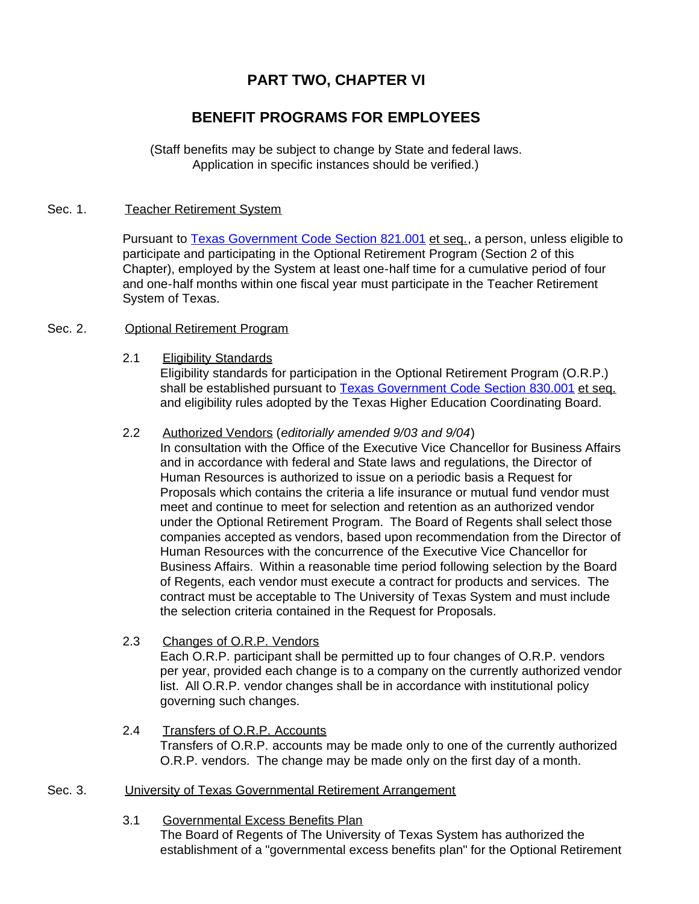# **PART TWO, CHAPTER VI**

# **BENEFIT PROGRAMS FOR EMPLOYEES**

(Staff benefits may be subject to change by State and federal laws. Application in specific instances should be verified.)

### Sec. 1. Teacher Retirement System

Pursuant to [Texas Government Code Section](http://www.capitol.state.tx.us/statutes/go/go0082100.html#go001.821.001) 821.001 et seq., a person, unless eligible to participate and participating in the Optional Retirement Program (Section 2 of this Chapter), employed by the System at least one-half time for a cumulative period of four and one-half months within one fiscal year must participate in the Teacher Retirement System of Texas.

#### Sec. 2. **Optional Retirement Program**

2.1 Eligibility Standards

Eligibility standards for participation in the Optional Retirement Program (O.R.P.) shall be established pursuant to [Texas Government Code Section](http://www.capitol.state.tx.us/statutes/go/go0083000.html#go001.830.001) 830.001 et seq. and eligibility rules adopted by the Texas Higher Education Coordinating Board.

### 2.2 Authorized Vendors (*editorially amended 9/03 and 9/04*)

In consultation with the Office of the Executive Vice Chancellor for Business Affairs and in accordance with federal and State laws and regulations, the Director of Human Resources is authorized to issue on a periodic basis a Request for Proposals which contains the criteria a life insurance or mutual fund vendor must meet and continue to meet for selection and retention as an authorized vendor under the Optional Retirement Program. The Board of Regents shall select those companies accepted as vendors, based upon recommendation from the Director of Human Resources with the concurrence of the Executive Vice Chancellor for Business Affairs. Within a reasonable time period following selection by the Board of Regents, each vendor must execute a contract for products and services. The contract must be acceptable to The University of Texas System and must include the selection criteria contained in the Request for Proposals.

#### 2.3 Changes of O.R.P. Vendors

Each O.R.P. participant shall be permitted up to four changes of O.R.P. vendors per year, provided each change is to a company on the currently authorized vendor list. All O.R.P. vendor changes shall be in accordance with institutional policy governing such changes.

2.4 Transfers of O.R.P. Accounts Transfers of O.R.P. accounts may be made only to one of the currently authorized O.R.P. vendors. The change may be made only on the first day of a month.

### Sec. 3. University of Texas Governmental Retirement Arrangement

3.1 Governmental Excess Benefits Plan

The Board of Regents of The University of Texas System has authorized the establishment of a "governmental excess benefits plan" for the Optional Retirement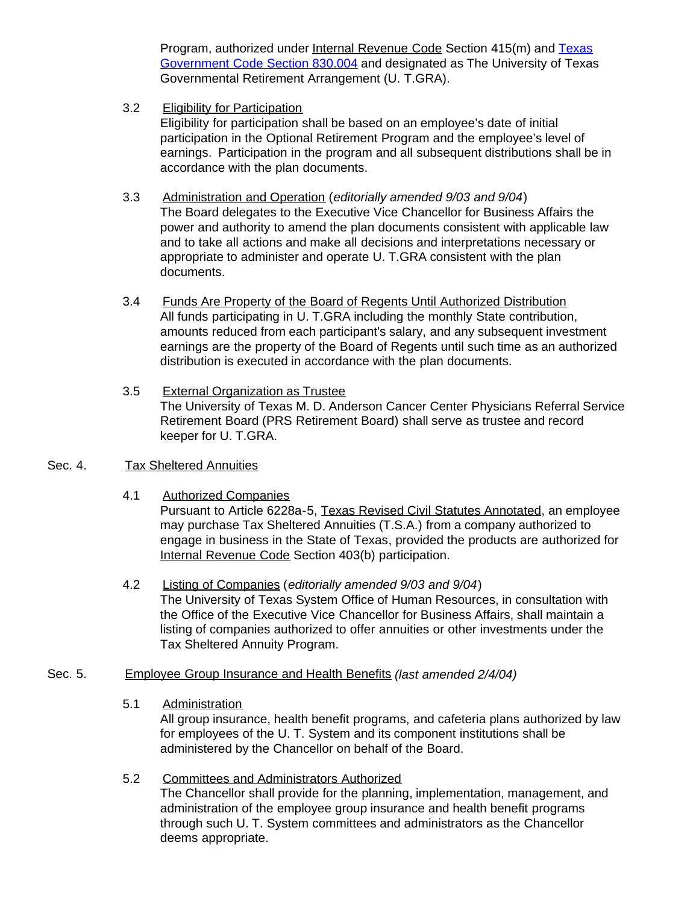Program, authorized under Internal Revenue Code Section 415(m) and [Texas](http://www.capitol.state.tx.us/statutes/go/go0083000.html#go005.830.004) [Government Code Section](http://www.capitol.state.tx.us/statutes/go/go0083000.html#go005.830.004) 830.004 and designated as The University of Texas Governmental Retirement Arrangement (U. T.GRA).

3.2 Eligibility for Participation

Eligibility for participation shall be based on an employee's date of initial participation in the Optional Retirement Program and the employee's level of earnings. Participation in the program and all subsequent distributions shall be in accordance with the plan documents.

- 3.3 Administration and Operation (*editorially amended 9/03 and 9/04*) The Board delegates to the Executive Vice Chancellor for Business Affairs the power and authority to amend the plan documents consistent with applicable law and to take all actions and make all decisions and interpretations necessary or appropriate to administer and operate U. T.GRA consistent with the plan documents.
- 3.4 Funds Are Property of the Board of Regents Until Authorized Distribution All funds participating in U. T.GRA including the monthly State contribution, amounts reduced from each participant's salary, and any subsequent investment earnings are the property of the Board of Regents until such time as an authorized distribution is executed in accordance with the plan documents.
- 3.5 External Organization as Trustee The University of Texas M. D. Anderson Cancer Center Physicians Referral Service Retirement Board (PRS Retirement Board) shall serve as trustee and record keeper for U. T.GRA.
- Sec. 4. Tax Sheltered Annuities
	- 4.1 Authorized Companies

Pursuant to Article 6228a-5, Texas Revised Civil Statutes Annotated, an employee may purchase Tax Sheltered Annuities (T.S.A.) from a company authorized to engage in business in the State of Texas, provided the products are authorized for Internal Revenue Code Section 403(b) participation.

- 4.2 Listing of Companies (*editorially amended 9/03 and 9/04*) The University of Texas System Office of Human Resources, in consultation with the Office of the Executive Vice Chancellor for Business Affairs, shall maintain a listing of companies authorized to offer annuities or other investments under the Tax Sheltered Annuity Program.
- Sec. 5. Employee Group Insurance and Health Benefits *(last amended 2/4/04)*
	- 5.1 Administration

All group insurance, health benefit programs, and cafeteria plans authorized by law for employees of the U. T. System and its component institutions shall be administered by the Chancellor on behalf of the Board.

5.2 Committees and Administrators Authorized The Chancellor shall provide for the planning, implementation, management, and administration of the employee group insurance and health benefit programs through such U. T. System committees and administrators as the Chancellor deems appropriate.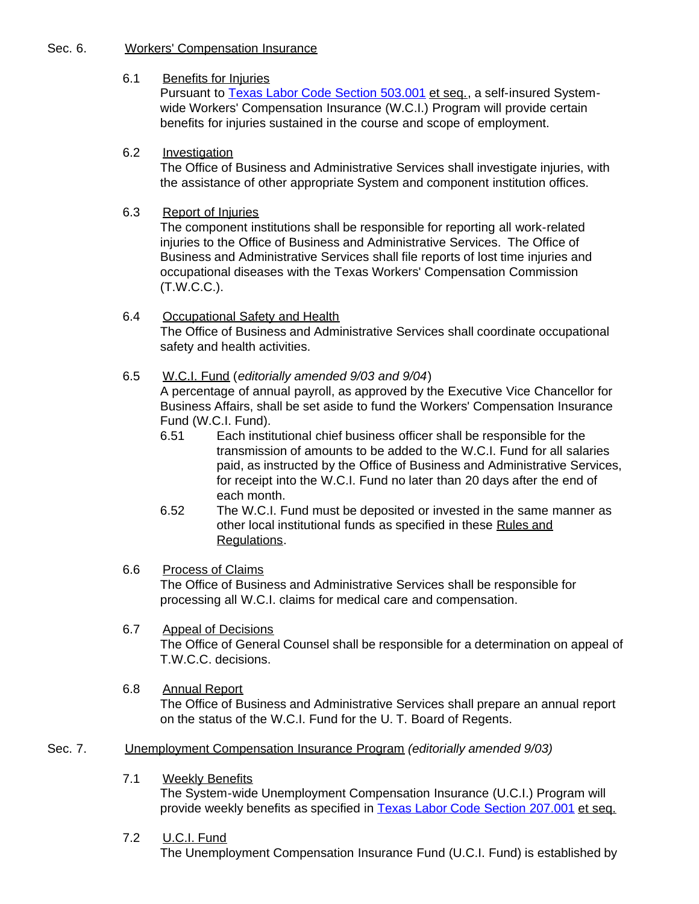#### Sec. 6. Workers' Compensation Insurance

### 6.1 Benefits for Injuries

Pursuant to [Texas Labor Code Section](http://www.capitol.state.tx.us/statutes/la/la0050300.html#la001.503.001) 503.001 et seq., a self-insured Systemwide Workers' Compensation Insurance (W.C.I.) Program will provide certain benefits for injuries sustained in the course and scope of employment.

### 6.2 Investigation

The Office of Business and Administrative Services shall investigate injuries, with the assistance of other appropriate System and component institution offices.

### 6.3 Report of Injuries

The component institutions shall be responsible for reporting all work-related injuries to the Office of Business and Administrative Services. The Office of Business and Administrative Services shall file reports of lost time injuries and occupational diseases with the Texas Workers' Compensation Commission (T.W.C.C.).

### 6.4 Occupational Safety and Health

The Office of Business and Administrative Services shall coordinate occupational safety and health activities.

### 6.5 W.C.I. Fund (*editorially amended 9/03 and 9/04*)

A percentage of annual payroll, as approved by the Executive Vice Chancellor for Business Affairs, shall be set aside to fund the Workers' Compensation Insurance Fund (W.C.I. Fund).

- 6.51 Each institutional chief business officer shall be responsible for the transmission of amounts to be added to the W.C.I. Fund for all salaries paid, as instructed by the Office of Business and Administrative Services, for receipt into the W.C.I. Fund no later than 20 days after the end of each month.
- 6.52 The W.C.I. Fund must be deposited or invested in the same manner as other local institutional funds as specified in these Rules and Regulations.

### 6.6 Process of Claims

The Office of Business and Administrative Services shall be responsible for processing all W.C.I. claims for medical care and compensation.

### 6.7 Appeal of Decisions

The Office of General Counsel shall be responsible for a determination on appeal of T.W.C.C. decisions.

6.8 Annual Report

The Office of Business and Administrative Services shall prepare an annual report on the status of the W.C.I. Fund for the U. T. Board of Regents.

### Sec. 7. Unemployment Compensation Insurance Program *(editorially amended 9/03)*

7.1 Weekly Benefits

The System-wide Unemployment Compensation Insurance (U.C.I.) Program will provide weekly benefits as specified in [Texas Labor Code Section](http://www.capitol.state.tx.us/statutes/la/la0020700.html#la001.207.001) 207.001 et seq.

### 7.2 U.C.I. Fund

The Unemployment Compensation Insurance Fund (U.C.I. Fund) is established by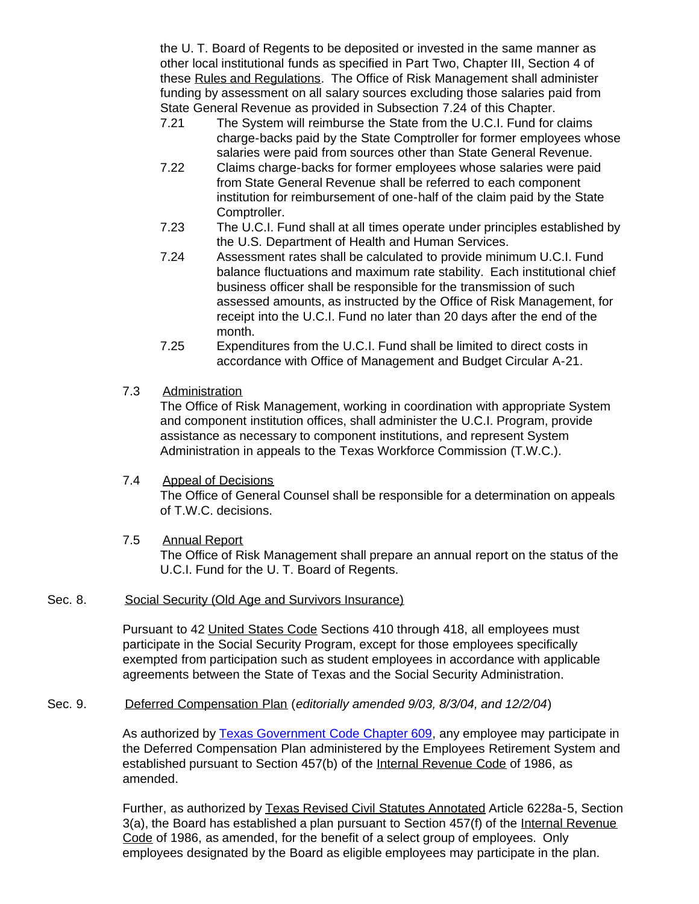the U. T. Board of Regents to be deposited or invested in the same manner as other local institutional funds as specified in Part Two, Chapter III, Section 4 of these Rules and Regulations. The Office of Risk Management shall administer funding by assessment on all salary sources excluding those salaries paid from State General Revenue as provided in Subsection 7.24 of this Chapter.

- 7.21 The System will reimburse the State from the U.C.I. Fund for claims charge-backs paid by the State Comptroller for former employees whose salaries were paid from sources other than State General Revenue.
- 7.22 Claims charge-backs for former employees whose salaries were paid from State General Revenue shall be referred to each component institution for reimbursement of one-half of the claim paid by the State Comptroller.
- 7.23 The U.C.I. Fund shall at all times operate under principles established by the U.S. Department of Health and Human Services.
- 7.24 Assessment rates shall be calculated to provide minimum U.C.I. Fund balance fluctuations and maximum rate stability. Each institutional chief business officer shall be responsible for the transmission of such assessed amounts, as instructed by the Office of Risk Management, for receipt into the U.C.I. Fund no later than 20 days after the end of the month.
- 7.25 Expenditures from the U.C.I. Fund shall be limited to direct costs in accordance with Office of Management and Budget Circular A-21.
- 7.3 Administration

The Office of Risk Management, working in coordination with appropriate System and component institution offices, shall administer the U.C.I. Program, provide assistance as necessary to component institutions, and represent System Administration in appeals to the Texas Workforce Commission (T.W.C.).

# 7.4 Appeal of Decisions

The Office of General Counsel shall be responsible for a determination on appeals of T.W.C. decisions.

7.5 Annual Report The Office of Risk Management shall prepare an annual report on the status of the U.C.I. Fund for the U. T. Board of Regents.

### Sec. 8. Social Security (Old Age and Survivors Insurance)

Pursuant to 42 United States Code Sections 410 through 418, all employees must participate in the Social Security Program, except for those employees specifically exempted from participation such as student employees in accordance with applicable agreements between the State of Texas and the Social Security Administration.

# Sec. 9. Deferred Compensation Plan (*editorially amended 9/03, 8/3/04, and 12/2/04*)

As authorized by [Texas Government Code Chapter](http://www.capitol.state.tx.us/statutes/go/go0060900toc.html) 609, any employee may participate in the Deferred Compensation Plan administered by the Employees Retirement System and established pursuant to Section 457(b) of the Internal Revenue Code of 1986, as amended.

Further, as authorized by Texas Revised Civil Statutes Annotated Article 6228a-5, Section 3(a), the Board has established a plan pursuant to Section 457(f) of the Internal Revenue Code of 1986, as amended, for the benefit of a select group of employees. Only employees designated by the Board as eligible employees may participate in the plan.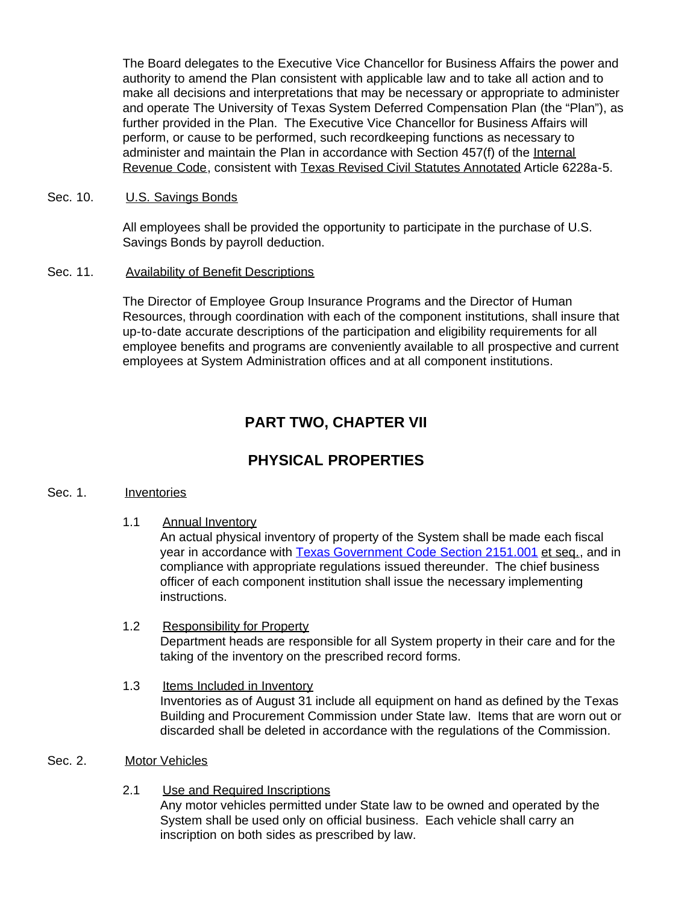The Board delegates to the Executive Vice Chancellor for Business Affairs the power and authority to amend the Plan consistent with applicable law and to take all action and to make all decisions and interpretations that may be necessary or appropriate to administer and operate The University of Texas System Deferred Compensation Plan (the "Plan"), as further provided in the Plan. The Executive Vice Chancellor for Business Affairs will perform, or cause to be performed, such recordkeeping functions as necessary to administer and maintain the Plan in accordance with Section 457(f) of the Internal Revenue Code, consistent with Texas Revised Civil Statutes Annotated Article 6228a-5.

#### Sec. 10. U.S. Savings Bonds

All employees shall be provided the opportunity to participate in the purchase of U.S. Savings Bonds by payroll deduction.

#### Sec. 11. Availability of Benefit Descriptions

The Director of Employee Group Insurance Programs and the Director of Human Resources, through coordination with each of the component institutions, shall insure that up-to-date accurate descriptions of the participation and eligibility requirements for all employee benefits and programs are conveniently available to all prospective and current employees at System Administration offices and at all component institutions.

# **PART TWO, CHAPTER VII**

# **PHYSICAL PROPERTIES**

#### Sec. 1. Inventories

1.1 Annual Inventory

An actual physical inventory of property of the System shall be made each fiscal year in accordance with [Texas Government Code Section](http://www.capitol.state.tx.us/statutes/go/go0215100.html#go001.2151.001) 2151.001 et seq., and in compliance with appropriate regulations issued thereunder. The chief business officer of each component institution shall issue the necessary implementing instructions.

- 1.2 Responsibility for Property Department heads are responsible for all System property in their care and for the taking of the inventory on the prescribed record forms.
- 1.3 Items Included in Inventory Inventories as of August 31 include all equipment on hand as defined by the Texas Building and Procurement Commission under State law. Items that are worn out or discarded shall be deleted in accordance with the regulations of the Commission.
- Sec. 2. Motor Vehicles
	- 2.1 Use and Required Inscriptions Any motor vehicles permitted under State law to be owned and operated by the System shall be used only on official business. Each vehicle shall carry an inscription on both sides as prescribed by law.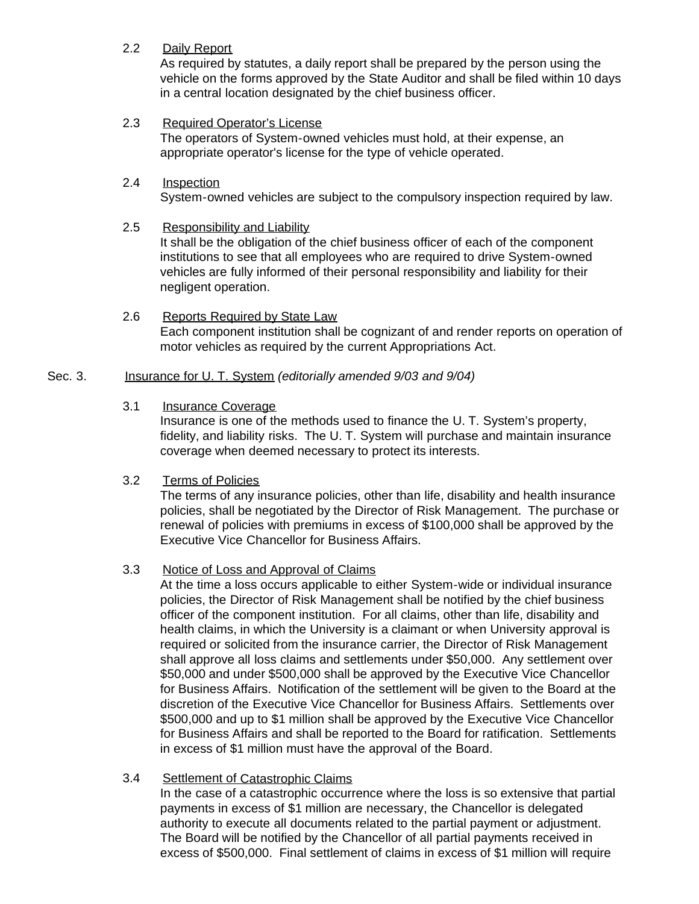### 2.2 Daily Report

As required by statutes, a daily report shall be prepared by the person using the vehicle on the forms approved by the State Auditor and shall be filed within 10 days in a central location designated by the chief business officer.

### 2.3 Required Operator's License

The operators of System-owned vehicles must hold, at their expense, an appropriate operator's license for the type of vehicle operated.

#### 2.4 Inspection System-owned vehicles are subject to the compulsory inspection required by law.

### 2.5 Responsibility and Liability

It shall be the obligation of the chief business officer of each of the component institutions to see that all employees who are required to drive System-owned vehicles are fully informed of their personal responsibility and liability for their negligent operation.

2.6 Reports Required by State Law Each component institution shall be cognizant of and render reports on operation of motor vehicles as required by the current Appropriations Act.

### Sec. 3. Insurance for U. T. System *(editorially amended 9/03 and 9/04)*

### 3.1 Insurance Coverage

Insurance is one of the methods used to finance the U. T. System's property, fidelity, and liability risks. The U. T. System will purchase and maintain insurance coverage when deemed necessary to protect its interests.

### 3.2 Terms of Policies

The terms of any insurance policies, other than life, disability and health insurance policies, shall be negotiated by the Director of Risk Management. The purchase or renewal of policies with premiums in excess of \$100,000 shall be approved by the Executive Vice Chancellor for Business Affairs.

### 3.3 Notice of Loss and Approval of Claims

At the time a loss occurs applicable to either System-wide or individual insurance policies, the Director of Risk Management shall be notified by the chief business officer of the component institution. For all claims, other than life, disability and health claims, in which the University is a claimant or when University approval is required or solicited from the insurance carrier, the Director of Risk Management shall approve all loss claims and settlements under \$50,000. Any settlement over \$50,000 and under \$500,000 shall be approved by the Executive Vice Chancellor for Business Affairs. Notification of the settlement will be given to the Board at the discretion of the Executive Vice Chancellor for Business Affairs. Settlements over \$500,000 and up to \$1 million shall be approved by the Executive Vice Chancellor for Business Affairs and shall be reported to the Board for ratification. Settlements in excess of \$1 million must have the approval of the Board.

### 3.4 Settlement of Catastrophic Claims

In the case of a catastrophic occurrence where the loss is so extensive that partial payments in excess of \$1 million are necessary, the Chancellor is delegated authority to execute all documents related to the partial payment or adjustment. The Board will be notified by the Chancellor of all partial payments received in excess of \$500,000. Final settlement of claims in excess of \$1 million will require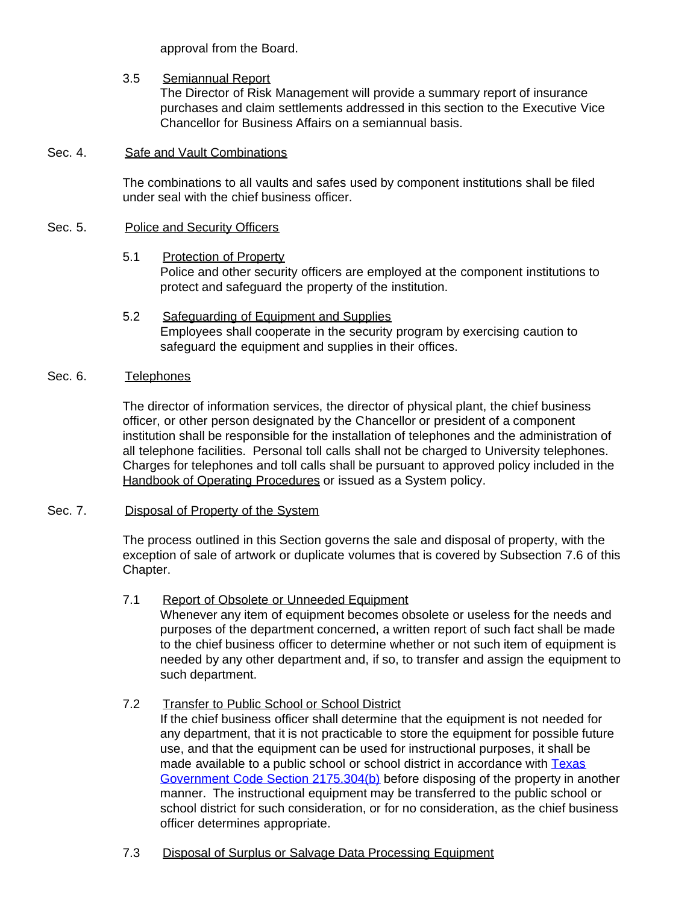approval from the Board.

### 3.5 Semiannual Report

The Director of Risk Management will provide a summary report of insurance purchases and claim settlements addressed in this section to the Executive Vice Chancellor for Business Affairs on a semiannual basis.

#### Sec. 4. Safe and Vault Combinations

The combinations to all vaults and safes used by component institutions shall be filed under seal with the chief business officer.

#### Sec. 5. Police and Security Officers

- 5.1 Protection of Property Police and other security officers are employed at the component institutions to protect and safeguard the property of the institution.
- 5.2 Safeguarding of Equipment and Supplies Employees shall cooperate in the security program by exercising caution to safeguard the equipment and supplies in their offices.

### Sec. 6. Telephones

The director of information services, the director of physical plant, the chief business officer, or other person designated by the Chancellor or president of a component institution shall be responsible for the installation of telephones and the administration of all telephone facilities. Personal toll calls shall not be charged to University telephones. Charges for telephones and toll calls shall be pursuant to approved policy included in the Handbook of Operating Procedures or issued as a System policy.

### Sec. 7. Disposal of Property of the System

The process outlined in this Section governs the sale and disposal of property, with the exception of sale of artwork or duplicate volumes that is covered by Subsection 7.6 of this Chapter.

7.1 Report of Obsolete or Unneeded Equipment

Whenever any item of equipment becomes obsolete or useless for the needs and purposes of the department concerned, a written report of such fact shall be made to the chief business officer to determine whether or not such item of equipment is needed by any other department and, if so, to transfer and assign the equipment to such department.

### 7.2 Transfer to Public School or School District

If the chief business officer shall determine that the equipment is not needed for any department, that it is not practicable to store the equipment for possible future use, and that the equipment can be used for instructional purposes, it shall be made available to a public school or school district in accordance with [Texas](http://www.capitol.state.tx.us/statutes/go/go0217500.html#go060.2175.304) [Government Code Section](http://www.capitol.state.tx.us/statutes/go/go0217500.html#go060.2175.304) 2175.304(b) before disposing of the property in another manner. The instructional equipment may be transferred to the public school or school district for such consideration, or for no consideration, as the chief business officer determines appropriate.

7.3 Disposal of Surplus or Salvage Data Processing Equipment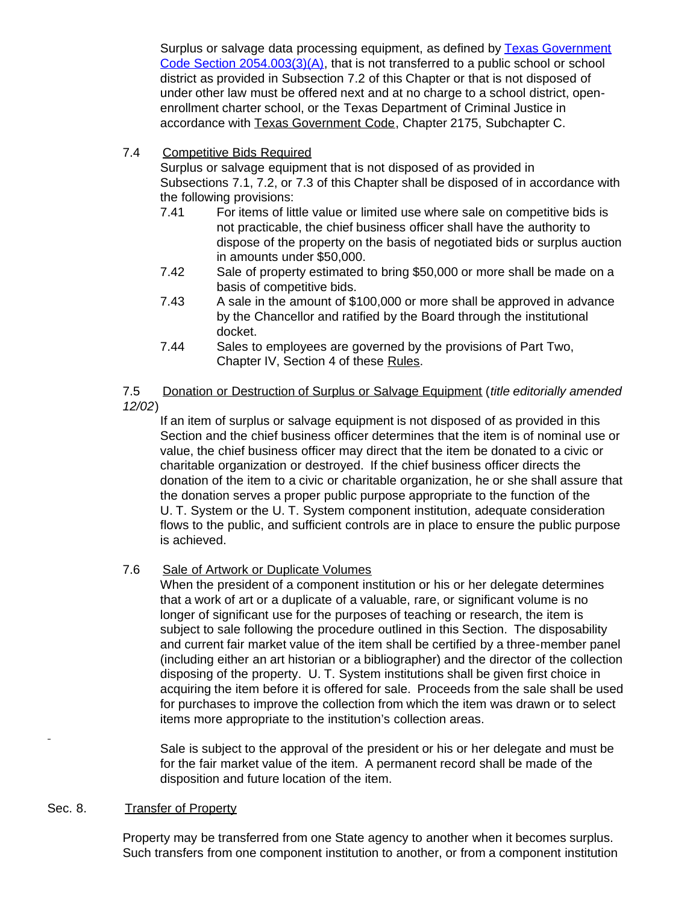Surplus or salvage data processing equipment, as defined by **Texas Government** Code Section  $2054.003(3)(A)$ , that is not transferred to a public school or school district as provided in Subsection 7.2 of this Chapter or that is not disposed of under other law must be offered next and at no charge to a school district, openenrollment charter school, or the Texas Department of Criminal Justice in accordance with Texas Government Code, Chapter 2175, Subchapter C.

7.4 Competitive Bids Required

Surplus or salvage equipment that is not disposed of as provided in Subsections 7.1, 7.2, or 7.3 of this Chapter shall be disposed of in accordance with the following provisions:<br>7.41 For items of litt

- For items of little value or limited use where sale on competitive bids is not practicable, the chief business officer shall have the authority to dispose of the property on the basis of negotiated bids or surplus auction in amounts under \$50,000.
- 7.42 Sale of property estimated to bring \$50,000 or more shall be made on a basis of competitive bids.
- 7.43 A sale in the amount of \$100,000 or more shall be approved in advance by the Chancellor and ratified by the Board through the institutional docket.
- 7.44 Sales to employees are governed by the provisions of Part Two, Chapter IV, Section 4 of these Rules.

7.5 Donation or Destruction of Surplus or Salvage Equipment (*title editorially amended 12/02*)

If an item of surplus or salvage equipment is not disposed of as provided in this Section and the chief business officer determines that the item is of nominal use or value, the chief business officer may direct that the item be donated to a civic or charitable organization or destroyed. If the chief business officer directs the donation of the item to a civic or charitable organization, he or she shall assure that the donation serves a proper public purpose appropriate to the function of the U. T. System or the U. T. System component institution, adequate consideration flows to the public, and sufficient controls are in place to ensure the public purpose is achieved.

7.6 Sale of Artwork or Duplicate Volumes

When the president of a component institution or his or her delegate determines that a work of art or a duplicate of a valuable, rare, or significant volume is no longer of significant use for the purposes of teaching or research, the item is subject to sale following the procedure outlined in this Section. The disposability and current fair market value of the item shall be certified by a three-member panel (including either an art historian or a bibliographer) and the director of the collection disposing of the property. U. T. System institutions shall be given first choice in acquiring the item before it is offered for sale. Proceeds from the sale shall be used for purchases to improve the collection from which the item was drawn or to select items more appropriate to the institution's collection areas.

Sale is subject to the approval of the president or his or her delegate and must be for the fair market value of the item. A permanent record shall be made of the disposition and future location of the item.

#### Sec. 8. Transfer of Property

Property may be transferred from one State agency to another when it becomes surplus. Such transfers from one component institution to another, or from a component institution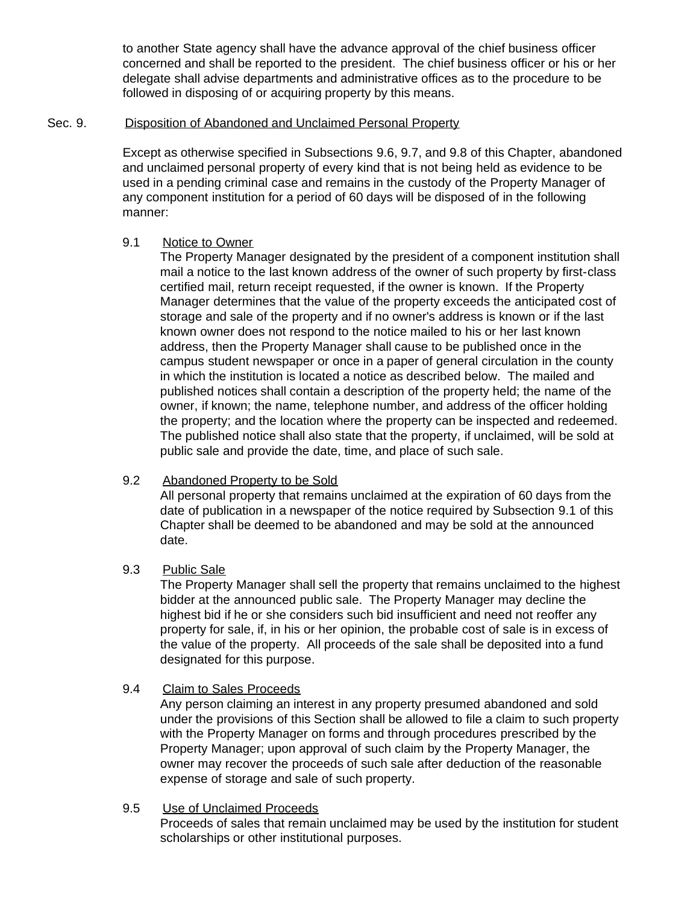to another State agency shall have the advance approval of the chief business officer concerned and shall be reported to the president. The chief business officer or his or her delegate shall advise departments and administrative offices as to the procedure to be followed in disposing of or acquiring property by this means.

#### Sec. 9. Disposition of Abandoned and Unclaimed Personal Property

Except as otherwise specified in Subsections 9.6, 9.7, and 9.8 of this Chapter, abandoned and unclaimed personal property of every kind that is not being held as evidence to be used in a pending criminal case and remains in the custody of the Property Manager of any component institution for a period of 60 days will be disposed of in the following manner:

### 9.1 Notice to Owner

The Property Manager designated by the president of a component institution shall mail a notice to the last known address of the owner of such property by first-class certified mail, return receipt requested, if the owner is known. If the Property Manager determines that the value of the property exceeds the anticipated cost of storage and sale of the property and if no owner's address is known or if the last known owner does not respond to the notice mailed to his or her last known address, then the Property Manager shall cause to be published once in the campus student newspaper or once in a paper of general circulation in the county in which the institution is located a notice as described below. The mailed and published notices shall contain a description of the property held; the name of the owner, if known; the name, telephone number, and address of the officer holding the property; and the location where the property can be inspected and redeemed. The published notice shall also state that the property, if unclaimed, will be sold at public sale and provide the date, time, and place of such sale.

# 9.2 Abandoned Property to be Sold

All personal property that remains unclaimed at the expiration of 60 days from the date of publication in a newspaper of the notice required by Subsection 9.1 of this Chapter shall be deemed to be abandoned and may be sold at the announced date.

# 9.3 Public Sale

The Property Manager shall sell the property that remains unclaimed to the highest bidder at the announced public sale. The Property Manager may decline the highest bid if he or she considers such bid insufficient and need not reoffer any property for sale, if, in his or her opinion, the probable cost of sale is in excess of the value of the property. All proceeds of the sale shall be deposited into a fund designated for this purpose.

# 9.4 Claim to Sales Proceeds

Any person claiming an interest in any property presumed abandoned and sold under the provisions of this Section shall be allowed to file a claim to such property with the Property Manager on forms and through procedures prescribed by the Property Manager; upon approval of such claim by the Property Manager, the owner may recover the proceeds of such sale after deduction of the reasonable expense of storage and sale of such property.

### 9.5 Use of Unclaimed Proceeds

Proceeds of sales that remain unclaimed may be used by the institution for student scholarships or other institutional purposes.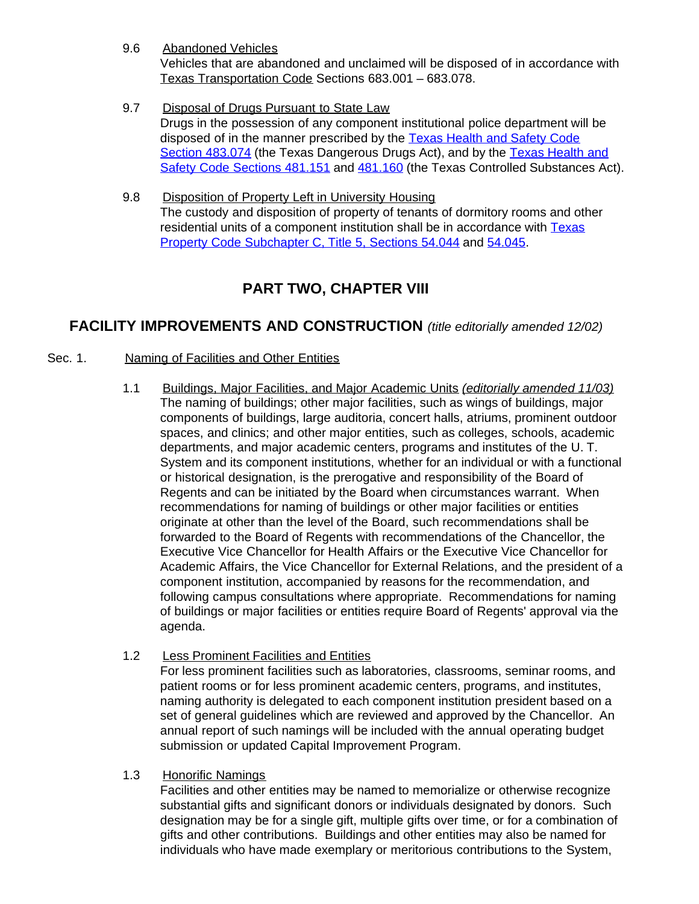9.6 Abandoned Vehicles

Vehicles that are abandoned and unclaimed will be disposed of in accordance with Texas Transportation Code Sections 683.001 – 683.078.

- 9.7 Disposal of Drugs Pursuant to State Law Drugs in the possession of any component institutional police department will be disposed of in the manner prescribed by the [Texas Health and Safety Code](http://www.capitol.state.tx.us/statutes/he/he0048300.html#he026.483.074) Section [483.074](http://www.capitol.state.tx.us/statutes/he/he0048300.html#he026.483.074) (the Texas Dangerous Drugs Act), and by the [Texas Health and](http://www.capitol.state.tx.us/statutes/he/he0048100.html#he071.481.151) [Safety Code Sections](http://www.capitol.state.tx.us/statutes/he/he0048100.html#he071.481.151) 481.151 and [481.160](http://www.capitol.state.tx.us/statutes/he/he0048100.html#he076.481.160) (the Texas Controlled Substances Act).
- 9.8 Disposition of Property Left in University Housing The custody and disposition of property of tenants of dormitory rooms and other residential units of a component institution shall be in accordance with [Texas](http://www.capitol.state.tx.us/statutes/py/py0005400.html#py016.54.044) [Property Code Subchapter](http://www.capitol.state.tx.us/statutes/py/py0005400.html#py016.54.044) C, Title 5, Sections 54.044 and [54.045.](http://www.capitol.state.tx.us/statutes/py/py0005400.html#py017.54.045)

# **PART TWO, CHAPTER VIII**

# **FACILITY IMPROVEMENTS AND CONSTRUCTION** *(title editorially amended 12/02)*

- Sec. 1. Naming of Facilities and Other Entities
	- 1.1 Buildings, Major Facilities, and Major Academic Units *(editorially amended 11/03)* The naming of buildings; other major facilities, such as wings of buildings, major components of buildings, large auditoria, concert halls, atriums, prominent outdoor spaces, and clinics; and other major entities, such as colleges, schools, academic departments, and major academic centers, programs and institutes of the U. T. System and its component institutions, whether for an individual or with a functional or historical designation, is the prerogative and responsibility of the Board of Regents and can be initiated by the Board when circumstances warrant. When recommendations for naming of buildings or other major facilities or entities originate at other than the level of the Board, such recommendations shall be forwarded to the Board of Regents with recommendations of the Chancellor, the Executive Vice Chancellor for Health Affairs or the Executive Vice Chancellor for Academic Affairs, the Vice Chancellor for External Relations, and the president of a component institution, accompanied by reasons for the recommendation, and following campus consultations where appropriate. Recommendations for naming of buildings or major facilities or entities require Board of Regents' approval via the agenda.
	- 1.2 Less Prominent Facilities and Entities For less prominent facilities such as laboratories, classrooms, seminar rooms, and patient rooms or for less prominent academic centers, programs, and institutes, naming authority is delegated to each component institution president based on a set of general guidelines which are reviewed and approved by the Chancellor. An annual report of such namings will be included with the annual operating budget submission or updated Capital Improvement Program.
	- 1.3 Honorific Namings

Facilities and other entities may be named to memorialize or otherwise recognize substantial gifts and significant donors or individuals designated by donors. Such designation may be for a single gift, multiple gifts over time, or for a combination of gifts and other contributions. Buildings and other entities may also be named for individuals who have made exemplary or meritorious contributions to the System,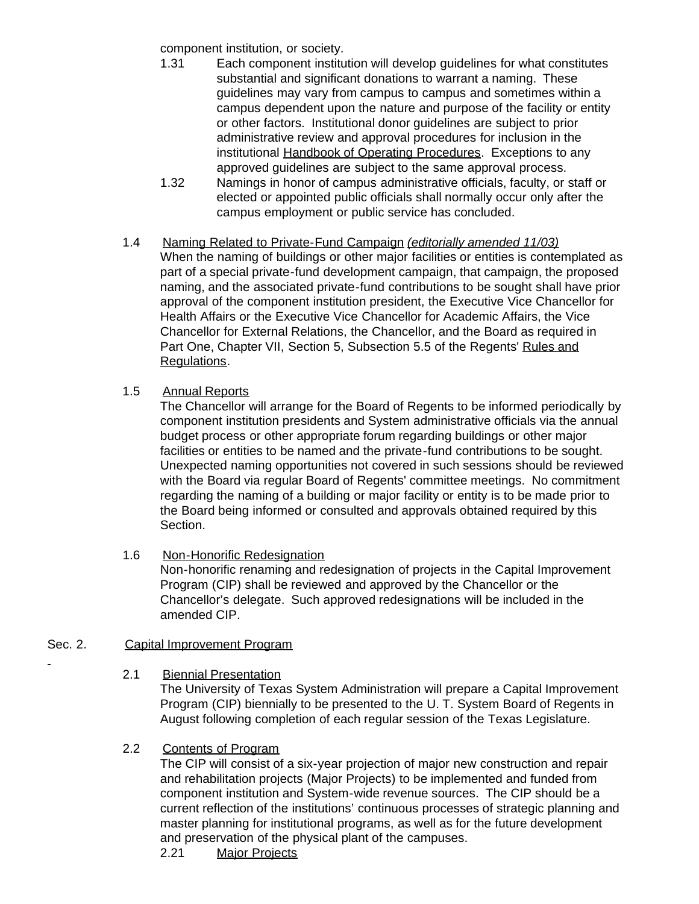component institution, or society.

- 1.31 Each component institution will develop guidelines for what constitutes substantial and significant donations to warrant a naming. These guidelines may vary from campus to campus and sometimes within a campus dependent upon the nature and purpose of the facility or entity or other factors. Institutional donor guidelines are subject to prior administrative review and approval procedures for inclusion in the institutional Handbook of Operating Procedures. Exceptions to any approved guidelines are subject to the same approval process.
- 1.32 Namings in honor of campus administrative officials, faculty, or staff or elected or appointed public officials shall normally occur only after the campus employment or public service has concluded.
- 1.4 Naming Related to Private-Fund Campaign *(editorially amended 11/03)* When the naming of buildings or other major facilities or entities is contemplated as part of a special private-fund development campaign, that campaign, the proposed naming, and the associated private-fund contributions to be sought shall have prior approval of the component institution president, the Executive Vice Chancellor for Health Affairs or the Executive Vice Chancellor for Academic Affairs, the Vice Chancellor for External Relations, the Chancellor, and the Board as required in Part One, Chapter VII, Section 5, Subsection 5.5 of the Regents' Rules and Regulations.
- 1.5 Annual Reports

The Chancellor will arrange for the Board of Regents to be informed periodically by component institution presidents and System administrative officials via the annual budget process or other appropriate forum regarding buildings or other major facilities or entities to be named and the private-fund contributions to be sought. Unexpected naming opportunities not covered in such sessions should be reviewed with the Board via regular Board of Regents' committee meetings. No commitment regarding the naming of a building or major facility or entity is to be made prior to the Board being informed or consulted and approvals obtained required by this Section.

1.6 Non-Honorific Redesignation

Non-honorific renaming and redesignation of projects in the Capital Improvement Program (CIP) shall be reviewed and approved by the Chancellor or the Chancellor's delegate. Such approved redesignations will be included in the amended CIP.

# Sec. 2. Capital Improvement Program

2.1 Biennial Presentation

The University of Texas System Administration will prepare a Capital Improvement Program (CIP) biennially to be presented to the U. T. System Board of Regents in August following completion of each regular session of the Texas Legislature.

### 2.2 Contents of Program

The CIP will consist of a six-year projection of major new construction and repair and rehabilitation projects (Major Projects) to be implemented and funded from component institution and System-wide revenue sources. The CIP should be a current reflection of the institutions' continuous processes of strategic planning and master planning for institutional programs, as well as for the future development and preservation of the physical plant of the campuses.

2.21 Major Projects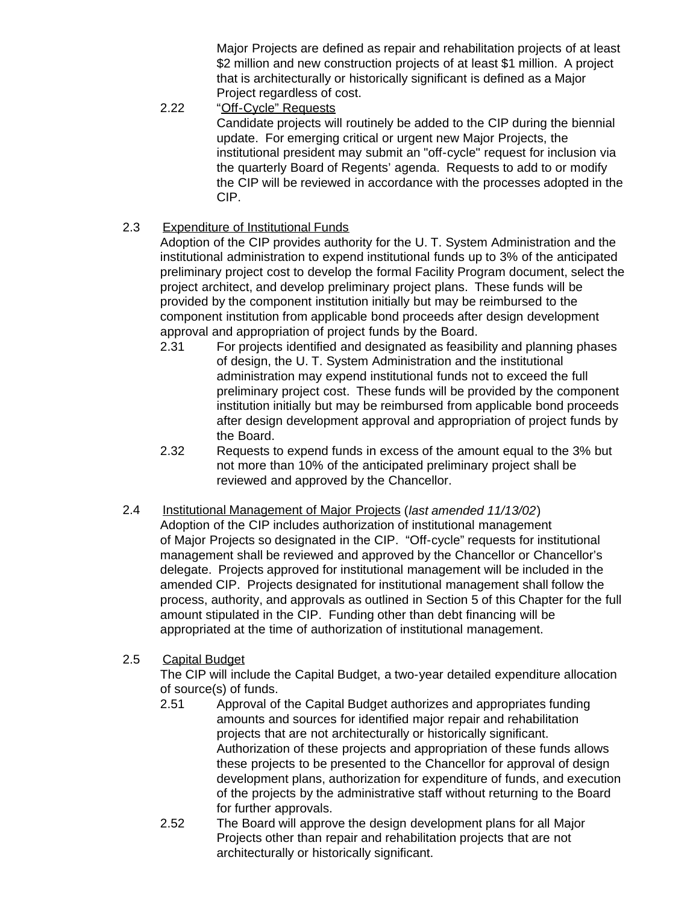Major Projects are defined as repair and rehabilitation projects of at least \$2 million and new construction projects of at least \$1 million. A project that is architecturally or historically significant is defined as a Major Project regardless of cost.

2.22 "Off-Cycle" Requests

Candidate projects will routinely be added to the CIP during the biennial update. For emerging critical or urgent new Major Projects, the institutional president may submit an "off-cycle" request for inclusion via the quarterly Board of Regents' agenda. Requests to add to or modify the CIP will be reviewed in accordance with the processes adopted in the CIP.

2.3 Expenditure of Institutional Funds

Adoption of the CIP provides authority for the U. T. System Administration and the institutional administration to expend institutional funds up to 3% of the anticipated preliminary project cost to develop the formal Facility Program document, select the project architect, and develop preliminary project plans. These funds will be provided by the component institution initially but may be reimbursed to the component institution from applicable bond proceeds after design development approval and appropriation of project funds by the Board.

- 2.31 For projects identified and designated as feasibility and planning phases of design, the U. T. System Administration and the institutional administration may expend institutional funds not to exceed the full preliminary project cost. These funds will be provided by the component institution initially but may be reimbursed from applicable bond proceeds after design development approval and appropriation of project funds by the Board.
- 2.32 Requests to expend funds in excess of the amount equal to the 3% but not more than 10% of the anticipated preliminary project shall be reviewed and approved by the Chancellor.
- 2.4 Institutional Management of Major Projects (*last amended 11/13/02*) Adoption of the CIP includes authorization of institutional management of Major Projects so designated in the CIP. "Off-cycle" requests for institutional management shall be reviewed and approved by the Chancellor or Chancellor's delegate. Projects approved for institutional management will be included in the amended CIP. Projects designated for institutional management shall follow the process, authority, and approvals as outlined in Section 5 of this Chapter for the full amount stipulated in the CIP. Funding other than debt financing will be appropriated at the time of authorization of institutional management.
- 2.5 Capital Budget

The CIP will include the Capital Budget, a two-year detailed expenditure allocation of source(s) of funds.

- 2.51 Approval of the Capital Budget authorizes and appropriates funding amounts and sources for identified major repair and rehabilitation projects that are not architecturally or historically significant. Authorization of these projects and appropriation of these funds allows these projects to be presented to the Chancellor for approval of design development plans, authorization for expenditure of funds, and execution of the projects by the administrative staff without returning to the Board for further approvals.
- 2.52 The Board will approve the design development plans for all Major Projects other than repair and rehabilitation projects that are not architecturally or historically significant.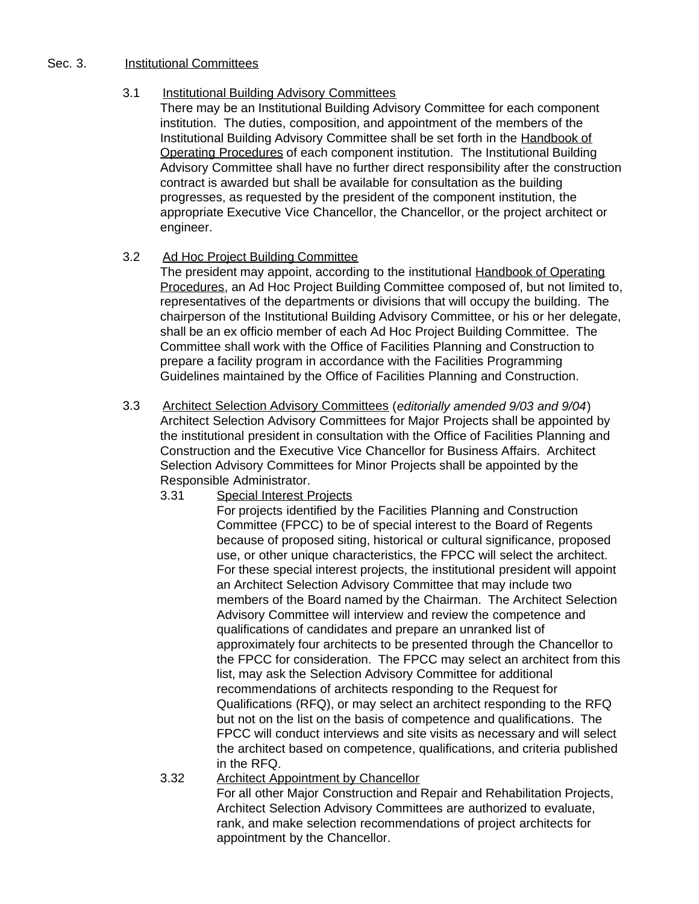#### Sec. 3. **Institutional Committees**

### 3.1 Institutional Building Advisory Committees

There may be an Institutional Building Advisory Committee for each component institution. The duties, composition, and appointment of the members of the Institutional Building Advisory Committee shall be set forth in the Handbook of Operating Procedures of each component institution. The Institutional Building Advisory Committee shall have no further direct responsibility after the construction contract is awarded but shall be available for consultation as the building progresses, as requested by the president of the component institution, the appropriate Executive Vice Chancellor, the Chancellor, or the project architect or engineer.

### 3.2 Ad Hoc Project Building Committee

The president may appoint, according to the institutional Handbook of Operating Procedures, an Ad Hoc Project Building Committee composed of, but not limited to, representatives of the departments or divisions that will occupy the building. The chairperson of the Institutional Building Advisory Committee, or his or her delegate, shall be an ex officio member of each Ad Hoc Project Building Committee. The Committee shall work with the Office of Facilities Planning and Construction to prepare a facility program in accordance with the Facilities Programming Guidelines maintained by the Office of Facilities Planning and Construction.

- 3.3 Architect Selection Advisory Committees (*editorially amended 9/03 and 9/04*) Architect Selection Advisory Committees for Major Projects shall be appointed by the institutional president in consultation with the Office of Facilities Planning and Construction and the Executive Vice Chancellor for Business Affairs. Architect Selection Advisory Committees for Minor Projects shall be appointed by the Responsible Administrator.
	- 3.31 Special Interest Projects

For projects identified by the Facilities Planning and Construction Committee (FPCC) to be of special interest to the Board of Regents because of proposed siting, historical or cultural significance, proposed use, or other unique characteristics, the FPCC will select the architect. For these special interest projects, the institutional president will appoint an Architect Selection Advisory Committee that may include two members of the Board named by the Chairman. The Architect Selection Advisory Committee will interview and review the competence and qualifications of candidates and prepare an unranked list of approximately four architects to be presented through the Chancellor to the FPCC for consideration. The FPCC may select an architect from this list, may ask the Selection Advisory Committee for additional recommendations of architects responding to the Request for Qualifications (RFQ), or may select an architect responding to the RFQ but not on the list on the basis of competence and qualifications. The FPCC will conduct interviews and site visits as necessary and will select the architect based on competence, qualifications, and criteria published in the RFQ.

3.32 Architect Appointment by Chancellor For all other Major Construction and Repair and Rehabilitation Projects, Architect Selection Advisory Committees are authorized to evaluate, rank, and make selection recommendations of project architects for appointment by the Chancellor.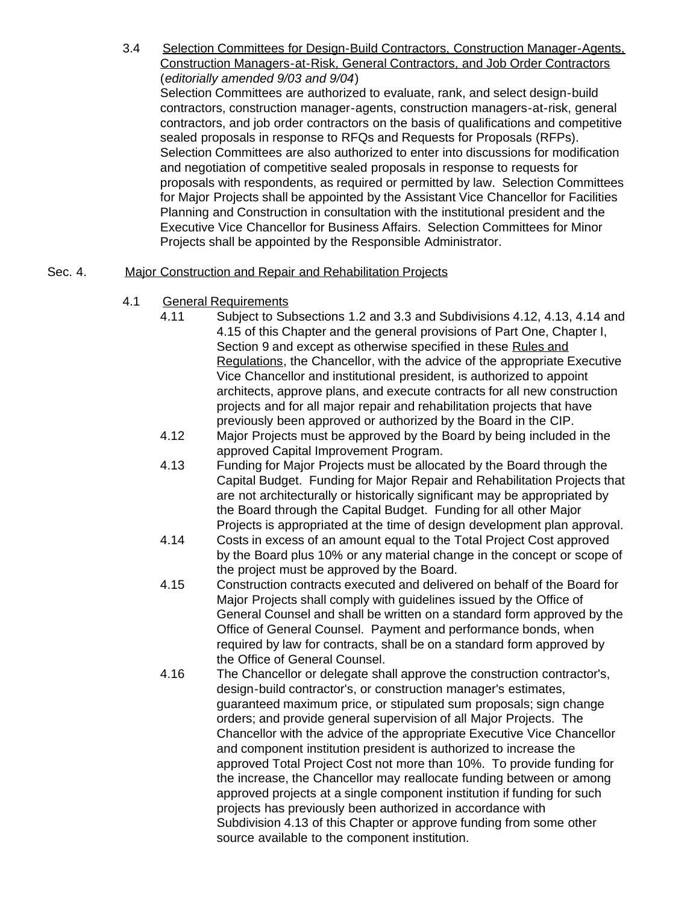3.4 Selection Committees for Design-Build Contractors, Construction Manager-Agents, Construction Managers-at-Risk, General Contractors, and Job Order Contractors (*editorially amended 9/03 and 9/04*) Selection Committees are authorized to evaluate, rank, and select design-build contractors, construction manager-agents, construction managers-at-risk, general contractors, and job order contractors on the basis of qualifications and competitive sealed proposals in response to RFQs and Requests for Proposals (RFPs). Selection Committees are also authorized to enter into discussions for modification

and negotiation of competitive sealed proposals in response to requests for proposals with respondents, as required or permitted by law. Selection Committees for Major Projects shall be appointed by the Assistant Vice Chancellor for Facilities Planning and Construction in consultation with the institutional president and the Executive Vice Chancellor for Business Affairs. Selection Committees for Minor Projects shall be appointed by the Responsible Administrator.

### Sec. 4. Major Construction and Repair and Rehabilitation Projects

- 4.1 General Requirements
	- 4.11 Subject to Subsections 1.2 and 3.3 and Subdivisions 4.12, 4.13, 4.14 and 4.15 of this Chapter and the general provisions of Part One, Chapter I, Section 9 and except as otherwise specified in these Rules and Regulations, the Chancellor, with the advice of the appropriate Executive Vice Chancellor and institutional president, is authorized to appoint architects, approve plans, and execute contracts for all new construction projects and for all major repair and rehabilitation projects that have previously been approved or authorized by the Board in the CIP.
	- 4.12 Major Projects must be approved by the Board by being included in the approved Capital Improvement Program.
	- 4.13 Funding for Major Projects must be allocated by the Board through the Capital Budget. Funding for Major Repair and Rehabilitation Projects that are not architecturally or historically significant may be appropriated by the Board through the Capital Budget. Funding for all other Major Projects is appropriated at the time of design development plan approval.
	- 4.14 Costs in excess of an amount equal to the Total Project Cost approved by the Board plus 10% or any material change in the concept or scope of the project must be approved by the Board.
	- 4.15 Construction contracts executed and delivered on behalf of the Board for Major Projects shall comply with guidelines issued by the Office of General Counsel and shall be written on a standard form approved by the Office of General Counsel. Payment and performance bonds, when required by law for contracts, shall be on a standard form approved by the Office of General Counsel.
	- 4.16 The Chancellor or delegate shall approve the construction contractor's, design-build contractor's, or construction manager's estimates, guaranteed maximum price, or stipulated sum proposals; sign change orders; and provide general supervision of all Major Projects. The Chancellor with the advice of the appropriate Executive Vice Chancellor and component institution president is authorized to increase the approved Total Project Cost not more than 10%. To provide funding for the increase, the Chancellor may reallocate funding between or among approved projects at a single component institution if funding for such projects has previously been authorized in accordance with Subdivision 4.13 of this Chapter or approve funding from some other source available to the component institution.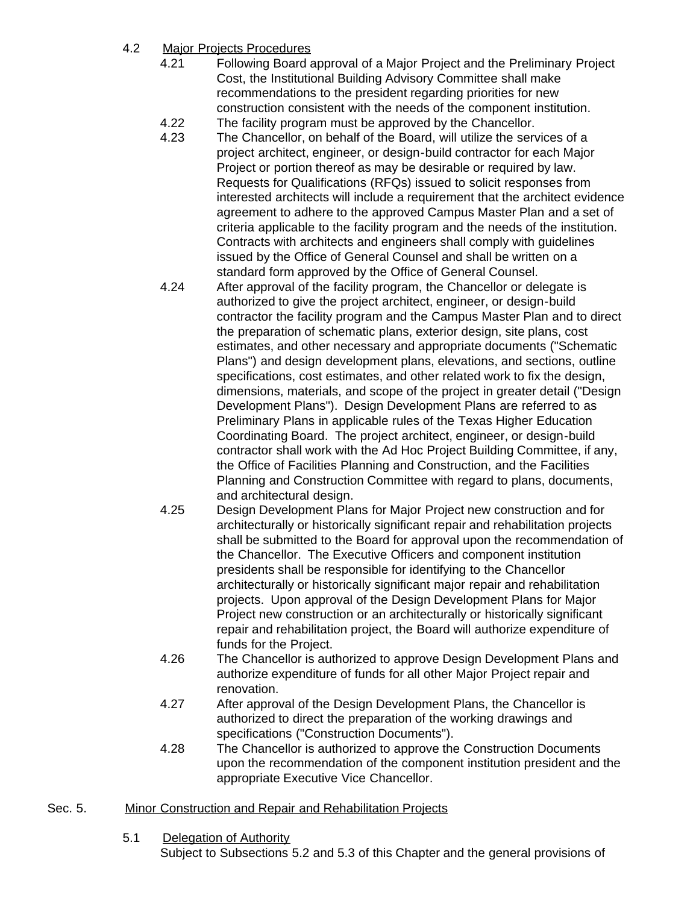# 4.2 Major Projects Procedures

- 4.21 Following Board approval of a Major Project and the Preliminary Project Cost, the Institutional Building Advisory Committee shall make recommendations to the president regarding priorities for new construction consistent with the needs of the component institution.
- 4.22 The facility program must be approved by the Chancellor.
- 4.23 The Chancellor, on behalf of the Board, will utilize the services of a project architect, engineer, or design-build contractor for each Major Project or portion thereof as may be desirable or required by law. Requests for Qualifications (RFQs) issued to solicit responses from interested architects will include a requirement that the architect evidence agreement to adhere to the approved Campus Master Plan and a set of criteria applicable to the facility program and the needs of the institution. Contracts with architects and engineers shall comply with guidelines issued by the Office of General Counsel and shall be written on a standard form approved by the Office of General Counsel.
- 4.24 After approval of the facility program, the Chancellor or delegate is authorized to give the project architect, engineer, or design-build contractor the facility program and the Campus Master Plan and to direct the preparation of schematic plans, exterior design, site plans, cost estimates, and other necessary and appropriate documents ("Schematic Plans") and design development plans, elevations, and sections, outline specifications, cost estimates, and other related work to fix the design, dimensions, materials, and scope of the project in greater detail ("Design Development Plans"). Design Development Plans are referred to as Preliminary Plans in applicable rules of the Texas Higher Education Coordinating Board. The project architect, engineer, or design-build contractor shall work with the Ad Hoc Project Building Committee, if any, the Office of Facilities Planning and Construction, and the Facilities Planning and Construction Committee with regard to plans, documents, and architectural design.
- 4.25 Design Development Plans for Major Project new construction and for architecturally or historically significant repair and rehabilitation projects shall be submitted to the Board for approval upon the recommendation of the Chancellor. The Executive Officers and component institution presidents shall be responsible for identifying to the Chancellor architecturally or historically significant major repair and rehabilitation projects. Upon approval of the Design Development Plans for Major Project new construction or an architecturally or historically significant repair and rehabilitation project, the Board will authorize expenditure of funds for the Project.
- 4.26 The Chancellor is authorized to approve Design Development Plans and authorize expenditure of funds for all other Major Project repair and renovation.
- 4.27 After approval of the Design Development Plans, the Chancellor is authorized to direct the preparation of the working drawings and specifications ("Construction Documents").
- 4.28 The Chancellor is authorized to approve the Construction Documents upon the recommendation of the component institution president and the appropriate Executive Vice Chancellor.

# Sec. 5. Minor Construction and Repair and Rehabilitation Projects

5.1 Delegation of Authority

Subject to Subsections 5.2 and 5.3 of this Chapter and the general provisions of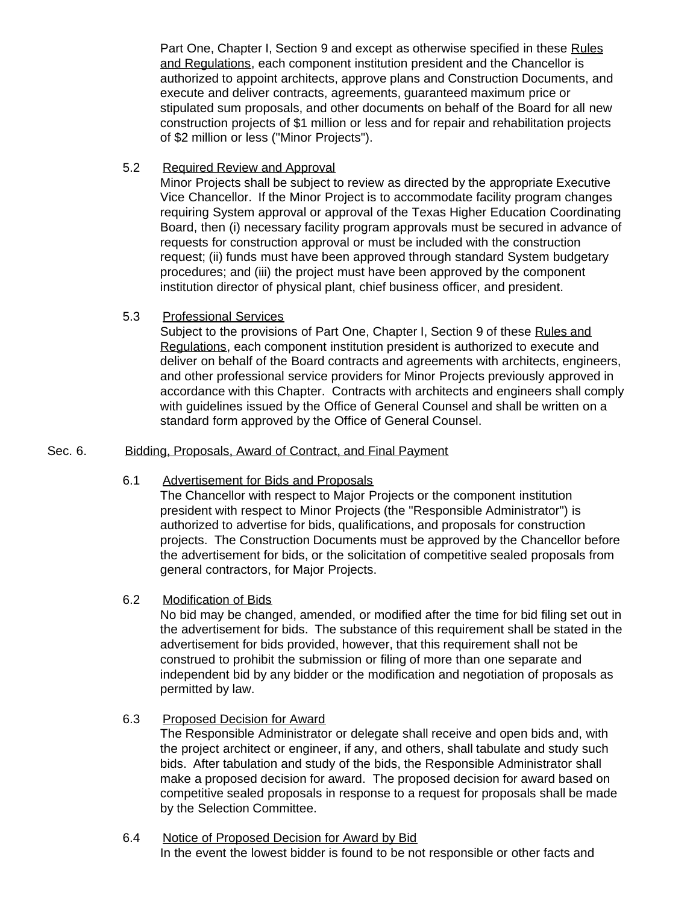Part One, Chapter I, Section 9 and except as otherwise specified in these Rules and Regulations, each component institution president and the Chancellor is authorized to appoint architects, approve plans and Construction Documents, and execute and deliver contracts, agreements, guaranteed maximum price or stipulated sum proposals, and other documents on behalf of the Board for all new construction projects of \$1 million or less and for repair and rehabilitation projects of \$2 million or less ("Minor Projects").

#### 5.2 Required Review and Approval

Minor Projects shall be subject to review as directed by the appropriate Executive Vice Chancellor. If the Minor Project is to accommodate facility program changes requiring System approval or approval of the Texas Higher Education Coordinating Board, then (i) necessary facility program approvals must be secured in advance of requests for construction approval or must be included with the construction request; (ii) funds must have been approved through standard System budgetary procedures; and (iii) the project must have been approved by the component institution director of physical plant, chief business officer, and president.

### 5.3 Professional Services

Subject to the provisions of Part One, Chapter I, Section 9 of these Rules and Regulations, each component institution president is authorized to execute and deliver on behalf of the Board contracts and agreements with architects, engineers, and other professional service providers for Minor Projects previously approved in accordance with this Chapter. Contracts with architects and engineers shall comply with guidelines issued by the Office of General Counsel and shall be written on a standard form approved by the Office of General Counsel.

### Sec. 6. Bidding, Proposals, Award of Contract, and Final Payment

#### 6.1 Advertisement for Bids and Proposals

The Chancellor with respect to Major Projects or the component institution president with respect to Minor Projects (the "Responsible Administrator") is authorized to advertise for bids, qualifications, and proposals for construction projects. The Construction Documents must be approved by the Chancellor before the advertisement for bids, or the solicitation of competitive sealed proposals from general contractors, for Major Projects.

### 6.2 Modification of Bids

No bid may be changed, amended, or modified after the time for bid filing set out in the advertisement for bids. The substance of this requirement shall be stated in the advertisement for bids provided, however, that this requirement shall not be construed to prohibit the submission or filing of more than one separate and independent bid by any bidder or the modification and negotiation of proposals as permitted by law.

### 6.3 Proposed Decision for Award

The Responsible Administrator or delegate shall receive and open bids and, with the project architect or engineer, if any, and others, shall tabulate and study such bids. After tabulation and study of the bids, the Responsible Administrator shall make a proposed decision for award. The proposed decision for award based on competitive sealed proposals in response to a request for proposals shall be made by the Selection Committee.

#### 6.4 Notice of Proposed Decision for Award by Bid In the event the lowest bidder is found to be not responsible or other facts and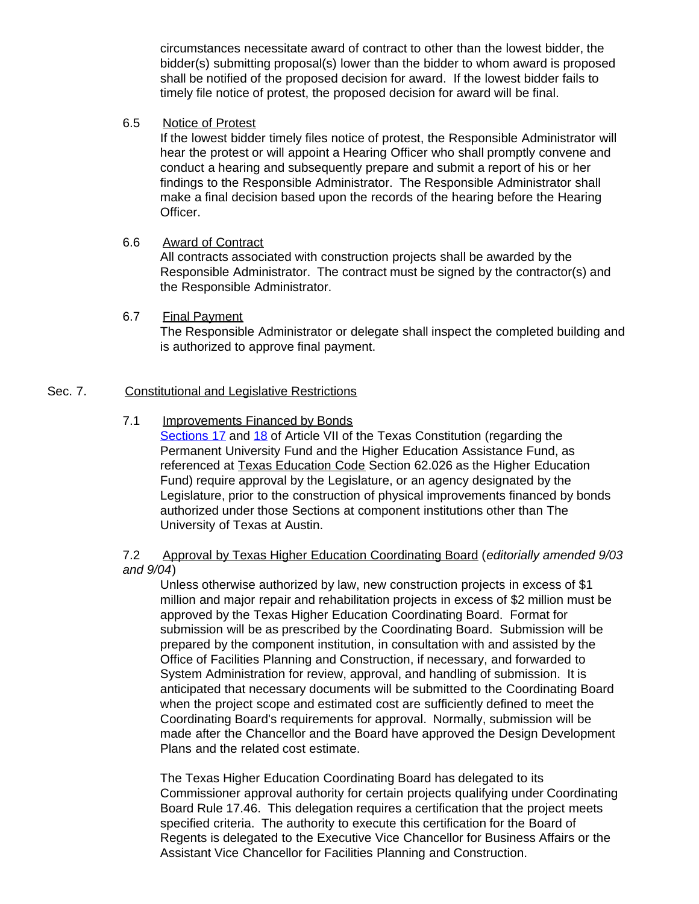circumstances necessitate award of contract to other than the lowest bidder, the bidder(s) submitting proposal(s) lower than the bidder to whom award is proposed shall be notified of the proposed decision for award. If the lowest bidder fails to timely file notice of protest, the proposed decision for award will be final.

#### 6.5 Notice of Protest

If the lowest bidder timely files notice of protest, the Responsible Administrator will hear the protest or will appoint a Hearing Officer who shall promptly convene and conduct a hearing and subsequently prepare and submit a report of his or her findings to the Responsible Administrator. The Responsible Administrator shall make a final decision based upon the records of the hearing before the Hearing Officer.

#### 6.6 Award of Contract

All contracts associated with construction projects shall be awarded by the Responsible Administrator. The contract must be signed by the contractor(s) and the Responsible Administrator.

#### 6.7 Final Payment

The Responsible Administrator or delegate shall inspect the completed building and is authorized to approve final payment.

#### Sec. 7. Constitutional and Legislative Restrictions

### 7.1 Improvements Financed by Bonds

[Sections](http://www.capitol.state.tx.us/txconst/sections/cn000700-001700.html) 17 and [18](http://www.capitol.state.tx.us/txconst/sections/cn000700-001800.html) of Article VII of the Texas Constitution (regarding the Permanent University Fund and the Higher Education Assistance Fund, as referenced at Texas Education Code Section 62.026 as the Higher Education Fund) require approval by the Legislature, or an agency designated by the Legislature, prior to the construction of physical improvements financed by bonds authorized under those Sections at component institutions other than The University of Texas at Austin.

#### 7.2 Approval by Texas Higher Education Coordinating Board (*editorially amended 9/03 and 9/04*)

Unless otherwise authorized by law, new construction projects in excess of \$1 million and major repair and rehabilitation projects in excess of \$2 million must be approved by the Texas Higher Education Coordinating Board. Format for submission will be as prescribed by the Coordinating Board. Submission will be prepared by the component institution, in consultation with and assisted by the Office of Facilities Planning and Construction, if necessary, and forwarded to System Administration for review, approval, and handling of submission. It is anticipated that necessary documents will be submitted to the Coordinating Board when the project scope and estimated cost are sufficiently defined to meet the Coordinating Board's requirements for approval. Normally, submission will be made after the Chancellor and the Board have approved the Design Development Plans and the related cost estimate.

The Texas Higher Education Coordinating Board has delegated to its Commissioner approval authority for certain projects qualifying under Coordinating Board Rule 17.46. This delegation requires a certification that the project meets specified criteria. The authority to execute this certification for the Board of Regents is delegated to the Executive Vice Chancellor for Business Affairs or the Assistant Vice Chancellor for Facilities Planning and Construction.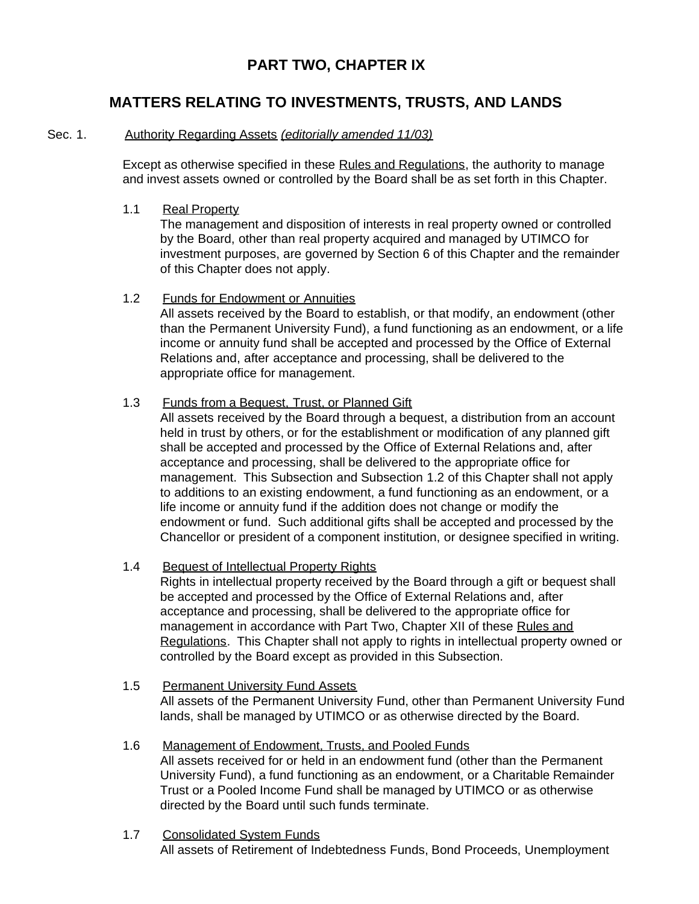# **PART TWO, CHAPTER IX**

# **MATTERS RELATING TO INVESTMENTS, TRUSTS, AND LANDS**

### Sec. 1. Authority Regarding Assets *(editorially amended 11/03)*

Except as otherwise specified in these Rules and Regulations, the authority to manage and invest assets owned or controlled by the Board shall be as set forth in this Chapter.

### 1.1 Real Property

The management and disposition of interests in real property owned or controlled by the Board, other than real property acquired and managed by UTIMCO for investment purposes, are governed by Section 6 of this Chapter and the remainder of this Chapter does not apply.

### 1.2 Funds for Endowment or Annuities All assets received by the Board to establish, or that modify, an endowment (other than the Permanent University Fund), a fund functioning as an endowment, or a life income or annuity fund shall be accepted and processed by the Office of External Relations and, after acceptance and processing, shall be delivered to the appropriate office for management.

### 1.3 Funds from a Bequest, Trust, or Planned Gift

All assets received by the Board through a bequest, a distribution from an account held in trust by others, or for the establishment or modification of any planned gift shall be accepted and processed by the Office of External Relations and, after acceptance and processing, shall be delivered to the appropriate office for management. This Subsection and Subsection 1.2 of this Chapter shall not apply to additions to an existing endowment, a fund functioning as an endowment, or a life income or annuity fund if the addition does not change or modify the endowment or fund. Such additional gifts shall be accepted and processed by the Chancellor or president of a component institution, or designee specified in writing.

### 1.4 Bequest of Intellectual Property Rights

Rights in intellectual property received by the Board through a gift or bequest shall be accepted and processed by the Office of External Relations and, after acceptance and processing, shall be delivered to the appropriate office for management in accordance with Part Two, Chapter XII of these Rules and Regulations. This Chapter shall not apply to rights in intellectual property owned or controlled by the Board except as provided in this Subsection.

- 1.5 Permanent University Fund Assets All assets of the Permanent University Fund, other than Permanent University Fund lands, shall be managed by UTIMCO or as otherwise directed by the Board.
- 1.6 Management of Endowment, Trusts, and Pooled Funds All assets received for or held in an endowment fund (other than the Permanent University Fund), a fund functioning as an endowment, or a Charitable Remainder Trust or a Pooled Income Fund shall be managed by UTIMCO or as otherwise directed by the Board until such funds terminate.
- 1.7 Consolidated System Funds All assets of Retirement of Indebtedness Funds, Bond Proceeds, Unemployment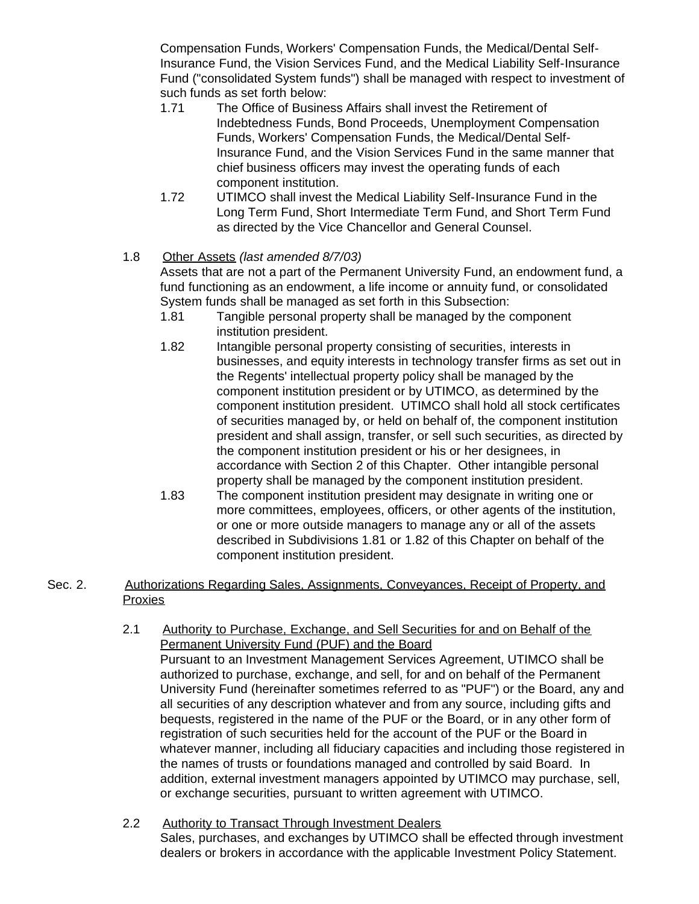Compensation Funds, Workers' Compensation Funds, the Medical/Dental Self-Insurance Fund, the Vision Services Fund, and the Medical Liability Self-Insurance Fund ("consolidated System funds") shall be managed with respect to investment of such funds as set forth below:<br>1.71 The Office of Busine

- The Office of Business Affairs shall invest the Retirement of Indebtedness Funds, Bond Proceeds, Unemployment Compensation Funds, Workers' Compensation Funds, the Medical/Dental Self-Insurance Fund, and the Vision Services Fund in the same manner that chief business officers may invest the operating funds of each component institution.
- 1.72 UTIMCO shall invest the Medical Liability Self-Insurance Fund in the Long Term Fund, Short Intermediate Term Fund, and Short Term Fund as directed by the Vice Chancellor and General Counsel.

### 1.8 Other Assets *(last amended 8/7/03)*

Assets that are not a part of the Permanent University Fund, an endowment fund, a fund functioning as an endowment, a life income or annuity fund, or consolidated System funds shall be managed as set forth in this Subsection:

- 1.81 Tangible personal property shall be managed by the component institution president.
- 1.82 Intangible personal property consisting of securities, interests in businesses, and equity interests in technology transfer firms as set out in the Regents' intellectual property policy shall be managed by the component institution president or by UTIMCO, as determined by the component institution president. UTIMCO shall hold all stock certificates of securities managed by, or held on behalf of, the component institution president and shall assign, transfer, or sell such securities, as directed by the component institution president or his or her designees, in accordance with Section 2 of this Chapter. Other intangible personal property shall be managed by the component institution president.
- 1.83 The component institution president may designate in writing one or more committees, employees, officers, or other agents of the institution, or one or more outside managers to manage any or all of the assets described in Subdivisions 1.81 or 1.82 of this Chapter on behalf of the component institution president.

### Sec. 2. Authorizations Regarding Sales, Assignments, Conveyances, Receipt of Property, and **Proxies**

- 2.1 Authority to Purchase, Exchange, and Sell Securities for and on Behalf of the Permanent University Fund (PUF) and the Board Pursuant to an Investment Management Services Agreement, UTIMCO shall be authorized to purchase, exchange, and sell, for and on behalf of the Permanent University Fund (hereinafter sometimes referred to as "PUF") or the Board, any and all securities of any description whatever and from any source, including gifts and bequests, registered in the name of the PUF or the Board, or in any other form of registration of such securities held for the account of the PUF or the Board in whatever manner, including all fiduciary capacities and including those registered in the names of trusts or foundations managed and controlled by said Board. In addition, external investment managers appointed by UTIMCO may purchase, sell, or exchange securities, pursuant to written agreement with UTIMCO.
- 2.2 Authority to Transact Through Investment Dealers Sales, purchases, and exchanges by UTIMCO shall be effected through investment dealers or brokers in accordance with the applicable Investment Policy Statement.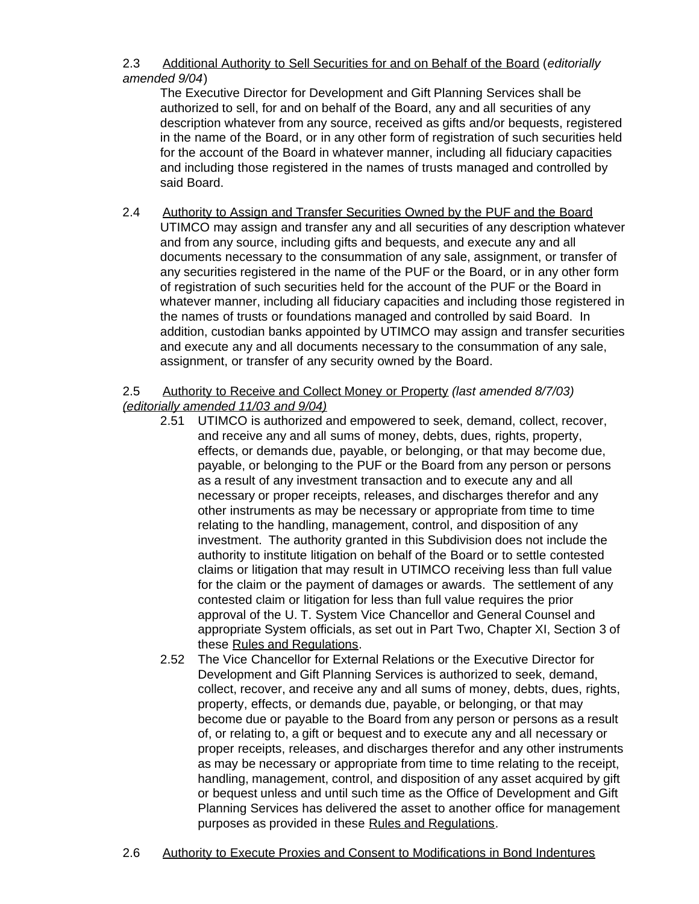### 2.3 Additional Authority to Sell Securities for and on Behalf of the Board (*editorially amended 9/04*)

The Executive Director for Development and Gift Planning Services shall be authorized to sell, for and on behalf of the Board, any and all securities of any description whatever from any source, received as gifts and/or bequests, registered in the name of the Board, or in any other form of registration of such securities held for the account of the Board in whatever manner, including all fiduciary capacities and including those registered in the names of trusts managed and controlled by said Board.

2.4 Authority to Assign and Transfer Securities Owned by the PUF and the Board UTIMCO may assign and transfer any and all securities of any description whatever and from any source, including gifts and bequests, and execute any and all documents necessary to the consummation of any sale, assignment, or transfer of any securities registered in the name of the PUF or the Board, or in any other form of registration of such securities held for the account of the PUF or the Board in whatever manner, including all fiduciary capacities and including those registered in the names of trusts or foundations managed and controlled by said Board. In addition, custodian banks appointed by UTIMCO may assign and transfer securities and execute any and all documents necessary to the consummation of any sale, assignment, or transfer of any security owned by the Board.

### 2.5 Authority to Receive and Collect Money or Property *(last amended 8/7/03) (editorially amended 11/03 and 9/04)*

- 2.51 UTIMCO is authorized and empowered to seek, demand, collect, recover, and receive any and all sums of money, debts, dues, rights, property, effects, or demands due, payable, or belonging, or that may become due, payable, or belonging to the PUF or the Board from any person or persons as a result of any investment transaction and to execute any and all necessary or proper receipts, releases, and discharges therefor and any other instruments as may be necessary or appropriate from time to time relating to the handling, management, control, and disposition of any investment. The authority granted in this Subdivision does not include the authority to institute litigation on behalf of the Board or to settle contested claims or litigation that may result in UTIMCO receiving less than full value for the claim or the payment of damages or awards. The settlement of any contested claim or litigation for less than full value requires the prior approval of the U. T. System Vice Chancellor and General Counsel and appropriate System officials, as set out in Part Two, Chapter XI, Section 3 of these Rules and Regulations.
- 2.52 The Vice Chancellor for External Relations or the Executive Director for Development and Gift Planning Services is authorized to seek, demand, collect, recover, and receive any and all sums of money, debts, dues, rights, property, effects, or demands due, payable, or belonging, or that may become due or payable to the Board from any person or persons as a result of, or relating to, a gift or bequest and to execute any and all necessary or proper receipts, releases, and discharges therefor and any other instruments as may be necessary or appropriate from time to time relating to the receipt, handling, management, control, and disposition of any asset acquired by gift or bequest unless and until such time as the Office of Development and Gift Planning Services has delivered the asset to another office for management purposes as provided in these Rules and Regulations.
- 2.6 Authority to Execute Proxies and Consent to Modifications in Bond Indentures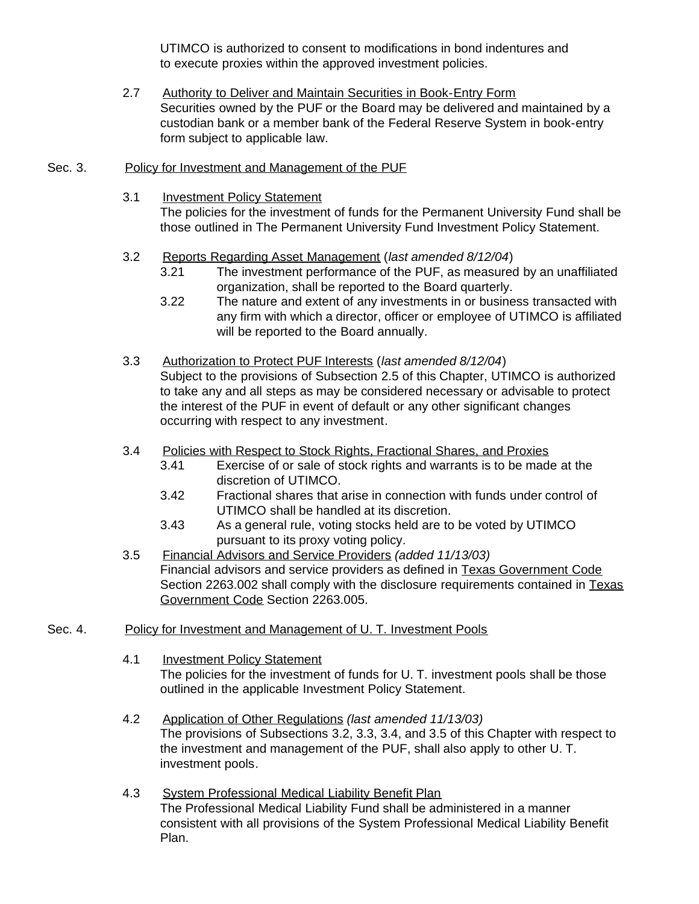UTIMCO is authorized to consent to modifications in bond indentures and to execute proxies within the approved investment policies.

- 2.7 Authority to Deliver and Maintain Securities in Book-Entry Form Securities owned by the PUF or the Board may be delivered and maintained by a custodian bank or a member bank of the Federal Reserve System in book-entry form subject to applicable law.
- Sec. 3. Policy for Investment and Management of the PUF
	- 3.1 Investment Policy Statement

The policies for the investment of funds for the Permanent University Fund shall be those outlined in The Permanent University Fund Investment Policy Statement.

- 3.2 Reports Regarding Asset Management (*last amended 8/12/04*)
	- 3.21 The investment performance of the PUF, as measured by an unaffiliated organization, shall be reported to the Board quarterly.
	- 3.22 The nature and extent of any investments in or business transacted with any firm with which a director, officer or employee of UTIMCO is affiliated will be reported to the Board annually.
- 3.3 Authorization to Protect PUF Interests (*last amended 8/12/04*) Subject to the provisions of Subsection 2.5 of this Chapter, UTIMCO is authorized to take any and all steps as may be considered necessary or advisable to protect the interest of the PUF in event of default or any other significant changes occurring with respect to any investment.
- 3.4 Policies with Respect to Stock Rights, Fractional Shares, and Proxies
	- 3.41 Exercise of or sale of stock rights and warrants is to be made at the discretion of UTIMCO.
	- 3.42 Fractional shares that arise in connection with funds under control of UTIMCO shall be handled at its discretion.
	- 3.43 As a general rule, voting stocks held are to be voted by UTIMCO pursuant to its proxy voting policy.
- 3.5 Financial Advisors and Service Providers *(added 11/13/03)* Financial advisors and service providers as defined in Texas Government Code Section 2263.002 shall comply with the disclosure requirements contained in Texas Government Code Section 2263.005.
- Sec. 4. Policy for Investment and Management of U. T. Investment Pools
	- 4.1 Investment Policy Statement The policies for the investment of funds for U. T. investment pools shall be those outlined in the applicable Investment Policy Statement.
	- 4.2 Application of Other Regulations *(last amended 11/13/03)* The provisions of Subsections 3.2, 3.3, 3.4, and 3.5 of this Chapter with respect to the investment and management of the PUF, shall also apply to other U. T. investment pools.
	- 4.3 System Professional Medical Liability Benefit Plan The Professional Medical Liability Fund shall be administered in a manner consistent with all provisions of the System Professional Medical Liability Benefit Plan.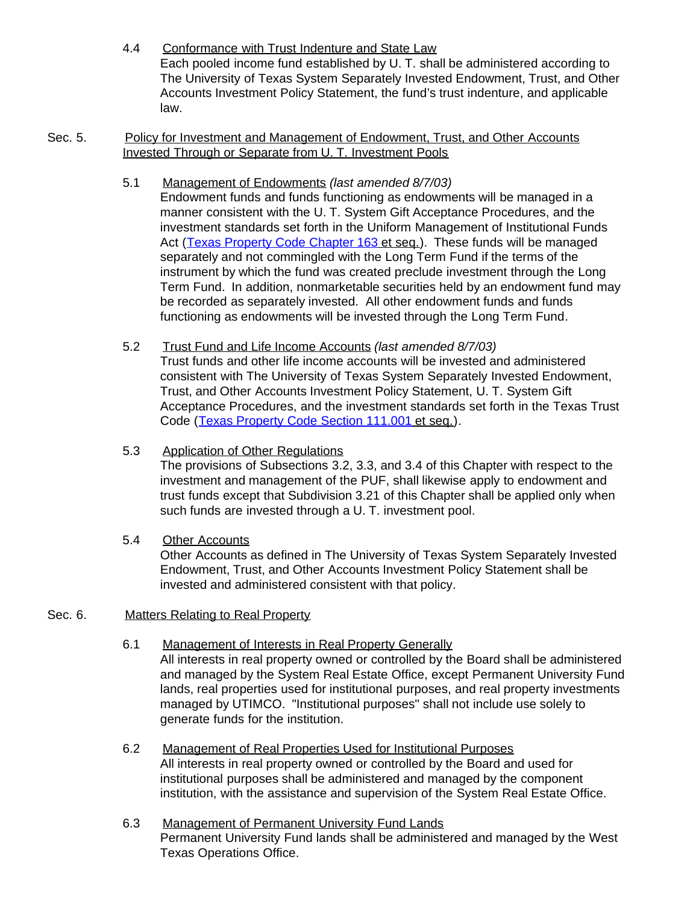- 4.4 Conformance with Trust Indenture and State Law Each pooled income fund established by U. T. shall be administered according to The University of Texas System Separately Invested Endowment, Trust, and Other Accounts Investment Policy Statement, the fund's trust indenture, and applicable law.
- Sec. 5. Policy for Investment and Management of Endowment, Trust, and Other Accounts Invested Through or Separate from U. T. Investment Pools
	- 5.1 Management of Endowments *(last amended 8/7/03)* Endowment funds and funds functioning as endowments will be managed in a manner consistent with the U. T. System Gift Acceptance Procedures, and the investment standards set forth in the Uniform Management of Institutional Funds Act ([Texas Property Code Chapter](http://www.capitol.state.tx.us/statutes/py/py0016300toc.html) 163 et seq.). These funds will be managed separately and not commingled with the Long Term Fund if the terms of the instrument by which the fund was created preclude investment through the Long Term Fund. In addition, nonmarketable securities held by an endowment fund may be recorded as separately invested. All other endowment funds and funds functioning as endowments will be invested through the Long Term Fund.
	- 5.2 Trust Fund and Life Income Accounts *(last amended 8/7/03)* Trust funds and other life income accounts will be invested and administered consistent with The University of Texas System Separately Invested Endowment, Trust, and Other Accounts Investment Policy Statement, U. T. System Gift Acceptance Procedures, and the investment standards set forth in the Texas Trust Code ([Texas Property Code Section 111.001](http://www.capitol.state.tx.us/statutes/py/py0011100.html#py001.111.001) et seq.).
	- 5.3 Application of Other Regulations The provisions of Subsections 3.2, 3.3, and 3.4 of this Chapter with respect to the investment and management of the PUF, shall likewise apply to endowment and trust funds except that Subdivision 3.21 of this Chapter shall be applied only when such funds are invested through a U. T. investment pool.
	- 5.4 Other Accounts Other Accounts as defined in The University of Texas System Separately Invested Endowment, Trust, and Other Accounts Investment Policy Statement shall be invested and administered consistent with that policy.

### Sec. 6. Matters Relating to Real Property

- 6.1 Management of Interests in Real Property Generally All interests in real property owned or controlled by the Board shall be administered and managed by the System Real Estate Office, except Permanent University Fund lands, real properties used for institutional purposes, and real property investments managed by UTIMCO. "Institutional purposes" shall not include use solely to generate funds for the institution.
- 6.2 Management of Real Properties Used for Institutional Purposes All interests in real property owned or controlled by the Board and used for institutional purposes shall be administered and managed by the component institution, with the assistance and supervision of the System Real Estate Office.
- 6.3 Management of Permanent University Fund Lands Permanent University Fund lands shall be administered and managed by the West Texas Operations Office.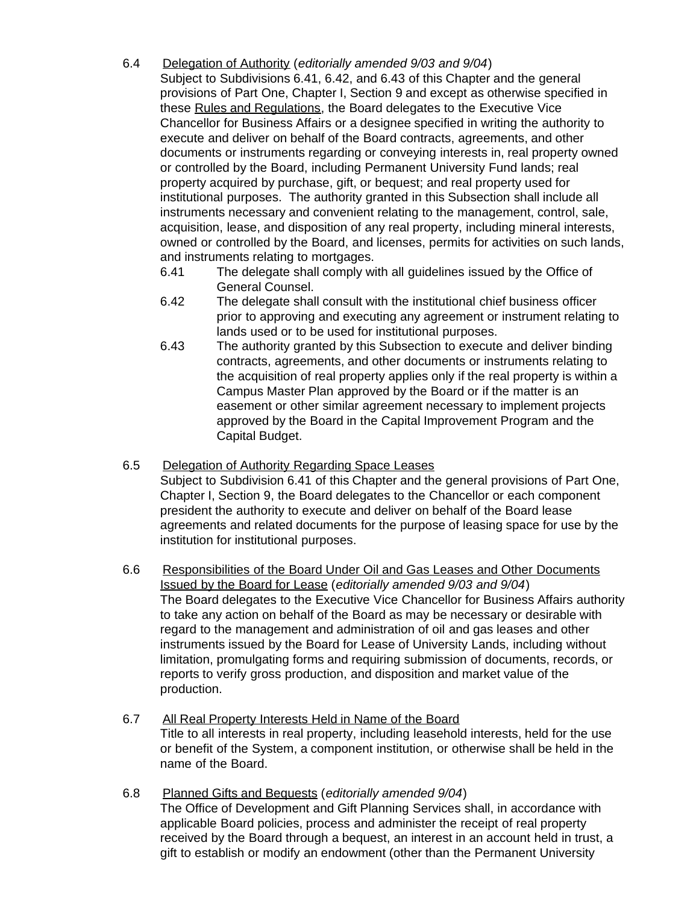- 6.4 Delegation of Authority (*editorially amended 9/03 and 9/04*) Subject to Subdivisions 6.41, 6.42, and 6.43 of this Chapter and the general provisions of Part One, Chapter I, Section 9 and except as otherwise specified in these Rules and Regulations, the Board delegates to the Executive Vice Chancellor for Business Affairs or a designee specified in writing the authority to execute and deliver on behalf of the Board contracts, agreements, and other documents or instruments regarding or conveying interests in, real property owned or controlled by the Board, including Permanent University Fund lands; real property acquired by purchase, gift, or bequest; and real property used for institutional purposes. The authority granted in this Subsection shall include all instruments necessary and convenient relating to the management, control, sale, acquisition, lease, and disposition of any real property, including mineral interests, owned or controlled by the Board, and licenses, permits for activities on such lands, and instruments relating to mortgages.
	- 6.41 The delegate shall comply with all guidelines issued by the Office of General Counsel.
	- 6.42 The delegate shall consult with the institutional chief business officer prior to approving and executing any agreement or instrument relating to lands used or to be used for institutional purposes.
	- 6.43 The authority granted by this Subsection to execute and deliver binding contracts, agreements, and other documents or instruments relating to the acquisition of real property applies only if the real property is within a Campus Master Plan approved by the Board or if the matter is an easement or other similar agreement necessary to implement projects approved by the Board in the Capital Improvement Program and the Capital Budget.
- 6.5 Delegation of Authority Regarding Space Leases Subject to Subdivision 6.41 of this Chapter and the general provisions of Part One, Chapter I, Section 9, the Board delegates to the Chancellor or each component president the authority to execute and deliver on behalf of the Board lease agreements and related documents for the purpose of leasing space for use by the institution for institutional purposes.
- 6.6 Responsibilities of the Board Under Oil and Gas Leases and Other Documents Issued by the Board for Lease (*editorially amended 9/03 and 9/04*) The Board delegates to the Executive Vice Chancellor for Business Affairs authority to take any action on behalf of the Board as may be necessary or desirable with regard to the management and administration of oil and gas leases and other instruments issued by the Board for Lease of University Lands, including without limitation, promulgating forms and requiring submission of documents, records, or reports to verify gross production, and disposition and market value of the production.
- 6.7 All Real Property Interests Held in Name of the Board Title to all interests in real property, including leasehold interests, held for the use or benefit of the System, a component institution, or otherwise shall be held in the name of the Board.
- 6.8 Planned Gifts and Bequests (*editorially amended 9/04*) The Office of Development and Gift Planning Services shall, in accordance with applicable Board policies, process and administer the receipt of real property received by the Board through a bequest, an interest in an account held in trust, a gift to establish or modify an endowment (other than the Permanent University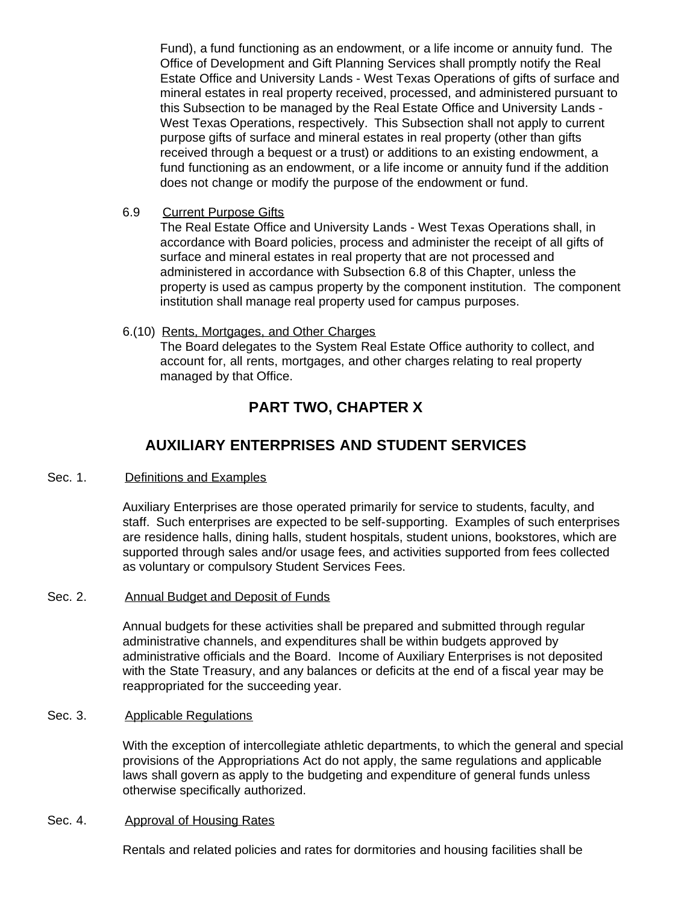Fund), a fund functioning as an endowment, or a life income or annuity fund. The Office of Development and Gift Planning Services shall promptly notify the Real Estate Office and University Lands - West Texas Operations of gifts of surface and mineral estates in real property received, processed, and administered pursuant to this Subsection to be managed by the Real Estate Office and University Lands - West Texas Operations, respectively. This Subsection shall not apply to current purpose gifts of surface and mineral estates in real property (other than gifts received through a bequest or a trust) or additions to an existing endowment, a fund functioning as an endowment, or a life income or annuity fund if the addition does not change or modify the purpose of the endowment or fund.

6.9 Current Purpose Gifts

The Real Estate Office and University Lands - West Texas Operations shall, in accordance with Board policies, process and administer the receipt of all gifts of surface and mineral estates in real property that are not processed and administered in accordance with Subsection 6.8 of this Chapter, unless the property is used as campus property by the component institution. The component institution shall manage real property used for campus purposes.

### 6.(10) Rents, Mortgages, and Other Charges

The Board delegates to the System Real Estate Office authority to collect, and account for, all rents, mortgages, and other charges relating to real property managed by that Office.

# **PART TWO, CHAPTER X**

# **AUXILIARY ENTERPRISES AND STUDENT SERVICES**

### Sec. 1. Definitions and Examples

Auxiliary Enterprises are those operated primarily for service to students, faculty, and staff. Such enterprises are expected to be self-supporting. Examples of such enterprises are residence halls, dining halls, student hospitals, student unions, bookstores, which are supported through sales and/or usage fees, and activities supported from fees collected as voluntary or compulsory Student Services Fees.

# Sec. 2. Annual Budget and Deposit of Funds

Annual budgets for these activities shall be prepared and submitted through regular administrative channels, and expenditures shall be within budgets approved by administrative officials and the Board. Income of Auxiliary Enterprises is not deposited with the State Treasury, and any balances or deficits at the end of a fiscal year may be reappropriated for the succeeding year.

### Sec. 3. Applicable Regulations

With the exception of intercollegiate athletic departments, to which the general and special provisions of the Appropriations Act do not apply, the same regulations and applicable laws shall govern as apply to the budgeting and expenditure of general funds unless otherwise specifically authorized.

#### Sec. 4. Approval of Housing Rates

Rentals and related policies and rates for dormitories and housing facilities shall be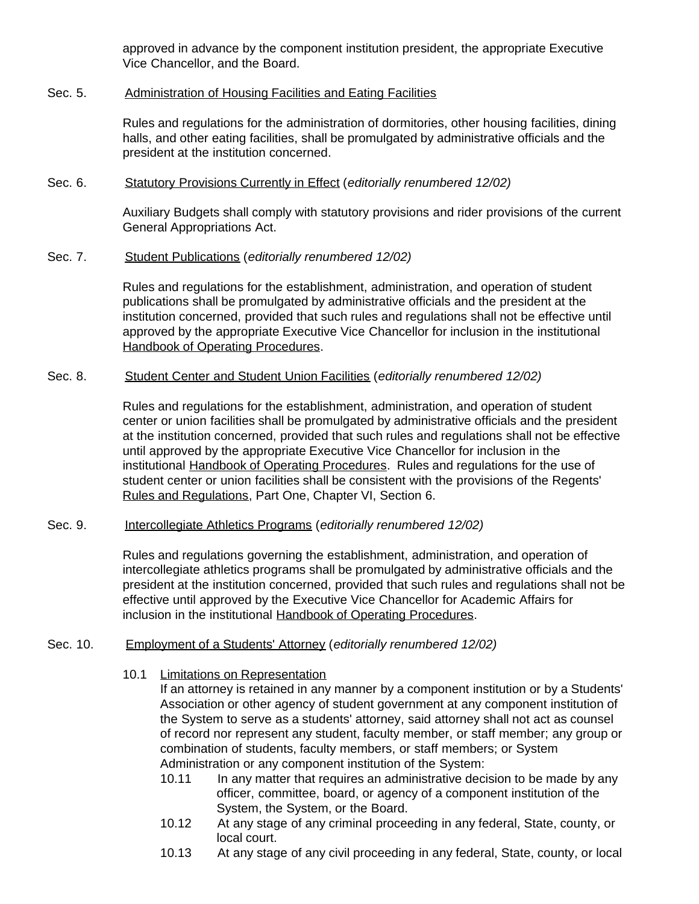approved in advance by the component institution president, the appropriate Executive Vice Chancellor, and the Board.

#### Sec. 5. Administration of Housing Facilities and Eating Facilities

Rules and regulations for the administration of dormitories, other housing facilities, dining halls, and other eating facilities, shall be promulgated by administrative officials and the president at the institution concerned.

#### Sec. 6. Statutory Provisions Currently in Effect (*editorially renumbered 12/02)*

Auxiliary Budgets shall comply with statutory provisions and rider provisions of the current General Appropriations Act.

#### Sec. 7. Student Publications (*editorially renumbered 12/02)*

Rules and regulations for the establishment, administration, and operation of student publications shall be promulgated by administrative officials and the president at the institution concerned, provided that such rules and regulations shall not be effective until approved by the appropriate Executive Vice Chancellor for inclusion in the institutional Handbook of Operating Procedures.

#### Sec. 8. Student Center and Student Union Facilities (*editorially renumbered 12/02)*

Rules and regulations for the establishment, administration, and operation of student center or union facilities shall be promulgated by administrative officials and the president at the institution concerned, provided that such rules and regulations shall not be effective until approved by the appropriate Executive Vice Chancellor for inclusion in the institutional Handbook of Operating Procedures. Rules and regulations for the use of student center or union facilities shall be consistent with the provisions of the Regents' Rules and Regulations, Part One, Chapter VI, Section 6.

#### Sec. 9. Intercollegiate Athletics Programs (*editorially renumbered 12/02)*

Rules and regulations governing the establishment, administration, and operation of intercollegiate athletics programs shall be promulgated by administrative officials and the president at the institution concerned, provided that such rules and regulations shall not be effective until approved by the Executive Vice Chancellor for Academic Affairs for inclusion in the institutional Handbook of Operating Procedures.

#### Sec. 10. Employment of a Students' Attorney (*editorially renumbered 12/02)*

### 10.1 Limitations on Representation

If an attorney is retained in any manner by a component institution or by a Students' Association or other agency of student government at any component institution of the System to serve as a students' attorney, said attorney shall not act as counsel of record nor represent any student, faculty member, or staff member; any group or combination of students, faculty members, or staff members; or System Administration or any component institution of the System:

- 10.11 In any matter that requires an administrative decision to be made by any officer, committee, board, or agency of a component institution of the System, the System, or the Board.
- 10.12 At any stage of any criminal proceeding in any federal, State, county, or local court.
- 10.13 At any stage of any civil proceeding in any federal, State, county, or local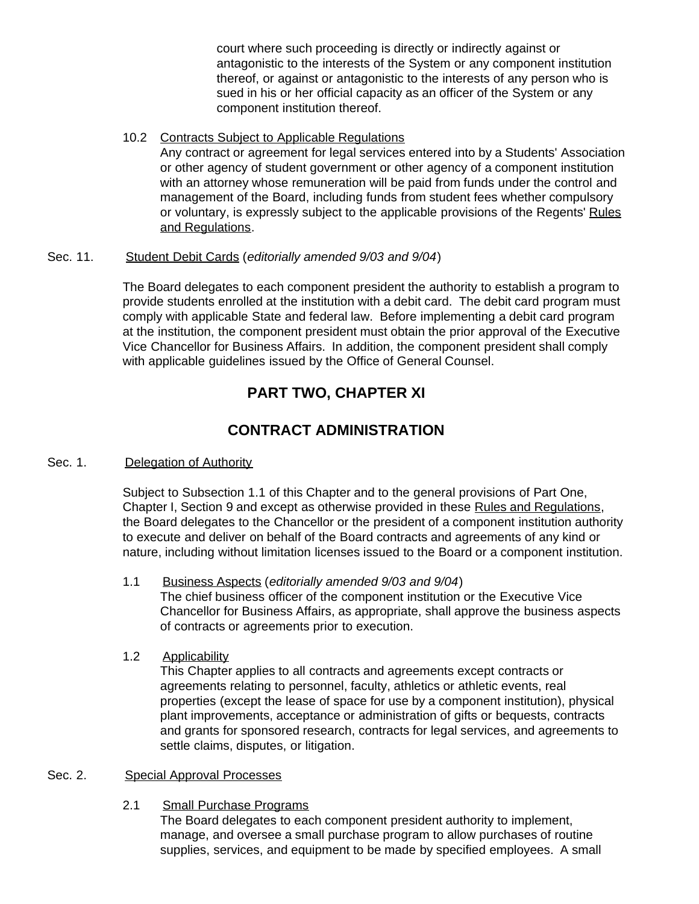court where such proceeding is directly or indirectly against or antagonistic to the interests of the System or any component institution thereof, or against or antagonistic to the interests of any person who is sued in his or her official capacity as an officer of the System or any component institution thereof.

### 10.2 Contracts Subject to Applicable Regulations

Any contract or agreement for legal services entered into by a Students' Association or other agency of student government or other agency of a component institution with an attorney whose remuneration will be paid from funds under the control and management of the Board, including funds from student fees whether compulsory or voluntary, is expressly subject to the applicable provisions of the Regents' Rules and Regulations.

### Sec. 11. Student Debit Cards (*editorially amended 9/03 and 9/04*)

The Board delegates to each component president the authority to establish a program to provide students enrolled at the institution with a debit card. The debit card program must comply with applicable State and federal law. Before implementing a debit card program at the institution, the component president must obtain the prior approval of the Executive Vice Chancellor for Business Affairs. In addition, the component president shall comply with applicable guidelines issued by the Office of General Counsel.

# **PART TWO, CHAPTER XI**

# **CONTRACT ADMINISTRATION**

### Sec. 1. Delegation of Authority

Subject to Subsection 1.1 of this Chapter and to the general provisions of Part One, Chapter I, Section 9 and except as otherwise provided in these Rules and Regulations, the Board delegates to the Chancellor or the president of a component institution authority to execute and deliver on behalf of the Board contracts and agreements of any kind or nature, including without limitation licenses issued to the Board or a component institution.

#### 1.1 Business Aspects (*editorially amended 9/03 and 9/04*) The chief business officer of the component institution or the Executive Vice Chancellor for Business Affairs, as appropriate, shall approve the business aspects of contracts or agreements prior to execution.

# 1.2 Applicability

This Chapter applies to all contracts and agreements except contracts or agreements relating to personnel, faculty, athletics or athletic events, real properties (except the lease of space for use by a component institution), physical plant improvements, acceptance or administration of gifts or bequests, contracts and grants for sponsored research, contracts for legal services, and agreements to settle claims, disputes, or litigation.

# Sec. 2. Special Approval Processes

2.1 Small Purchase Programs

The Board delegates to each component president authority to implement, manage, and oversee a small purchase program to allow purchases of routine supplies, services, and equipment to be made by specified employees. A small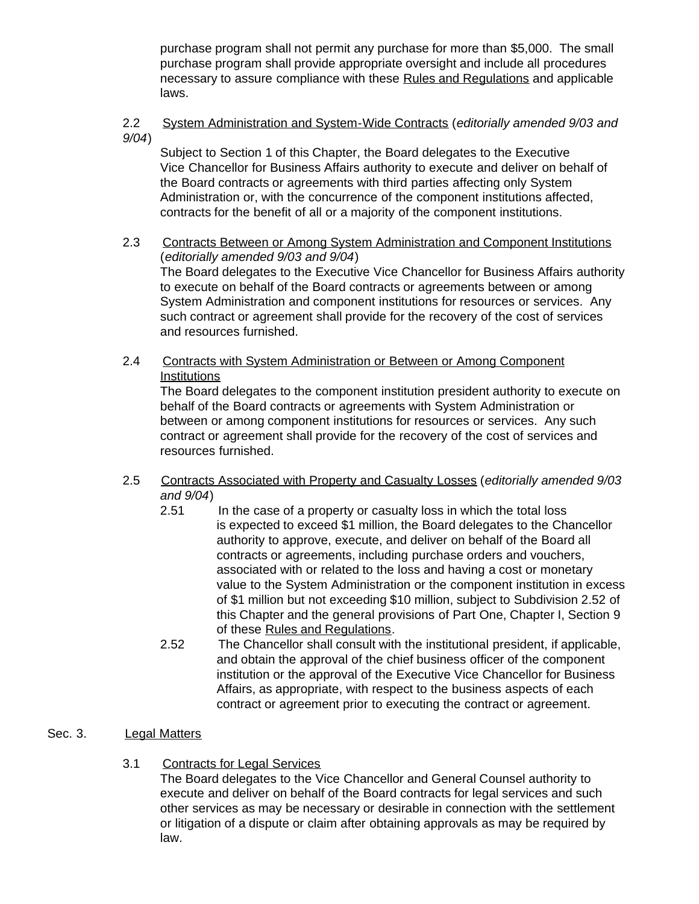purchase program shall not permit any purchase for more than \$5,000. The small purchase program shall provide appropriate oversight and include all procedures necessary to assure compliance with these Rules and Regulations and applicable laws.

### 2.2 System Administration and System-Wide Contracts (*editorially amended 9/03 and 9/04*)

Subject to Section 1 of this Chapter, the Board delegates to the Executive Vice Chancellor for Business Affairs authority to execute and deliver on behalf of the Board contracts or agreements with third parties affecting only System Administration or, with the concurrence of the component institutions affected, contracts for the benefit of all or a majority of the component institutions.

- 2.3 Contracts Between or Among System Administration and Component Institutions (*editorially amended 9/03 and 9/04*) The Board delegates to the Executive Vice Chancellor for Business Affairs authority to execute on behalf of the Board contracts or agreements between or among System Administration and component institutions for resources or services. Any such contract or agreement shall provide for the recovery of the cost of services and resources furnished.
- 2.4 Contracts with System Administration or Between or Among Component **Institutions**

The Board delegates to the component institution president authority to execute on behalf of the Board contracts or agreements with System Administration or between or among component institutions for resources or services. Any such contract or agreement shall provide for the recovery of the cost of services and resources furnished.

- 2.5 Contracts Associated with Property and Casualty Losses (*editorially amended 9/03 and 9/04*)
	- 2.51 In the case of a property or casualty loss in which the total loss is expected to exceed \$1 million, the Board delegates to the Chancellor authority to approve, execute, and deliver on behalf of the Board all contracts or agreements, including purchase orders and vouchers, associated with or related to the loss and having a cost or monetary value to the System Administration or the component institution in excess of \$1 million but not exceeding \$10 million, subject to Subdivision 2.52 of this Chapter and the general provisions of Part One, Chapter I, Section 9 of these Rules and Regulations.
	- 2.52 The Chancellor shall consult with the institutional president, if applicable, and obtain the approval of the chief business officer of the component institution or the approval of the Executive Vice Chancellor for Business Affairs, as appropriate, with respect to the business aspects of each contract or agreement prior to executing the contract or agreement.

# Sec. 3. Legal Matters

3.1 Contracts for Legal Services

The Board delegates to the Vice Chancellor and General Counsel authority to execute and deliver on behalf of the Board contracts for legal services and such other services as may be necessary or desirable in connection with the settlement or litigation of a dispute or claim after obtaining approvals as may be required by law.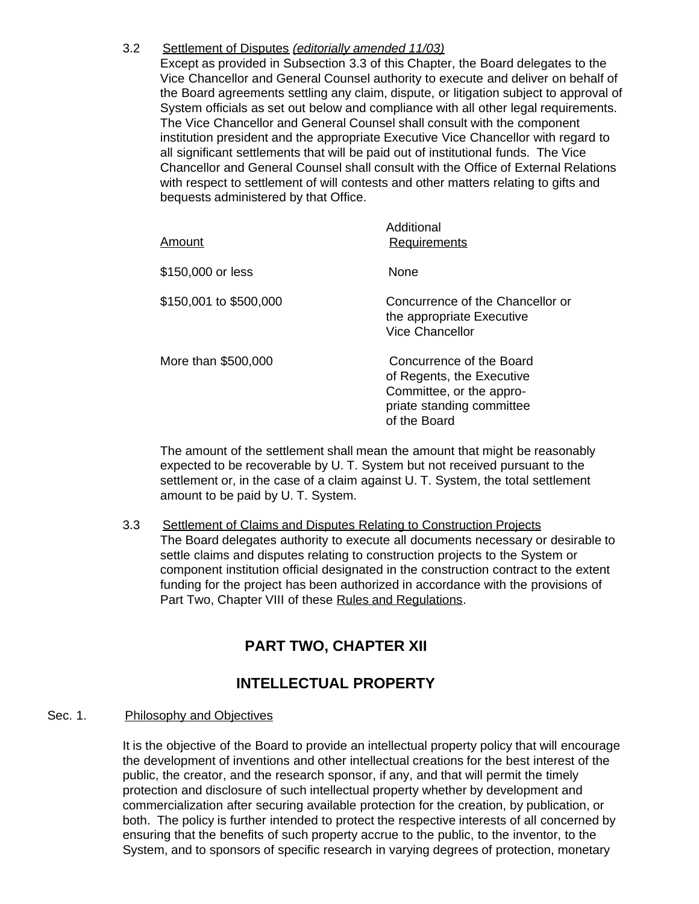#### 3.2 Settlement of Disputes *(editorially amended 11/03)*

Except as provided in Subsection 3.3 of this Chapter, the Board delegates to the Vice Chancellor and General Counsel authority to execute and deliver on behalf of the Board agreements settling any claim, dispute, or litigation subject to approval of System officials as set out below and compliance with all other legal requirements. The Vice Chancellor and General Counsel shall consult with the component institution president and the appropriate Executive Vice Chancellor with regard to all significant settlements that will be paid out of institutional funds. The Vice Chancellor and General Counsel shall consult with the Office of External Relations with respect to settlement of will contests and other matters relating to gifts and bequests administered by that Office.

| Amount                 | Additional<br><b>Requirements</b>                                                                                              |
|------------------------|--------------------------------------------------------------------------------------------------------------------------------|
| \$150,000 or less      | <b>None</b>                                                                                                                    |
| \$150,001 to \$500,000 | Concurrence of the Chancellor or<br>the appropriate Executive<br>Vice Chancellor                                               |
| More than \$500,000    | Concurrence of the Board<br>of Regents, the Executive<br>Committee, or the appro-<br>priate standing committee<br>of the Board |

The amount of the settlement shall mean the amount that might be reasonably expected to be recoverable by U. T. System but not received pursuant to the settlement or, in the case of a claim against U. T. System, the total settlement amount to be paid by U. T. System.

3.3 Settlement of Claims and Disputes Relating to Construction Projects The Board delegates authority to execute all documents necessary or desirable to settle claims and disputes relating to construction projects to the System or component institution official designated in the construction contract to the extent funding for the project has been authorized in accordance with the provisions of Part Two, Chapter VIII of these Rules and Regulations.

# **PART TWO, CHAPTER XII**

# **INTELLECTUAL PROPERTY**

## Sec. 1. Philosophy and Objectives

It is the objective of the Board to provide an intellectual property policy that will encourage the development of inventions and other intellectual creations for the best interest of the public, the creator, and the research sponsor, if any, and that will permit the timely protection and disclosure of such intellectual property whether by development and commercialization after securing available protection for the creation, by publication, or both. The policy is further intended to protect the respective interests of all concerned by ensuring that the benefits of such property accrue to the public, to the inventor, to the System, and to sponsors of specific research in varying degrees of protection, monetary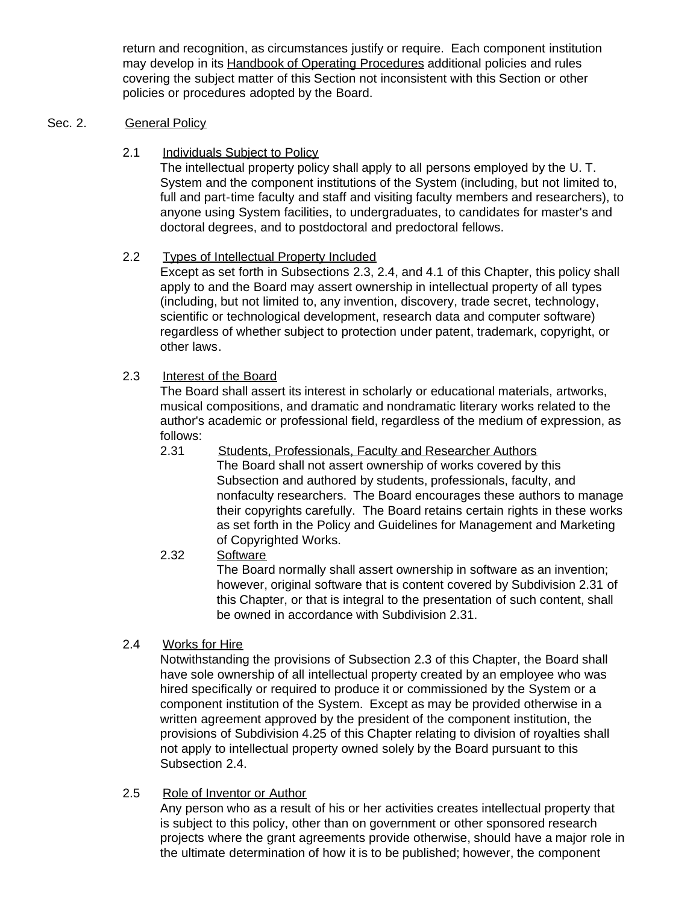return and recognition, as circumstances justify or require. Each component institution may develop in its Handbook of Operating Procedures additional policies and rules covering the subject matter of this Section not inconsistent with this Section or other policies or procedures adopted by the Board.

#### Sec. 2. General Policy

2.1 Individuals Subject to Policy

The intellectual property policy shall apply to all persons employed by the U. T. System and the component institutions of the System (including, but not limited to, full and part-time faculty and staff and visiting faculty members and researchers), to anyone using System facilities, to undergraduates, to candidates for master's and doctoral degrees, and to postdoctoral and predoctoral fellows.

### 2.2 Types of Intellectual Property Included

Except as set forth in Subsections 2.3, 2.4, and 4.1 of this Chapter, this policy shall apply to and the Board may assert ownership in intellectual property of all types (including, but not limited to, any invention, discovery, trade secret, technology, scientific or technological development, research data and computer software) regardless of whether subject to protection under patent, trademark, copyright, or other laws.

### 2.3 Interest of the Board

The Board shall assert its interest in scholarly or educational materials, artworks, musical compositions, and dramatic and nondramatic literary works related to the author's academic or professional field, regardless of the medium of expression, as follows:

- 2.31 Students, Professionals, Faculty and Researcher Authors The Board shall not assert ownership of works covered by this Subsection and authored by students, professionals, faculty, and nonfaculty researchers. The Board encourages these authors to manage their copyrights carefully. The Board retains certain rights in these works as set forth in the Policy and Guidelines for Management and Marketing of Copyrighted Works.
- 2.32 Software The Board normally shall assert ownership in software as an invention; however, original software that is content covered by Subdivision 2.31 of this Chapter, or that is integral to the presentation of such content, shall be owned in accordance with Subdivision 2.31.

## 2.4 Works for Hire

Notwithstanding the provisions of Subsection 2.3 of this Chapter, the Board shall have sole ownership of all intellectual property created by an employee who was hired specifically or required to produce it or commissioned by the System or a component institution of the System. Except as may be provided otherwise in a written agreement approved by the president of the component institution, the provisions of Subdivision 4.25 of this Chapter relating to division of royalties shall not apply to intellectual property owned solely by the Board pursuant to this Subsection 2.4.

2.5 Role of Inventor or Author

Any person who as a result of his or her activities creates intellectual property that is subject to this policy, other than on government or other sponsored research projects where the grant agreements provide otherwise, should have a major role in the ultimate determination of how it is to be published; however, the component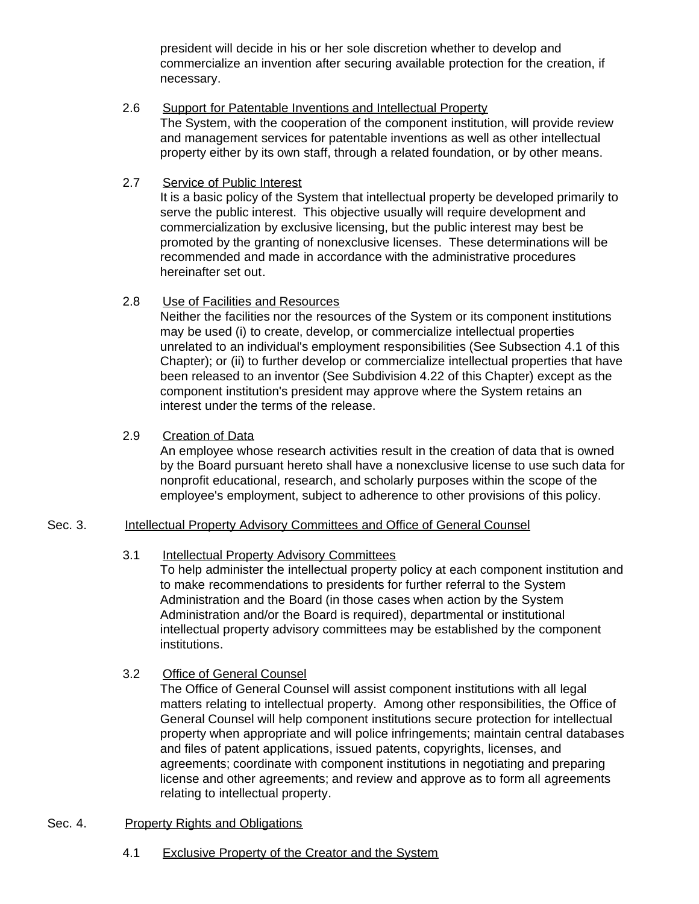president will decide in his or her sole discretion whether to develop and commercialize an invention after securing available protection for the creation, if necessary.

- 2.6 Support for Patentable Inventions and Intellectual Property The System, with the cooperation of the component institution, will provide review and management services for patentable inventions as well as other intellectual property either by its own staff, through a related foundation, or by other means.
- 2.7 Service of Public Interest

It is a basic policy of the System that intellectual property be developed primarily to serve the public interest. This objective usually will require development and commercialization by exclusive licensing, but the public interest may best be promoted by the granting of nonexclusive licenses. These determinations will be recommended and made in accordance with the administrative procedures hereinafter set out.

2.8 Use of Facilities and Resources

Neither the facilities nor the resources of the System or its component institutions may be used (i) to create, develop, or commercialize intellectual properties unrelated to an individual's employment responsibilities (See Subsection 4.1 of this Chapter); or (ii) to further develop or commercialize intellectual properties that have been released to an inventor (See Subdivision 4.22 of this Chapter) except as the component institution's president may approve where the System retains an interest under the terms of the release.

2.9 Creation of Data

An employee whose research activities result in the creation of data that is owned by the Board pursuant hereto shall have a nonexclusive license to use such data for nonprofit educational, research, and scholarly purposes within the scope of the employee's employment, subject to adherence to other provisions of this policy.

## Sec. 3. Intellectual Property Advisory Committees and Office of General Counsel

#### 3.1 Intellectual Property Advisory Committees

To help administer the intellectual property policy at each component institution and to make recommendations to presidents for further referral to the System Administration and the Board (in those cases when action by the System Administration and/or the Board is required), departmental or institutional intellectual property advisory committees may be established by the component institutions.

3.2 Office of General Counsel

The Office of General Counsel will assist component institutions with all legal matters relating to intellectual property. Among other responsibilities, the Office of General Counsel will help component institutions secure protection for intellectual property when appropriate and will police infringements; maintain central databases and files of patent applications, issued patents, copyrights, licenses, and agreements; coordinate with component institutions in negotiating and preparing license and other agreements; and review and approve as to form all agreements relating to intellectual property.

- Sec. 4. Property Rights and Obligations
	- 4.1 Exclusive Property of the Creator and the System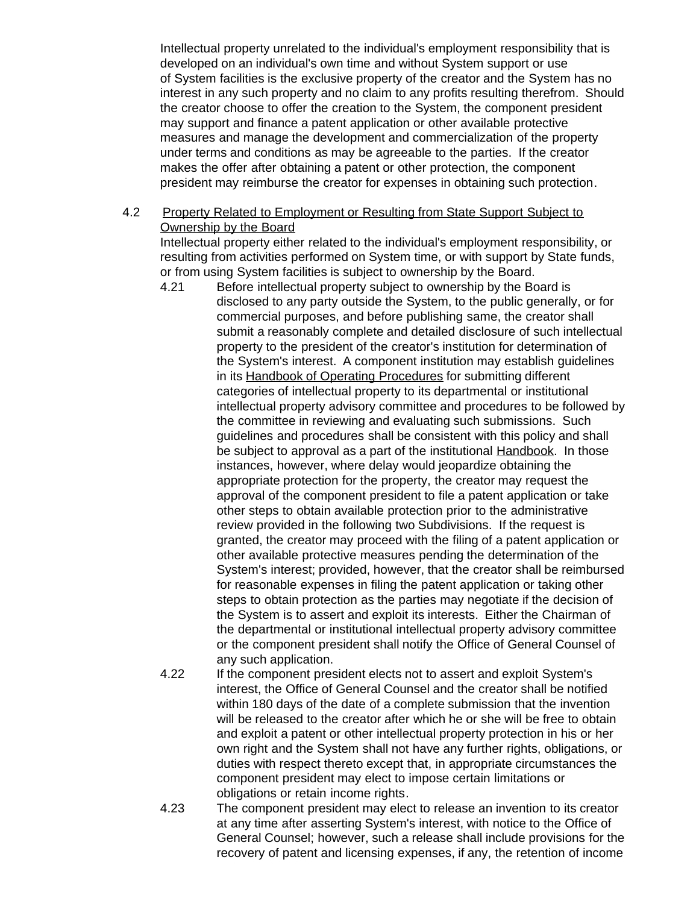Intellectual property unrelated to the individual's employment responsibility that is developed on an individual's own time and without System support or use of System facilities is the exclusive property of the creator and the System has no interest in any such property and no claim to any profits resulting therefrom. Should the creator choose to offer the creation to the System, the component president may support and finance a patent application or other available protective measures and manage the development and commercialization of the property under terms and conditions as may be agreeable to the parties. If the creator makes the offer after obtaining a patent or other protection, the component president may reimburse the creator for expenses in obtaining such protection.

### 4.2 Property Related to Employment or Resulting from State Support Subject to Ownership by the Board

Intellectual property either related to the individual's employment responsibility, or resulting from activities performed on System time, or with support by State funds, or from using System facilities is subject to ownership by the Board.

- 4.21 Before intellectual property subject to ownership by the Board is disclosed to any party outside the System, to the public generally, or for commercial purposes, and before publishing same, the creator shall submit a reasonably complete and detailed disclosure of such intellectual property to the president of the creator's institution for determination of the System's interest. A component institution may establish guidelines in its Handbook of Operating Procedures for submitting different categories of intellectual property to its departmental or institutional intellectual property advisory committee and procedures to be followed by the committee in reviewing and evaluating such submissions. Such guidelines and procedures shall be consistent with this policy and shall be subject to approval as a part of the institutional **Handbook**. In those instances, however, where delay would jeopardize obtaining the appropriate protection for the property, the creator may request the approval of the component president to file a patent application or take other steps to obtain available protection prior to the administrative review provided in the following two Subdivisions. If the request is granted, the creator may proceed with the filing of a patent application or other available protective measures pending the determination of the System's interest; provided, however, that the creator shall be reimbursed for reasonable expenses in filing the patent application or taking other steps to obtain protection as the parties may negotiate if the decision of the System is to assert and exploit its interests. Either the Chairman of the departmental or institutional intellectual property advisory committee or the component president shall notify the Office of General Counsel of any such application.
- 4.22 If the component president elects not to assert and exploit System's interest, the Office of General Counsel and the creator shall be notified within 180 days of the date of a complete submission that the invention will be released to the creator after which he or she will be free to obtain and exploit a patent or other intellectual property protection in his or her own right and the System shall not have any further rights, obligations, or duties with respect thereto except that, in appropriate circumstances the component president may elect to impose certain limitations or obligations or retain income rights.
- 4.23 The component president may elect to release an invention to its creator at any time after asserting System's interest, with notice to the Office of General Counsel; however, such a release shall include provisions for the recovery of patent and licensing expenses, if any, the retention of income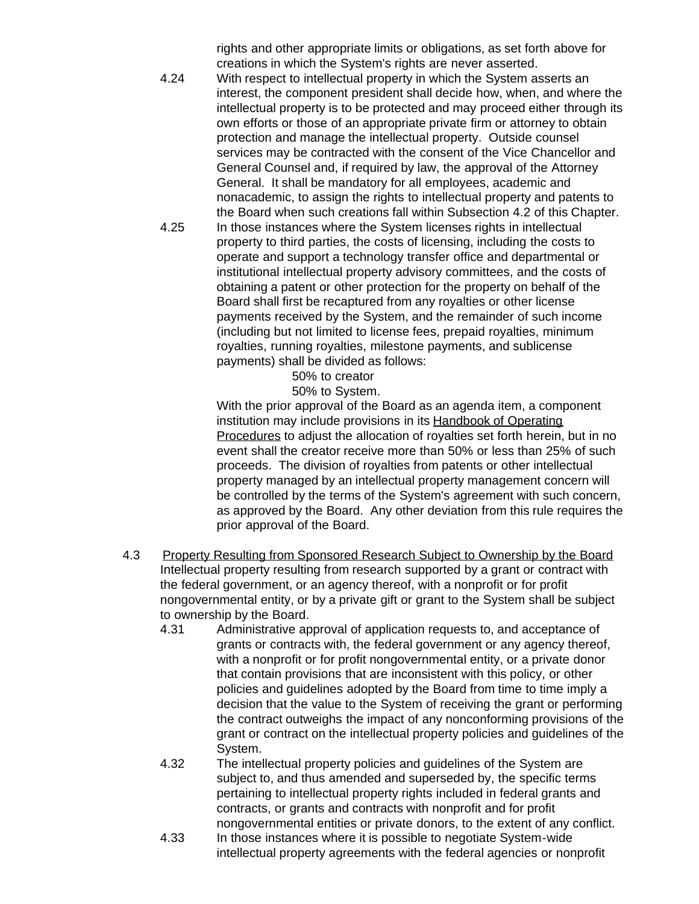rights and other appropriate limits or obligations, as set forth above for creations in which the System's rights are never asserted.

- 4.24 With respect to intellectual property in which the System asserts an interest, the component president shall decide how, when, and where the intellectual property is to be protected and may proceed either through its own efforts or those of an appropriate private firm or attorney to obtain protection and manage the intellectual property. Outside counsel services may be contracted with the consent of the Vice Chancellor and General Counsel and, if required by law, the approval of the Attorney General. It shall be mandatory for all employees, academic and nonacademic, to assign the rights to intellectual property and patents to the Board when such creations fall within Subsection 4.2 of this Chapter.
- 4.25 In those instances where the System licenses rights in intellectual property to third parties, the costs of licensing, including the costs to operate and support a technology transfer office and departmental or institutional intellectual property advisory committees, and the costs of obtaining a patent or other protection for the property on behalf of the Board shall first be recaptured from any royalties or other license payments received by the System, and the remainder of such income (including but not limited to license fees, prepaid royalties, minimum royalties, running royalties, milestone payments, and sublicense payments) shall be divided as follows:

50% to creator

50% to System.

 With the prior approval of the Board as an agenda item, a component institution may include provisions in its Handbook of Operating Procedures to adjust the allocation of royalties set forth herein, but in no event shall the creator receive more than 50% or less than 25% of such proceeds. The division of royalties from patents or other intellectual property managed by an intellectual property management concern will be controlled by the terms of the System's agreement with such concern, as approved by the Board. Any other deviation from this rule requires the prior approval of the Board.

- 4.3 Property Resulting from Sponsored Research Subject to Ownership by the Board Intellectual property resulting from research supported by a grant or contract with the federal government, or an agency thereof, with a nonprofit or for profit nongovernmental entity, or by a private gift or grant to the System shall be subject to ownership by the Board.
	- 4.31 Administrative approval of application requests to, and acceptance of grants or contracts with, the federal government or any agency thereof, with a nonprofit or for profit nongovernmental entity, or a private donor that contain provisions that are inconsistent with this policy, or other policies and guidelines adopted by the Board from time to time imply a decision that the value to the System of receiving the grant or performing the contract outweighs the impact of any nonconforming provisions of the grant or contract on the intellectual property policies and guidelines of the System.
	- 4.32 The intellectual property policies and guidelines of the System are subject to, and thus amended and superseded by, the specific terms pertaining to intellectual property rights included in federal grants and contracts, or grants and contracts with nonprofit and for profit nongovernmental entities or private donors, to the extent of any conflict.
	- 4.33 In those instances where it is possible to negotiate System-wide intellectual property agreements with the federal agencies or nonprofit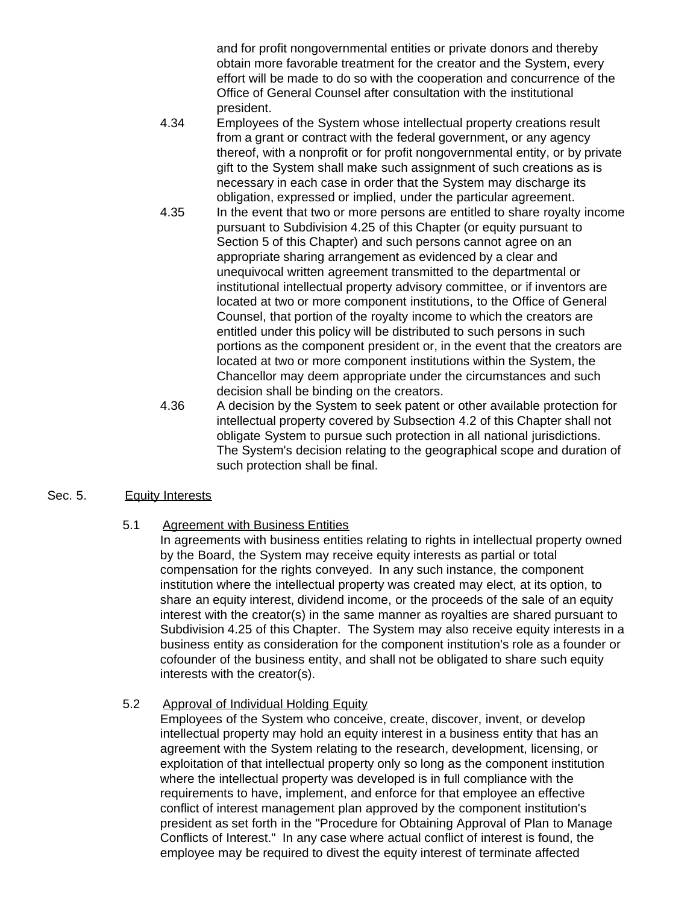and for profit nongovernmental entities or private donors and thereby obtain more favorable treatment for the creator and the System, every effort will be made to do so with the cooperation and concurrence of the Office of General Counsel after consultation with the institutional president.

- 4.34 Employees of the System whose intellectual property creations result from a grant or contract with the federal government, or any agency thereof, with a nonprofit or for profit nongovernmental entity, or by private gift to the System shall make such assignment of such creations as is necessary in each case in order that the System may discharge its obligation, expressed or implied, under the particular agreement.
- 4.35 In the event that two or more persons are entitled to share royalty income pursuant to Subdivision 4.25 of this Chapter (or equity pursuant to Section 5 of this Chapter) and such persons cannot agree on an appropriate sharing arrangement as evidenced by a clear and unequivocal written agreement transmitted to the departmental or institutional intellectual property advisory committee, or if inventors are located at two or more component institutions, to the Office of General Counsel, that portion of the royalty income to which the creators are entitled under this policy will be distributed to such persons in such portions as the component president or, in the event that the creators are located at two or more component institutions within the System, the Chancellor may deem appropriate under the circumstances and such decision shall be binding on the creators.
- 4.36 A decision by the System to seek patent or other available protection for intellectual property covered by Subsection 4.2 of this Chapter shall not obligate System to pursue such protection in all national jurisdictions. The System's decision relating to the geographical scope and duration of such protection shall be final.

## Sec. 5. Equity Interests

## 5.1 Agreement with Business Entities

In agreements with business entities relating to rights in intellectual property owned by the Board, the System may receive equity interests as partial or total compensation for the rights conveyed. In any such instance, the component institution where the intellectual property was created may elect, at its option, to share an equity interest, dividend income, or the proceeds of the sale of an equity interest with the creator(s) in the same manner as royalties are shared pursuant to Subdivision 4.25 of this Chapter. The System may also receive equity interests in a business entity as consideration for the component institution's role as a founder or cofounder of the business entity, and shall not be obligated to share such equity interests with the creator(s).

## 5.2 Approval of Individual Holding Equity

Employees of the System who conceive, create, discover, invent, or develop intellectual property may hold an equity interest in a business entity that has an agreement with the System relating to the research, development, licensing, or exploitation of that intellectual property only so long as the component institution where the intellectual property was developed is in full compliance with the requirements to have, implement, and enforce for that employee an effective conflict of interest management plan approved by the component institution's president as set forth in the "Procedure for Obtaining Approval of Plan to Manage Conflicts of Interest." In any case where actual conflict of interest is found, the employee may be required to divest the equity interest of terminate affected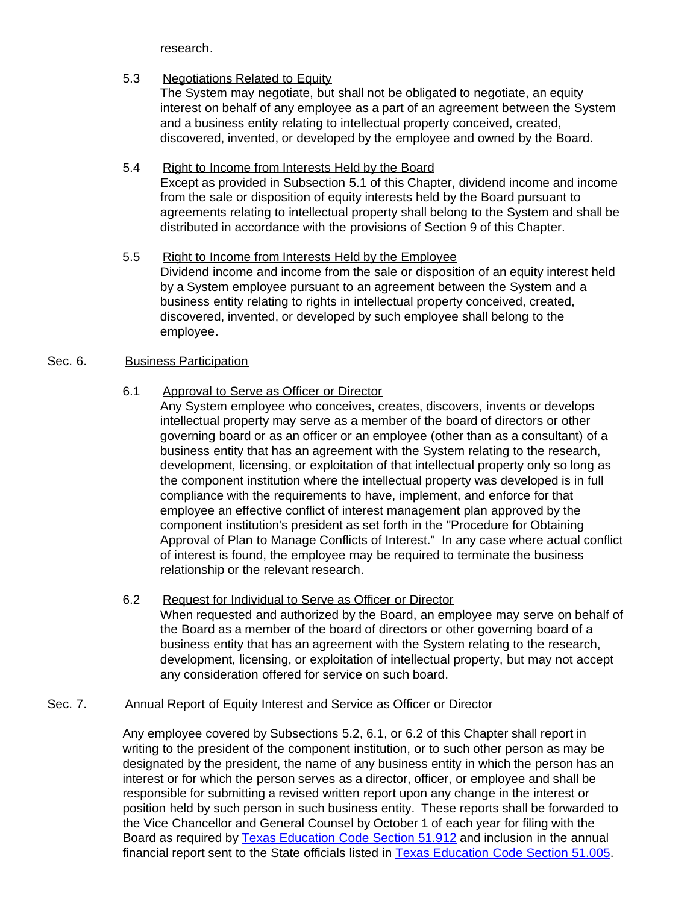research.

## 5.3 Negotiations Related to Equity

The System may negotiate, but shall not be obligated to negotiate, an equity interest on behalf of any employee as a part of an agreement between the System and a business entity relating to intellectual property conceived, created, discovered, invented, or developed by the employee and owned by the Board.

### 5.4 Right to Income from Interests Held by the Board

Except as provided in Subsection 5.1 of this Chapter, dividend income and income from the sale or disposition of equity interests held by the Board pursuant to agreements relating to intellectual property shall belong to the System and shall be distributed in accordance with the provisions of Section 9 of this Chapter.

5.5 Right to Income from Interests Held by the Employee Dividend income and income from the sale or disposition of an equity interest held by a System employee pursuant to an agreement between the System and a business entity relating to rights in intellectual property conceived, created, discovered, invented, or developed by such employee shall belong to the employee.

### Sec. 6. Business Participation

## 6.1 Approval to Serve as Officer or Director

Any System employee who conceives, creates, discovers, invents or develops intellectual property may serve as a member of the board of directors or other governing board or as an officer or an employee (other than as a consultant) of a business entity that has an agreement with the System relating to the research, development, licensing, or exploitation of that intellectual property only so long as the component institution where the intellectual property was developed is in full compliance with the requirements to have, implement, and enforce for that employee an effective conflict of interest management plan approved by the component institution's president as set forth in the "Procedure for Obtaining Approval of Plan to Manage Conflicts of Interest." In any case where actual conflict of interest is found, the employee may be required to terminate the business relationship or the relevant research.

#### 6.2 Request for Individual to Serve as Officer or Director When requested and authorized by the Board, an employee may serve on behalf of the Board as a member of the board of directors or other governing board of a business entity that has an agreement with the System relating to the research, development, licensing, or exploitation of intellectual property, but may not accept any consideration offered for service on such board.

#### Sec. 7. Annual Report of Equity Interest and Service as Officer or Director

Any employee covered by Subsections 5.2, 6.1, or 6.2 of this Chapter shall report in writing to the president of the component institution, or to such other person as may be designated by the president, the name of any business entity in which the person has an interest or for which the person serves as a director, officer, or employee and shall be responsible for submitting a revised written report upon any change in the interest or position held by such person in such business entity. These reports shall be forwarded to the Vice Chancellor and General Counsel by October 1 of each year for filing with the Board as required by [Texas Education Code Section](http://www.capitol.state.tx.us/statutes/ed/ed0005100.html#ed207.51.912) 51.912 and inclusion in the annual financial report sent to the State officials listed in [Texas Education Code Section 51.005.](http://www.capitol.state.tx.us/statutes/ed/ed0005100.html#ed007.51.005)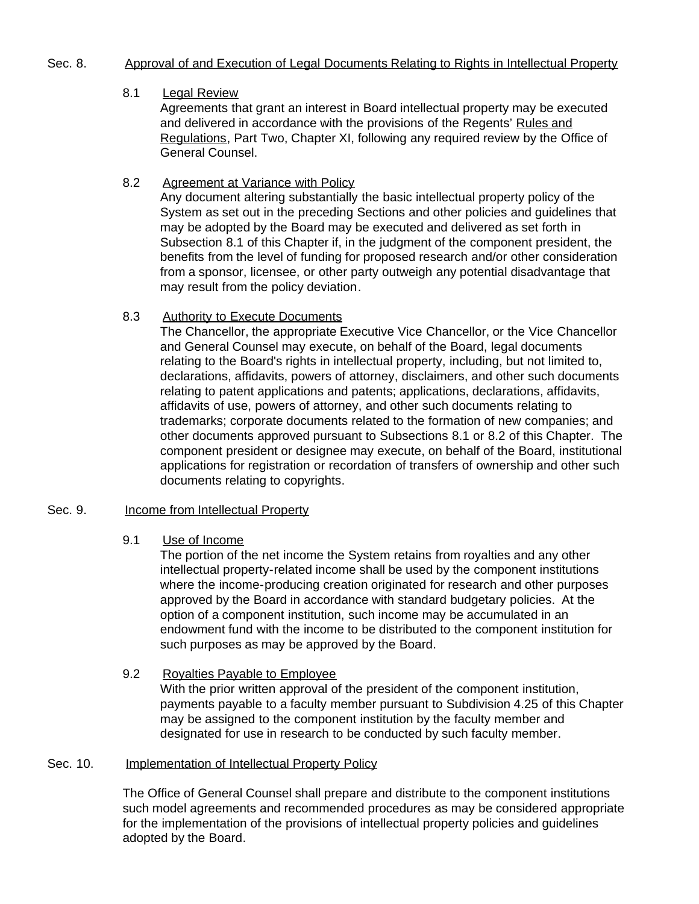#### Sec. 8. Approval of and Execution of Legal Documents Relating to Rights in Intellectual Property

### 8.1 Legal Review

Agreements that grant an interest in Board intellectual property may be executed and delivered in accordance with the provisions of the Regents' Rules and Regulations, Part Two, Chapter XI, following any required review by the Office of General Counsel.

8.2 Agreement at Variance with Policy Any document altering substantially the basic intellectual property policy of the System as set out in the preceding Sections and other policies and guidelines that may be adopted by the Board may be executed and delivered as set forth in Subsection 8.1 of this Chapter if, in the judgment of the component president, the benefits from the level of funding for proposed research and/or other consideration from a sponsor, licensee, or other party outweigh any potential disadvantage that may result from the policy deviation.

#### 8.3 Authority to Execute Documents

The Chancellor, the appropriate Executive Vice Chancellor, or the Vice Chancellor and General Counsel may execute, on behalf of the Board, legal documents relating to the Board's rights in intellectual property, including, but not limited to, declarations, affidavits, powers of attorney, disclaimers, and other such documents relating to patent applications and patents; applications, declarations, affidavits, affidavits of use, powers of attorney, and other such documents relating to trademarks; corporate documents related to the formation of new companies; and other documents approved pursuant to Subsections 8.1 or 8.2 of this Chapter. The component president or designee may execute, on behalf of the Board, institutional applications for registration or recordation of transfers of ownership and other such documents relating to copyrights.

#### Sec. 9. Income from Intellectual Property

#### 9.1 Use of Income

The portion of the net income the System retains from royalties and any other intellectual property-related income shall be used by the component institutions where the income-producing creation originated for research and other purposes approved by the Board in accordance with standard budgetary policies. At the option of a component institution, such income may be accumulated in an endowment fund with the income to be distributed to the component institution for such purposes as may be approved by the Board.

9.2 Royalties Payable to Employee With the prior written approval of the president of the component institution, payments payable to a faculty member pursuant to Subdivision 4.25 of this Chapter may be assigned to the component institution by the faculty member and designated for use in research to be conducted by such faculty member.

#### Sec. 10. **Implementation of Intellectual Property Policy**

The Office of General Counsel shall prepare and distribute to the component institutions such model agreements and recommended procedures as may be considered appropriate for the implementation of the provisions of intellectual property policies and guidelines adopted by the Board.